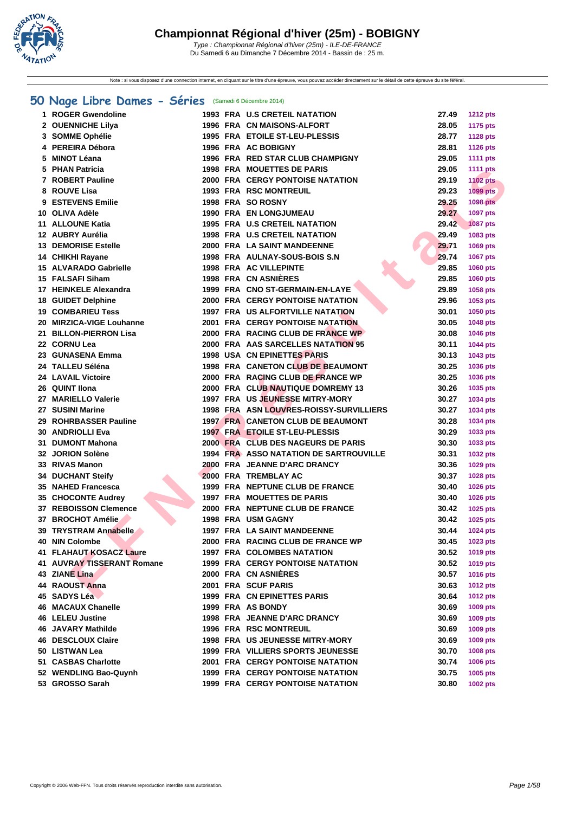

Note : si vous disposez d'une connection internet, en cliquant sur le titre d'une épreuve, vous pouvez accéder directement sur le détail de cette épreuve du site féféral.

### **[50 Na](http://www.ffnatation.fr/webffn/index.php)ge Libre Dames - Séries** (Samedi 6 Décembre 2014)

| 1. | <b>ROGER Gwendoline</b>      |  | <b>1993 FRA U.S CRETEIL NATATION</b>          | 27.49 | <b>1212 pts</b> |
|----|------------------------------|--|-----------------------------------------------|-------|-----------------|
|    | 2 OUENNICHE Lilya            |  | 1996 FRA CN MAISONS-ALFORT                    | 28.05 | <b>1175 pts</b> |
|    | 3 SOMME Ophélie              |  | 1995 FRA ETOILE ST-LEU-PLESSIS                | 28.77 | <b>1128 pts</b> |
|    | 4 PEREIRA Débora             |  | 1996 FRA AC BOBIGNY                           | 28.81 | <b>1126 pts</b> |
|    | 5 MINOT Léana                |  | 1996 FRA RED STAR CLUB CHAMPIGNY              | 29.05 | <b>1111 pts</b> |
|    | 5 PHAN Patricia              |  | <b>1998 FRA MOUETTES DE PARIS</b>             | 29.05 | <b>1111 pts</b> |
|    | 7 ROBERT Pauline             |  | 2000 FRA CERGY PONTOISE NATATION              | 29.19 | <b>1102 pts</b> |
|    | 8 ROUVE Lisa                 |  | <b>1993 FRA RSC MONTREUIL</b>                 | 29.23 | 1099 pts        |
|    | 9 ESTEVENS Emilie            |  | 1998 FRA SO ROSNY                             | 29.25 | <b>1098 pts</b> |
|    | 10 OLIVA Adèle               |  | 1990 FRA EN LONGJUMEAU                        | 29.27 | 1097 pts        |
|    | 11 ALLOUNE Katia             |  | 1995 FRA U.S CRETEIL NATATION                 | 29.42 | <b>1087 pts</b> |
|    | 12 AUBRY Aurélia             |  | <b>1998 FRA U.S CRETEIL NATATION</b>          | 29.49 | 1083 pts        |
|    | <b>13 DEMORISE Estelle</b>   |  | 2000 FRA LA SAINT MANDEENNE                   | 29.71 | 1069 pts        |
|    | 14 CHIKHI Rayane             |  | 1998 FRA AULNAY-SOUS-BOIS S.N                 | 29.74 | 1067 pts        |
|    | 15 ALVARADO Gabrielle        |  | <b>1998 FRA AC VILLEPINTE</b>                 | 29.85 |                 |
|    | 15 FALSAFI Siham             |  | 1998 FRA CN ASNIÈRES                          | 29.85 | 1060 pts        |
|    |                              |  |                                               |       | 1060 pts        |
|    | 17 HEINKELE Alexandra        |  | 1999 FRA CNO ST-GERMAIN-EN-LAYE               | 29.89 | 1058 pts        |
|    | <b>18 GUIDET Delphine</b>    |  | <b>2000 FRA CERGY PONTOISE NATATION</b>       | 29.96 | 1053 pts        |
|    | <b>19 COMBARIEU Tess</b>     |  | <b>1997 FRA US ALFORTVILLE NATATION</b>       | 30.01 | 1050 pts        |
|    | 20 MIRZICA-VIGE Louhanne     |  | <b>2001 FRA CERGY PONTOISE NATATION</b>       | 30.05 | <b>1048 pts</b> |
|    | 21 BILLON-PIERRON Lisa       |  | 2000 FRA RACING CLUB DE FRANCE WP             | 30.08 | 1046 pts        |
|    | 22 CORNU Lea                 |  | 2000 FRA AAS SARCELLES NATATION 95            | 30.11 | 1044 pts        |
|    | 23 GUNASENA Emma             |  | <b>1998 USA CN EPINETTES PARIS</b>            | 30.13 | 1043 pts        |
|    | 24 TALLEU Séléna             |  | <b>1998 FRA CANETON CLUB DE BEAUMONT</b>      | 30.25 | 1036 pts        |
|    | <b>24 LAVAIL Victoire</b>    |  | 2000 FRA RACING CLUB DE FRANCE WP             | 30.25 | 1036 pts        |
|    | 26 QUINT IIona               |  | 2000 FRA CLUB NAUTIQUE DOMREMY 13             | 30.26 | 1035 pts        |
|    | 27 MARIELLO Valerie          |  | 1997 FRA US JEUNESSE MITRY-MORY               | 30.27 | 1034 pts        |
|    | 27 SUSINI Marine             |  | 1998 FRA ASN LOUVRES-ROISSY-SURVILLIERS       | 30.27 | 1034 pts        |
|    | 29 ROHRBASSER Pauline        |  | <b>1997 FRA CANETON CLUB DE BEAUMONT</b>      | 30.28 | 1034 pts        |
|    | <b>30 ANDRIOLLI Eva</b>      |  | 1997 FRA ETOILE ST-LEU-PLESSIS                | 30.29 | 1033 pts        |
|    | 31 DUMONT Mahona             |  | 2000 FRA CLUB DES NAGEURS DE PARIS            | 30.30 | 1033 pts        |
|    | 32 JORION Solène             |  | <b>1994 FRA ASSO NATATION DE SARTROUVILLE</b> | 30.31 | 1032 pts        |
|    | 33 RIVAS Manon               |  | 2000 FRA JEANNE D'ARC DRANCY                  | 30.36 | 1029 pts        |
|    | <b>34 DUCHANT Steify</b>     |  | 2000 FRA TREMBLAY AC                          | 30.37 | 1028 pts        |
|    | 35 NAHED Francesca           |  | 1999 FRA NEPTUNE CLUB DE FRANCE               | 30.40 | 1026 pts        |
|    | 35 CHOCONTE Audrey           |  | <b>1997 FRA MOUETTES DE PARIS</b>             | 30.40 | 1026 pts        |
|    | <b>37 REBOISSON Clemence</b> |  | 2000 FRA NEPTUNE CLUB DE FRANCE               | 30.42 | 1025 pts        |
|    | 37 BROCHOT Amélie            |  | <b>1998 FRA USM GAGNY</b>                     | 30.42 | 1025 pts        |
|    | 39 TRYSTRAM Annabelle        |  | <b>1997 FRA LA SAINT MANDEENNE</b>            | 30.44 | 1024 pts        |
|    | 40 NIN Colombe               |  | 2000 FRA RACING CLUB DE FRANCE WP             | 30.45 | 1023 pts        |
|    | 41 FLAHAUT KOSACZ Laure      |  | <b>1997 FRA COLOMBES NATATION</b>             | 30.52 | <b>1019 pts</b> |
|    | 41 AUVRAY TISSERANT Romane   |  | <b>1999 FRA CERGY PONTOISE NATATION</b>       | 30.52 | 1019 pts        |
|    | 43 ZIANE Lina                |  | 2000 FRA CN ASNIÈRES                          | 30.57 | 1016 pts        |
|    | 44 RAOUST Anna               |  | 2001 FRA SCUF PARIS                           | 30.63 | 1012 pts        |
|    | 45 SADYS Léa                 |  | 1999 FRA CN EPINETTES PARIS                   | 30.64 | 1012 pts        |
|    | 46 MACAUX Chanelle           |  | 1999 FRA AS BONDY                             | 30.69 | 1009 pts        |
|    | <b>46 LELEU Justine</b>      |  | 1998 FRA JEANNE D'ARC DRANCY                  | 30.69 | 1009 pts        |
|    | <b>46 JAVARY Mathilde</b>    |  | <b>1996 FRA RSC MONTREUIL</b>                 | 30.69 | 1009 pts        |
|    | <b>46 DESCLOUX Claire</b>    |  | <b>1998 FRA US JEUNESSE MITRY-MORY</b>        | 30.69 | 1009 pts        |
|    | 50 LISTWAN Lea               |  | 1999 FRA VILLIERS SPORTS JEUNESSE             | 30.70 |                 |
|    |                              |  |                                               |       | 1008 pts        |
|    | 51 CASBAS Charlotte          |  | <b>2001 FRA CERGY PONTOISE NATATION</b>       | 30.74 | 1006 pts        |
|    | 52 WENDLING Bao-Quynh        |  | <b>1999 FRA CERGY PONTOISE NATATION</b>       | 30.75 | 1005 pts        |
|    | 53 GROSSO Sarah              |  | <b>1999 FRA CERGY PONTOISE NATATION</b>       | 30.80 | 1002 pts        |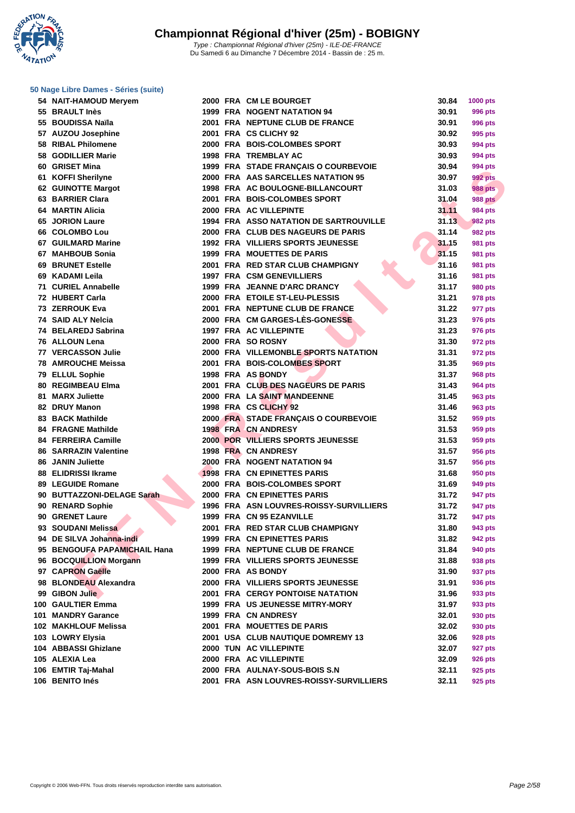**WATATION** .,

**[50 Nage L](http://www.ffnatation.fr/webffn/index.php)ibre Dames - Séries (suite)**

| 54 NAIT-HAMOUD Meryem        |  | 2000 FRA CM LE BOURGET                        | 30.84 | <b>1000 pts</b> |
|------------------------------|--|-----------------------------------------------|-------|-----------------|
| 55 BRAULT Inès               |  | 1999 FRA NOGENT NATATION 94                   | 30.91 | 996 pts         |
| 55 BOUDISSA Naïla            |  | 2001 FRA NEPTUNE CLUB DE FRANCE               | 30.91 | <b>996 pts</b>  |
| 57 AUZOU Josephine           |  | 2001 FRA CS CLICHY 92                         | 30.92 | 995 pts         |
| 58 RIBAL Philomene           |  | 2000 FRA BOIS-COLOMBES SPORT                  | 30.93 | 994 pts         |
| 58 GODILLIER Marie           |  | 1998 FRA TREMBLAY AC                          | 30.93 | 994 pts         |
| 60 GRISET Mina               |  | 1999 FRA STADE FRANÇAIS O COURBEVOIE          | 30.94 | 994 pts         |
| 61 KOFFI Sherilyne           |  | 2000 FRA AAS SARCELLES NATATION 95            | 30.97 | 992 pts         |
| 62 GUINOTTE Margot           |  | 1998 FRA AC BOULOGNE-BILLANCOURT              | 31.03 | <b>988 pts</b>  |
| 63 BARRIER Clara             |  | 2001 FRA BOIS-COLOMBES SPORT                  | 31.04 | <b>988 pts</b>  |
| 64 MARTIN Alicia             |  | 2000 FRA AC VILLEPINTE                        | 31.11 | <b>984 pts</b>  |
| <b>65 JORION Laure</b>       |  | <b>1994 FRA ASSO NATATION DE SARTROUVILLE</b> | 31.13 | 982 pts         |
| 66 COLOMBO Lou               |  | 2000 FRA CLUB DES NAGEURS DE PARIS            | 31.14 | 982 pts         |
| 67 GUILMARD Marine           |  | 1992 FRA VILLIERS SPORTS JEUNESSE             | 31.15 | <b>981 pts</b>  |
| 67 MAHBOUB Sonia             |  | <b>1999 FRA MOUETTES DE PARIS</b>             | 31.15 | 981 pts         |
| <b>69 BRUNET Estelle</b>     |  | 2001 FRA RED STAR CLUB CHAMPIGNY              | 31.16 | 981 pts         |
| 69 KADAMI Leila              |  | <b>1997 FRA CSM GENEVILLIERS</b>              | 31.16 | 981 pts         |
| 71 CURIEL Annabelle          |  | 1999 FRA JEANNE D'ARC DRANCY                  | 31.17 | 980 pts         |
| 72 HUBERT Carla              |  | 2000 FRA ETOILE ST-LEU-PLESSIS                | 31.21 |                 |
|                              |  |                                               |       | 978 pts         |
| 73 ZERROUK Eva               |  | 2001 FRA NEPTUNE CLUB DE FRANCE               | 31.22 | 977 pts         |
| 74 SAID ALY Nelcia           |  | 2000 FRA CM GARGES-LÈS-GONESSE                | 31.23 | 976 pts         |
| 74 BELAREDJ Sabrina          |  | 1997 FRA AC VILLEPINTE                        | 31.23 | 976 pts         |
| 76 ALLOUN Lena               |  | 2000 FRA SO ROSNY                             | 31.30 | 972 pts         |
| <b>77 VERCASSON Julie</b>    |  | 2000 FRA VILLEMONBLE SPORTS NATATION          | 31.31 | 972 pts         |
| <b>78 AMROUCHE Meissa</b>    |  | 2001 FRA BOIS-COLOMBES SPORT                  | 31.35 | 969 pts         |
| 79 ELLUL Sophie              |  | 1998 FRA AS BONDY                             | 31.37 | 968 pts         |
| 80 REGIMBEAU Elma            |  | 2001 FRA CLUB DES NAGEURS DE PARIS            | 31.43 | 964 pts         |
| 81 MARX Juliette             |  | 2000 FRA LA SAINT MANDEENNE                   | 31.45 | 963 pts         |
| 82 DRUY Manon                |  | 1998 FRA CS CLICHY 92                         | 31.46 | 963 pts         |
| 83 BACK Mathilde             |  | 2000 FRA STADE FRANÇAIS O COURBEVOIE          | 31.52 | 959 pts         |
| <b>84 FRAGNE Mathilde</b>    |  | <b>1998 FRA CN ANDRESY</b>                    | 31.53 | 959 pts         |
| 84 FERREIRA Camille          |  | <b>2000 POR VILLIERS SPORTS JEUNESSE</b>      | 31.53 | 959 pts         |
| <b>86 SARRAZIN Valentine</b> |  | 1998 FRA CN ANDRESY                           | 31.57 | 956 pts         |
| 86 JANIN Juliette            |  | 2000 FRĀ NOGENT NATATION 94                   | 31.57 | 956 pts         |
| 88 ELIDRISSI Ikrame          |  | 1998 FRA CN EPINETTES PARIS                   | 31.68 | 950 pts         |
| 89 LEGUIDE Romane            |  | 2000 FRA BOIS-COLOMBES SPORT                  | 31.69 | 949 pts         |
| 90 BUTTAZZONI-DELAGE Sarah   |  | 2000 FRA CN EPINETTES PARIS                   | 31.72 | 947 pts         |
| 90 RENARD Sophie             |  | 1996 FRA ASN LOUVRES-ROISSY-SURVILLIERS       | 31.72 | 947 pts         |
| 90 GRENET Laure              |  | 1999 FRA CN 95 EZANVILLE                      | 31.72 | 947 pts         |
| 93 SOUDANI Melissa           |  | 2001 FRA RED STAR CLUB CHAMPIGNY              | 31.80 | 943 pts         |
| 94 DE SILVA Johanna-indi     |  | <b>1999 FRA CN EPINETTES PARIS</b>            | 31.82 | 942 pts         |
| 95 BENGOUFA PAPAMICHAIL Hana |  | 1999 FRA NEPTUNE CLUB DE FRANCE               | 31.84 | 940 pts         |
| 96 BOCQUILLION Morgann       |  | <b>1999 FRA VILLIERS SPORTS JEUNESSE</b>      | 31.88 | 938 pts         |
| 97 CAPRON Gaëlle             |  | 2000 FRA AS BONDY                             | 31.90 | 937 pts         |
| 98 BLONDEAU Alexandra        |  | 2000 FRA VILLIERS SPORTS JEUNESSE             | 31.91 | 936 pts         |
| 99 GIBON Julie               |  | 2001 FRA CERGY PONTOISE NATATION              | 31.96 | 933 pts         |
| 100 GAULTIER Emma            |  | <b>1999 FRA US JEUNESSE MITRY-MORY</b>        | 31.97 | 933 pts         |
| 101 MANDRY Garance           |  | 1999 FRA CN ANDRESY                           | 32.01 | 930 pts         |
| 102 MAKHLOUF Melissa         |  | 2001 FRA MOUETTES DE PARIS                    | 32.02 | 930 pts         |
| 103 LOWRY Elysia             |  | 2001 USA CLUB NAUTIQUE DOMREMY 13             | 32.06 | 928 pts         |
| 104 ABBASSI Ghizlane         |  | <b>2000 TUN AC VILLEPINTE</b>                 | 32.07 | 927 pts         |
| 105 ALEXIA Lea               |  | 2000 FRA AC VILLEPINTE                        | 32.09 | 926 pts         |
| 106 EMTIR Taj-Mahal          |  | 2000 FRA AULNAY-SOUS-BOIS S.N                 | 32.11 | 925 pts         |
| 106 BENITO Inés              |  | 2001 FRA ASN LOUVRES-ROISSY-SURVILLIERS       | 32.11 | 925 pts         |
|                              |  |                                               |       |                 |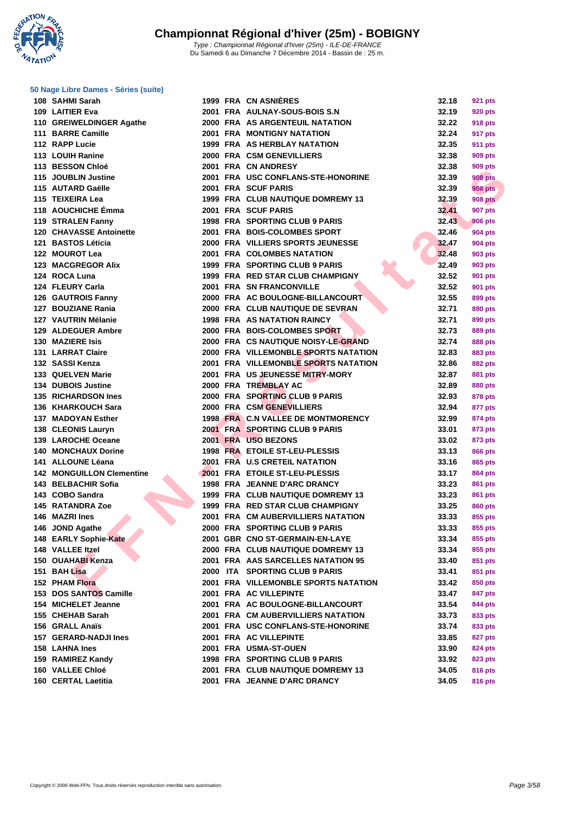**WATATION** 

### **[50 Nage L](http://www.ffnatation.fr/webffn/index.php)ibre Dames - Séries (suite)**

|     | 108 SAHMI Sarah                          |
|-----|------------------------------------------|
|     | 109 LAITIER Eva                          |
|     | 110 GREIWELDINGER Agathe                 |
|     | 111 BARRE Camille                        |
|     | 112 RAPP Lucie                           |
|     | 113 LOUIH Ranine                         |
|     | 113 BESSON Chloé                         |
|     | 115 JOUBLIN Justine                      |
|     | 115 AUTARD Gaëlle                        |
|     | 115 TEIXEIRA Lea                         |
|     | 118 AOUCHICHE Émma                       |
|     | 119 STRALEN Fanny                        |
|     | 120 CHAVASSE Antoinette                  |
|     | 121 BASTOS Léticia                       |
|     | 122 MOUROT Lea                           |
|     | <b>123 MACGREGOR Alix</b>                |
|     | 124 ROCA Luna                            |
|     | 124 FLEURY Carla                         |
|     | 126 GAUTROIS Fanny                       |
|     | 127 BOUZIANE Rania                       |
|     | 127 VAUTRIN Mélanie                      |
|     | 129 ALDEGUER Ambre                       |
|     | 130 MAZIERE Isis                         |
|     | 131 LARRAT Claire                        |
|     | 132 SASSI Kenza                          |
|     | 133 QUELVEN Marie                        |
|     | 134 DUBOIS Justine                       |
|     | <b>135 RICHARDSON Ines</b>               |
|     | 136 KHARKOUCH Sara                       |
|     | 137 MADOYAN Esther                       |
|     | 138 CLEONIS Lauryn                       |
|     |                                          |
|     | 139 LAROCHE Oceane                       |
|     | 140 MONCHAUX Dorine<br>141 ALLOUNE Léana |
|     | 142 MONGUILLON Clementine                |
|     | 143 BELBACHIR Sofia                      |
|     | 143 COBO Sandra                          |
|     | <b>145 RATANDRA Zoe</b>                  |
|     |                                          |
|     | 146 MAZRI Ines                           |
| 146 | <b>JOND Agathe</b>                       |
|     | 148 EARLY Sophie-Kate                    |
|     | 148 VALLEE Itzel                         |
|     | 150 OUAHABI Kenza<br>151 BAH Lisa        |
|     | 152 PHAM Flora                           |
|     |                                          |
|     | 153 DOS SANTOS Camille                   |
|     | 154 MICHELET Jeanne                      |
|     | 155 CHEHAB Sarah                         |
|     | 156 GRALL Anaïs                          |
|     | 157 GERARD-NADJI Ines                    |
|     | 158 LAHNA Ines                           |
|     | 159 RAMIREZ Kandy                        |
|     | 160 VALLEE Chloé                         |
|     | 160 CERTAL Laetitia                      |

Du Samedi 6 au Dimanche 7 Décembre 2014 - Bassin de : 25 m.

| 108 SAHMI Sarah                  |  | <b>1999 FRA CN ASNIERES</b>          | 32.18 | 921 pts        |
|----------------------------------|--|--------------------------------------|-------|----------------|
| 109 LAITIER Eva                  |  | 2001 FRA AULNAY-SOUS-BOIS S.N        | 32.19 | 920 pts        |
| 110 GREIWELDINGER Agathe         |  | 2000 FRA AS ARGENTEUIL NATATION      | 32.22 | 918 pts        |
| 111 BARRE Camille                |  | <b>2001 FRA MONTIGNY NATATION</b>    | 32.24 | 917 pts        |
| 112 RAPP Lucie                   |  | 1999 FRA AS HERBLAY NATATION         | 32.35 | 911 pts        |
| 113 LOUIH Ranine                 |  | 2000 FRA CSM GENEVILLIERS            | 32.38 | 909 pts        |
| 113 BESSON Chloé                 |  | 2001 FRA CN ANDRESY                  | 32.38 | 909 pts        |
| 115 JOUBLIN Justine              |  | 2001 FRA USC CONFLANS-STE-HONORINE   | 32.39 | <b>908 pts</b> |
| 115 AUTARD Gaëlle                |  | 2001 FRA SCUF PARIS                  | 32.39 | <b>908 pts</b> |
| 115 TEIXEIRA Lea                 |  | 1999 FRA CLUB NAUTIQUE DOMREMY 13    | 32.39 | <b>908 pts</b> |
| 118 AOUCHICHE Émma               |  | 2001 FRA SCUF PARIS                  | 32.41 | 907 pts        |
| 119 STRALEN Fanny                |  | 1998 FRA SPORTING CLUB 9 PARIS       | 32.43 | <b>906 pts</b> |
| <b>120 CHAVASSE Antoinette</b>   |  | 2001 FRA BOIS-COLOMBES SPORT         | 32.46 | 904 pts        |
| 121 BASTOS Léticia               |  | 2000 FRA VILLIERS SPORTS JEUNESSE    | 32.47 | 904 pts        |
| 122 MOUROT Lea                   |  | 2001 FRA COLOMBES NATATION           | 32.48 | 903 pts        |
| 123 MACGREGOR Alix               |  | 1999 FRA SPORTING CLUB 9 PARIS       | 32.49 | 903 pts        |
| 124 ROCA Luna                    |  | 1999 FRA RED STAR CLUB CHAMPIGNY     | 32.52 |                |
|                                  |  | 2001 FRA SN FRANCONVILLE             |       | 901 pts        |
| 124 FLEURY Carla                 |  |                                      | 32.52 | 901 pts        |
| 126 GAUTROIS Fanny               |  | 2000 FRA AC BOULOGNE-BILLANCOURT     | 32.55 | 899 pts        |
| 127 BOUZIANE Rania               |  | 2000 FRA CLUB NAUTIQUE DE SEVRAN     | 32.71 | 890 pts        |
| 127 VAUTRIN Mélanie              |  | <b>1998 FRA AS NATATION RAINCY</b>   | 32.71 | 890 pts        |
| 129 ALDEGUER Ambre               |  | 2000 FRA BOIS-COLOMBES SPORT         | 32.73 | 889 pts        |
| <b>130 MAZIERE Isis</b>          |  | 2000 FRA CS NAUTIQUE NOISY-LE-GRAND  | 32.74 | 888 pts        |
| 131 LARRAT Claire                |  | 2000 FRA VILLEMONBLE SPORTS NATATION | 32.83 | 883 pts        |
| 132 SASSI Kenza                  |  | 2001 FRA VILLEMONBLE SPORTS NATATION | 32.86 | 882 pts        |
| 133 QUELVEN Marie                |  | 2001 FRA US JEUNESSE MITRY-MORY      | 32.87 | 881 pts        |
| 134 DUBOIS Justine               |  | 2000 FRA TREMBLAY AC                 | 32.89 | 880 pts        |
| <b>135 RICHARDSON Ines</b>       |  | 2000 FRA SPORTING CLUB 9 PARIS       | 32.93 | 878 pts        |
| 136 KHARKOUCH Sara               |  | 2000 FRA CSM GENEVILLIERS            | 32.94 | 877 pts        |
| 137 MADOYAN Esther               |  | 1998 FRA C.N VALLEE DE MONTMORENCY   | 32.99 | 874 pts        |
| 138 CLEONIS Lauryn               |  | 2001 FRA SPORTING CLUB 9 PARIS       | 33.01 | 873 pts        |
| 139 LAROCHE Oceane               |  | 2001 FRA USO BEZONS                  | 33.02 | 873 pts        |
| <b>140 MONCHAUX Dorine</b>       |  | 1998 FRA ETOILE ST-LEU-PLESSIS       | 33.13 | <b>866 pts</b> |
| 141 ALLOUNE Léana                |  | 2001 FRA U.S CRETEIL NATATION        | 33.16 | 865 pts        |
| <b>142 MONGUILLON Clementine</b> |  | 2001 FRA ETOILE ST-LEU-PLESSIS       | 33.17 | 864 pts        |
| 143 BELBACHIR Sofia              |  | 1998 FRA JEANNE D'ARC DRANCY         | 33.23 | 861 pts        |
| 143 COBO Sandra                  |  | 1999 FRA CLUB NAUTIQUE DOMREMY 13    | 33.23 | 861 pts        |
| 145 RATANDRA Zoe                 |  | 1999 FRA RED STAR CLUB CHAMPIGNY     | 33.25 | 860 pts        |
| 146 MAZRI Ines                   |  | 2001 FRA CM AUBERVILLIERS NATATION   | 33.33 | 855 pts        |
| 146 JOND Agathe                  |  | 2000 FRA SPORTING CLUB 9 PARIS       | 33.33 | 855 pts        |
| 148 EARLY Sophie-Kate            |  | 2001 GBR CNO ST-GERMAIN-EN-LAYE      | 33.34 | 855 pts        |
| 148 VALLEE Itzel                 |  | 2000 FRA CLUB NAUTIQUE DOMREMY 13    | 33.34 | 855 pts        |
| 150 OUAHABI Kenza                |  | 2001 FRA AAS SARCELLES NATATION 95   | 33.40 | 851 pts        |
| 151 BAH Lisa                     |  | 2000 ITA SPORTING CLUB 9 PARIS       | 33.41 | 851 pts        |
| 152 PHAM Flora                   |  | 2001 FRA VILLEMONBLE SPORTS NATATION | 33.42 | 850 pts        |
| 153 DOS SANTOS Camille           |  | 2001 FRA AC VILLEPINTE               | 33.47 |                |
|                                  |  |                                      | 33.54 | 847 pts        |
| 154 MICHELET Jeanne              |  | 2001 FRA AC BOULOGNE-BILLANCOURT     |       | 844 pts        |
| 155 CHEHAB Sarah                 |  | 2001 FRA CM AUBERVILLIERS NATATION   | 33.73 | 833 pts        |
| 156 GRALL Anaïs                  |  | 2001 FRA USC CONFLANS-STE-HONORINE   | 33.74 | 833 pts        |
| 157 GERARD-NADJI Ines            |  | 2001 FRA AC VILLEPINTE               | 33.85 | 827 pts        |
| 158 LAHNA Ines                   |  | 2001 FRA USMA-ST-OUEN                | 33.90 | 824 pts        |
| 159 RAMIREZ Kandy                |  | 1998 FRA SPORTING CLUB 9 PARIS       | 33.92 | 823 pts        |
| 160 VALLEE Chloé                 |  | 2001 FRA CLUB NAUTIQUE DOMREMY 13    | 34.05 | 816 pts        |
| 160 CERTAL Laetitia              |  | 2001 FRA JEANNE D'ARC DRANCY         | 34.05 | 816 pts        |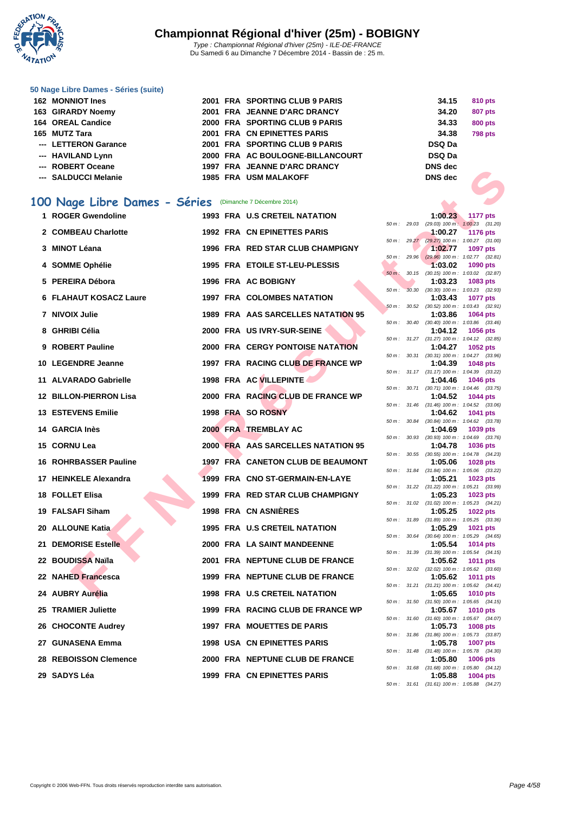

Du Samedi 6 au Dimanche 7 Décembre 2014 - Bassin de : 25 m.

#### **[50 Nage L](http://www.ffnatation.fr/webffn/index.php)ibre Dames - Séries (suite)**

| 162 MONNIOT Ines     |  | 2001 FRA SPORTING CLUB 9 PARIS   | 34.15          | 810 pts        |
|----------------------|--|----------------------------------|----------------|----------------|
| 163 GIRARDY Noemy    |  | 2001 FRA JEANNE D'ARC DRANCY     | 34.20          | <b>807 pts</b> |
| 164 OREAL Candice    |  | 2000 FRA SPORTING CLUB 9 PARIS   | 34.33          | <b>800 pts</b> |
| 165 MUTZ Tara        |  | 2001 FRA CN EPINETTES PARIS      | 34.38          | <b>798 pts</b> |
| --- LETTERON Garance |  | 2001 FRA SPORTING CLUB 9 PARIS   | <b>DSQ Da</b>  |                |
| --- HAVILAND Lynn    |  | 2000 FRA AC BOULOGNE-BILLANCOURT | <b>DSQ Da</b>  |                |
| --- ROBERT Oceane    |  | 1997 FRA JEANNE D'ARC DRANCY     | <b>DNS</b> dec |                |
| --- SALDUCCI Melanie |  | <b>1985 FRA USM MALAKOFF</b>     | <b>DNS</b> dec |                |

### **100 Nage Libre Dames - Séries** (Dimanche 7 Décembre 2014)

| סווססטט וגום שטאו                                       |  | <b>INA SEARINE D'ARG DRANGE</b>         |          |              |                |                                                               |
|---------------------------------------------------------|--|-----------------------------------------|----------|--------------|----------------|---------------------------------------------------------------|
| --- SALDUCCI Melanie                                    |  | 1985 FRA USM MALAKOFF                   |          |              | <b>DNS</b> dec |                                                               |
|                                                         |  |                                         |          |              |                |                                                               |
| 00 Nage Libre Dames - Séries (Dimanche 7 Décembre 2014) |  |                                         |          |              |                |                                                               |
| 1 ROGER Gwendoline                                      |  | <b>1993 FRA U.S CRETEIL NATATION</b>    |          |              | 1:00.23        | 1177 pts                                                      |
| 2 COMBEAU Charlotte                                     |  | 1992 FRA CN EPINETTES PARIS             |          |              | 1:00.27        | 50 m: 29.03 (29.03) 100 m: 1:00.23 (31.20)<br><b>1176 pts</b> |
|                                                         |  |                                         |          |              |                | 50 m: 29.27 (29.27) 100 m: 1:00.27 (31.00)                    |
| 3 MINOT Léana                                           |  | 1996 FRA RED STAR CLUB CHAMPIGNY        |          |              | 1:02.77        | <b>1097 pts</b><br>50 m: 29.96 (29.96) 100 m: 1:02.77 (32.81) |
| 4 SOMME Ophélie                                         |  | 1995 FRA ETOILE ST-LEU-PLESSIS          |          |              | 1:03.02        | 1090 pts                                                      |
| 5 PEREIRA Débora                                        |  | 1996 FRA AC BOBIGNY                     | $50 m$ : | 30.15        | 1:03.23        | $(30.15)$ 100 m : 1:03.02 $(32.87)$<br>1083 pts               |
|                                                         |  |                                         |          |              |                | 50 m: 30.30 (30.30) 100 m: 1:03.23 (32.93)                    |
| 6 FLAHAUT KOSACZ Laure                                  |  | <b>1997 FRA COLOMBES NATATION</b>       |          |              | 1:03.43        | <b>1077 pts</b><br>50 m: 30.52 (30.52) 100 m: 1:03.43 (32.91) |
| 7 NIVOIX Julie                                          |  | 1989 FRA AAS SARCELLES NATATION 95      |          |              | 1:03.86        | 1064 pts                                                      |
| 8 GHRIBI Célia                                          |  | 2000 FRA US IVRY-SUR-SEINE              |          | 50 m : 30.40 | 1:04.12        | $(30.40)$ 100 m : 1:03.86 $(33.46)$<br><b>1056 pts</b>        |
|                                                         |  |                                         |          |              |                | 50 m: 31.27 (31.27) 100 m: 1:04.12 (32.85)                    |
| 9 ROBERT Pauline                                        |  | <b>2000 FRA CERGY PONTOISE NATATION</b> |          |              | 1:04.27        | 1052 pts<br>50 m: 30.31 (30.31) 100 m: 1:04.27 (33.96)        |
| 10 LEGENDRE Jeanne                                      |  | 1997 FRA RACING CLUB DE FRANCE WP       |          |              | 1:04.39        | 1048 pts                                                      |
| 11 ALVARADO Gabrielle                                   |  | 1998 FRA AC VILLEPINTE                  |          |              | 1:04.46        | 50 m: 31.17 (31.17) 100 m: 1:04.39 (33.22)<br><b>1046 pts</b> |
|                                                         |  |                                         |          |              |                | 50 m: 30.71 (30.71) 100 m: 1:04.46 (33.75)                    |
| 12 BILLON-PIERRON Lisa                                  |  | 2000 FRA RACING CLUB DE FRANCE WP       |          |              | 1:04.52        | 1044 pts<br>50 m: 31.46 (31.46) 100 m: 1:04.52 (33.06)        |
| <b>13 ESTEVENS Emilie</b>                               |  | 1998 FRA SO ROSNY                       |          |              | 1:04.62        | <b>1041 pts</b>                                               |
| 14 GARCIA Inès                                          |  | 2000 FRA TREMBLAY AC                    |          | 50 m : 30.84 | 1:04.69        | $(30.84)$ 100 m : 1:04.62 $(33.78)$<br>1039 pts               |
|                                                         |  |                                         |          |              |                | 50 m : 30.93 (30.93) 100 m : 1:04.69 (33.76)                  |
| 15 CORNU Lea                                            |  | 2000 FRA AAS SARCELLES NATATION 95      |          |              | 1:04.78        | <b>1036 pts</b><br>50 m: 30.55 (30.55) 100 m: 1:04.78 (34.23) |
| 16 ROHRBASSER Pauline                                   |  | 1997 FRA CANETON CLUB DE BEAUMONT       |          |              | 1:05.06        | <b>1028 pts</b>                                               |
| 17 HEINKELE Alexandra                                   |  | 1999 FRA CNO ST-GERMAIN-EN-LAYE         |          |              | 1:05.21        | 50 m: 31.84 (31.84) 100 m: 1:05.06 (33.22)<br>1023 pts        |
|                                                         |  |                                         |          |              |                | 50 m: 31.22 (31.22) 100 m: 1:05.21 (33.99)                    |
| 18 FOLLET Elisa                                         |  | 1999 FRA RED STAR CLUB CHAMPIGNY        |          |              | 1:05.23        | 1023 pts<br>50 m: 31.02 (31.02) 100 m: 1:05.23 (34.21)        |
| 19 FALSAFI Siham                                        |  | 1998 FRA CN ASNIERES                    |          |              | 1:05.25        | <b>1022 pts</b>                                               |
| 20 ALLOUNE Katia                                        |  | 1995 FRA U.S CRETEIL NATATION           |          |              | 1:05.29        | 50 m: 31.89 (31.89) 100 m: 1:05.25 (33.36)<br>1021 pts        |
|                                                         |  |                                         |          |              |                | 50 m: 30.64 (30.64) 100 m: 1:05.29 (34.65)                    |
| 21 DEMORISE Estelle                                     |  | 2000 FRA LA SAINT MANDEENNE             |          |              | 1:05.54        | 1014 pts<br>50 m: 31.39 (31.39) 100 m: 1:05.54 (34.15)        |
| 22   BOUDISSA Naïla                                     |  | 2001 FRA NEPTUNE CLUB DE FRANCE         |          |              | 1:05.62        | <b>1011 pts</b>                                               |
| 22 NAHED Francesca                                      |  | 1999 FRA NEPTUNE CLUB DE FRANCE         |          |              | 1:05.62        | 50 m: 32.02 (32.02) 100 m: 1:05.62 (33.60)<br><b>1011 pts</b> |
|                                                         |  |                                         |          |              |                | 50 m: 31.21 (31.21) 100 m: 1:05.62 (34.41)                    |
| 24 AUBRY Aurélia                                        |  | 1998 FRA U.S CRETEIL NATATION           |          |              | 1:05.65        | <b>1010 pts</b><br>50 m: 31.50 (31.50) 100 m: 1:05.65 (34.15) |
| 25 TRAMIER Juliette                                     |  | 1999 FRA RACING CLUB DE FRANCE WP       |          |              | 1:05.67        | <b>1010 pts</b>                                               |
| 26 CHOCONTE Audrey                                      |  | 1997 FRA MOUETTES DE PARIS              |          |              | 1:05.73        | 50 m: 31.60 (31.60) 100 m: 1:05.67 (34.07)<br><b>1008 pts</b> |
|                                                         |  |                                         |          |              |                | 50 m: 31.86 (31.86) 100 m: 1:05.73 (33.87)                    |
| 27   GUNASENA Emma                                      |  | <b>1998 USA CN EPINETTES PARIS</b>      |          |              | 1:05.78        | <b>1007 pts</b><br>50 m: 31.48 (31.48) 100 m: 1:05.78 (34.30) |
| <b>28 REBOISSON Clemence</b>                            |  | 2000 FRA NEPTUNE CLUB DE FRANCE         |          |              | 1:05.80        | <b>1006 pts</b>                                               |
| 29 SADYS Léa                                            |  | 1999 FRA CN EPINETTES PARIS             |          |              | 1:05.88        | 50 m: 31.68 (31.68) 100 m: 1:05.80 (34.12)<br>1004 pts        |
|                                                         |  |                                         |          |              |                |                                                               |

|                 |       | 1:00.23                      | <b>1177 pts</b>     |                |
|-----------------|-------|------------------------------|---------------------|----------------|
| 50 m :          | 29.03 | $(29.03)$ 100 m :            | 1:00.23             | (31.20)        |
|                 |       | 1:00.27                      | <b>1176 pts</b>     |                |
| 50 m :          | 29.27 | $(29.27)$ 100 m :            | 1:00.27             | (31.00)        |
|                 |       | 1:02.77                      | 1097 pts            |                |
| 50 m:           | 29.96 | $(29.96)$ 100 m :            | 1:02.77             | (32.81)        |
|                 |       | 1:03.02                      | 1090 pts            |                |
| $50 m$ :        | 30.15 | $(30.15)$ 100 m :            | 1:03.02             | (32.87)        |
|                 |       | 1:03.23                      | 1083 pts            |                |
| 50 m:           | 30.30 | $(30.30)$ 100 m :            | 1:03.23             | (32.93)        |
|                 |       | 1:03.43                      | 1077                | pts            |
| 50 m :          | 30.52 | $(30.52)$ 100 m :            | 1:03.43             | (32.91)        |
|                 |       | 1:03.86                      | 1064 pts            |                |
| 50 <sub>m</sub> | 30.40 | $(30.40)$ 100 m:             | 1:03.86             | (33.46)        |
|                 |       | 1:04.12                      | 1056 pts            |                |
| 50 m :          | 31.27 | $(31.27)$ 100 m :            | 1:04.12             | (32.85)        |
|                 |       | 1:04.27                      |                     |                |
| 50 m:           | 30.31 | $(30.31)$ 100 m :            | 1052 pts<br>1:04.27 | (33.96)        |
|                 |       | 1:04.39                      | <b>1048 pts</b>     |                |
| 50 m :          | 31.17 |                              |                     |                |
|                 |       | $(31.17) 100 m$ :            | 1:04.39             | (33.22)        |
|                 | 30.71 | 1:04.46                      | 1046 pts            |                |
| 50 m:           |       | $(30.71)$ 100 m :            | 1:04.46             | (33.75)        |
|                 |       | 1:04.52                      | 1044                | pts            |
| 50 m :          | 31.46 | $(31.46) 100 m$ :            | 1:04.52             | (33.06)        |
|                 | 30.84 | 1:04.62                      | 1041                | pts            |
| 50 m :          |       | $(30.84)$ 100 m :            | 1:04.62             | (33.78)        |
| 50m             | 30.93 | 1:04.69                      | 1039 pts            |                |
|                 |       | $(30.93)$ 100 m :<br>1:04.78 | 1:04.69             | (33.76)        |
| 50 m:           | 30.55 | $(30.55)$ 100 m :            | 1036 pts<br>1:04.78 |                |
|                 |       | 1:05.06                      | 1028                | (34.23)<br>pts |
| 50 m:           | 31.84 | $(31.84) 100 m$ :            | 1:05.06             | (33.22)        |
|                 |       | 1:05.21                      | <b>1023 pts</b>     |                |
| 50 m :          | 31.22 | $(31.22)$ 100 m :            | 1:05.21             | (33.99)        |
|                 |       | 1:05.23                      | 1023 pts            |                |
| $50 m$ :        | 31.02 | $(31.02) 100 m$ :            | 1:05.23             | (34.21)        |
|                 |       | 1:05.25                      | 1022 pts            |                |
| 50 m :          | 31.89 | $(31.89) 100 m$ :            | 1:05.25             | (33.36)        |
|                 |       | 1:05.29                      | 1021                | pts            |
| 50 m :          | 30.64 | $(30.64)$ 100 m :            | 1:05.29             | (34.65)        |
|                 |       | 1:05.54                      | 1014 pts            |                |
| 50 m:           | 31.39 | $(31.39) 100 m$ :            | 1:05.54             | (34.15)        |
|                 |       | 1:05.62                      | 1011                | pts            |
| 50 m:           | 32.02 | $(32.02)$ 100 m :            | 1:05.62             | (33.60)        |
|                 |       | 1:05.62                      | 1011                | pts            |
| 50 m:           | 31.21 | $(31.21)$ 100 m :            | 1:05.62             | (34.41)        |
|                 |       | 1:05.65                      | 1010 pts            |                |
| 50 m :          | 31.50 | $(31.50)$ 100 m :            | 1:05.65             | (34.15)        |
|                 |       | 1:05.67                      | 1010                | pts            |
| $50 m$ :        | 31.60 | $(31.60) 100 m$ :            | 1:05.67             | (34.07)        |
|                 |       | 1:05.73                      | 1008 pts            |                |
| 50 m :          | 31.86 | $(31.86) 100 m$ :            | 1:05.73             | (33.87)        |
|                 |       | 1:05.78                      | 1007                | pts            |
| 50 m :          | 31.48 | $(31.48) 100 m$ :            | 1:05.78             | (34.30)        |
|                 |       | 1:05.80                      | <b>1006 pts</b>     |                |
| 50 m:           | 31.68 | $(31.68) 100 m$ :            | 1:05.80             | (34.12)        |
|                 |       | 1:05.88                      | 1004                | pts            |
| $50 m$ :        | 31.61 | $(31.61)$ 100 m:             | 1:05.88             | (34.27)        |
|                 |       |                              |                     |                |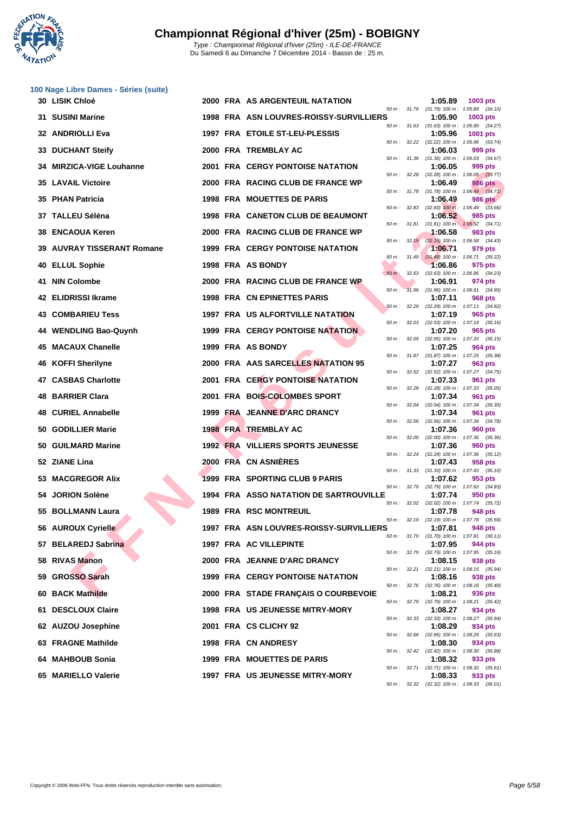

|     | 100 Nage Libre Dames - Séries (suite) |  |                                         |                   |                                                         |                                                              |
|-----|---------------------------------------|--|-----------------------------------------|-------------------|---------------------------------------------------------|--------------------------------------------------------------|
|     | 30 LISIK Chloé                        |  | 2000 FRA AS ARGENTEUIL NATATION         |                   | 1:05.89<br>50 m: 31.79 (31.79) 100 m: 1:05.89 (34.10)   | 1003 pts                                                     |
|     | 31 SUSINI Marine                      |  | 1998 FRA ASN LOUVRES-ROISSY-SURVILLIERS |                   | 1:05.90<br>50 m: 31.63 (31.63) 100 m: 1:05.90 (34.27)   | 1003 pts                                                     |
|     | 32 ANDRIOLLI Eva                      |  | 1997 FRA ETOILE ST-LEU-PLESSIS          |                   | 1:05.96<br>50 m: 32.22 (32.22) 100 m: 1:05.96 (33.74)   | 1001 pts                                                     |
| 33  | <b>DUCHANT Steify</b>                 |  | 2000 FRA TREMBLAY AC                    |                   | 1:06.03                                                 | 999 pts                                                      |
| 34  | <b>MIRZICA-VIGE Louhanne</b>          |  | <b>2001 FRA CERGY PONTOISE NATATION</b> |                   | 50 m: 31.36 (31.36) 100 m: 1:06.03 (34.67)<br>1:06.05   | 999 pts                                                      |
|     | <b>35 LAVAIL Victoire</b>             |  | 2000 FRA RACING CLUB DE FRANCE WP       |                   | 50 m: 32.28 (32.28) 100 m: 1:06.05 (33.77)<br>1:06.49   | <b>986 pts</b>                                               |
|     | 35 PHAN Patricia                      |  | <b>1998 FRA MOUETTES DE PARIS</b>       |                   | 1:06.49                                                 | 50 m: 31.78 (31.78) 100 m: 1:06.49 (34.71)<br><b>986 pts</b> |
|     | 37 TALLEU Séléna                      |  | 1998 FRA CANETON CLUB DE BEAUMONT       | 50 m :<br>32.83   | 1:06.52                                                 | $(32.83)$ 100 m : 1:06.49 $(33.66)$<br>985 pts               |
| 38  | <b>ENCAOUA Keren</b>                  |  | 2000 FRA RACING CLUB DE FRANCE WP       | 50 m: 31.81       | 1:06.58                                                 | $(31.81)$ 100 m : 1:06.52 $(34.71)$<br>983 pts               |
|     | <b>39 AUVRAY TISSERANT Romane</b>     |  | <b>1999 FRA CERGY PONTOISE NATATION</b> |                   | 50 m: 32.15 (32.15) 100 m: 1:06.58 (34.43)<br>1:06.71   | 979 pts                                                      |
| 40  | <b>ELLUL Sophie</b>                   |  | 1998 FRA AS BONDY                       | $50 m$ : $31.49$  | 1:06.86                                                 | $(31.49)$ 100 m : 1:06.71 $(35.22)$<br>975 pts               |
| 41  | <b>NIN Colombe</b>                    |  | 2000 FRA RACING CLUB DE FRANCE WP       | $50 m$ :          | 32.63 (32.63) 100 m: 1:06.86 (34.23)<br>1:06.91         | 974 pts                                                      |
|     | 42 ELIDRISSI Ikrame                   |  | <b>1998 FRA CN EPINETTES PARIS</b>      | 31.96<br>$50 m$ : | 1:07.11                                                 | $(31.96)$ 100 m : 1:06.91 $(34.95)$<br>968 pts               |
| 43. | <b>COMBARIEU Tess</b>                 |  | <b>1997 FRA US ALFORTVILLE NATATION</b> | 50 m: 32.29       | 1:07.19                                                 | (32.29) 100 m: 1:07.11 (34.82)<br>965 pts                    |
|     | 44 WENDLING Bao-Quynh                 |  | <b>1999 FRA CERGY PONTOISE NATATION</b> | 32.03<br>50 m :   | 1:07.20                                                 | $(32.03)$ 100 m : 1:07.19 $(35.16)$<br>965 pts               |
| 45  | <b>MACAUX Chanelle</b>                |  | 1999 FRA AS BONDY                       |                   | 50 m: 32.05 (32.05) 100 m: 1:07.20 (35.15)<br>1:07.25   | <b>964 pts</b>                                               |
| 46  | <b>KOFFI Sherilyne</b>                |  | 2000 FRA AAS SARCELLES NATATION 95      |                   | 50 m: 31.87 (31.87) 100 m: 1:07.25 (35.38)<br>1:07.27   | 963 pts                                                      |
|     | 47 CASBAS Charlotte                   |  | 2001 FRA CERGY PONTOISE NATATION        |                   | 50 m: 32.52 (32.52) 100 m: 1:07.27 (34.75)<br>1:07.33   | 961 pts                                                      |
| 48  | <b>BARRIER Clara</b>                  |  | 2001 FRA BOIS-COLOMBES SPORT            |                   | 50 m: 32.28 (32.28) 100 m: 1:07.33 (35.05)<br>1:07.34   | 961 pts                                                      |
|     | 48 CURIEL Annabelle                   |  | 1999 FRA JEANNE D'ARC DRANCY            | 50 m :<br>32.04   | 1:07.34                                                 | $(32.04)$ 100 m : 1:07.34 $(35.30)$<br>961 pts               |
| 50  | <b>GODILLIER Marie</b>                |  | <b>1998 FRA TREMBLAY AC</b>             | 50 m: 32.56       | 1:07.36                                                 | $(32.56)$ 100 m : 1:07.34 $(34.78)$<br><b>960 pts</b>        |
|     | 50 GUILMARD Marine                    |  | 1992 FRA VILLIERS SPORTS JEUNESSE       |                   | 50 m: 32.00 (32.00) 100 m: 1:07.36 (35.36)<br>1:07.36   | <b>960 pts</b>                                               |
|     | 52 ZIANE Lina                         |  | 2000 FRA CN ASNIERES                    |                   | 50 m: 32.24 (32.24) 100 m: 1:07.36 (35.12)<br>1:07.43   | 958 pts                                                      |
|     | 53 MACGREGOR Alix                     |  | 1999 FRA SPORTING CLUB 9 PARIS          |                   | 50 m: 31.33 (31.33) 100 m: 1:07.43 (36.10)<br>1:07.62   | 953 pts                                                      |
|     | 54 JORION Solène                      |  | 1994 FRA ASSO NATATION DE SARTROUVILLE  | 50 m: 32.79       | 1:07.74                                                 | $(32.79)$ 100 m : 1:07.62 $(34.83)$<br>950 pts               |
|     | 55 BOLLMANN Laura                     |  | 1989 FRA RSC MONTREUIL                  | 50 m: 32.02       | 1:07.78                                                 | $(32.02)$ 100 m : 1:07.74 $(35.72)$<br><b>948 pts</b>        |
|     | 56 AUROUX Cyrielle                    |  | 1997 FRA ASN LOUVRES-ROISSY-SURVILLIERS |                   | 50 m: 32.19 (32.19) 100 m: 1:07.78 (35.59)<br>1:07.81   | 948 pts                                                      |
|     | 57 BELAREDJ Sabrina                   |  | 1997 FRA AC VILLEPINTE                  |                   | 50 m: 31.70 (31.70) 100 m: 1:07.81 (36.11)<br>1:07.95   | 944 pts                                                      |
| 58  | <b>RIVAS Manon</b>                    |  | 2000 FRA JEANNE D'ARC DRANCY            |                   | 50 m: 32.79 (32.79) 100 m: 1:07.95 (35.16)<br>1:08.15   | 938 pts                                                      |
| 59  | <b>GROSSO Sarah</b>                   |  | <b>1999 FRA CERGY PONTOISE NATATION</b> |                   | 50 m: 32.21 (32.21) 100 m: 1:08.15 (35.94)<br>1:08.16   | 938 pts                                                      |
| 60  | <b>BACK Mathilde</b>                  |  | 2000 FRA STADE FRANÇAIS O COURBEVOIE    | 50 m: 32.76       | 1:08.21                                                 | $(32.76)$ 100 m : 1:08.16 $(35.40)$<br>936 pts               |
| 61  | <b>DESCLOUX Claire</b>                |  | <b>1998 FRA US JEUNESSE MITRY-MORY</b>  | 50 m : 32.79      | 1:08.27                                                 | $(32.79)$ 100 m : 1:08.21 $(35.42)$<br>934 pts               |
|     | 62 AUZOU Josephine                    |  | 2001 FRA CS CLICHY 92                   | 50 m :<br>32.33   | 1:08.29                                                 | $(32.33)$ 100 m : 1:08.27 $(35.94)$<br>934 pts               |
|     | 63 FRAGNE Mathilde                    |  | 1998 FRA CN ANDRESY                     |                   | 50 m: 32.66 (32.66) 100 m: 1:08.29 (35.63)<br>1:08.30   | 934 pts                                                      |
|     | 64 MAHBOUB Sonia                      |  | 1999 FRA MOUETTES DE PARIS              |                   | 50 m : 32.42 (32.42) 100 m : 1:08.30 (35.88)<br>1:08.32 | 933 pts                                                      |
|     | 65 MARIELLO Valerie                   |  | 1997 FRA US JEUNESSE MITRY-MORY         |                   | 50 m: 32.71 (32.71) 100 m: 1:08.32 (35.61)<br>1:08.33   | 933 pts                                                      |
|     |                                       |  |                                         |                   | 50 m: 32.32 (32.32) 100 m: 1:08.33 (36.01)              |                                                              |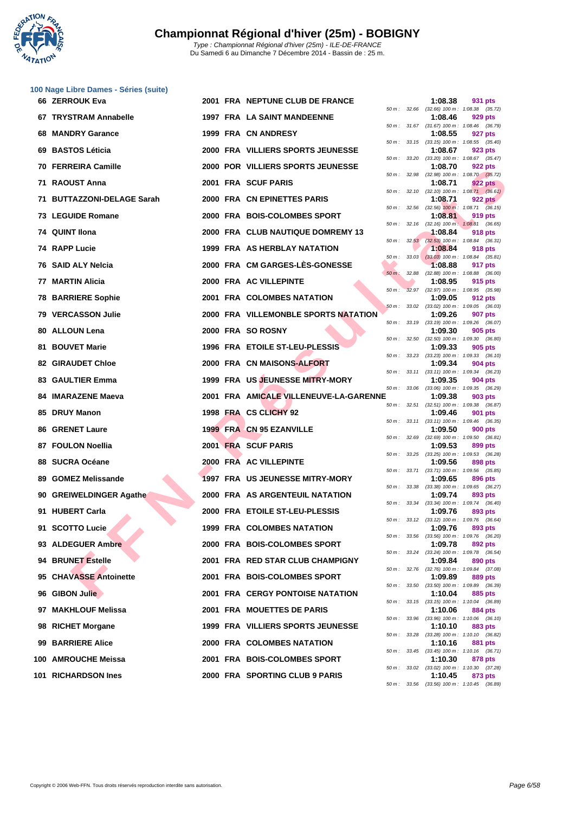

|     | 100 Nage Libre Dames - Séries (suite) |  |                                          |             |                |         |                                                       |
|-----|---------------------------------------|--|------------------------------------------|-------------|----------------|---------|-------------------------------------------------------|
|     | 66 ZERROUK Eva                        |  | 2001 FRA NEPTUNE CLUB DE FRANCE          |             |                | 1:08.38 | 931 pts<br>50 m: 32.66 (32.66) 100 m: 1:08.38 (35.72) |
|     | 67 TRYSTRAM Annabelle                 |  | <b>1997 FRA LA SAINT MANDEENNE</b>       |             |                | 1:08.46 | 929 pts                                               |
|     | 68 MANDRY Garance                     |  | 1999 FRA CN ANDRESY                      |             |                | 1:08.55 | 50 m: 31.67 (31.67) 100 m: 1:08.46 (36.79)<br>927 pts |
|     | 69 BASTOS Léticia                     |  | 2000 FRA VILLIERS SPORTS JEUNESSE        |             |                | 1:08.67 | 50 m: 33.15 (33.15) 100 m: 1:08.55 (35.40)<br>923 pts |
|     | 70 FERREIRA Camille                   |  | <b>2000 POR VILLIERS SPORTS JEUNESSE</b> | 50 m :      | 33.20          | 1:08.70 | $(33.20)$ 100 m : 1:08.67 $(35.47)$<br>922 pts        |
|     | 71 RAOUST Anna                        |  | 2001 FRA SCUF PARIS                      | 50 m :      | 32.98          | 1:08.71 | $(32.98)$ 100 m : 1:08.70 $(35.72)$<br><b>922 pts</b> |
| 71  | <b>BUTTAZZONI-DELAGE Sarah</b>        |  | 2000 FRA CN EPINETTES PARIS              |             | 50 m: 32.10    | 1:08.71 | $(32.10)$ 100 m : 1:08.71 $(36.61)$<br><b>922 pts</b> |
|     | <b>73 LEGUIDE Romane</b>              |  | 2000 FRA BOIS-COLOMBES SPORT             |             |                | 1:08.81 | 50 m: 32.56 (32.56) 100 m: 1:08.71 (36.15)<br>919 pts |
|     |                                       |  |                                          |             |                |         | 50 m: 32.16 (32.16) 100 m: 1:08.81 (36.65)            |
|     | 74 QUINT IIona                        |  | 2000 FRA CLUB NAUTIQUE DOMREMY 13        |             |                | 1:08.84 | 918 pts<br>50 m: 32.53 (32.53) 100 m: 1:08.84 (36.31) |
|     | 74 RAPP Lucie                         |  | 1999 FRA AS HERBLAY NATATION             |             | $50 m$ : 33.03 | 1:08.84 | 918 pts<br>$(33.03)$ 100 m : 1:08.84 $(35.81)$        |
|     | 76 SAID ALY Nelcia                    |  | 2000 FRA CM GARGES-LES-GONESSE           | $50 m$ :    | 32.88          | 1:08.88 | 917 pts<br>$(32.88)$ 100 m : 1:08.88 $(36.00)$        |
|     | 77 MARTIN Alicia                      |  | 2000 FRA AC VILLEPINTE                   | $50 m$ :    |                | 1:08.95 | 915 pts<br>32.97 (32.97) 100 m : 1:08.95 (35.98)      |
|     | <b>78 BARRIERE Sophie</b>             |  | 2001 FRA COLOMBES NATATION               |             |                | 1:09.05 | 912 pts<br>50 m: 33.02 (33.02) 100 m: 1:09.05 (36.03) |
|     | 79 VERCASSON Julie                    |  | 2000 FRA VILLEMONBLE SPORTS NATATION     |             |                | 1:09.26 | 907 pts<br>50 m: 33.19 (33.19) 100 m: 1:09.26 (36.07) |
|     | 80 ALLOUN Lena                        |  | 2000 FRA SO ROSNY                        |             | 50 m : 32.50   | 1:09.30 | 905 pts<br>$(32.50)$ 100 m : 1:09.30 $(36.80)$        |
|     | 81 BOUVET Marie                       |  | 1996 FRA ETOILE ST-LEU-PLESSIS           |             |                | 1:09.33 | 905 pts                                               |
|     | <b>82 GIRAUDET Chloe</b>              |  | <b>2000 FRA CN MAISONS-ALFORT</b>        |             |                | 1:09.34 | 50 m: 33.23 (33.23) 100 m: 1:09.33 (36.10)<br>904 pts |
|     | 83 GAULTIER Emma                      |  | 1999 FRA US JEUNESSE MITRY-MORY          | 50 m :      | 33.11          | 1:09.35 | $(33.11)$ 100 m : 1:09.34 $(36.23)$<br>904 pts        |
|     | 84 IMARAZENE Maeva                    |  | 2001 FRA AMICALE VILLENEUVE-LA-GARENNE   |             |                | 1:09.38 | 50 m: 33.06 (33.06) 100 m: 1:09.35 (36.29)<br>903 pts |
| 85. | <b>DRUY Manon</b>                     |  | 1998 FRA CS CLICHY 92                    |             |                | 1:09.46 | 50 m: 32.51 (32.51) 100 m: 1:09.38 (36.87)<br>901 pts |
|     | <b>86 GRENET Laure</b>                |  | 1999 FRA CN 95 EZANVILLE                 |             |                | 1:09.50 | 50 m: 33.11 (33.11) 100 m: 1:09.46 (36.35)<br>900 pts |
|     | 87 FOULON Noellia                     |  | 2001 FRA SCUF PARIS                      |             |                | 1:09.53 | 50 m: 32.69 (32.69) 100 m: 1:09.50 (36.81)<br>899 pts |
|     | 88 SUCRA Océane                       |  | 2000 FRA AC VILLEPINTE                   |             | 50 m : 33.25   | 1:09.56 | $(33.25)$ 100 m : 1:09.53 $(36.28)$<br>898 pts        |
|     | 89 GOMEZ Melissande                   |  | 1997 FRA US JEUNESSE MITRY-MORY          | 50 m :      | 33.71          | 1:09.65 | $(33.71)$ 100 m : 1:09.56 $(35.85)$<br>896 pts        |
|     | 90 GREIWELDINGER Agathe               |  | 2000 FRA AS ARGENTEUIL NATATION          | 50 m :      |                | 1:09.74 | 33.38 (33.38) 100 m: 1:09.65 (36.27)<br>893 pts       |
|     | 91 HUBERT Carla                       |  | 2000 FRA ETOILE ST-LEU-PLESSIS           |             |                | 1:09.76 | 50 m: 33.34 (33.34) 100 m: 1:09.74 (36.40)<br>893 pts |
|     | $\blacktriangle$                      |  | <b>1999 FRA COLOMBES NATATION</b>        |             |                |         | 50 m : 33.12 (33.12) 100 m : 1:09.76 (36.64)          |
|     | 91 SCOTTO Lucie                       |  |                                          |             |                | 1:09.76 | 893 pts<br>50 m: 33.56 (33.56) 100 m: 1:09.76 (36.20) |
|     | 93 ALDEGUER Ambre                     |  | 2000 FRA BOIS-COLOMBES SPORT             | 50 m: 33.24 |                | 1:09.78 | 892 pts<br>$(33.24)$ 100 m : 1:09.78 $(36.54)$        |
|     | 94 BRUNET Estelle                     |  | 2001 FRA RED STAR CLUB CHAMPIGNY         | 50 m :      | 32.76          | 1:09.84 | 890 pts<br>$(32.76)$ 100 m : 1:09.84 $(37.08)$        |
|     | 95 CHAVASSE Antoinette                |  | 2001 FRA BOIS-COLOMBES SPORT             | 50 m :      | 33.50          | 1:09.89 | 889 pts<br>$(33.50)$ 100 m : 1:09.89 $(36.39)$        |
|     | 96 GIBON Julie                        |  | <b>2001 FRA CERGY PONTOISE NATATION</b>  |             |                | 1:10.04 | 885 pts<br>50 m: 33.15 (33.15) 100 m: 1:10.04 (36.89) |
|     | 97 MAKHLOUF Melissa                   |  | <b>2001 FRA MOUETTES DE PARIS</b>        |             |                | 1:10.06 | 884 pts<br>50 m: 33.96 (33.96) 100 m: 1:10.06 (36.10) |
|     | 98 RICHET Morgane                     |  | 1999 FRA VILLIERS SPORTS JEUNESSE        | 50 m :      | 33.28          | 1:10.10 | 883 pts<br>$(33.28)$ 100 m : 1:10.10 $(36.82)$        |
|     | 99 BARRIERE Alice                     |  | <b>2000 FRA COLOMBES NATATION</b>        |             |                | 1:10.16 | 881 pts<br>50 m: 33.45 (33.45) 100 m: 1:10.16 (36.71) |
|     | 100 AMROUCHE Meissa                   |  | 2001 FRA BOIS-COLOMBES SPORT             | 50 m :      | 33.02          | 1:10.30 | 878 pts<br>$(33.02)$ 100 m : 1:10.30 $(37.28)$        |
|     | 101 RICHARDSON Ines                   |  | 2000 FRA SPORTING CLUB 9 PARIS           |             |                | 1:10.45 | 873 pts<br>50 m: 33.56 (33.56) 100 m: 1:10.45 (36.89) |
|     |                                       |  |                                          |             |                |         |                                                       |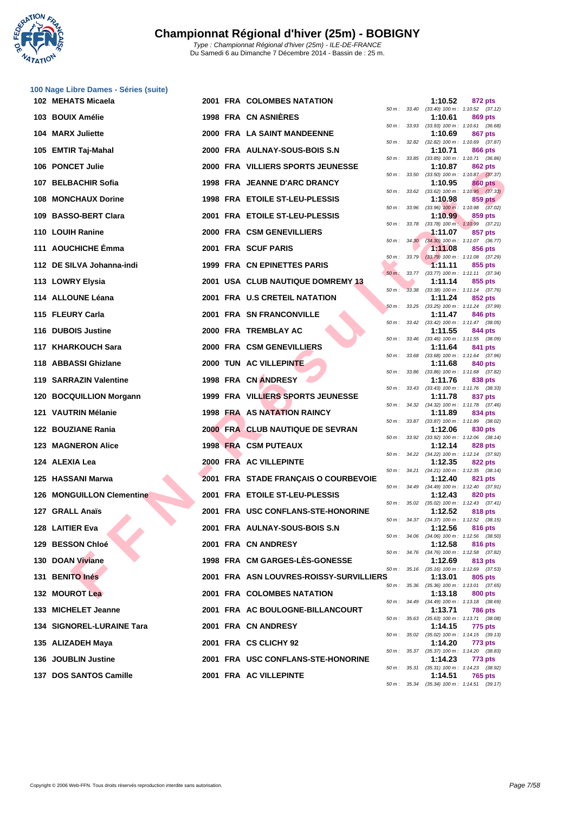

| 100 Nage Libre Dames - Séries (suite) |
|---------------------------------------|
| 102 MEHATS Micaela                    |
| 103 BOUIX Amélie                      |
| 104 MARX Juliette                     |
| 105 EMTIR Taj-Mahal                   |
| 106 PONCET Julie                      |
| 107 BELBACHIR Sofia                   |
| 108 MONCHAUX Dorine                   |
| 109 BASSO-BERT Clara                  |

| 110 LOUIH Ranine |
|------------------|
|------------------|

- **111 AOUCHICHE Émma 2001 FRA SCUF PARIS 1:11.08 856 pts 112 DE SILVA Johanna-indi 1999 FRA CN EPINETTES PARIS 1:11.11 855 pts**
- **113 LOWRY Elysia 113 LOWRY Elysia 2001 USA CLUB NAUTIQUE DOMREMY 13**
- **114 ALLOUNE Léana 2001 FRA U.S CRETEIL NATATION 1:11.24 852 pts**
- **115 FLEURY Carla 2001 FRA SN FRANCONVILLE 1:11.47 846 pts**
- **116 DUBOIS Justine 2000 FRA TREMBLAY AC 1:11.55 844 pts**
- **117 KHARKOUCH Sara 2000 FRA CSM GENEVILLIERS 1:11.64 841 pts**
- **118 ABBASSI Ghizlane 2000 TUN AC VILLEPINTE 1:11.68 840 pts**
- 
- **119 SARRAZIN Valentine 1998 FRA CN ANDRESY 1:11.76 838 pts**
- **120 BOCQUILLION Morgann 1999 FRA VILLIERS SPORTS JEUNESSE 1:11.78 837 pts**
- **121 VAUTRIN Mélanie 1998 FRA AS NATATION RAINCY 1:11.89 834 pts**
- **122 BOUZIANE Rania 2000 FRA CLUB NAUTIQUE DE SEVRAN 1:12.06 830 pts**
- **123 MAGNERON Alice 1998 FRA** CSM PUTEAUX
- **124 ALEXIA Lea 2000 FRA AC VILLEPINTE 1:12.35 822 pts**
- **125 HASSANI Marwa 2001 FRA STADE FRANÇAIS O COURBEV**
- **126 MONGUILLON Clementine <b>2001 FRA** ETOILE ST-LEU-PLESSIS
- **127 GRALL Anaïs 2001 FRA USC CONFLANS-STE-HONORIN**
- **128** LAITIER Eva **128 LAITIER Eva 12001 FRA** AULNAY-SOUS-BOIS S.N
- **129 BESSON Chloé 2001 FRA CN ANDRESY 1:12.58 816 pts**
- **130 DOAN Viviane 1998 FRA CM GARGES-LÈS-GONESSE 1:12.69 813 pts**
- **131 BENITO Inés 2001 FRA ASN LOUVRES-ROISSY-SURVILLIERS 1:13.01 805 pts**
- **132 MOUROT Lea 2001 FRA COLOMBES NATATION 1:13.18 800 pts**
- **133 MICHELET Jeanne 2001 FRA AC BOULOGNE-BILLANCOURT 1:13.71 786 pts**
- **134 SIGNOREL-LURAINE Tara 2001 FRA CN ANDRESY 1:14.15 775 pts**
- **135 ALIZADEH Maya 2001 FRA CS CLICHY 92 1:14.20 773 pts**
- **136 JOUBLIN Justine 2001 FRA USC CONFLANS-STE-HONORINE 1:14.23 773 pts**
- **137 DOS SANTOS Camille 2001 FRA AC VILLEPINTE 1:14.51 765 pts**

| libre Dames - Series (suite). |  |                                         |          |              |         |                                                                |
|-------------------------------|--|-----------------------------------------|----------|--------------|---------|----------------------------------------------------------------|
| ATS Micaela                   |  | 2001 FRA COLOMBES NATATION              |          |              | 1:10.52 | 872 pts<br>50 m: 33.40 (33.40) 100 m: 1:10.52 (37.12)          |
| IX Amélie                     |  | <b>1998 FRA CN ASNIERES</b>             |          |              | 1:10.61 | 869 pts<br>50 m: 33.93 (33.93) 100 m: 1:10.61 (36.68)          |
| X Juliette                    |  | 2000 FRA LA SAINT MANDEENNE             |          |              | 1:10.69 | 867 pts                                                        |
| R Taj-Mahal                   |  | 2000 FRA AULNAY-SOUS-BOIS S.N           |          |              | 1:10.71 | 50 m: 32.82 (32.82) 100 m: 1:10.69 (37.87)<br>866 pts          |
| CET Julie                     |  | 2000 FRA VILLIERS SPORTS JEUNESSE       |          |              | 1:10.87 | 50 m: 33.85 (33.85) 100 m: 1:10.71 (36.86)<br>862 pts          |
|                               |  |                                         |          | 50 m : 33.50 |         | $(33.50)$ 100 m : 1:10.87 $(37.37)$                            |
| 3ACHIR Sofia                  |  | 1998 FRA JEANNE D'ARC DRANCY            |          |              | 1:10.95 | 860 pts<br>50 m: 33.62 (33.62) 100 m: 1:10.95 (37.33)          |
| <b>CHAUX Dorine</b>           |  | 1998 FRA ETOILE ST-LEU-PLESSIS          |          |              | 1:10.98 | $859$ pts<br>50 m: 33.96 (33.96) 100 m: 1:10.98 (37.02)        |
| SO-BERT Clara                 |  | 2001 FRA ETOILE ST-LEU-PLESSIS          |          |              | 1:10.99 | 859 pts                                                        |
| <b>H</b> Ranine               |  | 2000 FRA CSM GENEVILLIERS               |          |              | 1:11.07 | 50 m: 33.78 (33.78) 100 m: 1:10.99 (37.21)<br>857 pts          |
| CHICHE Émma                   |  | 2001 FRA SCUF PARIS                     |          |              | 1:11.08 | 50 m: 34.30 (34.30) 100 m: 1:11.07 (36.77)<br>856 pts          |
|                               |  |                                         |          |              |         | 50 m: 33.79 (33.79) 100 m: 1:11.08 (37.29)                     |
| ILVA Johanna-indi             |  | 1999 FRA CN EPINETTES PARIS             | $50 m$ : |              | 1:11.11 | 855 pts<br>33.77 (33.77) 100 m: 1:11.11 (37.34)                |
| RY Elysia                     |  | 2001 USA CLUB NAUTIQUE DOMREMY 13       | $50 m$ : |              | 1:11.14 | 855 pts<br>33.38 (33.38) 100 m: 1:11.14 (37.76)                |
| <b>DUNE Léana</b>             |  | 2001 FRA U.S CRETEIL NATATION           |          |              | 1:11.24 | 852 pts                                                        |
| JRY Carla                     |  | 2001 FRA SN FRANCONVILLE                |          |              | 1:11.47 | 50 m: 33.25 (33.25) 100 m: 1:11.24 (37.99)<br>846 pts          |
| OIS Justine                   |  | 2000 FRA TREMBLAY AC                    |          |              | 1:11.55 | 50 m: 33.42 (33.42) 100 m: 1:11.47 (38.05)<br>844 pts          |
|                               |  |                                         |          |              |         | 50 m: 33.46 (33.46) 100 m: 1:11.55 (38.09)                     |
| RKOUCH Sara                   |  | 2000 FRA CSM GENEVILLIERS               |          |              | 1:11.64 | 841 pts<br>50 m: 33.68 (33.68) 100 m: 1:11.64 (37.96)          |
| ASSI Ghizlane                 |  | 2000 TUN AC VILLEPINTE                  |          |              | 1:11.68 | 840 pts                                                        |
| RAZIN Valentine               |  | 1998 FRA CN ANDRESY                     |          |              | 1:11.76 | 50 m: 33.86 (33.86) 100 m: 1:11.68 (37.82)<br>838 pts          |
| QUILLION Morgann              |  | 1999 FRA VILLIERS SPORTS JEUNESSE       |          |              | 1:11.78 | 50 m: 33.43 (33.43) 100 m: 1:11.76 (38.33)<br>837 pts          |
|                               |  |                                         |          |              |         | 50 m: 34.32 (34.32) 100 m: 1:11.78 (37.46)                     |
| TRIN Mélanie                  |  | <b>1998 FRA AS NATATION RAINCY</b>      |          |              | 1:11.89 | 834 pts<br>50 m: 33.87 (33.87) 100 m: 1:11.89 (38.02)          |
| ZIANE Rania                   |  | 2000 FRA CLUB NAUTIQUE DE SEVRAN        |          |              | 1:12.06 | 830 pts<br>50 m: 33.92 (33.92) 100 m: 1:12.06 (38.14)          |
| <b>NERON Alice</b>            |  | 1998 FRA CSM PUTEAUX                    |          |              | 1:12.14 | 828 pts                                                        |
| (IA Lea                       |  | 2000 FRA AC VILLEPINTE                  |          |              | 1:12.35 | 50 m: 34.22 (34.22) 100 m: 1:12.14 (37.92)<br>822 pts          |
| SANI Marwa                    |  | 2001 FRA STADE FRANÇAIS O COURBEVOIE    |          |              | 1:12.40 | 50 m: 34.21 (34.21) 100 m: 1:12.35 (38.14)<br>821 pts          |
|                               |  |                                         |          |              |         | 50 m: 34.49 (34.49) 100 m: 1:12.40 (37.91)                     |
| <b>GUILLON Clementine</b>     |  | 2001 FRA ETOILE ST-LEU-PLESSIS          |          |              | 1:12.43 | 820 pts<br>50 m: 35.02 (35.02) 100 m: 1:12.43 (37.41)          |
| LL Anaïs                      |  | 2001 FRA USC CONFLANS-STE-HONORINE      |          |              | 1:12.52 | 818 pts                                                        |
| IER Eva                       |  | 2001 FRA AULNAY-SOUS-BOIS S.N.          |          |              | 1:12.56 | 50 m : 34.37 (34.37) 100 m : 1:12.52 (38.15)<br><b>816 pts</b> |
| SON Chloé                     |  | 2001 FRA CN ANDRESY                     |          |              | 1:12.58 | 50 m: 34.06 (34.06) 100 m: 1:12.56 (38.50)<br>816 pts          |
|                               |  | 1998 FRA CM GARGES-LES-GONESSE          |          |              |         | 50 m: 34.76 (34.76) 100 m: 1:12.58 (37.82)                     |
| N Viviane                     |  |                                         |          |              | 1:12.69 | 813 pts<br>50 m: 35.16 (35.16) 100 m: 1:12.69 (37.53)          |
| TO Inés                       |  | 2001 FRA ASN LOUVRES-ROISSY-SURVILLIERS |          |              | 1:13.01 | 805 pts<br>50 m: 35.36 (35.36) 100 m: 1:13.01 (37.65)          |
| <b>ROT Lea</b>                |  | <b>2001 FRA COLOMBES NATATION</b>       |          |              | 1:13.18 | 800 pts                                                        |
| <b>IELET Jeanne</b>           |  | 2001 FRA AC BOULOGNE-BILLANCOURT        |          |              | 1:13.71 | 50 m: 34.49 (34.49) 100 m: 1:13.18 (38.69)<br><b>786 pts</b>   |
| IOREL-LURAINE Tara            |  | 2001 FRA CN ANDRESY                     |          |              | 1:14.15 | 50 m: 35.63 (35.63) 100 m: 1:13.71 (38.08)<br>775 pts          |
|                               |  |                                         |          |              |         | 50 m: 35.02 (35.02) 100 m: 1:14.15 (39.13)                     |
| ADEH Maya                     |  | 2001 FRA CS CLICHY 92                   |          |              | 1:14.20 | 773 pts<br>50 m: 35.37 (35.37) 100 m: 1:14.20 (38.83)          |
| 21 IN Justino                 |  | 2001 EDA LISC CONELANS STE HONODINE     |          |              | 1.11.22 | 772 met                                                        |

50 m : 35.31 (35.31) 100 m : 1:14.23 (38.92)

50 m : 35.34 (35.34) 100 m : 1:14.51 (39.17)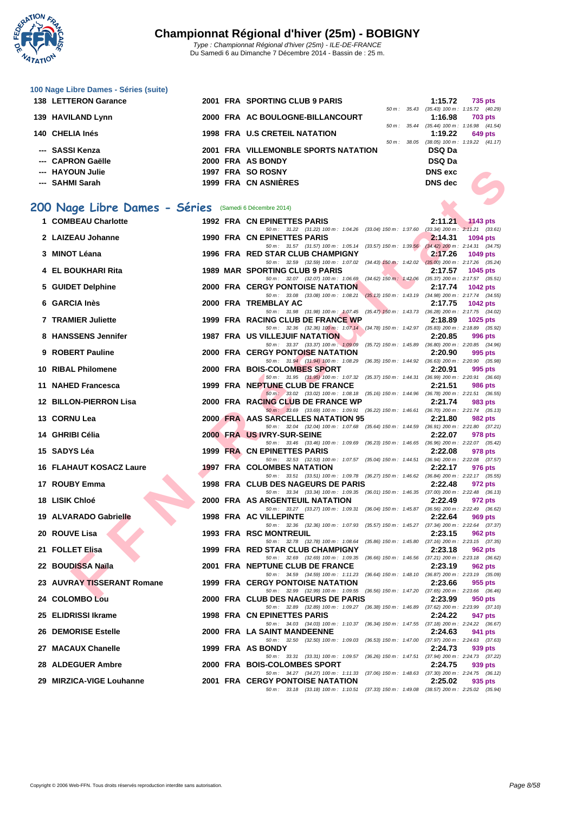

| 100 Nage Libre Dames - Séries (suite) |  |  |  |  |  |  |  |
|---------------------------------------|--|--|--|--|--|--|--|
|---------------------------------------|--|--|--|--|--|--|--|

| <b>138 LETTERON Garance</b> |  | 2001 FRA SPORTING CLUB 9 PARIS       |                          | 1:15.72                             | 735 pts        |
|-----------------------------|--|--------------------------------------|--------------------------|-------------------------------------|----------------|
|                             |  |                                      | $50 \text{ m}$ : 35.43   | $(35.43)$ 100 m : 1:15.72 $(40.29)$ |                |
| 139 HAVILAND Lynn           |  | 2000 FRA AC BOULOGNE-BILLANCOURT     |                          | 1:16.98                             | <b>703 pts</b> |
|                             |  |                                      | 50 m : 35.44             | $(35.44)$ 100 m : 1:16.98 $(41.54)$ |                |
| 140 CHELIA Inés             |  | 1998 FRA U.S CRETEIL NATATION        |                          | 1:19.22                             | 649 pts        |
|                             |  |                                      | $50 \, \text{m}$ : 38.05 | $(38.05)$ 100 m : 1:19.22 $(41.17)$ |                |
| --- SASSI Kenza             |  | 2001 FRA VILLEMONBLE SPORTS NATATION |                          | <b>DSQ Da</b>                       |                |
| --- CAPRON Gaëlle           |  | 2000 FRA AS BONDY                    |                          | <b>DSQ Da</b>                       |                |
| --- HAYOUN Julie            |  | 1997 FRA SO ROSNY                    |                          | <b>DNS</b> exc                      |                |
| --- SAHMI Sarah             |  | 1999 FRA CN ASNIÈRES                 |                          | DNS dec                             |                |
|                             |  |                                      |                          |                                     |                |

### **200 Nage Libre Dames - Séries** (Samedi 6 Décembre 2014)

| --- HAYOUN Julie                                      |      | 1997 FRA SO ROSNY                                                                                                                                | <b>DNS</b> exc |                 |
|-------------------------------------------------------|------|--------------------------------------------------------------------------------------------------------------------------------------------------|----------------|-----------------|
| --- SAHMI Sarah                                       |      | 1999 FRA CN ASNIÈRES                                                                                                                             | DNS dec        |                 |
|                                                       |      |                                                                                                                                                  |                |                 |
| 00 Nage Libre Dames - Séries (Samedi 6 Décembre 2014) |      |                                                                                                                                                  |                |                 |
| 1 COMBEAU Charlotte                                   |      | 1992 FRA CN EPINETTES PARIS                                                                                                                      | 2:11.21        | <b>1143 pts</b> |
|                                                       |      | 50 m: 31.22 (31.22) 100 m: 1:04.26 (33.04) 150 m: 1:37.60 (33.34) 200 m: 2:11.21 (33.61)                                                         |                |                 |
| 2 LAIZEAU Johanne                                     |      | 1990 FRA CN EPINETTES PARIS                                                                                                                      | 2:14.31        | 1094 pts        |
| 3 MINOT Léana                                         |      | 50 m: 31.57 (31.57) 100 m: 1:05.14<br>$(33.57)$ 150 m : 1:39.56 $(34.42)$ 200 m : 2:14.31 $(34.75)$<br>1996 FRA RED STAR CLUB CHAMPIGNY          | 2:17.26        | <b>1049 pts</b> |
| 4 EL BOUKHARI Rita                                    |      | 50 m : 32.59 (32.59) 100 m : 1:07.02<br>$(34.43)$ $150 \text{ m}$ : 1:42.02 $(35.00)$ 200 m: 2:17.26 $(35.24)$<br>1989 MAR SPORTING CLUB 9 PARIS | 2:17.57        | 1045 pts        |
| 5 GUIDET Delphine                                     |      | 50 m : 32.07 (32.07) 100 m : 1:06.69<br>$(34.62)$ 150 m : 1:42.06 $(35.37)$ 200 m : 2:17.57 $(35.51)$<br><b>2000 FRA CERGY PONTOISE NATATION</b> | 2:17.74        | 1042 pts        |
|                                                       |      | 50 m: 33.08 (33.08) 100 m: 1:08.21<br>(35.13) 150 m: 1:43.19 (34.98) 200 m: 2:17.74 (34.55)                                                      |                |                 |
| 6 GARCIA Inès                                         |      | 2000 FRA TREMBLAY AC<br>50 m: 31.98 (31.98) 100 m: 1:07.45 (35.47) 150 m: 1:43.73 (36.28) 200 m: 2:17.75 (34.02)                                 | 2:17.75        | <b>1042 pts</b> |
| <b>7 TRAMIER Juliette</b>                             |      | 1999 FRA RACING CLUB DE FRANCE WP                                                                                                                | 2:18.89        | 1025 pts        |
|                                                       |      | 50 m : 32.36 (32.36) 100 m : 1:07.14 (34.78) 150 m : 1:42.97 (35.83) 200 m : 2:18.89 (35.92)                                                     |                |                 |
| 8 HANSSENS Jennifer                                   |      | <b>1987 FRA US VILLEJUIF NATATION</b><br>50 m: 33.37 (33.37) 100 m: 1:09.09 (35.72) 150 m: 1:45.89 (36.80) 200 m: 2:20.85 (34.96)                | 2:20.85        | 996 pts         |
| 9 ROBERT Pauline                                      |      | <b>2000 FRA CERGY PONTOISE NATATION</b>                                                                                                          | 2:20.90        | 995 pts         |
|                                                       |      | 50 m : 31.94 (31.94) 100 m : 1:08.29 (36.35) 150 m : 1:44.92 (36.63) 200 m : 2:20.90 (35.98)                                                     |                |                 |
| 10 RIBAL Philomene                                    |      | 2000 FRA BOIS-COLOMBES SPORT<br>50 m: 31.95 (31.95) 100 m: 1:07.32 (35.37) 150 m: 1:44.31 (36.99) 200 m: 2:20.91 (36.60)                         | 2:20.91        | 995 pts         |
| 11 NAHED Francesca                                    |      | 1999 FRA NEPTUNE CLUB DE FRANCE                                                                                                                  | 2:21.51        | 986 pts         |
|                                                       |      | 50 m : 33.02 (33.02) 100 m : 1:08.18 (35.16) 150 m : 1:44.96 (36.78) 200 m : 2:21.51 (36.55)                                                     |                |                 |
| 12 BILLON-PIERRON Lisa                                |      | 2000 FRA RACING CLUB DE FRANCE WP                                                                                                                | 2:21.74        | 983 pts         |
| 13 CORNU Lea                                          |      | 50 m: 33.69 (33.69) 100 m: 1:09.91 (36.22) 150 m: 1:46.61 (36.70) 200 m: 2:21.74 (35.13)<br>2000 FRA AAS SARCELLES NATATION 95                   | 2:21.80        | 982 pts         |
|                                                       |      | 50 m: 32.04 (32.04) 100 m: 1:07.68 (35.64) 150 m: 1:44.59 (36.91) 200 m: 2:21.80 (37.21)                                                         |                |                 |
| 14 GHRIBI Célia                                       |      | 2000 FRA US IVRY-SUR-SEINE                                                                                                                       | 2:22.07        | 978 pts         |
| 15 SADYS Léa                                          | 1999 | 50 m: 33.46 (33.46) 100 m: 1.09.69 (36.23) 150 m: 1.46.65 (36.96) 200 m: 2.22.07 (35.42)<br><b>FRA CN EPINETTES PARIS</b>                        | 2:22.08        | 978 pts         |
|                                                       |      | 50 m: 32.53 (32.53) 100 m: 1:07.57 (35.04) 150 m: 1:44.51 (36.94) 200 m: 2:22.08 (37.57)                                                         |                |                 |
| <b>16 FLAHAUT KOSACZ Laure</b>                        |      | <b>1997 FRA COLOMBES NATATION</b><br>50 m: 33.51 (33.51) 100 m: 1:09.78 (36.27) 150 m: 1:46.62 (36.84) 200 m: 2:22.17 (35.55)                    | 2:22.17        | 976 pts         |
| 17 ROUBY Emma                                         |      | 1998 FRA CLUB DES NAGEURS DE PARIS                                                                                                               | 2:22.48        | 972 pts         |
|                                                       |      | 50 m: 33.34 (33.34) 100 m: 1:09.35 (36.01) 150 m: 1:46.35 (37.00) 200 m: 2:22.48 (36.13)                                                         |                |                 |
| 18 LISIK Chloé                                        |      | 2000 FRA AS ARGENTEUIL NATATION<br>50 m: 33.27 (33.27) 100 m: 1:09.31 (36.04) 150 m: 1:45.87 (36.56) 200 m: 2:22.49 (36.62)                      | 2:22.49        | 972 pts         |
| 19 ALVARADO Gabrielle                                 |      | 1998 FRA AC VILLEPINTE                                                                                                                           | 2:22.64        | 969 pts         |
|                                                       |      | 50 m: 32.36 (32.36) 100 m: 1:07.93 (35.57) 150 m: 1:45.27 (37.34) 200 m: 2:22.64 (37.37)                                                         |                |                 |
| 20 ROUVE Lisa                                         |      | <b>1993 FRA RSC MONTREUIL</b><br>50 m: 32.78 (32.78) 100 m: 1:08.64 (35.86) 150 m: 1:45.80 (37.16) 200 m: 2:23.15 (37.35)                        | 2:23.15        | 962 pts         |
| 21 FOLLET Elisa                                       |      | 1999 FRA RED STAR CLUB CHAMPIGNY                                                                                                                 | 2:23.18        | 962 pts         |
| 22 BOUDISSA Naïla                                     |      | 50 m : 32.69 (32.69) 100 m : 1:09.35 (36.66) 150 m : 1:46.56 (37.21) 200 m : 2:23.18 (36.62)<br>2001 FRA NEPTUNE CLUB DE FRANCE                  | 2:23.19        | 962 pts         |
|                                                       |      | 50 m: 34.59 (34.59) 100 m: 1:11.23 (36.64) 150 m: 1:48.10 (36.87) 200 m: 2:23.19 (35.09)                                                         |                |                 |
| 23 AUVRAY TISSERANT Romane                            |      | <b>1999 FRA CERGY PONTOISE NATATION</b>                                                                                                          | 2:23.66        | 955 pts         |
| 24 COLOMBO Lou                                        |      | 50 m: 32.99 (32.99) 100 m: 1:09.55 (36.56) 150 m: 1:47.20 (37.65) 200 m: 2:23.66 (36.46)<br>2000 FRA CLUB DES NAGEURS DE PARIS                   | 2:23.99        | 950 pts         |
|                                                       |      | 50 m: 32.89 (32.89) 100 m: 1:09.27 (36.38) 150 m: 1:46.89 (37.62) 200 m: 2:23.99 (37.10)                                                         |                |                 |
| 25 ELIDRISSI Ikrame                                   |      | 1998 FRA CN EPINETTES PARIS<br>50 m: 34.03 (34.03) 100 m: 1:10.37 (36.34) 150 m: 1:47.55 (37.18) 200 m: 2:24.22 (36.67)                          | 2:24.22        | 947 pts         |
| <b>26 DEMORISE Estelle</b>                            |      | 2000 FRA LA SAINT MANDEENNE                                                                                                                      | 2:24.63        | 941 pts         |
| 27 MACAUX Chanelle                                    |      | 50 m: 32.50 (32.50) 100 m: 1:09.03 (36.53) 150 m: 1:47.00 (37.97) 200 m: 2:24.63 (37.63)<br>1999 FRA AS BONDY                                    | 2:24.73        | 939 pts         |
|                                                       |      | 50 m: 33.31 (33.31) 100 m: 1:09.57 (36.26) 150 m: 1:47.51 (37.94) 200 m: 2:24.73 (37.22)                                                         |                |                 |
| 28 ALDEGUER Ambre                                     |      | 2000 FRA BOIS-COLOMBES SPORT                                                                                                                     | 2:24.75        | 939 pts         |
| 29 MIRZICA-VIGE Louhanne                              |      | 50 m: 34.27 (34.27) 100 m: 1:11.33 (37.06) 150 m: 1:48.63 (37.30) 200 m: 2:24.75 (36.12)<br><b>2001 FRA CERGY PONTOISE NATATION</b>              | 2:25.02        | 935 pts         |
|                                                       |      | 50 m: 33.18 (33.18) 100 m: 1:10.51 (37.33) 150 m: 1:49.08 (38.57) 200 m: 2:25.02 (35.94)                                                         |                |                 |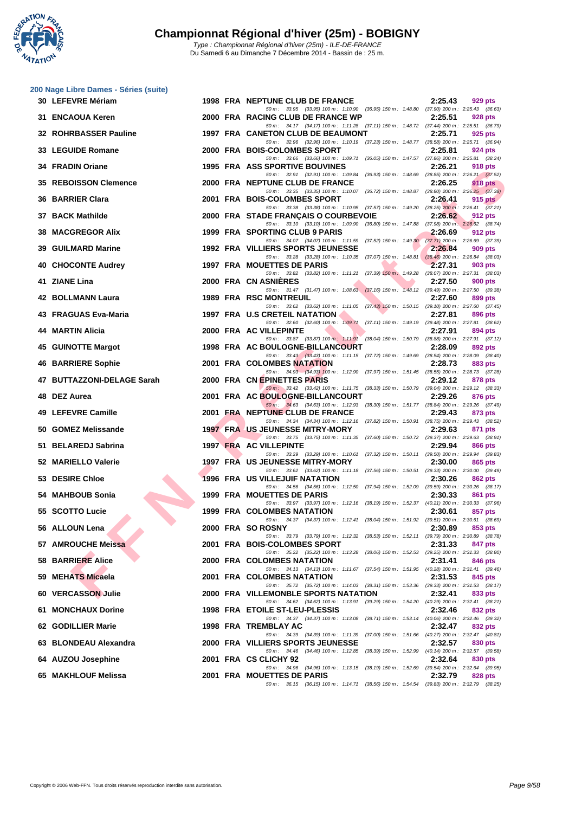**WATATION** 

|     | 200 Nage Libre Dames - Séries (suite) |  |                                                                                                                                   |                                                           |
|-----|---------------------------------------|--|-----------------------------------------------------------------------------------------------------------------------------------|-----------------------------------------------------------|
|     | 30 LEFEVRE Mériam                     |  | 1998 FRA NEPTUNE CLUB DE FRANCE<br>50 m: 33.95 (33.95) 100 m: 1:10.90 (36.95) 150 m: 1:48.80 (37.90) 200 m: 2:25.43 (36.63)       | 2:25.43<br>929 pts                                        |
|     | 31 ENCAOUA Keren                      |  | 2000 FRA RACING CLUB DE FRANCE WP                                                                                                 | 2:25.51<br>928 pts                                        |
|     | 32 ROHRBASSER Pauline                 |  | 50 m: 34.17 (34.17) 100 m: 1:11.28 (37.11) 150 m: 1:48.72 (37.44) 200 m: 2:25.51 (36.79)<br>1997 FRA CANETON CLUB DE BEAUMONT     | 2:25.71<br>925 pts                                        |
|     | 33 LEGUIDE Romane                     |  | 50 m: 32.96 (32.96) 100 m: 1:10.19 (37.23) 150 m: 1:48.77 (38.58) 200 m: 2:25.71 (36.94)<br>2000 FRA BOIS-COLOMBES SPORT          | 2:25.81<br>924 pts                                        |
|     | 34 FRADIN Oriane                      |  | 50 m: 33.66 (33.66) 100 m: 1:09.71 (36.05) 150 m: 1:47.57 (37.86) 200 m: 2:25.81 (38.24)<br><b>1995 FRA ASS SPORTIVE BOUVINES</b> | 2:26.21<br><b>918 pts</b>                                 |
|     | 35 REBOISSON Clemence                 |  | 50 m: 32.91 (32.91) 100 m: 1:09.84 (36.93) 150 m: 1:48.69 (38.85) 200 m: 2:26.21 (37.52)<br>2000 FRA NEPTUNE CLUB DE FRANCE       | 2:26.25                                                   |
|     |                                       |  | 50 m: 33.35 (33.35) 100 m: 1:10.07 (36.72) 150 m: 1:48.87 (38.80) 200 m: 2:26.25 (37.38)                                          | 918 pts                                                   |
| 36. | <b>BARRIER Clara</b>                  |  | 2001 FRA BOIS-COLOMBES SPORT<br>50 m: 33.38 (33.38) 100 m: 1:10.95 (37.57) 150 m: 1:49.20 (38.25) 200 m: 2:26.41 (37.21)          | 2:26.41<br>$915$ pts                                      |
|     | 37 BACK Mathilde                      |  | 2000 FRA STADE FRANÇAIS O COURBEVOIE<br>50 m: 33.10 (33.10) 100 m: 1:09.90 (36.80) 150 m: 1:47.88 (37.98) 200 m: 2:26.62 (38.74)  | 2:26.62<br>912 pts                                        |
| 38. | <b>MACGREGOR Alix</b>                 |  | 1999 FRA SPORTING CLUB 9 PARIS<br>50 m: 34.07 (34.07) 100 m: 1:11.59 (37.52) 150 m: 1:49.30 (37.71) 200 m: 2:26.69 (37.39)        | 2:26.69<br>912 pts                                        |
| 39  | <b>GUILMARD Marine</b>                |  | 1992 FRA VILLIERS SPORTS JEUNESSE<br>50 m: 33.28 (33.28) 100 m: 1:10.35 (37.07) 150 m: 1:48.81                                    | 2:26.84<br>909 pts<br>$(38.46)$ 200 m : 2:26.84 $(38.03)$ |
|     | 40 CHOCONTE Audrey                    |  | 1997 FRA MOUETTES DE PARIS                                                                                                        | 2:27.31<br>903 pts                                        |
|     | 41 ZIANE Lina                         |  | 50 m: 33.82 (33.82) 100 m: 1:11.21 (37.39) 150 m: 1:49.28 (38.07) 200 m: 2:27.31 (38.03)<br>2000 FRA CN ASNIERES                  | 2:27.50<br>900 pts                                        |
|     | 42 BOLLMANN Laura                     |  | 50 m: 31.47 (31.47) 100 m: 1:08.63 (37.16) 150 m: 1:48.12 (39.49) 200 m: 2:27.50 (39.38)<br>1989 FRA RSC MONTREUIL                | 2:27.60<br>899 pts                                        |
|     | 43 FRAGUAS Eva-Maria                  |  | 50 m: 33.62 (33.62) 100 m: 1:11.05 (37.43) 150 m: 1:50.15 (39.10) 200 m: 2:27.60 (37.45)<br>1997 FRA U.S CRETEIL NATATION         | 2:27.81<br>896 pts                                        |
|     | 44 MARTIN Alicia                      |  | 50 m: 32.60 (32.60) 100 m: 1:09.71 (37.11) 150 m: 1:49.19 (39.48) 200 m: 2:27.81 (38.62)<br>2000 FRA AC VILLEPINTE                | 2:27.91<br>894 pts                                        |
|     |                                       |  | 50 m: 33.87 (33.87) 100 m: 1:11.91 (38.04) 150 m: 1:50.79 (38.88) 200 m: 2:27.91 (37.12)                                          |                                                           |
| 45  | <b>GUINOTTE Margot</b>                |  | 1998 FRA AC BOULOGNE-BILLANCOURT<br>50 m: 33.43 (33.43) 100 m: 1:11.15 (37.72) 150 m: 1:49.69 (38.54) 200 m: 2:28.09 (38.40)      | 2:28.09<br>892 pts                                        |
|     | 46 BARRIERE Sophie                    |  | <b>2001 FRA COLOMBES NATATION</b><br>50 m: 34.93 (34.93) 100 m: 1:12.90 (37.97) 150 m: 1:51.45 (38.55) 200 m: 2:28.73 (37.28)     | 2:28.73<br>883 pts                                        |
|     | 47 BUTTAZZONI-DELAGE Sarah            |  | 2000 FRA CN EPINETTES PARIS<br>50 m: 33.42 (33.42) 100 m: 1:11.75 (38.33) 150 m: 1:50.79 (39.04) 200 m: 2:29.12 (38.33)           | 2:29.12<br>878 pts                                        |
| 48  | <b>DEZ Aurea</b>                      |  | 2001 FRA AC BOULOGNE-BILLANCOURT<br>50 m: 34.63 (34.63) 100 m: 1:12.93 (38.30) 150 m: 1:51.77 (38.84) 200 m: 2:29.26 (37.49)      | 2:29.26<br>876 pts                                        |
|     | 49 LEFEVRE Camille                    |  | 2001 FRA NEPTUNE CLUB DE FRANCE                                                                                                   | 2:29.43<br>873 pts                                        |
|     | 50 GOMEZ Melissande                   |  | 50 m: 34.34 (34.34) 100 m: 1:12.16 (37.82) 150 m: 1:50.91 (38.75) 200 m: 2:29.43 (38.52)<br>1997 FRA US JEUNESSE MITRY-MORY       | 2:29.63<br>871 pts                                        |
|     | 51 BELAREDJ Sabrina                   |  | 50 m: 33.75 (33.75) 100 m: 1:11.35 (37.60) 150 m: 1:50.72 (39.37) 200 m: 2:29.63 (38.91)<br>1997 FRA AC VILLEPINTE                | 2:29.94<br><b>866 pts</b>                                 |
|     | 52 MARIELLO Valerie                   |  | 50 m: 33.29 (33.29) 100 m: 1:10.61 (37.32) 150 m: 1:50.11 (39.50) 200 m: 2:29.94 (39.83)<br>1997 FRA US JEUNESSE MITRY-MORY       | 2:30.00<br>865 pts                                        |
|     | 53 DESIRE Chloe                       |  | 50 m: 33.62 (33.62) 100 m: 1:11.18 (37.56) 150 m: 1:50.51 (39.33) 200 m: 2:30.00 (39.49)<br>1996 FRA US VILLEJUIF NATATION        | 2:30.26<br>862 pts                                        |
|     | 54 MAHBOUB Sonia                      |  | 50 m: 34.56 (34.56) 100 m: 1:12.50 (37.94) 150 m: 1:52.09 (39.59) 200 m: 2:30.26 (38.17)<br>1999 FRA MOUETTES DE PARIS            | 2:30.33                                                   |
|     |                                       |  | 50 m: 33.97 (33.97) 100 m: 1:12.16 (38.19) 150 m: 1:52.37 (40.21) 200 m: 2:30.33 (37.96)                                          | 861 pts                                                   |
|     | 55 SCOTTO Lucie                       |  | 1999 FRA COLOMBES NATATION<br>50 m: 34.37 (34.37) 100 m: 1:12.41 (38.04) 150 m: 1:51.92 (39.51) 200 m: 2:30.61 (38.69)            | 2:30.61<br>857 pts                                        |
|     | 56 ALLOUN Lena                        |  | 2000 FRA SOROSNY<br>50 m: 33.79 (33.79) 100 m: 1:12.32 (38.53) 150 m: 1:52.11 (39.79) 200 m: 2:30.89 (38.78)                      | 2:30.89<br>853 pts                                        |
|     | 57 AMROUCHE Meissa                    |  | 2001 FRA BOIS-COLOMBES SPORT<br>50 m: 35.22 (35.22) 100 m: 1:13.28 (38.06) 150 m: 1:52.53 (39.25) 200 m: 2:31.33 (38.80)          | 2:31.33<br>847 pts                                        |
|     | <b>58 BARRIERE Alice</b>              |  | 2000 FRA COLOMBES NATATION<br>50 m: 34.13 (34.13) 100 m: 1:11.67 (37.54) 150 m: 1:51.95 (40.28) 200 m: 2:31.41 (39.46)            | 2:31.41<br>846 pts                                        |
|     | 59 MEHATS Micaela                     |  | 2001 FRA COLOMBES NATATION                                                                                                        | 2:31.53<br>845 pts                                        |
|     | 60 VERCASSON Julie                    |  | 50 m: 35.72 (35.72) 100 m: 1:14.03 (38.31) 150 m: 1:53.36 (39.33) 200 m: 2:31.53 (38.17)<br>2000 FRA VILLEMONBLE SPORTS NATATION  | 2:32.41<br>833 pts                                        |
|     | 61 MONCHAUX Dorine                    |  | 50 m : 34.62 (34.62) 100 m : 1:13.91 (39.29) 150 m : 1:54.20 (40.29) 200 m : 2:32.41 (38.21)<br>1998 FRA ETOILE ST-LEU-PLESSIS    | 2:32.46<br>832 pts                                        |
|     | 62 GODILLIER Marie                    |  | 50 m: 34.37 (34.37) 100 m: 1:13.08 (38.71) 150 m: 1:53.14 (40.06) 200 m: 2:32.46 (39.32)<br>1998 FRA TREMBLAY AC                  | 2:32.47<br>832 pts                                        |
|     | 63 BLONDEAU Alexandra                 |  | 50 m: 34.39 (34.39) 100 m: 1:11.39 (37.00) 150 m: 1:51.66 (40.27) 200 m: 2:32.47 (40.81)<br>2000 FRA VILLIERS SPORTS JEUNESSE     | 2:32.57<br>830 pts                                        |
|     |                                       |  | 50 m : 34.46 (34.46) 100 m : 1:12.85 (38.39) 150 m : 1:52.99 (40.14) 200 m : 2:32.57 (39.58)                                      |                                                           |
|     | 64 AUZOU Josephine                    |  | 2001 FRA CS CLICHY 92<br>50 m: 34.96 (34.96) 100 m: 1:13.15 (38.19) 150 m: 1:52.69 (39.54) 200 m: 2:32.64 (39.95)                 | 2:32.64<br>830 pts                                        |
|     | 65 MAKHLOUF Melissa                   |  | 2001 FRA MOUETTES DE PARIS<br>50 m: 36.15 (36.15) 100 m: 1:14.71 (38.56) 150 m: 1:54.54 (39.83) 200 m: 2:32.79 (38.25)            | 2:32.79<br>828 pts                                        |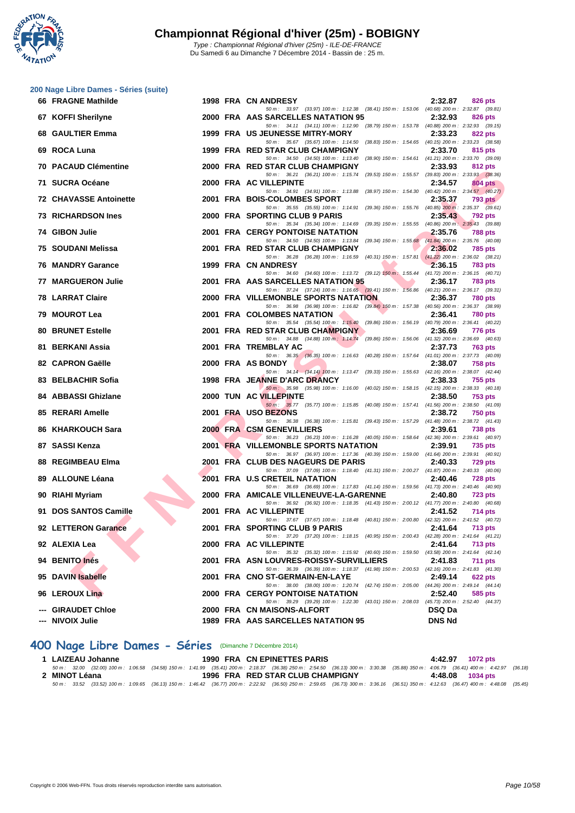

|    | 200 Nage Libre Dames - Séries (suite) |  |                                                                                                                                         |                                                                                      |
|----|---------------------------------------|--|-----------------------------------------------------------------------------------------------------------------------------------------|--------------------------------------------------------------------------------------|
|    | 66 FRAGNE Mathilde                    |  | 1998 FRA CN ANDRESY                                                                                                                     | 2:32.87<br>826 pts                                                                   |
|    | 67 KOFFI Sherilyne                    |  | 50 m: 33.97 (33.97) 100 m: 1:12.38 (38.41) 150 m: 1:53.06 (40.68) 200 m: 2:32.87 (39.81)<br>2000 FRA AAS SARCELLES NATATION 95          | 2:32.93<br><b>826 pts</b>                                                            |
| 68 | <b>GAULTIER Emma</b>                  |  | 50 m: 34.11 (34.11) 100 m: 1:12.90 (38.79) 150 m: 1:53.78 (40.88) 200 m: 2:32.93 (39.15)<br>1999 FRA US JEUNESSE MITRY-MORY             | 2:33.23<br><b>822 pts</b>                                                            |
|    | 69 ROCA Luna                          |  | 50 m: 35.67 (35.67) 100 m: 1:14.50<br>1999 FRA RED STAR CLUB CHAMPIGNY                                                                  | (38.83) 150 m: 1:54.65 (40.15) 200 m: 2:33.23 (38.58)<br>2:33.70<br>815 pts          |
| 70 | <b>PACAUD Clémentine</b>              |  | 50 m: 34.50 (34.50) 100 m: 1:13.40<br>2000 FRA RED STAR CLUB CHAMPIGNY                                                                  | (38.90) 150 m: 1:54.61 (41.21) 200 m: 2:33.70 (39.09)<br>2:33.93<br>812 pts          |
|    |                                       |  | 50 m: 36.21 (36.21) 100 m: 1:15.74                                                                                                      | (39.53) 150 m: 1:55.57 (39.83) 200 m: 2:33.93 (38.36)                                |
|    | 71 SUCRA Océane                       |  | 2000 FRA AC VILLEPINTE<br>50 m: 34.91 (34.91) 100 m: 1:13.88                                                                            | 2:34.57<br><b>804 pts</b><br>(38.97) 150 m : 1:54.30 (40.42) 200 m : 2:34.57 (40.27) |
|    | <b>72 CHAVASSE Antoinette</b>         |  | 2001 FRA BOIS-COLOMBES SPORT<br>50 m: 35.55 (35.55) 100 m: 1:14.91 (39.36) 150 m: 1:55.76 (40.85) 200 m: 2:35.37 (39.61)                | 2:35.37<br>793 pts                                                                   |
|    | <b>73 RICHARDSON Ines</b>             |  | 2000 FRA SPORTING CLUB 9 PARIS                                                                                                          | 2:35.43<br>792 pts                                                                   |
|    | 74 GIBON Julie                        |  | 50 m: 35.34 (35.34) 100 m: 1:14.69 (39.35) 150 m: 1:55.55 (40.86) 200 m: 2:35.43 (39.88)<br><b>2001 FRA CERGY PONTOISE NATATION</b>     | 2:35.76<br>788 pts                                                                   |
| 75 | SOUDANI Melissa                       |  | 50 m: 34.50 (34.50) 100 m: 1:13.84<br>$(39.34)$ 150 m : 1:55.68<br>2001 FRA RED STAR CLUB CHAMPIGNY                                     | $(41.84)$ 200 m : 2:35.76 $(40.08)$<br>2:36.02<br>785 pts                            |
|    | <b>76 MANDRY Garance</b>              |  | 50 m: 36.28 (36.28) 100 m: 1:16.59<br>$(40.31)$ 150 m : 1:57.81<br>1999 FRA CN ANDRESY                                                  | $(41.22)$ 200 m : 2:36.02 $(38.21)$<br>2:36.15<br>783 pts                            |
|    |                                       |  | 50 m: 34.60 (34.60) 100 m: 1:13.72 (39.12) 150 m: 1:55.44 (41.72) 200 m: 2:36.15 (40.71)                                                |                                                                                      |
| 77 | <b>MARGUERON Julie</b>                |  | 2001 FRA AAS SARCELLES NATATION 95<br>50 m: 37.24 (37.24) 100 m: 1:16.65 (39.41) 150 m: 1:56.86 (40.21) 200 m: 2:36.17 (39.31)          | 2:36.17<br><b>783 pts</b>                                                            |
|    | <b>78 LARRAT Claire</b>               |  | 2000 FRA VILLEMONBLE SPORTS NATATION                                                                                                    | 2:36.37<br><b>780 pts</b>                                                            |
| 79 | <b>MOUROT Lea</b>                     |  | 50 m: 36.98 (36.98) 100 m: 1:16.82 (39.84) 150 m: 1:57.38 (40.56) 200 m: 2:36.37 (38.99)<br>2001 FRA COLOMBES NATATION                  | 2:36.41<br><b>780 pts</b>                                                            |
| 80 | <b>BRUNET Estelle</b>                 |  | 50 m: 35.54 (35.54) 100 m: 1:15.40 (39.86) 150 m: 1:56.19 (40.79) 200 m: 2:36.41 (40.22)<br>2001 FRA RED STAR CLUB CHAMPIGNY            | 2:36.69<br>776 pts                                                                   |
| 81 | <b>BERKANI Assia</b>                  |  | 50 m: 34.88 (34.88) 100 m: 1:14.74 (39.86) 150 m: 1:56.06 (41.32) 200 m: 2:36.69 (40.63)<br>2001 FRA TREMBLAY AC                        | 2:37.73<br>763 pts                                                                   |
|    |                                       |  | 50 m: 36.35 (36.35) 100 m: 1:16.63 (40.28) 150 m: 1:57.64 (41.01) 200 m: 2:37.73 (40.09)                                                |                                                                                      |
|    | 82 CAPRON Gaëlle                      |  | 2000 FRA AS BONDY<br>50 m: 34.14 (34.14) 100 m: 1:13.47 (39.33) 150 m: 1:55.63 (42.16) 200 m: 2:38.07 (42.44)                           | 2:38.07<br>758 pts                                                                   |
|    | 83 BELBACHIR Sofia                    |  | 1998 FRA JEANNE D'ARC DRANCY<br>50 m: 35.98 (35.98) 100 m: 1:16.00 (40.02) 150 m: 1:58.15 (42.15) 200 m: 2:38.33 (40.18)                | 2:38.33<br>755 pts                                                                   |
| 84 | <b>ABBASSI Ghizlane</b>               |  | 2000 TUN AC VILLEPINTE                                                                                                                  | 2:38.50<br>753 pts                                                                   |
| 85 | <b>RERARI Amelle</b>                  |  | 50 m: 35.77 (35.77) 100 m: 1:15.85 (40.08) 150 m: 1:57.41 (41.56) 200 m: 2:38.50 (41.09)<br>2001 FRA USO BEZONS                         | 2:38.72<br><b>750 pts</b>                                                            |
| 86 | <b>KHARKOUCH Sara</b>                 |  | 50 m: 36.38 (36.38) 100 m: 1:15.81 (39.43) 150 m: 1:57.29 (41.48) 200 m: 2:38.72 (41.43)<br>2000 FRA CSM GENEVILLIERS                   | 2:39.61<br>738 pts                                                                   |
|    | 87 SASSI Kenza                        |  | 50 m: 36.23 (36.23) 100 m: 1:16.28 (40.05) 150 m: 1:58.64 (42.36) 200 m: 2:39.61 (40.97)<br><b>2001 FRA VILLEMONBLE SPORTS NATATION</b> | 2:39.91<br>735 pts                                                                   |
|    |                                       |  | 50 m: 36.97 (36.97) 100 m: 1:17.36 (40.39) 150 m: 1:59.00 (41.64) 200 m: 2:39.91 (40.91)                                                |                                                                                      |
|    | 88 REGIMBEAU Elma                     |  | 2001 FRA CLUB DES NAGEURS DE PARIS<br>50 m: 37.09 (37.09) 100 m: 1:18.40 (41.31) 150 m: 2:00.27 (41.87) 200 m: 2:40.33 (40.06)          | 2:40.33<br>729 pts                                                                   |
| 89 | <b>ALLOUNE Léana</b>                  |  | 2001 FRA U.S CRETEIL NATATION<br>50 m: 36.69 (36.69) 100 m: 1:17.83 (41.14) 150 m: 1:59.56 (41.73) 200 m: 2:40.46 (40.90)               | 2:40.46<br>728 pts                                                                   |
|    | 90 RIAHI Myriam                       |  | 2000 FRA AMICALE VILLENEUVE-LA-GARENNE                                                                                                  | 2:40.80<br>723 pts                                                                   |
|    | 91 DOS SANTOS Camille                 |  | 50 m: 36.92 (36.92) 100 m: 1:18.35 (41.43) 150 m: 2:00.12 (41.77) 200 m: 2:40.80 (40.68)<br>2001 FRA AC VILLEPINTE                      | 2:41.52<br>714 pts                                                                   |
|    | 92 LETTERON Garance                   |  | 50 m : 37.67 (37.67) 100 m : 1:18.48 (40.81) 150 m : 2:00.80 (42.32) 200 m : 2:41.52 (40.72)<br>2001 FRA SPORTING CLUB 9 PARIS          | 2:41.64<br><b>713 pts</b>                                                            |
|    | 92 ALEXIA Lea                         |  | 50 m: 37.20 (37.20) 100 m: 1:18.15 (40.95) 150 m: 2:00.43 (42.28) 200 m: 2:41.64 (41.21)<br>2000 FRA AC VILLEPINTE                      | 2:41.64<br><b>713 pts</b>                                                            |
|    |                                       |  | 50 m: 35.32 (35.32) 100 m: 1:15.92 (40.60) 150 m: 1:59.50<br>2001 FRA ASN LOUVRES-ROISSY-SURVILLIERS                                    | $(43.58)$ 200 m : 2:41.64 $(42.14)$                                                  |
|    | 94 BENITO Inés                        |  | 50 m: 36.39 (36.39) 100 m: 1:18.37 (41.98) 150 m: 2:00.53 (42.16) 200 m: 2:41.83 (41.30)                                                | 2:41.83<br>711 pts                                                                   |
|    | 95 DAVIN Isabelle                     |  | 2001 FRA CNO ST-GERMAIN-EN-LAYE<br>50 m: 38.00 (38.00) 100 m: 1:20.74 (42.74) 150 m: 2:05.00 (44.26) 200 m: 2:49.14 (44.14)             | 2:49.14<br>$622$ pts                                                                 |
|    | 96 LEROUX Lina                        |  | <b>2000 FRA CERGY PONTOISE NATATION</b><br>50 m: 39.29 (39.29) 100 m: 1:22.30 (43.01) 150 m: 2:08.03 (45.73) 200 m: 2:52.40 (44.37)     | 2:52.40<br>585 pts                                                                   |
|    | --- GIRAUDET Chloe                    |  | 2000 FRA CN MAISONS-ALFORT                                                                                                              | <b>DSQ Da</b>                                                                        |
|    | --- NIVOIX Julie                      |  | 1989 FRA AAS SARCELLES NATATION 95                                                                                                      | <b>DNS Nd</b>                                                                        |

### **400 Nage Libre Dames - Séries** (Dimanche 7 Décembre 2014)

| 1 LAIZEAU Johanne | 1990 FRA CN EPINETTES PARIS                                                                                                                                                          | 4:42.97 1072 pts |
|-------------------|--------------------------------------------------------------------------------------------------------------------------------------------------------------------------------------|------------------|
|                   | 50 m: 32.00 (32.00) 100 m: 1:06.58 (34.58) 150 m: 1:41.99 (35.41) 200 m: 2:18.37 (36.38) 250 m: 2:54.50 (36.13) 300 m: 3:30.38 (35.88) 350 m: 4:06.79 (36.41) 400 m: 4:42.97 (36.18) |                  |
| 2 MINOT Léana     | 1996 FRA RED STAR CLUB CHAMPIGNY                                                                                                                                                     | 4:48.08 1034 pts |
|                   | 50 m: 33.52 (33.52) 100 m: 1:09.65 (36.13) 150 m: 1:46.42 (36.77) 200 m: 2:22.92 (36.50) 250 m: 2:59.65 (36.73) 300 m: 3:36.16 (36.51) 350 m: 4:12.63 (36.47) 400 m: 4:48.08 (35.45) |                  |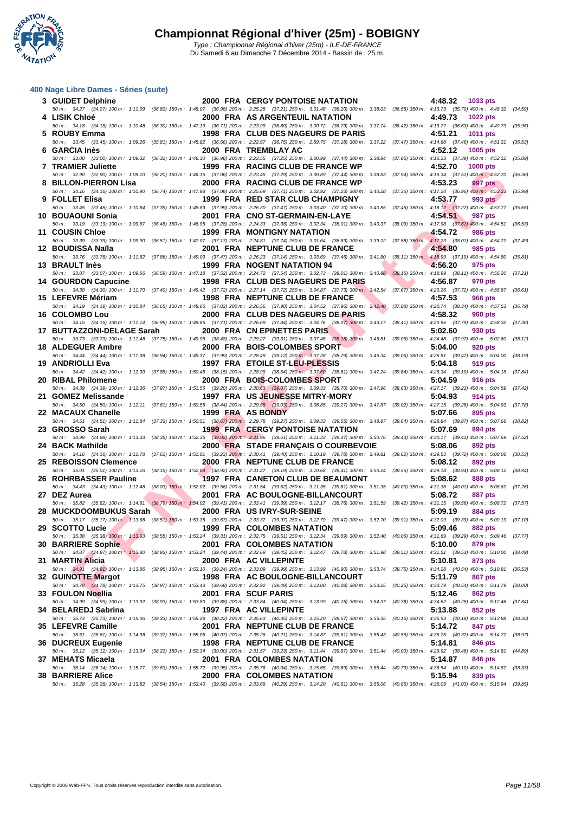**WATATION** 

### **[400 Nage](http://www.ffnatation.fr/webffn/index.php) Libre Dames - Séries (suite)**

| 3 GUIDET Delphine          |  | <b>2000 FRA CERGY PONTOISE NATATION</b>                                                                                                                                                                                            | 4:48.32<br>1033 pts        |         |
|----------------------------|--|------------------------------------------------------------------------------------------------------------------------------------------------------------------------------------------------------------------------------------|----------------------------|---------|
| 4 LISIK Chloé              |  | 50 m: 34.27 (34.27) 100 m: 1:11.09 (36.82) 150 m: 1:48.07 (36.98) 200 m: 2:25.28 (37.21) 250 m: 3:01.48 (36.20) 300 m: 3:38.03 (36.55) 350 m: 4:13.73 (35.70) 400 m: 4:48.32 (34.59)<br>2000 FRA AS ARGENTEUIL NATATION            | 4:49.73<br><b>1022 pts</b> |         |
| 5 ROUBY Emma               |  | 50 m : 34.18 (34.18) 100 m : 1:10.48 (36.30) 150 m : 1:47.19 (36.71) 200 m : 2:23.99 (36.80) 250 m : 3:00.72 (36.73) 300 m : 3:37.14 (36.42) 350 m : 4:13.77 (36.63) 400 m : 4:49.73 (35.96)<br>1998 FRA CLUB DES NAGEURS DE PARIS | 4:51.21<br><b>1011 pts</b> |         |
| 6 GARCIA Inès              |  | 50 m: 33.45 (33.45) 100 m: 1:09.26 (35.81) 150 m: 1:45.82 (36.56) 200 m: 2:22.57 (36.75) 250 m: 2:59.75 (37.18) 300 m: 3:37.22 (37.47) 350 m: 4:14.68 (37.46) 400 m: 4:51.21 (36.53)<br>2000 FRA TREMBLAY AC                       | 4:52.12<br>1005 pts        |         |
|                            |  | 50 m: 33.00 (33.00) 100 m: 1:09.32 (36.32) 150 m: 1:46.30 (36.98) 200 m: 2:23.55 (37.25) 250 m: 3:00.99 (37.44) 300 m: 3:38.84 (37.85) 350 m: 4:16.23 (37.39) 400 m: 4:52.12 (35.89)                                               |                            |         |
| 7 TRAMIER Juliette         |  | 1999 FRA RACING CLUB DE FRANCE WP<br>50 m : 32.90 (32.90) 100 m : 1:09.10 (36.20) 150 m : 1:46.16 (37.06) 200 m : 2:23.45 (37.29) 250 m : 3:00.89 (37.44) 300 m : 3:38.83 (37.94) 350 m : 4:16.34 (37.51) 400 m : 4:52.70          | 4:52.70<br><b>1000 pts</b> | (36.36) |
| 8 BILLON-PIERRON Lisa      |  | 2000 FRA RACING CLUB DE FRANCE WP<br>50 m: 34.16 (34.16) 100 m: 1:10.90 (36.74) 150 m: 1:47.98 (37.08) 200 m: 2:25.69 (37.71) 250 m: 3:02.92 (37.23) 300 m: 3:40.28 (37.36) 350 m: 4:17.24 (36.96) 400 m: 4:53.23                  | 4:53.23<br>997 pts         | (35.99) |
| 9 FOLLET Elisa             |  | 1999 FRA RED STAR CLUB CHAMPIGNY<br>50 m: 33.45 (33.45) 100 m: 1:10.84 (37.39) 150 m: 1:48.83 (37.99) 200 m: 2:26.30 (37.47) 250 m: 3:03.40 (37.10) 300 m: 3:40.85 (37.45) 350 m: 4:18.12 (37.27) 400 m: 4:53.77 (35.65)           | 4:53.77<br>993 pts         |         |
| 10 BOUAOUNI Sonia          |  | 2001 FRA CNO ST-GERMAIN-EN-LAYE                                                                                                                                                                                                    | 4:54.51<br>987 pts         |         |
| <b>11 COUSIN Chloe</b>     |  | 50 m: 33.19 (33.19) 100 m: 1:09.67 (36.48) 150 m: 1:46.95 (37.28) 200 m: 2:24.33 (37.38) 250 m: 3:02.34 (38.01) 300 m: 3:40.37 (38.03) 350 m: 4:17.98 (37.61) 400 m: 4:54.51<br>1999 FRA MONTIGNY NATATION                         | 4:54.72<br><b>986 pts</b>  | (36.53) |
| 12 BOUDISSA Naïla          |  | 50 m: 33.39 (33.39) 100 m: 1:09.90 (36.51) 150 m: 1:47.07 (37.17) 200 m: 2:24.81 (37.74) 250 m: 3:01.64 (36.83) 300 m: 3:39.22 (37.58) 350 m: 4:17.23 (38.01) 400 m: 4:54.72 (37.49)<br>2001 FRA NEPTUNE CLUB DE FRANCE            | 4:54.80<br>985 pts         |         |
| 13 BRAULT Inès             |  | 50 m : 33.76 (33.76) 100 m : 1:11.62 (37.86) 150 m : 1:49.09 (37.47) 200 m : 2:26.23 (37.14) 250 m : 3:03.69 (37.46) 300 m : 3:41.80 (38.11) 350 m : 4:18.99 (37.19) 400 m : 4:54.80 (35.81)<br>1999 FRA NOGENT NATATION 94        | 4:56.20<br>975 pts         |         |
|                            |  | 50 m: 33.07 (33.07) 100 m: 1:09.66 (36.59) 150 m: 1:47.18 (37.52) 200 m: 2:24.72 (37.54) 250 m: 3:02.73 (38.01) 300 m: 3:40.88 (38.15) 350 m: 4:18.99 (38.11) 400 m: 4:56.20 (37.21)                                               |                            |         |
| 14 GOURDON Capucine        |  | 1998 FRA CLUB DES NAGEURS DE PARIS<br>50 m: 34.30 (34.30) 100 m: 1:11.70 (37.40) 150 m: 1:49.42 (37.72) 200 m: 2:27.14 (37.72) 250 m: 3:04.87 (37.73) 300 m: 3:42.54 (37.67) 350 m: 4:20.26 (37.72) 400 m: 4:56.87 (36.61)         | 4:56.87<br>970 pts         |         |
| 15 LEFEVRE Mériam          |  | 1998 FRA NEPTUNE CLUB DE FRANCE<br>50 m: 34.19 (34.19) 100 m: 1:10.84 (36.65) 150 m: 1:48.66 (37.82) 200 m: 2:26.56 (37.90) 250 m: 3:04.52 (37.96) 300 m: 3:42.40 (37.88) 350 m: 4:20.74 (38.34) 400 m: 4:57.53 (36.79)            | 4:57.53<br><b>966 pts</b>  |         |
| 16 COLOMBO Lou             |  | 2000 FRA CLUB DES NAGEURS DE PARIS                                                                                                                                                                                                 | 4:58.32<br>960 pts         |         |
| 17 BUTTAZZONI-DELAGE Sarah |  | 50 m: 34.15 (34.15) 100 m: 1:11.14 (36.99) 150 m: 1:48.85 (37.71) 200 m: 2:26.69 (37.84) 250 m: 3:04.76 (38.07) 300 m: 3:43.17 (38.41) 350 m: 4:20.96 (37.79) 400 m: 4:58.32 (37.36)<br>2000 FRA CN EPINETTES PARIS                | 5:02.60<br>930 pts         |         |
| 18 ALDEGUER Ambre          |  | 50 m: 33.73 (33.73) 100 m: 1:11.48 (37.75) 150 m: 1:49.96 (38.48) 200 m: 2:29.27 (39.31) 250 m: 3:07.45 (38.18) 300 m: 3:46.51 (39.06) 350 m: 4:24.48 (37.97) 400 m: 5:02.60 (38.12)<br>2000 FRA BOIS-COLOMBES SPORT               | 5:04.00<br>920 pts         |         |
| 19 ANDRIOLLI Eva           |  | 50 m : 34.44 (34.44) 100 m : 1:11.38 (36.94) 150 m : 1:49.37 (37.99) 200 m : 2:28.49 (39.12) 250 m : 3:07.28 (38.79) 300 m : 3:46.34 (39.06) 350 m : 4:25.81 (39.47) 400 m : 5:04.00 (38.19)<br>1997 FRA ETOILE ST-LEU-PLESSIS     | 5:04.18<br>919 pts         |         |
|                            |  | 50 m : 34.42 (34.42) 100 m : 1:12.30 (37.88) 150 m : 1:50.45 (38.15) 200 m : 2:28.99 (38.54) 250 m : 3:07.60 (38.61) 300 m : 3:47.24 (39.64) 350 m : 4:26.34 (39.10) 400 m : 5:04.18 (37.84)                                       |                            |         |
| 20 RIBAL Philomene         |  | 2000 FRA BOIS-COLOMBES SPORT<br>50 m: 34.39 (34.39) 100 m: 1:12.36 (37.97) 150 m: 1:51.56 (39.20) 200 m: 2:30.63 (39.07) 250 m: 3:09.33 (38.70) 300 m: 3:47.96 (38.63) 350 m: 4:27.17 (39.21) 400 m: 5:04.59 (37.42)               | 5:04.59<br>916 pts         |         |
| 21 GOMEZ Melissande        |  | 1997 FRA US JEUNESSE MITRY-MORY<br>50 m: 34.50 (34.50) 100 m: 1:12.11 (37.61) 150 m: 1:50.55 (38.44) 200 m: 2:29.58 (39.03) 250 m: 3:08.85 (39.27) 300 m: 3:47.87 (39.02) 350 m: 4:27.15 (39.28) 400 m: 5:04.93 (37.78)            | 5:04.93<br>914 pts         |         |
| 22 MACAUX Chanelle         |  | 1999 FRA AS BONDY<br>50 m: 34.51 (34.51) 100 m: 1:11.84 (37.33) 150 m: 1:50.51 (38.67) 200 m: 2:29.78 (39.27) 250 m: 3:09.33 (39.55) 300 m: 3:48.97 (39.64) 350 m: 4:28.84 (39.87) 400 m: 5:07.66 (38.82)                          | 5:07.66<br>895 pts         |         |
| 23 GROSSO Sarah            |  | <b>1999 FRA CERGY PONTOISE NATATION</b>                                                                                                                                                                                            | 5:07.69<br>894 pts         |         |
| 24 BACK Mathilde           |  | 50 m: 34.98 (34.98) 100 m: 1:13.33 (38.35) 150 m: 1:52.35 (39.02) 200 m: 2:31.96 (39.61) 250 m: 3:11.33 (39.37) 300 m: 3:50.76 (39.43) 350 m: 4:30.17 (39.41) 400 m: 5:07.69 (37.52)<br>2000 FRA STADE FRANÇAIS O COURBEVOIE       | 5:08.06<br>892 pts         |         |
| 25 REBOISSON Clemence      |  | 50 m: 34.16 (34.16) 100 m: 1:11.78 (37.62) 150 m: 1:51.01 (39.23) 200 m: 2:30.41 (39.40) 250 m: 3:10.19 (39.78) 300 m: 3:49.81 (39.62) 350 m: 4:29.53 (39.72) 400 m: 5:08.06 (38.53)<br>2000 FRA NEPTUNE CLUB DE FRANCE            | 5:08.12<br>892 pts         |         |
| 26 ROHRBASSER Pauline      |  | 50 m: 35.01 (35.01) 100 m: 1:13.16 (38.15) 150 m: 1:52.08 (38.92) 200 m: 2:31.27 (39.19) 250 m: 3:10.68 (39.41) 300 m: 3:50.24 (39.56) 350 m: 4:29.18 (38.94) 400 m: 5:08.12 (38.94)<br>1997 FRA CANETON CLUB DE BEAUMONT          | 5:08.62<br>888 pts         |         |
|                            |  | 50 m: 34.43 (34.43) 100 m: 1:12.46 (38.03) 150 m: 1:52.02 (39.56) 200 m: 2:31.54 (39.52) 250 m: 3:11.35 (39.81) 300 m: 3:51.35 (40.00) 350 m: 4:31.36 (40.01) 400 m: 5:08.62 (37.26)                                               |                            |         |
| 27 DEZ Aurea               |  | 2001 FRA AC BOULOGNE-BILLANCOURT<br>50 m: 35.82 (35.82) 100 m: 1:14.61 (38.79) 150 m: 1:54.02 (39.41) 200 m: 2:33.41 (39.39) 250 m: 3:12.17 (38.76) 300 m: 3:51.59 (39.42) 350 m: 4:31.15 (39.56) 400 m: 5:08.72 (37.57)           | 5:08.72<br><b>887 pts</b>  |         |
| 28 MUCKDOOMBUKUS Sarah     |  | 2000 FRA US IVRY-SUR-SEINE<br>50 m: 35.17 (35.17) 100 m: 1:13.68 (38.51) 150 m: 1:53.35 (39.67) 200 m: 2:33.32 (39.97) 250 m: 3:12.79 (39.47) 300 m: 3:52.70 (39.91) 350 m: 4:32.09 (39.39) 400 m: 5:09.19 (37.10)                 | 5:09.19<br>884 pts         |         |
| 29 SCOTTO Lucie            |  | <b>1999 FRA COLOMBES NATATION</b><br>50 m: 35.38 (35.38) 100 m: 1:13.93 (38.55) 150 m: 1:53.24 (39.31) 200 m: 2:32.75 (39.51) 250 m: 3:12.34 (39.59) 300 m: 3:52.40 (40.06) 350 m: 4:31.69 (39.29) 400 m: 5:09.46 (37.77)          | 5:09.46<br>882 pts         |         |
| 30 BARRIERE Sophie         |  | 2001 FRA COLOMBES NATATION                                                                                                                                                                                                         | 5:10.00<br>879 pts         |         |
| 31 MARTIN Alicia           |  | 50 m: 34.87 (34.87) 100 m: 1:13.80 (38.93) 150 m: 1:53.24 (39.44) 200 m: 2:32.69 (39.45) 250 m: 3:12.47 (39.78) 300 m: 3:51.98 (39.51) 350 m: 4:31.51 (39.53) 400 m: 5:10.00 (38.49)<br>2000 FRA AC VILLEPINTE                     | 5:10.81<br>873 pts         |         |
| 32 GUINOTTE Margot         |  | 50 m : 34.91 (34.91) 100 m : 1:13.86 (38.95) 150 m : 1:53.10 (39.24) 200 m : 2:33.09 (39.99) 250 m : 3:13.99 (40.90) 300 m : 3:53.74 (39.75) 350 m : 4:34.28 (40.54) 400 m : 5:10.81<br>1998 FRA AC BOULOGNE-BILLANCOURT           | 5:11.79<br>867 pts         | (36.53) |
|                            |  | 50 m: 34.78 (34.78) 100 m: 1:13.75 (38.97) 150 m: 1:53.43 (39.68) 200 m: 2:32.92 (39.49) 250 m: 3:13.00 (40.08) 300 m: 3:53.25 (40.25) 350 m: 4:33.79 (40.54) 400 m: 5:11.79 (38.00)                                               |                            |         |
| 33 FOULON Noellia          |  | 2001 FRA SCUF PARIS<br>50 m : 34.99 (34.99) 100 m : 1:13.92 (38.93) 150 m : 1:53.80 (39.88) 200 m : 2:33.84 (40.04) 250 m : 3:13.99 (40.15) 300 m : 3:54.37 (40.38) 350 m : 4:34.62 (40.25) 400 m : 5:12.46 (37.84)                | 5:12.46<br>862 pts         |         |
| 34 BELAREDJ Sabrina        |  | 1997 FRA AC VILLEPINTE<br>50 m: 35.73 (35.73) 100 m: 1:15.06 (39.33) 150 m: 1:55.28 (40.22) 200 m: 2:35.63 (40.35) 250 m: 3:15.20 (39.57) 300 m: 3:55.35 (40.15) 350 m: 4:35.53 (40.18) 400 m: 5:13.88 (38.35)                     | 5:13.88<br>852 pts         |         |
| <b>35 LEFEVRE Camille</b>  |  | 2001 FRA NEPTUNE CLUB DE FRANCE<br>50 m: 35.61 (35.61) 100 m: 1:14.98 (39.37) 150 m: 1:55.05 (40.07) 200 m: 2:35.26 (40.21) 250 m: 3:14.87 (39.61) 300 m: 3:55.43 (40.56) 350 m: 4:35.75 (40.32) 400 m: 5:14.72 (38.97)            | 5:14.72<br>847 pts         |         |
| 36 DUCREUX Eugenie         |  | 1998 FRA NEPTUNE CLUB DE FRANCE                                                                                                                                                                                                    | 5:14.81<br>846 pts         |         |
| 37 MEHATS Micaela          |  | 50 m: 35.12 (35.12) 100 m: 1:13.34 (38.22) 150 m: 1:52.34 (39.00) 200 m: 2:31.57 (39.23) 250 m: 3:11.44 (39.87) 300 m: 3:51.44 (40.00) 350 m: 4:29.92 (38.48) 400 m: 5:14.81 (44.89)<br>2001 FRA COLOMBES NATATION                 | 5:14.87<br>846 pts         |         |
| <b>38 BARRIERE Alice</b>   |  | 50 m : 36.14 (36.14) 100 m : 1:15.77 (39.63) 150 m : 1:55.72 (39.95) 200 m : 2:35.76 (40.04) 250 m : 3:55.65 (39.89) 300 m : 3:56.44 (40.79) 350 m : 4:36.54 (40.10) 400 m : 5:14.87 (38.33)<br>2000 FRA COLOMBES NATATION         | 5:15.94<br>839 pts         |         |
|                            |  | 50 m : 35.28 (35.28) 100 m : 1:13.82 (38.54) 150 m : 1:53.40 (39.58) 200 m : 2:33.69 (40.29) 250 m : 3:14.20 (40.51) 300 m : 3:55.06 (40.86) 350 m : 4:36.09 (41.03) 400 m : 5:15.94 (39.85)                                       |                            |         |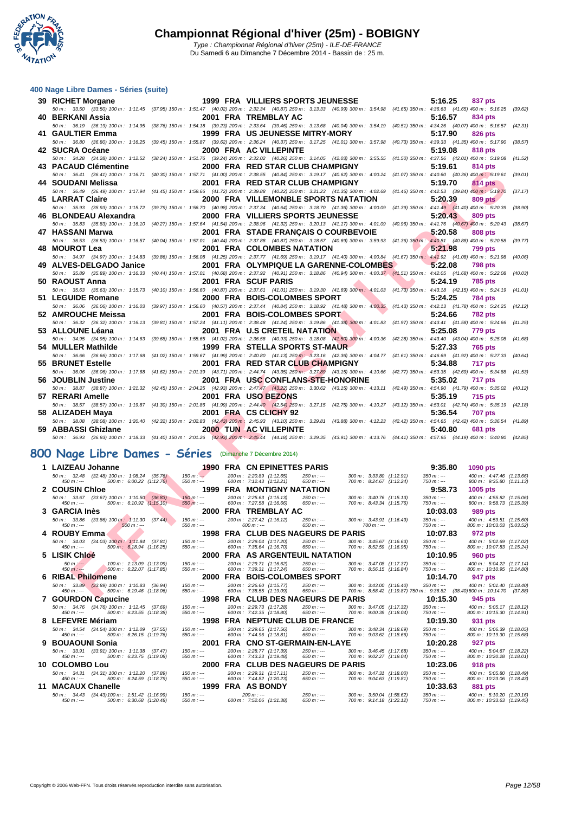**WATATION**  $\cdot$ 

#### **[400 Nage](http://www.ffnatation.fr/webffn/index.php) Libre Dames - Séries (suite)**

| 39 RICHET Morgane                                                                                                                                                                                               |                            |          | 1999 FRA VILLIERS SPORTS JEUNESSE                                                     |                                                      | 5:16.25<br>837 pts                                                                                 |         |
|-----------------------------------------------------------------------------------------------------------------------------------------------------------------------------------------------------------------|----------------------------|----------|---------------------------------------------------------------------------------------|------------------------------------------------------|----------------------------------------------------------------------------------------------------|---------|
| 50 m: 33.50 (33.50) 100 m: 1:11.45 (37.95) 150 m: 1:51.47 (40.02) 200 m: 2:32.34 (40.87) 250 m: 3:13.33 (40.99) 300 m: 3:54.98 (41.65) 350 m: 4:36.63 (41.65) 400 m: 5:16.25 (39.62)<br>40 BERKANI Assia        |                            |          | 2001 FRA TREMBLAY AC                                                                  |                                                      | 5:16.57<br>834 pts                                                                                 |         |
| 50 m : 36.19 (36.19) 100 m : 1:14.95 (38.76) 150 m : 1:54.18 (39.23) 200 m : 2:33.64 (39.46) 250 m : 3:13.68 (40.04) 300 m : 3:54.19 (40.51) 350 m : 4:34.26 (40.07) 400 m : 5:16.57 (42.31)                    |                            |          |                                                                                       |                                                      |                                                                                                    |         |
| 41 GAULTIER Emma                                                                                                                                                                                                |                            |          | <b>1999 FRA US JEUNESSE MITRY-MORY</b>                                                |                                                      | 5:17.90<br>826 pts                                                                                 |         |
| 50 m: 36.80 (36.80) 100 m: 1:16.25 (39.45) 150 m: 1:55.87 (39.62) 200 m: 2:36.24 (40.37) 250 m: 3:17.25 (41.01) 300 m: 3:57.98 (40.73) 350 m: 4:39.33 (41.35) 400 m: 5:17.90 (38.57)                            |                            |          |                                                                                       |                                                      |                                                                                                    |         |
| 42 SUCRA Océane<br>50 m: 34.28 (34.28) 100 m: 1:12.52 (38.24) 150 m: 1:51.76 (39.24) 200 m: 2:32.02 (40.26) 250 m: 3:14.05 (42.03) 300 m: 3:55.55 (41.50) 350 m: 4:37.56 (42.01) 400 m: 5:19.08                 |                            |          | 2000 FRA AC VILLEPINTE                                                                |                                                      | 5:19.08<br><b>818 pts</b>                                                                          | (41.52) |
| 43 PACAUD Clémentine                                                                                                                                                                                            |                            |          | 2000 FRA RED STAR CLUB CHAMPIGNY                                                      |                                                      | 5:19.61<br>814 pts                                                                                 |         |
| 50 m: 36.41 (36.41) 100 m: 1:16.71 (40.30) 150 m: 1:57.71 (41.00) 200 m: 2:38.55 (40.84) 250 m: 3:19.17 (40.62) 300 m: 4:00.24 (41.07) 350 m: 4:40.60 (40.36) 400 m: 5:19.61                                    |                            |          |                                                                                       |                                                      |                                                                                                    | (39.01) |
| 44 SOUDANI Melissa                                                                                                                                                                                              |                            |          | 2001 FRA RED STAR CLUB CHAMPIGNY                                                      |                                                      | 5:19.70<br><b>814 pts</b>                                                                          |         |
| 50 m: 36.49 (36.49) 100 m: 1:17.94 (41.45) 150 m: 1:59.66 (41.72) 200 m: 2:39.88 (40.22) 250 m: 3:21.23 (41.35) 300 m: 4:02.69 (41.46) 350 m: 4:42.53 (39.84) 400 m: 5:19.70<br><b>45 LARRAT Claire</b>         |                            |          | 2000 FRA VILLEMONBLE SPORTS NATATION                                                  |                                                      | 5:20.39<br><b>809 pts</b>                                                                          | (37.17) |
| 50 m : 35.93 (35.93) 100 m : 1:15.72 (39.79) 150 m : 1:56.70 (40.98) 200 m : 2:37.34 (40.64) 250 m : 3:18.70 (41.36) 300 m : 4:00.09                                                                            |                            |          |                                                                                       |                                                      | $(41.39)$ 350 m : 4:41.49 $(41.40)$ 400 m : 5:20.39                                                | (38.90) |
| 46 BLONDEAU Alexandra                                                                                                                                                                                           |                            |          | <b>2000 FRA VILLIERS SPORTS JEUNESSE</b>                                              |                                                      | 5:20.43<br><b>809 pts</b>                                                                          |         |
| 50 m: 35.83 (35.83) 100 m: 1:16.10 (40.27) 150 m: 1:57.64 (41.54) 200 m: 2:38.96 (41.32) 250 m: 3:20.13 (41.17) 300 m: 4:01.09 (40.96) 350 m: 4:41.76 (40.67) 400 m: 5:20.43 (38.67)                            |                            |          |                                                                                       |                                                      |                                                                                                    |         |
| 47 HASSANI Marwa<br>50 m : 36.53 (36.53) 100 m : 1:16.57 (40.04) 150 m : 1:57.01 (40.44) 200 m : 2:37.88 (40.87) 250 m : 3:18.57 (40.69) 300 m : 3:59.93 (41.36) 350 m :                                        |                            |          | 2001 FRA STADE FRANCAIS O COURBEVOIE                                                  |                                                      | 5:20.58<br><b>808 pts</b><br>4:40.81 (40.88) 400 m : 5:20.58                                       | (39.77) |
| 48 MOUROT Lea                                                                                                                                                                                                   |                            |          | 2001 FRA COLOMBES NATATION                                                            |                                                      | 5:21.98<br><b>799 pts</b>                                                                          |         |
| 50 m: 34.97 (34.97) 100 m: 1:14.83 (39.86) 150 m: 1:56.08 (41.25) 200 m: 2:37.77 (41.69) 250 m: 3:19.17 (41.40) 300 m: 4:00.84 (41.67) 350 m: 4:41.92 (41.08) 400 m: 5:21.98                                    |                            |          |                                                                                       |                                                      |                                                                                                    | (40.06) |
| 49 ALVES-DELGADO Janice                                                                                                                                                                                         |                            |          | 2001 FRA OLYMPIQUE LA GARENNE-COLOMBES                                                |                                                      | 5:22.08<br><b>798 pts</b>                                                                          |         |
| 50 m : 35.89 (35.89) 100 m : 1:16.33 (40.44) 150 m : 1:57.01 (40.68) 200 m : 2:37.92 (40.91) 250 m : 3:18.86 (40.94) 300 m : 4:00.37 (41.51) 350 m : 4:42.05 (41.68) 400 m : 5:22.08 (40.03)<br>50 RAOUST Anna  |                            |          | 2001 FRA SCUF PARIS                                                                   |                                                      | 5:24.19<br><b>785 pts</b>                                                                          |         |
| 50 m: 35.63 (35.63) 100 m: 1:15.73 (40.10) 150 m: 1:56.60 (40.87) 200 m: 2:37.61 (41.01) 250 m: 3:19.30 (41.69) 300 m: 4:01.03 (41.73) 350 m: 4:43.18 (42.15) 400 m: 5:24.19 (41.01)                            |                            |          |                                                                                       |                                                      |                                                                                                    |         |
| 51 LEGUIDE Romane                                                                                                                                                                                               |                            |          | 2000 FRA BOIS-COLOMBES SPORT                                                          |                                                      | 5:24.25<br><b>784 pts</b>                                                                          |         |
| 50 m : 36.06 (36.06) 100 m : 1:16.03 (39.97) 150 m : 1:56.60 (40.57) 200 m : 2:37.44 (40.84) 250 m : 3:18.92 (41.48) 300 m : 4:00.35 (41.43) 350 m : 4:42.13 (41.78) 400 m : 5:24.25 (42.12)                    |                            |          |                                                                                       |                                                      |                                                                                                    |         |
| 52 AMROUCHE Meissa                                                                                                                                                                                              |                            |          | 2001 FRA BOIS-COLOMBES SPORT                                                          |                                                      | 5:24.66<br><b>782 pts</b>                                                                          |         |
| 50 m: 36.32 (36.32) 100 m: 1:16.13 (39.81) 150 m: 1:57.24 (41.11) 200 m: 2:38.48 (41.24) 250 m: 3:19.86 (41.38) 300 m: 4:01.83 (41.97) 350 m: 4:43.41 (41.58) 400 m: 5:24.66<br>53 ALLOUNE Léana                |                            |          | 2001 FRA U.S CRETEIL NATATION                                                         |                                                      | 5:25.08<br>779 pts                                                                                 | (41.25) |
| 50 m: 34.95 (34.95) 100 m: 1:14.63 (39.68) 150 m: 1:55.65 (41.02) 200 m: 2:36.58 (40.93) 250 m: 3:18.08 (41.50) 300 m: 4:00.36 (42.28) 350 m: 4:43.40 (43.04) 400 m: 5:25.08 (41.68)                            |                            |          |                                                                                       |                                                      |                                                                                                    |         |
| 54 MULLER Mathilde                                                                                                                                                                                              |                            |          | 1999 FRA STELLA SPORTS ST-MAUR                                                        |                                                      | 5:27.33<br><b>765 pts</b>                                                                          |         |
| 50 m : 36.66 (36.66) 100 m : 1:17.68 (41.02) 150 m : 1:59.67 (41.99) 200 m : 2:40.80 (41.13) 250 m : 3:23.16 (42.36) 300 m : 4:04.77 (41.61) 350 m : 4:46.69 (41.92) 400 m : 5:27.33 (40.64)                    |                            |          |                                                                                       |                                                      |                                                                                                    |         |
| 55 BRUNET Estelle<br>50 m : 36.06 (36.06) 100 m : 1:17.68 (41.62) 150 m : 2:01.39 (43.71) 200 m : 2:44.74 (43.35) 250 m : 37.89 (43.15) 300 m : 4:10.66 (42.77) 350 m : 4:53.35 (42.69) 400 m : 5:34.88 (41.53) |                            |          | 2001 FRA RED STAR CLUB CHAMPIGNY                                                      |                                                      | 5:34.88<br>717 pts                                                                                 |         |
| 56 JOUBLIN Justine                                                                                                                                                                                              |                            |          | 2001 FRA USC CONFLANS-STE-HONORINE                                                    |                                                      | 5:35.02<br>717 pts                                                                                 |         |
| 50 m : 38.87 (38.87) 100 m : 1:21.32 (42.45) 150 m : 2:04.25 (42.93) 200 m : 2:47.47 (43.22) 250 m : 3:30.62 (43.15) 300 m : 4:13.11 (42.49) 350 m : 4:54.90 (41.79) 400 m : 5:35.02 (40.12)                    |                            |          |                                                                                       |                                                      |                                                                                                    |         |
| 57 RERARI Amelle                                                                                                                                                                                                |                            |          | 2001 FRA USO BEZONS                                                                   |                                                      | 5:35.19<br><b>715 pts</b>                                                                          |         |
| 50 m: 38.57 (38.57) 100 m: 1:19.87 (41.30) 150 m: 2:01.86 (41.99) 200 m: 2:44.40 (42.54) 250 m: 3:27.15 (42.75) 300 m: 4:10.27 (43.12) 350 m: 4:53.01 (42.74) 400 m: 5:35.19 (42.18)<br>58 ALIZADEH Maya        |                            |          | 2001 FRA CS CLICHY 92                                                                 |                                                      | 5:36.54<br><b>707 pts</b>                                                                          |         |
| 50 m : 38.08 (38.08) 100 m : 1:20.40 (42.32) 150 m : 2:02.83 (42.43) 200 m : 2:45.93 (43.10) 250 m : 329.81 (43.88) 300 m : 4:12.23 (42.42) 350 m : 4:54.65 (42.42) 400 m : 5:36.54 (41.89)                     |                            |          |                                                                                       |                                                      |                                                                                                    |         |
| 59 ABBASSI Ghizlane                                                                                                                                                                                             |                            |          | <b>2000 TUN AC VILLEPINTE</b>                                                         |                                                      | 5:40.80<br><b>681 pts</b>                                                                          |         |
| 50 m : 36.93 (36.93) 100 m : 1:18.33 (41.40) 150 m : 2:01.26 (42.93) 200 m : 2:45.44 (44.18) 250 m : 3:29.35 (43.91) 300 m : 4:13.76 (44.41) 350 m : 4:57.95 (44.19) 400 m : 5:40.80 (42.85)                    |                            |          |                                                                                       |                                                      |                                                                                                    |         |
| 100 Nage Libre Dames - Séries (Dimanche 7 Décembre 2014)                                                                                                                                                        |                            |          |                                                                                       |                                                      |                                                                                                    |         |
|                                                                                                                                                                                                                 |                            |          |                                                                                       |                                                      |                                                                                                    |         |
| 1 LAIZEAU Johanne<br>50 m: 32.48 (32.48) 100 m: 1:08.24 (35.76)                                                                                                                                                 | $150 m: -$                 |          | <b>1990 FRA CN EPINETTES PARIS</b><br>200 m: 2:20.89 (1:12.65)<br>$250 m: -$          | 300 m: 3:33.80 (1:12.91)                             | 9:35.80<br>1090 pts<br>400 m: 4:47.46 (1:13.66)<br>$350 m : -$                                     |         |
| 500 m: 6:00.22 (1:12.76)<br>$450 m : -$                                                                                                                                                                         | $550 m : -$                |          | 600 m : 7:12.43 $(1:12.21)$<br>$650 m: -$                                             | 700 m: 8:24.67 (1:12.24)                             | 800 m : 9:35.80 (1:11.13)<br>$750 m: -$                                                            |         |
| 2 COUSIN Chloe                                                                                                                                                                                                  |                            |          | 1999 FRA MONTIGNY NATATION                                                            |                                                      | 9:58.73<br>1005 pts                                                                                |         |
| 50 m: 33.67 (33.67) 100 m: 1:10.50 (36.83)<br>500 m: 6:10.92 (1:15.10)<br>$450 m : -$                                                                                                                           | $150 m: -$<br>$550 m: -$   |          | 200 m: 2:25.63 (1:15.13)<br>$250 m : -$<br>600 m: 7:27.58 (1:16.66)<br>$650 m: -$     | 300 m: 3:40.76 (1:15.13)<br>700 m: 8:43.34 (1:15.76) | $350 m : -$<br>400 m: 4:55.82 (1:15.06)<br>800 m: 9:58.73 (1:15.39)<br>$750 m: -$                  |         |
| 3 GARCIA Inès                                                                                                                                                                                                   |                            |          | 2000 FRA TREMBLAY AC                                                                  |                                                      | 10:03.03<br>989 pts                                                                                |         |
| 50 m : 33.86 (33.86) 100 m : 1:11.30 (37.44)<br>$450 m: -$<br>$500 m$ : ---                                                                                                                                     | $150 m: -$<br>$550 m : -$  |          | 200 m: 2:27.42 (1:16.12)<br>$250 m: -$<br>$600 m: -$<br>$650 m: -$                    | 300 m: 3:43.91 (1:16.49)<br>$700 m$ : ---            | $350 m : -$<br>400 m: 4:59.51 (1:15.60)<br>800 m: 10:03.03 (5:03.52)<br>$750 m: -$                 |         |
| 4 ROUBY Emma                                                                                                                                                                                                    |                            |          | 1998 FRA CLUB DES NAGEURS DE PARIS                                                    |                                                      | 10:07.83<br>972 pts                                                                                |         |
| 50 m: 34.03 (34.03) 100 m: 1:11.84 (37.81)<br>500 m: 6:18.94 (1:16.25)<br>450 m : ---                                                                                                                           | $150 m : -$<br>$550 m : -$ |          | 200 m: 2:29.04 (1:17.20)<br>$250 m : -$<br>600 m : 7:35.64 (1:16.70)<br>650 $m$ : --- | 300 m: 3:45.67 (1:16.63)<br>700 m: 8:52.59 (1:16.95) | $350 m : -$<br>400 m: 5:02.69 (1:17.02)<br>750 m : ---<br>800 m: 10:07.83 (1:15.24)                |         |
| 5 LISIK Chloé                                                                                                                                                                                                   |                            |          | 2000 FRA AS ARGENTEUIL NATATION                                                       |                                                      | 10:10.95<br><b>960 pts</b>                                                                         |         |
| 100 m: 1:13.09 (1:13.09)<br>$50 m$ : ---<br>$450 m : -$                                                                                                                                                         | $150 m : -$<br>$550 m : -$ |          | 200 m: 2:29.71 (1:16.62)<br>$250 m: -$<br>$650 m: -$                                  | 300 m: 3:47.08 (1:17.37)                             | $350 m : -$<br>400 m: 5:04.22 (1:17.14)<br>750 m : ---                                             |         |
| 500 m: 6:22.07 (1:17.85)<br><b>6 RIBAL Philomene</b>                                                                                                                                                            |                            |          | 600 m: 7:39.31 (1:17.24)<br>2000 FRA BOIS-COLOMBES SPORT                              | 700 m: 8:56.15 (1:16.84)                             | 800 m: 10:10.95 (1:14.80)<br>10:14.70<br>947 pts                                                   |         |
| 50 m: 33.89 (33.89) 100 m: 1:10.83 (36.94)                                                                                                                                                                      | $150 m : -$                |          | 200 m: 2:26.60 (1:15.77)<br>$250 m : -$                                               | 300 m: 3:43.00 (1:16.40)                             | $350 m : -$<br>400 m: 5:01.40 (1:18.40)                                                            |         |
| 500 m : 6:19.46 (1:18.06)<br>450 m $\cdot$ ---<br>$\sim$                                                                                                                                                        | $550 m: -$                 | 4000 FBA | 600 m: 7:38.55 (1:19.09)<br>$650 m : -$<br><b>CUUD BECAU</b>                          | ACCURATE BABIC                                       | 700 m : 8:58.42 (1:19.87) 750 m : 9:36.82 (38.40) 800 m : 10:14.70 (37.88)<br>40.4E<br>n n<br>0.45 |         |

# **800 Nage Libre Dames - Séries** (Dimanche 7 Décembre 2014)

|   | 1 LAIZEAU Johanne                                                                                    | 1990                       | <b>FRA CN EPINETTES PARIS</b>                        |                                             |                                                                   | 9:35.80<br>1090 pts                                                                                               |
|---|------------------------------------------------------------------------------------------------------|----------------------------|------------------------------------------------------|---------------------------------------------|-------------------------------------------------------------------|-------------------------------------------------------------------------------------------------------------------|
|   | 50 m : 32.48 (32.48) 100 m : 1:08.24 (35.76)<br>500 m: 6:00.22 (1:12.76)<br>$450 m : -$              | $150 m: -$<br>$550 m : -$  | 200 m: 2:20.89 (1:12.65)<br>600 m: 7:12.43 (1:12.21) | $250 m: -$<br>$650 m: -$                    | 300 m: 3:33.80 (1:12.91)<br>700 m: 8:24.67 (1:12.24)              | $350 m : -$<br>400 m: 4:47.46 (1:13.66)<br>$750 m: -$<br>800 m: 9:35.80 (1:11.13)                                 |
|   | 2 COUSIN Chloe                                                                                       | 1999                       | <b>FRA MONTIGNY NATATION</b>                         |                                             |                                                                   | 9:58.73<br>1005 pts                                                                                               |
|   | 50 m : 33.67 (33.67) 100 m : 1:10.50 (36.83)<br>$500 \text{ m}$ : 6:10.92 $(1:15.10)$<br>$450 m : -$ | $150 m: -$<br>$550 m: -$   | 200 m: 2:25.63 (1:15.13)<br>600 m: 7:27.58 (1:16.66) | $250 m: -$<br>$650 m: -$                    | $300 \text{ m}$ : $3:40.76$ (1:15.13)<br>700 m: 8:43.34 (1:15.76) | 400 m: 4:55.82 (1:15.06)<br>$350 m : -$<br>$750 m: -$<br>800 m: 9:58.73 (1:15.39)                                 |
|   | 3 GARCIA Inès                                                                                        | 2000                       | <b>FRA TREMBLAY AC</b>                               |                                             |                                                                   | 10:03.03<br>989 pts                                                                                               |
|   | 50 m : 33.86 (33.86) 100 m : 1:11.30 (37.44)<br>$450 m: -$<br>$500 m$ : ---                          | $150 m: -$<br>$550 m: -$   | 200 m: 2:27.42 (1:16.12)<br>$600 m: -$               | $250 m : -$<br>$650 m: -$                   | 300 m: 3:43.91 (1:16.49)<br>$700 m: -$                            | $350 m : -$<br>400 m: 4:59.51 (1:15.60)<br>$750 m : -$<br>800 m: 10:03.03 (5:03.52)                               |
|   | 4 ROUBY Emma                                                                                         | 1998                       |                                                      | <b>FRA CLUB DES NAGEURS DE PARIS</b>        |                                                                   | 10:07.83<br>972 pts                                                                                               |
|   | 50 m : 34.03 (34.03) 100 m : 1:11.84 (37.81)                                                         | $150 m : -$                | 200 m: 2:29.04 (1:17.20)                             | $250 m : -$                                 | 300 m: 3:45.67 (1:16.63)                                          | $350 m : -$<br>400 m: 5:02.69 (1:17.02)                                                                           |
|   | $450 m: -$<br>500 m: 6:18.94 (1:16.25)                                                               | $550 m: -$                 | 600 m: 7:35.64 (1:16.70)                             | $650 m: -$                                  | 700 m: 8:52.59 (1:16.95)                                          | $750 m: -$<br>800 m: 10:07.83 (1:15.24)                                                                           |
|   | 5 LISIK Chloé                                                                                        | 2000                       | FRA AS ARGENTEUIL NATATION                           |                                             |                                                                   | 10:10.95<br><b>960 pts</b>                                                                                        |
|   | $50 m$ : ---<br>100 m: 1:13.09 (1:13.09)<br>$450 m: -$<br>500 m: 6:22.07 (1:17.85)                   | $150 m: -$<br>$550 m: -$   | 200 m: 2:29.71 (1:16.62)<br>600 m: 7:39.31 (1:17.24) | $250 m : -$<br>$650 m: -$                   | 300 m: 3:47.08 (1:17.37)<br>700 m: 8:56.15 (1:16.84)              | $350 m : -$<br>400 m: 5:04.22 (1:17.14)<br>$750 m: -$<br>800 m: 10:10.95 (1:14.80)                                |
|   | <b>6 RIBAL Philomene</b>                                                                             | 2000                       | <b>FRA BOIS-COLOMBES SPORT</b>                       |                                             |                                                                   | 10:14.70<br>947 pts                                                                                               |
|   | 50 m : 33.89 (33.89) 100 m : 1:10.83 (36.94)<br>500 m: 6:19.46 (1:18.06)<br>$450 m : -$              | $150 m : -$<br>$550 m: -$  | 200 m: 2:26.60 (1:15.77)<br>600 m: 7:38.55 (1:19.09) | 250 m : ---<br>$650 m: -$                   | 300 m: 3:43.00 (1:16.40)                                          | $350 m: -$<br>400 m: 5:01.40 (1:18.40)<br>700 m: 8:58.42 (1:19.87) 750 m: 9:36.82 (38.40) 800 m: 10:14.70 (37.88) |
|   | 7 GOURDON Capucine                                                                                   | 1998                       |                                                      | FRA CLUB DES NAGEURS DE PARIS               |                                                                   | 10:15.30<br>945 pts                                                                                               |
|   | 50 m: 34.76 (34.76) 100 m: 1:12.45 (37.69)                                                           | $150 m : -$                | 200 m: 2:29.73 (1:17.28)                             | $250 m : -$                                 | 300 m: 3:47.05 (1:17.32)                                          | $350 m : -$<br>400 m: 5:05.17 (1:18.12)                                                                           |
|   | 500 m: 6:23.55 (1:18.38)<br>$450 m : -$                                                              | $550 m$ : ---              | 600 m: 7:42.35 (1:18.80)                             | $650 m: -$                                  | 700 m: 9:00.39 (1:18.04)                                          | $750 m: -$<br>800 m: 10:15.30 (1:14.91)                                                                           |
|   | 8 LEFEVRE Mériam                                                                                     | 1998                       | <b>FRA NEPTUNE CLUB DE FRANCE</b>                    |                                             |                                                                   | 10:19.30<br>931 pts                                                                                               |
|   | 50 m: 34.54 (34.54) 100 m: 1:12.09 (37.55)<br>500 m: 6:26.15 (1:19.76)<br>$450 m : -$                | $150 m : -$<br>$550 m : -$ | 200 m: 2:29.65 (1:17.56)<br>600 m: 7:44.96 (1:18.81) | $250 m : -$<br>$650 m: -$                   | 300 m: 3:48.34 (1:18.69)<br>700 m: 9:03.62 (1:18.66)              | $350 m : -$<br>400 m: 5:06.39 (1:18.05)<br>$750 m: -$<br>800 m: 10:19.30 (1:15.68)                                |
| 9 | <b>BOUAOUNI Sonia</b>                                                                                | 2001                       | FRA                                                  | <b>CNO ST-GERMAIN-EN-LAYE</b>               |                                                                   | 10:20.28<br>927 pts                                                                                               |
|   | 50 m: 33.91 (33.91) 100 m: 1:11.38 (37.47)                                                           | $150 m : -$                | 200 m: 2:28.77 (1:17.39)                             | $250 m : -$                                 | 300 m: 3:46.45 (1:17.68)                                          | $350 m : -$<br>400 m: 5:04.67 (1:18.22)                                                                           |
|   | 500 m: 6:23.75 (1:19.08)<br>$450 m : -$                                                              | $550 m: -$<br>2000         | 600 m: 7:43.23 (1:19.48)                             | $650 m: -$                                  | 700 m: 9:02.27 (1:19.04)                                          | $750 m: -$<br>800 m: 10:20.28 (1:18.01)                                                                           |
|   | 10 COLOMBO Lou                                                                                       | $150 m: -$                 |                                                      | FRA CLUB DES NAGEURS DE PARIS<br>$250 m: -$ |                                                                   | 10:23.06<br>918 pts                                                                                               |
|   | 50 m: 34.31 (34.31) 100 m: 1:12.20 (37.89)<br>500 m: 6:24.59 (1:18.79)<br>$450 m : -$                | $550 m$ : ---              | 200 m: 2:29.31 (1:17.11)<br>600 m: 7:44.82 (1:20.23) | $650 m: -$                                  | 300 m: 3:47.31 (1:18.00)<br>700 m: 9:04.63 (1:19.81)              | $350 m : -$<br>400 m: 5:05.80 (1:18.49)<br>$750 m: -$<br>800 m: 10:23.06 (1:18.43)                                |
|   | 11 MACAUX Chanelle                                                                                   | 1999                       | <b>FRA AS BONDY</b>                                  |                                             |                                                                   | 10:33.63<br>881 pts                                                                                               |
|   | 50 m: 34.43 (34.43) 100 m: 1:51.42 (1:16.99)                                                         | $150 m: -$                 | $200 m: -$                                           | $250 m : -$                                 | 300 m: 3:50.04 (1:58.62)                                          | $350 m : -$<br>400 m: 5:10.20 (1:20.16)                                                                           |
|   | 500 m: 6:30.68 (1:20.48)<br>$450 m : -$                                                              | $550 m$ : ---              | 600 m: 7:52.06 (1:21.38)                             | $650 m: -$                                  | 700 m: 9:14.18 (1:22.12)                                          | $750 m: -$<br>800 m: 10:33.63 (1:19.45)                                                                           |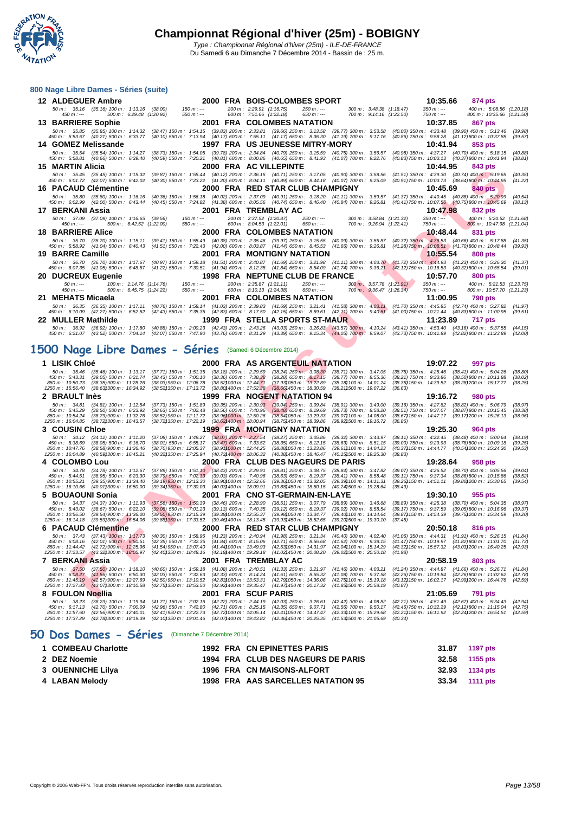**WATATION** 

|   | 800 Nage Libre Dames - Séries (suite)                                                                                                                                           |                                                                |                                                      |                                                         |                                                                                                                                                     |                                                      |                                                                            |                          |                                                                      |                                                      |                                                         |                            |                                                                                                                                                                                                                                                                                                                                                                                                                    |                    |
|---|---------------------------------------------------------------------------------------------------------------------------------------------------------------------------------|----------------------------------------------------------------|------------------------------------------------------|---------------------------------------------------------|-----------------------------------------------------------------------------------------------------------------------------------------------------|------------------------------------------------------|----------------------------------------------------------------------------|--------------------------|----------------------------------------------------------------------|------------------------------------------------------|---------------------------------------------------------|----------------------------|--------------------------------------------------------------------------------------------------------------------------------------------------------------------------------------------------------------------------------------------------------------------------------------------------------------------------------------------------------------------------------------------------------------------|--------------------|
|   | 12 ALDEGUER Ambre                                                                                                                                                               |                                                                |                                                      |                                                         | 2000 FRA BOIS-COLOMBES SPORT                                                                                                                        |                                                      |                                                                            |                          |                                                                      |                                                      |                                                         | 10:35.66                   | 874 pts                                                                                                                                                                                                                                                                                                                                                                                                            |                    |
|   | 50 m: 35.16 (35.16) 100 m: 1:13.16 (38.00)<br>$450 m: -$                                                                                                                        |                                                                | 500 m: 6:29.48 (1:20.92)                             | $150 m : -$<br>$550 m: -$                               |                                                                                                                                                     | 200 m: 2:29.91 (1:16.75)<br>600 m: 7:51.66 (1:22.18) |                                                                            | $250 m: -$<br>$650 m: -$ |                                                                      | 300 m: 3:48.38 (1:18.47)<br>700 m: 9:14.16 (1:22.50) |                                                         | $350 m : -$<br>750 m : --- | 400 m: 5:08.56 (1:20.18)<br>800 m: 10:35.66 (1:21.50)                                                                                                                                                                                                                                                                                                                                                              |                    |
|   | <b>13 BARRIERE Sophie</b>                                                                                                                                                       |                                                                |                                                      |                                                         | 2001 FRA COLOMBES NATATION                                                                                                                          |                                                      |                                                                            |                          |                                                                      |                                                      |                                                         | 10:37.85                   | 867 pts                                                                                                                                                                                                                                                                                                                                                                                                            |                    |
|   | 450 m : 5:53.67 (40.21) 500 m : 6:33.77 (40.10) 550 m : 7:13.94 (40.17) 600 m : 7:55.11 (41.17) 650 m : 8:36.30                                                                 |                                                                |                                                      |                                                         |                                                                                                                                                     |                                                      |                                                                            |                          | (41.19) 700 m : 9:17.16                                              |                                                      |                                                         |                            | 50 m: 35.85 (35.85) 100 m: 1:14.32 (38.47) 150 m: 1:54.15 (39.83) 200 m: 2:33.81 (39.66) 250 m: 3:13.58 (39.77) 300 m: 3:53.58 (40.00) 350 m: 4:33.48 (39.90) 400 m: 5:13.46 (39.98)<br>(40.86) 750 m: 9:58.28 (41.12) 800 m: 10:37.85 (39.57)                                                                                                                                                                     |                    |
|   | 14 GOMEZ Melissande                                                                                                                                                             |                                                                |                                                      |                                                         | 1997 FRA US JEUNESSE MITRY-MORY                                                                                                                     |                                                      |                                                                            |                          |                                                                      |                                                      |                                                         | 10:41.94                   | 853 pts                                                                                                                                                                                                                                                                                                                                                                                                            |                    |
|   | 50 m : 35.54 (35.54) 100 m : 1:14.27 (38.73) 150 m : 1:54.05 (39.78) 200 m : 2:34.84 (40.79) 250 m : 3:15.59 (40.75) 300 m : 3:56.57<br>450 m : 5:58.81 (40.66) 500 m : 6:39.40 |                                                                |                                                      |                                                         | (40.59) 550 m : 7:20.21 (40.81) 600 m : 8:00.86 (40.65) 650 m : 8:41.93 (41.07) 700 m : 9:22.76                                                     |                                                      |                                                                            |                          |                                                                      |                                                      |                                                         |                            | $(40.98)$ 350 m : 4:37.27 $(40.70)$ 400 m : 5:18.15<br>$(40.83)$ 750 m : 10:03.13 $(40.37)800$ m : 10:41.94                                                                                                                                                                                                                                                                                                        | (40.88)<br>(38.81) |
|   | 15 MARTIN Alicia                                                                                                                                                                |                                                                |                                                      |                                                         | 2000 FRA AC VILLEPINTE                                                                                                                              |                                                      |                                                                            |                          |                                                                      |                                                      |                                                         | 10:44.95                   | 843 pts                                                                                                                                                                                                                                                                                                                                                                                                            |                    |
|   | 50 m: 35.45 (35.45) 100 m: 1:15.32                                                                                                                                              |                                                                |                                                      |                                                         | (39.87) 150 m: 1:55.44 (40.12) 200 m: 2:36.15 (40.71) 250 m: 3:17.05 (40.90) 300 m: 3:58.56                                                         |                                                      |                                                                            |                          |                                                                      |                                                      |                                                         |                            | $(41.51)$ 350 m : 4:39.30 $(40.74)$ 400 m : 5:19.65                                                                                                                                                                                                                                                                                                                                                                | (40.35)            |
|   | 450 m : 6:01.72 (42.07) 500 m : 6:42.02<br>16 PACAUD Clémentine                                                                                                                 |                                                                |                                                      |                                                         | $(40.30)$ 550 m $: 7.23.22$ $(41.20)$ 600 m $: 8.04.11$ $(40.89)$ 650 m $: 8.44.18$ $(40.07)$ 700 m $: 9.25.09$<br>2000 FRA RED STAR CLUB CHAMPIGNY |                                                      |                                                                            |                          |                                                                      |                                                      |                                                         | 10:45.69                   | (40.91) 750 m : 10:03.73 (38.64) 800 m : 10:44.95<br>840 pts                                                                                                                                                                                                                                                                                                                                                       | (41.22)            |
|   |                                                                                                                                                                                 |                                                                |                                                      |                                                         |                                                                                                                                                     |                                                      |                                                                            |                          |                                                                      |                                                      |                                                         |                            | 50 m: 35.80 (35.80) 100 m: 1:16.16 (40.36) 150 m: 1:56.18 (40.02) 200 m: 2:37.09 (40.91) 250 m: 3:18.20 (41.11) 300 m: 3:59.57 (41.37) 350 m: 4:40.45 (40.88) 400 m: 5:20.99                                                                                                                                                                                                                                       | (40.54)            |
|   | 450 m : 6:02.99 (42.00) 500 m : 6:43.44                                                                                                                                         |                                                                |                                                      |                                                         |                                                                                                                                                     |                                                      |                                                                            |                          |                                                                      |                                                      |                                                         |                            | (40.45) 550 m : 7:24.82 (41.38) 600 m : 8:05.56 (40.74) 650 m : 8:46.40 (40.84) 700 m : 9:26.81 (40.41) 750 m : 10:07.56 (40.75) 800 m : 10:45.69                                                                                                                                                                                                                                                                  | (38.13)            |
|   | 17 BERKANI Assia<br>50 m: 37.09 (37.09) 100 m: 1:16.65 (39.56)                                                                                                                  |                                                                |                                                      | $150 m : -$                                             | 2001 FRA TREMBLAY AC                                                                                                                                | 200 m: 2:37.52 (1:20.87)                             |                                                                            | $250 m : -$              |                                                                      | 300 m: 3:58.84 (1:21.32)                             |                                                         | 10:47.98<br>$350 m: -$     | 832 pts<br>400 m: 5:20.52 (1:21.68)                                                                                                                                                                                                                                                                                                                                                                                |                    |
|   | $450 m : -$                                                                                                                                                                     |                                                                | 500 m: 6:42.52 (1:22.00)                             | $550 m: -$                                              |                                                                                                                                                     | 600 m: 8:04.53 (1:22.01)                             |                                                                            | 650 m : ---              |                                                                      | 700 m: 9:26.94 (1:22.41)                             |                                                         | $750 m: -$                 | 800 m: 10:47.98 (1:21.04)                                                                                                                                                                                                                                                                                                                                                                                          |                    |
|   | <b>18 BARRIERE Alice</b>                                                                                                                                                        |                                                                |                                                      |                                                         | 2000 FRA COLOMBES NATATION                                                                                                                          |                                                      |                                                                            |                          |                                                                      |                                                      |                                                         | 10:48.44                   | 831 pts                                                                                                                                                                                                                                                                                                                                                                                                            |                    |
|   |                                                                                                                                                                                 |                                                                |                                                      |                                                         |                                                                                                                                                     |                                                      |                                                                            |                          |                                                                      |                                                      |                                                         |                            | 50 m: 35.70 (35.70) 100 m: 1:15.11 (39.41) 150 m: 1:55.49 (40.38) 200 m: 2:35.46 (39.97) 250 m: 3:15.55 (40.09) 300 m: 3:55.87 (40.32) 350 m: 4:36.53 (40.66) 400 m: 5:17.88 (41.35)<br>450 m : 5:58.92 (41.04) 500 m : 6:40.43 (41.51) 550 m : 7:22.43 (42.00) 600 m : 8:03.87 (41.44) 650 m : 8:45.53 (41.66) 700 m : 9:26.81 (41.28) 750 m : 10:08.51 (41.70) 800 m : 10:08.51 (41.70) 800 m : 10:48.44 (39.93) |                    |
|   | 19 BARRE Camille                                                                                                                                                                |                                                                |                                                      |                                                         | 2001 FRA MONTIGNY NATATION                                                                                                                          |                                                      |                                                                            |                          |                                                                      |                                                      |                                                         | 10:55.54                   | 808 pts                                                                                                                                                                                                                                                                                                                                                                                                            |                    |
|   |                                                                                                                                                                                 |                                                                |                                                      |                                                         |                                                                                                                                                     |                                                      |                                                                            |                          |                                                                      |                                                      |                                                         |                            | 50 m: 36.70 (36.70) 100 m: 1:17.67 (40.97) 150 m: 1:59.18 (41.51) 200 m: 2:40.87 (41.69) 250 m: 3:21.98 (41.11) 300 m: 4:03.70 (41.72) 350 m: 4:44.93 (41.23) 400 m: 5:26.30<br>450 m : 6:07.35 (41.05) 500 m : 6:48.57 (41.22) 550 m : 7:30.51 (41.94) 600 m : 8:12.35 (41.84) 650 m : 8:54.09 (41.74) 700 m : 9:36.21 (42.12) 750 m : 10:16.53 (40.32) 800 m : 10:55.54                                          | (41.37)<br>(39.01) |
|   | 20 DUCREUX Eugenie                                                                                                                                                              |                                                                |                                                      |                                                         | 1998 FRA NEPTUNE CLUB DE FRANCE                                                                                                                     |                                                      |                                                                            |                          |                                                                      |                                                      |                                                         | 10:57.70                   | 800 pts                                                                                                                                                                                                                                                                                                                                                                                                            |                    |
|   | $50 m: -$<br>$450 m: -$                                                                                                                                                         |                                                                | 100 m: 1:14.76 (1:14.76)<br>500 m: 6:45.75 (1:24.22) | $150 m: -$<br>$550 m: -$                                |                                                                                                                                                     | 200 m: 2:35.87 (1:21.11)<br>600 m: 8:10.13 (1:24.38) |                                                                            | $250 m: -$<br>$650 m: -$ |                                                                      | 300 m: 3:57.78 (1:21.91)<br>700 m: 9:36.47 (1:26.34) |                                                         | $350 m: -$<br>750 m : ---  | 400 m: 5:21.53 (1:23.75)<br>800 m: 10:57.70 (1:21.23)                                                                                                                                                                                                                                                                                                                                                              |                    |
|   | 21 MEHATS Micaela                                                                                                                                                               |                                                                |                                                      |                                                         | <b>2001 FRA COLOMBES NATATION</b>                                                                                                                   |                                                      |                                                                            |                          |                                                                      |                                                      |                                                         | 11:00.95                   | <b>790 pts</b>                                                                                                                                                                                                                                                                                                                                                                                                     |                    |
|   | $50 m$ : $36.35$                                                                                                                                                                |                                                                |                                                      |                                                         |                                                                                                                                                     |                                                      |                                                                            |                          |                                                                      |                                                      |                                                         |                            | (36.35) 100 m: 1:17.11 (40.76) 150 m: 1:58.14 (41.03) 200 m: 2:39.83 (41.69) 250 m: 3:21.41 (41.58) 300 m: 4:03.11 (41.70) 350 m: 4:45.85 (42.74) 400 m: 5:27.82 (41.97)                                                                                                                                                                                                                                           |                    |
|   | 450 m : 6:10.09 (42.27) 500 m : 6:52.52 (42.43) 550 m : 7:35.35 (42.83) 600 m : 8:17.50 (42.15) 650 m : 8:59.61 (42.11) 700 m : 9:40.61 (41.00) 750 m : 10:21.44                |                                                                |                                                      |                                                         |                                                                                                                                                     |                                                      |                                                                            |                          |                                                                      |                                                      |                                                         |                            | (40.83) 800 m : 11:00.95                                                                                                                                                                                                                                                                                                                                                                                           | (39.51)            |
|   | 22 MULLER Mathilde                                                                                                                                                              |                                                                |                                                      |                                                         | 1999 FRA STELLA SPORTS ST-MAUR                                                                                                                      |                                                      |                                                                            |                          |                                                                      |                                                      |                                                         | 11:23.89                   | <b>717 pts</b><br>50 m: 36.92 (36.92) 100 m: 1:17.80 (40.88) 150 m: 2:00.23 (42.43) 200 m: 2:43.26 (43.03) 250 m: 3:26.83 (43.57) 300 m: 4:10.24 (43.41) 350 m: 4:53.40 (43.16) 400 m: 5:37.55                                                                                                                                                                                                                     | (44.15)            |
|   | 450 m : 6:21.07 (43.52) 500 m : 7:04.14 (43.07) 550 m : 7:47.90 (43.76) 600 m : 8:31.29 (43.39) 650 m : 9:15.34 (44.05) 700 m : 9:59.07                                         |                                                                |                                                      |                                                         |                                                                                                                                                     |                                                      |                                                                            |                          |                                                                      |                                                      |                                                         |                            | (43.73) 750 m : 10:41.89 (42.82) 800 m : 11:23.89                                                                                                                                                                                                                                                                                                                                                                  | (42.00)            |
|   | 1500 Nage Libre Dames - Séries (Samedi 6 Décembre 2014)                                                                                                                         |                                                                |                                                      |                                                         |                                                                                                                                                     |                                                      |                                                                            |                          |                                                                      |                                                      |                                                         |                            |                                                                                                                                                                                                                                                                                                                                                                                                                    |                    |
|   |                                                                                                                                                                                 |                                                                |                                                      |                                                         |                                                                                                                                                     |                                                      |                                                                            |                          |                                                                      |                                                      |                                                         |                            |                                                                                                                                                                                                                                                                                                                                                                                                                    |                    |
|   | 1 LISIK Chloé<br>50 m: 35.46                                                                                                                                                    | $(35.46)$ 100 m : 1:13.17                                      |                                                      | (37.71) 150 m : 1:51.35                                 | <b>2000 FRA AS ARGENTEUIL NATATION</b><br>$(38.18)$ 200 m : 2:29.59                                                                                 |                                                      | $(38.24)$ 250 m : 3:08.30                                                  |                          | $(38.71)$ 300 m : 3:47.05                                            |                                                      |                                                         | 19:07.22                   | 997 pts<br>$(38.75)$ 350 m : 4:25.46 $(38.41)$ 400 m : 5:04.26                                                                                                                                                                                                                                                                                                                                                     | (38.80)            |
|   | 450 m: 5:43.31<br>850 m: 10:50.23                                                                                                                                               | $(39.05)$ 500 m : 6:21.74<br>$(38.35)900 \text{ m}$ : 11:28.26 |                                                      | $(38.43)$ 550 m : 7:00.10<br>$(38.03)$ 950 m : 12:06.78 | $(38.36)$ 600 m : 7:38.38<br>(38.52) 000 m : 12:44.71                                                                                               |                                                      | $(38.28)$ 650 m : 8:17.15<br>(37.93)050 m : 13.22.89                       |                          | $(38.77)$ 700 m : 8:55.36<br>(38.18) 100 m : 14:01.24                |                                                      | $(38.21)$ 750 m : $9:33.86$<br>(38.35) 150 m : 14:39.52 |                            | (38.50)800 m : 10:11.88<br>(38.28) 200 m : 15:17.77                                                                                                                                                                                                                                                                                                                                                                | (38.02)            |
|   | 1250 m: 15:56.40                                                                                                                                                                | $(38.63)300 \text{ m}$ : 16:34.92                              |                                                      | (38.52) 350 m : 17:13.72                                | (38.80) 400 m : 17:52.38                                                                                                                            |                                                      | (38.66)450 m : 18:30.59                                                    |                          | (38.21) 500 m : 19:07.22                                             |                                                      | (36.63)                                                 |                            |                                                                                                                                                                                                                                                                                                                                                                                                                    | (38.25)            |
|   | 2 BRAULT Inès                                                                                                                                                                   |                                                                |                                                      |                                                         | 1999 FRA NOGENT NATATION 94                                                                                                                         |                                                      |                                                                            |                          |                                                                      |                                                      |                                                         | 19:16.72                   | 980 pts                                                                                                                                                                                                                                                                                                                                                                                                            |                    |
|   | 50 m: 34.81<br>450 m : 5:45.29                                                                                                                                                  | $(34.81)$ 100 m : 1:12.54<br>$(38.50)$ 500 m : 6:23.92         |                                                      | $(37.73)$ 150 m : 1:51.89<br>$(38.63)$ 550 m : 7:02.48  | $(39.35)$ 200 m : 2:30.93<br>$(38.56)$ 600 m : 7:40.96                                                                                              |                                                      | $(39.04)$ 250 m : 3:09.84<br>$(38.48)$ 650 m : 8:19.69                     |                          | $(38.91)$ 300 m : 3:49.00<br>$(38.73)$ 700 m : $8.58.20$             |                                                      | $(38.51)$ 750 m : $9:37.07$                             |                            | $(39.16)$ 350 m : 4:27.82 $(38.82)$ 400 m : 5:06.79<br>$(38.87)800 \text{ m}$ : 10:15.45                                                                                                                                                                                                                                                                                                                           | (38.97)<br>(38.38) |
|   | 850 m: 10:54.24<br>1250 m : 16:04.85                                                                                                                                            | (38.79) 900 m: 11:32.76<br>$(38.72)300 \text{ m}$ : 16:43.57   |                                                      | (38.52) 950 m : 12:11.72<br>(38.72) 350 m : 17:22.19    | (38.961000 m : 12:50.26<br>(38.62) 400 m : 18:00.94                                                                                                 |                                                      | (38.54)050 m : 13.29.33<br>(38.75)450 m : 18.39.86                         |                          | (39.07) 100 m : 14:08.00<br>$(38.92)500 \text{ m}$ : 19:16.72        |                                                      | (38.67) 150 m : 14:47.17<br>(36.86)                     |                            | (39.171200 m: 15:26.13)                                                                                                                                                                                                                                                                                                                                                                                            | (38.96)            |
|   | 3 COUSIN Chloe                                                                                                                                                                  |                                                                |                                                      |                                                         | <b>1999 FRA MONTIGNY NATATION</b>                                                                                                                   |                                                      |                                                                            |                          |                                                                      |                                                      |                                                         | 19:25.30                   | 964 pts                                                                                                                                                                                                                                                                                                                                                                                                            |                    |
|   | $50 m$ : 34.12<br>450 m : 5:38.69                                                                                                                                               | $(34.12)$ 100 m : 1:11.20<br>(38.05) 500 m : 6:16.70           |                                                      | $(37.08)$ 150 m : 1:49.27<br>$(38.01)$ 550 m : 6:55.17  | $(38.07)$ 200 m : 2:27.54<br>$(38.47)$ 600 m : 7:33.52                                                                                              |                                                      | $(38.27)$ 250 m : 3:05.86<br>$(38.35)$ 650 m : 8:12.15                     |                          | $(38.32)$ 300 m : 3:43.97<br>$(38.63)$ 700 m : $8:51.15$             |                                                      |                                                         |                            | $(38.11)$ 350 m : 4:22.45 $(38.48)$ 400 m : 5:00.64 $(38.19)$<br>$(39.00)$ 750 m : $9:29.93$ $(38.78)800$ m : 10:09.18                                                                                                                                                                                                                                                                                             | (39.25)            |
|   | 850 m : 10:47.76<br>1250 m: 16:04.89                                                                                                                                            | (38.58) 900 m : 11:26.46<br>(40.59) 300 m : 16:45.21           |                                                      | $(38.70)950 m$ : 12:05.37<br>(40.32) 350 m : 17:25.94   | $(38.91)000 \text{ m}$ : 12:44.25<br>$(40.73)400 \text{ m}$ : 18:06.32                                                                              |                                                      | (38.88) 050 m : 13:23.86<br>(40.38) 450 m : 18:46.47                       |                          | (39.61) 100 m : 14:04.23<br>(40.15) 500 m : 19:25.30                 |                                                      | (38.83)                                                 |                            | (40.37) 150 m : 14:44.77 (40.54) 200 m : 15:24.30                                                                                                                                                                                                                                                                                                                                                                  | (39.53)            |
|   | 4 COLOMBO Lou                                                                                                                                                                   |                                                                |                                                      |                                                         | 2000 FRA CLUB DES NAGEURS DE PARIS                                                                                                                  |                                                      |                                                                            |                          |                                                                      |                                                      |                                                         | 19:28.64                   | 958 pts                                                                                                                                                                                                                                                                                                                                                                                                            |                    |
|   | 50 m: 34.78                                                                                                                                                                     | $(34.78)$ 100 m : 1:12.67                                      |                                                      | $(37.89)$ 150 m : 1:51.10                               | $(38.43)$ 200 m : 2:29.91                                                                                                                           |                                                      | $(38.81)$ 250 m : 3:08.75                                                  |                          | $(38.84)$ 300 m : 3:47.82                                            |                                                      | $(39.07)$ 350 m : 4:26.52                               |                            | $(38.70)$ 400 m : 5:05.56                                                                                                                                                                                                                                                                                                                                                                                          | (39.04)            |
|   | 450 m : 5:44.51<br>850 m: 10:55.21                                                                                                                                              | $(38.95)$ 500 m : 6:23.30<br>$(39.35)900 \text{ m}$ : 11:34.40 |                                                      | $(38.79)$ 550 m : 7:02.33<br>(39.19) 950 m : 12:13.30   | (39.03) 600 m : 7:40.96<br>(38.90) 000 m: 12:52.66                                                                                                  |                                                      | $(38.63)$ 650 m : 8:19.37<br>(39.36) 050 m: 13:32.05                       |                          | $(38.41)$ 700 m : 8:58.48<br>(39.39) 100 m: 14:11.31                 |                                                      | $(39.11)$ 750 m : 9:37.34<br>(39.26) 150 m : 14:51.11   |                            | (38.86)800 m : 10:15.86<br>(39.80) 200 m : 15:30.65                                                                                                                                                                                                                                                                                                                                                                | (38.52)<br>(39.54) |
|   | 1250 m: 16:10.66<br><b>BOUAOUNI Sonia</b>                                                                                                                                       | $(40.01)300 \text{ m}$ : 16:50.00                              |                                                      | $(39.34)350 \text{ m}$ : 17:30.03                       | (40.031400 m: 18:09.91)<br>2001 FRA CNO ST-GERMAIN-EN-LAYE                                                                                          |                                                      | (39.88) 450 m : 18:50.15                                                   |                          | (40.24) 500 m : 19:28.64                                             |                                                      | (38.49)                                                 | 19:30.10                   | 955 pts                                                                                                                                                                                                                                                                                                                                                                                                            |                    |
|   | 50 m : 34.37 (34.37) 100 m : 1:11.93 (37.56) 150 m : 1:50.39                                                                                                                    |                                                                |                                                      |                                                         |                                                                                                                                                     |                                                      |                                                                            |                          | (38.46) 200 m: 2:28.90 (38.51) 250 m: 3:07.79 (38.89) 300 m: 3:46.68 |                                                      |                                                         |                            | $(38.89)$ 350 m : 4:25.38 $(38.70)$ 400 m : 5:04.35                                                                                                                                                                                                                                                                                                                                                                | (38.97)            |
|   | 450 m : 5:43.02<br>850 m : 10:56.50                                                                                                                                             | (38.67) 500 m : 6:22.10<br>$(39.54)$ 900 m : 11:36.00          |                                                      | $(39.08)$ 550 m : 7:01.23<br>(39.50)950 m: 12:15.39     | $(39.13)$ 600 m : 7:40.35<br>(39.39) 000 m : 12:55.37                                                                                               |                                                      | $(39.12)$ 650 m : 8:19.37<br>(39.98) 050 m : 13:34.77                      |                          | $(39.02)$ 700 m : 8:58.54<br>(39.40) 100 m : 14:14.64                |                                                      | $(39.17)$ 750 m : $9.37.59$<br>(39.87) 150 m : 14:54.39 |                            | $(39.05)800 \text{ m}$ : 10:16.96<br>(39.75) 200 m : 15:34.59                                                                                                                                                                                                                                                                                                                                                      | (39.37)<br>(40.20) |
|   | 1250 m : 16:14.18 (39.59)300 m : 16:54.06 (39.88)350 m : 17:33.52 (39.46)400 m : 18:13.45 (39.93)450 m : 18:52.65 (39.20)500 m : 19:30.10                                       |                                                                |                                                      |                                                         |                                                                                                                                                     |                                                      |                                                                            |                          |                                                                      |                                                      | (37.45)                                                 |                            |                                                                                                                                                                                                                                                                                                                                                                                                                    |                    |
| 6 | <b>PACAUD Clémentine</b>                                                                                                                                                        |                                                                |                                                      |                                                         | 2000 FRA RED STAR CLUB CHAMPIGNY                                                                                                                    |                                                      |                                                                            |                          |                                                                      |                                                      |                                                         | 20:50.18                   | 816 pts                                                                                                                                                                                                                                                                                                                                                                                                            |                    |
|   | 50 m : 37.43 (37.43) 100 m : 1:17.73<br>450 m : 6:08.16                                                                                                                         | $(42.01)$ 500 m : 6:50.51                                      |                                                      | $(40.30)$ 150 m : 1:58.96<br>$(42.35)$ 550 m : 7:32.35  | $(41.84)$ 600 m : 8:15.06                                                                                                                           |                                                      | (41.23) 200 m: 2:40.94 (41.98) 250 m: 3:21.34<br>$(42.71)$ 650 m : 8:56.68 |                          | $(40.40)$ 300 m : 4:02.40<br>$(41.62)$ 700 m : 9:38.15               |                                                      |                                                         |                            | (41.06) 350 m: 4:44.31 (41.91) 400 m: 5:26.15 (41.84)<br>(41.47) 750 m : 10:19.97 (41.82) 800 m : 11:01.70                                                                                                                                                                                                                                                                                                         | (41.73)            |
|   | 850 m : 11:44.42<br>1250 m: 17:23.57 (43.32) 300 m: 18:05.97                                                                                                                    | $(42.72)900 \text{ m}$ : 12:25.96                              |                                                      | $(41.54)$ 950 m : 13:07.40<br>(42.40) 350 m : 18:48.16  | $(41.44)000 \text{ m}$ : 13:49.93<br>(42.19) 400 m : 19:29.18                                                                                       |                                                      | (42.53) 050 m : 14:31.97<br>(41.02) 450 m : 20:08.20                       |                          | (42.04) 100 m : 15:14.29<br>(39.02) 500 m : 20:50.18                 |                                                      | (41.98)                                                 |                            | (42.32) 150 m : 15:57.32 (43.03) 200 m : 16:40.25                                                                                                                                                                                                                                                                                                                                                                  | (42.93)            |
|   | 7 BERKANI Assia                                                                                                                                                                 |                                                                |                                                      |                                                         | 2001 FRA TREMBLAY AC                                                                                                                                |                                                      |                                                                            |                          |                                                                      |                                                      |                                                         | 20:58.19                   | 803 pts                                                                                                                                                                                                                                                                                                                                                                                                            |                    |
|   | 50 m : 37.50<br>450 m : 6:08.27                                                                                                                                                 | $(37.50)$ 100 m : 1:18.10<br>$(41.56)$ 500 m : 6:50.30         |                                                      | (40.60) 150 m : 1:59.18<br>(42.03) 550 m : 7:32.63      | $(41.08)$ 200 m : 2:40.51<br>$(42.33)$ 600 m : 8:14.24                                                                                              |                                                      | $(41.33)$ 250 m : 3:21.97<br>$(41.61)$ 650 m : 8:55.32                     |                          | $(41.46)$ 300 m : 4:03.21<br>(41.08) 700 m : 9:37.58                 |                                                      | (41.24) 350 m : 4:44.87<br>(42.26) 750 m : 10:19.84     |                            | $(41.66)$ 400 m : 5:26.71<br>(42.26) 800 m : 11:02.62                                                                                                                                                                                                                                                                                                                                                              | (41.84)<br>(42.78) |
|   | 850 m: 11:45.19<br>1250 m: 17:27.83 (43.07) 300 m: 18:10.58                                                                                                                     | $(42.57)900 m$ : 12:27.69                                      |                                                      | (42.50) 950 m : 13:10.52<br>(42.75) 350 m : 18:53.50    | (42.83) 000 m: 13:53.31<br>(42.92) 400 m : 19:35.47                                                                                                 |                                                      | (42.79) 050 m : 14:36.06<br>(41.97) 450 m : 20:17.32                       |                          | (42.75) 100 m : 15:19.18<br>(41.85) 500 m : 20:58.19                 |                                                      | (43.12) 150 m : 16:02.17<br>(40.87)                     |                            | (42.99) 200 m : 16:44.76                                                                                                                                                                                                                                                                                                                                                                                           | (42.59)            |
|   | 8 FOULON Noellia                                                                                                                                                                |                                                                |                                                      |                                                         | 2001 FRA SCUF PARIS                                                                                                                                 |                                                      |                                                                            |                          |                                                                      |                                                      |                                                         | 21:05.69                   | 791 pts                                                                                                                                                                                                                                                                                                                                                                                                            |                    |
|   | $50 m$ : $38.23$                                                                                                                                                                | $(38.23)$ 100 m : 1:19.94                                      |                                                      | $(41.71)$ 150 m : 2:02.16                               | (42.22) 200 m : 2:44.19                                                                                                                             |                                                      | $(42.03)$ 250 m : 3:26.61                                                  |                          | $(42.42)$ 300 m : 4:08.82                                            |                                                      |                                                         |                            | (42.21) 350 m: 4:51.49 (42.67) 400 m: 5:34.43                                                                                                                                                                                                                                                                                                                                                                      | (42.94)            |
|   | 450 m : 6:17.13<br>850 m: 11:57.60                                                                                                                                              | $(42.70)$ 500 m : 7:00.09<br>$(42.56)900 m$ : 12:40.01         |                                                      | (42.96) 550 m : 7:42.80<br>(42.41) 950 m : 13:22.73     | $(42.71)$ 600 m : 8:25.15<br>(42.721000 m: 14:05.14)                                                                                                |                                                      | $(42.35)$ 650 m : 9:07.71<br>(42.411050 m: 14:47.47)                       |                          | (42.56) 700 m : 9:50.17<br>(42.331100 m: 15:29.68)                   |                                                      | (42.46) 750 m : 10:32.29<br>(42.211150 m: 16:11.92      |                            | (42.12) 800 m : 11:15.04<br>(42.24) 200 m : 16:54.51                                                                                                                                                                                                                                                                                                                                                               | (42.75)<br>(42.59) |
|   | 1250 m: 17:37.29                                                                                                                                                                | (42.78) 300 m : 18:19.39                                       |                                                      | (42.10) 350 m : 19:01.46                                | (42.07) 400 m : 19:43.82                                                                                                                            |                                                      | (42.36) 450 m : 20:25.35                                                   |                          | (41.53) 500 m : 21:05.69                                             |                                                      | (40.34)                                                 |                            |                                                                                                                                                                                                                                                                                                                                                                                                                    |                    |
|   | 50 Dos Dames - Séries                                                                                                                                                           |                                                                |                                                      |                                                         | (Dimanche 7 Décembre 2014)                                                                                                                          |                                                      |                                                                            |                          |                                                                      |                                                      |                                                         |                            |                                                                                                                                                                                                                                                                                                                                                                                                                    |                    |

| 1 COMBEAU Charlotte |  | 1992 FRA CN EPINETTES PARIS        | 31.87 1197 pts |  |
|---------------------|--|------------------------------------|----------------|--|
| 2 DEZ Noemie        |  | 1994 FRA CLUB DES NAGEURS DE PARIS | 32.58 1155 pts |  |
| 3 OUENNICHE Lilya   |  | 1996 FRA CN MAISONS-ALFORT         | 32.93 1134 pts |  |
| 4 LABAN Melody      |  | 1998 FRA AAS SARCELLES NATATION 95 | 33.34 1111 pts |  |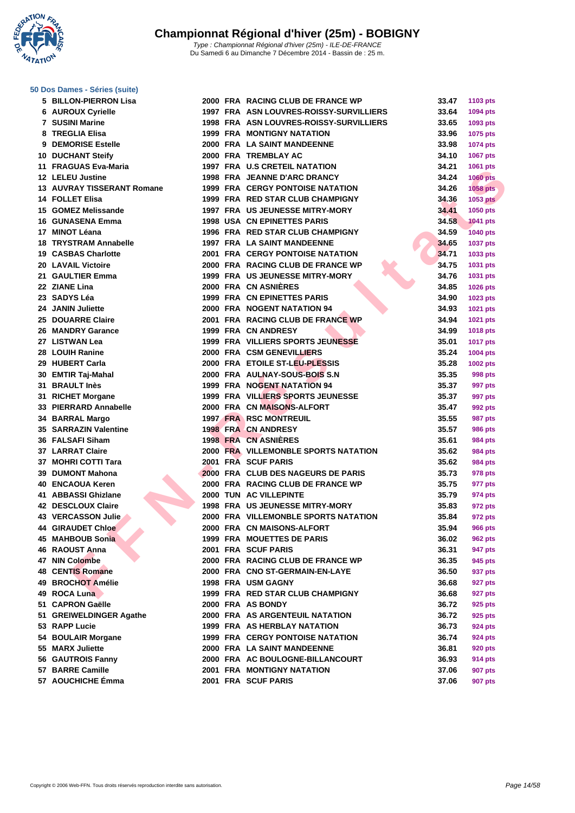**WATATION** 

#### Du Samedi 6 au Dimanche 7 Décembre 2014 - Bassin de : 25 m.

#### **[50 Dos D](http://www.ffnatation.fr/webffn/index.php)ames - Séries (suite)**

| 5  | <b>BILLON-PIERRON Lisa</b> |
|----|----------------------------|
|    | <b>6 AUROUX Cyrielle</b>   |
|    | 7 SUSINI Marine            |
| 8  | <b>TREGLIA Elisa</b>       |
|    | 9 DEMORISE Estelle         |
|    | 10 DUCHANT Steify          |
|    | 11 FRAGUAS Eva-Maria       |
|    | 12 LELEU Justine           |
|    | 13 AUVRAY TISSERANT Romane |
|    | <b>14 FOLLET Elisa</b>     |
|    | 15 GOMEZ Melissande        |
|    | 16 GUNASENA Emma           |
|    | 17 MINOT Léana             |
|    | 18 TRYSTRAM Annabelle      |
|    | <b>19 CASBAS Charlotte</b> |
|    | 20 LAVAIL Victoire         |
|    | 21 GAULTIER Emma           |
|    | 22 ZIANE Lina              |
|    | 23 SADYS Léa               |
|    | 24 JANIN Juliette          |
|    | 25 DOUARRE Claire          |
|    | 26 MANDRY Garance          |
|    | 27 LISTWAN Lea             |
|    | 28 LOUIH Ranine            |
|    | 29 HUBERT Carla            |
|    | 30 EMTIR Taj-Mahal         |
|    | 31 BRAULT Inès             |
|    | 31 RICHET Morgane          |
|    | 33 PIERRARD Annabelle      |
|    | 34 BARRAL Margo            |
|    | 35 SARRAZIN Valentine      |
|    | 36 FALSAFI Siham           |
|    | 37 LARRAT Claire           |
|    | 37 MOHRI COTTI Tara        |
|    | 39 DUMONT Mahona           |
|    | 40 ENCAOUA Keren           |
|    | 41 ABBASSI Ghizlane        |
|    | <b>42 DESCLOUX Claire</b>  |
|    | 43 VERCASSON Julie         |
|    | 44 GIRAUDET Chloe          |
| 45 | <b>MAHBOUB Sonia</b>       |
| 46 | <b>RAOUST Anna</b>         |
|    | 47 NIN Colombe             |
|    | <b>48 CENTIS Romane</b>    |
|    | 49 BROCHOT Amélie          |
|    | 49 ROCA Luna               |
|    | 51 CAPRON Gaëlle           |
|    | 51 GREIWELDINGER Agathe    |
|    | 53 RAPP Lucie              |
|    | 54 BOULAIR Morgane         |
|    | 55 MARX Juliette           |
|    | 56 GAUTROIS Fanny          |
|    | 57 BARRE Camille           |

| $\sigma$ Dos Danies - Oches (sunc) |  |                                         |       |                 |
|------------------------------------|--|-----------------------------------------|-------|-----------------|
| 5 BILLON-PIERRON Lisa              |  | 2000 FRA RACING CLUB DE FRANCE WP       | 33.47 | 1103 pts        |
| <b>6 AUROUX Cyrielle</b>           |  | 1997 FRA ASN LOUVRES-ROISSY-SURVILLIERS | 33.64 | 1094 pts        |
| <b>7 SUSINI Marine</b>             |  | 1998 FRA ASN LOUVRES-ROISSY-SURVILLIERS | 33.65 | 1093 pts        |
| 8 TREGLIA Elisa                    |  | <b>1999 FRA MONTIGNY NATATION</b>       | 33.96 | 1075 pts        |
| 9 DEMORISE Estelle                 |  | 2000 FRA LA SAINT MANDEENNE             | 33.98 | 1074 pts        |
| <b>10 DUCHANT Steify</b>           |  | 2000 FRA TREMBLAY AC                    | 34.10 | 1067 pts        |
| 11 FRAGUAS Eva-Maria               |  | 1997 FRA U.S CRETEIL NATATION           | 34.21 | 1061 pts        |
| 12 LELEU Justine                   |  | 1998 FRA JEANNE D'ARC DRANCY            | 34.24 | <b>1060 pts</b> |
| <b>13 AUVRAY TISSERANT Romane</b>  |  | <b>1999 FRA CERGY PONTOISE NATATION</b> | 34.26 | <b>1058 pts</b> |
| <b>14 FOLLET Elisa</b>             |  | 1999 FRA RED STAR CLUB CHAMPIGNY        | 34.36 | <b>1053 pts</b> |
| 15 GOMEZ Melissande                |  | 1997 FRA US JEUNESSE MITRY-MORY         | 34.41 | 1050 pts        |
| 16 GUNASENA Emma                   |  | <b>1998 USA CN EPINETTES PARIS</b>      | 34.58 | <b>1041 pts</b> |
| 17 MINOT Léana                     |  | 1996 FRA RED STAR CLUB CHAMPIGNY        | 34.59 | <b>1040 pts</b> |
| <b>18 TRYSTRAM Annabelle</b>       |  | 1997 FRA LA SAINT MANDEENNE             | 34.65 | 1037 pts        |
| 19 CASBAS Charlotte                |  | <b>2001 FRA CERGY PONTOISE NATATION</b> | 34.71 | 1033 pts        |
| <b>20 LAVAIL Victoire</b>          |  | 2000 FRA RACING CLUB DE FRANCE WP       | 34.75 | 1031 pts        |
| 21 GAULTIER Emma                   |  | 1999 FRA US JEUNESSE MITRY-MORY         | 34.76 | 1031 pts        |
| 22 ZIANE Lina                      |  | 2000 FRA CN ASNIERES                    | 34.85 | 1026 pts        |
| 23 SADYS Léa                       |  | 1999 FRA CN EPINETTES PARIS             | 34.90 | 1023 pts        |
| 24 JANIN Juliette                  |  | 2000 FRA NOGENT NATATION 94             | 34.93 | 1021 pts        |
| 25 DOUARRE Claire                  |  | 2001 FRA RACING CLUB DE FRANCE WP       | 34.94 | 1021 pts        |
| 26 MANDRY Garance                  |  | 1999 FRA CN ANDRESY                     | 34.99 | 1018 pts        |
| 27 LISTWAN Lea                     |  | 1999 FRA VILLIERS SPORTS JEUNESSE       | 35.01 | <b>1017 pts</b> |
| 28 LOUIH Ranine                    |  | 2000 FRA CSM GENEVILLIERS               | 35.24 | 1004 pts        |
| 29 HUBERT Carla                    |  | 2000 FRA ETOILE ST-LEU-PLESSIS          | 35.28 | 1002 pts        |
| 30 EMTIR Taj-Mahal                 |  | 2000 FRA AULNAY-SOUS-BOIS S.N.          | 35.35 | 998 pts         |
| 31 BRAULT Inès                     |  | 1999 FRA NOGENT NATATION 94             | 35.37 | 997 pts         |
| 31 RICHET Morgane                  |  | 1999 FRA VILLIERS SPORTS JEUNESSE       | 35.37 | 997 pts         |
| 33 PIERRARD Annabelle              |  | 2000 FRA CN MAISONS-ALFORT              | 35.47 | 992 pts         |
| 34 BARRAL Margo                    |  | <b>1997 FRA RSC MONTREUIL</b>           | 35.55 | <b>987 pts</b>  |
| <b>35 SARRAZIN Valentine</b>       |  | <b>1998 FRA CN ANDRESY</b>              | 35.57 | <b>986 pts</b>  |
| 36 FALSAFI Siham                   |  | 1998 FRA CN ASNIÈRES                    | 35.61 | <b>984 pts</b>  |
| <b>37 LARRAT Claire</b>            |  | 2000 FRA VILLEMONBLE SPORTS NATATION    | 35.62 | <b>984 pts</b>  |
| 37 MOHRI COTTI Tara                |  | 2001 FRA SCUF PARIS                     | 35.62 | 984 pts         |
| 39 DUMONT Mahona                   |  | 2000 FRA CLUB DES NAGEURS DE PARIS      | 35.73 | 978 pts         |
| 40 ENCAOUA Keren                   |  | 2000 FRA RACING CLUB DE FRANCE WP       | 35.75 | 977 pts         |
| 41 ABBASSI Ghizlane                |  | 2000 TUN AC VILLEPINTE                  | 35.79 | 974 pts         |
| 42 DESCLOUX Claire                 |  | <b>1998 FRA US JEUNESSE MITRY-MORY</b>  | 35.83 | 972 pts         |
| <b>43 VERCASSON Julie</b>          |  | 2000 FRA VILLEMONBLE SPORTS NATATION    | 35.84 | 972 pts         |
| <b>44 GIRAUDET Chloe</b>           |  | 2000 FRA CN MAISONS-ALFORT              | 35.94 | <b>966 pts</b>  |
| 45 MAHBOUB Sonia                   |  | 1999 FRA MOUETTES DE PARIS              | 36.02 | <b>962 pts</b>  |
| <b>46 RAOUST Anna</b>              |  | 2001 FRA SCUF PARIS                     | 36.31 | 947 pts         |
| 47 NIN Colombe                     |  | 2000 FRA RACING CLUB DE FRANCE WP       | 36.35 | 945 pts         |
| <b>48 CENTIS Romane</b>            |  | 2000 FRA CNO ST-GERMAIN-EN-LAYE         | 36.50 | 937 pts         |
| 49 BROCHOT Amélie                  |  | 1998 FRA USM GAGNY                      | 36.68 | 927 pts         |
| 49 ROCA Luna                       |  | 1999 FRA RED STAR CLUB CHAMPIGNY        | 36.68 | 927 pts         |
| 51 CAPRON Gaëlle                   |  | 2000 FRA AS BONDY                       | 36.72 | 925 pts         |
| 51 GREIWELDINGER Agathe            |  | 2000 FRA AS ARGENTEUIL NATATION         | 36.72 | 925 pts         |
|                                    |  | 1999 FRA AS HERBLAY NATATION            | 36.73 |                 |
| 53 RAPP Lucie                      |  |                                         |       | 924 pts         |
| 54 BOULAIR Morgane                 |  | 1999 FRA CERGY PONTOISE NATATION        | 36.74 | 924 pts         |
| 55 MARX Juliette                   |  | 2000 FRA LA SAINT MANDEENNE             | 36.81 | 920 pts         |
| 56 GAUTROIS Fanny                  |  | 2000 FRA AC BOULOGNE-BILLANCOURT        | 36.93 | 914 pts         |
| 57 BARRE Camille                   |  | 2001 FRA MONTIGNY NATATION              | 37.06 | 907 pts         |
| 57 AOUCHICHE Émma                  |  | 2001 FRA SCUF PARIS                     | 37.06 | 907 pts         |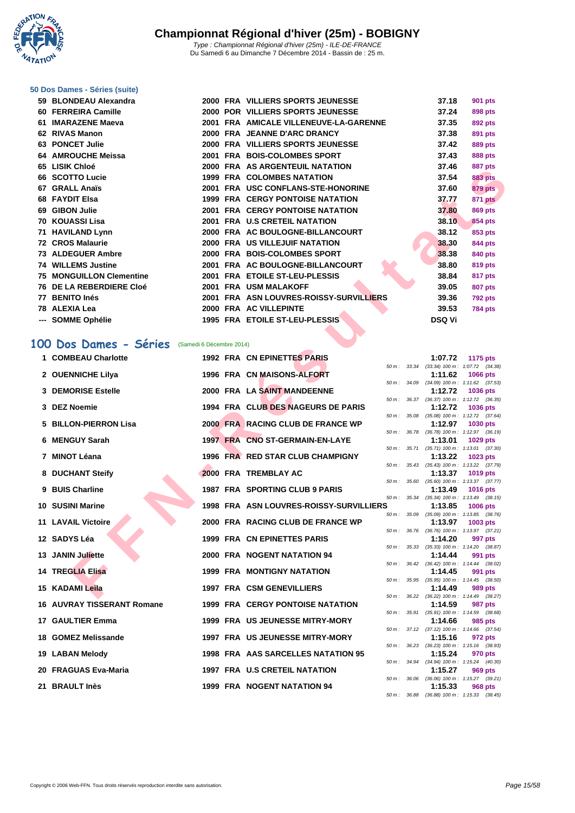**WATATION**  $^{\prime}$ 

#### **[50 Dos D](http://www.ffnatation.fr/webffn/index.php)ames - Séries (suite)**

| 59 BLONDEAU Alexandra           |  | 2000 FRA VILLIERS SPORTS JEUNESSE       | 37.18         | <b>901 pts</b> |
|---------------------------------|--|-----------------------------------------|---------------|----------------|
| 60 FERREIRA Camille             |  | 2000 POR VILLIERS SPORTS JEUNESSE       | 37.24         | 898 pts        |
| 61 IMARAZENE Maeva              |  | 2001 FRA AMICALE VILLENEUVE-LA-GARENNE  | 37.35         | 892 pts        |
| 62 RIVAS Manon                  |  | 2000 FRA JEANNE D'ARC DRANCY            | 37.38         | 891 pts        |
| 63 PONCET Julie                 |  | 2000 FRA VILLIERS SPORTS JEUNESSE       | 37.42         | <b>889 pts</b> |
| 64 AMROUCHE Meissa              |  | 2001 FRA BOIS-COLOMBES SPORT            | 37.43         | 888 pts        |
| 65 LISIK Chloé                  |  | 2000 FRA AS ARGENTEUIL NATATION         | 37.46         | 887 pts        |
| 66 SCOTTO Lucie                 |  | <b>1999 FRA COLOMBES NATATION</b>       | 37.54         | <b>883 pts</b> |
| 67 GRALL Anaïs                  |  | 2001 FRA USC CONFLANS-STE-HONORINE      | 37.60         | <b>879 pts</b> |
| 68 FAYDIT Elsa                  |  | <b>1999 FRA CERGY PONTOISE NATATION</b> | 37.77         | 871 pts        |
| 69 GIBON Julie                  |  | <b>2001 FRA CERGY PONTOISE NATATION</b> | 37.80         | 869 pts        |
| 70   KOUASSI Lisa               |  | 2001 FRA U.S CRETEIL NATATION           | 38.10         | 854 pts        |
| 71 HAVILAND Lynn                |  | 2000 FRA AC BOULOGNE-BILLANCOURT        | 38.12         | 853 pts        |
| 72 CROS Malaurie                |  | 2000 FRA US VILLEJUIF NATATION          | 38.30         | 844 pts        |
| 73 ALDEGUER Ambre               |  | 2000 FRA BOIS-COLOMBES SPORT            | 38.38         | 840 pts        |
| 74 WILLEMS Justine              |  | 2001 FRA AC BOULOGNE-BILLANCOURT        | 38.80         | 819 pts        |
| <b>75 MONGUILLON Clementine</b> |  | 2001 FRA ETOILE ST-LEU-PLESSIS          | 38.84         | 817 pts        |
| 76 DE LA REBERDIERE Cloé        |  | 2001 FRA USM MALAKOFF                   | 39.05         | 807 pts        |
| 77 BENITO Inés                  |  | 2001 FRA ASN LOUVRES-ROISSY-SURVILLIERS | 39.36         | <b>792 pts</b> |
| 78 ALEXIA Lea                   |  | 2000 FRA AC VILLEPINTE                  | 39.53         | <b>784 pts</b> |
| --- SOMME Ophélie               |  | 1995 FRA ETOILE ST-LEU-PLESSIS          | <b>DSQ Vi</b> |                |

### **100 Dos Dames - Séries** (Samedi 6 Décembre 2014)

| vv | סטוויט בוטוב                                   |  | AS ANSLITEDIL IN LATION                 |                  |              | JI TU         | oor pis                                                       |
|----|------------------------------------------------|--|-----------------------------------------|------------------|--------------|---------------|---------------------------------------------------------------|
|    | 66 SCOTTO Lucie                                |  | <b>1999 FRA COLOMBES NATATION</b>       |                  |              | 37.54         | <b>883 pts</b>                                                |
|    | 67 GRALL Anaïs                                 |  | 2001 FRA USC CONFLANS-STE-HONORINE      |                  |              | 37.60         | 879 pts                                                       |
|    | 68 FAYDIT Elsa                                 |  | <b>1999 FRA CERGY PONTOISE NATATION</b> |                  |              | 37.77         | <b>871 pts</b>                                                |
|    | 69 GIBON Julie                                 |  | 2001 FRA CERGY PONTOISE NATATION        |                  |              | 37.80         | 869 pts                                                       |
|    | 70 KOUASSI Lisa                                |  | 2001 FRA U.S CRETEIL NATATION           |                  |              | 38.10         | 854 pts                                                       |
|    | 71 HAVILAND Lynn                               |  | 2000 FRA AC BOULOGNE-BILLANCOURT        |                  |              | 38.12         | 853 pts                                                       |
|    | 72 CROS Malaurie                               |  | 2000 FRA US VILLEJUIF NATATION          |                  |              | 38.30         | 844 pts                                                       |
|    | 73 ALDEGUER Ambre                              |  | 2000 FRA BOIS-COLOMBES SPORT            |                  |              | 38.38         | 840 pts                                                       |
|    | 74 WILLEMS Justine                             |  | 2001 FRA AC BOULOGNE-BILLANCOURT        |                  |              | 38.80         | 819 pts                                                       |
|    | 75 MONGUILLON Clementine                       |  | 2001 FRA ETOILE ST-LEU-PLESSIS          |                  |              | 38.84         | 817 pts                                                       |
|    | <b>76 DE LA REBERDIERE Cloé</b>                |  | 2001 FRA USM MALAKOFF                   |                  |              | 39.05         | <b>807 pts</b>                                                |
|    | 77 BENITO Inés                                 |  | 2001 FRA ASN LOUVRES-ROISSY-SURVILLIERS |                  |              | 39.36         | <b>792 pts</b>                                                |
|    | 78 ALEXIA Lea                                  |  | 2000 FRA AC VILLEPINTE                  |                  |              | 39.53         | <b>784 pts</b>                                                |
|    | --- SOMME Ophélie                              |  | 1995 FRA ETOILE ST-LEU-PLESSIS          |                  |              | <b>DSQ Vi</b> |                                                               |
|    |                                                |  |                                         |                  |              |               |                                                               |
|    | 00 Dos Dames - Séries (Samedi 6 Décembre 2014) |  |                                         |                  |              |               |                                                               |
|    | 1 COMBEAU Charlotte                            |  | 1992 FRA CN EPINETTES PARIS             |                  |              | 1:07.72       | 1175 pts                                                      |
|    | 2 OUENNICHE Lilya                              |  | 1996 FRA CN MAISONS-ALFORT              |                  |              | 1:11.62       | 50 m: 33.34 (33.34) 100 m: 1:07.72 (34.38)<br><b>1066 pts</b> |
|    |                                                |  |                                         |                  |              |               | 50 m: 34.09 (34.09) 100 m: 1:11.62 (37.53)                    |
|    | <b>3 DEMORISE Estelle</b>                      |  | 2000 FRA LA SAINT MANDEENNE             |                  |              | 1:12.72       | 1036 pts                                                      |
|    | 3 DEZ Noemie                                   |  | 1994 FRA CLUB DES NAGEURS DE PARIS      | 50 m :           | 36.37        | 1:12.72       | $(36.37)$ 100 m : 1:12.72 $(36.35)$<br>1036 pts               |
|    |                                                |  |                                         |                  | 50 m : 35.08 |               | $(35.08)$ 100 m : 1:12.72 $(37.64)$                           |
|    | 5 BILLON-PIERRON Lisa                          |  | 2000 FRA RACING CLUB DE FRANCE WP       |                  | 50 m : 36.78 | 1:12.97       | 1030 pts<br>(36.78) 100 m: 1:12.97 (36.19)                    |
|    | 6 MENGUY Sarah                                 |  | 1997 FRA CNO ST-GERMAIN-EN-LAYE         |                  |              | 1:13.01       | 1029 pts                                                      |
|    |                                                |  |                                         |                  |              |               | 50 m: 35.71 (35.71) 100 m: 1:13.01 (37.30)                    |
|    | 7 MINOT Léana                                  |  | 1996 FRA RED STAR CLUB CHAMPIGNY        |                  |              | 1:13.22       | 1023 pts<br>50 m: 35.43 (35.43) 100 m: 1:13.22 (37.79)        |
|    | 8 DUCHANT Steify                               |  | 2000 FRA TREMBLAY AC                    |                  |              | 1:13.37       | <b>1019 pts</b>                                               |
|    | 9 BUIS Charline                                |  | 1987 FRA SPORTING CLUB 9 PARIS          |                  | 50 m : 35.60 | 1:13.49       | $(35.60)$ 100 m : 1:13.37 $(37.77)$                           |
|    |                                                |  |                                         |                  | 50 m: 35.34  |               | <b>1016 pts</b><br>$(35.34)$ 100 m : 1:13.49 $(38.15)$        |
|    | 10 SUSINI Marine                               |  | 1998 FRA ASN LOUVRES-ROISSY-SURVILLIERS |                  |              | 1:13.85       | <b>1006 pts</b>                                               |
|    | <b>11 LAVAIL Victoire</b>                      |  | 2000 FRA RACING CLUB DE FRANCE WP       | 50 m: 35.09      |              | 1:13.97       | $(35.09)$ 100 m : 1:13.85 $(38.76)$<br>1003 pts               |
|    |                                                |  |                                         |                  |              |               | 50 m: 36.76 (36.76) 100 m: 1:13.97 (37.21)                    |
|    | 12 SADYS Léa                                   |  | <b>1999 FRA CN EPINETTES PARIS</b>      |                  |              | 1:14.20       | 997 pts                                                       |
|    | 13 JANIN Juliette                              |  | 2000 FRA NOGENT NATATION 94             |                  |              | 1:14.44       | 50 m: 35.33 (35.33) 100 m: 1:14.20 (38.87)<br>991 pts         |
|    |                                                |  |                                         |                  |              |               | 50 m: 36.42 (36.42) 100 m: 1:14.44 (38.02)                    |
|    | <b>14 TREGLIA Elisa</b>                        |  | 1999 FRA MONTIGNY NATATION              |                  |              | 1:14.45       | 991 pts<br>50 m: 35.95 (35.95) 100 m: 1:14.45 (38.50)         |
|    | 15 KADAMI Leila                                |  | <b>1997 FRA CSM GENEVILLIERS</b>        |                  |              | 1:14.49       | 989 pts                                                       |
|    |                                                |  |                                         |                  |              |               | 50 m: 36.22 (36.22) 100 m: 1:14.49 (38.27)                    |
|    | <b>16 AUVRAY TISSERANT Romane</b>              |  | 1999 FRA CERGY PONTOISE NATATION        | $50 m$ : $35.91$ |              | 1:14.59       | <b>987 pts</b><br>$(35.91)$ 100 m : 1:14.59 $(38.68)$         |
|    | <b>17 GAULTIER Emma</b>                        |  | 1999 FRA US JEUNESSE MITRY-MORY         |                  |              | 1:14.66       | 985 pts                                                       |
|    |                                                |  |                                         |                  |              |               | 50 m: 37.12 (37.12) 100 m: 1:14.66 (37.54)                    |
|    | 18 GOMEZ Melissande                            |  | <b>1997 FRA US JEUNESSE MITRY-MORY</b>  |                  |              | 1:15.16       | 972 pts<br>50 m: 36.23 (36.23) 100 m: 1:15.16 (38.93)         |
|    | 19 LABAN Melody                                |  | 1998 FRA AAS SARCELLES NATATION 95      |                  |              | 1:15.24       | 970 pts                                                       |
|    |                                                |  |                                         |                  |              |               | 50 m: 34.94 (34.94) 100 m: 1:15.24 (40.30)                    |
|    | 20 FRAGUAS Eva-Maria                           |  | 1997 FRA U.S CRETEIL NATATION           |                  |              | 1:15.27       | 969 pts<br>50 m: 36.06 (36.06) 100 m: 1:15.27 (39.21)         |
|    | 21 BRAULT Inès                                 |  | 1999 FRA NOGENT NATATION 94             |                  |              | 1:15.33       | 968 pts                                                       |
|    |                                                |  |                                         |                  |              |               | 50 m: 36.88 (36.88) 100 m: 1:15.33 (38.45)                    |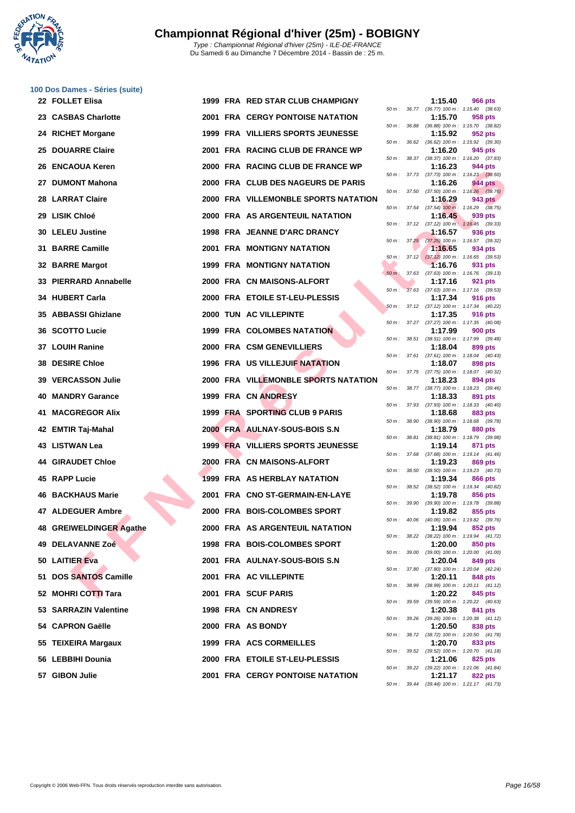**WATATION** 

|    | 100 Dos Dames - Séries (suite) |      |                                          |                |                  |                                                       |                |
|----|--------------------------------|------|------------------------------------------|----------------|------------------|-------------------------------------------------------|----------------|
|    | 22 FOLLET Elisa                |      | 1999 FRA RED STAR CLUB CHAMPIGNY         |                | 50 m : 36.77     | 1:15.40<br>$(36.77)$ 100 m : 1:15.40 $(38.63)$        | <b>966 pts</b> |
|    | 23 CASBAS Charlotte            |      | <b>2001 FRA CERGY PONTOISE NATATION</b>  | 50 m : 36.88   |                  | 1:15.70                                               | 958 pts        |
|    | 24 RICHET Morgane              |      | 1999 FRA VILLIERS SPORTS JEUNESSE        |                |                  | (36.88) 100 m: 1:15.70 (38.82)<br>1:15.92             | 952 pts        |
|    | <b>25 DOUARRE Claire</b>       |      | 2001 FRA RACING CLUB DE FRANCE WP        |                | 50 m : 36.62     | $(36.62)$ 100 m : 1:15.92 $(39.30)$<br>1:16.20        | 945 pts        |
| 26 | <b>ENCAOUA Keren</b>           |      | 2000 FRA RACING CLUB DE FRANCE WP        |                | 50 m : 38.37     | (38.37) 100 m: 1:16.20 (37.83)<br>1:16.23             | 944 pts        |
| 27 | <b>DUMONT Mahona</b>           |      | 2000 FRA CLUB DES NAGEURS DE PARIS       |                |                  | 50 m: 37.73 (37.73) 100 m: 1:16.23 (38.50)<br>1:16.26 | 944 pts        |
|    | <b>28 LARRAT Claire</b>        |      | 2000 FRA VILLEMONBLE SPORTS NATATION     |                | 50 m : 37.50     | $(37.50)$ 100 m : 1:16.26 $(38.76)$<br>1:16.29        | 943 pts        |
|    | 29 LISIK Chloé                 |      | 2000 FRA AS ARGENTEUIL NATATION          |                |                  | 50 m: 37.54 (37.54) 100 m: 1:16.29 (38.75)<br>1:16.45 | 939 pts        |
|    | <b>30 LELEU Justine</b>        |      | 1998 FRA JEANNE D'ARC DRANCY             |                | 50 m : 37.12     | $(37.12)$ 100 m : 1:16.45 $(39.33)$<br>1:16.57        | 936 pts        |
| 31 | <b>BARRE Camille</b>           | 2001 | <b>FRA MONTIGNY NATATION</b>             | $50 m$ : 37,25 |                  | (37.25) 100 m: 1:16.57 (39.32)<br>1:16.65             | 934 pts        |
|    | 32 BARRE Margot                |      | <b>1999 FRA MONTIGNY NATATION</b>        |                | $50 m$ : $37.12$ | $(37.12)$ 100 m : 1:16.65 $(39.53)$<br>1:16.76        | 931 pts        |
| 33 | <b>PIERRARD Annabelle</b>      |      | 2000 FRA CN MAISONS-ALFORT               | $50 m$ :       | 37.63            | $(37.63)$ 100 m : 1:16.76 $(39.13)$<br>1:17.16        | 921 pts        |
|    | 34 HUBERT Carla                |      | 2000 FRA ETOILE ST-LEU-PLESSIS           | $50 m$ :       |                  | 37.63 (37.63) 100 m: 1:17.16 (39.53)<br>1:17.34       | <b>916 pts</b> |
|    | 35 ABBASSI Ghizlane            |      | 2000 TUN AC VILLEPINTE                   | 50 m :         |                  | 37.12 (37.12) 100 m: 1:17.34 (40.22)<br>1:17.35       | <b>916 pts</b> |
| 36 | <b>SCOTTO Lucie</b>            |      | <b>1999 FRA COLOMBES NATATION</b>        |                |                  | 50 m: 37.27 (37.27) 100 m: 1:17.35 (40.08)<br>1:17.99 | 900 pts        |
|    | 37 LOUIH Ranine                |      | 2000 FRA CSM GENEVILLIERS                | 50 m :         | 38.51            | (38.51) 100 m: 1:17.99 (39.48)<br>1:18.04             | 899 pts        |
| 38 | <b>DESIRE Chloe</b>            |      | <b>1996 FRA US VILLEJUIF NATATION</b>    | 50 m :         | 37.61            | $(37.61)$ 100 m : 1:18.04 $(40.43)$<br>1:18.07        | 898 pts        |
| 39 | <b>VERCASSON Julie</b>         |      | 2000 FRA VILLEMONBLE SPORTS NATATION     |                |                  | 50 m: 37.75 (37.75) 100 m: 1:18.07 (40.32)<br>1:18.23 | 894 pts        |
| 40 | <b>MANDRY Garance</b>          |      | 1999 FRA CN ANDRESY                      | 50 m :         |                  | 38.77 (38.77) 100 m : 1:18.23 (39.46)<br>1:18.33      | 891 pts        |
| 41 | <b>MACGREGOR Alix</b>          |      | 1999 FRA SPORTING CLUB 9 PARIS           |                |                  | 50 m: 37.93 (37.93) 100 m: 1:18.33 (40.40)<br>1:18.68 | 883 pts        |
|    | 42 EMTIR Taj-Mahal             |      | 2000 FRA AULNAY-SOUS-BOIS S.N            | 50 m :         | 38.90            | (38.90) 100 m: 1:18.68 (39.78)<br>1:18.79             | 880 pts        |
|    | 43 LISTWAN Lea                 |      | <b>1999 FRA VILLIERS SPORTS JEUNESSE</b> | 50 m: 38.81    |                  | (38.81) 100 m: 1:18.79 (39.98)<br>1:19.14             | 871 pts        |
|    | <b>44 GIRAUDET Chloe</b>       |      | 2000 FRA CN MAISONS-ALFORT               | 50 m :         | 37.68            | $(37.68)$ 100 m : 1:19.14 $(41.46)$<br>1:19.23        | 869 pts        |
|    | 45 RAPP Lucie                  |      | 1999 FRA AS HERBLAY NATATION             | 50 m : 38.50   |                  | $(38.50)$ 100 m : 1:19.23 $(40.73)$<br>1:19.34        | 866 pts        |
| 46 | <b>BACKHAUS Marie</b>          |      | 2001 FRA CNO ST-GERMAIN-EN-LAYE          |                |                  | 50 m: 38.52 (38.52) 100 m: 1:19.34 (40.82)<br>1:19.78 | 856 pts        |
|    | 47 ALDEGUER Ambre              |      | 2000 FRA BOIS-COLOMBES SPORT             |                |                  | 50 m: 39.90 (39.90) 100 m: 1:19.78 (39.88)<br>1:19.82 | 855 pts        |
|    | 48 GREIWELDINGER Agathe        |      | 2000 FRA AS ARGENTEUIL NATATION          | 50 m :         | 40.06            | (40.06) 100 m: 1:19.82 (39.76)<br>1:19.94             | 852 pts        |
|    | 49 DELAVANNE Zoé               |      | <b>1998 FRA BOIS-COLOMBES SPORT</b>      |                | 50 m : 38.22     | (38.22) 100 m: 1:19.94 (41.72)                        |                |
|    |                                |      |                                          |                | 50 m : 39.00     | 1:20.00<br>$(39.00)$ 100 m : 1:20.00 $(41.00)$        | 850 pts        |
|    | 50 LAITIER Eva                 |      | 2001 FRA AULNAY-SOUS-BOIS S.N            |                |                  | 1:20.04<br>50 m: 37.80 (37.80) 100 m: 1:20.04 (42.24) | 849 pts        |
|    | 51 DOS SANTOS Camille          |      | 2001 FRA AC VILLEPINTE                   |                | 50 m : 38.99     | 1:20.11<br>$(38.99)$ 100 m : 1:20.11 $(41.12)$        | 848 pts        |
|    | 52 MOHRI COTTI Tara            |      | 2001 FRA SCUF PARIS                      |                | 50 m : 39.59     | 1:20.22<br>(39.59) 100 m : 1:20.22 (40.63)            | 845 pts        |
|    | 53 SARRAZIN Valentine          |      | 1998 FRA CN ANDRESY                      |                | 50 m : 39.26     | 1:20.38<br>$(39.26)$ 100 m : 1:20.38 $(41.12)$        | 841 pts        |
|    | 54 CAPRON Gaëlle               |      | 2000 FRA AS BONDY                        | 50 m :         | 38.72            | 1:20.50<br>$(38.72)$ 100 m : 1:20.50 $(41.78)$        | 838 pts        |
|    | 55 TEIXEIRA Margaux            |      | 1999 FRA ACS CORMEILLES                  |                |                  | 1:20.70<br>50 m: 39.52 (39.52) 100 m: 1:20.70 (41.18) | 833 pts        |
|    | 56 LEBBIHI Dounia              |      | 2000 FRA ETOILE ST-LEU-PLESSIS           |                |                  | 1:21.06<br>50 m: 39.22 (39.22) 100 m: 1:21.06 (41.84) | 825 pts        |
|    | 57 GIBON Julie                 |      | 2001 FRA CERGY PONTOISE NATATION         |                |                  | 1:21.17                                               | <b>822 pts</b> |

| 50 m :   | 36.77 | (36.77) 100 m :   | 1:15.40<br>(38.63) |
|----------|-------|-------------------|--------------------|
|          |       | 1:15.70           | 958 pts            |
| $50 m$ : | 36.88 | $(36.88) 100 m$ : | (38.82)<br>1:15.70 |
|          |       | 1:15.92           | 952 pts            |
|          |       |                   |                    |
| $50 m$ : | 36.62 | $(36.62) 100 m$ : | 1:15.92<br>(39.30) |
|          |       | 1:16.20           | 945 pts            |
| $50 m$ : | 38.37 | $(38.37) 100 m$ : | 1:16.20<br>(37.83) |
|          |       | 1:16.23           | <b>944 pts</b>     |
|          |       |                   |                    |
| $50 m$ : | 37.73 | $(37.73) 100 m$ : | $1:16.23$ (38.50)  |
|          |       | 1:16.26           | <b>944 pts</b>     |
| $50 m$ : | 37.50 | $(37.50)$ 100 m : | (38.76)<br>1:16.26 |
|          |       | 1:16.29           | <b>943 pts</b>     |
| $50 m$ : | 37.54 | $(37.54)$ 100 m : | 1:16.29<br>(38.75) |
|          |       |                   |                    |
|          |       | 1:16.45           | 939 pts            |
| $50 m$ : | 37.12 | $(37.12) 100 m$ : | 1:16.45<br>(39.33) |
|          |       | 1:16.57           | <b>936 pts</b>     |
| $50 m$ : | 37.25 | $(37.25)$ 100 m : | 1:16.57<br>(39.32) |
|          |       |                   |                    |
|          |       | 1:16.65           | 934 pts            |
| $50 m$ : | 37.12 | $(37.12) 100 m$ : | 1:16.65<br>(39.53) |
|          |       | 1:16.76           | 931<br>pts         |
| $50 m$ : | 37.63 | $(37.63) 100 m$ : | 1:16.76<br>(39.13) |
|          |       | 1:17.16           | 921<br>pts         |
|          |       |                   |                    |
| $50 m$ : | 37.63 | $(37.63) 100 m$ : | 1:17.16<br>(39.53) |
|          |       | 1:17.34           | <b>916 pts</b>     |
| $50 m$ : | 37.12 | $(37.12) 100 m$ : | 1:17.34<br>(40.22) |
|          |       | 1:17.35           | <b>916 pts</b>     |
|          | 37.27 |                   | 1:17.35<br>(40.08) |
| $50 m$ : |       | $(37.27) 100 m$ : |                    |
|          |       | 1:17.99           | <b>900 pts</b>     |
| $50 m$ : | 38.51 | $(38.51)$ 100 m : | 1:17.99<br>(39.48) |
|          |       | 1:18.04           | <b>899 pts</b>     |
| $50 m$ : | 37.61 | $(37.61)$ 100 m : | 1:18.04<br>(40.43) |
|          |       |                   |                    |
|          |       | 1:18.07           | <b>898 pts</b>     |
| $50 m$ : | 37.75 | $(37.75)$ 100 m : | 1:18.07<br>(40.32) |
|          |       | 1:18.23           | 894 pts            |
| $50 m$ : | 38.77 | $(38.77) 100 m$ : | 1:18.23<br>(39.46) |
|          |       |                   |                    |
|          |       | 1:18.33           | 891 pts            |
| $50 m$ : | 37.93 | $(37.93) 100 m$ : | (40.40)<br>1:18.33 |
|          |       | 1:18.68           | 883 pts            |
| 50 m:    | 38.90 | $(38.90)$ 100 m : | 1:18.68<br>(39.78) |
|          |       | 1:18.79           | 880 pts            |
|          |       |                   |                    |
| $50 m$ : | 38.81 | $(38.81) 100 m$ : | 1:18.79<br>(39.98) |
|          |       | 1:19.14           | 871<br>pts         |
| $50 m$ : | 37.68 | $(37.68) 100 m$ : | 1:19.14<br>(41.46) |
|          |       | 1:19.23           | 869<br>pts         |
| $50 m$ : | 38.50 | $(38.50)$ 100 m : | 1:19.23<br>(40.73) |
|          |       |                   |                    |
|          |       | 1:19.34           | <b>866 pts</b>     |
| $50 m$ : | 38.52 | $(38.52) 100 m$ : | 1:19.34<br>(40.82) |
|          |       | 1:19.78           | <b>856 pts</b>     |
| $50 m$ : | 39.90 | $(39.90)$ 100 m : | 1:19.78<br>(39.88) |
|          |       | 1:19.82           | 855 pts            |
|          |       |                   |                    |
| $50 m$ : | 40.06 | $(40.06) 100 m$ : | 1:19.82<br>(39.76) |
|          |       | 1:19.94           | <b>852 pts</b>     |
| $50 m$ : | 38.22 | $(38.22)$ 100 m : | 1:19.94<br>(41.72) |
|          |       | 1:20.00           | 850 pts            |
| $50 m$ : | 39.00 | $(39.00)$ 100 m : | 1:20.00<br>(41.00) |
|          |       |                   |                    |
|          |       | 1:20.04           | 849 pts            |
| $50 m$ : | 37.80 | $(37.80)$ 100 m : | 1:20.04<br>(42.24) |
|          |       | 1:20.11           | <b>848 pts</b>     |
| $50 m$ : | 38.99 | $(38.99)$ 100 m : | 1:20.11<br>(41.12) |
|          |       | 1:20.22           | <b>845 pts</b>     |
|          |       |                   |                    |
| $50 m$ : | 39.59 | $(39.59) 100 m$ : | 1:20.22<br>(40.63) |
|          |       | 1:20.38           | 841 pts            |
| $50 m$ : | 39.26 | $(39.26) 100 m$ : | 1:20.38<br>(41.12) |
|          |       | 1:20.50           | 838 pts            |
| $50 m$ : |       | $(38.72) 100 m$ : | 1:20.50<br>(41.78) |
|          | 38.72 |                   |                    |
|          |       | 1:20.70           | 833 pts            |
| $50 m$ : | 39.52 | $(39.52) 100 m$ : | 1:20.70<br>(41.18) |
|          |       | 1:21.06           | 825 pts            |
| $50 m$ : | 39.22 | $(39.22)$ 100 m : | 1:21.06<br>(41.84) |
|          |       | 1:21.17           | 822 pts            |
|          |       |                   |                    |
| $50 m$ : | 39.44 | $(39.44) 100 m$ : | 1:21.17<br>(41.73) |
|          |       |                   |                    |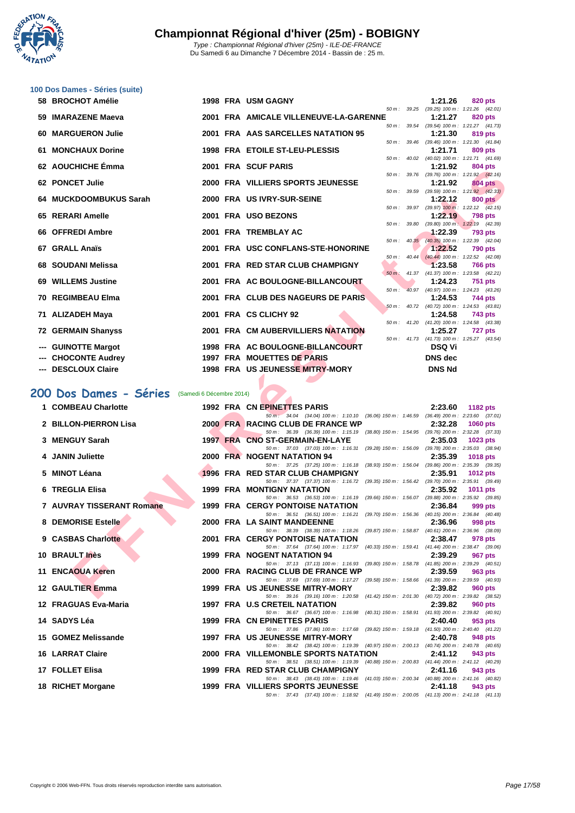**WATATION** 

|    | 100 Dos Dames - Séries (suite) |                          |                                                                                                                                        |              |                |                                                              |
|----|--------------------------------|--------------------------|----------------------------------------------------------------------------------------------------------------------------------------|--------------|----------------|--------------------------------------------------------------|
|    | 58 BROCHOT Amélie              |                          | 1998 FRA USM GAGNY                                                                                                                     |              | 1:21.26        | 820 pts                                                      |
| 59 | <b>IMARAZENE Maeva</b>         |                          | 2001 FRA AMICALE VILLENEUVE-LA-GARENNE                                                                                                 |              | 1:21.27        | 50 m: 39.25 (39.25) 100 m: 1:21.26 (42.01)<br><b>820 pts</b> |
| 60 | <b>MARGUERON Julie</b>         |                          | 2001 FRA AAS SARCELLES NATATION 95                                                                                                     |              | 1:21.30        | 50 m: 39.54 (39.54) 100 m: 1:21.27 (41.73)<br><b>819 pts</b> |
|    |                                |                          |                                                                                                                                        |              |                | 50 m: 39.46 (39.46) 100 m: 1:21.30 (41.84)                   |
| 61 | <b>MONCHAUX Dorine</b>         |                          | <b>1998 FRA ETOILE ST-LEU-PLESSIS</b>                                                                                                  |              | 1:21.71        | 809 pts<br>50 m: 40.02 (40.02) 100 m: 1:21.71 (41.69)        |
|    | 62 AOUCHICHE Émma              |                          | 2001 FRA SCUF PARIS                                                                                                                    | 50 m: 39.76  | 1:21.92        | 804 pts<br>$(39.76)$ 100 m : 1:21.92 $(42.16)$               |
|    | 62 PONCET Julie                |                          | 2000 FRA VILLIERS SPORTS JEUNESSE                                                                                                      |              | 1:21.92        | 804 pts                                                      |
| 64 | <b>MUCKDOOMBUKUS Sarah</b>     |                          | 2000 FRA US IVRY-SUR-SEINE                                                                                                             | 50 m: 39.59  | 1:22.12        | $(39.59)$ 100 m : 1:21.92 $(42.33)$<br>800 pts               |
|    | 65 RERARI Amelle               |                          | 2001 FRA USO BEZONS                                                                                                                    |              | 1:22.19        | 50 m: 39.97 (39.97) 100 m: 1:22.12 (42.15)<br><b>798 pts</b> |
|    |                                |                          |                                                                                                                                        | 50 m: 39.80  |                | $(39.80)$ 100 m : 1:22.19 $(42.39)$                          |
| 66 | <b>OFFREDI Ambre</b>           |                          | 2001 FRA TREMBLAY AC                                                                                                                   |              | 1:22.39        | <b>793 pts</b><br>50 m: 40.35 (40.35) 100 m: 1:22.39 (42.04) |
|    | 67 GRALL Anaïs                 |                          | 2001 FRA USC CONFLANS-STE-HONORINE                                                                                                     |              | 1:22.52        | 790 pts                                                      |
|    | 68 SOUDANI Melissa             |                          | 50 m :<br>2001 FRA RED STAR CLUB CHAMPIGNY                                                                                             | 40.44        | 1:23.58        | $(40.44)$ 100 m : 1:22.52 $(42.08)$<br><b>766 pts</b>        |
|    |                                |                          |                                                                                                                                        |              |                | 50 m: 41.37 (41.37) 100 m: 1:23.58 (42.21)                   |
| 69 | <b>WILLEMS Justine</b>         |                          | 2001 FRA AC BOULOGNE-BILLANCOURT<br>$50 m$ :                                                                                           |              | 1:24.23        | <b>751 pts</b><br>40.97 (40.97) 100 m: 1:24.23 (43.26)       |
|    | 70 REGIMBEAU Elma              |                          | 2001 FRA CLUB DES NAGEURS DE PARIS                                                                                                     |              | 1:24.53        | 744 pts                                                      |
|    | 71 ALIZADEH Maya               |                          | 2001 FRA CS CLICHY 92                                                                                                                  | 50 m : 40.72 | 1:24.58        | (40.72) 100 m: 1:24.53 (43.81)<br>743 pts                    |
|    |                                |                          |                                                                                                                                        |              |                | 50 m: 41.20 (41.20) 100 m: 1:24.58 (43.38)                   |
|    | <b>72 GERMAIN Shanyss</b>      |                          | 2001 FRA CM AUBERVILLIERS NATATION                                                                                                     |              | 1:25.27        | 727 pts<br>50 m: 41.73 (41.73) 100 m: 1:25.27 (43.54)        |
|    | <b>GUINOTTE Margot</b>         |                          | 1998 FRA AC BOULOGNE-BILLANCOURT                                                                                                       |              | <b>DSQ Vi</b>  |                                                              |
|    | <b>CHOCONTE Audrey</b>         |                          | 1997 FRA MOUETTES DE PARIS                                                                                                             |              | <b>DNS</b> dec |                                                              |
|    | --- DESCLOUX Claire            |                          | 1998 FRA US JEUNESSE MITRY-MORY                                                                                                        |              | <b>DNS Nd</b>  |                                                              |
|    | 200 Dos Dames - Séries         | (Samedi 6 Décembre 2014) |                                                                                                                                        |              |                |                                                              |
|    | 1 COMBEAU Charlotte            |                          | 1992 FRA CN EPINETTES PARIS                                                                                                            |              | 2:23.60        |                                                              |
|    |                                |                          | 50 m : 34.04 (34.04) 100 m : 1:10.10 (36.06) 150 m : 1:46.59 (36.49) 200 m : 2:23.60 (37.01)                                           |              |                | 1182 pts                                                     |
|    | 2 BILLON-PIERRON Lisa          |                          | 2000 FRA RACING CLUB DE FRANCE WP<br>50 m : 36.39 (36.39) 100 m : 1:15.19 (38.80) 150 m : 1:54.95 (39.76) 200 m : 2:32.28 (37.33)      |              | 2:32.28        | 1060 pts                                                     |
|    | 3 MENGUY Sarah                 |                          | 1997 FRA CNO ST-GERMAIN-EN-LAYE                                                                                                        |              | 2:35.03        | 1023 pts                                                     |
| 4  | <b>JANIN Juliette</b>          |                          | 50 m: 37.03 (37.03) 100 m: 1:16.31 (39.28) 150 m: 1:56.09 (39.78) 200 m: 2:35.03 (38.94)<br>2000 FRA NOGENT NATATION 94                |              | 2:35.39        | <b>1018 pts</b>                                              |
|    |                                |                          | 50 m: 37.25 (37.25) 100 m: 1:16.18 (38.93) 150 m: 1:56.04 (39.86) 200 m: 2:35.39 (39.35)                                               |              |                |                                                              |
| 5  | <b>MINOT Léana</b>             |                          | 1996 FRA RED STAR CLUB CHAMPIGNY<br>50 m: 37.37 (37.37) 100 m: 1:16.72 (39.35) 150 m: 1:56.42 (39.70) 200 m: 2:35.91 (39.49)           |              | 2:35.91        | 1012 pts                                                     |
| 6  | <b>TREGLIA Elisa</b>           |                          | <b>1999 FRA MONTIGNY NATATION</b>                                                                                                      |              | 2:35.92        | <b>1011 pts</b>                                              |
|    | 7 AUVRAY TISSERANT Romane      |                          | 50 m: 36.53 (36.53) 100 m: 1:16.19 (39.66) 150 m: 1:56.07 (39.88) 200 m: 2:35.92 (39.85)<br><b>1999 FRA CERGY PONTOISE NATATION</b>    |              | 2:36.84        | 999 pts                                                      |
|    |                                |                          | 50 m: 36.51 (36.51) 100 m: 1:16.21 (39.70) 150 m: 1:56.36 (40.15) 200 m: 2:36.84 (40.48)                                               |              |                |                                                              |
|    | 8 DEMORISE Estelle             |                          | 2000 FRA LA SAINT MANDEENNE<br>50 m : 38.39 (38.39) 100 m : 1:18.26 (39.87) 150 m : 1:58.87 (40.61) 200 m : 2:36.96 (38.09)            |              | 2:36.96        | 998 pts                                                      |
|    | 9 CASBAS Charlotte             |                          | <b>2001 FRA CERGY PONTOISE NATATION</b>                                                                                                |              | 2:38.47        | 978 pts                                                      |
|    | 10 BRAULT Inès                 |                          | 50 m: 37.64 (37.64) 100 m: 1:17.97 (40.33) 150 m: 1:59.41 (41.44) 200 m: 2:38.47 (39.06)<br>1999 FRA NOGENT NATATION 94                |              | 2:39.29        | 967 pts                                                      |
|    | 11 ENCAOUA Keren               |                          | 50 m: 37.13 (37.13) 100 m: 1:16.93 (39.80) 150 m: 1:58.78 (41.85) 200 m: 2:39.29 (40.51)<br>2000 FRA RACING CLUB DE FRANCE WP          |              | 2:39.59        | 963 pts                                                      |
|    |                                |                          |                                                                                                                                        |              |                |                                                              |
|    | 12 GAULTIER Emma               |                          | 50 m : 37.69 (37.69) 100 m : 1:17.27 (39.58) 150 m : 1:58.66 (41.39) 200 m : 2:39.59 (40.93)<br><b>1999 FRA US JEUNESSE MITRY-MORY</b> |              | 2:39.82        | 960 pts                                                      |

# **200 Dos Dames - Séries** (Samedi 6 Décembre 2014)

| 1 COMBEAU Charlotte       |  | 1992 FRA CN EPINETTES PARIS                                                                                                   | 2:23.60 | 1182 pts        |
|---------------------------|--|-------------------------------------------------------------------------------------------------------------------------------|---------|-----------------|
|                           |  | 50 m · 34.04 (34.04) 100 m · 1:10.10 (36.06) 150 m · 1:46.59 (36.49) 200 m · 2:23.60 (37.01)                                  |         |                 |
| 2 BILLON-PIERRON Lisa     |  | 2000 FRAI RACING CLUB DE FRANCE WP                                                                                            | 2:32.28 | <b>1060 pts</b> |
|                           |  | 50 m: 36.39 (36.39) 100 m: 1:15.19 (38.80) 150 m: 1:54.95 (39.76) 200 m: 2:32.28 (37.33)                                      |         |                 |
| 3 MENGUY Sarah            |  | 1997 FRA CNO ST-GERMAIN-EN-LAYE                                                                                               | 2:35.03 | 1023 pts        |
| 4 JANIN Juliette          |  | 50 m: 37.03 (37.03) 100 m: 1:16.31 (39.28) 150 m: 1:56.09 (39.78) 200 m: 2:35.03 (38.94)<br>2000 FRA NOGENT NATATION 94       | 2:35.39 | <b>1018 pts</b> |
|                           |  | 50 m: 37.25 (37.25) 100 m: 1:16.18 (38.93) 150 m: 1:56.04 (39.86) 200 m: 2:35.39 (39.35)                                      |         |                 |
| 5 MINOT Léana             |  | 1996 FRA RED STAR CLUB CHAMPIGNY                                                                                              | 2:35.91 | <b>1012 pts</b> |
|                           |  | 50 m: 37.37 (37.37) 100 m: 1:16.72 (39.35) 150 m: 1:56.42 (39.70) 200 m: 2:35.91 (39.49)                                      |         |                 |
| 6 TREGLIA Elisa           |  | <b>1999 FRA MONTIGNY NATATION</b>                                                                                             | 2:35.92 | <b>1011 pts</b> |
|                           |  | 50 m: 36.53 (36.53) 100 m: 1:16.19 (39.66) 150 m: 1:56.07 (39.88) 200 m: 2:35.92 (39.85)                                      |         |                 |
| 7 AUVRAY TISSERANT Romane |  | 1999 FRA CERGY PONTOISE NATATION                                                                                              | 2:36.84 | 999 pts         |
|                           |  | 50 m: 36.51 (36.51) 100 m: 1:16.21 (39.70) 150 m: 1:56.36 (40.15) 200 m: 2:36.84 (40.48)                                      |         |                 |
| 8 DEMORISE Estelle        |  | 2000 FRA LA SAINT MANDEENNE                                                                                                   | 2:36.96 | 998 pts         |
|                           |  | 50 m: 38.39 (38.39) 100 m: 1:18.26 (39.87) 150 m: 1:58.87 (40.61) 200 m: 2:36.96 (38.09)                                      |         |                 |
| 9 CASBAS Charlotte        |  | <b>2001 FRA CERGY PONTOISE NATATION</b>                                                                                       | 2:38.47 | 978 pts         |
|                           |  | 50 m: 37.64 (37.64) 100 m: 1:17.97 (40.33) 150 m: 1:59.41 (41.44) 200 m: 2:38.47 (39.06)                                      |         |                 |
| 10 BRAULT Inès            |  | <b>1999 FRA NOGENT NATATION 94</b>                                                                                            | 2:39.29 | 967 pts         |
| <b>11 ENCAOUA Keren</b>   |  | 50 m: 37.13 (37.13) 100 m: 1:16.93 (39.80) 150 m: 1:58.78 (41.85) 200 m: 2:39.29 (40.51)                                      |         |                 |
|                           |  | 2000 FRA RACING CLUB DE FRANCE WP<br>50 m: 37.69 (37.69) 100 m: 1:17.27 (39.58) 150 m: 1:58.66 (41.39) 200 m: 2:39.59 (40.93) | 2:39.59 | 963 pts         |
| 12 GAULTIER Emma          |  | 1999 FRA US JEUNESSE MITRY-MORY                                                                                               | 2:39.82 | 960 pts         |
|                           |  | 50 m: 39.16 (39.16) 100 m: 1:20.58 (41.42) 150 m: 2:01.30 (40.72) 200 m: 2:39.82 (38.52)                                      |         |                 |
| 12 FRAGUAS Eva-Maria      |  | 1997 FRA U.S CRETEIL NATATION                                                                                                 | 2:39.82 | <b>960 pts</b>  |
|                           |  | 50 m: 36.67 (36.67) 100 m: 1:16.98 (40.31) 150 m: 1:58.91 (41.93) 200 m: 2:39.82 (40.91)                                      |         |                 |
| 14 SADYS Léa              |  | 1999 FRA CN EPINETTES PARIS                                                                                                   | 2:40.40 | 953 pts         |
|                           |  | 50 m: 37.86 (37.86) 100 m: 1:17.68 (39.82) 150 m: 1:59.18 (41.50) 200 m: 2:40.40 (41.22)                                      |         |                 |
| 15 GOMEZ Melissande       |  | 1997 FRA US JEUNESSE MITRY-MORY                                                                                               | 2:40.78 | 948 pts         |
|                           |  | 50 m: 38.42 (38.42) 100 m: 1:19.39 (40.97) 150 m: 2:00.13 (40.74) 200 m: 2:40.78 (40.65)                                      |         |                 |
| <b>16 LARRAT Claire</b>   |  | 2000 FRA VILLEMONBLE SPORTS NATATION                                                                                          | 2:41.12 | 943 pts         |
|                           |  | 50 m: 38.51 (38.51) 100 m: 1:19.39 (40.88) 150 m: 2:00.83 (41.44) 200 m: 2:41.12 (40.29)                                      |         |                 |
| 17 FOLLET Elisa           |  | 1999 FRA RED STAR CLUB CHAMPIGNY                                                                                              | 2:41.16 | 943 pts         |
|                           |  | 50 m: 38.43 (38.43) 100 m: 1:19.46 (41.03) 150 m: 2:00.34 (40.88) 200 m: 2:41.16 (40.82)                                      |         |                 |
| 18 RICHET Morgane         |  | 1999 FRA VILLIERS SPORTS JEUNESSE                                                                                             | 2:41.18 | 943 pts         |
|                           |  | 50 m: 37.43 (37.43) 100 m: 1:18.92 (41.49) 150 m: 2:00.05 (41.13) 200 m: 2:41.18 (41.13)                                      |         |                 |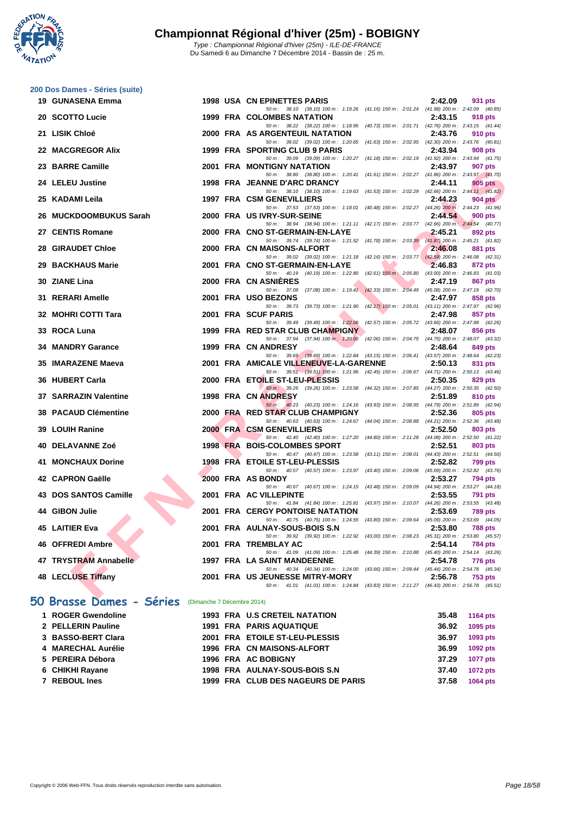

|    | 200 Dos Dames - Séries (suite) |                            |                                                                                                                                                                                                                   |         |                 |
|----|--------------------------------|----------------------------|-------------------------------------------------------------------------------------------------------------------------------------------------------------------------------------------------------------------|---------|-----------------|
|    | 19 GUNASENA Emma               |                            | <b>1998 USA CN EPINETTES PARIS</b>                                                                                                                                                                                | 2:42.09 | 931 pts         |
|    | 20 SCOTTO Lucie                |                            | 50 m: 38.10 (38.10) 100 m: 1:19.26 (41.16) 150 m: 2:01.24 (41.98) 200 m: 2:42.09 (40.85)<br>1999 FRA COLOMBES NATATION                                                                                            | 2:43.15 | 918 pts         |
|    | 21 LISIK Chloé                 |                            | 50 m: 38.22 (38.22) 100 m: 1:18.95 (40.73) 150 m: 2:01.71 (42.76) 200 m: 2:43.15 (41.44)<br>2000 FRA AS ARGENTEUIL NATATION                                                                                       | 2:43.76 | 910 pts         |
|    | 22 MACGREGOR Alix              |                            | 50 m : 39.02 (39.02) 100 m : 1:20.65 (41.63) 150 m : 2:02.95 (42.30) 200 m : 2:43.76 (40.81)<br>1999 FRA SPORTING CLUB 9 PARIS                                                                                    | 2:43.94 | 908 pts         |
|    | 23 BARRE Camille               |                            | 50 m: 39.09 (39.09) 100 m: 1:20.27 (41.18) 150 m: 2:02.19 (41.92) 200 m: 2:43.94 (41.75)<br>2001 FRA MONTIGNY NATATION                                                                                            | 2:43.97 | 907 pts         |
|    | 24 LELEU Justine               |                            | 50 m: 38.80 (38.80) 100 m: 1:20.41 (41.61) 150 m: 2:02.27 (41.86) 200 m: 2:43.97 (41.70)<br>1998 FRA JEANNE D'ARC DRANCY                                                                                          | 2:44.11 | 905 pts         |
| 25 | KADAMI Leila                   |                            | 50 m: 38.10 (38.10) 100 m: 1:19.63 (41.53) 150 m: 2:02.29 (42.66) 200 m: 2:44.11 (41.82)<br>1997 FRA CSM GENEVILLIERS<br>50 m: 37.53 (37.53) 100 m: 1:18.01 (40.48) 150 m: 2:02.27 (44.26) 200 m: 2:44.23 (41.96) | 2:44.23 | 904 pts         |
|    | 26 MUCKDOOMBUKUS Sarah         |                            | 2000 FRA US IVRY-SUR-SEINE<br>50 m: 38.94 (38.94) 100 m: 1:21.11 (42.17) 150 m: 2:03.77 (42.66) 200 m: 2:44.54 (40.77)                                                                                            | 2:44.54 | <b>900 pts</b>  |
|    | 27 CENTIS Romane               |                            | 2000 FRA CNO ST-GERMAIN-EN-LAYE<br>50 m: 39.74 (39.74) 100 m: 1:21.52 (41.78) 150 m: 2:03.39 (41.87) 200 m: 2:45.21 (41.82)                                                                                       | 2:45.21 | 892 pts         |
| 28 | <b>GIRAUDET Chloe</b>          |                            | 2000 FRA CN MAISONS-ALFORT<br>50 m: 39.02 (39.02) 100 m: 1:21.18 (42.16) 150 m: 2:03.77 (42.59) 200 m: 2:46.08 (42.31)                                                                                            | 2:46.08 | 881 pts         |
|    | 29 BACKHAUS Marie              |                            | 2001 FRA CNO ST-GERMAIN-EN-LAYE<br>50 m: 40.19 (40.19) 100 m: 1:22.80 (42.61) 150 m: 2:05.80 (43.00) 200 m: 2:46.83 (41.03)                                                                                       | 2:46.83 | 872 pts         |
|    | 30 ZIANE Lina                  |                            | 2000 FRA CN ASNIERES<br>50 m: 37.08 (37.08) 100 m: 1:19.41 (42.33) 150 m: 2:04.49 (45.08) 200 m: 2:47.19 (42.70)                                                                                                  | 2:47.19 | 867 pts         |
|    | 31 RERARI Amelle               |                            | 2001 FRA USO BEZONS<br>50 m: 39.73 (39.73) 100 m: 1:21.90 (42.17) 150 m: 2:05.01 (43.11) 200 m: 2:47.97 (42.96)                                                                                                   | 2:47.97 | 858 pts         |
|    | 32 MOHRI COTTI Tara            |                            | 2001 FRA SCUF PARIS<br>50 m: 39.49 (39.49) 100 m: 1:22.06 (42.57) 150 m: 2:05.72 (43.66) 200 m: 2:47.98 (42.26)                                                                                                   | 2:47.98 | 857 pts         |
|    | 33 ROCA Luna                   |                            | 1999 FRA RED STAR CLUB CHAMPIGNY<br>50 m: 37.94 (37.94) 100 m: 1.20.00 (42.06) 150 m: 2:04.75 (44.75) 200 m: 2:48.07 (43.32)                                                                                      | 2:48.07 | 856 pts         |
| 34 | <b>MANDRY Garance</b>          |                            | 1999 FRA CN ANDRESY<br>50 m: 39.69 (39.69) 100 m: 1:22.84 (43.15) 150 m: 2:06.41 (43.57) 200 m: 2:48.64 (42.23)                                                                                                   | 2:48.64 | 849 pts         |
|    | 35 IMARAZENE Maeva             |                            | 2001 FRA AMICALE VILLENEUVE-LA-GARENNE                                                                                                                                                                            | 2:50.13 |                 |
|    |                                |                            |                                                                                                                                                                                                                   |         | 831 pts         |
|    | 36 HUBERT Carla                |                            | 50 m: 39.51 (39.51) 100 m: 1:21.96 (42.45) 150 m: 2:06.67 (44.71) 200 m: 2:50.13 (43.46)<br>2000 FRA ETOILE ST-LEU-PLESSIS                                                                                        | 2:50.35 | 829 pts         |
|    | 37 SARRAZIN Valentine          |                            | 50 m: 39.26 (39.26) 100 m: 1:23.58 (44.32) 150 m: 2:07.85 (44.27) 200 m: 2:50.35 (42.50)<br>1998 FRA CN ANDRESY                                                                                                   | 2:51.89 | 810 pts         |
|    | <b>38 PACAUD Clémentine</b>    |                            | 50 m: 40.23 (40.23) 100 m: 1:24.16 (43.93) 150 m: 2:08.95 (44.79) 200 m: 2:51.89 (42.94)<br>2000 FRA RED STAR CLUB CHAMPIGNY                                                                                      | 2:52.36 | 805 pts         |
|    | 39 LOUIH Ranine                |                            | 50 m: 40.63 (40.63) 100 m: 1:24.67 (44.04) 150 m: 2:08.88 (44.21) 200 m: 2:52.36 (43.48)<br>2000 FRA CSM GENEVILLIERS                                                                                             | 2:52.50 | 803 pts         |
|    | 40 DELAVANNE Zoé               |                            | 50 m: 42.40 (42.40) 100 m: 1:27.20 (44.80) 150 m: 2:11.28 (44.08) 200 m: 2:52.50 (41.22)<br>1998 FRA BOIS-COLOMBES SPORT                                                                                          | 2:52.51 | 803 pts         |
|    | 41 MONCHAUX Dorine             |                            | 50 m: 40.47 (40.47) 100 m: 1:23.58 (43.11) 150 m: 2:08.01 (44.43) 200 m: 2:52.51 (44.50)<br>1998 FRA ETOILE ST-LEU-PLESSIS                                                                                        | 2:52.82 | 799 pts         |
|    | 42 CAPRON Gaëlle               |                            | 50 m: 40.57 (40.57) 100 m: 1:23.97 (43.40) 150 m: 2:09.06 (45.09) 200 m: 2:52.82 (43.76)<br>2000 FRA AS BONDY                                                                                                     | 2:53.27 | 794 pts         |
|    | 43 DOS SANTOS Camille          |                            | 50 m: 40.67 (40.67) 100 m: 1:24.15 (43.48) 150 m: 2:09.09 (44.94) 200 m: 2:53.27 (44.18)<br>2001 FRA AC VILLEPINTE<br>50 m: 41.84 (41.84) 100 m: 1:25.81 (43.97) 150 m: 2:10.07 (44.26) 200 m: 2:53.55 (43.48)    | 2:53.55 | 791 pts         |
|    | 44 GIBON Julie<br><b>A</b>     |                            | <b>2001 FRA CERGY PONTOISE NATATION</b>                                                                                                                                                                           | 2:53.69 | 789 pts         |
|    | 45 LAITIER Eva                 |                            | 50 m: 40.75 (40.75) 100 m: 1:24.55 (43.80) 150 m: 2:09.64 (45.09) 200 m: 2:53.69 (44.05)<br>2001 FRA AULNAY-SOUS-BOIS S.N                                                                                         | 2:53.80 | 788 pts         |
|    | 46 OFFREDI Ambre               |                            | 50 m: 39.92 (39.92) 100 m: 1:22.92 (43.00) 150 m: 2:08.23 (45.31) 200 m: 2:53.80 (45.57)<br>2001 FRA TREMBLAY AC<br>50 m: 41.09 (41.09) 100 m: 1:25.48 (44.39) 150 m: 2:10.88 (45.40) 200 m: 2:54.14 (43.26)      | 2:54.14 | 784 pts         |
|    | 47 TRYSTRAM Annabelle          |                            | <b>1997 FRA LA SAINT MANDEENNE</b><br>50 m: 40.34 (40.34) 100 m: 1:24.00 (43.66) 150 m: 2:09.44 (45.44) 200 m: 2:54.78 (45.34)                                                                                    | 2:54.78 | 776 pts         |
|    | 48 LECLUSE Tiffany             |                            | 2001 FRA US JEUNESSE MITRY-MORY<br>50 m: 41.01 (41.01) 100 m: 1:24.84 (43.83) 150 m: 2:11.27 (46.43) 200 m: 2:56.78 (45.51)                                                                                       | 2:56.78 | <b>753 pts</b>  |
|    | 50 Brasse Dames - Séries       | (Dimanche 7 Décembre 2014) |                                                                                                                                                                                                                   |         |                 |
|    | 1 ROGER Gwendoline             |                            | <b>1993 FRA U.S CRETEIL NATATION</b>                                                                                                                                                                              | 35.48   | <b>1164 pts</b> |
|    | 2 PELLERIN Pauline             |                            | 1991 FRA PARIS AQUATIQUE                                                                                                                                                                                          | 36.92   | 1095 pts        |

| 2 PELLERIN Pauline   |  | <b>1991 FRA PARIS AQUATIQUE</b>    | 36.92 | 1095 pts        |
|----------------------|--|------------------------------------|-------|-----------------|
| 3 BASSO-BERT Clara   |  | 2001 FRA ETOILE ST-LEU-PLESSIS     | 36.97 | 1093 pts        |
| 4 MARECHAL Aurélie   |  | 1996 FRA CN MAISONS-ALFORT         | 36.99 | <b>1092 pts</b> |
| 5 PEREIRA Débora     |  | 1996 FRA AC BOBIGNY                | 37.29 | 1077 pts        |
| 6 CHIKHI Rayane      |  | 1998 FRA AULNAY-SOUS-BOIS S.N      | 37.40 | <b>1072 pts</b> |
| <b>7 REBOUL Ines</b> |  | 1999 FRA CLUB DES NAGEURS DE PARIS | 37.58 | 1064 pts        |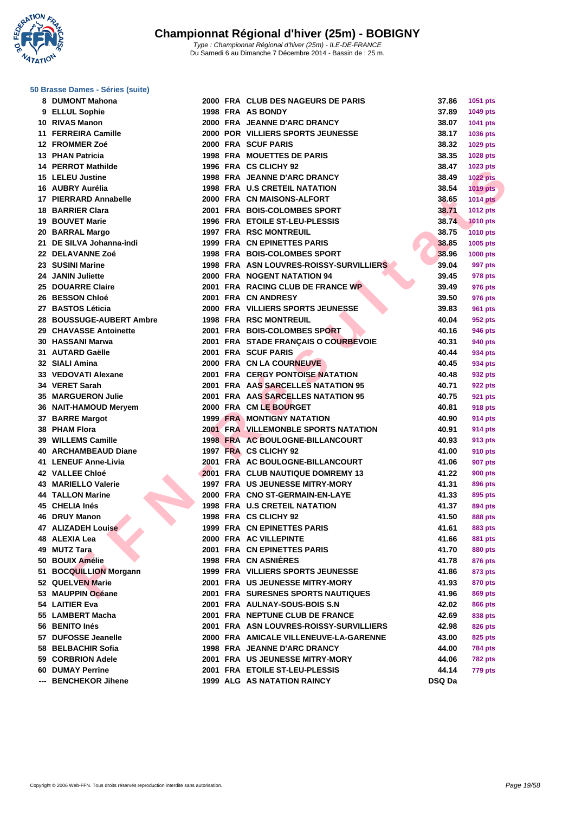**WATATION** 

### **[50 Brasse](http://www.ffnatation.fr/webffn/index.php) Dames - Séries (suite)**

| 8   | <b>DUMONT Mahona</b>       |
|-----|----------------------------|
|     | 9 ELLUL Sophie             |
|     | 10 RIVAS Manon             |
|     | 11 FERREIRA Camille        |
|     | 12 FROMMER Zoé             |
|     | <b>13 PHAN Patricia</b>    |
|     | <b>14 PERROT Mathilde</b>  |
|     | <b>15 LELEU Justine</b>    |
|     | 16 AUBRY Aurélia           |
|     | 17 PIERRARD Annabelle      |
|     | <b>18 BARRIER Clara</b>    |
|     | 19 BOUVET Marie            |
|     | 20 BARRAL Margo            |
|     | 21 DE SILVA Johanna-indi   |
|     | 22 DELAVANNE Zoé           |
|     | 23 SUSINI Marine           |
|     | 24 JANIN Juliette          |
|     | 25 DOUARRE Claire          |
|     | 26 BESSON Chloé            |
|     | 27 BASTOS Léticia          |
|     | 28 BOUSSUGE-AUBERT Ambre   |
|     | 29 CHAVASSE Antoinette     |
|     | 30 HASSANI Marwa           |
|     | 31 AUTARD Gaëlle           |
|     | 32 SIALI Amina             |
|     | 33 VEDOVATI Alexane        |
|     | 34 VERET Sarah             |
|     | 35 MARGUERON Julie         |
|     | 36 NAIT-HAMOUD Meryem      |
|     | 37 BARRE Margot            |
|     | 38 PHAM Flora              |
|     | 39 WILLEMS Camille         |
|     | 40 ARCHAMBEAUD Diane       |
|     | 41 LENEUF Anne-Livia       |
|     | 42 VALLEE Chloé            |
|     | 43 MARIELLO Valerie        |
|     | <b>44 TALLON Marine</b>    |
|     | 45 CHELIA Inés             |
|     | 46 DRUY Manon              |
| 47  | <b>ALIZADEH Louise</b>     |
| 48  | <b>ALEXIA Lea</b>          |
| 49  | <b>MUTZ Tara</b>           |
| 50  | <b>BOUIX Amélie</b>        |
| 51  | <b>BOCQUILLION Morgann</b> |
|     | 52 QUELVEN Marie           |
| 53  | <b>MAUPPIN Océane</b>      |
| 54  | <b>LAITIER Eva</b>         |
|     | 55 LAMBERT Macha           |
|     | 56 BENITO Inés             |
| 57  | <b>DUFOSSE Jeanelle</b>    |
| 58  | <b>BELBACHIR Sofia</b>     |
| 59  | <b>CORBRION Adele</b>      |
|     | <b>60 DUMAY Perrine</b>    |
| --- | <b>BENCHEKOR Jihene</b>    |
|     |                            |

| 8 DUMONT Mahona                 |  | 2000 FRA CLUB DES NAGEURS DE PARIS                       | 37.86  | 1051 pts        |
|---------------------------------|--|----------------------------------------------------------|--------|-----------------|
| 9 ELLUL Sophie                  |  | 1998 FRA AS BONDY                                        | 37.89  | 1049 pts        |
| 10 RIVAS Manon                  |  | 2000 FRA JEANNE D'ARC DRANCY                             | 38.07  | 1041 pts        |
| 11 FERREIRA Camille             |  | 2000 POR VILLIERS SPORTS JEUNESSE                        | 38.17  | 1036 pts        |
| 12 FROMMER Zoé                  |  | 2000 FRA SCUF PARIS                                      | 38.32  | 1029 pts        |
| 13 PHAN Patricia                |  | <b>1998 FRA MOUETTES DE PARIS</b>                        | 38.35  | 1028 pts        |
| 14 PERROT Mathilde              |  | 1996 FRA CS CLICHY 92                                    | 38.47  | 1023 pts        |
| 15 LELEU Justine                |  | 1998 FRA JEANNE D'ARC DRANCY                             | 38.49  | <b>1022 pts</b> |
| 16 AUBRY Aurélia                |  | <b>1998 FRA U.S CRETEIL NATATION</b>                     | 38.54  | <b>1019 pts</b> |
| 17 PIERRARD Annabelle           |  | 2000 FRA CN MAISONS-ALFORT                               | 38.65  | <b>1014 pts</b> |
| 18 BARRIER Clara                |  | 2001 FRA BOIS-COLOMBES SPORT                             | 38.71  | 1012 pts        |
| 19 BOUVET Marie                 |  | 1996 FRA ETOILE ST-LEU-PLESSIS                           | 38.74  | <b>1010 pts</b> |
| 20 BARRAL Margo                 |  | <b>1997 FRA RSC MONTREUIL</b>                            | 38.75  | <b>1010 pts</b> |
| 21 DE SILVA Johanna-indi        |  | 1999 FRA CN EPINETTES PARIS                              | 38.85  | 1005 pts        |
| <b>22 DELAVANNE Zoé</b>         |  | 1998 FRA BOIS-COLOMBES SPORT                             | 38.96  | 1000 pts        |
| 23 SUSINI Marine                |  | 1998 FRA ASN LOUVRES-ROISSY-SURVILLIERS                  | 39.04  | 997 pts         |
| 24 JANIN Juliette               |  | 2000 FRA NOGENT NATATION 94                              | 39.45  |                 |
| 25 DOUARRE Claire               |  |                                                          | 39.49  | 978 pts         |
| 26 BESSON Chloé                 |  | 2001 FRA RACING CLUB DE FRANCE WP<br>2001 FRA CN ANDRESY | 39.50  | 976 pts         |
|                                 |  |                                                          |        | 976 pts         |
| 27 BASTOS Léticia               |  | 2000 FRA VILLIERS SPORTS JEUNESSE                        | 39.83  | 961 pts         |
| <b>28 BOUSSUGE-AUBERT Ambre</b> |  | <b>1998 FRA RSC MONTREUIL</b>                            | 40.04  | 952 pts         |
| 29 CHAVASSE Antoinette          |  | 2001 FRA BOIS-COLOMBES SPORT                             | 40.16  | 946 pts         |
| 30   HASSANI Marwa              |  | 2001 FRA STADE FRANCAIS O COURBEVOIE                     | 40.31  | 940 pts         |
| 31 AUTARD Gaëlle                |  | 2001 FRA SCUF PARIS                                      | 40.44  | 934 pts         |
| 32 SIALI Amina                  |  | 2000 FRA CN LA COURNEUVE                                 | 40.45  | 934 pts         |
| 33 VEDOVATI Alexane             |  | <b>2001 FRA CERGY PONTOISE NATATION</b>                  | 40.48  | 932 pts         |
| 34 VERET Sarah                  |  | 2001 FRA AAS SARCELLES NATATION 95                       | 40.71  | <b>922 pts</b>  |
| <b>35 MARGUERON Julie</b>       |  | 2001 FRA AAS SARCELLES NATATION 95                       | 40.75  | 921 pts         |
| 36 NAIT-HAMOUD Meryem           |  | 2000 FRA CM LE BOURGET                                   | 40.81  | 918 pts         |
| 37 BARRE Margot                 |  | <b>1999 FRA MONTIGNY NATATION</b>                        | 40.90  | 914 pts         |
| 38 PHAM Flora                   |  | 2001 FRA VILLEMONBLE SPORTS NATATION                     | 40.91  | 914 pts         |
| 39 WILLEMS Camille              |  | 1998 FRA AC BOULOGNE-BILLANCOURT                         | 40.93  | <b>913 pts</b>  |
| 40 ARCHAMBEAUD Diane            |  | 1997 FRA CS CLICHY 92                                    | 41.00  | 910 pts         |
| 41 LENEUF Anne-Livia            |  | 2001 FRA AC BOULOGNE-BILLANCOURT                         | 41.06  | <b>907 pts</b>  |
| <b>42 VALLEE Chloé</b>          |  | 2001 FRA CLUB NAUTIQUE DOMREMY 13                        | 41.22  | <b>900 pts</b>  |
| 43 MARIELLO Valerie             |  | <b>1997 FRA US JEUNESSE MITRY-MORY</b>                   | 41.31  | 896 pts         |
| 44 TALLON Marine                |  | 2000 FRA CNO ST-GERMAIN-EN-LAYE                          | 41.33  | 895 pts         |
| 45 CHELIA Inés                  |  | <b>1998 FRA U.S CRETEIL NATATION</b>                     | 41.37  | 894 pts         |
| 46 DRUY Manon                   |  | 1998 FRA CS CLICHY 92                                    | 41.50  | <b>888 pts</b>  |
| 47 ALIZADEH Louise              |  | <b>1999 FRA CN EPINETTES PARIS</b>                       | 41.61  | 883 pts         |
| 48 ALEXIA Lea                   |  | 2000 FRA AC VILLEPINTE                                   | 41.66  | 881 pts         |
| 49 MUTZ Tara                    |  | 2001 FRA CN EPINETTES PARIS                              | 41.70  | 880 pts         |
| 50 BOUIX Amélie                 |  | 1998 FRA CN ASNIÈRES                                     | 41.78  | 876 pts         |
| 51 BOCQUILLION Morgann          |  | 1999 FRA VILLIERS SPORTS JEUNESSE                        | 41.86  | 873 pts         |
| 52 QUELVEN Marie                |  | 2001 FRA US JEUNESSE MITRY-MORY                          | 41.93  | 870 pts         |
| 53 MAUPPIN Océane               |  | <b>2001 FRA SURESNES SPORTS NAUTIQUES</b>                |        |                 |
|                                 |  |                                                          | 41.96  | 869 pts         |
| 54 LAITIER Eva                  |  | 2001 FRA AULNAY-SOUS-BOIS S.N                            | 42.02  | <b>866 pts</b>  |
| 55 LAMBERT Macha                |  | 2001 FRA NEPTUNE CLUB DE FRANCE                          | 42.69  | 838 pts         |
| 56 BENITO Inés                  |  | 2001 FRA ASN LOUVRES-ROISSY-SURVILLIERS                  | 42.98  | <b>826 pts</b>  |
| 57 DUFOSSE Jeanelle             |  | 2000 FRA AMICALE VILLENEUVE-LA-GARENNE                   | 43.00  | 825 pts         |
| 58 BELBACHIR Sofia              |  | 1998 FRA JEANNE D'ARC DRANCY                             | 44.00  | <b>784 pts</b>  |
| 59 CORBRION Adele               |  | 2001 FRA US JEUNESSE MITRY-MORY                          | 44.06  | <b>782 pts</b>  |
| 60 DUMAY Perrine                |  | 2001 FRA ETOILE ST-LEU-PLESSIS                           | 44.14  | <b>779 pts</b>  |
| --- BENCHEKOR Jihene            |  | 1999 ALG AS NATATION RAINCY                              | DSQ Da |                 |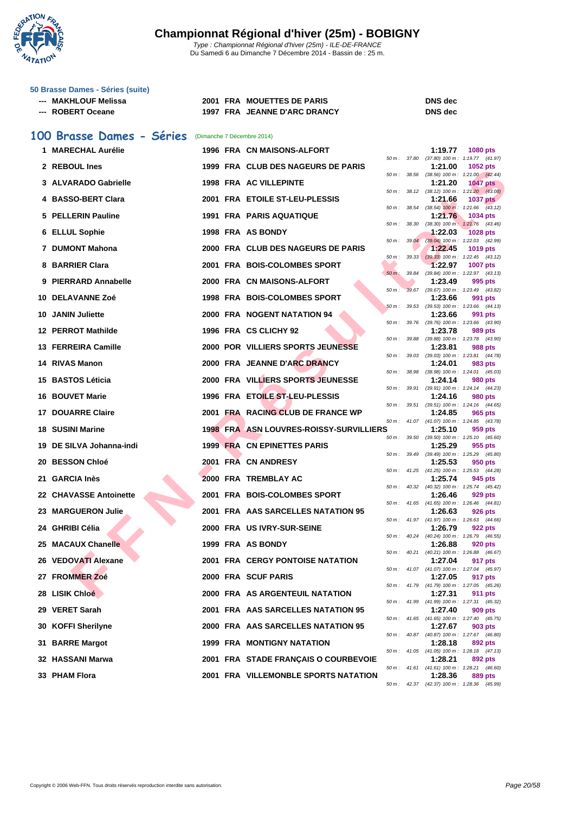

| 50 Brasse Dames - Séries (suite) |                              |                                    |
|----------------------------------|------------------------------|------------------------------------|
| --- MAKHLOUF Melissa             | 2001 FRA MOUETTES DE PARIS   | <b>DNS</b> dec                     |
| --- ROBERT Oceane                | 1997 FRA JEANNE D'ARC DRANCY | <b>DNS</b> dec                     |
| 100 Brasse Dames - Séries        | (Dimanche 7 Décembre 2014)   |                                    |
| 1 MARECHAL Aurélie               | 1996 FRA CN MAISONS-ALFORT   | 1:19.77                            |
|                                  |                              | $(37.80)$ 100 m<br>50 m :<br>37.80 |

| 1 MARECHAL Aurélie       |  | 1996 FRA CN MAISONS-ALFORT                     |          |                  | 1:19.77 | <b>1080 pts</b>                                              |
|--------------------------|--|------------------------------------------------|----------|------------------|---------|--------------------------------------------------------------|
| 2 REBOUL Ines            |  | 1999 FRA CLUB DES NAGEURS DE PARIS             |          | 50 m : 37.80     | 1:21.00 | $(37.80)$ 100 m : 1:19.77 $(41.97)$<br><b>1052 pts</b>       |
| 3 ALVARADO Gabrielle     |  | 1998 FRA AC VILLEPINTE                         |          | 50 m : 38.56     | 1:21.20 | $(38.56)$ 100 m : 1:21.00 $(42.44)$<br><b>1047 pts</b>       |
|                          |  |                                                |          |                  |         | 50 m: 38.12 (38.12) 100 m: 1:21.20 (43.08)                   |
| 4 BASSO-BERT Clara       |  | 2001 FRA ETOILE ST-LEU-PLESSIS                 |          | $50 m$ : $38.54$ | 1:21.66 | <b>1037 pts</b><br>$(38.54)$ 100 m : 1.21.66 $(43.12)$       |
| 5 PELLERIN Pauline       |  | 1991 FRA PARIS AQUATIQUE                       |          | 50 m : 38.30     | 1:21.76 | 1034 pts<br>$(38.30)$ 100 m : 1:21.76 $(43.46)$              |
| 6 ELLUL Sophie           |  | 1998 FRA AS BONDY                              |          |                  | 1:22.03 | <b>1028 pts</b>                                              |
| 7 DUMONT Mahona          |  | 2000 FRA CLUB DES NAGEURS DE PARIS             | 50 m :   | 39.04            | 1:22.45 | $(39.04)$ 100 m : 1:22.03 $(42.99)$<br><b>1019 pts</b>       |
| 8 BARRIER Clara          |  | 2001 FRA BOIS-COLOMBES SPORT                   |          | 50 m: 39.33      | 1:22.97 | $(39.33)$ 100 m : 1:22.45 $(43.12)$<br><b>1007 pts</b>       |
| 9 PIERRARD Annabelle     |  | 2000 FRA CN MAISONS-ALFORT                     | $50 m$ : | 39.84            | 1:23.49 | (39.84) 100 m: 1:22.97 (43.13)<br>995 pts                    |
|                          |  |                                                | $50 m$ : |                  |         | 39.67 (39.67) 100 m: 1:23.49 (43.82)                         |
| 10   DELAVANNE Zoé       |  | 1998 FRA BOIS-COLOMBES SPORT                   |          |                  | 1:23.66 | 991 pts<br>50 m: 39.53 (39.53) 100 m: 1:23.66 (44.13)        |
| 10 JANIN Juliette        |  | 2000 FRA NOGENT NATATION 94                    |          |                  | 1:23.66 | 991 pts                                                      |
| 12 PERROT Mathilde       |  | 1996 FRA CS CLICHY 92                          | 50 m :   | 39.76            | 1:23.78 | $(39.76)$ 100 m : 1:23.66 $(43.90)$<br>989 pts               |
|                          |  |                                                |          |                  |         | 50 m: 39.88 (39.88) 100 m: 1:23.78 (43.90)                   |
| 13 FERREIRA Camille      |  | <b>2000 POR VILLIERS SPORTS JEUNESSE</b>       | 50 m :   | 39.03            | 1:23.81 | <b>988 pts</b><br>$(39.03)$ 100 m : 1:23.81 $(44.78)$        |
| 14 RIVAS Manon           |  | 2000 FRA JEANNE D'ARC DRANCY                   |          |                  | 1:24.01 | 983 pts<br>$(38.98)$ 100 m : 1:24.01 $(45.03)$               |
| 15 BASTOS Léticia        |  | <b>2000 FRA VILLIERS SPORTS JEUNESSE</b>       |          | 50 m : 38.98     | 1:24.14 | <b>980 pts</b>                                               |
| <b>16 BOUVET Marie</b>   |  | 1996 FRA ETOILE ST-LEU-PLESSIS                 |          | 50 m : 39.91     | 1:24.16 | (39.91) 100 m: 1:24.14 (44.23)<br>980 pts                    |
| 17 DOUARRE Claire        |  | 2001 FRA RACING CLUB DE FRANCE WP              |          | 50 m : 39.51     | 1:24.85 | $(39.51)$ 100 m : 1:24.16 $(44.65)$<br>965 pts               |
| 18 SUSINI Marine         |  | <b>1998 FRA ASN LOUVRES-ROISSY-SURVILLIERS</b> |          |                  |         | 50 m: 41.07 (41.07) 100 m: 1:24.85 (43.78)                   |
|                          |  |                                                |          |                  | 1:25.10 | 959 pts<br>50 m: 39.50 (39.50) 100 m: 1:25.10 (45.60)        |
| 19 DE SILVA Johanna-indi |  | <b>1999 FRA CN EPINETTES PARIS</b>             |          |                  | 1:25.29 | 955 pts<br>50 m: 39.49 (39.49) 100 m: 1:25.29 (45.80)        |
| 20   BESSON Chloé        |  | 2001 FRA CN ANDRESY                            |          |                  | 1:25.53 | 950 pts                                                      |
| 21   GARCIA Inès         |  | 2000 FRA TREMBLAY AC                           |          |                  | 1:25.74 | 50 m: 41.25 (41.25) 100 m: 1:25.53 (44.28)<br>945 pts        |
| 22 CHAVASSE Antoinette   |  | 2001 FRA BOIS-COLOMBES SPORT                   |          |                  | 1:26.46 | 50 m: 40.32 (40.32) 100 m: 1:25.74 (45.42)<br>929 pts        |
|                          |  |                                                |          |                  |         | 50 m: 41.65 (41.65) 100 m: 1:26.46 (44.81)                   |
| 23   MARGUERON Julie     |  | 2001 FRA AAS SARCELLES NATATION 95             |          |                  | 1:26.63 | <b>926 pts</b><br>50 m: 41.97 (41.97) 100 m: 1:26.63 (44.66) |
| 24   GHRIBI Célia        |  | 2000 FRA US IVRY-SUR-SEINE                     |          |                  | 1:26.79 | 922 pts                                                      |
| 25 MACAUX Chanelle       |  | 1999 FRA AS BONDY                              |          |                  | 1:26.88 | 50 m: 40.24 (40.24) 100 m: 1:26.79 (46.55)<br>920 pts        |
| 26 VEDOVATI Alexane      |  | <b>2001 FRA CERGY PONTOISE NATATION</b>        |          |                  | 1:27.04 | 50 m: 40.21 (40.21) 100 m: 1:26.88 (46.67)<br>917 pts        |
|                          |  |                                                |          |                  |         | 50 m: 41.07 (41.07) 100 m: 1:27.04 (45.97)                   |
| 27 FROMMER Zoé           |  | 2000 FRA SCUF PARIS                            |          |                  | 1:27.05 | 917 pts<br>50 m: 41.79 (41.79) 100 m: 1:27.05 (45.26)        |
| 28 LISIK Chloé           |  | 2000 FRA AS ARGENTEUIL NATATION                |          |                  | 1:27.31 | <b>911 pts</b><br>50 m: 41.99 (41.99) 100 m: 1:27.31 (45.32) |
| 29 VERET Sarah           |  | 2001 FRA AAS SARCELLES NATATION 95             |          |                  | 1:27.40 | 909 pts                                                      |
| 30 KOFFI Sherilyne       |  | 2000 FRA AAS SARCELLES NATATION 95             |          |                  | 1:27.67 | 50 m: 41.65 (41.65) 100 m: 1:27.40 (45.75)<br>903 pts        |
| 31 BARRE Margot          |  | <b>1999 FRA MONTIGNY NATATION</b>              |          |                  | 1:28.18 | 50 m: 40.87 (40.87) 100 m: 1:27.67 (46.80)<br>892 pts        |
|                          |  |                                                |          |                  |         | 50 m: 41.05 (41.05) 100 m: 1:28.18 (47.13)                   |
| 32 HASSANI Marwa         |  | 2001 FRA STADE FRANÇAIS O COURBEVOIE           |          |                  | 1:28.21 | 892 pts<br>50 m: 41.61 (41.61) 100 m: 1:28.21 (46.60)        |
| 33 PHAM Flora            |  | 2001 FRA VILLEMONBLE SPORTS NATATION           |          |                  | 1:28.36 | <b>889 pts</b>                                               |

| 50 m :   | 38.12 | $(38.12)$ 100 m : | 1:21.20<br>(43.08) |
|----------|-------|-------------------|--------------------|
|          |       | 1:21.66           | 1037 pts           |
| 50 m:    | 38.54 | $(38.54)$ 100 m:  | 1:21.66<br>(43.12) |
|          |       | 1:21.76           | 1034 pts           |
| 50 m:    | 38.30 | $(38.30)$ 100 m:  | 1:21.76<br>(43.46) |
|          |       | 1:22.03           | 1028<br>pts        |
| 50 m:    | 39.04 | $(39.04)$ 100 m : | 1:22.03<br>(42.99) |
|          |       | 1:22.45           | 1019<br>pts        |
| 50 m:    | 39.33 | $(39.33) 100 m$ : | 1:22.45<br>(43.12) |
|          |       | 1:22.97           | 1007<br>pts        |
| $50m$ :  | 39.84 | $(39.84) 100 m$ : | 1:22.97<br>(43.13) |
|          |       |                   | 995                |
|          |       | 1:23.49           | pts                |
| $50 m$ : | 39.67 | $(39.67) 100 m$ : | 1:23.49<br>(43.82) |
|          |       | 1:23.66           | 991<br>pts         |
| 50 m :   | 39.53 | $(39.53) 100 m$ : | 1:23.66<br>(44.13) |
|          |       | 1:23.66           | 991<br>pts         |
| $50 m$ : | 39.76 | $(39.76) 100 m$ : | 1:23.66<br>(43.90) |
|          |       | 1:23.78           | <b>989 pts</b>     |
| 50 m :   | 39.88 | (39.88) 100 m :   | 1:23.78<br>(43.90) |
|          |       | 1:23.81           | <b>988 pts</b>     |
| 50 m :   | 39.03 | $(39.03) 100 m$ : | 1:23.81<br>(44.78) |
|          |       | 1:24.01           | <b>983 pts</b>     |
| $50 m$ : | 38.98 | $(38.98) 100 m$ : | 1:24.01<br>(45.03) |
|          |       | 1:24.14           | 980 pts            |
| 50 m:    | 39.91 | $(39.91)$ 100 m : | 1:24.14<br>(44.23) |
|          |       | 1:24.16           | <b>980 pts</b>     |
| $50 m$ : | 39.51 | $(39.51)$ 100 m : | 1:24.16<br>(44.65) |
|          |       | 1:24.85           | 965<br>pts         |
| 50 m:    | 41.07 | $(41.07) 100 m$ : | 1:24.85<br>(43.78) |
|          |       | 1:25.10           | 959<br>pts         |
| $50 m$ : | 39.50 | $(39.50)$ 100 m : | 1:25.10<br>(45.60) |
|          |       | 1:25.29           | 955 pts            |
| 50 m :   | 39.49 | $(39.49) 100 m$ : | 1:25.29<br>(45.80) |
|          |       | 1:25.53           | 950 pts            |
| $50 m$ : | 41.25 | $(41.25)$ 100 m : | 1:25.53<br>(44.28) |
|          |       | 1:25.74           | 945 pts            |
| 50 m :   | 40.32 | $(40.32)$ 100 m : | 1:25.74<br>(45.42) |
|          |       | 1:26.46           | 929 pts            |
| 50 m:    | 41.65 | $(41.65) 100 m$ : | 1:26.46<br>(44.81) |
|          |       | 1:26.63           | <b>926 pts</b>     |
| 50 m :   | 41.97 | $(41.97) 100 m$ : | 1:26.63<br>(44.66) |
|          |       |                   |                    |
|          |       | 1:26.79           | <b>922 pts</b>     |
| 50 m:    | 40.24 | $(40.24)$ 100 m : | 1:26.79<br>(46.55) |
|          |       | 1:26.88           | <b>920 pts</b>     |
| $50 m$ : | 40.21 | $(40.21)$ 100 m : | 1:26.88<br>(46.67) |
|          |       | 1:27.04           | 917<br>pts         |
| $50 m$ : | 41.07 | $(41.07) 100 m$ : | 1:27.04<br>(45.97) |
|          |       | 1:27.05           | 917 pts            |
| $50 m$ : | 41.79 | $(41.79) 100 m$ : | 1:27.05<br>(45.26) |
|          |       | 1:27.31           | 911<br>pts         |
| 50 m :   | 41.99 | $(41.99) 100 m$ : | 1:27.31<br>(45.32) |
|          |       | 1:27.40           | <b>909 pts</b>     |
| $50 m$ : | 41.65 | $(41.65) 100 m$ : | 1:27.40<br>(45.75) |
|          |       | 1:27.67           | <b>903 pts</b>     |
| 50 m :   | 40.87 | $(40.87) 100 m$ : | 1:27.67<br>(46.80) |
|          |       | 1:28.18           | 892 pts            |
| 50 m:    | 41.05 | $(41.05) 100 m$ : | 1:28.18<br>(47.13) |
|          |       | 1:28.21           | 892 pts            |
| 50 m:    | 41.61 | $(41.61) 100 m$ : | 1:28.21<br>(46.60) |
|          |       | 1:28.36           | <b>889 pts</b>     |
| $50 m$ : | 42.37 | $(42.37) 100 m$ : | 1:28.36<br>(45.99) |
|          |       |                   |                    |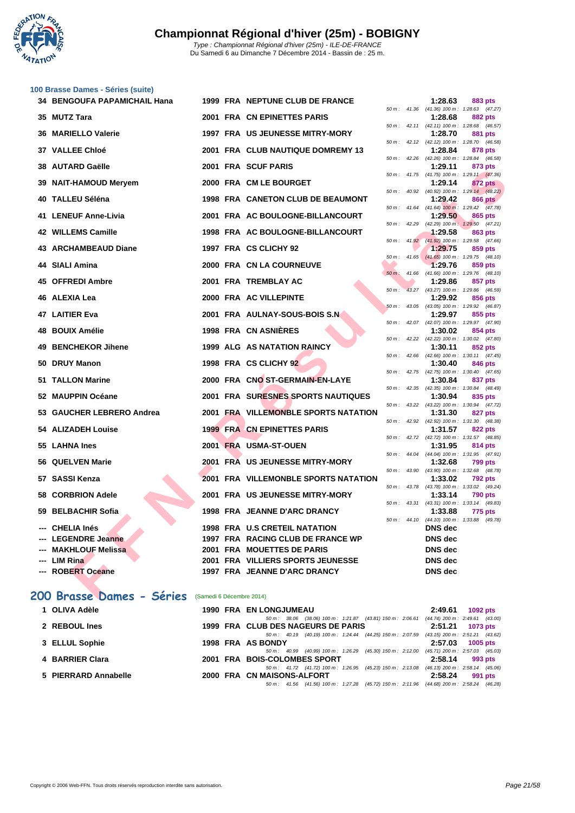

#### **[100 Brass](http://www.ffnatation.fr/webffn/index.php)e Dames - Séries (suite)**

| 34 BENGOUFA PAPAMICHAIL Hana |  | 1999 FRA NEPTUNE CLUB DE FRANCE             |                            |                        | 1:28.63                                               | 883 pts        |  |
|------------------------------|--|---------------------------------------------|----------------------------|------------------------|-------------------------------------------------------|----------------|--|
| 35 MUTZ Tara                 |  | 2001 FRA CN EPINETTES PARIS                 |                            |                        | 50 m: 41.36 (41.36) 100 m: 1:28.63 (47.27)<br>1:28.68 | 882 pts        |  |
| <b>36 MARIELLO Valerie</b>   |  | 1997 FRA US JEUNESSE MITRY-MORY             | $50 m$ :                   |                        | 42.11 (42.11) 100 m: 1:28.68 (46.57)<br>1:28.70       | 881 pts        |  |
| 37 VALLEE Chloé              |  | 2001 FRA CLUB NAUTIQUE DOMREMY 13           | $50 m$ :                   | 42.12                  | (42.12) 100 m: 1:28.70 (46.58)<br>1:28.84             | 878 pts        |  |
| 38 AUTARD Gaëlle             |  | 2001 FRA SCUF PARIS                         | $50 m$ :                   |                        | 42.26 (42.26) 100 m: 1:28.84 (46.58)<br>1:29.11       |                |  |
|                              |  |                                             |                            |                        | 50 m: 41.75 (41.75) 100 m: 1:29.11 (47.36)            | 873 pts        |  |
| 39 NAIT-HAMOUD Meryem        |  | 2000 FRA CM LE BOURGET                      | $50 m$ :                   | 40.92                  | 1:29.14<br>$(40.92)$ 100 m : 1:29.14 $(48.22)$        | 872 pts        |  |
| 40 TALLEU Séléna             |  | 1998 FRA CANETON CLUB DE BEAUMONT           |                            |                        | 1:29.42                                               | <b>866 pts</b> |  |
| 41 LENEUF Anne-Livia         |  | 2001 FRA AC BOULOGNE-BILLANCOURT            |                            | $50 \text{ m}$ : 41.64 | $(41.64)$ 100 m : 1:29.42 $(47.78)$<br>1:29.50        | 865 pts        |  |
| 42 WILLEMS Camille           |  | 1998 FRA AC BOULOGNE-BILLANCOURT            | 50 m: 42.29                |                        | $(42.29)$ 100 m : 1:29.50 $(47.21)$<br>1:29.58        | 863 pts        |  |
|                              |  |                                             |                            |                        | 50 m: 41.92 (41.92) 100 m: 1.29.58 (47.66)            |                |  |
| <b>43 ARCHAMBEAUD Diane</b>  |  | 1997 FRA CS CLICHY 92                       | $50 m$ :                   | 41.65                  | 1:29.75<br>$(41.65)$ 100 m : 1:29.75 $(48.10)$        | 859 pts        |  |
| 44 SIALI Amina               |  | 2000 FRA CN LA COURNEUVE                    |                            |                        | 1:29.76                                               | 859 pts        |  |
| 45 OFFREDI Ambre             |  | 2001 FRA TREMBLAY AC                        | $50 m$ :                   | 41.66                  | $(41.66)$ 100 m : 1:29.76 $(48.10)$<br>1:29.86        | 857 pts        |  |
|                              |  |                                             | $50 m$ :                   | 43.27                  | (43.27) 100 m: 1:29.86 (46.59)                        |                |  |
| 46 ALEXIA Lea                |  | 2000 FRA AC VILLEPINTE                      |                            |                        | 1:29.92<br>50 m: 43.05 (43.05) 100 m: 1:29.92 (46.87) | 856 pts        |  |
| 47 LAITIER Eva               |  | 2001 FRA AULNAY-SOUS-BOIS S.N               |                            |                        | 1:29.97                                               | 855 pts        |  |
| 48 BOUIX Amélie              |  | 1998 FRA CN ASNIÈRES                        | $50 m$ :                   |                        | 42.07 (42.07) 100 m: 1:29.97 (47.90)<br>1:30.02       | 854 pts        |  |
| 49 BENCHEKOR Jihene          |  | <b>1999 ALG AS NATATION RAINCY</b>          | $50 m$ :                   | 42.22                  | $(42.22)$ 100 m : 1:30.02 $(47.80)$<br>1:30.11        | 852 pts        |  |
|                              |  |                                             |                            |                        | 50 m: 42.66 (42.66) 100 m: 1:30.11 (47.45)            |                |  |
| 50 DRUY Manon                |  | 1998 FRA CS CLICHY 92                       |                            | 50 m: 42.75            | 1:30.40<br>$(42.75)$ 100 m : 1:30.40 $(47.65)$        | 846 pts        |  |
| 51 TALLON Marine             |  | 2000 FRA CNO ST-GERMAIN-EN-LAYE             |                            |                        | 1:30.84                                               | 837 pts        |  |
| 52 MAUPPIN Océane            |  | <b>2001 FRA SURESNES SPORTS NAUTIQUES</b>   |                            |                        | 50 m: 42.35 (42.35) 100 m: 1:30.84 (48.49)<br>1:30.94 | 835 pts        |  |
|                              |  |                                             | $50 m$ :                   | 43.22                  | $(43.22)$ 100 m : 1:30.94 $(47.72)$                   |                |  |
| 53 GAUCHER LEBRERO Andrea    |  | 2001 FRA VILLEMONBLE SPORTS NATATION        | $50 m$ :                   | 42.92                  | 1:31.30<br>$(42.92)$ 100 m : 1:31.30 $(48.38)$        | 827 pts        |  |
| <b>54 ALIZADEH Louise</b>    |  | <b>1999 FRA CN EPINETTES PARIS</b>          |                            |                        | 1:31.57                                               | 822 pts        |  |
| 55 LAHNA Ines                |  | 2001 FRA USMA-ST-OUEN                       | 50 m : 42.72               |                        | (42.72) 100 m: 1:31.57 (48.85)<br>1:31.95             | 814 pts        |  |
|                              |  |                                             |                            | 50 m : 44.04           | $(44.04)$ 100 m : 1:31.95 $(47.91)$                   |                |  |
| 56 QUELVEN Marie             |  | 2001 FRA US JEUNESSE MITRY-MORY             | $50 \, \text{m}$ : $43.90$ |                        | 1:32.68<br>$(43.90)$ 100 m : 1:32.68 $(48.78)$        | <b>799 pts</b> |  |
| 57 SASSI Kenza               |  | <b>2001 FRA VILLEMONBLE SPORTS NATATION</b> |                            |                        | 1:33.02                                               | <b>792 pts</b> |  |
| 58 CORBRION Adele            |  | 2001 FRA US JEUNESSE MITRY-MORY             | $50 m$ :                   |                        | 43.78 (43.78) 100 m: 1:33.02 (49.24)<br>1:33.14       | <b>790 pts</b> |  |
|                              |  |                                             | $50 m$ :                   | 43.31                  | $(43.31)$ 100 m : 1:33.14 $(49.83)$                   |                |  |
| 59 BELBACHIR Sofia           |  | 1998 FRA JEANNE D'ARC DRANCY                |                            | $50 m$ : 44.10         | 1:33.88<br>$(44.10)$ 100 m : 1:33.88 $(49.78)$        | 775 pts        |  |
| --- CHELIA Inés              |  | 1998 FRA U.S CRETEIL NATATION               |                            |                        | <b>DNS</b> dec                                        |                |  |
| --- LEGENDRE Jeanne          |  | 1997 FRA RACING CLUB DE FRANCE WP           |                            |                        | <b>DNS</b> dec                                        |                |  |
| --- MAKHLOUF Melissa         |  | 2001 FRA MOUETTES DE PARIS                  |                            |                        | <b>DNS</b> dec                                        |                |  |
| --- LIM Rina                 |  | 2001 FRA VILLIERS SPORTS JEUNESSE           |                            |                        | <b>DNS</b> dec                                        |                |  |
| --- ROBERT Oceane            |  | 1997 FRA JEANNE D'ARC DRANCY                |                            |                        | <b>DNS</b> dec                                        |                |  |

### **200 Brasse Dames - Séries** (Samedi 6 Décembre 2014)

| 1 OLIVA Adèle        | <b>1990 FRA EN LONGJUMEAU</b>                                                                     | 2:49.61 | <b>1092 pts</b>                                   |
|----------------------|---------------------------------------------------------------------------------------------------|---------|---------------------------------------------------|
| 2 REBOUL Ines        | 50 m: 38.06 (38.06) 100 m: 1:21.87 (43.81) 150 m: 2:06.61<br>1999 FRA CLUB DES NAGEURS DE PARIS   | 2:51.21 | $(44.74)$ 200 m : 2:49.61 $(43.00)$<br>1073 pts   |
| 3 ELLUL Sophie       | 50 m: 40.19 (40.19) 100 m: 1:24.44 (44.25) 150 m: 2:07.59<br>1998 FRA AS BONDY                    | 2:57.03 | $(43.15)$ 200 m : 2:51.21 $(43.62)$<br>$1005$ pts |
| 4 BARRIER Clara      | $(45.30)$ 150 m : 2:12.00<br>50 m : 40.99 (40.99) 100 m : 1:26.29<br>2001 FRA BOIS-COLOMBES SPORT | 2:58.14 | $(45.71)$ 200 m : 2:57.03 $(45.03)$<br>993 pts    |
| 5 PIERRARD Annabelle | 50 m : 41.72 (41.72) 100 m : 1:26.95 (45.23) 150 m : 2:13.08<br>2000 FRA CN MAISONS-ALFORT        | 2:58.24 | $(46.13)$ 200 m : 2:58.14 $(45.06)$<br>991 pts    |
|                      | 50 m : 41.56 (41.56) 100 m : 1:27.28 (45.72) 150 m : 2:11.96 (44.68) 200 m : 2:58.24              |         | (46.28)                                           |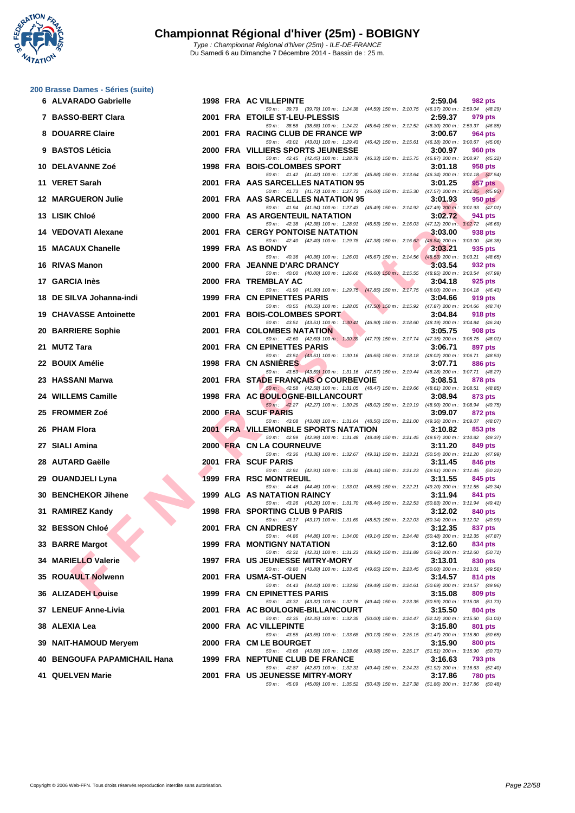**WATATION** 17

| 200 Brasse Dames - Séries (suite) |  |  |
|-----------------------------------|--|--|
|                                   |  |  |

| 6 ALVARADO Gabrielle           |  | 1998 FRA AC VILLEPINTE                                                                                                                  | 2:59.04 | 982 pts        |
|--------------------------------|--|-----------------------------------------------------------------------------------------------------------------------------------------|---------|----------------|
| 7 BASSO-BERT Clara             |  | 50 m: 39.79 (39.79) 100 m: 1:24.38 (44.59) 150 m: 2:10.75 (46.37) 200 m: 2:59.04 (48.29)<br>2001 FRA ETOILE ST-LEU-PLESSIS              | 2:59.37 | 979 pts        |
| 8 DOUARRE Claire               |  | 50 m: 38.58 (38.58) 100 m: 1:24.22 (45.64) 150 m: 2:12.52 (48.30) 200 m: 2:59.37 (46.85)<br>2001 FRA RACING CLUB DE FRANCE WP           | 3:00.67 | 964 pts        |
| 9 BASTOS Léticia               |  | 50 m: 43.01 (43.01) 100 m: 1:29.43 (46.42) 150 m: 2:15.61 (46.18) 200 m: 3:00.67 (45.06)<br>2000 FRA VILLIERS SPORTS JEUNESSE           | 3:00.97 | 960 pts        |
| 10   DELAVANNE Zoé             |  | 50 m: 42.45 (42.45) 100 m: 1:28.78 (46.33) 150 m: 2:15.75 (46.97) 200 m: 3:00.97 (45.22)<br>1998 FRA BOIS-COLOMBES SPORT                | 3:01.18 | 958 pts        |
| 11 VERET Sarah                 |  | 50 m: 41.42 (41.42) 100 m: 1:27.30 (45.88) 150 m: 2:13.64 (46.34) 200 m: 3:01.18 (47.54)<br>2001 FRA AAS SARCELLES NATATION 95          | 3:01.25 | 957 pts        |
| <b>12 MARGUERON Julie</b>      |  | 50 m: 41.73 (41.73) 100 m: 1:27.73 (46.00) 150 m: 2:15.30 (47.57) 200 m: 3:01.25 (45.95)<br>2001 FRA AAS SARCELLES NATATION 95          | 3:01.93 | $950$ pts      |
|                                |  | 50 m: 41.94 (41.94) 100 m: 1:27.43 (45.49) 150 m: 2:14.92 (47.49) 200 m: 3:01.93 (47.01)                                                |         |                |
| 13   LISIK Chloé               |  | 2000 FRA AS ARGENTEUIL NATATION<br>50 m : 42.38 (42.38) 100 m : 1:28.91 (46.53) 150 m : 2:16.03 (47.12) 200 m : 3:02.72 (46.69)         | 3:02.72 | 941 pts        |
| 14 VEDOVATI Alexane            |  | <b>2001 FRA CERGY PONTOISE NATATION</b><br>50 m: 42.40 (42.40) 100 m: 1:29.78 (47.38) 150 m: 2:16.62 (46.84) 200 m: 3:03.00 (46.38)     | 3:03.00 | 938 pts        |
| 15 MACAUX Chanelle             |  | 1999 FRA AS BONDY<br>50 m: 40.36 (40.36) 100 m: 1:26.03 (45.67) 150 m: 2:14.56 (48.53) 200 m: 3:03.21 (48.65)                           | 3:03.21 | 935 pts        |
| 16 RIVAS Manon                 |  | 2000 FRA JEANNE D'ARC DRANCY<br>50 m : 40.00 (40.00) 100 m : 1:26.60 (46.60) 150 m : 2:15.55 (48.95) 200 m : 3:03.54 (47.99)            | 3:03.54 | 932 pts        |
| 17   GARCIA Inès               |  | 2000 FRA TREMBLAY AC<br>50 m: 41.90 (41.90) 100 m: 1:29.75 (47.85) 150 m: 2:17.75 (48.00) 200 m: 3:04.18 (46.43)                        | 3:04.18 | 925 pts        |
| 18 DE SILVA Johanna-indi       |  | 1999 FRA CN EPINETTES PARIS                                                                                                             | 3:04.66 | 919 pts        |
| 19 CHAVASSE Antoinette         |  | 50 m: 40.55 (40.55) 100 m: 1:28.05 (47.50) 150 m: 2:15.92 (47.87) 200 m: 3:04.66 (48.74)<br>2001 FRA BOIS-COLOMBES SPORT                | 3:04.84 | 918 pts        |
| <b>20 BARRIERE Sophie</b>      |  | 50 m: 43.51 (43.51) 100 m: 1:30.41 (46.90) 150 m: 2:18.60 (48.19) 200 m: 3:04.84 (46.24)<br><b>2001 FRA COLOMBES NATATION</b>           | 3:05.75 | 908 pts        |
| 21 MUTZ Tara                   |  | 50 m: 42.60 (42.60) 100 m: 1:30.39 (47.79) 150 m: 2:17.74 (47.35) 200 m: 3:05.75 (48.01)<br>2001 FRA CN EPINETTES PARIS                 | 3:06.71 | 897 pts        |
| 22 BOUIX Amélie                |  | 50 m: 43.51 (43.51) 100 m: 1:30.16 (46.65) 150 m: 2:18.18 (48.02) 200 m: 3:06.71 (48.53)<br>1998 FRA CN ASNIERES                        | 3:07.71 | <b>886 pts</b> |
| 23   HASSANI Marwa             |  | 50 m: 43.59 (43.59) 100 m: 1:31.16 (47.57) 150 m: 2:19.44 (48.28) 200 m: 3:07.71 (48.27)<br>2001 FRA STADE FRANÇAIS O COURBEVOIE        | 3:08.51 | 878 pts        |
| 24 WILLEMS Camille             |  | 50 m: 42.58 (42.58) 100 m: 1:31.05 (48.47) 150 m: 2:19.66 (48.61) 200 m: 3:08.51 (48.85)<br>1998 FRA AC BOULOGNE-BILLANCOURT            | 3:08.94 | 873 pts        |
| 25 FROMMER Zoé                 |  | 50 m: 42.27 (42.27) 100 m: 1:30.29 (48.02) 150 m: 2:19.19 (48.90) 200 m: 3:08.94 (49.75)<br>2000 FRA SCUF PARIS                         | 3:09.07 | 872 pts        |
| 26 PHAM Flora                  |  | 50 m: 43.08 (43.08) 100 m: 1:31.64 (48.56) 150 m: 2:21.00 (49.36) 200 m: 3:09.07 (48.07)<br><b>2001 FRA VILLEMONBLE SPORTS NATATION</b> |         |                |
|                                |  | 50 m : 42.99 (42.99) 100 m : 1:31.48 (48.49) 150 m : 2:21.45 (49.97) 200 m : 3:10.82 (49.37)                                            | 3:10.82 | 853 pts        |
| 27   SIALI Amina               |  | 2000 FRA CN LA COURNEUVE<br>50 m: 43.36 (43.36) 100 m: 1:32.67 (49.31) 150 m: 2:23.21 (50.54) 200 m: 3:11.20 (47.99)                    | 3:11.20 | 849 pts        |
| 28 AUTARD Gaëlle               |  | 2001 FRA SCUF PARIS<br>50 m: 42.91 (42.91) 100 m: 1:31.32 (48.41) 150 m: 2:21.23 (49.91) 200 m: 3:11.45 (50.22)                         | 3:11.45 | 846 pts        |
| 29 OUANDJELI Lyna              |  | 1999 FRA RSC MONTREUIL<br>50 m: 44.46 (44.46) 100 m: 1:33.01 (48.55) 150 m: 2:22.21 (49.20) 200 m: 3:11.55 (49.34)                      | 3:11.55 | 845 pts        |
| 30 BENCHEKOR Jihene            |  | 1999 ALG AS NATATION RAINCY<br>50 m: 43.26 (43.26) 100 m: 1:31.70 (48.44) 150 m: 2:22.53 (50.83) 200 m: 3:11.94 (49.41)                 | 3:11.94 | 841 pts        |
| 31 RAMIREZ Kandy               |  | 1998 FRA SPORTING CLUB 9 PARIS<br>50 m: 43.17 (43.17) 100 m: 1:31.69 (48.52) 150 m: 2:22.03 (50.34) 200 m: 3:12.02 (49.99)              | 3:12.02 | 840 pts        |
| 32 BESSON Chloé                |  | 2001 FRA CN ANDRESY                                                                                                                     | 3:12.35 | 837 pts        |
| 33 BARRE Margot                |  | 50 m: 44.86 (44.86) 100 m: 1:34.00 (49.14) 150 m: 2:24.48 (50.48) 200 m: 3:12.35 (47.87)<br>1999 FRA MONTIGNY NATATION                  | 3:12.60 | 834 pts        |
| 34 MARIELLO Valerie            |  | 50 m: 42.31 (42.31) 100 m: 1:31.23 (48.92) 150 m: 2:21.89 (50.66) 200 m: 3:12.60 (50.71)<br>1997 FRA US JEUNESSE MITRY-MORY             | 3:13.01 | 830 pts        |
| 35 ROUAULT Nolwenn             |  | 50 m: 43.80 (43.80) 100 m: 1:33.45 (49.65) 150 m: 2:23.45 (50.00) 200 m: 3:13.01 (49.56)<br>2001 FRA USMA-ST-OUEN                       | 3:14.57 | 814 pts        |
| 36 ALIZADEH Louise             |  | 50 m : 44.43 (44.43) 100 m : 1:33.92<br>(49.49) 150 m : 2:24.61 (50.69) 200 m : 3:14.57 (49.96)<br>1999 FRA CN EPINETTES PARIS          | 3:15.08 | 809 pts        |
| 37 LENEUF Anne-Livia           |  | 50 m: 43.32 (43.32) 100 m: 1:32.76 (49.44) 150 m: 2:23.35 (50.59) 200 m: 3:15.08 (51.73)<br>2001 FRA AC BOULOGNE-BILLANCOURT            | 3:15.50 | 804 pts        |
| 38   ALEXIA Lea                |  | 50 m: 42.35 (42.35) 100 m: 1:32.35 (50.00) 150 m: 2:24.47 (52.12) 200 m: 3:15.50 (51.03)<br>2000 FRA AC VILLEPINTE                      | 3:15.80 | 801 pts        |
|                                |  | 50 m: 43.55 (43.55) 100 m: 1:33.68<br>(50.13) 150 m: 2:25.15 (51.47) 200 m: 3:15.80 (50.65)<br>2000 FRA CM LE BOURGET                   |         |                |
| 39 NAIT-HAMOUD Meryem          |  | 50 m : 43.68 (43.68) 100 m : 1:33.66<br>(49.98) 150 m : 2:25.17 (51.51) 200 m : 3:15.90 (50.73)                                         | 3:15.90 | 800 pts        |
| 40   BENGOUFA PAPAMICHAIL Hana |  | 1999 FRA NEPTUNE CLUB DE FRANCE<br>50 m: 42.87 (42.87) 100 m: 1:32.31 (49.44) 150 m: 2:24.23 (51.92) 200 m: 3:16.63 (52.40)             | 3:16.63 | 793 pts        |
| 41 QUELVEN Marie               |  | 2001 FRA US JEUNESSE MITRY-MORY<br>50 m: 45.09 (45.09) 100 m: 1:35.52 (50.43) 150 m: 2:27.38 (51.86) 200 m: 3:17.86 (50.48)             | 3:17.86 | 780 pts        |
|                                |  |                                                                                                                                         |         |                |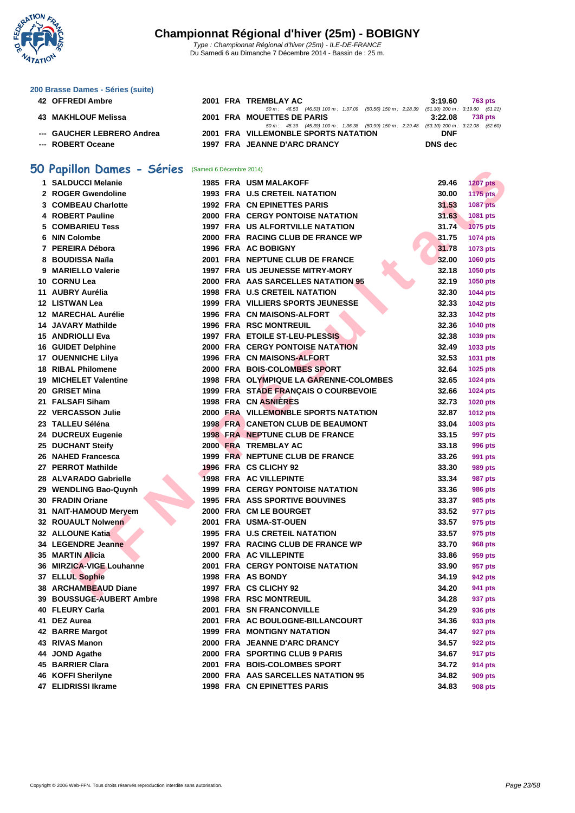

### **[200 Brass](http://www.ffnatation.fr/webffn/index.php)e Dames - Séries (suite)**

| 42 OFFREDI Ambre           |  | 2001 FRA TREMBLAY AC                                                                         | 3:19.60    | 763 pts |
|----------------------------|--|----------------------------------------------------------------------------------------------|------------|---------|
|                            |  | 50 m : 46.53 (46.53) 100 m : 1:37.09 (50.56) 150 m : 2:28.39 (51.30) 200 m : 3:19.60 (51.21) |            |         |
| 43 MAKHLOUF Melissa        |  | 2001 FRA MOUETTES DE PARIS                                                                   | 3:22.08    | 738 pts |
|                            |  | 50 m : 45.39 (45.39) 100 m : 1:36.38 (50.99) 150 m : 2:29.48 (53.10) 200 m : 3:22.08 (52.60  |            |         |
| --- GAUCHER LEBRERO Andrea |  | 2001 FRA VILLEMONBLE SPORTS NATATION                                                         | <b>DNF</b> |         |
| --- ROBERT Oceane          |  | 1997 FRA JEANNE D'ARC DRANCY                                                                 | DNS dec    |         |

### **50 Papillon Dames - Séries** (Samedi 6 Décembre 2014)

|    | <b>U Papillon Dames - Series</b> (Samedi 6 Décembre 2014) |  |                                             |       |                 |
|----|-----------------------------------------------------------|--|---------------------------------------------|-------|-----------------|
|    | 1 SALDUCCI Melanie                                        |  | <b>1985 FRA USM MALAKOFF</b>                | 29.46 | <b>1207 pts</b> |
|    | 2 ROGER Gwendoline                                        |  | <b>1993 FRA U.S CRETEIL NATATION</b>        | 30.00 | <b>1175 pts</b> |
|    | <b>3 COMBEAU Charlotte</b>                                |  | <b>1992 FRA CN EPINETTES PARIS</b>          | 31.53 | <b>1087 pts</b> |
|    | 4 ROBERT Pauline                                          |  | <b>2000 FRA CERGY PONTOISE NATATION</b>     | 31.63 | 1081 pts        |
| 5. | <b>COMBARIEU Tess</b>                                     |  | <b>1997 FRA US ALFORTVILLE NATATION</b>     | 31.74 | <b>1075 pts</b> |
|    | 6 NIN Colombe                                             |  | 2000 FRA RACING CLUB DE FRANCE WP           | 31.75 | 1074 pts        |
|    | 7 PEREIRA Débora                                          |  | 1996 FRA AC BOBIGNY                         | 31.78 | 1073 pts        |
|    | 8 BOUDISSA Naïla                                          |  | 2001 FRA NEPTUNE CLUB DE FRANCE             | 32.00 | <b>1060 pts</b> |
|    | 9 MARIELLO Valerie                                        |  | 1997 FRA US JEUNESSE MITRY-MORY             | 32.18 | <b>1050 pts</b> |
|    | 10 CORNU Lea                                              |  | 2000 FRA AAS SARCELLES NATATION 95          | 32.19 | 1050 pts        |
|    | 11 AUBRY Aurélia                                          |  | <b>1998 FRA U.S CRETEIL NATATION</b>        | 32.30 | <b>1044 pts</b> |
|    | 12 LISTWAN Lea                                            |  | 1999 FRA VILLIERS SPORTS JEUNESSE           | 32.33 | 1042 pts        |
|    | 12 MARECHAL Aurélie                                       |  | 1996 FRA CN MAISONS-ALFORT                  | 32.33 | <b>1042 pts</b> |
|    | <b>14 JAVARY Mathilde</b>                                 |  | <b>1996 FRA RSC MONTREUIL</b>               | 32.36 | 1040 pts        |
|    | <b>15 ANDRIOLLI Eva</b>                                   |  | 1997 FRA ETOILE ST-LEU-PLESSIS              | 32.38 | 1039 pts        |
|    | <b>16 GUIDET Delphine</b>                                 |  | <b>2000 FRA CERGY PONTOISE NATATION</b>     | 32.49 | 1033 pts        |
|    | <b>17 OUENNICHE Lilya</b>                                 |  | 1996 FRA CN MAISONS-ALFORT                  | 32.53 | 1031 pts        |
|    | <b>18 RIBAL Philomene</b>                                 |  | 2000 FRA BOIS-COLOMBES SPORT                | 32.64 | 1025 pts        |
|    | <b>19 MICHELET Valentine</b>                              |  | 1998 FRA OLYMPIQUE LA GARENNE-COLOMBES      | 32.65 | <b>1024 pts</b> |
|    | 20 GRISET Mina                                            |  | 1999 FRA STADE FRANÇAIS O COURBEVOIE        | 32.66 | <b>1024 pts</b> |
|    | 21 FALSAFI Siham                                          |  | 1998 FRA CN ASNIERES                        | 32.73 | 1020 pts        |
|    | 22 VERCASSON Julie                                        |  | <b>2000 FRA VILLEMONBLE SPORTS NATATION</b> | 32.87 | 1012 pts        |
|    | 23 TALLEU Séléna                                          |  | <b>1998 FRA CANETON CLUB DE BEAUMONT</b>    | 33.04 | 1003 pts        |
|    | 24 DUCREUX Eugenie                                        |  | 1998 FRA NEPTUNE CLUB DE FRANCE             | 33.15 | 997 pts         |
|    | 25 DUCHANT Steify                                         |  | 2000 FRA TREMBLAY AC                        | 33.18 | <b>996 pts</b>  |
|    | 26 NAHED Francesca                                        |  | 1999 FRA NEPTUNE CLUB DE FRANCE             | 33.26 | 991 pts         |
|    | 27 PERROT Mathilde                                        |  | 1996 FRA CS CLICHY 92                       | 33.30 | <b>989 pts</b>  |
|    | 28 ALVARADO Gabrielle                                     |  | <b>1998 FRA AC VILLEPINTE</b>               | 33.34 | <b>987 pts</b>  |
|    | 29 WENDLING Bao-Quynh                                     |  | <b>1999 FRA CERGY PONTOISE NATATION</b>     | 33.36 | <b>986 pts</b>  |
|    | 30 FRADIN Oriane                                          |  | <b>1995 FRA ASS SPORTIVE BOUVINES</b>       | 33.37 | 985 pts         |
|    | 31 NAIT-HAMOUD Meryem                                     |  | 2000 FRA CM LE BOURGET                      | 33.52 | 977 pts         |
|    | 32 ROUAULT Nolwenn                                        |  | 2001 FRA USMA-ST-OUEN                       | 33.57 | 975 pts         |
|    | 32 ALLOUNE Katia                                          |  | <b>1995 FRA U.S CRETEIL NATATION</b>        | 33.57 | 975 pts         |
|    | 34 LEGENDRE Jeanne                                        |  | 1997 FRA RACING CLUB DE FRANCE WP           | 33.70 | <b>968 pts</b>  |
|    | 35 MARTIN Alicia                                          |  | 2000 FRA AC VILLEPINTE                      | 33.86 | 959 pts         |
|    | 36 MIRZICA-VIGE Louhanne                                  |  | <b>2001 FRA CERGY PONTOISE NATATION</b>     | 33.90 | 957 pts         |
|    | 37 ELLUL Sophie                                           |  | 1998 FRA AS BONDY                           | 34.19 | 942 pts         |
|    | 38 ARCHAMBEAUD Diane                                      |  | 1997 FRA CS CLICHY 92                       | 34.20 | 941 pts         |
|    | <b>39 BOUSSUGE-AUBERT Ambre</b>                           |  | <b>1998 FRA RSC MONTREUIL</b>               | 34.28 | 937 pts         |
|    | 40 FLEURY Carla                                           |  | 2001 FRA SN FRANCONVILLE                    | 34.29 | 936 pts         |
|    | 41 DEZ Aurea                                              |  | 2001 FRA AC BOULOGNE-BILLANCOURT            | 34.36 | 933 pts         |
|    | 42 BARRE Margot                                           |  | <b>1999 FRA MONTIGNY NATATION</b>           | 34.47 | 927 pts         |
|    | 43 RIVAS Manon                                            |  | 2000 FRA JEANNE D'ARC DRANCY                | 34.57 | 922 pts         |
|    | 44 JOND Agathe                                            |  | 2000 FRA SPORTING CLUB 9 PARIS              | 34.67 | 917 pts         |
|    | 45 BARRIER Clara                                          |  | 2001 FRA BOIS-COLOMBES SPORT                | 34.72 | 914 pts         |
|    | 46 KOFFI Sherilyne                                        |  | 2000 FRA AAS SARCELLES NATATION 95          | 34.82 | <b>909 pts</b>  |
|    | 47 ELIDRISSI Ikrame                                       |  | 1998 FRA CN EPINETTES PARIS                 | 34.83 | <b>908 pts</b>  |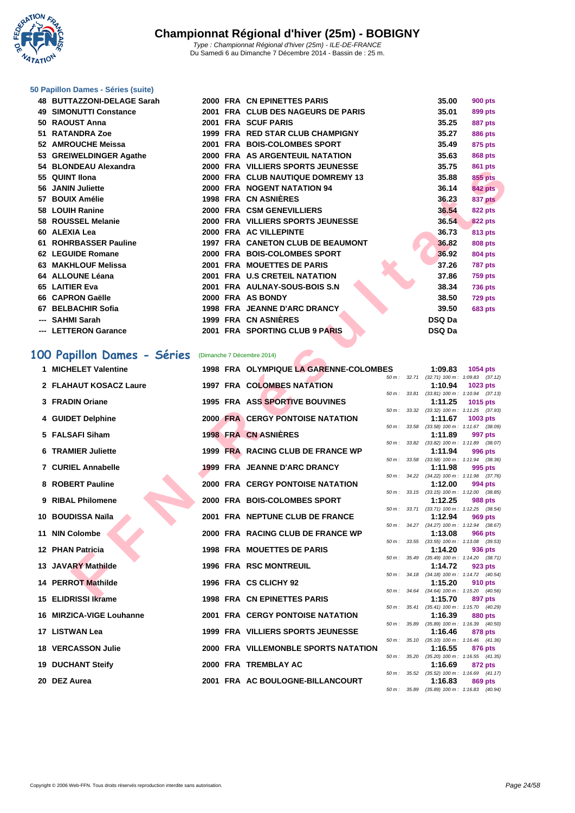¢ Y - 7 **NATATION** 

#### **[50 Papillo](http://www.ffnatation.fr/webffn/index.php)n Dames - Séries (suite)**

|     | 48 BUTTAZZONI-DELAGE Sarah    |  | 2000 FRA CN EPINETTES PARIS        | 35.00         | <b>900 pts</b> |
|-----|-------------------------------|--|------------------------------------|---------------|----------------|
|     | <b>49 SIMONUTTI Constance</b> |  | 2001 FRA CLUB DES NAGEURS DE PARIS | 35.01         | 899 pts        |
|     | 50 RAOUST Anna                |  | 2001 FRA SCUF PARIS                | 35.25         | <b>887 pts</b> |
|     | 51 RATANDRA Zoe               |  | 1999 FRA RED STAR CLUB CHAMPIGNY   | 35.27         | <b>886 pts</b> |
|     | 52 AMROUCHE Meissa            |  | 2001 FRA BOIS-COLOMBES SPORT       | 35.49         | 875 pts        |
|     | 53 GREIWELDINGER Agathe       |  | 2000 FRA AS ARGENTEUIL NATATION    | 35.63         | <b>868 pts</b> |
|     | 54 BLONDEAU Alexandra         |  | 2000 FRA VILLIERS SPORTS JEUNESSE  | 35.75         | <b>861 pts</b> |
|     | 55 QUINT Ilona                |  | 2000 FRA CLUB NAUTIQUE DOMREMY 13  | 35.88         | <b>855 pts</b> |
|     | 56 JANIN Juliette             |  | 2000 FRA NOGENT NATATION 94        | 36.14         | <b>842 pts</b> |
|     | 57 BOUIX Amélie               |  | 1998 FRA CN ASNIÈRES               | 36.23         | 837 pts        |
|     | 58 LOUIH Ranine               |  | 2000 FRA CSM GENEVILLIERS          | 36.54         | <b>822 pts</b> |
|     | 58 ROUSSEL Melanie            |  | 2000 FRA VILLIERS SPORTS JEUNESSE  | 36.54         | 822 pts        |
|     | 60 ALEXIA Lea                 |  | 2000 FRA AC VILLEPINTE             | 36.73         | 813 pts        |
|     | 61 ROHRBASSER Pauline         |  | 1997 FRA CANETON CLUB DE BEAUMONT  | 36.82         | <b>808 pts</b> |
|     | 62 LEGUIDE Romane             |  | 2000 FRA BOIS-COLOMBES SPORT       | 36.92         | 804 pts        |
|     | 63 MAKHLOUF Melissa           |  | 2001 FRA MOUETTES DE PARIS         | 37.26         | <b>787 pts</b> |
|     | 64 ALLOUNE Léana              |  | 2001 FRA U.S CRETEIL NATATION      | 37.86         | <b>759 pts</b> |
|     | 65 LAITIER Eva                |  | 2001 FRA AULNAY-SOUS-BOIS S.N.     | 38.34         | <b>736 pts</b> |
|     | 66 CAPRON Gaëlle              |  | 2000 FRA AS BONDY                  | 38.50         | 729 pts        |
|     | 67 BELBACHIR Sofia            |  | 1998 FRA JEANNE D'ARC DRANCY       | 39.50         | <b>683 pts</b> |
| --- | <b>SAHMI Sarah</b>            |  | 1999 FRA CN ASNIÈRES               | DSQ Da        |                |
|     | --- LETTERON Garance          |  | 2001 FRA SPORTING CLUB 9 PARIS     | <b>DSQ Da</b> |                |

### **100 Papillon Dames - Séries** (Dimanche 7 Décembre 2014)

| JT DLVNDLAV AIGAGHUI G                                |  |                                         |        |       |         | ου ι μιο                                                     |
|-------------------------------------------------------|--|-----------------------------------------|--------|-------|---------|--------------------------------------------------------------|
| 55 QUINT IIona                                        |  | 2000 FRA CLUB NAUTIQUE DOMREMY 13       |        |       | 35.88   | 855 pts                                                      |
| 56 JANIN Juliette                                     |  | 2000 FRA NOGENT NATATION 94             |        |       | 36.14   | <b>842 pts</b>                                               |
| 57 BOUIX Amélie                                       |  | 1998 FRA CN ASNIÈRES                    |        |       | 36.23   | 837 pts                                                      |
| 58 LOUIH Ranine                                       |  | 2000 FRA CSM GENEVILLIERS               |        |       | 36.54   | <b>822 pts</b>                                               |
| 58 ROUSSEL Melanie                                    |  | 2000 FRA VILLIERS SPORTS JEUNESSE       |        |       | 36.54   | 822 pts                                                      |
| 60 ALEXIA Lea                                         |  | 2000 FRA AC VILLEPINTE                  |        |       | 36.73   | 813 pts                                                      |
| 61 ROHRBASSER Pauline                                 |  | 1997 FRA CANETON CLUB DE BEAUMONT       |        |       | 36.82   | 808 pts                                                      |
| 62 LEGUIDE Romane                                     |  | 2000 FRA BOIS-COLOMBES SPORT            |        |       | 36.92   | 804 pts                                                      |
| 63 MAKHLOUF Melissa                                   |  | 2001 FRA MOUETTES DE PARIS              |        |       | 37.26   | <b>787 pts</b>                                               |
| 64 ALLOUNE Léana                                      |  | 2001 FRA U.S CRETEIL NATATION           |        |       | 37.86   | <b>759 pts</b>                                               |
| 65 LAITIER Eva                                        |  | 2001 FRA AULNAY-SOUS-BOIS S.N           |        |       | 38.34   | <b>736 pts</b>                                               |
| 66 CAPRON Gaëlle                                      |  | 2000 FRA AS BONDY                       |        |       | 38.50   | <b>729 pts</b>                                               |
| 67 BELBACHIR Sofia                                    |  | 1998 FRA JEANNE D'ARC DRANCY            |        |       | 39.50   | <b>683 pts</b>                                               |
| --- SAHMI Sarah                                       |  | 1999 FRA CN ASNIERES                    |        |       | DSQ Da  |                                                              |
| --- LETTERON Garance                                  |  | 2001 FRA SPORTING CLUB 9 PARIS          |        |       | DSQ Da  |                                                              |
| 00 Papillon Dames - Séries (Dimanche 7 Décembre 2014) |  |                                         |        |       |         |                                                              |
| 1 MICHELET Valentine                                  |  | 1998 FRA OLYMPIQUE LA GARENNE-COLOMBES  |        |       | 1:09.83 | 1054 pts                                                     |
|                                                       |  |                                         |        |       |         | 50 m: 32.71 (32.71) 100 m: 1:09.83 (37.12)                   |
| 2 FLAHAUT KOSACZ Laure                                |  | <b>1997 FRA COLOMBES NATATION</b>       |        |       | 1:10.94 | 1023 pts                                                     |
| 3 FRADIN Oriane                                       |  | <b>1995 FRA ASS SPORTIVE BOUVINES</b>   |        |       | 1:11.25 | 50 m: 33.81 (33.81) 100 m: 1:10.94 (37.13)<br>1015 pts       |
|                                                       |  |                                         | 50 m : | 33.32 |         | $(33.32)$ 100 m : 1:11.25 $(37.93)$                          |
| 4 GUIDET Delphine                                     |  | <b>2000 FRA CERGY PONTOISE NATATION</b> |        |       | 1:11.67 | 1003 pts                                                     |
| 5 FALSAFI Siham                                       |  | <b>1998 FRA CN ASNIERES</b>             |        |       | 1:11.89 | 50 m: 33.58 (33.58) 100 m: 1:11.67 (38.09)<br>997 pts        |
|                                                       |  |                                         |        |       |         | 50 m: 33.82 (33.82) 100 m: 1:11.89 (38.07)                   |
| <b>6 TRAMIER Juliette</b>                             |  | 1999 FRA RACING CLUB DE FRANCE WP       |        |       | 1:11.94 | 996 pts                                                      |
| 7 CURIEL Annabelle                                    |  | 1999 FRA JEANNE D'ARC DRANCY            |        |       | 1:11.98 | 50 m: 33.58 (33.58) 100 m: 1:11.94 (38.36)<br>995 pts        |
|                                                       |  |                                         |        |       |         | 50 m: 34.22 (34.22) 100 m: 1:11.98 (37.76)                   |
| 8 ROBERT Pauline                                      |  | <b>2000 FRA CERGY PONTOISE NATATION</b> |        |       | 1:12.00 | 994 pts                                                      |
| 9 RIBAL Philomene                                     |  | 2000 FRA BOIS-COLOMBES SPORT            |        |       | 1:12.25 | 50 m: 33.15 (33.15) 100 m: 1:12.00 (38.85)<br>988 pts        |
|                                                       |  |                                         |        |       |         | 50 m: 33.71 (33.71) 100 m: 1:12.25 (38.54)                   |
| 10 BOUDISSA Naïla                                     |  | 2001 FRA NEPTUNE CLUB DE FRANCE         |        |       | 1:12.94 | 969 pts                                                      |
| 11 NIN Colombe                                        |  | 2000 FRA RACING CLUB DE FRANCE WP       |        |       | 1:13.08 | 50 m: 34.27 (34.27) 100 m: 1:12.94 (38.67)<br><b>966 pts</b> |
|                                                       |  |                                         |        |       |         | 50 m: 33.55 (33.55) 100 m: 1:13.08 (39.53)                   |
| 12 PHAN Patricia                                      |  | <b>1998 FRA MOUETTES DE PARIS</b>       |        |       | 1:14.20 | 936 pts<br>50 m: 35.49 (35.49) 100 m: 1:14.20 (38.71)        |
| 13 JAVARY Mathilde                                    |  | <b>1996 FRA RSC MONTREUIL</b>           |        |       | 1:14.72 | 923 pts                                                      |
|                                                       |  |                                         |        |       |         | 50 m: 34.18 (34.18) 100 m: 1:14.72 (40.54)                   |
| 14 PERROT Mathilde                                    |  | 1996 FRA CS CLICHY 92                   |        |       | 1:15.20 | 910 pts<br>50 m: 34.64 (34.64) 100 m: 1:15.20 (40.56)        |
| 15 ELIDRISSI Ikrame                                   |  | 1998 FRA CN EPINETTES PARIS             |        |       | 1:15.70 | 897 pts                                                      |
|                                                       |  |                                         |        |       |         | 50 m: 35.41 (35.41) 100 m: 1:15.70 (40.29)                   |
| 16 MIRZICA-VIGE Louhanne                              |  | <b>2001 FRA CERGY PONTOISE NATATION</b> |        |       | 1:16.39 | 880 pts<br>50 m: 35.89 (35.89) 100 m: 1:16.39 (40.50)        |
| 17 LISTWAN Lea                                        |  | 1999 FRA VILLIERS SPORTS JEUNESSE       |        |       | 1:16.46 | 878 pts                                                      |
|                                                       |  |                                         |        |       |         | 50 m: 35.10 (35.10) 100 m: 1:16.46 (41.36)                   |
| <b>18 VERCASSON Julie</b>                             |  | 2000 FRA VILLEMONBLE SPORTS NATATION    |        |       | 1:16.55 | 876 pts<br>50 m: 35.20 (35.20) 100 m: 1:16.55 (41.35)        |
| 19 DUCHANT Steify                                     |  | 2000 FRA TREMBLAY AC                    |        |       | 1:16.69 | 872 pts                                                      |
|                                                       |  |                                         |        |       |         | 50 m: 35.52 (35.52) 100 m: 1:16.69 (41.17)                   |
| 20 DEZ Aurea                                          |  | 2001 FRA AC BOULOGNE-BILLANCOURT        |        |       | 1:16.83 | 869 pts<br>50 m: 35.89 (35.89) 100 m: 1:16.83 (40.94)        |
|                                                       |  |                                         |        |       |         |                                                              |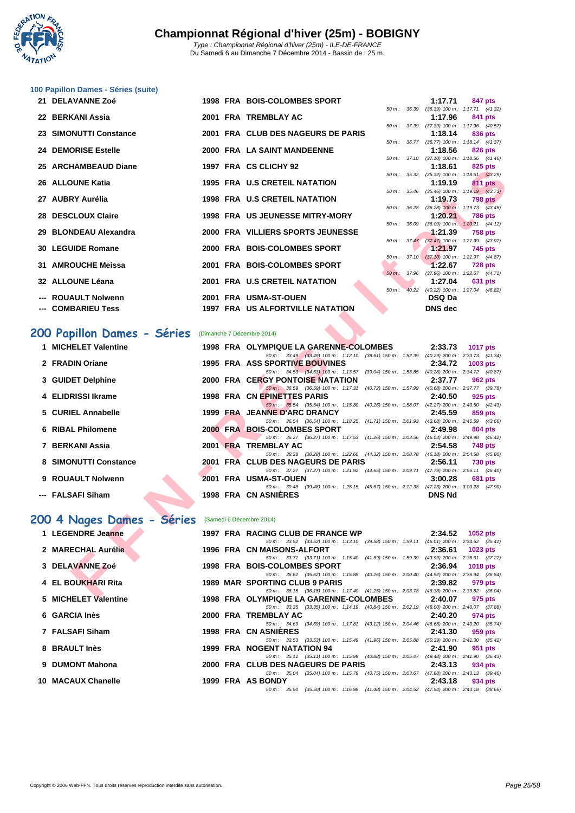

#### **[100 Papil](http://www.ffnatation.fr/webffn/index.php)lon Dames - Séries (suite)**

| 21 DELAVANNE Zoé       |  | 1998 FRA BOIS-COLOMBES SPORT            |                        | 1:17.71                                               |           | 847 pts        |
|------------------------|--|-----------------------------------------|------------------------|-------------------------------------------------------|-----------|----------------|
|                        |  |                                         |                        | 50 m: 36.39 (36.39) 100 m: 1:17.71 (41.32)            |           |                |
| 22 BERKANI Assia       |  | 2001 FRA TREMBLAY AC                    |                        | 1:17.96                                               |           | 841 pts        |
|                        |  |                                         | $50 \text{ m}$ : 37.39 | $(37.39)$ 100 m : 1:17.96 $(40.57)$                   |           |                |
| 23 SIMONUTTI Constance |  | 2001 FRA CLUB DES NAGEURS DE PARIS      |                        | 1:18.14                                               |           | 836 pts        |
| 24 DEMORISE Estelle    |  | 2000 FRA LA SAINT MANDEENNE             |                        | 50 m: 36.77 (36.77) 100 m: 1:18.14 (41.37)<br>1:18.56 |           | 826 pts        |
|                        |  |                                         |                        | 50 m: 37.10 (37.10) 100 m: 1:18.56 (41.46)            |           |                |
| 25 ARCHAMBEAUD Diane   |  | 1997 FRA CS CLICHY 92                   |                        | 1:18.61                                               |           | 825 pts        |
|                        |  |                                         |                        | 50 m: 35.32 (35.32) 100 m: 1:18.61 (43.29)            |           |                |
| 26 ALLOUNE Katia       |  | <b>1995 FRA U.S CRETEIL NATATION</b>    |                        | 1:19.19                                               |           | 811 pts        |
|                        |  |                                         |                        | 50 m: 35.46 (35.46) 100 m: 1:19.19 (43.73)            |           |                |
| 27 AUBRY Aurélia       |  | <b>1998 FRA U.S CRETEIL NATATION</b>    |                        | 1:19.73                                               |           | 798 pts        |
|                        |  |                                         |                        | 50 m: 36.28 (36.28) 100 m: 1:19.73 (43.45)            |           |                |
| 28 DESCLOUX Claire     |  | <b>1998 FRA US JEUNESSE MITRY-MORY</b>  |                        | 1:20.21                                               |           | <b>786 pts</b> |
|                        |  |                                         |                        | 50 m: 36.09 (36.09) 100 m: 1:20.21 (44.12)            |           |                |
| 29 BLONDEAU Alexandra  |  | 2000 FRA VILLIERS SPORTS JEUNESSE       |                        | 1:21.39                                               | $758$ pts |                |
| 30 LEGUIDE Romane      |  | 2000 FRA BOIS-COLOMBES SPORT            |                        | 50 m: 37.47 (37.47) 100 m: 1:21.39 (43.92)<br>1:21.97 |           | 745 pts        |
|                        |  |                                         |                        | 50 m: 37.10 (37.10) 100 m: 1:21.97 (44.87)            |           |                |
| 31 AMROUCHE Meissa     |  | 2001 FRA BOIS-COLOMBES SPORT            |                        | 1:22.67                                               |           | <b>728 pts</b> |
|                        |  |                                         | $50 m$ :               | 37.96 (37.96) 100 m: 1:22.67 (44.71)                  |           |                |
| 32 ALLOUNE Léana       |  | 2001 FRA U.S CRETEIL NATATION           |                        | 1:27.04                                               |           | 631 pts        |
|                        |  |                                         |                        | 50 m: 40.22 (40.22) 100 m: 1:27.04 (46.82)            |           |                |
| --- ROUAULT Nolwenn    |  | 2001 FRA USMA-ST-OUEN                   |                        | <b>DSQ Da</b>                                         |           |                |
| --- COMBARIEU Tess     |  | <b>1997 FRA US ALFORTVILLE NATATION</b> |                        | <b>DNS</b> dec                                        |           |                |
|                        |  |                                         |                        |                                                       |           |                |

# **200 Papillon Dames - Séries** (Dimanche 7 Décembre 2014)

| 23 ANGHAMBEACH DIANG       |      | TIVA VY VLIVITI JA                                                                                                             |          |       | 1. I V.V I     | <b>OZJ DIS</b>                                               |
|----------------------------|------|--------------------------------------------------------------------------------------------------------------------------------|----------|-------|----------------|--------------------------------------------------------------|
| 26 ALLOUNE Katia           |      | <b>1995 FRA U.S CRETEIL NATATION</b>                                                                                           |          |       | 1:19.19        | 50 m: 35.32 (35.32) 100 m: 1:18.61 (43.29)<br><b>811 pts</b> |
|                            |      |                                                                                                                                |          |       |                | 50 m: 35.46 (35.46) 100 m: 1:19.19 (43.73)                   |
| 27 AUBRY Aurélia           |      | <b>1998 FRA U.S CRETEIL NATATION</b>                                                                                           |          |       | 1:19.73        | <b>798 pts</b>                                               |
| 28 DESCLOUX Claire         |      | <b>1998 FRA US JEUNESSE MITRY-MORY</b>                                                                                         |          |       | 1:20.21        | 50 m: 36.28 (36.28) 100 m: 1:19.73 (43.45)<br><b>786 pts</b> |
|                            |      |                                                                                                                                | 50 m :   | 36.09 |                | $(36.09)$ 100 m : 1:20.21 $(44.12)$                          |
| 29 BLONDEAU Alexandra      |      | 2000 FRA VILLIERS SPORTS JEUNESSE                                                                                              |          |       | 1:21.39        | <b>758 pts</b>                                               |
| 30 LEGUIDE Romane          |      | 2000 FRA BOIS-COLOMBES SPORT                                                                                                   |          |       | 1:21.97        | 50 m: 37.47 (37.47) 100 m: 1:21.39 (43.92)<br>745 pts        |
|                            |      |                                                                                                                                |          |       |                | 50 m: 37.10 (37.10) 100 m: 1:21.97 (44.87)                   |
| 31 AMROUCHE Meissa         |      | 2001 FRA BOIS-COLOMBES SPORT                                                                                                   |          |       | 1:22.67        | <b>728 pts</b>                                               |
|                            |      |                                                                                                                                | $50 m$ : | 37.96 |                | $(37.96)$ 100 m : 1:22.67 $(44.71)$                          |
| 32 ALLOUNE Léana           |      | 2001 FRA U.S CRETEIL NATATION                                                                                                  | $50 m$ : |       | 1:27.04        | 631 pts<br>40.22 (40.22) 100 m : 1:27.04 (46.82)             |
| --- ROUAULT Nolwenn        |      | 2001 FRA USMA-ST-OUEN                                                                                                          |          |       | <b>DSQ Da</b>  |                                                              |
| --- COMBARIEU Tess         |      | <b>1997 FRA US ALFORTVILLE NATATION</b>                                                                                        |          |       | <b>DNS</b> dec |                                                              |
|                            |      |                                                                                                                                |          |       |                |                                                              |
|                            |      |                                                                                                                                |          |       |                |                                                              |
| 00 Papillon Dames - Séries |      | (Dimanche 7 Décembre 2014)                                                                                                     |          |       |                |                                                              |
| 1 MICHELET Valentine       |      | 1998 FRA OLYMPIQUE LA GARENNE-COLOMBES                                                                                         |          |       | 2:33.73        | <b>1017 pts</b>                                              |
|                            |      | 50 m: 33.49 (33.49) 100 m: 1:12.10 (38.61) 150 m: 1:52.39 (40.29) 200 m: 2:33.73 (41.34)                                       |          |       |                |                                                              |
| 2 FRADIN Oriane            |      | 1995 FRA ASS SPORTIVE BOUVINES<br>50 m: 34.53 (34.53) 100 m: 1:13.57 (39.04) 150 m: 1:53.85 (40.28) 200 m: 2:34.72 (40.87)     |          |       | 2:34.72        | 1003 pts                                                     |
| 3 GUIDET Delphine          |      | <b>2000 FRA CERGY PONTOISE NATATION</b>                                                                                        |          |       | 2:37.77        | 962 pts                                                      |
|                            |      | 50 m : 36.59 (36.59) 100 m : 1:17.31 (40.72) 150 m : 1:57.99 (40.68) 200 m : 2:37.77 (39.78)                                   |          |       |                |                                                              |
| 4 ELIDRISSI Ikrame         |      | 1998 FRA CN EPINETTES PARIS                                                                                                    |          |       | 2:40.50        | 925 pts                                                      |
|                            |      | 50 m: 35.54 (35.54) 100 m: 1:15.80 (40.26) 150 m: 1:58.07 (42.27) 200 m: 2:40.50 (42.43)                                       |          |       |                |                                                              |
| 5 CURIEL Annabelle         |      | 1999 FRA JEANNE D'ARC DRANCY<br>50 m: 36.54 (36.54) 100 m: 1:18.25 (41.71) 150 m: 2:01.93 (43.68) 200 m: 2:45.59 (43.66)       |          |       | 2:45.59        | 859 pts                                                      |
| 6 RIBAL Philomene          |      | 2000 FRA BOIS-COLOMBES SPORT                                                                                                   |          |       | 2:49.98        | 804 pts                                                      |
|                            |      | 50 m: 36.27 (36.27) 100 m: 1:17.53 (41.26) 150 m: 2:03.56 (46.03) 200 m: 2:49.98 (46.42)                                       |          |       |                |                                                              |
| 7 BERKANI Assia            |      | 2001 FRA TREMBLAY AC                                                                                                           |          |       | 2:54.58        | <b>748 pts</b>                                               |
| 8 SIMONUTTI Constance      |      | 50 m: 38.28 (38.28) 100 m: 1:22.60 (44.32) 150 m: 2:08.78 (46.18) 200 m: 2:54.58 (45.80)<br>2001 FRA CLUB DES NAGEURS DE PARIS |          |       | 2:56.11        | <b>730 pts</b>                                               |
|                            |      | 50 m: 37.27 (37.27) 100 m: 1:21.92 (44.65) 150 m: 2:09.71 (47.79) 200 m: 2:56.11 (46.40)                                       |          |       |                |                                                              |
| 9 ROUAULT Nolwenn          | 2001 | <b>FRA USMA-ST-OUEN</b>                                                                                                        |          |       | 3:00.28        | <b>681 pts</b>                                               |
|                            |      | 50 m: 39.48 (39.48) 100 m: 1:25.15 (45.67) 150 m: 2:12.38 (47.23) 200 m: 3:00.28 (47.90)                                       |          |       |                |                                                              |
| --- FALSAFI Siham          |      | 1998 FRA CN ASNIERES                                                                                                           |          |       | <b>DNS Nd</b>  |                                                              |
|                            |      |                                                                                                                                |          |       |                |                                                              |
| 00 4 Nages Dames - Séries  |      | (Samedi 6 Décembre 2014)                                                                                                       |          |       |                |                                                              |
| 1 LEGENDRE Jeanne          |      | 1997 FRA RACING CLUB DE FRANCE WP                                                                                              |          |       | 2:34.52        | 1052 pts                                                     |
|                            |      | 50 m: 33.52 (33.52) 100 m: 1:13.10 (39.58) 150 m: 1:59.11 (46.01) 200 m: 2:34.52 (35.41)                                       |          |       |                |                                                              |
| 2 MARECHAL Aurélie         |      | 1996 FRA CN MAISONS-ALFORT                                                                                                     |          |       | 2:36.61        | 1023 pts                                                     |
|                            |      | 50 m: 33.71 (33.71) 100 m: 1:15.40 (41.69) 150 m: 1:59.39 (43.99) 200 m: 2:36.61 (37.22)                                       |          |       |                |                                                              |
| 3 DELAVANNE Zoé            |      | 1998 FRA BOIS-COLOMBES SPORT<br>50 m: 35.62 (35.62) 100 m: 1:15.88 (40.26) 150 m: 2:00.40 (44.52) 200 m: 2:36.94 (36.54)       |          |       | 2:36.94        | <b>1018 pts</b>                                              |
| 4 EL BOUKHARI Rita         |      | 1989 MAR SPORTING CLUB 9 PARIS                                                                                                 |          |       | 2:39.82        | 979 pts                                                      |
|                            |      | 50 m: 36.15 (36.15) 100 m: 1:17.40 (41.25) 150 m: 2:03.78 (46.38) 200 m: 2:39.82 (36.04)                                       |          |       |                |                                                              |
| $E$ MIOUELET Valentine     |      | 4000 EDA OLVMBIOUE LA CAREMME COLOMBER 9.40.07                                                                                 |          |       |                | $075 - 4$                                                    |

# **200 4 Nages Dames - Séries** (Samedi 6 Décembre 2014)

| 1 LEGENDRE Jeanne    |  | 1997 FRA RACING CLUB DE FRANCE WP<br>2:34.52<br>1052 pts                                                |
|----------------------|--|---------------------------------------------------------------------------------------------------------|
|                      |  | 50 m: 33.52 (33.52) 100 m: 1:13.10 (39.58) 150 m: 1:59.11 (46.01) 200 m: 2:34.52 (35.41)                |
| 2 MARECHAL Aurélie   |  | 1996 FRA CN MAISONS-ALFORT<br>2:36.61<br>$1023$ pts                                                     |
|                      |  | 50 m : 33.71 (33.71) 100 m : 1:15.40 (41.69) 150 m : 1:59.39<br>$(43.99)$ 200 m : 2:36.61 $(37.22)$     |
| 3 DELAVANNE Zoé      |  | 1998 FRA BOIS-COLOMBES SPORT<br>2:36.94<br>1018 pts                                                     |
|                      |  | 50 m : 35.62 (35.62) 100 m : 1:15.88 (40.26) 150 m : 2:00.40<br>$(44.52)$ 200 m : 2:36.94 $(36.54)$     |
| 4 EL BOUKHARI Rita   |  | 1989 MAR SPORTING CLUB 9 PARIS<br>2:39.82<br>979 pts                                                    |
|                      |  | 50 m: 36.15 (36.15) 100 m: 1:17.40 (41.25) 150 m: 2:03.78 (46.38) 200 m: 2:39.82 (36.04)                |
| 5 MICHELET Valentine |  | 1998 FRA OLYMPIQUE LA GARENNE-COLOMBES<br>2:40.07<br>975 pts                                            |
|                      |  | 50 m: 33.35 (33.35) 100 m: 1:14.19 (40.84) 150 m: 2:02.19 (48.00) 200 m: 2:40.07 (37.88)                |
| 6 GARCIA Inès        |  | 2:40.20<br>2000 FRA TREMBLAY AC<br>974 pts                                                              |
|                      |  | 50 m: 34.69 (34.69) 100 m: 1:17.81 (43.12) 150 m: 2:04.46 (46.65) 200 m: 2:40.20 (35.74)                |
| 7 FALSAFI Siham      |  | 1998 FRA CN ASNIERES<br>2:41.30<br>959 pts                                                              |
|                      |  | 50 m: 33.53 (33.53) 100 m: 1:15.49 (41.96) 150 m: 2:05.88 (50.39) 200 m: 2:41.30 (35.42)                |
| 8 BRAULT Inès        |  | <b>1999 FRA NOGENT NATATION 94</b><br>2:41.90<br>951 pts                                                |
|                      |  | 50 m: 35.11 (35.11) 100 m: 1:15.99 (40.88) 150 m: 2:05.47 (49.48) 200 m: 2:41.90 (36.43)                |
| 9 DUMONT Mahona      |  | 2000 FRA CLUB DES NAGEURS DE PARIS<br>2:43.13<br>934 pts                                                |
|                      |  | 50 m: 35.04 (35.04) 100 m: 1:15.79 (40.75) 150 m: 2:03.67 (47.88) 200 m: 2:43.13 (39.46)                |
| 10 MACAUX Chanelle   |  | 1999 FRA AS BONDY<br>2:43.18<br>934 pts                                                                 |
|                      |  | $(35.50)$ 100 m : 1:16.98 $(41.48)$ 150 m : 2:04.52 $(47.54)$ 200 m : 2:43.18 $(38.66)$<br>50 m : 35.50 |
|                      |  |                                                                                                         |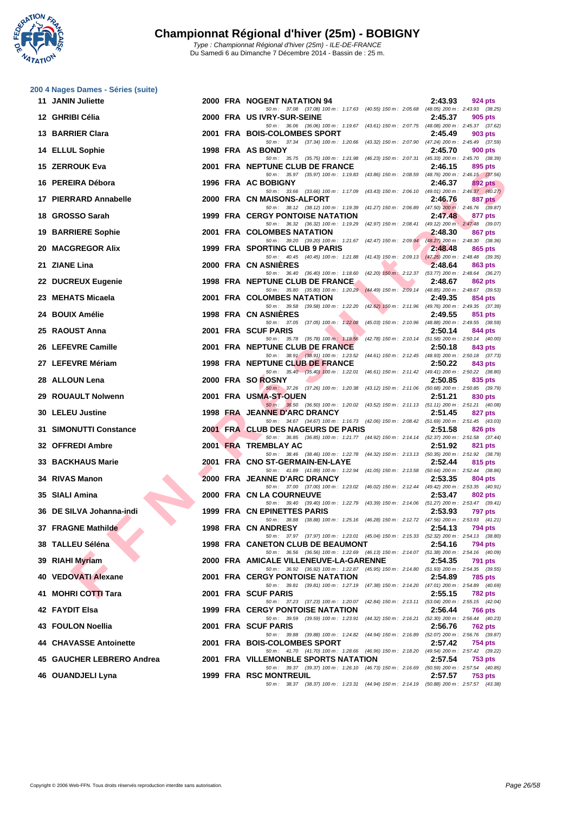

|     | 200 4 Nages Dames - Séries (suite) |  |                                                                                                                                     |         |         |
|-----|------------------------------------|--|-------------------------------------------------------------------------------------------------------------------------------------|---------|---------|
|     | 11 JANIN Juliette                  |  | 2000 FRA NOGENT NATATION 94<br>50 m: 37.08 (37.08) 100 m: 1:17.63 (40.55) 150 m: 2:05.68 (48.05) 200 m: 2:43.93 (38.25)             | 2:43.93 | 924 pts |
|     | 12 GHRIBI Célia                    |  | 2000 FRA US IVRY-SUR-SEINE<br>50 m: 36.06 (36.06) 100 m: 1:19.67 (43.61) 150 m: 2:07.75 (48.08) 200 m: 2:45.37 (37.62)              | 2:45.37 | 905 pts |
|     | 13 BARRIER Clara                   |  | 2001 FRA BOIS-COLOMBES SPORT                                                                                                        | 2:45.49 | 903 pts |
|     | 14 ELLUL Sophie                    |  | 50 m: 37.34 (37.34) 100 m: 1:20.66 (43.32) 150 m: 2:07.90 (47.24) 200 m: 2:45.49 (37.59)<br>1998 FRA AS BONDY                       | 2:45.70 | 900 pts |
|     | 15 ZERROUK Eva                     |  | 50 m: 35.75 (35.75) 100 m: 1:21.98 (46.23) 150 m: 2:07.31 (45.33) 200 m: 2:45.70 (38.39)<br>2001 FRA NEPTUNE CLUB DE FRANCE         | 2:46.15 | 895 pts |
|     | 16 PEREIRA Débora                  |  | 50 m: 35.97 (35.97) 100 m: 1:19.83 (43.86) 150 m: 2:08.59 (48.76) 200 m: 2:46.15 (37.56)<br>1996 FRA AC BOBIGNY                     | 2:46.37 | 892 pts |
|     | 17 PIERRARD Annabelle              |  | 50 m: 33.66 (33.66) 100 m: 1:17.09 (43.43) 150 m: 2:06.10 (49.01) 200 m: 2:46.37 (40.27)<br>2000 FRA CN MAISONS-ALFORT              | 2:46.76 | 887 pts |
|     | 18 GROSSO Sarah                    |  | 50 m: 38.12 (38.12) 100 m: 1:19.39 (41.27) 150 m: 2:06.89 (47.50) 200 m: 2:46.76 (39.87)<br><b>1999 FRA CERGY PONTOISE NATATION</b> | 2:47.48 |         |
|     |                                    |  | 50 m: 36.32 (36.32) 100 m: 1:19.29 (42.97) 150 m: 2:08.41 (49.12) 200 m: 2:47.48 (39.07)                                            |         | 877 pts |
|     | <b>19 BARRIERE Sophie</b>          |  | 2001 FRA COLOMBES NATATION<br>50 m : 39.20 (39.20) 100 m : 1:21.67 (42.47) 150 m : 2:09.94 (48.27) 200 m : 2:48.30 (38.36)          | 2:48.30 | 867 pts |
|     | <b>20 MACGREGOR Alix</b>           |  | 1999 FRA SPORTING CLUB 9 PARIS<br>50 m: 40.45 (40.45) 100 m: 1:21.88 (41.43) 150 m: 2:09.13 (47.25) 200 m: 2:48.48 (39.35)          | 2:48.48 | 865 pts |
|     | 21 ZIANE Lina                      |  | 2000 FRA CN ASNIERES<br>50 m: 36.40 (36.40) 100 m: 1:18.60 (42.20) 150 m: 2:12.37 (53.77) 200 m: 2:48.64 (36.27)                    | 2:48.64 | 863 pts |
|     | 22 DUCREUX Eugenie                 |  | 1998 FRA NEPTUNE CLUB DE FRANCE<br>50 m: 35.80 (35.80) 100 m: 1:20.29 (44.49) 150 m: 2:09.14 (48.85) 200 m: 2:48.67 (39.53)         | 2:48.67 | 862 pts |
|     | 23 MEHATS Micaela                  |  | <b>2001 FRA COLOMBES NATATION</b>                                                                                                   | 2:49.35 | 854 pts |
| 24  | <b>BOUIX Amélie</b>                |  | 50 m: 39.58 (39.58) 100 m: 1:22.20 (42.62) 150 m: 2:11.96 (49.76) 200 m: 2:49.35 (37.39)<br><b>1998 FRA CN ASNIERES</b>             | 2:49.55 | 851 pts |
|     | 25 RAOUST Anna                     |  | 50 m: 37.05 (37.05) 100 m: 1:22.08 (45.03) 150 m: 2:10.96 (48.88) 200 m: 2:49.55 (38.59)<br>2001 FRA SCUF PARIS                     | 2:50.14 | 844 pts |
|     | 26 LEFEVRE Camille                 |  | 50 m: 35.78 (35.78) 100 m: 1:18.56 (42.78) 150 m: 2:10.14 (51.58) 200 m: 2:50.14 (40.00)<br>2001 FRA NEPTUNE CLUB DE FRANCE         | 2:50.18 | 843 pts |
|     | 27 LEFEVRE Mériam                  |  | 50 m: 38.91 (38.91) 100 m: 1:23.52 (44.61) 150 m: 2:12.45 (48.93) 200 m: 2:50.18 (37.73)<br><b>1998 FRA NEPTUNE CLUB DE FRANCE</b>  | 2:50.22 | 843 pts |
|     | 28 ALLOUN Lena                     |  | 50 m: 35.40 (35.40) 100 m: 1:22.01 (46.61) 150 m: 2:11.42 (49.41) 200 m: 2:50.22 (38.80)<br>2000 FRA SO ROSNY                       | 2:50.85 | 835 pts |
|     |                                    |  | 50 m: 37.26 (37.26) 100 m: 1:20.38 (43.12) 150 m: 2:11.06 (50.68) 200 m: 2:50.85 (39.79)                                            |         |         |
| 29  | <b>ROUAULT Nolwenn</b>             |  | 2001 FRA USMA-ST-OUEN<br>50 m : 36.50 (36.50) 100 m : 1:20.02 (43.52) 150 m : 2:11.13 (51.11) 200 m : 2:51.21 (40.08)               | 2:51.21 | 830 pts |
|     | 30 LELEU Justine                   |  | 1998 FRA JEANNE D'ARC DRANCY<br>50 m: 34.67 (34.67) 100 m: 1:16.73 (42.06) 150 m: 2:08.42 (51.69) 200 m: 2:51.45 (43.03)            | 2:51.45 | 827 pts |
| 31. | <b>SIMONUTTI Constance</b>         |  | 2001 FRA CLUB DES NAGEURS DE PARIS<br>50 m: 36.85 (36.85) 100 m: 1:21.77 (44.92) 150 m: 2:14.14 (52.37) 200 m: 2:51.58 (37.44)      | 2:51.58 | 826 pts |
|     | 32 OFFREDI Ambre                   |  | 2001 FRA TREMBLAY AC<br>50 m: 38.46 (38.46) 100 m: 1:22.78 (44.32) 150 m: 2:13.13 (50.35) 200 m: 2:51.92 (38.79)                    | 2:51.92 | 821 pts |
| 33  | <b>BACKHAUS Marie</b>              |  | 2001 FRA CNO ST-GERMAIN-EN-LAYE                                                                                                     | 2:52.44 | 815 pts |
|     | 34 RIVAS Manon                     |  | 50 m: 41.89 (41.89) 100 m: 1:22.94 (41.05) 150 m: 2:13.58 (50.64) 200 m: 2:52.44 (38.86)<br>2000 FRA JEANNE D'ARC DRANCY            | 2:53.35 | 804 pts |
|     | 35 SIALI Amina                     |  | 50 m: 37.00 (37.00) 100 m: 1:23.02 (46.02) 150 m: 2:12.44 (49.42) 200 m: 2:53.35 (40.91)<br>2000 FRA CN LA COURNEUVE                | 2:53.47 | 802 pts |
|     | 36 DE SILVA Johanna-indi           |  | 50 m: 39.40 (39.40) 100 m: 1:22.79 (43.39) 150 m: 2:14.06 (51.27) 200 m: 2:53.47 (39.41)<br>1999 FRA CN EPINETTES PARIS             | 2:53.93 | 797 pts |
|     | 37 FRAGNE Mathilde                 |  | 50 m : 38.88 (38.88) 100 m : 1:25.16 (46.28) 150 m : 2:12.72 (47.56) 200 m : 2:53.93 (41.21)<br>1998 FRA CN ANDRESY                 | 2:54.13 | 794 pts |
|     | 38 TALLEU Séléna                   |  | 50 m: 37.97 (37.97) 100 m: 1:23.01 (45.04) 150 m: 2:15.33 (52.32) 200 m: 2:54.13 (38.80)<br>1998 FRA CANETON CLUB DE BEAUMONT       | 2:54.16 | 794 pts |
|     |                                    |  | 50 m: 36.56 (36.56) 100 m: 1:22.69 (46.13) 150 m: 2:14.07 (51.38) 200 m: 2:54.16 (40.09)<br>2000 FRA AMICALE VILLENEUVE-LA-GARENNE  | 2:54.35 | 791 pts |
|     | 39 RIAHI Myriam                    |  | 50 m : 36.92 (36.92) 100 m : 1:22.87 (45.95) 150 m : 2:14.80 (51.93) 200 m : 2:54.35 (39.55)                                        |         |         |
|     | 40 VEDOVATI Alexane                |  | <b>2001 FRA CERGY PONTOISE NATATION</b><br>50 m: 39.81 (39.81) 100 m: 1:27.19 (47.38) 150 m: 2:14.20 (47.01) 200 m: 2:54.89 (40.69) | 2:54.89 | 785 pts |
|     | 41 MOHRI COTTI Tara                |  | 2001 FRA SCUF PARIS<br>50 m: 37.23 (37.23) 100 m: 1:20.07 (42.84) 150 m: 2:13.11 (53.04) 200 m: 2:55.15 (42.04)                     | 2:55.15 | 782 pts |
|     | 42 FAYDIT Elsa                     |  | <b>1999 FRA CERGY PONTOISE NATATION</b><br>50 m: 39.59 (39.59) 100 m: 1:23.91 (44.32) 150 m: 2:16.21 (52.30) 200 m: 2:56.44 (40.23) | 2:56.44 | 766 pts |
|     | 43 FOULON Noellia                  |  | 2001 FRA SCUF PARIS<br>50 m: 39.88 (39.88) 100 m: 1:24.82 (44.94) 150 m: 2:16.89 (52.07) 200 m: 2:56.76 (39.87)                     | 2:56.76 | 762 pts |
|     | 44 CHAVASSE Antoinette             |  | 2001 FRA BOIS-COLOMBES SPORT                                                                                                        | 2:57.42 | 754 pts |
|     | 45 GAUCHER LEBRERO Andrea          |  | 50 m: 41.70 (41.70) 100 m: 1:28.66 (46.96) 150 m: 2:18.20 (49.54) 200 m: 2:57.42 (39.22)<br>2001 FRA VILLEMONBLE SPORTS NATATION    | 2:57.54 | 753 pts |
|     | 46 OUANDJELI Lyna                  |  | 50 m: 39.37 (39.37) 100 m: 1:26.10 (46.73) 150 m: 2:16.69 (50.59) 200 m: 2:57.54 (40.85)<br>1999 FRA RSC MONTREUIL                  | 2:57.57 | 753 pts |
|     |                                    |  | 50 m: 38.37 (38.37) 100 m: 1:23.31 (44.94) 150 m: 2:14.19 (50.88) 200 m: 2:57.57 (43.38)                                            |         |         |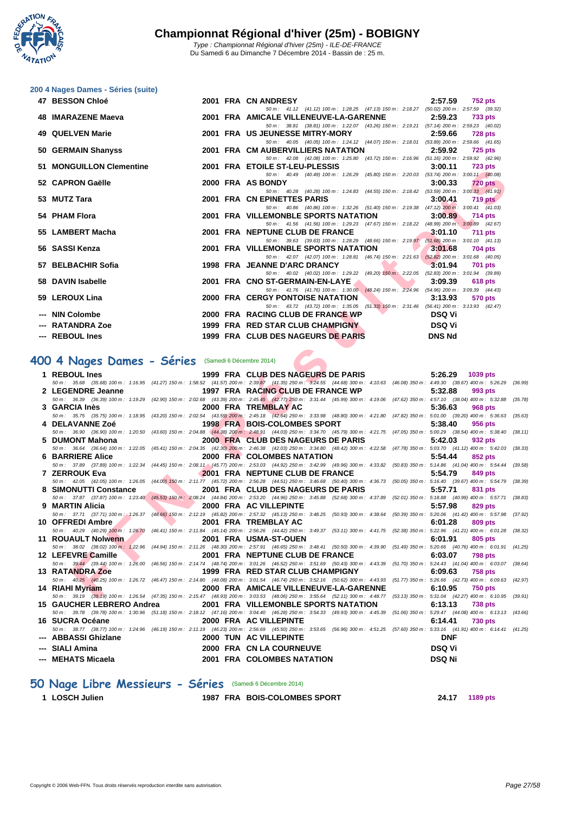

|  |  |  |  |  |  | 200 4 Nages Dames - Séries (suite) |  |
|--|--|--|--|--|--|------------------------------------|--|
|  |  |  |  |  |  |                                    |  |

| 47 BESSON Chloé          |  | 2001 FRA CN ANDRESY                                                                                                              | 2:57.59       | <b>752 pts</b> |
|--------------------------|--|----------------------------------------------------------------------------------------------------------------------------------|---------------|----------------|
|                          |  | 50 m: 41.12 (41.12) 100 m: 1:28.25 (47.13) 150 m: 2:18.27 (50.02) 200 m: 2:57.59 (39.32)                                         |               |                |
| 48 IMARAZENE Maeva       |  | 2001 FRA AMICALE VILLENEUVE-LA-GARENNE 2:59.23                                                                                   |               | 733 pts        |
|                          |  | 50 m: 38.81 (38.81) 100 m: 1:22.07 (43.26) 150 m: 2:19.21 (57.14) 200 m: 2:59.23 (40.02)                                         |               |                |
| 49 QUELVEN Marie         |  | 2001 FRA US JEUNESSE MITRY-MORY 2:59.66                                                                                          |               | <b>728 pts</b> |
|                          |  | 50 m: 40.05 (40.05) 100 m: 1:24.12 (44.07) 150 m: 2:18.01 (53.89) 200 m: 2:59.66 (41.65)                                         |               |                |
| 50 GERMAIN Shanyss       |  | 2001 FRA CM AUBERVILLIERS NATATION 2:59.92                                                                                       |               | 725 pts        |
|                          |  | 50 m: 42.08 (42.08) 100 m: 1:25.80 (43.72) 150 m: 2:16.96 (51.16) 200 m: 2:59.92 (42.96)                                         |               |                |
| 51 MONGUILLON Clementine |  | 2001 FRA ETOILE ST-LEU-PLESSIS                                                                                                   | 3:00.11       | <b>723 pts</b> |
|                          |  | 50 m: 40.49 (40.49) 100 m: 1:26.29 (45.80) 150 m: 2:20.03 (53.74) 200 m: 3:00.11 (40.08)                                         |               |                |
| 52 CAPRON Gaëlle         |  | 2000 FRA AS BONDY                                                                                                                | 3:00.33       | $720$ pts      |
|                          |  | 50 m: 40.28 (40.28) 100 m: 1:24.83 (44.55) 150 m: 2:18.42 (53.59) 200 m: 3:00.33 (41.91)                                         |               |                |
| 53 MUTZ Tara             |  | 2001 FRA CN EPINETTES PARIS                                                                                                      | 3:00.41       | 719 pts        |
|                          |  | 50 m: 40.86 (40.86) 100 m: 1:32.26 (51.40) 150 m: 2:19.38 (47.12) 200 m: 3:00.41 (41.03)                                         |               |                |
| 54 PHAM Flora            |  | 2001 FRA VILLEMONBLE SPORTS NATATION                                                                                             | 3:00.89       | <b>714 pts</b> |
|                          |  | 50 m: 41.56 (41.56) 100 m: 1:29.23 (47.67) 150 m: 2:18.22 (48.99) 200 m: 3:00.89 (42.67)                                         |               |                |
| 55 LAMBERT Macha         |  | 2001 FRA NEPTUNE CLUB DE FRANCE                                                                                                  | 3:01.10       | <b>711 pts</b> |
| 56 SASSI Kenza           |  | 50 m: 39.63 (39.63) 100 m: 1:28.29 (48.66) 150 m: 2:19.97 (51.68) 200 m: 3:01.10 (41.13)<br>2001 FRA VILLEMONBLE SPORTS NATATION | 3:01.68       | 704 pts        |
|                          |  | 50 m: 42.07 (42.07) 100 m: 1:28.81 (46.74) 150 m: 2:21.63 (52.82) 200 m: 3:01.68 (40.05)                                         |               |                |
| 57 BELBACHIR Sofia       |  | 1998 FRA JEANNE D'ARC DRANCY                                                                                                     | 3.01.94       | <b>701 pts</b> |
|                          |  | 50 m: 40.02 (40.02) 100 m: 1:29.22 (49.20) 150 m: 2:22.05 (52.83) 200 m: 3:01.94 (39.89)                                         |               |                |
| 58 DAVIN Isabelle        |  | 2001 FRA CNO ST-GERMAIN-EN-LAYE                                                                                                  | 3:09.39       | 618 pts        |
|                          |  | 50 m: 41.76 (41.76) 100 m: 1:30.00 (48.24) 150 m: 2:24.96 (54.96) 200 m: 3:09.39 (44.43)                                         |               |                |
| 59 LEROUX Lina           |  | <b>2000 FRA CERGY PONTOISE NATATION</b>                                                                                          | 3:13.93       | <b>570 pts</b> |
|                          |  | 50 m: 43.72 (43.72) 100 m: 1:35.05 (51.33) 150 m: 2:31.46 (56.41) 200 m: 3:13.93 (42.47)                                         |               |                |
| --- NIN Colombe          |  | <b>Example 19 DSQ Vi</b><br>2000 FRA RACING CLUB DE FRANCE WP                                                                    |               |                |
| --- RATANDRA Zoe         |  | 1999 FRA RED STAR CLUB CHAMPIGNY                                                                                                 | <b>DSQ Vi</b> |                |
|                          |  |                                                                                                                                  |               |                |
| --- REBOUL Ines          |  | 1999 FRA CLUB DES NAGEURS DE PARIS                                                                                               | <b>DNS Nd</b> |                |
|                          |  |                                                                                                                                  |               |                |

### **400 4 Nages Dames - Séries** (Samedi 6 Décembre 2014)

| JI MUNGULLUN UGINGINIG                             |                                        | <b>ZOUT TINA ETOILL ST-LLO-T LLOORS</b>                                                                                                                                                                                         | J.VV.II<br>723 DIS        |
|----------------------------------------------------|----------------------------------------|---------------------------------------------------------------------------------------------------------------------------------------------------------------------------------------------------------------------------------|---------------------------|
| 52 CAPRON Gaëlle                                   |                                        | 50 m : 40.49 (40.49) 100 m : 1:26.29 (45.80) 150 m : 2:20.03 (53.74) 200 m : 3:00.11 (40.08)<br>2000 FRA AS BONDY                                                                                                               | 3:00.33<br>$720$ pts      |
| 53 MUTZ Tara                                       |                                        | 50 m: 40.28 (40.28) 100 m: 1:24.83 (44.55) 150 m: 2:18.42 (53.59) 200 m: 3:00.33 (41.91)<br>2001 FRA CN EPINETTES PARIS                                                                                                         | 3:00.41<br>$719$ pts      |
| 54 PHAM Flora                                      |                                        | 50 m: 40.86 (40.86) 100 m: 1:32.26 (51.40) 150 m: 2:19.38 (47.12) 200 m: 3:00.41 (41.03)<br>2001 FRA VILLEMONBLE SPORTS NATATION                                                                                                | 3:00.89<br>714 pts        |
| 55 LAMBERT Macha                                   |                                        | 50 m: 41.56 (41.56) 100 m: 1:29.23 (47.67) 150 m: 2:18.22 (48.99) 200 m: 3:00.89 (42.67)<br>2001 FRA NEPTUNE CLUB DE FRANCE                                                                                                     | 3:01.10<br><b>711 pts</b> |
|                                                    |                                        | 50 m: 39.63 (39.63) 100 m: 1:28.29 (48.66) 150 m: 2:19.97 (51.68) 200 m: 3:01.10 (41.13)                                                                                                                                        |                           |
| 56   SASSI Kenza                                   |                                        | 2001 FRA VILLEMONBLE SPORTS NATATION<br>50 m: 42.07 (42.07) 100 m: 1:28.81 (46.74) 150 m: 2:21.63 (52.82) 200 m: 3:01.68 (40.05)                                                                                                | 3:01.68<br><b>704 pts</b> |
| 57 BELBACHIR Sofia                                 |                                        | <b>Contract Contract Contract Contract</b><br>1998 FRA JEANNE D'ARC DRANCY<br>50 m: 40.02 (40.02) 100 m: 1:29.22 (49.20) 150 m: 2:22.05 (52.83) 200 m: 3:01.94 (39.89)                                                          | 3:01.94<br>701 pts        |
| 58 DAVIN Isabelle                                  |                                        | and the contract of the contract of<br><b>The Second Service</b><br>2001 FRA CNO ST-GERMAIN-EN-LAYE<br>50 m: 41.76 (41.76) 100 m: 1:30.00 (48.24) 150 m: 2:24.96 (54.96) 200 m: 3:09.39 (44.43)                                 | 3:09.39<br><b>618 pts</b> |
| 59 LEROUX Lina                                     |                                        | 2000 FRA CERGY PONTOISE NATATION<br><b>The Community of the Community</b>                                                                                                                                                       | 3:13.93<br>570 pts        |
| --- NIN Colombe                                    |                                        | 50 m: 43.72 (43.72) 100 m: 1:35.05 (51.33) 150 m: 2:31.46 (56.41) 200 m: 3:13.93 (42.47)<br>2000 FRA RACING CLUB DE FRANCE WP                                                                                                   | DSQ Vi                    |
| --- RATANDRA Zoe                                   |                                        | 1999 FRA RED STAR CLUB CHAMPIGNY                                                                                                                                                                                                | <b>DSQ Vi</b>             |
| --- REBOUL Ines                                    |                                        | 1999 FRA CLUB DES NAGEURS DE PARIS                                                                                                                                                                                              | <b>DNS Nd</b>             |
|                                                    |                                        |                                                                                                                                                                                                                                 |                           |
| 00 4 Nages Dames - Séries (Samedi 6 Décembre 2014) |                                        |                                                                                                                                                                                                                                 |                           |
| 1 REBOUL Ines                                      |                                        | 1999 FRA CLUB DES NAGEURS DE PARIS                                                                                                                                                                                              | 5:26.29                   |
|                                                    |                                        | 50 m : 35.68 (35.68) 100 m : 1:16.95 (41.27) 150 m : 1:58.52 (41.57) 200 m : 2:39.87 (41.35) 250 m : 3:24.55 (44.68) 300 m : 4:10.63 (46.08) 350 m : 4:49.30 (38.67) 400 m : 5:26.29 (36.99)                                    | 1039 pts                  |
| 2 LEGENDRE Jeanne                                  |                                        | 1997 FRA RACING CLUB DE FRANCE WP                                                                                                                                                                                               | 5:32.88<br>993 pts        |
|                                                    |                                        | 50 m : 36.39 (36.39) 100 m : 1:19.29 (42.90) 150 m : 2:02.68 (43.39) 200 m : 2:45.45 (42.77) 250 m : 3:31.44 (45.99) 300 m : 4:19.06 (47.62) 350 m : 4:57.10 (38.04) 400 m : 5:32.88 (35.78)                                    |                           |
| 3 GARCIA Inès                                      |                                        | 2000 FRA TREMBLAY AC                                                                                                                                                                                                            | 5:36.63<br><b>968 pts</b> |
| 4 DELAVANNE Zoé                                    |                                        | 50 m: 35.75 (35.75) 100 m: 1:18.95 (43.20) 150 m: 2:02.54 (43.59) 200 m: 2:45.18 (42.64) 250 m: 3:33.98 (48.80) 300 m: 4:21.80 (47.82) 350 m: 5:01.00 (39.20) 400 m: 5:36.63 (35.63)<br>1998 FRA BOIS-COLOMBES SPORT            | 5:38.40<br>956 pts        |
|                                                    |                                        | 50 m : 36.90 (36.90) 100 m : 1:20.50 (43.60) 150 m : 2:04.88 (44.38) 200 m : 2:48.91 (44.03) 250 m : 3:34.70 (45.79) 300 m : 4:21.75 (47.05) 350 m : 5:00.29 (38.54) 400 m : 5:38.40 (38.11)                                    |                           |
| 5 DUMONT Mahona                                    |                                        | 2000 FRA CLUB DES NAGEURS DE PARIS                                                                                                                                                                                              | 5:42.03<br>932 pts        |
|                                                    |                                        | 50 m: 36.64 (36.64) 100 m: 1:22.05 (45.41) 150 m: 2:04.35 (42.30) 200 m: 2:46.38 (42.03) 250 m: 3:34.80 (48.42) 300 m: 4:22.58 (47.78) 350 m: 5:03.70 (41.12) 400 m: 5:42.03 (38.33)                                            |                           |
| 6 BARRIERE Alice <b>Security Structure</b>         |                                        | 2000 FRA COLOMBES NATATION<br>50 m : 37.89 (37.89) 100 m : 1:22.34 (44.45) 150 m : 2:08.11 (45.77) 200 m : 2:53.03 (44.92) 250 m : 3:42.99 (49.96) 300 m : 4:33.82 (50.83) 350 m : 5:14.86 (41.04) 400 m : 5:54.44 (39.58)      | 5:54.44<br>852 pts        |
| 7 ZERROUK Eva                                      |                                        | 2001 FRA NEPTUNE CLUB DE FRANCE                                                                                                                                                                                                 | 5:54.79<br>849 pts        |
|                                                    |                                        | 50 m: 42.05 (42.05) 100 m: 1:26.05 (44.00) 150 m: 2:11.77 (45.72) 200 m: 2:56.28 (44.51) 250 m: 3:46.68 (50.40) 300 m: 4:36.73 (50.05) 350 m: 5:16.40 (39.67) 400 m: 5:54.79 (38.39)                                            |                           |
| 8 SIMONUTTI Constance                              | <b>The Contract of Street</b><br>in 19 | 2001 FRA CLUB DES NAGEURS DE PARIS                                                                                                                                                                                              | 5:57.71<br>831 pts        |
| 9 MARTIN Alicia                                    |                                        | 50 m : 37.87 (37.87) 100 m : 1:23.40 (45.53) 150 m : 2:08.24 (44.84) 200 m : 2:53.20 (44.96) 250 m : 3:45.88 (52.68) 300 m : 4:37.89 (52.01) 350 m : 5:18.88 (40.99) 400 m : 5:57.71 (38.83)<br>2000 FRA AC VILLEPINTE          |                           |
|                                                    |                                        | 50 m: 37.71 (37.71) 100 m 1:26.37 (48.66) 150 m: 2:12.19 (45.82) 200 m: 2:57.32 (45.13) 250 m: 3:48.25 (50.93) 300 m: 4:38.64 (50.39) 350 m: 5:20.06 (41.42) 400 m: 5:57.98 (37.92)                                             | 5:57.98<br><b>829 pts</b> |
| 10 OFFREDI Ambre                                   | $\bullet$                              | 2001 FRA TREMBLAY AC                                                                                                                                                                                                            | 6:01.28<br><b>809 pts</b> |
|                                                    |                                        | 50 m: 40.29 (40.29) 100 m: 1:26.70 (46.41) 150 m: 2:11.84 (45.14) 200 m: 2:56.26 (44.42) 250 m: 3:49.37 (53.11) 300 m: 4:41.75 (52.38) 350 m: 5:22.96 (41.21) 400 m: 6:01.28 (38.32)                                            |                           |
| 11 ROUAULT Nolwenn                                 |                                        | 2001 FRA USMA-ST-OUEN                                                                                                                                                                                                           | <b>805 pts</b><br>6:01.91 |
| 12 LEFEVRE Camille<br><b>CONTRACT</b>              |                                        | 50 m : 38.02 (38.02) 100 m : 1:22.96 (44.94) 150 m : 2:11.26 (48.30) 200 m : 2:57.91 (46.65) 250 m : 3:48.41 (50.50) 300 m : 4:39.90 (51.49) 350 m : 5:20.66 (40.76) 400 m : 6:01.91 (41.25)<br>2001 FRA NEPTUNE CLUB DE FRANCE | 6:03.07<br><b>798 pts</b> |
|                                                    |                                        | 50 m: 39.44 (39.44) 100 m: 1:26.00 (46.56) 150 m: 2:14.74 (48.74) 200 m: 3:01.26 (46.52) 250 m: 3:51.69 (50.43) 300 m: 4:43.39 (51.70) 350 m: 5:24.43 (41.04) 400 m: 6:03.07 (38.64)                                            |                           |
| 13   RATANDRA Zoe                                  |                                        | 1999 FRA RED STAR CLUB CHAMPIGNY                                                                                                                                                                                                | 6:09.63<br><b>758 pts</b> |
|                                                    |                                        | 50 m: 40.25 (40.25) 100 m: 1:26.72 (46.47) 150 m: 2:14.80 (48.08) 200 m: 3:01.54 (46.74) 250 m: 3:52.16 (50.62) 300 m: 4:43.93 (51.77) 350 m: 5:26.66 (42.73) 400 m: 6:09.63 (42.97)                                            |                           |
| 14 RIAHI Myriam                                    |                                        | 2000 FRA AMICALE VILLENEUVE-LA-GARENNE<br>50 m: 39.19 (39.19) 100 m: 1:26.54 (47.35) 150 m: 2:15.47 (48.93) 200 m: 3:03.53 (48.06) 250 m: 3:55.64 (52.11) 300 m: 4:48.77 (53.13) 350 m: 5:31.04 (42.27) 400 m: 6:10.95 (39.91)  | 6:10.95<br><b>750 pts</b> |
| 15 GAUCHER LEBRERO Andrea                          |                                        | 2001 FRA VILLEMONBLE SPORTS NATATION                                                                                                                                                                                            | <b>738 pts</b><br>6:13.13 |
|                                                    |                                        | 50 m : 39.78 (39.78) 100 m : 1:30.96 (51.18) 150 m : 2:18.12 (47.16) 200 m : 3:04.40 (46.28) 250 m : 3:54.33 (49.93) 300 m : 4:45.39 (51.06) 350 m : 5:29.47 (44.08) 400 m : 6:13.13 (43.66)                                    |                           |
| 16 SUCRA Océane                                    |                                        | 2000 FRA AC VILLEPINTE                                                                                                                                                                                                          | <b>730 pts</b><br>6:14.41 |
| --- ABBASSI Ghizlane                               |                                        | 50 m: 38.77 (38.77) 100 m: 1:24.96 (46.19) 150 m: 2:11.19 (46.23) 200 m: 2:56.69 (45.50) 250 m: 3:53.65 (56.96) 300 m: 4:51.25 (57.60) 350 m: 5:33.16 (41.91) 400 m: 6:14.41 (41.25)<br>2000 TUN AC VILLEPINTE                  | <b>DNF</b>                |
| ---   SIALI Amina                                  |                                        | 2000 FRA CN LA COURNEUVE                                                                                                                                                                                                        | <b>DSQ Vi</b>             |
| --- MEHATS Micaela                                 |                                        | 2001 FRA COLOMBES NATATION                                                                                                                                                                                                      | <b>DSQ Ni</b>             |
|                                                    |                                        |                                                                                                                                                                                                                                 |                           |

# **50 Nage Libre Messieurs - Séries** (Samedi 6 Décembre 2014)

**1 LOSCH Julien 1987 FRA BOIS-COLOMBES SPORT 24.17 1189 pts**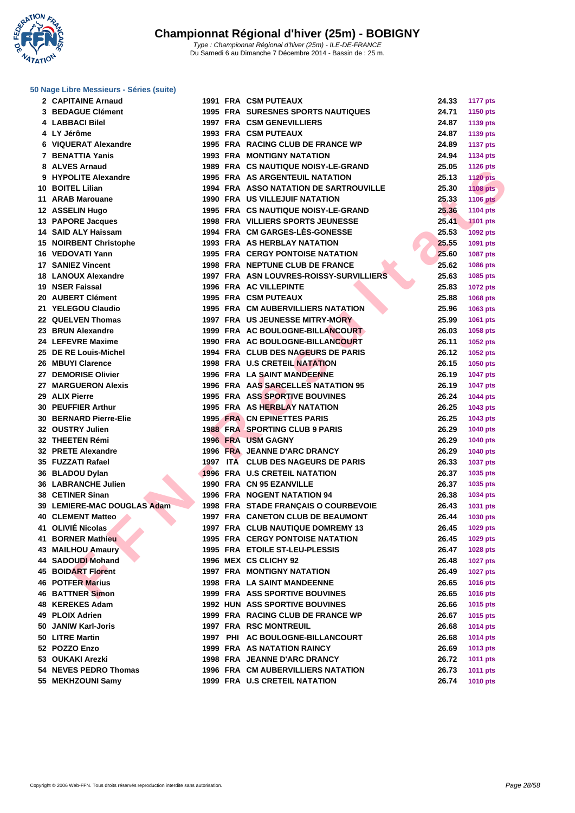**WATATION**  $^{\prime}$ 

| 2 CAPITAINE Arnaud            |  | 1991 FRA CSM PUTEAUX                      | 24.33 | <b>1177 pts</b> |
|-------------------------------|--|-------------------------------------------|-------|-----------------|
| 3 BEDAGUE Clément             |  | <b>1995 FRA SURESNES SPORTS NAUTIQUES</b> | 24.71 | 1150 pts        |
| 4 LABBACI Bilel               |  | <b>1997 FRA CSM GENEVILLIERS</b>          | 24.87 | 1139 pts        |
| 4 LY Jérôme                   |  | <b>1993 FRA CSM PUTEAUX</b>               | 24.87 | 1139 pts        |
| 6 VIQUERAT Alexandre          |  | 1995 FRA RACING CLUB DE FRANCE WP         | 24.89 | <b>1137 pts</b> |
| 7 BENATTIA Yanis              |  | <b>1993 FRA MONTIGNY NATATION</b>         | 24.94 | 1134 pts        |
| 8 ALVES Arnaud                |  | 1989 FRA CS NAUTIQUE NOISY-LE-GRAND       | 25.05 | <b>1126 pts</b> |
| 9 HYPOLITE Alexandre          |  | 1995 FRA AS ARGENTEUIL NATATION           | 25.13 | <b>1120 pts</b> |
| 10 BOITEL Lilian              |  | 1994 FRA ASSO NATATION DE SARTROUVILLE    | 25.30 | <b>1108 pts</b> |
| 11 ARAB Marouane              |  | <b>1990 FRA US VILLEJUIF NATATION</b>     | 25.33 | <b>1106 pts</b> |
| 12 ASSELIN Hugo               |  | 1995 FRA CS NAUTIQUE NOISY-LE-GRAND       | 25.36 | <b>1104 pts</b> |
| 13 PAPORE Jacques             |  | 1998 FRA VILLIERS SPORTS JEUNESSE         | 25.41 | <b>1101 pts</b> |
| 14 SAID ALY Haissam           |  | 1994 FRA CM GARGES-LES-GONESSE            | 25.53 | 1092 pts        |
| <b>15 NOIRBENT Christophe</b> |  | 1993 FRA AS HERBLAY NATATION              | 25.55 | 1091 pts        |
| 16 VEDOVATI Yann              |  | <b>1995 FRA CERGY PONTOISE NATATION</b>   | 25.60 | 1087 pts        |
| <b>17 SANIEZ Vincent</b>      |  | 1998 FRA NEPTUNE CLUB DE FRANCE           | 25.62 | 1086 pts        |
| <b>18 LANOUX Alexandre</b>    |  | 1997 FRA ASN LOUVRES-ROISSY-SURVILLIERS   | 25.63 | 1085 pts        |
| 19 NSER Faissal               |  | 1996 FRA AC VILLEPINTE                    | 25.83 | <b>1072 pts</b> |
| 20 AUBERT Clément             |  | <b>1995 FRA CSM PUTEAUX</b>               | 25.88 | 1068 pts        |
| 21 YELEGOU Claudio            |  | <b>1995 FRA CM AUBERVILLIERS NATATION</b> | 25.96 | 1063 pts        |
| 22 QUELVEN Thomas             |  | <b>1997 FRA US JEUNESSE MITRY-MORY</b>    | 25.99 |                 |
| 23 BRUN Alexandre             |  | 1999 FRA AC BOULOGNE-BILLANCOURT          | 26.03 | 1061 pts        |
|                               |  |                                           | 26.11 | 1058 pts        |
| 24 LEFEVRE Maxime             |  | <b>1990 FRA AC BOULOGNE-BILLANCOURT</b>   |       | 1052 pts        |
| 25 DE RE Louis-Michel         |  | 1994 FRA CLUB DES NAGEURS DE PARIS        | 26.12 | 1052 pts        |
| 26 MBUYI Clarence             |  | 1998 FRA U.S CRETEIL NATATION             | 26.15 | 1050 pts        |
| 27 DEMORISE Olivier           |  | 1996 FRA LA SAINT MANDEENNE               | 26.19 | <b>1047 pts</b> |
| 27 MARGUERON Alexis           |  | 1996 FRA AAS SARCELLES NATATION 95        | 26.19 | <b>1047 pts</b> |
| 29 ALIX Pierre                |  | <b>1995 FRA ASS SPORTIVE BOUVINES</b>     | 26.24 | 1044 pts        |
| 30 PEUFFIER Arthur            |  | <b>1995 FRA AS HERBLAY NATATION</b>       | 26.25 | 1043 pts        |
| <b>30 BERNARD Pierre-Elie</b> |  | <b>1995 FRA CN EPINETTES PARIS</b>        | 26.25 | 1043 pts        |
| 32 OUSTRY Julien              |  | <b>1988 FRA SPORTING CLUB 9 PARIS</b>     | 26.29 | 1040 pts        |
| 32 THEETEN Rémi               |  | 1996 FRA USM GAGNY                        | 26.29 | 1040 pts        |
| 32 PRETE Alexandre            |  | 1996 FRA JEANNE D'ARC DRANCY              | 26.29 | 1040 pts        |
| 35 FUZZATI Rafael             |  | 1997 ITA CLUB DES NAGEURS DE PARIS        | 26.33 | 1037 pts        |
| 36 BLADOU Dylan               |  | 1996 FRA U.S CRETEIL NATATION             | 26.37 | 1035 pts        |
| 36 LABRANCHE Julien           |  | 1990 FRA CN 95 EZANVILLE                  | 26.37 | 1035 pts        |
| 38 CETINER Sinan              |  | 1996 FRA NOGENT NATATION 94               | 26.38 | 1034 pts        |
| 39 LEMIERE-MAC DOUGLAS Adam   |  | 1998 FRA STADE FRANCAIS O COURBEVOIE      | 26.43 | 1031 pts        |
| <b>40 CLEMENT Matteo</b>      |  | 1997 FRA CANETON CLUB DE BEAUMONT         | 26.44 | 1030 pts        |
| 41 OLIVIÉ Nicolas             |  | 1997 FRA CLUB NAUTIQUE DOMREMY 13         | 26.45 | 1029 pts        |
| 41 BORNER Mathieu             |  | <b>1995 FRA CERGY PONTOISE NATATION</b>   | 26.45 | 1029 pts        |
| 43 MAILHOU Amaury             |  | 1995 FRA ETOILE ST-LEU-PLESSIS            | 26.47 | 1028 pts        |
| 44 SADOUDI Mohand             |  | 1996 MEX CS CLICHY 92                     | 26.48 | <b>1027 pts</b> |
| <b>45 BOIDART Florent</b>     |  | <b>1997 FRA MONTIGNY NATATION</b>         | 26.49 | <b>1027 pts</b> |
| <b>46 POTFER Marius</b>       |  | <b>1998 FRA LA SAINT MANDEENNE</b>        | 26.65 | 1016 pts        |
| <b>46 BATTNER Simon</b>       |  | <b>1999 FRA ASS SPORTIVE BOUVINES</b>     | 26.65 | 1016 pts        |
| 48 KEREKES Adam               |  | <b>1992 HUN ASS SPORTIVE BOUVINES</b>     | 26.66 | 1015 pts        |
| 49 PLOIX Adrien               |  | 1999 FRA RACING CLUB DE FRANCE WP         | 26.67 | 1015 pts        |
| 50 JANIW Karl-Joris           |  | <b>1997 FRA RSC MONTREUIL</b>             | 26.68 | 1014 pts        |
| 50 LITRE Martin               |  | 1997 PHI AC BOULOGNE-BILLANCOURT          | 26.68 | 1014 pts        |
| 52 POZZO Enzo                 |  | <b>1999 FRA AS NATATION RAINCY</b>        | 26.69 | 1013 pts        |
| 53 OUKAKI Arezki              |  | 1998 FRA JEANNE D'ARC DRANCY              | 26.72 | 1011 pts        |
| 54 NEVES PEDRO Thomas         |  | <b>1996 FRA CM AUBERVILLIERS NATATION</b> | 26.73 | 1011 pts        |
| 55 MEKHZOUNI Samy             |  | 1999 FRA U.S CRETEIL NATATION             | 26.74 | 1010 pts        |
|                               |  |                                           |       |                 |

| <b>Nage Libre Messieurs - Séries (suite)</b> |  |                                           |       |                 |
|----------------------------------------------|--|-------------------------------------------|-------|-----------------|
| 2 CAPITAINE Arnaud                           |  | <b>1991 FRA CSM PUTEAUX</b>               | 24.33 | <b>1177 pts</b> |
| 3 BEDAGUE Clément                            |  | <b>1995 FRA SURESNES SPORTS NAUTIQUES</b> | 24.71 | 1150 pts        |
| 4 LABBACI Bilel                              |  | <b>1997 FRA CSM GENEVILLIERS</b>          | 24.87 | 1139 pts        |
| 4 LY Jérôme                                  |  | <b>1993 FRA CSM PUTEAUX</b>               | 24.87 | 1139 pts        |
| 6 VIQUERAT Alexandre                         |  | 1995 FRA RACING CLUB DE FRANCE WP         | 24.89 | <b>1137 pts</b> |
| 7 BENATTIA Yanis                             |  | <b>1993 FRA MONTIGNY NATATION</b>         | 24.94 | <b>1134 pts</b> |
| 8 ALVES Arnaud                               |  | 1989 FRA CS NAUTIQUE NOISY-LE-GRAND       | 25.05 | <b>1126 pts</b> |
| 9 HYPOLITE Alexandre                         |  | <b>1995 FRA AS ARGENTEUIL NATATION</b>    | 25.13 | <b>1120 pts</b> |
| 10 BOITEL Lilian                             |  | 1994 FRA ASSO NATATION DE SARTROUVILLE    | 25.30 | <b>1108 pts</b> |
| 11 ARAB Marouane                             |  | <b>1990 FRA US VILLEJUIF NATATION</b>     | 25.33 | <b>1106 pts</b> |
| 12 ASSELIN Hugo                              |  | 1995 FRA CS NAUTIQUE NOISY-LE-GRAND       | 25.36 | <b>1104 pts</b> |
| 13 PAPORE Jacques                            |  | <b>1998 FRA VILLIERS SPORTS JEUNESSE</b>  | 25.41 | <b>1101 pts</b> |
| 14 SAID ALY Haissam                          |  | 1994 FRA CM GARGES-LES-GONESSE            | 25.53 | 1092 pts        |
| <b>15 NOIRBENT Christophe</b>                |  | 1993 FRA AS HERBLAY NATATION              | 25.55 | 1091 pts        |
| 16 VEDOVATI Yann                             |  | <b>1995 FRA CERGY PONTOISE NATATION</b>   | 25.60 | 1087 pts        |
| 17 SANIEZ Vincent                            |  | 1998 FRA NEPTUNE CLUB DE FRANCE           | 25.62 | <b>1086 pts</b> |
| 18 LANOUX Alexandre                          |  | 1997 FRA ASN LOUVRES-ROISSY-SURVILLIERS   | 25.63 | 1085 pts        |
| 19 NSER Faissal                              |  | <b>1996 FRA AC VILLEPINTE</b>             | 25.83 | <b>1072 pts</b> |
| 20 AUBERT Clément                            |  | <b>1995 FRA CSM PUTEAUX</b>               | 25.88 | 1068 pts        |
| 21 YELEGOU Claudio                           |  | <b>1995 FRA CM AUBERVILLIERS NATATION</b> | 25.96 | 1063 pts        |
| 22 QUELVEN Thomas                            |  | 1997 FRA US JEUNESSE MITRY-MORY           | 25.99 | 1061 pts        |
| 23 BRUN Alexandre                            |  | 1999 FRA AC BOULOGNE-BILLANCOURT          | 26.03 | 1058 pts        |
| 24 LEFEVRE Maxime                            |  | 1990 FRA AC BOULOGNE-BILLANCOURT          | 26.11 | 1052 pts        |
| 25 DE RE Louis-Michel                        |  | 1994 FRA CLUB DES NAGEURS DE PARIS        | 26.12 | <b>1052 pts</b> |
| 26 MBUYI Clarence                            |  | <b>1998 FRA U.S CRETEIL NATATION</b>      | 26.15 | <b>1050 pts</b> |
| 27 DEMORISE Olivier                          |  | <b>1996 FRA LA SAINT MANDEENNE</b>        | 26.19 | <b>1047 pts</b> |
| 27 MARGUERON Alexis                          |  | 1996 FRA AAS SARCELLES NATATION 95        | 26.19 | <b>1047 pts</b> |
| 29 ALIX Pierre                               |  | <b>1995 FRA ASS SPORTIVE BOUVINES</b>     | 26.24 | <b>1044 pts</b> |
| <b>30 PEUFFIER Arthur</b>                    |  | 1995 FRA AS HERBLAY NATATION              | 26.25 | 1043 pts        |
| <b>30 BERNARD Pierre-Elie</b>                |  | <b>1995 FRA CN EPINETTES PARIS</b>        | 26.25 | 1043 pts        |
| 32 OUSTRY Julien                             |  | <b>1988 FRA SPORTING CLUB 9 PARIS</b>     | 26.29 | 1040 pts        |
| 32 THEETEN Rémi                              |  | 1996 FRA USM GAGNY                        | 26.29 | <b>1040 pts</b> |
| 32 PRETE Alexandre                           |  | 1996 FRA JEANNE D'ARC DRANCY              | 26.29 | 1040 pts        |
| 35 FUZZATI Rafael                            |  | 1997 ITA CLUB DES NAGEURS DE PARIS        | 26.33 | <b>1037 pts</b> |
| 36 BLADOU Dylan                              |  | 1996 FRA U.S CRETEIL NATATION             | 26.37 | 1035 pts        |
| 36 LABRANCHE Julien                          |  | 1990 FRA CN 95 EZANVILLE                  | 26.37 | 1035 pts        |
| 38 CETINER Sinan                             |  | <b>1996 FRA NOGENT NATATION 94</b>        | 26.38 | 1034 pts        |
| 39 LEMIERE-MAC DOUGLAS Adam                  |  | 1998 FRA STADE FRANCAIS O COURBEVOIE      | 26.43 | 1031 pts        |
| 40 CLEMENT Matteo                            |  | <b>1997 FRA CANETON CLUB DE BEAUMONT</b>  | 26.44 | <b>1030 pts</b> |
| 41   OLIVIÉ Nicolas                          |  | <b>1997 FRA CLUB NAUTIQUE DOMREMY 13</b>  | 26.45 | 1029 pts        |
| 41 BORNER Mathieu                            |  | <b>1995 FRA CERGY PONTOISE NATATION</b>   | 26.45 | 1029 pts        |
| 43 MAILHOU Amaury                            |  | 1995 FRA ETOILE ST-LEU-PLESSIS            | 26.47 | 1028 pts        |
| 44 SADOUDI Mohand                            |  | 1996 MEX CS CLICHY 92                     | 26.48 | <b>1027 pts</b> |
| <b>45 BOIDART Florent</b>                    |  | <b>1997 FRA MONTIGNY NATATION</b>         | 26.49 | <b>1027 pts</b> |
| 46 POTFER Marius                             |  | 1998 FRA LA SAINT MANDEENNE               | 26.65 | <b>1016 pts</b> |
| 46 BATTNER Simon                             |  | <b>1999 FRA ASS SPORTIVE BOUVINES</b>     | 26.65 | <b>1016 pts</b> |
| 48 KEREKES Adam                              |  | <b>1992 HUN ASS SPORTIVE BOUVINES</b>     | 26.66 | 1015 pts        |
| 49 PLOIX Adrien                              |  | 1999 FRA RACING CLUB DE FRANCE WP         | 26.67 | 1015 pts        |
| 50  JANIW Karl-Joris                         |  | <b>1997 FRA RSC MONTREUIL</b>             | 26.68 | 1014 pts        |
| 50 LITRE Martin                              |  | 1997 PHI AC BOULOGNE-BILLANCOURT          | 26.68 | 1014 pts        |
| 52 POZZO Enzo                                |  | <b>1999 FRA AS NATATION RAINCY</b>        | 26.69 | 1013 pts        |
| 53   OUKAKI Arezki                           |  | 1998 FRA JEANNE D'ARC DRANCY              | 26.72 | <b>1011 pts</b> |
| 54 NEVES PEDRO Thomas                        |  | 1996 FRA CM AUBERVILLIERS NATATION        | 26.73 | 1011 pts        |
|                                              |  |                                           |       |                 |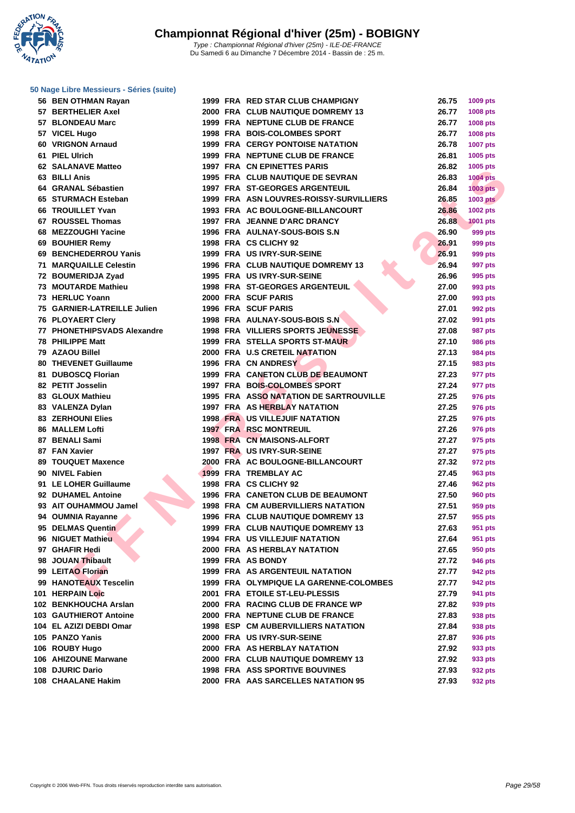**WATATION** 

| 56 BEN OTHMAN Rayan           |  | 1999 FRA RED STAR CLUB CHAMPIGNY          | 26.75 | 1009 pts        |
|-------------------------------|--|-------------------------------------------|-------|-----------------|
| 57 BERTHELIER Axel            |  | 2000 FRA CLUB NAUTIQUE DOMREMY 13         | 26.77 | 1008 pts        |
| 57 BLONDEAU Marc              |  | 1999 FRA NEPTUNE CLUB DE FRANCE           | 26.77 | 1008 pts        |
| 57 VICEL Hugo                 |  | 1998 FRA BOIS-COLOMBES SPORT              | 26.77 | 1008 pts        |
| 60 VRIGNON Arnaud             |  | <b>1999 FRA CERGY PONTOISE NATATION</b>   | 26.78 | <b>1007 pts</b> |
| 61 PIEL Ulrich                |  | 1999 FRA NEPTUNE CLUB DE FRANCE           | 26.81 | 1005 pts        |
| <b>62 SALANAVE Matteo</b>     |  | <b>1997 FRA CN EPINETTES PARIS</b>        | 26.82 | 1005 pts        |
| 63 BILLI Anis                 |  | 1995 FRA CLUB NAUTIQUE DE SEVRAN          | 26.83 | <b>1004 pts</b> |
| 64 GRANAL Sébastien           |  | 1997 FRA ST-GEORGES ARGENTEUIL            | 26.84 | <b>1003 pts</b> |
| 65 STURMACH Esteban           |  | 1999 FRA ASN LOUVRES-ROISSY-SURVILLIERS   | 26.85 | <b>1003 pts</b> |
| 66 TROUILLET Yvan             |  | 1993 FRA AC BOULOGNE-BILLANCOURT          | 26.86 | <b>1002 pts</b> |
| 67 ROUSSEL Thomas             |  | 1997 FRA JEANNE D'ARC DRANCY              | 26.88 | <b>1001 pts</b> |
| 68 MEZZOUGHI Yacine           |  | 1996 FRA AULNAY-SOUS-BOIS S.N             | 26.90 | 999 pts         |
| 69 BOUHIER Remy               |  | 1998 FRA CS CLICHY 92                     | 26.91 | 999 pts         |
| 69 BENCHEDERROU Yanis         |  | 1999 FRA US IVRY-SUR-SEINE                | 26.91 | 999 pts         |
| <b>71 MARQUAILLE Celestin</b> |  | <b>1996 FRA CLUB NAUTIQUE DOMREMY 13</b>  | 26.94 | 997 pts         |
| 72 BOUMERIDJA Zyad            |  | 1995 FRA US IVRY-SUR-SEINE                | 26.96 | 995 pts         |
| 73 MOUTARDE Mathieu           |  | <b>1998 FRA ST-GEORGES ARGENTEUIL</b>     | 27.00 | 993 pts         |
| 73 HERLUC Yoann               |  | 2000 FRA SCUF PARIS                       | 27.00 | 993 pts         |
| 75 GARNIER-LATREILLE Julien   |  | <b>1996 FRA SCUF PARIS</b>                | 27.01 | 992 pts         |
| 76 PLOYAERT Clery             |  | 1998 FRA AULNAY-SOUS-BOIS S.N             | 27.02 | 991 pts         |
| 77 PHONETHIPSVADS Alexandre   |  | <b>1998 FRA VILLIERS SPORTS JEUNESSE</b>  | 27.08 | 987 pts         |
| 78 PHILIPPE Matt              |  | 1999 FRA STELLA SPORTS ST-MAUR            | 27.10 | 986 pts         |
| 79 AZAOU Billel               |  | 2000 FRA U.S CRETEIL NATATION             | 27.13 | 984 pts         |
| <b>80 THEVENET Guillaume</b>  |  | 1996 FRA CN ANDRESY                       | 27.15 | 983 pts         |
| 81 DUBOSCQ Florian            |  | 1999 FRA CANETON CLUB DE BEAUMONT         | 27.23 | 977 pts         |
| 82 PETIT Josselin             |  | 1997 FRA BOIS-COLOMBES SPORT              | 27.24 | 977 pts         |
| 83 GLOUX Mathieu              |  | 1995 FRA ASSO NATATION DE SARTROUVILLE    | 27.25 | 976 pts         |
| 83 VALENZA Dylan              |  | 1997 FRA AS HERBLAY NATATION              | 27.25 | 976 pts         |
| <b>83 ZERHOUNI Elies</b>      |  | <b>1998 FRA US VILLEJUIF NATATION</b>     | 27.25 | 976 pts         |
| 86 MALLEM Lofti               |  | <b>1997 FRA RSC MONTREUIL</b>             | 27.26 | 976 pts         |
| 87 BENALI Sami                |  | <b>1998 FRA CN MAISONS-ALFORT</b>         | 27.27 | 975 pts         |
| 87 FAN Xavier                 |  | 1997 FRA US IVRY-SUR-SEINE                | 27.27 | 975 pts         |
| 89 TOUQUET Maxence            |  | 2000 FRA AC BOULOGNE-BILLANCOURT          | 27.32 | 972 pts         |
| 90 NIVEL Fabien               |  | 1999 FRA TREMBLAY AC                      | 27.45 | 963 pts         |
| 91 LE LOHER Guillaume         |  | 1998 FRA CS CLICHY 92                     | 27.46 | <b>962 pts</b>  |
| 92 DUHAMEL Antoine            |  | 1996 FRA CANETON CLUB DE BEAUMONT         | 27.50 | 960 pts         |
| 93 AIT OUHAMMOU Jamel         |  | <b>1998 FRA CM AUBERVILLIERS NATATION</b> | 27.51 | 959 pts         |
| 94 OUMNIA Rayanne             |  | 1996 FRA CLUB NAUTIQUE DOMREMY 13         | 27.57 | 955 pts         |
| 95 DELMAS Quentin             |  | 1999 FRA CLUB NAUTIQUE DOMREMY 13         | 27.63 | 951 pts         |
| 96 NIGUET Mathieu             |  | <b>1994 FRA US VILLEJUIF NATATION</b>     | 27.64 | 951 pts         |
| 97 GHAFIR Hedi                |  | 2000 FRA AS HERBLAY NATATION              | 27.65 | 950 pts         |
| 98 JOUAN Thibault             |  | 1999 FRA AS BONDY                         | 27.72 | 946 pts         |
| 99 LEITAO Florian             |  | <b>1999 FRA AS ARGENTEUIL NATATION</b>    | 27.77 | 942 pts         |
| 99 HANOTEAUX Tescelin         |  | 1999 FRA OLYMPIQUE LA GARENNE-COLOMBES    | 27.77 | 942 pts         |
| <b>101 HERPAIN Loic</b>       |  | 2001 FRA ETOILE ST-LEU-PLESSIS            | 27.79 | 941 pts         |
| 102 BENKHOUCHA Arslan         |  | 2000 FRA RACING CLUB DE FRANCE WP         | 27.82 | 939 pts         |
| 103 GAUTHIEROT Antoine        |  | 2000 FRA NEPTUNE CLUB DE FRANCE           | 27.83 | 938 pts         |
| 104 EL AZIZI DEBDI Omar       |  | 1998 ESP CM AUBERVILLIERS NATATION        | 27.84 | 938 pts         |
| 105 PANZO Yanis               |  | 2000 FRA US IVRY-SUR-SEINE                | 27.87 | 936 pts         |
| 106 ROUBY Hugo                |  | 2000 FRA AS HERBLAY NATATION              | 27.92 | 933 pts         |
| 106 AHIZOUNE Marwane          |  | 2000 FRA CLUB NAUTIQUE DOMREMY 13         | 27.92 | 933 pts         |
| 108 DJURIC Dario              |  | 1998 FRA ASS SPORTIVE BOUVINES            | 27.93 | 932 pts         |
| 108 CHAALANE Hakim            |  | 2000 FRA AAS SARCELLES NATATION 95        | 27.93 | 932 pts         |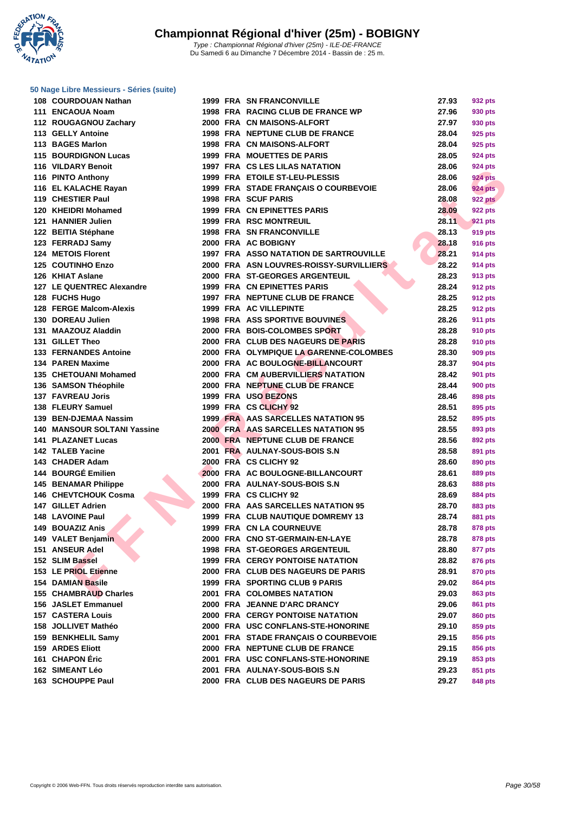**WATATION** 

| 108 COURDOUAN Nathan                       |
|--------------------------------------------|
| 111 ENCAOUA Noam                           |
| 112 ROUGAGNOU Zachary                      |
| 113 GELLY Antoine                          |
| 113 BAGES Marlon                           |
| <b>115 BOURDIGNON Lucas</b>                |
| 116 VILDARY Benoit                         |
| 116 PINTO Anthony                          |
| 116 EL KALACHE Rayan                       |
| 119 CHESTIER Paul                          |
| 120 KHEIDRI Mohamed                        |
| 121 HANNIER Julien                         |
| 122 BEITIA Stéphane                        |
| 123 FERRADJ Samy                           |
| 124 METOIS Florent                         |
| 125 COUTINHO Enzo                          |
| 126 KHIAT Aslane                           |
| 127 LE QUENTREC Alexandre                  |
|                                            |
| 128 FUCHS Hugo<br>128 FERGE Malcom-Alexis  |
| 130 DOREAU Julien                          |
| 131 MAAZOUZ Aladdin                        |
| 131 GILLET Theo                            |
| 133 FERNANDES Antoine                      |
|                                            |
| 134 PAREN Maxime<br>135 CHETOUANI Mohamed  |
|                                            |
| 136 SAMSON Théophile                       |
| 137 FAVREAU Joris                          |
| 138 FLEURY Samuel<br>139 BEN-DJEMAA Nassim |
|                                            |
| 140 MANSOUR SOLTANI Yassine                |
| <b>141 PLAZANET Lucas</b>                  |
| 142 TALEB Yacine                           |
| 143 CHADER Adam                            |
| 144 BOURGÉ Emilien                         |
| 145 BENAMAR Philippe                       |
| 146 CHEVTCHOUK Cosma                       |
| 147 GILLET Adrien<br>148 LAVOINE Paul      |
|                                            |
| 149 BOUAZIZ Anis                           |
| 149 VALET Benjamin                         |
| 151 ANSEUR Adel                            |
| 152 SLIM Bassel                            |
| 153 LE PRIOL Etienne                       |
| 154 DAMIAN Basile                          |
| <b>155 CHAMBRAUD Charles</b>               |
| <b>156 JASLET Emmanuel</b>                 |
| 157 CASTERA Louis                          |
| 158 JOLLIVET Mathéo                        |
| 159 BENKHELIL Samy                         |
| <b>159 ARDES Eliott</b>                    |
| 161 CHAPON Éric                            |
| 162 SIMEANT Léo                            |
| 163 SCHOUPPE Paul                          |

| 108 COURDOUAN Nathan                                     |  | <b>1999 FRA SN FRANCONVILLE</b>                                       | 27.93 | 932 pts        |
|----------------------------------------------------------|--|-----------------------------------------------------------------------|-------|----------------|
| 111 ENCAOUA Noam                                         |  | 1998 FRA RACING CLUB DE FRANCE WP                                     | 27.96 | 930 pts        |
| 112 ROUGAGNOU Zachary                                    |  | 2000 FRA CN MAISONS-ALFORT                                            | 27.97 | 930 pts        |
| 113 GELLY Antoine                                        |  | 1998 FRA NEPTUNE CLUB DE FRANCE                                       | 28.04 | 925 pts        |
| 113 BAGES Marlon                                         |  | 1998 FRA CN MAISONS-ALFORT                                            | 28.04 | 925 pts        |
| <b>115 BOURDIGNON Lucas</b>                              |  | <b>1999 FRA MOUETTES DE PARIS</b>                                     | 28.05 | 924 pts        |
| 116 VILDARY Benoit                                       |  | 1997 FRA CS LES LILAS NATATION                                        | 28.06 | 924 pts        |
| 116 PINTO Anthony                                        |  | 1999 FRA ETOILE ST-LEU-PLESSIS                                        | 28.06 | <b>924 pts</b> |
| 116 EL KALACHE Rayan                                     |  | 1999 FRA STADE FRANÇAIS O COURBEVOIE                                  | 28.06 | <b>924 pts</b> |
| 119 CHESTIER Paul                                        |  | <b>1998 FRA SCUF PARIS</b>                                            | 28.08 | <b>922 pts</b> |
| 120 KHEIDRI Mohamed                                      |  | 1999 FRA CN EPINETTES PARIS                                           | 28.09 | <b>922 pts</b> |
| 121 HANNIER Julien                                       |  | <b>1999 FRA RSC MONTREUIL</b>                                         | 28.11 | <b>921 pts</b> |
| 122 BEITIA Stéphane                                      |  | 1998 FRA SN FRANCONVILLE                                              | 28.13 | 919 pts        |
| 123 FERRADJ Samy                                         |  | 2000 FRA AC BOBIGNY                                                   | 28.18 | 916 pts        |
| 124 METOIS Florent                                       |  | 1997 FRA ASSO NATATION DE SARTROUVILLE                                | 28.21 | 914 pts        |
| 125 COUTINHO Enzo                                        |  | 2000 FRA ASN LOUVRES-ROISSY-SURVILLIERS                               | 28.22 | 914 pts        |
| 126 KHIAT Aslane                                         |  | 2000 FRA ST-GEORGES ARGENTEUIL                                        | 28.23 | 913 pts        |
| <b>127 LE QUENTREC Alexandre</b>                         |  | 1999 FRA CN EPINETTES PARIS                                           | 28.24 | 912 pts        |
| 128 FUCHS Hugo                                           |  | 1997 FRA NEPTUNE CLUB DE FRANCE                                       | 28.25 | 912 pts        |
| 128 FERGE Malcom-Alexis                                  |  | 1999 FRA AC VILLEPINTE                                                | 28.25 | 912 pts        |
| 130 DOREAU Julien                                        |  | <b>1998 FRA ASS SPORTIVE BOUVINES</b>                                 | 28.26 | 911 pts        |
| 131 MAAZOUZ Aladdin                                      |  | 2000 FRA BOIS-COLOMBES SPORT                                          | 28.28 | 910 pts        |
| 131 GILLET Theo                                          |  | 2000 FRA CLUB DES NAGEURS DE PARIS                                    | 28.28 | 910 pts        |
| <b>133 FERNANDES Antoine</b>                             |  | 2000 FRA OLYMPIQUE LA GARENNE-COLOMBES                                | 28.30 | 909 pts        |
| 134 PAREN Maxime                                         |  | 2000 FRA AC BOULOGNE-BILLANCOURT                                      | 28.37 | 904 pts        |
| 135 CHETOUANI Mohamed                                    |  | 2000 FRA CM AUBERVILLIERS NATATION                                    | 28.42 | 901 pts        |
| 136 SAMSON Théophile                                     |  | 2000 FRA NEPTUNE CLUB DE FRANCE                                       | 28.44 | 900 pts        |
| 137 FAVREAU Joris                                        |  | 1999 FRA USO BEZONS                                                   | 28.46 | 898 pts        |
| 138 FLEURY Samuel                                        |  | 1999 FRA CS CLICHY 92                                                 | 28.51 | 895 pts        |
| 139 BEN-DJEMAA Nassim                                    |  | 1999 FRA AAS SARCELLES NATATION 95                                    | 28.52 |                |
|                                                          |  |                                                                       | 28.55 | 895 pts        |
| 140 MANSOUR SOLTANI Yassine<br><b>141 PLAZANET Lucas</b> |  | 2000 FRA AAS SARCELLES NATATION 95<br>2000 FRA NEPTUNE CLUB DE FRANCE | 28.56 | 893 pts        |
|                                                          |  |                                                                       |       | 892 pts        |
| 142 TALEB Yacine                                         |  | 2001 FRA AULNAY-SOUS-BOIS S.N                                         | 28.58 | 891 pts        |
| 143 CHADER Adam                                          |  | 2000 FRA CS CLICHY 92                                                 | 28.60 | 890 pts        |
| 144 BOURGÉ Emilien                                       |  | 2000 FRA AC BOULOGNE-BILLANCOURT                                      | 28.61 | 889 pts        |
| <b>145 BENAMAR Philippe</b>                              |  | 2000 FRA AULNAY-SOUS-BOIS S.N                                         | 28.63 | 888 pts        |
| 146 CHEVTCHOUK Cosma                                     |  | 1999 FRA CS CLICHY 92                                                 | 28.69 | 884 pts        |
| 147 GILLET Adrien                                        |  | 2000 FRA AAS SARCELLES NATATION 95                                    | 28.70 | 883 pts        |
| 148 LAVOINE Paul                                         |  | 1999 FRA CLUB NAUTIQUE DOMREMY 13                                     | 28.74 | 881 pts        |
| 149 BOUAZIZ Anis                                         |  | 1999 FRA CN LA COURNEUVE                                              | 28.78 | 878 pts        |
| 149 VALET Benjamin                                       |  | 2000 FRA CNO ST-GERMAIN-EN-LAYE                                       | 28.78 | 878 pts        |
| 151 ANSEUR Adel                                          |  | <b>1998 FRA ST-GEORGES ARGENTEUIL</b>                                 | 28.80 | 877 pts        |
| 152 SLIM Bassel                                          |  | <b>1999 FRA CERGY PONTOISE NATATION</b>                               | 28.82 | 876 pts        |
| 153 LE PRIOL Etienne                                     |  | 2000 FRA CLUB DES NAGEURS DE PARIS                                    | 28.91 | 870 pts        |
| 154 DAMIAN Basile                                        |  | 1999 FRA SPORTING CLUB 9 PARIS                                        | 29.02 | 864 pts        |
| 155 CHAMBRAUD Charles                                    |  | 2001 FRA COLOMBES NATATION                                            | 29.03 | 863 pts        |
| 156 JASLET Emmanuel                                      |  | 2000 FRA JEANNE D'ARC DRANCY                                          | 29.06 | 861 pts        |
| <b>157 CASTERA Louis</b>                                 |  | <b>2000 FRA CERGY PONTOISE NATATION</b>                               | 29.07 | 860 pts        |
| 158 JOLLIVET Mathéo                                      |  | 2000 FRA USC CONFLANS-STE-HONORINE                                    | 29.10 | 859 pts        |
| 159 BENKHELIL Samy                                       |  | 2001 FRA STADE FRANÇAIS O COURBEVOIE                                  | 29.15 | 856 pts        |
| 159 ARDES Eliott                                         |  | 2000 FRA NEPTUNE CLUB DE FRANCE                                       | 29.15 | 856 pts        |
| 161 CHAPON Eric                                          |  | 2001 FRA USC CONFLANS-STE-HONORINE                                    | 29.19 | 853 pts        |
| 162 SIMEANT Léo                                          |  | 2001 FRA AULNAY-SOUS-BOIS S.N                                         | 29.23 | 851 pts        |
| 163 SCHOUPPE Paul                                        |  | 2000 FRA CLUB DES NAGEURS DE PARIS                                    | 29.27 | 848 pts        |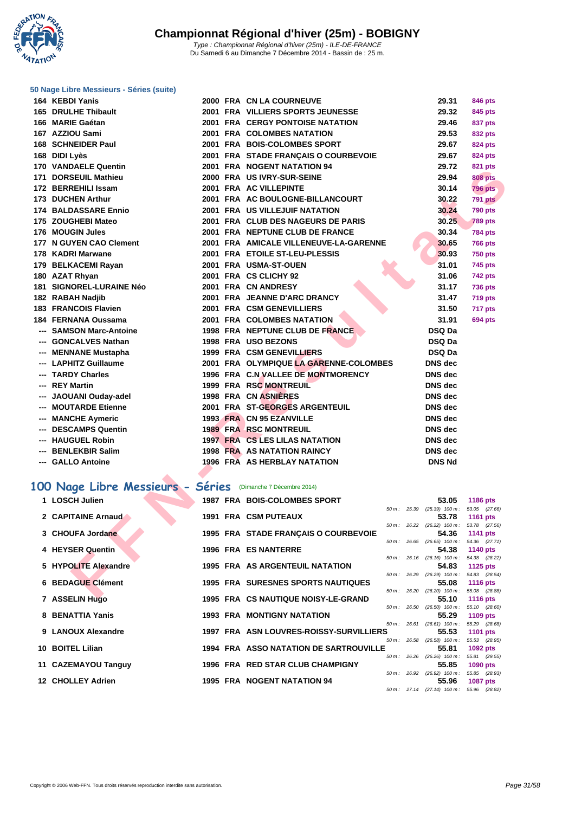**WATATION** 17

| 164 KEBDI Yanis                                             |  | <b>2000 FRA CN LA COURNEUVE</b>           |  | 29.31                                                           | 846 pts         |  |
|-------------------------------------------------------------|--|-------------------------------------------|--|-----------------------------------------------------------------|-----------------|--|
| 165 DRULHE Thibault                                         |  | 2001 FRA VILLIERS SPORTS JEUNESSE         |  | 29.32                                                           | 845 pts         |  |
| 166 MARIE Gaétan                                            |  | <b>2001 FRA CERGY PONTOISE NATATION</b>   |  | 29.46                                                           | 837 pts         |  |
| 167 AZZIOU Sami                                             |  | <b>2001 FRA COLOMBES NATATION</b>         |  | 29.53                                                           | 832 pts         |  |
| 168 SCHNEIDER Paul                                          |  | 2001 FRA BOIS-COLOMBES SPORT              |  | 29.67                                                           | <b>824 pts</b>  |  |
| 168 DIDI Lyès                                               |  | 2001 FRA STADE FRANÇAIS O COURBEVOIE      |  | 29.67                                                           | 824 pts         |  |
| 170 VANDAELE Quentin                                        |  | 2001 FRA NOGENT NATATION 94               |  | 29.72                                                           | <b>821 pts</b>  |  |
| 171 DORSEUIL Mathieu                                        |  | 2000 FRA US IVRY-SUR-SEINE                |  | 29.94                                                           | <b>808 pts</b>  |  |
| 172 BERREHILI Issam                                         |  | 2001 FRA AC VILLEPINTE                    |  | 30.14                                                           | <b>796 pts</b>  |  |
| 173 DUCHEN Arthur                                           |  | 2001 FRA AC BOULOGNE-BILLANCOURT          |  | 30.22                                                           | <b>791 pts</b>  |  |
| 174 BALDASSARE Ennio                                        |  | 2001 FRA US VILLEJUIF NATATION            |  | 30.24                                                           | <b>790 pts</b>  |  |
| 175 ZOUGHEBI Mateo                                          |  | 2001 FRA CLUB DES NAGEURS DE PARIS        |  | 30.25                                                           | <b>789 pts</b>  |  |
| 176 MOUGIN Jules                                            |  | 2001 FRA NEPTUNE CLUB DE FRANCE           |  | 30.34                                                           | <b>784 pts</b>  |  |
| 177 N GUYEN CAO Clement                                     |  | 2001 FRA AMICALE VILLENEUVE-LA-GARENNE    |  | 30.65                                                           | <b>766 pts</b>  |  |
| 178 KADRI Marwane                                           |  | 2001 FRA ETOILE ST-LEU-PLESSIS            |  | 30.93                                                           | <b>750 pts</b>  |  |
| 179 BELKACEMI Rayan                                         |  | 2001 FRA USMA-ST-OUEN                     |  | 31.01                                                           | 745 pts         |  |
| 180 AZAT Rhyan                                              |  | 2001 FRA CS CLICHY 92                     |  | 31.06                                                           | <b>742 pts</b>  |  |
| <b>181 SIGNOREL-LURAINE Néo</b>                             |  | 2001 FRA CN ANDRESY                       |  | 31.17                                                           | <b>736 pts</b>  |  |
| 182 RABAH Nadjib                                            |  | 2001 FRA JEANNE D'ARC DRANCY              |  | 31.47                                                           | <b>719 pts</b>  |  |
| 183 FRANCOIS Flavien                                        |  | 2001 FRA CSM GENEVILLIERS                 |  | 31.50                                                           | 717 pts         |  |
| 184 FERNANA Oussama                                         |  | 2001 FRA COLOMBES NATATION                |  | 31.91                                                           | <b>694 pts</b>  |  |
| --- SAMSON Marc-Antoine                                     |  | 1998 FRA NEPTUNE CLUB DE FRANCE           |  | DSQ Da                                                          |                 |  |
| --- GONCALVES Nathan                                        |  | 1998 FRA USO BEZONS                       |  | DSQ Da                                                          |                 |  |
| --- MENNANE Mustapha                                        |  | 1999 FRA CSM GENEVILLIERS                 |  | <b>DSQ Da</b>                                                   |                 |  |
| --- LAPHITZ Guillaume                                       |  | 2001 FRA OLYMPIQUE LA GARENNE-COLOMBES    |  | <b>DNS</b> dec                                                  |                 |  |
| --- TARDY Charles                                           |  | 1996 FRA C.N VALLEE DE MONTMORENCY        |  | <b>DNS</b> dec                                                  |                 |  |
| --- REY Martin                                              |  | 1999 FRA RSC MONTREUIL                    |  | <b>DNS</b> dec                                                  |                 |  |
| --- JAOUANI Ouday-adel                                      |  | 1998 FRA CN ASNIERES                      |  | <b>DNS</b> dec                                                  |                 |  |
| --- MOUTARDE Etienne                                        |  | 2001 FRA ST-GEORGES ARGENTEUIL            |  | <b>DNS</b> dec                                                  |                 |  |
| --- MANCHE Aymeric                                          |  | 1993 FRA CN 95 EZANVILLE                  |  | <b>DNS</b> dec                                                  |                 |  |
| --- DESCAMPS Quentin                                        |  | <b>1989 FRA RSC MONTREUIL</b>             |  | <b>DNS</b> dec                                                  |                 |  |
| --- HAUGUEL Robin                                           |  | <b>1997 FRA CS LES LILAS NATATION</b>     |  | <b>DNS</b> dec                                                  |                 |  |
| --- BENLEKBIR Salim                                         |  | <b>1998 FRA AS NATATION RAINCY</b>        |  | <b>DNS</b> dec                                                  |                 |  |
| --- GALLO Antoine                                           |  | 1996 FRA AS HERBLAY NATATION              |  | <b>DNS Nd</b>                                                   |                 |  |
|                                                             |  |                                           |  |                                                                 |                 |  |
| 00 Nage Libre Messieurs - Séries (Dimanche 7 Décembre 2014) |  |                                           |  |                                                                 |                 |  |
| 1 LOSCH Julien                                              |  | <b>1987 FRA BOIS-COLOMBES SPORT</b>       |  | 53.05                                                           | 1186 pts        |  |
| 2 CAPITAINE Arnaud                                          |  | <b>1991 FRA CSM PUTEAUX</b>               |  | 50 m: 25.39 (25.39) 100 m: 53.05 (27.66)                        |                 |  |
|                                                             |  |                                           |  | 53.78<br>$50 m$ : $26.22$ $(26.22)$ $100 m$ : $53.78$ $(27.56)$ | <b>1161 pts</b> |  |
| 3 CHOUFA Jordane                                            |  | 1995 FRA STADE FRANÇAIS O COURBEVOIE      |  | 54.36                                                           | 1141 pts        |  |
|                                                             |  |                                           |  | 50 m: 26.65 (26.65) 100 m: 54.36 (27.71)                        |                 |  |
| 4 HEYSER Quentin                                            |  | <b>1996 FRA ES NANTERRE</b>               |  | 54.38<br>50 m: 26.16 (26.16) 100 m: 54.38 (28.22)               | <b>1140 pts</b> |  |
| 5 HYPOLITE Alexandre                                        |  | 1995 FRA AS ARGENTEUIL NATATION           |  | 54.83                                                           | 1125 pts        |  |
| <b>6 BEDAGUE Clément</b>                                    |  | <b>1995 FRA SURESNES SPORTS NAUTIQUES</b> |  | $50 m$ : $26.29$ $(26.29)$ $100 m$ : $54.83$ $(28.54)$<br>55.08 |                 |  |
|                                                             |  |                                           |  | 50 m: 26.20 (26.20) 100 m: 55.08 (28.88)                        | <b>1116 pts</b> |  |
| $\overline{z}$ accredibility                                |  | 400E FBA CONAUTIOUR NOICY LE CRAND        |  | EE 40                                                           | <b>AAAA</b>     |  |

# **100 Nage Libre Messieurs - Séries** (Dimanche 7 Décembre 2014)

| 1 LOSCH Julien           |  | <b>1987 FRA BOIS-COLOMBES SPORT</b>           |                |                | 53.05                                     | <b>1186 pts</b>              |  |
|--------------------------|--|-----------------------------------------------|----------------|----------------|-------------------------------------------|------------------------------|--|
|                          |  |                                               | $50 m$ : 25.39 |                | $(25.39)$ 100 m :                         | 53.05 (27.66)                |  |
| 2 CAPITAINE Arnaud       |  | <b>1991 FRA CSM PUTEAUX</b>                   |                |                | 53.78<br>$50 m$ : 26.22 (26.22) $100 m$ : | 1161 pts<br>53.78 (27.56)    |  |
| 3 CHOUFA Jordane         |  | 1995 FRA STADE FRANÇAIS O COURBEVOIE          |                |                | 54.36                                     | 1141 $pts$                   |  |
|                          |  |                                               |                |                | $50 m$ : 26.65 (26.65) $100 m$ :          | 54.36 (27.71)                |  |
| 4 HEYSER Quentin         |  | 1996 FRA ES NANTERRE                          |                |                | 54.38                                     | 1140 pts                     |  |
| 5 HYPOLITE Alexandre     |  | <b>1995 FRA AS ARGENTEUIL NATATION</b>        |                |                | 50 m: 26.16 (26.16) 100 m:<br>54.83       | 54.38 (28.22)<br>1125 $p$ ts |  |
|                          |  |                                               |                |                | $50 m$ : 26.29 (26.29) $100 m$ :          | 54.83 (28.54)                |  |
| <b>6 BEDAGUE Clément</b> |  | <b>1995 FRA SURESNES SPORTS NAUTIQUES</b>     |                |                | 55.08                                     | 1116 pts                     |  |
|                          |  |                                               |                | $50 m$ : 26.20 | $(26.20)$ 100 m :                         | 55.08 (28.88)                |  |
| 7 ASSELIN Hugo           |  | 1995 FRA CS NAUTIQUE NOISY-LE-GRAND           |                |                | 55.10                                     | <b>1116 pts</b>              |  |
| 8 BENATTIA Yanis         |  | <b>1993 FRA MONTIGNY NATATION</b>             | 50 m: 26.50    |                | $(26.50)$ 100 m :<br>55.29                | 55.10 (28.60)<br>1109 $pts$  |  |
|                          |  |                                               | $50 m$ : 26.61 |                | $(26.61)$ 100 m :                         | 55.29 (28.68)                |  |
| 9 LANOUX Alexandre       |  | 1997 FRA ASN LOUVRES-ROISSY-SURVILLIERS       |                |                | 55.53                                     | <b>1101 pts</b>              |  |
|                          |  |                                               |                |                | 50 m: 26.58 (26.58) 100 m:                | 55.53 (28.95)                |  |
| 10 BOITEL Lilian         |  | <b>1994 FRA ASSO NATATION DE SARTROUVILLE</b> | $50 m$ : 26.26 |                | 55.81<br>$(26.26)$ 100 m :                | 1092 pts<br>55.81 (29.55)    |  |
| 11 CAZEMAYOU Tanguy      |  | 1996 FRA RED STAR CLUB CHAMPIGNY              |                |                | 55.85                                     | 1090 pts                     |  |
|                          |  |                                               | 50 m: 26.92    |                | $(26.92)$ 100 m :                         | 55.85 (28.93)                |  |
| 12 CHOLLEY Adrien        |  | <b>1995 FRA NOGENT NATATION 94</b>            |                |                | 55.96                                     | 1087 pts                     |  |
|                          |  |                                               |                |                | 50 m: 27.14 (27.14) 100 m: 55.96 (28.82)  |                              |  |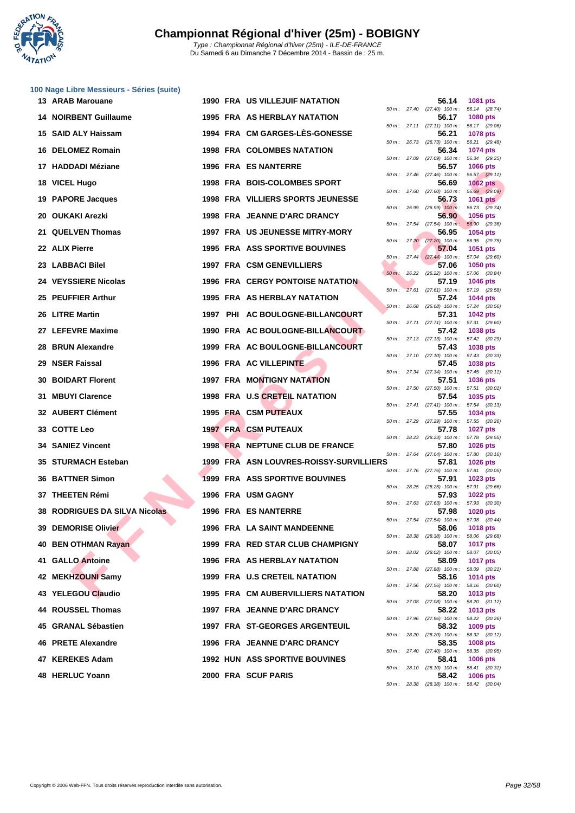

|  | 100 Nage Libre Messieurs - Séries (suite) |  |
|--|-------------------------------------------|--|
|  |                                           |  |

| 13 ARAB Marouane                     |  | <b>1990 FRA US VILLEJUIF NATATION</b>     |        | 56.14                                                     | 1081 pts                         |
|--------------------------------------|--|-------------------------------------------|--------|-----------------------------------------------------------|----------------------------------|
| <b>14 NOIRBENT Guillaume</b>         |  | <b>1995 FRA AS HERBLAY NATATION</b>       |        | 50 m : 27.40 (27.40) 100 m :<br>56.17                     | 56.14 (28.74)<br>1080 pts        |
| 15 SAID ALY Haissam                  |  | 1994 FRA CM GARGES-LES-GONESSE            |        | 50 m: 27.11 (27.11) 100 m:<br>56.21                       | 56.17 (29.06)<br>1078 pts        |
| 16 DELOMEZ Romain                    |  | <b>1998 FRA COLOMBES NATATION</b>         |        | 50 m : 26.73 (26.73) 100 m :<br>56.34                     | 56.21 (29.48)<br>1074 pts        |
| 17 HADDADI Méziane                   |  | 1996 FRA ES NANTERRE                      |        | $50 m$ : 27.09 (27.09) $100 m$ :<br>56.57                 | 56.34 (29.25)<br>1066 pts        |
| 18 VICEL Hugo                        |  | 1998 FRA BOIS-COLOMBES SPORT              |        | $50 m$ : 27.46 (27.46) $100 m$ :<br>56.69                 | 56.57 (29.11)<br><b>1062 pts</b> |
| 19 PAPORE Jacques                    |  | <b>1998 FRA VILLIERS SPORTS JEUNESSE</b>  |        | $50 m$ : 27.60 (27.60) $100 m$ :<br>56.73                 | 56.69 (29.09)<br><b>1061 pts</b> |
| 20 OUKAKI Arezki                     |  | 1998 FRA JEANNE D'ARC DRANCY              |        | $50 m$ : $26.99$ $(26.99)$ $100 m$ :<br>56.90             | 56.73 (29.74)<br>1056 pts        |
| 21 QUELVEN Thomas                    |  | 1997 FRA US JEUNESSE MITRY-MORY           |        | $50 m$ : 27.54 (27.54) $100 m$ :<br>56.95                 | 56.90 (29.36)<br>1054 pts        |
| 22 ALIX Pierre                       |  | 1995 FRA ASS SPORTIVE BOUVINES            |        | $50 \text{ m}$ : 27.20 (27.20) 100 m:<br>57.04            | 56.95 (29.75)<br>1051 pts        |
| 23 LABBACI Bilel                     |  | <b>1997 FRA CSM GENEVILLIERS</b>          |        | $50 \text{ m}: 27.44$ $(27.44)$ $100 \text{ m}:$<br>57.06 | 57.04 (29.60)<br>1050 pts        |
| 24 VEYSSIERE Nicolas                 |  | <b>1996 FRA CERGY PONTOISE NATATION</b>   |        | $50 \text{ m}$ : 26.22 (26.22) 100 m :<br>57.19           | 57.06 (30.84)<br><b>1046 pts</b> |
| 25 PEUFFIER Arthur                   |  | 1995 FRA AS HERBLAY NATATION              |        | 50 m: 27.61 (27.61) 100 m:<br>57.24                       | 57.19 (29.58)<br>1044 pts        |
| 26 LITRE Martin                      |  | 1997 PHI AC BOULOGNE-BILLANCOURT          |        | $50 m$ : 26.68 (26.68) 100 m :<br>57.31                   | 57.24 (30.56)<br>1042 pts        |
| 27 LEFEVRE Maxime                    |  | 1990 FRA AC BOULOGNE-BILLANCOURT          |        | 50 m: 27.71 (27.71) 100 m: 57.31 (29.60)<br>57.42         | 1038 pts                         |
| 28 BRUN Alexandre                    |  | 1999 FRA AC BOULOGNE-BILLANCOURT          |        | 50 m: 27.13 (27.13) 100 m:<br>57.43                       | 57.42 (30.29)<br>1038 pts        |
| 29 NSER Faissal                      |  | 1996 FRA AC VILLEPINTE                    |        | 50 m: 27.10 (27.10) 100 m: 57.43 (30.33)<br>57.45         | 1038 pts                         |
| 30 BOIDART Florent                   |  | <b>1997 FRA MONTIGNY NATATION</b>         |        | 50 m: 27.34 (27.34) 100 m: 57.45 (30.11)<br>57.51         | 1036 pts                         |
| 31 MBUYI Clarence                    |  | 1998 FRA U.S CRETEIL NATATION             |        | 50 m: 27.50 (27.50) 100 m:<br>57.54                       | 57.51 (30.01)<br>1035 pts        |
| 32 AUBERT Clément                    |  | 1995 FRA CSM PUTEAUX                      |        | 50 m: 27.41 (27.41) 100 m: 57.54 (30.13)<br>57.55         | 1034 pts                         |
| 33 COTTE Leo                         |  | <b>1997 FRA CSM PUTEAUX</b>               |        | 50 m: 27.29 (27.29) 100 m:<br>57.78                       | 57.55 (30.26)<br><b>1027 pts</b> |
| <b>34 SANIEZ Vincent</b>             |  | 1998 FRA NEPTUNE CLUB DE FRANCE           |        | 50 m: 28.23 (28.23) 100 m: 57.78 (29.55)<br>57.80         | <b>1026 pts</b>                  |
| 35 STURMACH Esteban                  |  | 1999 FRA ASN LOUVRES-ROISSY-SURVILLIERS   |        | $50 m$ : 27.64 (27.64) $100 m$ :<br>57.81                 | 57.80 (30.16)<br><b>1026 pts</b> |
| <b>36 BATTNER Simon</b>              |  | <b>1999 FRA ASS SPORTIVE BOUVINES</b>     |        | 50 m: 27.76 (27.76) 100 m:<br>57.91                       | 57.81 (30.05)<br>1023 pts        |
| 37 THEETEN Rémi                      |  | 1996 FRA USM GAGNY                        |        | 50 m : 28.25 (28.25) 100 m :<br>57.93                     | 57.91 (29.66)<br><b>1022 pts</b> |
| <b>38 RODRIGUES DA SILVA Nicolas</b> |  | <b>1996 FRA ES NANTERRE</b>               |        | 50 m: 27.63 (27.63) 100 m:<br>57.98                       | 57.93 (30.30)<br><b>1020 pts</b> |
| 39 DEMORISE Olivier                  |  | 1996 FRA LA SAINT MANDEENNE               |        | $50 m$ : 27.54 (27.54) $100 m$ :<br>58.06                 | 57.98 (30.44)<br>1018 pts        |
| 40 BEN OTHMAN Rayan                  |  | 1999 FRA RED STAR CLUB CHAMPIGNY          |        | 50 m : 28.38 (28.38) 100 m :<br>58.07                     | 58.06 (29.68)<br><b>1017 pts</b> |
| 41 GALLO Antoine                     |  | 1996 FRA AS HERBLAY NATATION              |        | 50 m: 28.02 (28.02) 100 m:<br>58.09                       | 58.07 (30.05)<br><b>1017 pts</b> |
| 42 MEKHZOUNI Samy                    |  | <b>1999 FRA U.S CRETEIL NATATION</b>      |        | 50 m: 27.88 (27.88) 100 m:<br>58.16                       | 58.09 (30.21)<br>1014 pts        |
| 43 YELEGOU Claudio                   |  | <b>1995 FRA CM AUBERVILLIERS NATATION</b> |        | 50 m: 27.56 (27.56) 100 m:<br>58.20                       | 58.16 (30.60)<br>1013 pts        |
| 44 ROUSSEL Thomas                    |  | 1997 FRA JEANNE D'ARC DRANCY              |        | 50 m: 27.08 (27.08) 100 m:<br>58.22                       | 58.20 (31.12)<br>1013 pts        |
| 45 GRANAL Sébastien                  |  | 1997 FRA ST-GEORGES ARGENTEUIL            |        | 50 m: 27.96 (27.96) 100 m:<br>58.32                       | 58.22 (30.26)<br>1009 pts        |
| 46 PRETE Alexandre                   |  | 1996 FRA JEANNE D'ARC DRANCY              | 50 m : | 28.20 (28.20) 100 m :<br>58.35                            | 58.32 (30.12)<br>1008 pts        |
| 47 KEREKES Adam                      |  | <b>1992 HUN ASS SPORTIVE BOUVINES</b>     |        | 50 m : 27.40 (27.40) 100 m :<br>58.41                     | 58.35 (30.95)<br>1006 pts        |
| 48 HERLUC Yoann                      |  | 2000 FRA SCUF PARIS                       |        | 50 m: 28.10 (28.10) 100 m:<br>58.42                       | 58.41 (30.31)<br>1006 pts        |
|                                      |  |                                           |        | 50 m: 28.38 (28.38) 100 m: 58.42 (30.04)                  |                                  |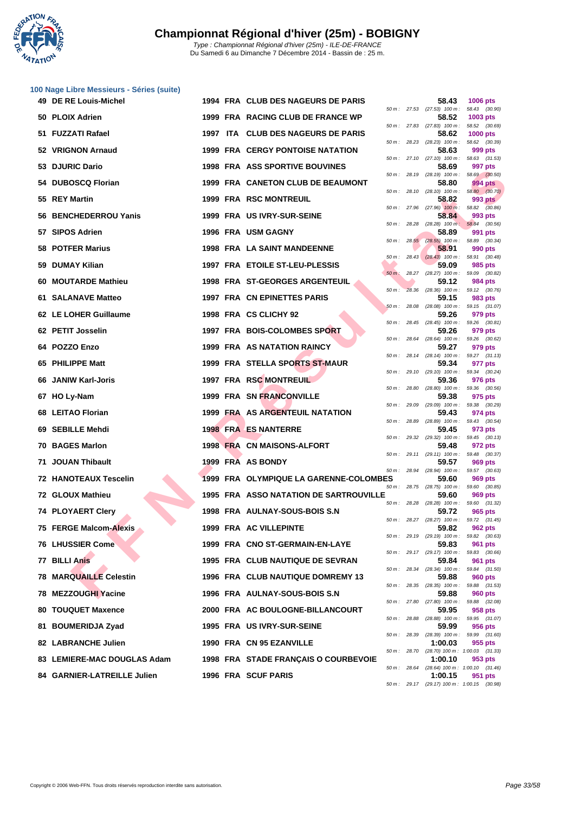

|    | 100 Nage Libre Messieurs - Séries (suite) |  |                                        |              |              |                                                     |                                 |         |
|----|-------------------------------------------|--|----------------------------------------|--------------|--------------|-----------------------------------------------------|---------------------------------|---------|
|    | 49 DE RE Louis-Michel                     |  | 1994 FRA CLUB DES NAGEURS DE PARIS     |              |              | 58.43<br>50 m: 27.53 (27.53) 100 m:                 | 1006 pts<br>58.43 (30.90)       |         |
|    | 50 PLOIX Adrien                           |  | 1999 FRA RACING CLUB DE FRANCE WP      |              |              | 58.52<br>50 m: 27.83 (27.83) 100 m:                 | 1003 pts<br>58.52 (30.69)       |         |
|    | 51 FUZZATI Rafael                         |  | 1997 ITA CLUB DES NAGEURS DE PARIS     |              |              | 58.62<br>$50 m$ : 28.23 (28.23) $100 m$ :           | 1000 pts<br>58.62 (30.39)       |         |
|    | 52 VRIGNON Arnaud                         |  | 1999 FRA CERGY PONTOISE NATATION       |              |              | 58.63                                               | 999 pts                         |         |
|    | 53 DJURIC Dario                           |  | <b>1998 FRA ASS SPORTIVE BOUVINES</b>  |              |              | 50 m: 27.10 (27.10) 100 m:<br>58.69                 | 58.63 (31.53)<br>997 pts        |         |
|    | 54 DUBOSCQ Florian                        |  | 1999 FRA CANETON CLUB DE BEAUMONT      | 50 m: 28.19  |              | (28.19) 100 m :<br>58.80                            | 58.69 (30.50)<br>994 pts        |         |
|    | 55 REY Martin                             |  | <b>1999 FRA RSC MONTREUIL</b>          |              |              | 50 m: 28.10 (28.10) 100 m: 58.80 (30.70)<br>58.82   | 993 pts                         |         |
|    | 56 BENCHEDERROU Yanis                     |  | 1999 FRA US IVRY-SUR-SEINE             |              |              | 50 m : 27.96 (27.96) 100 m : 58.82 (30.86)<br>58.84 | 993 pts                         |         |
|    | 57 SIPOS Adrien                           |  | 1996 FRA USM GAGNY                     | 50 m: 28.28  |              | $(28.28)$ 100 m:<br>58.89                           | 58.84 (30.56)<br>991 pts        |         |
|    | 58 POTFER Marius                          |  | <b>1998 FRA LA SAINT MANDEENNE</b>     |              |              | 50 m: 28.55 (28.55) 100 m: 58.89 (30.34)<br>58.91   | 990 pts                         |         |
|    | 59 DUMAY Kilian                           |  | 1997 FRA ETOILE ST-LEU-PLESSIS         | 50 m :       |              | 28.43 (28.43) 100 m:<br>59.09                       | 58.91<br>985 pts                | (30.48) |
|    | 60 MOUTARDE Mathieu                       |  | <b>1998 FRA ST-GEORGES ARGENTEUIL</b>  | $50 m$ :     |              | 28.27 (28.27) 100 m: 59.09 (30.82)<br>59.12         | 984 pts                         |         |
|    | 61 SALANAVE Matteo                        |  | 1997 FRA CN EPINETTES PARIS            | $50 m$ :     |              | 28.36 (28.36) 100 m: 59.12 (30.76)<br>59.15         | 983 pts                         |         |
|    | 62 LE LOHER Guillaume                     |  | 1998 FRA CS CLICHY 92                  | 50 m :       | 28.08        | $(28.08)$ 100 m : 59.15 $(31.07)$<br>59.26          |                                 |         |
|    |                                           |  |                                        |              |              | 50 m: 28.45 (28.45) 100 m: 59.26 (30.81)            | 979 pts                         |         |
|    | 62 PETIT Josselin                         |  | 1997 FRA BOIS-COLOMBES SPORT           |              |              | 59.26<br>50 m: 28.64 (28.64) 100 m:                 | 979 pts<br>59.26 (30.62)        |         |
|    | 64 POZZO Enzo                             |  | <b>1999 FRA AS NATATION RAINCY</b>     |              |              | 59.27<br>50 m: 28.14 (28.14) 100 m: 59.27 (31.13)   | 979 pts                         |         |
|    | 65 PHILIPPE Matt                          |  | <b>1999 FRA STELLA SPORTS ST-MAUR</b>  |              |              | 59.34<br>50 m: 29.10 (29.10) 100 m: 59.34 (30.24)   | 977 pts                         |         |
|    | 66 JANIW Karl-Joris                       |  | 1997 FRA RSC MONTREUIL                 | 50 m: 28.80  |              | 59.36<br>$(28.80)$ 100 m : 59.36 $(30.56)$          | 976 pts                         |         |
|    | 67 HO Ly-Nam                              |  | 1999 FRA SN FRANCONVILLE               |              |              | 59.38<br>50 m: 29.09 (29.09) 100 m: 59.38 (30.29)   | 975 pts                         |         |
|    | 68 LEITAO Florian                         |  | 1999 FRA AS ARGENTEUIL NATATION        | 50 m: 28.89  |              | 59.43<br>$(28.89)$ 100 m : 59.43 $(30.54)$          | 974 pts                         |         |
|    | 69 SEBILLE Mehdi                          |  | <b>1998 FRA ES NANTERRE</b>            |              |              | 59.45<br>50 m: 29.32 (29.32) 100 m: 59.45 (30.13)   | 973 pts                         |         |
|    | 70 BAGES Marlon                           |  | 1998 FRA CN MAISONS-ALFORT             | 50 m :       |              | 59.48<br>29.11 (29.11) 100 m:                       | 972 pts<br>59.48 (30.37)        |         |
|    | 71 JOUAN Thibault                         |  | 1999 FRA AS BONDY                      |              |              | 59.57                                               | 969 pts                         |         |
|    | 72 HANOTEAUX Tescelin                     |  | 1999 FRA OLYMPIQUE LA GARENNE-COLOMBES | 50 m: 28.94  |              | $(28.94)$ 100 m : 59.57 $(30.63)$<br>59.60          | 969 pts                         |         |
|    | 72 GLOUX Mathieu                          |  | 1995 FRA ASSO NATATION DE SARTROUVILLE |              |              | 50 m: 28.75 (28.75) 100 m: 59.60 (30.85)<br>59.60   | 969 pts                         |         |
|    | 74 PLOYAERT Clery                         |  | 1998 FRA AULNAY-SOUS-BOIS S.N          |              | 50 m : 28.28 | $(28.28)$ 100 m : 59.60 $(31.32)$<br>59.72          | 965 pts                         |         |
|    | 75 FERGE Malcom-Alexis                    |  | 1999 FRA AC VILLEPINTE                 |              |              | 50 m: 28.27 (28.27) 100 m:<br>59.82                 | 59.72 (31.45)<br><b>962 pts</b> |         |
|    | <b>76 LHUSSIER Come</b>                   |  | 1999 FRA CNO ST-GERMAIN-EN-LAYE        |              |              | 50 m: 29.19 (29.19) 100 m:<br>59.83                 | 59.82 (30.63)<br>961 pts        |         |
|    | 77 BILLI Anis                             |  | 1995 FRA CLUB NAUTIQUE DE SEVRAN       |              |              | 50 m: 29.17 (29.17) 100 m:<br>59.84                 | 59.83<br>961 pts                | (30.66) |
|    | <b>78 MARQUAILLE Celestin</b>             |  | 1996 FRA CLUB NAUTIQUE DOMREMY 13      |              | 50 m: 28.34  | $(28.34)$ 100 m :<br>59.88                          | 59.84 (31.50)<br>960 pts        |         |
|    | 78 MEZZOUGHI Yacine                       |  | 1996 FRA AULNAY-SOUS-BOIS S.N          |              |              | 50 m: 28.35 (28.35) 100 m:<br>59.88                 | 59.88 (31.53)<br>960 pts        |         |
|    | 80 TOUQUET Maxence                        |  | 2000 FRA AC BOULOGNE-BILLANCOURT       | 50 m : 27.80 |              | $(27.80)$ 100 m :<br>59.95                          | 59.88 (32.08)<br>958 pts        |         |
| 81 |                                           |  | 1995 FRA US IVRY-SUR-SEINE             | 50 m: 28.88  |              | $(28.88)$ 100 m : 59.95 $(31.07)$<br>59.99          |                                 |         |
|    | <b>BOUMERIDJA Zyad</b>                    |  |                                        | 50 m : 28.39 |              | $(28.39)$ 100 m :                                   | 956 pts<br>59.99 (31.60)        |         |
|    | 82 LABRANCHE Julien                       |  | 1990 FRA CN 95 EZANVILLE               |              | 50 m : 28.70 | 1:00.03<br>(28.70) 100 m: 1:00.03 (31.33)           | 955 pts                         |         |
|    | 83 LEMIERE-MAC DOUGLAS Adam               |  | 1998 FRA STADE FRANÇAIS O COURBEVOIE   |              |              | 1:00.10                                             | 953 pts                         |         |

**84 GARNIER-LATREILLE Julien 1996 FRA SCUF PARIS 1:00.15 951 pts**

50 m : 28.64 (28.64) 100 m : 1:00.10 (31.46)

50 m : 29.17 (29.17) 100 m : 1:00.15 (30.98)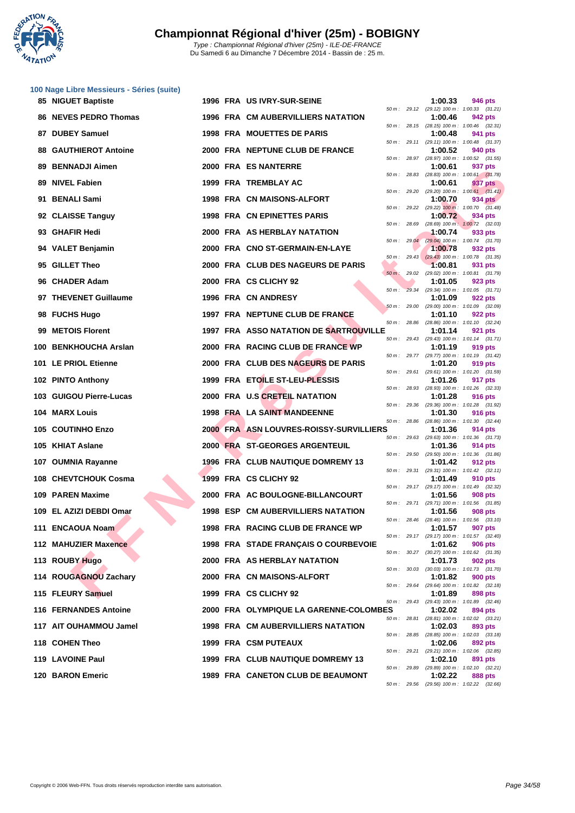

| 85 NIGUET Baptiste           |  | 1996 FRA US IVRY-SUR-SEINE                    |          |              | 1:00.33 | 946 pts                                                      |
|------------------------------|--|-----------------------------------------------|----------|--------------|---------|--------------------------------------------------------------|
| 86 NEVES PEDRO Thomas        |  | <b>1996 FRA CM AUBERVILLIERS NATATION</b>     |          |              | 1:00.46 | 50 m: 29.12 (29.12) 100 m: 1:00.33 (31.21)<br>942 pts        |
| 87 DUBEY Samuel              |  | 1998 FRA MOUETTES DE PARIS                    |          |              | 1:00.48 | 50 m: 28.15 (28.15) 100 m: 1:00.46 (32.31)<br>941 pts        |
| <b>88 GAUTHIEROT Antoine</b> |  | 2000 FRA NEPTUNE CLUB DE FRANCE               |          |              | 1:00.52 | 50 m: 29.11 (29.11) 100 m: 1:00.48 (31.37)<br>940 pts        |
| 89 BENNADJI Aimen            |  | 2000 FRA ES NANTERRE                          |          |              | 1:00.61 | 50 m: 28.97 (28.97) 100 m: 1:00.52 (31.55)<br>937 pts        |
| 89 NIVEL Fabien              |  | 1999 FRA TREMBLAY AC                          |          | 50 m: 28.83  | 1:00.61 | (28.83) 100 m: 1:00.61 (31.78)<br>937 pts                    |
| 91 BENALI Sami               |  |                                               |          |              |         | 50 m: 29.20 (29.20) 100 m: 1:00.61 (31.41)                   |
|                              |  | 1998 FRA CN MAISONS-ALFORT                    |          |              | 1:00.70 | 934 pts<br>50 m: 29.22 (29.22) 100 m: 1:00.70 (31.48)        |
| 92 CLAISSE Tanguy            |  | 1998 FRA CN EPINETTES PARIS                   |          | 50 m: 28.69  | 1:00.72 | 934 pts<br>(28.69) 100 m: 1:00.72 (32.03)                    |
| 93 GHAFIR Hedi               |  | 2000 FRA AS HERBLAY NATATION                  |          |              | 1:00.74 | 933 pts<br>50 m: 29.04 (29.04) 100 m: 1:00.74 (31.70)        |
| 94 VALET Benjamin            |  | 2000 FRA CNO ST-GERMAIN-EN-LAYE               |          |              | 1:00.78 | 932 pts<br>50 m: 29.43 (29.43) 100 m: 1:00.78 (31.35)        |
| 95 GILLET Theo               |  | 2000 FRA CLUB DES NAGEURS DE PARIS            |          |              | 1:00.81 | 931 pts<br>50 m: 29.02 (29.02) 100 m: 1:00.81 (31.79)        |
| 96 CHADER Adam               |  | 2000 FRA CS CLICHY 92                         |          |              | 1:01.05 | 923 pts                                                      |
| 97 THEVENET Guillaume        |  | 1996 FRA CN ANDRESY                           | $50 m$ : |              | 1:01.09 | 29.34 (29.34) 100 m: 1:01.05 (31.71)<br>922 pts              |
| 98 FUCHS Hugo                |  | 1997 FRA NEPTUNE CLUB DE FRANCE               |          |              | 1:01.10 | 50 m: 29.00 (29.00) 100 m: 1:01.09 (32.09)<br>922 pts        |
| 99 METOIS Florent            |  | <b>1997 FRA ASSO NATATION DE SARTROUVILLE</b> |          | 50 m : 28.86 | 1:01.14 | (28.86) 100 m: 1:01.10 (32.24)<br>921 pts                    |
| 100 BENKHOUCHA Arslan        |  | 2000 FRA RACING CLUB DE FRANCE WP             |          |              | 1:01.19 | 50 m: 29.43 (29.43) 100 m: 1:01.14 (31.71)<br>919 pts        |
| 101 LE PRIOL Etienne         |  | 2000 FRA CLUB DES NAGEURS DE PARIS            |          |              | 1:01.20 | 50 m: 29.77 (29.77) 100 m: 1:01.19 (31.42)<br>919 pts        |
| 102 PINTO Anthony            |  | 1999 FRA ETOILE ST-LEU-PLESSIS                |          | 50 m: 29.61  | 1:01.26 | (29.61) 100 m: 1:01.20 (31.59)<br>917 pts                    |
|                              |  |                                               |          |              |         | 50 m: 28.93 (28.93) 100 m: 1:01.26 (32.33)                   |
| 103 GUIGOU Pierre-Lucas      |  | 2000 FRA U.S CRETEIL NATATION                 |          |              | 1:01.28 | 916 pts<br>50 m: 29.36 (29.36) 100 m: 1:01.28 (31.92)        |
| 104 MARX Louis               |  | 1998 FRA LA SAINT MANDEENNE                   |          | 50 m: 28.86  | 1:01.30 | 916 pts<br>(28.86) 100 m: 1:01.30 (32.44)                    |
| 105 COUTINHO Enzo            |  | 2000 FRA ASN LOUVRES-ROISSY-SURVILLIERS       |          |              | 1:01.36 | 914 pts<br>50 m: 29.63 (29.63) 100 m: 1:01.36 (31.73)        |
| 105 KHIAT Aslane             |  | 2000 FRA ST-GEORGES ARGENTEUIL                |          |              | 1:01.36 | <b>914 pts</b><br>50 m: 29.50 (29.50) 100 m: 1:01.36 (31.86) |
| 107 OUMNIA Rayanne           |  | <b>1996 FRA CLUB NAUTIQUE DOMREMY 13</b>      |          |              | 1:01.42 | 912 pts<br>50 m: 29.31 (29.31) 100 m: 1:01.42 (32.11)        |
| 108 CHEVTCHOUK Cosma         |  | 1999 FRA CS CLICHY 92                         |          |              | 1:01.49 | 910 pts                                                      |
| 109 PAREN Maxime             |  | 2000 FRA AC BOULOGNE-BILLANCOURT              |          |              | 1:01.56 | 50 m: 29.17 (29.17) 100 m: 1:01.49 (32.32)<br><b>908 pts</b> |
| 109 EL AZIZI DEBDI Omar      |  | <b>1998 ESP CM AUBERVILLIERS NATATION</b>     |          |              | 1:01.56 | 50 m: 29.71 (29.71) 100 m: 1:01.56 (31.85)<br>908 pts        |
| 111 ENCAOUA Noam             |  | 1998 FRA RACING CLUB DE FRANCE WP             |          |              | 1:01.57 | 50 m: 28.46 (28.46) 100 m: 1:01.56 (33.10)<br>907 pts        |
| 112 MAHUZIER Maxence         |  | 1998 FRA STADE FRANÇAIS O COURBEVOIE          |          |              | 1:01.62 | 50 m: 29.17 (29.17) 100 m: 1:01.57 (32.40)<br><b>906 pts</b> |
| 113 ROUBY Hugo               |  | 2000 FRA AS HERBLAY NATATION                  |          |              | 1:01.73 | 50 m: 30.27 (30.27) 100 m: 1:01.62 (31.35)<br>902 pts        |
| 114 ROUGAGNOU Zachary        |  | 2000 FRA CN MAISONS-ALFORT                    |          |              | 1:01.82 | 50 m: 30.03 (30.03) 100 m: 1:01.73 (31.70)<br>900 pts        |
|                              |  |                                               |          |              |         | 50 m: 29.64 (29.64) 100 m: 1:01.82 (32.18)                   |
| 115 FLEURY Samuel            |  | 1999 FRA CS CLICHY 92                         |          |              | 1:01.89 | 898 pts<br>50 m: 29.43 (29.43) 100 m: 1:01.89 (32.46)        |
| 116 FERNANDES Antoine        |  | 2000 FRA OLYMPIQUE LA GARENNE-COLOMBES        |          |              | 1:02.02 | 894 pts<br>50 m: 28.81 (28.81) 100 m: 1:02.02 (33.21)        |
| 117 AIT OUHAMMOU Jamel       |  | <b>1998 FRA CM AUBERVILLIERS NATATION</b>     |          |              | 1:02.03 | 893 pts<br>50 m: 28.85 (28.85) 100 m: 1:02.03 (33.18)        |
| 118 COHEN Theo               |  | 1999 FRA CSM PUTEAUX                          |          |              | 1:02.06 | 892 pts<br>50 m: 29.21 (29.21) 100 m: 1:02.06 (32.85)        |
| 119 LAVOINE Paul             |  | 1999 FRA CLUB NAUTIQUE DOMREMY 13             |          |              | 1:02.10 | 891 pts<br>50 m: 29.89 (29.89) 100 m: 1:02.10 (32.21)        |
| 120 BARON Emeric             |  | 1989 FRA CANETON CLUB DE BEAUMONT             |          |              | 1:02.22 | 888 pts                                                      |

| $50 m$ :    | 29.12 | $(29.12)$ 100 m :            | 1:00.33 (31.21)                      |
|-------------|-------|------------------------------|--------------------------------------|
|             |       | 1:00.46                      | 942 pts                              |
| $50 m$ :    | 28.15 | $(28.15)$ 100 m :            | 1:00.46<br>(32.31)                   |
|             |       | 1:00.48                      | 941<br>pts                           |
| $50 m$ :    | 29.11 | (29.11) 100 m:               | 1:00.48<br>(31.37)                   |
|             |       | 1:00.52                      | <b>940 pts</b>                       |
| $50 m$ :    | 28.97 | $(28.97)$ 100 m :            | 1:00.52<br>(31.55)                   |
|             |       | 1:00.61                      | 937 pts                              |
| $50 m$ :    | 28.83 | $(28.83) 100 m$ :            | (31.78)<br>1:00.61                   |
|             |       | 1:00.61                      | 937 pts                              |
| $50 m$ :    | 29.20 | (29.20) 100 m :              | 1:00.61<br>(31.41)                   |
|             |       | 1:00.70                      | <b>934 pts</b>                       |
| $50 m$ :    | 29.22 | $(29.22)$ 100 m:             | (31.48)<br>1:00.70                   |
|             |       | 1:00.72                      | 934 pts                              |
| $50 m$ :    | 28.69 | $(28.69)$ 100 m:             | 1:00.72<br>(32.03)                   |
|             |       | 1:00.74                      | 933 pts                              |
| $50 m$ :    | 29.04 | $(29.04)$ 100 m :            | 1:00.74<br>(31.70)                   |
|             |       | 1:00.78                      | 932 pts                              |
| $50 m$ :    | 29.43 | $(29.43)$ 100 m :<br>1:00.81 | (31.35)<br>1:00.78                   |
| $50 m$ :    | 29.02 | $(29.02)$ 100 m :            | 931 pts<br>1:00.81<br>(31.79)        |
|             |       | 1:01.05                      | 923 pts                              |
| $50 m$ :    | 29.34 | $(29.34) 100 m$ :            | 1:01.05<br>(31.71)                   |
|             |       | 1:01.09                      | 922 pts                              |
| $50 m$ :    | 29.00 | (29.00) 100 m :              | 1:01.09<br>(32.09)                   |
|             |       | 1:01.10                      | 922 pts                              |
| $50 m$ :    | 28.86 | $(28.86) 100 m$ :            | 1:01.10<br>(32.24)                   |
|             |       | 1:01.14                      | 921<br>pts                           |
| $50 m$ :    | 29.43 | $(29.43) 100 m$ :            | 1:01.14<br>(31.71)                   |
|             |       | 1:01.19                      | 919 pts                              |
| $50 m$ :    | 29.77 | $(29.77)$ 100 m :            | 1:01.19<br>(31.42)                   |
|             |       | 1:01.20                      | <b>919 pts</b>                       |
| $50 m$ :    | 29.61 | $(29.61)$ 100 m :            | 1:01.20<br>(31.59)                   |
|             |       | 1:01.26                      | 917 pts                              |
| $50 m$ :    | 28.93 | (28.93) 100 m :              | 1:01.26<br>(32.33)                   |
|             |       | 1:01.28                      | <b>916 pts</b>                       |
| $50 m$ :    | 29.36 | $(29.36) 100 m$ :            | 1:01.28<br>(31.92)                   |
|             |       | 1:01.30                      | <b>916 pts</b>                       |
| $50 m$ :    | 28.86 | $(28.86) 100 m$ :            | 1:01.30<br>(32.44)                   |
|             |       | 1:01.36                      | <b>914 pts</b>                       |
| $50 m$ :    | 29.63 | $(29.63) 100 m$ :            | 1:01.36<br>(31.73)                   |
|             |       | 1:01.36                      | <b>914 pts</b>                       |
| $50 m$ :    | 29.50 | $(29.50)$ 100 m :            | 1:01.36<br>(31.86)                   |
|             |       | 1:01.42                      | <b>912 pts</b>                       |
| $50 m$ :    | 29.31 | $(29.31)$ 100 m :            | 1:01.42<br>(32.11)                   |
|             |       | 1:01.49                      | <b>910 pts</b>                       |
| $50 m$ :    | 29.17 | (29.17) 100 m :              | (32.32)<br>1:01.49                   |
|             |       | 1:01.56                      | <b>908 pts</b>                       |
| $50 m$ :    | 29.71 | (29.71) 100 m :              | 1:01.56<br>(31.85)                   |
|             | 28.46 | 1:01.56                      | <b>908 pts</b>                       |
| $50 m$ :    |       | $(28.46) 100 m$ :<br>1:01.57 | 1:01.56<br>(33.10)                   |
| $50 m$ :    | 29.17 |                              | <b>907 pts</b>                       |
|             |       | (29.17) 100 m :<br>1:01.62   | 1:01.57<br>(32.40)<br><b>906 pts</b> |
| $50 m$ :    | 30.27 | $(30.27)$ 100 m : 1:01.62    | (31.35)                              |
|             |       | 1:01.73                      | <b>902 pts</b>                       |
| $50 m$ :    | 30.03 | $(30.03)$ 100 m :            | 1:01.73<br>(31.70)                   |
|             |       | 1:01.82                      | <b>900 pts</b>                       |
| $50 m$ :    | 29.64 | (29.64) 100 m :              | 1:01.82<br>(32.18)                   |
|             |       | 1:01.89                      | 898 pts                              |
| $50 m$ :    | 29.43 | $(29.43) 100 m$ :            | 1:01.89<br>(32.46)                   |
| ES          |       | 1:02.02                      | 894 pts                              |
| $50 m$ :    | 28.81 | $(28.81)$ 100 m :            | 1:02.02<br>(33.21)                   |
|             |       | 1:02.03                      | 893 pts                              |
| $50 m$ :    | 28.85 | $(28.85)$ 100 m :            | 1:02.03<br>(33.18)                   |
|             |       | 1:02.06                      | 892 pts                              |
| $50 m$ :    | 29.21 | $(29.21)$ 100 m :            | 1:02.06<br>(32.85)                   |
|             |       | 1:02.10                      | 891 pts                              |
| $50 m$ :    | 29.89 | (29.89) 100 m: 1:02.10       | (32.21)                              |
|             |       | 1:02.22                      | 888 pts                              |
| 50 m: 29.56 |       |                              | (29.56) 100 m: 1:02.22 (32.66)       |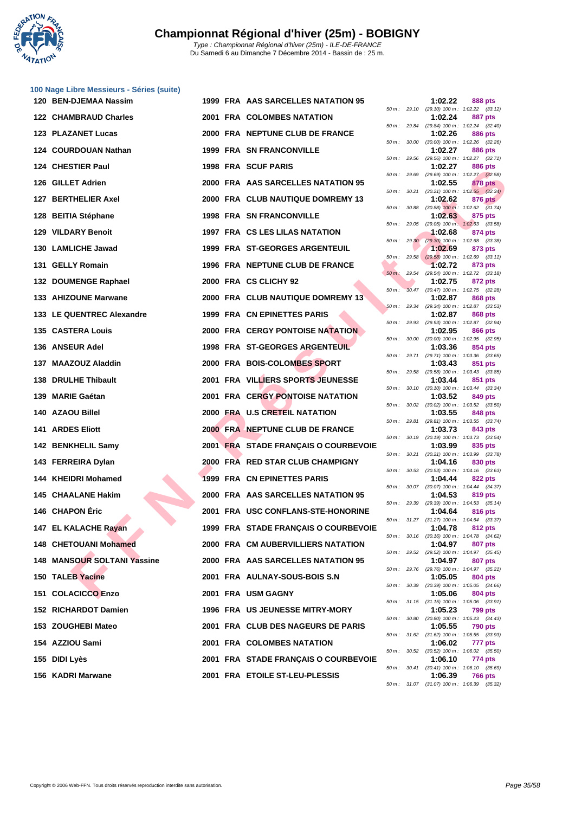

| 100 Nage Libre Messieurs - Séries (suite) |                                    |
|-------------------------------------------|------------------------------------|
| 120 BEN-DJEMAA Nassim                     | 1999 FRA AAS SARCELLES NATATION 95 |

|                             |  |                                         |                |              |         | 50 m: 29.10 (29.10) 100 m: 1:02.22 (33.12)                   |
|-----------------------------|--|-----------------------------------------|----------------|--------------|---------|--------------------------------------------------------------|
| 122 CHAMBRAUD Charles       |  | <b>2001 FRA COLOMBES NATATION</b>       |                |              | 1:02.24 | 887 pts                                                      |
| 123 PLAZANET Lucas          |  | 2000 FRA NEPTUNE CLUB DE FRANCE         |                |              | 1:02.26 | 50 m: 29.84 (29.84) 100 m: 1:02.24 (32.40)<br><b>886 pts</b> |
| 124 COURDOUAN Nathan        |  | <b>1999 FRA SN FRANCONVILLE</b>         |                |              | 1:02.27 | 50 m: 30.00 (30.00) 100 m: 1:02.26 (32.26)<br>886 pts        |
| 124 CHESTIER Paul           |  | 1998 FRA SCUF PARIS                     |                | 50 m : 29.56 | 1:02.27 | (29.56) 100 m: 1:02.27 (32.71)<br>886 pts                    |
| 126 GILLET Adrien           |  | 2000 FRA AAS SARCELLES NATATION 95      |                |              | 1:02.55 | 50 m: 29.69 (29.69) 100 m: 1:02.27 (32.58)<br>878 pts        |
| 127 BERTHELIER Axel         |  | 2000 FRA CLUB NAUTIQUE DOMREMY 13       |                |              | 1:02.62 | 50 m: 30.21 (30.21) 100 m: 1:02.55 (32.34)<br>876 pts        |
| 128 BEITIA Stéphane         |  | <b>1998 FRA SN FRANCONVILLE</b>         |                |              | 1:02.63 | 50 m: 30.88 (30.88) 100 m: 1:02.62 (31.74)<br>875 pts        |
| 129 VILDARY Benoit          |  | 1997 FRA CS LES LILAS NATATION          |                |              | 1:02.68 | 50 m: 29.05 (29.05) 100 m: 1:02.63 (33.58)<br>874 pts        |
|                             |  |                                         |                |              |         | 50 m : 29.30 (29.30) 100 m : 1:02.68 (33.38)                 |
| 130 LAMLICHE Jawad          |  | 1999 FRA ST-GEORGES ARGENTEUIL          |                |              | 1:02.69 | 873 pts<br>50 m: 29.58 (29.58) 100 m: 1:02.69 (33.11)        |
| 131 GELLY Romain            |  | 1996 FRA NEPTUNE CLUB DE FRANCE         |                |              | 1:02.72 | 873 pts<br>50 m: 29.54 (29.54) 100 m: 1:02.72 (33.18)        |
| 132 DOUMENGE Raphael        |  | 2000 FRA CS CLICHY 92                   | $50 m$ :       |              | 1:02.75 | 872 pts<br>30.47 (30.47) 100 m : 1:02.75 (32.28)             |
| 133 AHIZOUNE Marwane        |  | 2000 FRA CLUB NAUTIQUE DOMREMY 13       |                |              | 1:02.87 | 868 pts<br>50 m: 29.34 (29.34) 100 m: 1:02.87 (33.53)        |
| 133 LE QUENTREC Alexandre   |  | 1999 FRA CN EPINETTES PARIS             |                |              | 1:02.87 | 868 pts<br>50 m: 29.93 (29.93) 100 m: 1:02.87 (32.94)        |
| 135 CASTERA Louis           |  | <b>2000 FRA CERGY PONTOISE NATATION</b> |                |              | 1:02.95 | 866 pts<br>50 m: 30.00 (30.00) 100 m: 1:02.95 (32.95)        |
| 136 ANSEUR Adel             |  | <b>1998 FRA ST-GEORGES ARGENTEUIL</b>   |                |              | 1:03.36 | 854 pts                                                      |
| 137 MAAZOUZ Aladdin         |  | 2000 FRA BOIS-COLOMBES SPORT            |                |              | 1:03.43 | 50 m: 29.71 (29.71) 100 m: 1:03.36 (33.65)<br>851 pts        |
| 138 DRULHE Thibault         |  | 2001 FRA VILLIERS SPORTS JEUNESSE       |                |              | 1:03.44 | 50 m: 29.58 (29.58) 100 m: 1:03.43 (33.85)<br>851 pts        |
| 139 MARIE Gaétan            |  | <b>2001 FRA CERGY PONTOISE NATATION</b> |                |              | 1:03.52 | 50 m: 30.10 (30.10) 100 m: 1:03.44 (33.34)<br>849 pts        |
| 140 AZAOU Billel            |  | 2000 FRA U.S CRETEIL NATATION           |                |              | 1:03.55 | 50 m: 30.02 (30.02) 100 m: 1:03.52 (33.50)<br>848 pts        |
| <b>141 ARDES Eliott</b>     |  | 2000 FRA NEPTUNE CLUB DE FRANCE         |                |              | 1:03.73 | 50 m: 29.81 (29.81) 100 m: 1:03.55 (33.74)<br>843 pts        |
| 142 BENKHELIL Samy          |  | 2001 FRA STADE FRANÇAIS O COURBEVOIE    |                |              | 1:03.99 | 50 m: 30.19 (30.19) 100 m: 1:03.73 (33.54)<br>835 pts        |
| 143 FERREIRA Dylan          |  | 2000 FRA RED STAR CLUB CHAMPIGNY        |                |              | 1:04.16 | 50 m: 30.21 (30.21) 100 m: 1:03.99 (33.78)<br>830 pts        |
| 144 KHEIDRI Mohamed         |  | 1999 FRA CN EPINETTES PARIS             |                |              | 1:04.44 | 50 m: 30.53 (30.53) 100 m: 1:04.16 (33.63)<br>822 pts        |
| 145 CHAALANE Hakim          |  | 2000 FRA AAS SARCELLES NATATION 95      |                |              |         | 50 m: 30.07 (30.07) 100 m: 1:04.44 (34.37)                   |
| 146 CHAPON Éric             |  |                                         |                |              | 1:04.53 | 819 pts<br>50 m: 29.39 (29.39) 100 m: 1:04.53 (35.14)        |
|                             |  | 2001 FRA USC CONFLANS-STE-HONORINE      |                |              | 1:04.64 | 816 pts<br>50 m: 31.27 (31.27) 100 m: 1:04.64 (33.37)        |
| 147 EL KALACHE Rayan        |  | 1999 FRA STADE FRANÇAIS O COURBEVOIE    |                |              | 1:04.78 | 812 pts<br>50 m: 30.16 (30.16) 100 m: 1:04.78 (34.62)        |
| 148 CHETOUANI Mohamed       |  | 2000 FRA CM AUBERVILLIERS NATATION      | $50 m$ : 29.52 |              | 1:04.97 | 807 pts<br>(29.52) 100 m: 1:04.97 (35.45)                    |
| 148 MANSOUR SOLTANI Yassine |  | 2000 FRA AAS SARCELLES NATATION 95      |                |              | 1:04.97 | 807 pts<br>50 m: 29.76 (29.76) 100 m: 1:04.97 (35.21)        |
| 150 TALEB Yacine            |  | 2001 FRA AULNAY-SOUS-BOIS S.N           |                |              | 1:05.05 | 804 pts<br>50 m: 30.39 (30.39) 100 m: 1:05.05 (34.66)        |
| 151 COLACICCO Enzo          |  | 2001 FRA USM GAGNY                      |                |              | 1:05.06 | 804 pts<br>50 m: 31.15 (31.15) 100 m: 1:05.06 (33.91)        |
| 152 RICHARDOT Damien        |  | <b>1996 FRA US JEUNESSE MITRY-MORY</b>  |                |              | 1:05.23 | 799 pts<br>50 m: 30.80 (30.80) 100 m: 1:05.23 (34.43)        |
| 153 ZOUGHEBI Mateo          |  | 2001 FRA CLUB DES NAGEURS DE PARIS      |                |              | 1:05.55 | 790 pts                                                      |
| 154 AZZIOU Sami             |  | 2001 FRA COLOMBES NATATION              |                |              | 1:06.02 | 50 m: 31.62 (31.62) 100 m: 1:05.55 (33.93)<br>777 pts        |
| 155 DIDI Lyès               |  | 2001 FRA STADE FRANÇAIS O COURBEVOIE    |                |              | 1:06.10 | 50 m : 30.52 (30.52) 100 m : 1:06.02 (35.50)<br>774 pts      |
| 156 KADRI Marwane           |  | 2001 FRA ETOILE ST-LEU-PLESSIS          |                |              | 1:06.39 | 50 m: 30.41 (30.41) 100 m: 1:06.10 (35.69)<br>766 pts        |
|                             |  |                                         |                |              |         | $50 m \cdot 31.07$ (31.07) $100 m \cdot 106.39$ (35.32)      |

|          |       | 1:02.22                      | <b>888 pts</b>                       |
|----------|-------|------------------------------|--------------------------------------|
| 50 m :   | 29.10 | (29.10) 100 m :              | 1:02.22<br>(33.12)                   |
|          |       | 1:02.24                      | <b>887 pts</b>                       |
| $50 m$ : | 29.84 | $(29.84) 100 m$ :            | 1:02.24<br>(32.40)                   |
| 50 m :   | 30.00 | 1:02.26<br>$(30.00)$ 100 m : | <b>886 pts</b><br>1:02.26<br>(32.26) |
|          |       | 1:02.27                      | <b>886 pts</b>                       |
| $50 m$ : | 29.56 | $(29.56) 100 m$ :            | 1:02.27<br>(32.71)                   |
| 50 m :   | 29.69 | 1:02.27<br>$(29.69) 100 m$ : | <b>886 pts</b><br>1:02.27<br>(32.58) |
|          |       | 1:02.55                      | <b>878 pts</b>                       |
| 50 m :   | 30.21 | $(30.21)$ 100 m :            | 1:02.55<br>(32.34)                   |
| 50 m :   | 30.88 | 1:02.62<br>$(30.88)$ 100 m:  | 876 pts<br>1:02.62<br>(31.74)        |
|          |       | 1:02.63                      | <b>875 pts</b>                       |
| 50 m:    | 29.05 | $(29.05)$ 100 m :            | 1:02.63<br>(33.58)                   |
| 50 m :   | 29.30 | 1:02.68<br>$(29.30)$ 100 m : | 874 pts<br>1:02.68<br>(33.38)        |
|          |       | 1:02.69                      | 873 pts                              |
| 50 m :   | 29.58 | $(29.58)$ 100 m :            | 1:02.69<br>(33.11)                   |
| $50 m$ : | 29.54 | 1:02.72<br>(29.54) 100 m :   | 873 pts<br>1:02.72<br>(33.18)        |
|          |       | 1:02.75                      | 872 pts                              |
| $50 m$ : | 30.47 | $(30.47) 100 m$ :            | 1:02.75<br>(32.28)                   |
| 50 m :   | 29.34 | 1:02.87<br>$(29.34)$ 100 m : | 868 pts<br>1:02.87<br>(33.53)        |
|          |       | 1:02.87                      | <b>868 pts</b>                       |
| $50 m$ : | 29.93 | (29.93) 100 m :              | 1:02.87<br>(32.94)                   |
| 50 m :   | 30.00 | 1:02.95<br>(30.00) 100 m :   | <b>866 pts</b><br>1:02.95<br>(32.95) |
|          |       | 1:03.36                      | 854 pts                              |
| 50 m:    | 29.71 | (29.71) 100 m :              | 1:03.36<br>(33.65)                   |
| 50 m:    | 29.58 | 1:03.43<br>$(29.58) 100 m$ : | 851<br>pts<br>1:03.43<br>(33.85)     |
|          |       | 1:03.44                      | 851<br>pts                           |
| 50 m :   | 30.10 | $(30.10) 100 m$ :<br>1:03.52 | 1:03.44<br>(33.34)<br>849 pts        |
| 50 m :   | 30.02 | $(30.02)$ 100 m :            | 1:03.52<br>(33.50)                   |
|          |       | 1:03.55                      | <b>848 pts</b>                       |
| 50 m :   | 29.81 | $(29.81)$ 100 m :<br>1:03.73 | 1:03.55<br>(33.74)<br>843 pts        |
| 50 m :   | 30.19 | $(30.19) 100 m$ :            | 1:03.73<br>(33.54)                   |
|          |       | 1:03.99                      | 835 pts                              |
| 50 m :   | 30.21 | $(30.21)$ 100 m :<br>1:04.16 | 1:03.99<br>(33.78)<br>830 pts        |
| 50 m:    | 30.53 | $(30.53) 100 m$ :            | 1:04.16<br>(33.63)                   |
| 50 m :   | 30.07 | 1:04.44                      | <b>822 pts</b><br>1:04.44            |
|          |       | $(30.07)$ 100 m :<br>1:04.53 | (34.37)<br>819 pts                   |
| 50 m :   | 29.39 | $(29.39)$ 100 m :            | 1:04.53<br>(35.14)                   |
| 50 m :   | 31.27 | 1:04.64<br>$(31.27) 100 m$ : | 816 pts<br>1:04.64<br>(33.37)        |
|          |       | 1:04.78                      | 812 pts                              |
| 50 m :   | 30.16 | $(30.16) 100 m$ :            | $1:04.78$ $(34.62)$                  |
| $50 m$ : | 29.52 | 1:04.97<br>$(29.52)$ 100 m : | 807 pts<br>1:04.97<br>(35.45)        |
|          |       | 1:04.97                      | <b>807 pts</b>                       |
| $50 m$ : | 29.76 | (29.76) 100 m :              | 1:04.97<br>(35.21)                   |
| $50 m$ : | 30.39 | 1:05.05<br>$(30.39)$ 100 m : | <b>804 pts</b><br>1:05.05<br>(34.66) |
|          |       | 1:05.06                      | 804 pts                              |
| $50 m$ : | 31.15 | $(31.15) 100 m$ :            | 1:05.06<br>(33.91)                   |
| 50 m :   | 30.80 | 1:05.23<br>$(30.80)$ 100 m : | <b>799 pts</b><br>1:05.23<br>(34.43) |
|          |       | 1:05.55                      | <b>790 pts</b>                       |
| 50 m:    | 31.62 | $(31.62)$ 100 m :            | 1:05.55<br>(33.93)                   |
| $50 m$ : | 30.52 | 1:06.02<br>$(30.52)$ 100 m : | 777 pts<br>1:06.02<br>(35.50)        |
|          |       | 1:06.10                      | 774 pts                              |
| $50 m$ : | 30.41 | $(30.41)$ 100 m :<br>1:06.39 | 1:06.10<br>(35.69)<br><b>766 pts</b> |
| 50 m :   | 31.07 | $(31.07) 100 m$ :            | 1:06.39<br>(35.32)                   |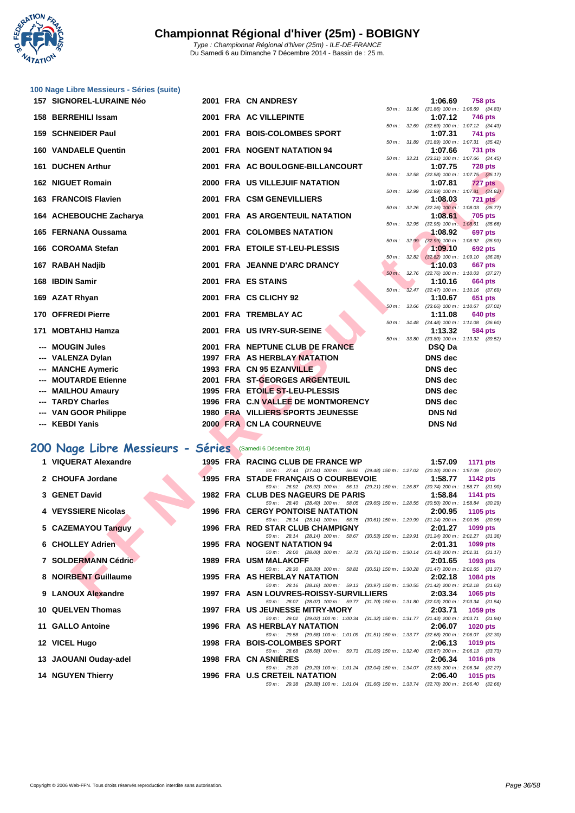

| 100 Nage Libre Messieurs - Séries (suite) |
|-------------------------------------------|
|-------------------------------------------|

| 157 SIGNOREL-LURAINE Néo                                   |  | 2001 FRA CN ANDRESY                                                                                                            |                |             | 1:06.69                                               | <b>758 pts</b>  |  |
|------------------------------------------------------------|--|--------------------------------------------------------------------------------------------------------------------------------|----------------|-------------|-------------------------------------------------------|-----------------|--|
|                                                            |  |                                                                                                                                |                |             | 50 m: 31.86 (31.86) 100 m: 1:06.69 (34.83)            |                 |  |
| 158 BERREHILI Issam                                        |  | 2001 FRA AC VILLEPINTE                                                                                                         | $50 m$ : 32.69 |             | 1:07.12<br>$(32.69)$ 100 m : 1:07.12 $(34.43)$        | 746 pts         |  |
| 159 SCHNEIDER Paul                                         |  | 2001 FRA BOIS-COLOMBES SPORT                                                                                                   |                |             | 1:07.31                                               | 741 pts         |  |
| <b>160 VANDAELE Quentin</b>                                |  | 2001 FRA NOGENT NATATION 94                                                                                                    |                |             | 50 m: 31.89 (31.89) 100 m: 1:07.31 (35.42)<br>1:07.66 | <b>731 pts</b>  |  |
| 161 DUCHEN Arthur                                          |  | 2001 FRA AC BOULOGNE-BILLANCOURT                                                                                               |                |             | 50 m: 33.21 (33.21) 100 m: 1:07.66 (34.45)            |                 |  |
|                                                            |  |                                                                                                                                |                | 50 m: 32.58 | 1:07.75<br>$(32.58)$ 100 m : 1:07.75 $(35.17)$        | <b>728 pts</b>  |  |
| <b>162 NIGUET Romain</b>                                   |  | 2000 FRA US VILLEJUIF NATATION                                                                                                 |                |             | 1:07.81                                               | <b>727 pts</b>  |  |
| 163 FRANCOIS Flavien                                       |  | 2001 FRA CSM GENEVILLIERS                                                                                                      |                |             | 50 m: 32.99 (32.99) 100 m: 1:07.81 (34.82)<br>1:08.03 | <b>721 pts</b>  |  |
|                                                            |  | 2001 FRA AS ARGENTEUIL NATATION                                                                                                |                |             | 50 m : 32.26 (32.26) 100 m : 1:08.03 (35.77)          |                 |  |
| 164 ACHEBOUCHE Zacharya                                    |  |                                                                                                                                |                |             | 1:08.61<br>50 m: 32.95 (32.95) 100 m: 1:08.61 (35.66) | <b>705 pts</b>  |  |
| 165 FERNANA Oussama                                        |  | 2001 FRA COLOMBES NATATION                                                                                                     |                |             | 1:08.92                                               | 697 pts         |  |
| 166 COROAMA Stefan                                         |  | 2001 FRA ETOILE ST-LEU-PLESSIS                                                                                                 | 50 m :         | 32.99       | $(32.99)$ 100 m : 1:08.92 $(35.93)$<br>1:09.10        | <b>692 pts</b>  |  |
|                                                            |  |                                                                                                                                |                |             | 50 m: 32.82 (32.82) 100 m: 1:09.10 (36.28)            |                 |  |
| 167 RABAH Nadjib                                           |  | 2001 FRA JEANNE D'ARC DRANCY                                                                                                   |                |             | 1:10.03<br>50 m: 32.76 (32.76) 100 m: 1:10.03 (37.27) | <b>667 pts</b>  |  |
| 168 IBDIN Samir                                            |  | 2001 FRA ES STAINS                                                                                                             |                |             | 1:10.16                                               | 664 pts         |  |
| 169 AZAT Rhyan                                             |  | 2001 FRA CS CLICHY 92                                                                                                          | $50 m$ :       |             | 32.47 (32.47) 100 m: 1:10.16 (37.69)<br>1:10.67       | 651 pts         |  |
|                                                            |  |                                                                                                                                |                |             | 50 m: 33.66 (33.66) 100 m: 1:10.67 (37.01)            |                 |  |
| 170 OFFREDI Pierre                                         |  | 2001 FRA TREMBLAY AC                                                                                                           |                | 50 m: 34.48 | 1:11.08                                               | 640 pts         |  |
| 171 MOBTAHIJ Hamza                                         |  | 2001 FRA US IVRY-SUR-SEINE                                                                                                     |                |             | $(34.48)$ 100 m : 1:11.08 $(36.60)$<br>1:13.32        | <b>584 pts</b>  |  |
|                                                            |  |                                                                                                                                |                |             | 50 m: 33.80 (33.80) 100 m: 1:13.32 (39.52)            |                 |  |
| --- MOUGIN Jules<br>--- VALENZA Dylan                      |  | 2001 FRA NEPTUNE CLUB DE FRANCE<br>1997 FRA AS HERBLAY NATATION                                                                |                |             | <b>DSQ Da</b><br><b>DNS</b> dec                       |                 |  |
| <b>MANCHE Aymeric</b>                                      |  | 1993 FRA CN 95 EZANVILLE                                                                                                       |                |             | <b>DNS</b> dec                                        |                 |  |
| --- MOUTARDE Etienne                                       |  | 2001 FRA ST-GEORGES ARGENTEUIL                                                                                                 |                |             | <b>DNS</b> dec                                        |                 |  |
| --- MAILHOU Amaury                                         |  | 1995 FRA ETOILE ST-LEU-PLESSIS                                                                                                 |                |             | <b>DNS</b> dec                                        |                 |  |
| --- TARDY Charles                                          |  | 1996 FRA C.N VALLEE DE MONTMORENCY                                                                                             |                |             | <b>DNS</b> dec                                        |                 |  |
| --- VAN GOOR Philippe                                      |  | 1980 FRA VILLIERS SPORTS JEUNESSE                                                                                              |                |             | <b>DNS Nd</b>                                         |                 |  |
| --- KEBDI Yanis                                            |  | 2000 FRA CN LA COURNEUVE                                                                                                       |                |             | <b>DNS Nd</b>                                         |                 |  |
|                                                            |  |                                                                                                                                |                |             |                                                       |                 |  |
| 200 Nage Libre Messieurs - Séries (Samedi 6 Décembre 2014) |  |                                                                                                                                |                |             |                                                       |                 |  |
| 1 VIQUERAT Alexandre                                       |  | 1995 FRA RACING CLUB DE FRANCE WP                                                                                              |                |             | 1:57.09                                               | <b>1171 pts</b> |  |
| 2 CHOUFA Jordane                                           |  | 50 m: 27.44 (27.44) 100 m: 56.92 (29.48) 150 m: 1:27.02 (30.10) 200 m: 1:57.09 (30.07)<br>1995 FRA STADE FRANÇAIS O COURBEVOIE |                |             | 1:58.77                                               | 1142 pts        |  |
|                                                            |  | 50 m: 26.92 (26.92) 100 m: 56.13 (29.21) 150 m: 1:26.87 (30.74) 200 m: 1:58.77 (31.90)                                         |                |             |                                                       |                 |  |
| 3 GENET David                                              |  | 1982 FRA CLUB DES NAGEURS DE PARIS<br>50 m: 28.40 (28.40) 100 m: 58.05 (29.65) 150 m: 1:28.55 (30.50) 200 m: 1:58.84 (30.29)   |                |             | 1:58.84                                               | <b>1141 pts</b> |  |
| 4 VEYSSIERE Nicolas                                        |  | 1996 FRA CERGY PONTOISE NATATION                                                                                               |                |             | 2:00.95                                               | 1105 pts        |  |
|                                                            |  | 50 m: 28.14 (28.14) 100 m: 58.75 (30.61) 150 m: 1:29.99 (31.24) 200 m: 2:00.95 (30.96)                                         |                |             |                                                       |                 |  |
| 5 CAZEMAYOU Tanguy                                         |  | 1996 FRA RED STAR CLUB CHAMPIGNY<br>50 m: 28.14 (28.14) 100 m: 58.67 (30.53) 150 m: 1:29.91 (31.24) 200 m: 2:01.27 (31.36)     |                |             | 2:01.27                                               | 1099 pts        |  |
| <b>6 CHOLLEY Adrien</b>                                    |  | 1995 FRA NOGENT NATATION 94                                                                                                    |                |             | 2:01.31                                               | 1099 pts        |  |
| 7 SOLDERMANN Cédric                                        |  | 50 m: 28.00 (28.00) 100 m: 58.71 (30.71) 150 m: 1:30.14 (31.43) 200 m: 2:01.31 (31.17)<br><b>1989 FRA USM MALAKOFF</b>         |                |             | 2:01.65                                               | 1093 pts        |  |
|                                                            |  | 50 m: 28.30 (28.30) 100 m: 58.81 (30.51) 150 m: 1:30.28 (31.47) 200 m: 2:01.65 (31.37)                                         |                |             |                                                       |                 |  |
| 8 NOIRBENT Guillaume                                       |  | 1995 FRA AS HERBLAY NATATION<br>50 m: 28.16 (28.16) 100 m: 59.13 (30.97) 150 m: 1:30.55 (31.42) 200 m: 2:02.18 (31.63)         |                |             | 2:02.18                                               | 1084 pts        |  |
| 9 LANOUX Alexandre                                         |  | 1997 FRA ASN LOUVRES-ROISSY-SURVILLIERS                                                                                        |                |             | 2:03.34                                               | 1065 pts        |  |

# **200 Nage Libre Messieurs - Séries** (Samedi 6 Décembre 2014)

| 1 VIQUERAT Alexandre                                          |  | 1995 FRA RACING CLUB DE FRANCE WP 1:57.09<br>1171 pts                                    |
|---------------------------------------------------------------|--|------------------------------------------------------------------------------------------|
|                                                               |  | 50 m: 27.44 (27.44) 100 m: 56.92 (29.48) 150 m: 1:27.02 (30.10) 200 m: 1:57.09 (30.07)   |
| 2 CHOUFA Jordane                                              |  | 1995 FRA STADE FRANCAIS O COURBEVOIE 1:58.77 1142 pts                                    |
|                                                               |  | 50 m: 26.92 (26.92) 100 m: 56.13 (29.21) 150 m: 1:26.87 (30.74) 200 m: 1:58.77 (31.90)   |
| 3 GENET David                                                 |  | 1982 FRA CLUB DES NAGEURS DE PARIS 1:58.84 1141 pts                                      |
|                                                               |  | 50 m: 28.40 (28.40) 100 m: 58.05 (29.65) 150 m: 1:28.55 (30.50) 200 m: 1:58.84 (30.29)   |
| 4 VEYSSIERE Nicolas                                           |  | 1996 FRA CERGY PONTOISE NATATION 2:00.95<br>1105 $pts$                                   |
|                                                               |  | 50 m: 28.14 (28.14) 100 m: 58.75 (30.61) 150 m: 1:29.99 (31.24) 200 m: 2:00.95 (30.96)   |
| 5 CAZEMAYOU Tanguy                                            |  | 1996 FRA RED STAR CLUB CHAMPIGNY 2:01.27<br>1099 pts                                     |
|                                                               |  | 50 m: 28.14 (28.14) 100 m: 58.67 (30.53) 150 m: 1:29.91 (31.24) 200 m: 2:01.27 (31.36)   |
| 5 CAZEMAYOU Tanguy<br>6 CHOLLEY Adrien<br>7 SOLDERMANN Cédric |  | 1995 FRA NOGENT NATATION 94 2:01.31 1099 pts                                             |
|                                                               |  |                                                                                          |
|                                                               |  | 50 m: 28.00 (28.00) 100 m: 58.71 (30.71) 150 m: 1:30.14 (31.43) 200 m: 2:01.31 (31.17)   |
|                                                               |  | <b>1989 FRA USM MALAKOFF</b><br>$2:01.65$ 1093 pts                                       |
|                                                               |  | 50 m: 28.30 (28.30) 100 m: 58.81 (30.51) 150 m: 1:30.28 (31.47) 200 m: 2:01.65 (31.37)   |
| 8 NOIRBENT Guillaume                                          |  | 1995 FRA AS HERBLAY NATATION 2:02.18 1084 pts                                            |
|                                                               |  | 50 m: 28.16 (28.16) 100 m: 59.13 (30.97) 150 m: 1:30.55 (31.42) 200 m: 2:02.18 (31.63)   |
| 9 LANOUX Alexandre                                            |  | 1997 FRA ASN LOUVRES-ROISSY-SURVILLIERS 2:03.34 1065 pts                                 |
|                                                               |  | 50 m: 28.07 (28.07) 100 m: 59.77 (31.70) 150 m: 1:31.80 (32.03) 200 m: 2:03.34 (31.54)   |
| 10 QUELVEN Thomas                                             |  | 1997 FRA US JEUNESSE MITRY-MORY 2:03.71 1059 pts                                         |
|                                                               |  | 50 m: 29.02 (29.02) 100 m: 1:00.34 (31.32) 150 m: 1:31.77 (31.43) 200 m: 2:03.71 (31.94) |
| 11 GALLO Antoine                                              |  | 1996 FRA AS HERBLAY NATATION<br>2:06.07<br>$1020$ pts                                    |
|                                                               |  | 50 m: 29.58 (29.58) 100 m: 1:01.09 (31.51) 150 m: 1:33.77 (32.68) 200 m: 2:06.07 (32.30) |
| 12 VICEL Hugo                                                 |  | 1998 FRA BOIS-COLOMBES SPORT<br>2:06.13<br>1019 pts                                      |
|                                                               |  | 50 m: 28.68 (28.68) 100 m: 59.73 (31.05) 150 m: 1:32.40 (32.67) 200 m: 2:06.13 (33.73)   |
| 13 JAOUANI Ouday-adel                                         |  | 1998 FRA CN ASNIERES<br>$2:06.34$ 1016 pts                                               |
|                                                               |  | 50 m: 29.20 (29.20) 100 m: 1:01.24 (32.04) 150 m: 1:34.07 (32.83) 200 m: 2:06.34 (32.27) |
| <b>14 NGUYEN Thierry</b>                                      |  | $2:06.40$ 1015 pts<br>1996 FRA U.S CRETEIL NATATION                                      |
|                                                               |  | 50 m: 29.38 (29.38) 100 m: 1:01.04 (31.66) 150 m: 1:33.74 (32.70) 200 m: 2:06.40 (32.66) |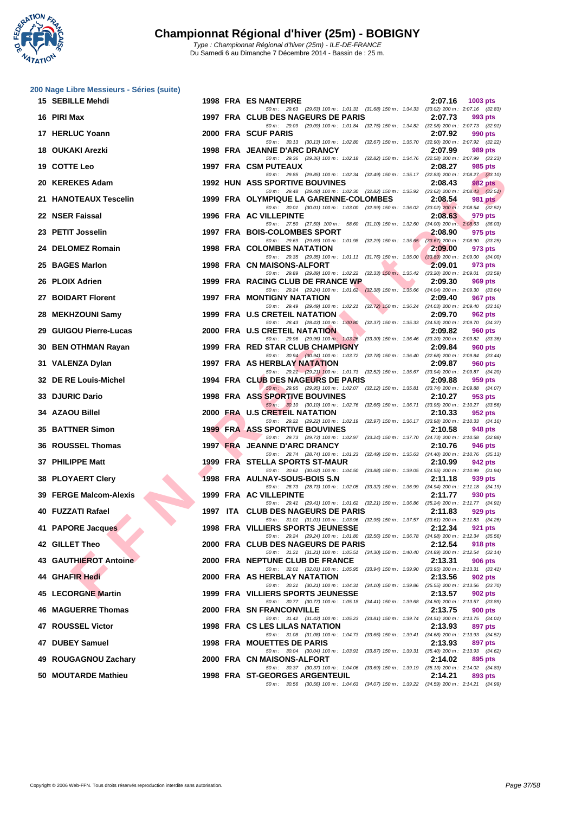

| 200 Nage Libre Messieurs - Séries (suite) |  |                                                                                                                                       |                                                           |
|-------------------------------------------|--|---------------------------------------------------------------------------------------------------------------------------------------|-----------------------------------------------------------|
| 15 SEBILLE Mehdi                          |  | <b>1998 FRA ES NANTERRE</b>                                                                                                           | 2:07.16<br>1003 pts                                       |
| 16 PIRI Max                               |  | 50 m: 29.63 (29.63) 100 m: 1:01.31 (31.68) 150 m: 1:34.33 (33.02) 200 m: 2:07.16 (32.83)<br>1997 FRA CLUB DES NAGEURS DE PARIS        | 2:07.73<br>993 pts                                        |
| 17 HERLUC Yoann                           |  | 50 m : 29.09 (29.09) 100 m : 1:01.84 (32.75) 150 m : 1:34.82 (32.98) 200 m : 2:07.73 (32.91)<br>2000 FRA SCUF PARIS                   | 2:07.92<br>990 pts                                        |
| 18 OUKAKI Arezki                          |  | 50 m: 30.13 (30.13) 100 m: 1:02.80 (32.67) 150 m: 1:35.70 (32.90) 200 m: 2:07.92 (32.22)<br>1998 FRA JEANNE D'ARC DRANCY              | 2:07.99<br>989 pts                                        |
| 19 COTTE Leo                              |  | 50 m : 29.36 (29.36) 100 m : 1:02.18 (32.82) 150 m : 1:34.76 (32.58) 200 m : 2:07.99 (33.23)<br>1997 FRA CSM PUTEAUX                  | 2:08.27<br>985 pts                                        |
| 20 KEREKES Adam                           |  | 50 m : 29.85 (29.85) 100 m : 1:02.34 (32.49) 150 m : 1:35.17 (32.83) 200 m : 2:08.27 (33.10)<br><b>1992 HUN ASS SPORTIVE BOUVINES</b> | 2:08.43<br>982 pts                                        |
| 21 HANOTEAUX Tescelin                     |  | 50 m: 29.48 (29.48) 100 m: 1:02.30 (32.82) 150 m: 1:35.92 (33.62) 200 m: 2:08.43 (32.51)<br>1999 FRA OLYMPIQUE LA GARENNE-COLOMBES    | 2:08.54<br>981 pts                                        |
| 22 NSER Faissal                           |  | 50 m: 30.01 (30.01) 100 m: 1:03.00 (32.99) 150 m: 1:36.02 (33.02) 200 m: 2:08.54 (32.52)<br>1996 FRA AC VILLEPINTE                    | 2:08.63<br>979 pts                                        |
| 23 PETIT Josselin                         |  | 50 m : 27.50 (27.50) 100 m : 58.60 (31.10) 150 m : 1:32.60 (34.00) 200 m : 2:08.63 (36.03)<br>1997 FRA BOIS-COLOMBES SPORT            | 2:08.90<br>975 pts                                        |
| 24 DELOMEZ Romain                         |  | 50 m : 29.69 (29.69) 100 m : 1:01.98 (32.29) 150 m : 1:35.65<br><b>1998 FRA COLOMBES NATATION</b>                                     | $(33.67)$ 200 m : 2:08.90 $(33.25)$<br>2:09.00<br>973 pts |
| 25 BAGES Marlon                           |  | 50 m: 29.35 (29.35) 100 m: 1:01.11 (31.76) 150 m: 1:35.00<br>1998 FRA CN MAISONS-ALFORT                                               | $(33.89)$ 200 m : 2:09.00 $(34.00)$<br>2:09.01<br>973 pts |
| 26 PLOIX Adrien                           |  | 50 m : 29.89 (29.89) 100 m : 1:02.22 (32.33) 150 m : 1:35.42 (33.20) 200 m : 2:09.01 (33.59)<br>1999 FRA RACING CLUB DE FRANCE WP     | 2:09.30<br>969 pts                                        |
| 27 BOIDART Florent                        |  | 50 m: 29.24 (29.24) 100 m: 1:01.62 (32.38) 150 m: 1:35.66 (34.04) 200 m: 2:09.30 (33.64)<br>1997 FRA MONTIGNY NATATION                | 2:09.40<br><b>967 pts</b>                                 |
| 28 MEKHZOUNI Samy                         |  | 50 m : 29.49 (29.49) 100 m : 1:02.21 (32.72) 150 m : 1:36.24 (34.03) 200 m : 2:09.40 (33.16)<br>1999 FRA U.S CRETEIL NATATION         | 2:09.70<br>962 pts                                        |
| 29 GUIGOU Pierre-Lucas                    |  | 50 m : 28.43 (28.43) 100 m : 1:00.80 (32.37) 150 m : 1:35.33 (34.53) 200 m : 2:09.70 (34.37)<br>2000 FRA U.S CRETEIL NATATION         | 2:09.82<br>960 pts                                        |
| 30 BEN OTHMAN Rayan                       |  | 50 m: 29.96 (29.96) 100 m: 1.03.26 (33.30) 150 m: 1.36.46 (33.20) 200 m: 2.09.82 (33.36)<br>1999 FRA RED STAR CLUB CHAMPIGNY          | 2:09.84<br>960 pts                                        |
| 31 VALENZA Dylan                          |  | 50 m: 30.94 (30.94) 100 m: 1:03.72 (32.78) 150 m: 1:36.40 (32.68) 200 m: 2:09.84 (33.44)<br>1997 FRA AS HERBLAY NATATION              | 2:09.87<br>960 pts                                        |
| 32 DE RE Louis-Michel                     |  | 50 m : 29.21 (29.21) 100 m : 1:01.73 (32.52) 150 m : 1:35.67 (33.94) 200 m : 2:09.87 (34.20)<br>1994 FRA CLUB DES NAGEURS DE PARIS    | 2:09.88<br>959 pts                                        |
| 33 DJURIC Dario                           |  | 50 m : 29.95 (29.95) 100 m : 1:02.07 (32.12) 150 m : 1:35.81 (33.74) 200 m : 2:09.88 (34.07)<br><b>1998 FRA ASS SPORTIVE BOUVINES</b> | 2:10.27<br>953 pts                                        |
| 34 AZAOU Billel                           |  | 50 m : 30.10 (30.10) 100 m : 1:02.76 (32.66) 150 m : 1:36.71 (33.95) 200 m : 2:10.27 (33.56)<br>2000 FRA U.S CRETEIL NATATION         | 2:10.33<br>952 pts                                        |
| 35 BATTNER Simon                          |  | 50 m : 29.22 (29.22) 100 m : 1:02.19 (32.97) 150 m : 1:36.17 (33.98) 200 m : 2:10.33 (34.16)<br><b>1999 FRA ASS SPORTIVE BOUVINES</b> | 2:10.58<br>948 pts                                        |
| 36 ROUSSEL Thomas                         |  | 50 m: 29.73 (29.73) 100 m: 1:02.97 (33.24) 150 m: 1:37.70 (34.73) 200 m: 2:10.58 (32.88)<br>1997 FRA JEANNE D'ARC DRANCY              | 2:10.76<br>946 pts                                        |
| 37 PHILIPPE Matt                          |  | 50 m : 28.74 (28.74) 100 m : 1:01.23 (32.49) 150 m : 1:35.63 (34.40) 200 m : 2:10.76 (35.13)<br><b>1999 FRA STELLA SPORTS ST-MAUR</b> | 2:10.99<br>942 pts                                        |
| 38 PLOYAERT Clery                         |  | 50 m: 30.62 (30.62) 100 m: 1:04.50 (33.88) 150 m: 1:39.05 (34.55) 200 m: 2:10.99 (31.94)<br>1998 FRA AULNAY-SOUS-BOIS S.N             | 2:11.18<br>939 pts                                        |
| 39 FERGE Malcom-Alexis                    |  | 50 m: 28.73 (28.73) 100 m: 1:02.05 (33.32) 150 m: 1:36.99 (34.94) 200 m: 2:11.18 (34.19)<br>1999 FRA AC VILLEPINTE                    | 2:11.77<br>930 pts                                        |
| 40 FUZZATI Rafael                         |  | 50 m: 29.41 (29.41) 100 m: 1:01.62 (32.21) 150 m: 1:36.86 (35.24) 200 m: 2:11.77 (34.91)<br>1997 ITA CLUB DES NAGEURS DE PARIS        | 2:11.83<br>929 pts                                        |
| 41 PAPORE Jacques                         |  | 50 m: 31.01 (31.01) 100 m: 1:03.96 (32.95) 150 m: 1:37.57 (33.61) 200 m: 2:11.83 (34.26)<br><b>1998 FRA VILLIERS SPORTS JEUNESSE</b>  | 2:12.34<br>921 pts                                        |
| 42 GILLET Theo                            |  | 50 m: 29.24 (29.24) 100 m: 1:01.80 (32.56) 150 m: 1:36.78 (34.98) 200 m: 2:12.34 (35.56)<br>2000 FRA CLUB DES NAGEURS DE PARIS        | 2:12.54<br><b>918 pts</b>                                 |
| 43 GAUTHIEROT Antoine                     |  | 50 m: 31.21 (31.21) 100 m: 1:05.51 (34.30) 150 m: 1:40.40 (34.89) 200 m: 2:12.54 (32.14)<br>2000 FRA NEPTUNE CLUB DE FRANCE           | 2:13.31<br>906 pts                                        |
| 44 GHAFIR Hedi                            |  | 50 m: 32.01 (32.01) 100 m: 1:05.95 (33.94) 150 m: 1:39.90 (33.95) 200 m: 2:13.31 (33.41)<br><b>2000 FRA AS HERBLAY NATATION</b>       | 2:13.56<br>902 pts                                        |
| <b>45 LECORGNE Martin</b>                 |  | 50 m: 30.21 (30.21) 100 m: 1:04.31 (34.10) 150 m: 1:39.86 (35.55) 200 m: 2:13.56 (33.70)<br>1999 FRA VILLIERS SPORTS JEUNESSE         | 2:13.57<br>902 pts                                        |
| <b>46 MAGUERRE Thomas</b>                 |  | 50 m: 30.77 (30.77) 100 m: 1:05.18 (34.41) 150 m: 1:39.68 (34.50) 200 m: 2:13.57 (33.89)<br>2000 FRA SN FRANCONVILLE                  | 2:13.75<br>900 pts                                        |
| 47 ROUSSEL Victor                         |  | 50 m: 31.42 (31.42) 100 m: 1:05.23 (33.81) 150 m: 1:39.74 (34.51) 200 m: 2:13.75 (34.01)<br>1998 FRA CS LES LILAS NATATION            | 2:13.93<br>897 pts                                        |
| 47 DUBEY Samuel                           |  | 50 m: 31.08 (31.08) 100 m: 1:04.73 (33.65) 150 m: 1:39.41 (34.68) 200 m: 2:13.93 (34.52)<br>1998 FRA MOUETTES DE PARIS                | 2:13.93<br>897 pts                                        |
| 49 ROUGAGNOU Zachary                      |  | 50 m: 30.04 (30.04) 100 m: 1:03.91 (33.87) 150 m: 1:39.31 (35.40) 200 m: 2:13.93 (34.62)<br>2000 FRA CN MAISONS-ALFORT                | 2:14.02<br>895 pts                                        |
| 50 MOUTARDE Mathieu                       |  | 50 m: 30.37 (30.37) 100 m: 1:04.06 (33.69) 150 m: 1:39.19 (35.13) 200 m: 2:14.02 (34.83)<br>1998 FRA ST-GEORGES ARGENTEUIL            | 2:14.21<br>893 pts                                        |
|                                           |  | 50 m: 30.56 (30.56) 100 m: 1:04.63 (34.07) 150 m: 1:39.22 (34.59) 200 m: 2:14.21 (34.99)                                              |                                                           |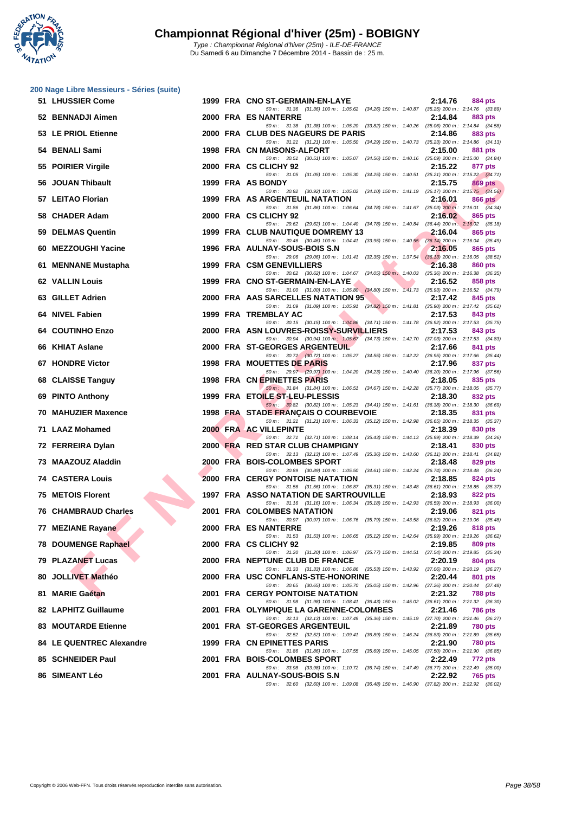

| 200 Nage Libre Messieurs - Séries (suite) |  |                                                                                                                                         |                           |
|-------------------------------------------|--|-----------------------------------------------------------------------------------------------------------------------------------------|---------------------------|
| 51 LHUSSIER Come                          |  | 1999 FRA CNO ST-GERMAIN-EN-LAYE<br>50 m: 31.36 (31.36) 100 m: 1:05.62 (34.26) 150 m: 1:40.87 (35.25) 200 m: 2:14.76 (33.89)             | 2:14.76<br>884 pts        |
| 52 BENNADJI Aimen                         |  | 2000 FRA ES NANTERRE                                                                                                                    | 2:14.84<br>883 pts        |
| 53 LE PRIOL Etienne                       |  | 50 m: 31.38 (31.38) 100 m: 1:05.20 (33.82) 150 m: 1:40.26 (35.06) 200 m: 2:14.84 (34.58)<br>2000 FRA CLUB DES NAGEURS DE PARIS          | 2:14.86<br>883 pts        |
| 54 BENALI Sami                            |  | 50 m: 31.21 (31.21) 100 m: 1:05.50 (34.29) 150 m: 1:40.73 (35.23) 200 m: 2:14.86 (34.13)<br>1998 FRA CN MAISONS-ALFORT                  | 2:15.00<br>881 pts        |
| 55 POIRIER Virgile                        |  | 50 m: 30.51 (30.51) 100 m: 1:05.07 (34.56) 150 m: 1:40.16 (35.09) 200 m: 2:15.00 (34.84)<br>2000 FRA CS CLICHY 92                       | 2:15.22<br>877 pts        |
| 56 JOUAN Thibault                         |  | 50 m: 31.05 (31.05) 100 m: 1:05.30 (34.25) 150 m: 1:40.51 (35.21) 200 m: 2:15.22 (34.71)<br>1999 FRA AS BONDY                           | 2:15.75<br><b>869 pts</b> |
| 57 LEITAO Florian                         |  | 50 m: 30.92 (30.92) 100 m: 1:05.02 (34.10) 150 m: 1:41.19 (36.17) 200 m: 2:15.75 (34.56)<br>1999 FRA AS ARGENTEUIL NATATION             | 2:16.01<br>866 pts        |
| 58 CHADER Adam                            |  | 50 m: 31.86 (31.86) 100 m: 1:06.64 (34.78) 150 m: 1:41.67 (35.03) 200 m: 2:16.01 (34.34)<br>2000 FRA CS CLICHY 92                       | 2:16.02<br>865 pts        |
| 59 DELMAS Quentin                         |  | 50 m : 29.62 (29.62) 100 m : 1:04.40 (34.78) 150 m : 1:40.84 (36.44) 200 m : 2:16.02 (35.18)<br>1999 FRA CLUB NAUTIQUE DOMREMY 13       | 2:16.04<br>865 pts        |
| 60 MEZZOUGHI Yacine                       |  | 50 m: 30.46 (30.46) 100 m: 1:04.41 (33.95) 150 m: 1:40.55 (36.14) 200 m: 2:16.04 (35.49)<br>1996 FRA AULNAY-SOUS-BOIS S.N               | 2:16.05<br>865 pts        |
| 61 MENNANE Mustapha                       |  | 50 m : 29.06 (29.06) 100 m : 1:01.41 (32.35) 150 m : 1:37.54 (36.13) 200 m : 2:16.05 (38.51)<br>1999 FRA CSM GENEVILLIERS               | 2:16.38<br>860 pts        |
| <b>62 VALLIN Louis</b>                    |  | 50 m: 30.62 (30.62) 100 m: 1:04.67 (34.05) 150 m: 1:40.03 (35.36) 200 m: 2:16.38 (36.35)<br>1999 FRA CNO ST-GERMAIN-EN-LAYE             | 2:16.52<br>858 pts        |
| 63 GILLET Adrien                          |  | 50 m: 31.00 (31.00) 100 m: 1:05.80 (34.80) 150 m: 1:41.73 (35.93) 200 m: 2:16.52 (34.79)<br>2000 FRA AAS SARCELLES NATATION 95          | 2:17.42<br>845 pts        |
|                                           |  | 50 m: 31.09 (31.09) 100 m: 1:05.91 (34.82) 150 m: 1:41.81 (35.90) 200 m: 2:17.42 (35.61)<br>1999 FRA TREMBLAY AC                        |                           |
| 64 NIVEL Fabien                           |  | 50 m: 30.15 (30.15) 100 m: 1:04.86 (34.71) 150 m: 1:41.78 (36.92) 200 m: 2:17.53 (35.75)                                                | 2:17.53<br>843 pts        |
| <b>64 COUTINHO Enzo</b>                   |  | 2000 FRA ASN LOUVRES-ROISSY-SURVILLIERS<br>50 m : 30.94 (30.94) 100 m : 1:05.67 (34.73) 150 m : 1:42.70 (37.03) 200 m : 2:17.53 (34.83) | 2:17.53<br>843 pts        |
| 66 KHIAT Aslane                           |  | 2000 FRA ST-GEORGES ARGENTEUIL<br>50 m: 30.72 (30.72) 100 m: 1:05.27 (34.55) 150 m: 1:42.22 (36.95) 200 m: 2:17.66 (35.44)              | 2:17.66<br>841 pts        |
| <b>67 HONDRE Victor</b>                   |  | 1998 FRA MOUETTES DE PARIS<br>50 m : 29.97 (29.97) 100 m : 1:04.20 (34.23) 150 m : 1:40.40 (36.20) 200 m : 2:17.96 (37.56)              | 2:17.96<br>837 pts        |
| 68 CLAISSE Tanguy                         |  | 1998 FRA CN EPINETTES PARIS                                                                                                             | 2:18.05<br>835 pts        |
| 69 PINTO Anthony                          |  | 50 m: 31.84 (31.84) 100 m: 1:06.51 (34.67) 150 m: 1:42.28 (35.77) 200 m: 2:18.05 (35.77)<br>1999 FRA ETOILE ST-LEU-PLESSIS              | 2:18.30<br>832 pts        |
| <b>70 MAHUZIER Maxence</b>                |  | 50 m : 30.82 (30.82) 100 m : 1:05.23 (34.41) 150 m : 1:41.61 (36.38) 200 m : 2:18.30 (36.69)<br>1998 FRA STADE FRANÇAIS O COURBEVOIE    | 2:18.35<br>831 pts        |
| 71 LAAZ Mohamed                           |  | 50 m: 31.21 (31.21) 100 m: 1:06.33 (35.12) 150 m: 1:42.98 (36.65) 200 m: 2:18.35 (35.37)<br>2000 FRA AC VILLEPINTE                      | 2:18.39<br>830 pts        |
| 72 FERREIRA Dylan                         |  | 50 m : 32.71 (32.71) 100 m : 1:08.14 (35.43) 150 m : 1:44.13 (35.99) 200 m : 2:18.39 (34.26)<br>2000 FRA RED STAR CLUB CHAMPIGNY        | 2:18.41<br>830 pts        |
| 73 MAAZOUZ Aladdin                        |  | 50 m: 32.13 (32.13) 100 m: 1:07.49 (35.36) 150 m: 1:43.60 (36.11) 200 m: 2:18.41 (34.81)<br>2000 FRA BOIS-COLOMBES SPORT                | 2:18.48<br>829 pts        |
| <b>74 CASTERA Louis</b>                   |  | 50 m : 30.89 (30.89) 100 m : 1:05.50 (34.61) 150 m : 1:42.24 (36.74) 200 m : 2:18.48 (36.24)<br><b>2000 FRA CERGY PONTOISE NATATION</b> | 2:18.85<br>824 pts        |
| <b>75 METOIS Florent</b>                  |  | 50 m: 31.56 (31.56) 100 m: 1:06.87 (35.31) 150 m: 1:43.48 (36.61) 200 m: 2:18.85 (35.37)<br>1997 FRA ASSO NATATION DE SARTROUVILLE      | 2:18.93<br>822 pts        |
| 76 CHAMBRAUD Charles                      |  | 50 m: 31.16 (31.16) 100 m: 1:06.34 (35.18) 150 m: 1:42.93 (36.59) 200 m: 2:18.93 (36.00)<br>2001 FRA COLOMBES NATATION                  | 2:19.06<br>821 pts        |
|                                           |  | 50 m : 30.97 (30.97) 100 m : 1:06.76 (35.79) 150 m : 1:43.58 (36.82) 200 m : 2:19.06 (35.48)                                            |                           |
| 77 MEZIANE Rayane                         |  | 2000 FRA ES NANTERRE<br>50 m: 31.53 (31.53) 100 m: 1:06.65 (35.12) 150 m: 1:42.64 (35.99) 200 m: 2:19.26 (36.62)                        | 2:19.26<br>818 pts        |
| <b>78 DOUMENGE Raphael</b>                |  | 2000 FRA CS CLICHY 92<br>50 m: 31.20 (31.20) 100 m: 1:06.97 (35.77) 150 m: 1:44.51 (37.54) 200 m: 2:19.85 (35.34)                       | 2:19.85<br>809 pts        |
| 79 PLAZANET Lucas                         |  | 2000 FRA NEPTUNE CLUB DE FRANCE<br>50 m: 31.33 (31.33) 100 m: 1:06.86 (35.53) 150 m: 1:43.92 (37.06) 200 m: 2:20.19 (36.27)             | 2:20.19<br>804 pts        |
| 80 JOLLIVET Mathéo                        |  | 2000 FRA USC CONFLANS-STE-HONORINE<br>50 m: 30.65 (30.65) 100 m: 1:05.70 (35.05) 150 m: 1:42.96 (37.26) 200 m: 2:20.44 (37.48)          | 2:20.44<br>801 pts        |
| 81 MARIE Gaétan                           |  | <b>2001 FRA CERGY PONTOISE NATATION</b>                                                                                                 | 2:21.32<br><b>788 pts</b> |
| 82 LAPHITZ Guillaume                      |  | 50 m : 31.98 (31.98) 100 m : 1:08.41 (36.43) 150 m : 1:45.02 (36.61) 200 m : 2:21.32 (36.30)<br>2001 FRA OLYMPIQUE LA GARENNE-COLOMBES  | 2:21.46<br>786 pts        |
| <b>83 MOUTARDE Etienne</b>                |  | 50 m: 32.13 (32.13) 100 m: 1:07.49 (35.36) 150 m: 1:45.19 (37.70) 200 m: 2:21.46 (36.27)<br>2001 FRA ST-GEORGES ARGENTEUIL              | 2:21.89<br>780 pts        |
| <b>84 LE QUENTREC Alexandre</b>           |  | 50 m: 32.52 (32.52) 100 m: 1:09.41 (36.89) 150 m: 1:46.24 (36.83) 200 m: 2:21.89 (35.65)<br>1999 FRA CN EPINETTES PARIS                 | 2:21.90<br>780 pts        |
| 85 SCHNEIDER Paul                         |  | 50 m: 31.86 (31.86) 100 m: 1:07.55 (35.69) 150 m: 1:45.05 (37.50) 200 m: 2:21.90 (36.85)<br>2001 FRA BOIS-COLOMBES SPORT                | 2:22.49<br>772 pts        |
| 86 SIMEANT Léo                            |  | 50 m: 33.98 (33.98) 100 m: 1:10.72 (36.74) 150 m: 1:47.49 (36.77) 200 m: 2:22.49 (35.00)                                                |                           |
|                                           |  | 2001 FRA AULNAY-SOUS-BOIS S.N<br>50 m : 32.60 (32.60) 100 m : 1:09.08 (36.48) 150 m : 1:46.90 (37.82) 200 m : 2:22.92 (36.02)           | 2:22.92<br>765 pts        |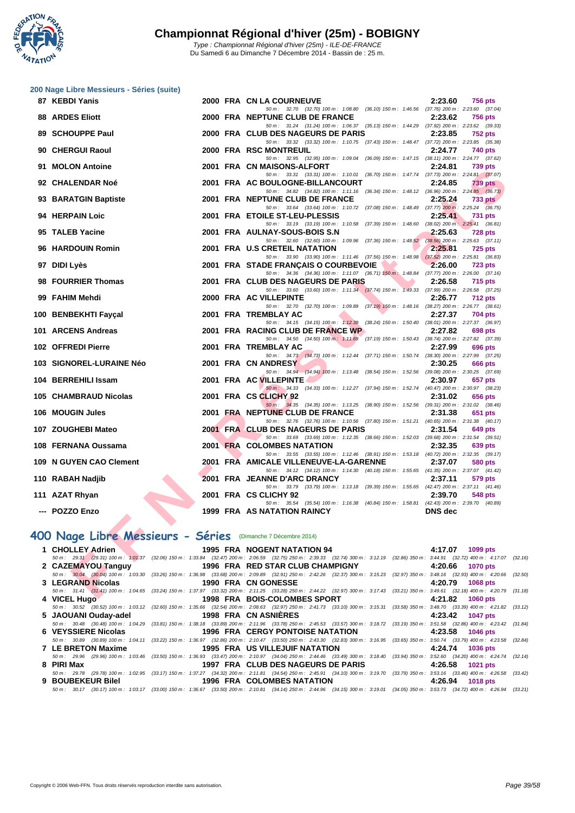

|  | 200 Nage Libre Messieurs - Séries (suite) |  |
|--|-------------------------------------------|--|
|  |                                           |  |

| 87 KEBDI Yanis                                               |  | 2000 FRA CN LA COURNEUVE                                                                                                                                                                                             | 2:23.60                                              | <b>756 pts</b>  |
|--------------------------------------------------------------|--|----------------------------------------------------------------------------------------------------------------------------------------------------------------------------------------------------------------------|------------------------------------------------------|-----------------|
| <b>88 ARDES Eliott</b>                                       |  | 50 m: 32.70 (32.70) 100 m: 1:08.80 (36.10) 150 m: 1:46.56 (37.76) 200 m: 2:23.60 (37.04)<br>2000 FRA NEPTUNE CLUB DE FRANCE                                                                                          | 2:23.62                                              | <b>756 pts</b>  |
| 89 SCHOUPPE Paul                                             |  | 50 m: 31.24 (31.24) 100 m: 1:06.37 (35.13) 150 m: 1:44.29 (37.92) 200 m: 2:23.62 (39.33)<br>2000 FRA CLUB DES NAGEURS DE PARIS                                                                                       | 2:23.85                                              | <b>752 pts</b>  |
|                                                              |  | 50 m : 33.32 (33.32) 100 m : 1:10.75 (37.43) 150 m : 1:48.47 (37.72) 200 m : 2:23.85 (35.38)                                                                                                                         |                                                      |                 |
| 90 CHERGUI Raoul                                             |  | <b>2000 FRA RSC MONTREUIL</b>                                                                                                                                                                                        | 2:24.77                                              | 740 pts         |
| 91 MOLON Antoine                                             |  | 50 m: 32.95 (32.95) 100 m: 1:09.04 (36.09) 150 m: 1:47.15 (38.11) 200 m: 2:24.77 (37.62)<br>2001 FRA CN MAISONS-ALFORT                                                                                               | 2:24.81                                              | <b>739 pts</b>  |
|                                                              |  | 50 m: 33.31 (33.31) 100 m: 1:10.01 (36.70) 150 m: 1:47.74 (37.73) 200 m: 2:24.81 (37.07)                                                                                                                             |                                                      |                 |
| 92 CHALENDAR Noé                                             |  | 2001 FRA AC BOULOGNE-BILLANCOURT<br>50 m: 34.82 (34.82) 100 m: 1:11.16 (36.34) 150 m: 1:48.12 (36.96) 200 m: 2:24.85 (36.73)                                                                                         | 2:24.85                                              | <b>739 pts</b>  |
| 93 BARATGIN Baptiste                                         |  | 2001 FRA NEPTUNE CLUB DE FRANCE                                                                                                                                                                                      | 2:25.24                                              | <b>733 pts</b>  |
| 94 HERPAIN Loic                                              |  | 50 m: 33.64 (33.64) 100 m: 1:10.72 (37.08) 150 m: 1:48.49 (37.77) 200 m: 2:25.24 (36.75)                                                                                                                             |                                                      |                 |
|                                                              |  | 2001 FRA ETOILE ST-LEU-PLESSIS<br>50 m: 33.19 (33.19) 100 m: 1:10.58 (37.39) 150 m: 1:48.60 (38.02) 200 m: 2:25.41 (36.81)                                                                                           | 2:25.41                                              | <b>731 pts</b>  |
| 95 TALEB Yacine                                              |  | 2001 FRA AULNAY-SOUS-BOIS S.N                                                                                                                                                                                        | 2:25.63                                              | <b>728 pts</b>  |
| 96 HARDOUIN Romin                                            |  | 50 m: 32.60 (32.60) 100 m: 1:09.96 (37.36) 150 m: 1:48.52 (38.56) 200 m: 2:25.63 (37.11)<br>2001 FRA U.S CRETEIL NATATION                                                                                            | 2:25.81                                              | <b>725 pts</b>  |
|                                                              |  | 50 m: 33.90 (33.90) 100 m: 1:11.46 (37.56) 150 m: 1:48.98 (37.52) 200 m: 2:25.81 (36.83)                                                                                                                             |                                                      |                 |
| 97 DIDI Lyès                                                 |  | 2001 FRA STADE FRANÇAIS O COURBEVOIE<br>$\blacktriangle$ .                                                                                                                                                           | 2:26.00                                              | <b>723 pts</b>  |
| 98 FOURRIER Thomas                                           |  | 50 m: 34.36 (34.36) 100 m: 1:11.07 (36.71) 150 m: 1:48.84 (37.77) 200 m: 2:26.00 (37.16)<br>2001 FRA CLUB DES NAGEURS DE PARIS                                                                                       | 2:26.58                                              | <b>715 pts</b>  |
|                                                              |  | 50 m: 33.60 (33.60) 100 m: 1:11.34 (37.74) 150 m: 1:49.33 (37.99) 200 m: 2:26.58 (37.25)                                                                                                                             |                                                      |                 |
| 99 FAHIM Mehdi                                               |  | 2000 FRA AC VILLEPINTE                                                                                                                                                                                               | 2:26.77                                              | <b>712 pts</b>  |
| 100 BENBEKHTI Fayçal                                         |  | 50 m: 32.70 (32.70) 100 m: 1:09.89 (37.19) 150 m: 1:48.16 (38.27) 200 m: 2:26.77 (38.61)<br>2001 FRA TREMBLAY AC                                                                                                     | 2:27.37                                              | <b>704 pts</b>  |
|                                                              |  | 50 m: 34.15 (34.15) 100 m: 1:12.39 (38.24) 150 m: 1:50.40 (38.01) 200 m: 2:27.37 (36.97)                                                                                                                             |                                                      |                 |
| 101 ARCENS Andreas                                           |  | 2001 FRA RACING CLUB DE FRANCE WP                                                                                                                                                                                    | 2:27.82                                              | 698 pts         |
| 102 OFFREDI Pierre                                           |  | 50 m: 34.50 (34.50) 100 m: 1:11.69 (37.19) 150 m: 1:50.43 (38.74) 200 m: 2:27.82 (37.39)<br>2001 FRA TREMBLAY AC                                                                                                     | 2:27.99                                              | 696 pts         |
|                                                              |  | 50 m: 34.73 (34.73) 100 m: 1:12.44 (37.71) 150 m: 1:50.74 (38.30) 200 m: 2:27.99 (37.25)                                                                                                                             |                                                      |                 |
| 103 SIGNOREL-LURAINE Néo                                     |  | 2001 FRA CN ANDRESY                                                                                                                                                                                                  | 2:30.25                                              | 666 pts         |
| 104 BERREHILI Issam                                          |  | 50 m: 34.94 (34.94) 100 m: 1:13.48 (38.54) 150 m: 1:52.56 (39.08) 200 m: 2:30.25 (37.69)<br>2001 FRA AC VILLEPINTE                                                                                                   | 2:30.97                                              | 657 pts         |
|                                                              |  | 50 m: 34.33 (34.33) 100 m: 1:12.27 (37.94) 150 m: 1:52.74 (40.47) 200 m: 2:30.97 (38.23)                                                                                                                             |                                                      |                 |
| 105 CHAMBRAUD Nicolas                                        |  | 2001 FRA CS CLICHY 92                                                                                                                                                                                                | 2:31.02                                              | 656 pts         |
| 106 MOUGIN Jules                                             |  | 50 m: 34.35 (34.35) 100 m: 1:13.25 (38.90) 150 m: 1:52.56 (39.31) 200 m: 2:31.02 (38.46)<br>2001 FRA NEPTUNE CLUB DE FRANCE                                                                                          | 2:31.38                                              | 651 pts         |
|                                                              |  | 50 m: 32.76 (32.76) 100 m: 1:10.56 (37.80) 150 m: 1:51.21 (40.65) 200 m: 2:31.38 (40.17)                                                                                                                             |                                                      |                 |
| 107 ZOUGHEBI Mateo                                           |  | 2001 FRA CLUB DES NAGEURS DE PARIS<br>50 m: 33.69 (33.69) 100 m: 1:12.35 (38.66) 150 m: 1:52.03 (39.68) 200 m: 2:31.54 (39.51)                                                                                       | 2:31.54                                              | 649 pts         |
| 108 FERNANA Oussama                                          |  | 2001 FRA COLOMBES NATATION                                                                                                                                                                                           | 2:32.35                                              | 639 pts         |
|                                                              |  | 50 m: 33.55 (33.55) 100 m: 1:12.46 (38.91) 150 m: 1:53.18 (40.72) 200 m: 2:32.35 (39.17)                                                                                                                             |                                                      |                 |
| 109 N GUYEN CAO Clement                                      |  | 2001 FRA AMICALE VILLENEUVE-LA-GARENNE<br>50 m: 34.12 (34.12) 100 m: 1:14.30 (40.18) 150 m: 1:55.65 (41.35) 200 m: 2:37.07 (41.42)                                                                                   | 2:37.07                                              | <b>580 pts</b>  |
| 110 RABAH Nadjib                                             |  | 2001 FRA JEANNE D'ARC DRANCY                                                                                                                                                                                         | 2:37.11                                              | 579 pts         |
|                                                              |  | 50 m: 33.79 (33.79) 100 m: 1:13.18 (39.39) 150 m: 1:55.65 (42.47) 200 m: 2:37.11 (41.46)                                                                                                                             |                                                      |                 |
| 111 AZAT Rhyan                                               |  | 2001 FRA CS CLICHY 92<br>50 m: 35.54 (35.54) 100 m: 1:16.38 (40.84) 150 m: 1:58.81 (42.43) 200 m: 2:39.70 (40.89)                                                                                                    | 2:39.70                                              | <b>548 pts</b>  |
| --- POZZO Enzo                                               |  | <b>1999 FRA AS NATATION RAINCY</b>                                                                                                                                                                                   | <b>DNS</b> dec                                       |                 |
|                                                              |  |                                                                                                                                                                                                                      |                                                      |                 |
| 100 Nage Libre Messieurs - Séries (Dimanche 7 Décembre 2014) |  |                                                                                                                                                                                                                      |                                                      |                 |
| 1 CHOLLEY Adrien                                             |  | 1995 FRA NOGENT NATATION 94                                                                                                                                                                                          | 4:17.07                                              | 1099 pts        |
|                                                              |  | 50 m: 29.31 (29.31) 100 m: 1:01.37 (32.06) 150 m: 1:33.84 (32.47) 200 m: 2:06.59 (32.75) 250 m: 2:39.33 (32.74) 300 m: 3:12.19 (32.86) 350 m: 3:44.91 (32.72) 400 m: 4:17.07 (32                                     |                                                      |                 |
| 2 CAZEMAYOU Tanguy                                           |  | 1996 FRA RED STAR CLUB CHAMPIGNY<br>50 m: 30.04 (30.04) 100 m: 1:03.30 (33.26) 150 m: 1:36.98 (33.68) 200 m: 2:09.89 (32.31) 250 m: 2:42.26 (32.37) 300 m: 3:15.23 (32.97) 350 m: 3:48.16 (32.93) 400 m: 4:20.66 (32 | 4:20.66                                              | <b>1070 pts</b> |
| 3 LEGRAND Nicolas                                            |  | 1990 FRA CN GONESSE                                                                                                                                                                                                  | 4:20.79                                              | <b>1068 pts</b> |
| 4 VUAFI II.                                                  |  | 50 m: 31.41 (31.41) 100 m: 1:04.65 (33.24) 150 m: 1:37.97 (33.32) 200 m: 2:11.25 (33.28) 250 m: 2:44.22 (32.97) 300 m: 3:17.43 (33.21) 350 m: 3:49.61 (32.18) 400 m: 4:20.79 (3:<br>4000 FBA BOIC COLOMBER CROPT     | $\overline{a}$ and $\overline{a}$ and $\overline{a}$ | $1000 -$        |
|                                                              |  |                                                                                                                                                                                                                      |                                                      |                 |

# **400 Nage Libre Messieurs - Séries** (Dimanche 7 Décembre 2014)

| 1 CHOLLEY Adrien                                                | 1995 FRA NOGENT NATATION 94                                                                                                                                                                  | 4:17.07 1099 pts           |
|-----------------------------------------------------------------|----------------------------------------------------------------------------------------------------------------------------------------------------------------------------------------------|----------------------------|
|                                                                 | 50 m : 29.31 (29.31) 100 m : 1:01.37 (32.06) 150 m : 1:33.84 (32.47) 200 m : 2:06.59 (32.75) 250 m : 2:39.33 (32.74) 300 m : 3:12.19 (32.86) 350 m : 3:44.91 (32.72) 400 m : 4:17.07 (32.16) |                            |
| 2 CAZEMAYOU Tanguy                                              |                                                                                                                                                                                              | 1070 pts                   |
|                                                                 | 50 m : 30.04 (30.04) 100 m : 1:03.30 (33.26) 150 m : 1:36.98 (33.68) 200 m : 2:09.89 (32.91) 250 m : 2:42.26 (32.37) 300 m : 3:15.23 (32.97) 350 m : 3:48.16 (32.93) 400 m : 4:20.66 (32.50) |                            |
| 3 LEGRAND Nicolas                                               | <b>1990 FRA CN GONESSE</b>                                                                                                                                                                   | 4:20.79<br><b>1068 pts</b> |
|                                                                 | 50 m: 31.41 (31.41) 100 m: 1:04.65 (33.24) 150 m: 1:37.97 (33.32) 200 m: 2:11.25 (33.28) 250 m: 2:44.22 (32.97) 300 m: 3:17.43 (33.21) 350 m: 3:49.61 (32.18) 400 m: 4:20.79 (31.18)         |                            |
| 4 VICEL Hugo                                                    | 1998 FRA BOIS-COLOMBES SPORT                                                                                                                                                                 | 4:21.82 1060 pts           |
|                                                                 | 50 m : 30.52 (30.52) 100 m : 1:03.12 (32.60) 150 m : 1:35.66 (32.54) 200 m : 2:08.63 (32.97) 250 m : 2:41.73 (33.10) 300 m : 3:15.31 (33.58) 350 m : 3:48.70 (33.39) 400 m : 4:21.82 (33.12) |                            |
| 5 JAOUANI Ouday-adel                                            | 1998 FRA CN ASNIERES                                                                                                                                                                         | 4:23.42 1047 pts           |
|                                                                 | 50 m : 30.48 (30.48) 100 m : 1:04.29 (33.81) 150 m : 1:38.18 (33.89) 200 m : 2:11.96 (33.78) 250 m : 2:45.53 (33.57) 300 m : 3:18.72 (33.19) 350 m : 3:51.58 (32.86) 400 m : 4:23.42 (31.84) |                            |
| 6 VEYSSIERE Nicolas                                             | 1996 FRA CERGY PONTOISE NATATION                                                                                                                                                             | 4:23.58 1046 pts           |
|                                                                 | 50 m : 30.89 (30.89) 100 m : 1:04.11 (33.22) 150 m : 1:36.97 (32.86) 200 m : 2:10.47 (33.50) 250 m : 2:43.30 (32.83) 300 m : 3:16.95 (33.65) 350 m : 3:50.74 (33.79) 400 m : 4:23.58 (32.84) |                            |
| 7 LE BRETON Maxime                                              | 1995 FRA US VILLEJUIF NATATION                                                                                                                                                               | 4:24.74 1036 pts           |
|                                                                 | 50 m : 29.96 (29.96) 100 m : 1:03.46 (33.50) 150 m : 1:36.93 (33.47) 200 m : 2:10.97 (34.04) 250 m : 2:44.46 (33.49) 300 m : 3:18.40 (33.94) 350 m : 3:52.60 (34.20) 400 m : 4:24.74 (32.14) |                            |
| 8 PIRI Max                                                      | 1997 FRA CLUB DES NAGEURS DE PARIS 4:26.58 1021 pts                                                                                                                                          |                            |
|                                                                 | 50 m: 29.78 (29.78) 100 m: 1:02.95 (33.17) 150 m: 1:37.27 (34.32) 200 m: 2:11.81 (34.54) 250 m: 2:45.91 (34.10) 300 m: 3:19.70 (33.79) 350 m: 3:53.16 (33.46) 400 m: 4:26.58 (33.42)         |                            |
| 9 BOUBEKEUR Bilel <b>Santa Barat Barat Street Street Street</b> | 1996 FRA COLOMBES NATATION                                                                                                                                                                   | 4:26.94<br>1018 pts        |
|                                                                 | 50 m: 30.17 (30.17) 100 m: 1:03.17 (33.00) 150 m: 1:36.67 (33.50) 200 m: 2:10.81 (34.14) 250 m: 2:44.96 (34.15) 300 m: 3:19.01 (34.05) 350 m: 3:53.73 (34.72) 400 m: 4:26.94 (33.21)         |                            |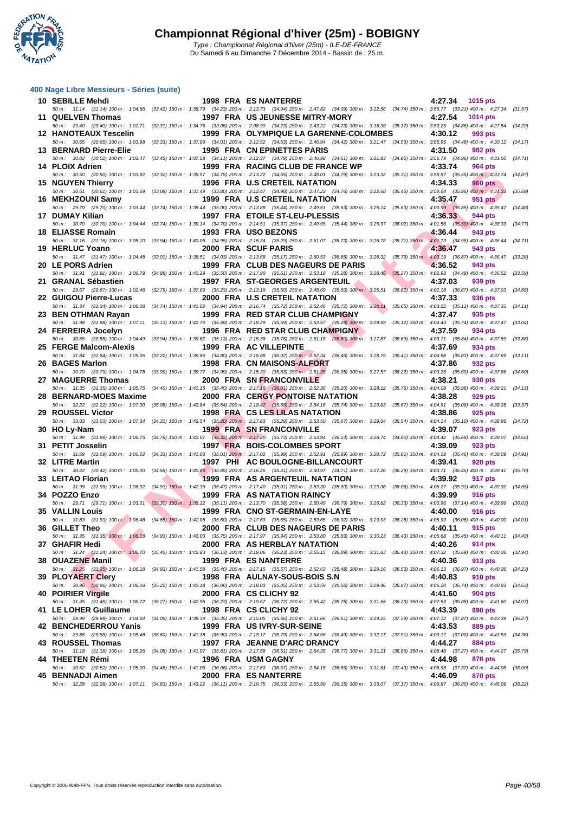

| 400 Nage Libre Messieurs - Séries (suite) |                                                                                                                                                                                                                                   |    |                            |         |
|-------------------------------------------|-----------------------------------------------------------------------------------------------------------------------------------------------------------------------------------------------------------------------------------|----|----------------------------|---------|
| 10 SEBILLE Mehdi                          | <b>1998 FRA ES NANTERRE</b><br>50 m: 31.14 (31.14) 100 m: 1:04.56 (33.42) 150 m: 1:38.79 (34.23) 200 m: 2:13.73 (34.94) 250 m: 2:47.82 (34.09) 300 m: 3:22.56 (34.74) 350 m: 3:55.77 (33.21) 400 m: 4:27.34 (31.57)               |    | 4:27.34<br>1015 pts        |         |
| 11 QUELVEN Thomas                         | 1997 FRA US JEUNESSE MITRY-MORY                                                                                                                                                                                                   |    | 4:27.54<br><b>1014 pts</b> |         |
| <b>12 HANOTEAUX Tescelin</b>              | 50 m: 29.40 (29.40) 100 m: 1:01.71 (32.31) 150 m: 1:34.76 (33.05) 200 m: 2:08.99 (34.23) 250 m: 2:43.22 (34.23) 300 m: 3:18.39 (35.17) 350 m: 3:53.25 (34.86) 400 m: 4:27.54 (34.29)<br>1999 FRA OLYMPIQUE LA GARENNE-COLOMBES    |    | 4:30.12<br>993 pts         |         |
|                                           | 50 m : 30.65 (30.65) 100 m : 1:03.98 (33.33) 150 m : 1:37.99 (34.01) 200 m : 2:12.52 (34.53) 250 m : 2:46.94 (34.42) 300 m : 3:21.47 (34.53) 350 m : 3:55.95 (34.48) 400 m : 4:30.12 (34.17)                                      |    |                            |         |
| 13 BERNARD Pierre-Elie                    | 1995 FRA CN EPINETTES PARIS                                                                                                                                                                                                       |    | 4:31.50<br>982 pts         |         |
| 14 PLOIX Adrien                           | 50 m : 30.02 (30.02) 100 m : 1:03.47 (33.45) 150 m : 1:37.58 (34.11) 200 m : 2:12.37 (34.79) 250 m : 2:46.98 (34.61) 300 m : 3:21.83 (34.85) 350 m : 3:56.79 (34.96) 400 m : 4:31.50 (34.71)<br>1999 FRA RACING CLUB DE FRANCE WP |    | 4:33.74<br>964 pts         |         |
|                                           | 50 m : 30.50 (30.50) 100 m : 1:03.82 (33.32) 150 m : 1:38.57 (34.75) 200 m : 2:13.22 (34.65) 250 m : 2:48.01 (34.79) 300 m : 3:23.32 (35.31) 350 m : 3:58.87 (35.55) 400 m : 4:33.74 (34.87)                                      |    |                            |         |
| 15 NGUYEN Thierry                         | 1996 FRA U.S CRETEIL NATATION                                                                                                                                                                                                     |    | 4:34.33<br>960 pts         |         |
| 16 MEKHZOUNI Samy                         | 50 m: 30.61 (30.61) 100 m: 1:03.69 (33.08) 150 m: 1:37.49 (33.80) 200 m: 2:12.47 (34.98) 250 m: 2:47.23 (34.76) 300 m: 3:22.68 (35.45) 350 m: 3:58.64 (35.96) 400 m: 4:34.33<br>1999 FRA U.S CRETEIL NATATION                     |    | 4:35.47<br>951 pts         | (35.69) |
|                                           | 50 m: 29.70 (29.70) 100 m: 1:03.44 (33.74) 150 m: 1:38.44 (35.00) 200 m: 2:13.88 (35.44) 250 m: 2:49.51 (35.63) 300 m: 3:25.14 (35.63) 350 m: 4:00.99 (35.85) 400 m: 4:35.47                                                      |    |                            | (34.48) |
| 17 DUMAY Kilian                           | 1997 FRA ETOILE ST-LEU-PLESSIS<br>50 m : 30.70 (30.70) 100 m : 1:04.44 (33.74) 150 m : 1:39.14 (34.70) 200 m : 2:14.51 (35.37) 250 m : 2:49.95 (35.44) 300 m : 3:25.97 (36.02) 350 m : 4:01.56 (35.59) 400 m : 4:36.33 (34.77)    |    | 4:36.33<br>944 pts         |         |
| 18 ELIASSE Romain                         | 1993 FRA USO BEZONS                                                                                                                                                                                                               |    | 4:36.44<br>943 pts         |         |
|                                           | 50 m: 31.16 (31.16) 100 m: 1:05.10 (33.94) 150 m: 1:40.05 (34.95) 200 m: 2:15.34 (35.29) 250 m: 2:51.07 (35.73) 300 m: 3:26.78 (35.71) 350 m: 4:01.73 (34.95) 400 m: 4:36.44 (34.71)                                              |    |                            |         |
| 19 HERLUC Yoann                           | 2000 FRA SCUF PARIS<br>50 m : 31.47 (31.47) 100 m : 1:04.48 (33.01) 150 m : 1:38.51 (34.03) 200 m : 2:13.68 (35.17) 250 m : 2:50.53 (36.85) 300 m : 3:26.32 (35.79) 350 m : 4:03.19 (36.87) 400 m : 4:36.47 (33.28)               |    | 4:36.47<br>943 pts         |         |
| 20 LE PORS Adrien                         | 1999 FRA CLUB DES NAGEURS DE PARIS                                                                                                                                                                                                | ▲. | 4:36.52<br>943 pts         |         |
|                                           | 50 m: 31.91 (31.91) 100 m: 1:06.79 (34.88) 150 m: 1:42.29 (35.50) 200 m: 2:17.90 (35.61) 250 m: 2:53.18 (35.28) 300 m: 3:28.45 (35.27) 350 m: 4:02.93 (34.48) 400 m: 4:36.52 (33.59)<br>1997 FRA ST-GEORGES ARGENTEUIL            |    | 4:37.03                    |         |
| 21 GRANAL Sébastien                       | 50 m : 29.67 (29.67) 100 m : 1:02.46 (32.79) 150 m : 1:37.69 (35.23) 200 m : 2:13.19 (35.50) 250 m : 2:48.69 (35.50) 300 m : 3:25.51 (36.82) 350 m : 4:02.18 (36.67) 400 m : 4:37.03 (34.85)                                      |    | 939 pts                    |         |
| 22 GUIGOU Pierre-Lucas                    | 2000 FRA U.S CRETEIL NATATION                                                                                                                                                                                                     |    | 4:37.33<br>936 pts         |         |
| 23 BEN OTHMAN Rayan                       | 50 m: 31.34 (31.34) 100 m: 1:06.08 (34.74) 150 m: 1:41.02 (34.94) 200 m: 2:16.74 (35.72) 250 m: 2:52.46 (35.72) 300 m: 3:28.11 (35.65) 350 m: 4:03.22 (35.11) 400 m: 4:37.33 (34.11)<br>1999 FRA RED STAR CLUB CHAMPIGNY          |    | 4:37.47<br>935 pts         |         |
|                                           | 50 m : 31.98 (31.98) 100 m : 1:07.11 (35.13) 150 m : 1:42.70 (35.59) 200 m : 2:18.29 (35.59) 250 m : 2:53.57 (35.28) 300 m : 3:28.69 (35.12) 350 m : 4:04.43 (35.74) 400 m : 4:37.47                                              |    |                            | (33.04) |
| 24 FERREIRA Jocelyn                       | 1996 FRA RED STAR CLUB CHAMPIGNY                                                                                                                                                                                                  |    | 4:37.59<br>934 pts         |         |
| 25 FERGE Malcom-Alexis                    | 50 m : 30.55 (30.55) 100 m : 1:04.49 (33.94) 150 m : 1:39.62 (35.13) 200 m : 2:15.38 (35.76) 250 m : 2:51.18 (35.80) 300 m : 3:27.87 (36.69) 350 m : 4:03.71 (35.84) 400 m : 4:37.59 (33.88)<br>1999 FRA AC VILLEPINTE            |    | 4:37.69<br>934 pts         |         |
|                                           | 50 m: 31.84 (31.84) 100 m: 1:05.06 (33.22) 150 m: 1:39.86 (34.80) 200 m: 2:15.88 (36.02) 250 m: 2:52.34 (36.46) 300 m: 3:28.75 (36.41) 350 m: 4:04.58 (35.83) 400 m: 4:37.69                                                      |    |                            | (33.11) |
| 26 BAGES Marlon                           | 1998 FRA CN MAISONS-ALFORT                                                                                                                                                                                                        |    | 4:37.86<br>932 pts         |         |
| 27 MAGUERRE Thomas                        | 50 m : 30.79 (30.79) 100 m : 1:04.78 (33.99) 150 m : 1:39.77 (34.99) 200 m : 2:15.30 (35.53) 250 m : 2:51.35 (36.05) 300 m : 3:27.57 (36.22) 350 m : 4:03.26 (35.69) 400 m : 4:37.86 (34.60)<br>2000 FRA SN FRANCONVILLE          |    | 4:38.21<br>930 pts         |         |
|                                           | 50 m: 31.35 (31.35) 100 m: 1:05.75 (34.40) 150 m: 1:41.15 (35.40) 200 m: 2:17.16 (36.01) 250 m: 2:52.36 (35.20) 300 m: 3:28.12 (35.76) 350 m: 4:04.08 (35.96) 400 m: 4:38.21 (34.13)                                              |    |                            |         |
| 28 BERNARD-MOES Maxime                    | 2000 FRA CERGY PONTOISE NATATION<br>50 m : 32.22 (32.22) 100 m : 1:07.30 (35.08) 150 m : 1:42.84 (35.54) 200 m : 2:18.42 (35.58) 250 m : 2:54.16 (35.74) 300 m : 3:29.83 (35.67) 350 m : 4:04.91 (35.08) 400 m : 4:38.28          |    | 4:38.28<br>929 pts         | (33.37) |
| 29 ROUSSEL Victor                         | 1998 FRA CS LES LILAS NATATION                                                                                                                                                                                                    |    | 4:38.86<br>925 pts         |         |
|                                           | 50 m: 33.03 (33.03) 100 m: 1:07.34 (34.31) 150 m: 1:42.54 (35.20) 200 m: 2:17.83 (35.29) 250 m: 2:53.50 (35.67) 300 m: 3:29.04 (35.54) 350 m: 4:04.14 (35.10) 400 m: 4:38.86 (34.72)                                              |    |                            |         |
| 30 HO Ly-Nam                              | <b>1999 FRA SN FRANCONVILLE</b><br>50 m : 31.99 (31.99) 100 m : 1:06.75 (34.76) 150 m : 1:42.07 (35.32) 200 m : 2:17.80 (35.73) 250 m : 2:53.94 (36.14) 300 m : 3:28.74 (34.80) 350 m : 4:04.42 (35.68) 400 m : 4:39.07 (34.65)   |    | 4:39.07<br>923 pts         |         |
| 31 PETIT Josselin                         | 1997 FRA BOIS-COLOMBES SPORT                                                                                                                                                                                                      |    | 4:39.09<br>923 pts         |         |
| 32 LITRE Martin                           | 50 m : 31.69 (31.69) 100 m : 1:06.02 (34.33) 150 m : 1:41.03 (35.01) 200 m : 2:17.02 (35.99) 250 m : 2:52.91 (35.89) 300 m : 3:28.72 (35.81) 350 m : 4:04.18 (35.46) 400 m : 4:39.09 (34.91)<br>1997 PHI AC BOULOGNE-BILLANCOURT  |    | 4:39.41<br>920 pts         |         |
|                                           | 50 m : 30.42 (30.42) 100 m : 1:05.00 (34.58) 150 m : 1:40.85 (35.85) 200 m : 2:16.26 (35.41) 250 m : 2:50.97 (34.71) 300 m : 3:27.26 (36.29) 350 m : 4:03.71 (36.45) 400 m : 4:39.41 (35.70)                                      |    |                            |         |
| 33 LEITAO Florian                         | 1999 FRA AS ARGENTEUIL NATATION                                                                                                                                                                                                   |    | 4:39.92<br>917 pts         |         |
| 34 POZZO Enzo                             | 50 m : 31.99 (31.99) 100 m : 1:06.92 (34.93) 150 m : 1:42.39 (35.47) 200 m : 2:17.40 (35.01) 250 m : 2:53.30 (35.90) 300 m : 3:29.36 (36.06) 350 m : 4:05.27 (35.91) 400 m : 4:39.92 (34.65)<br>1999 FRA AS NATATION RAINCY       |    | 4:39.99<br><b>916 pts</b>  |         |
|                                           | 50 m: 29.71 (29.71) 100 m: 1:03.01 (33.30) 150 m: 1:38.12 (35.11) 200 m: 2:13.70 (35.58) 250 m: 2:50.49 (36.79) 300 m: 3:26.82 (36.33) 350 m: 4:03.96 (37.14) 400 m: 4:39.99 (36.03)                                              |    |                            |         |
| <b>35 VALLIN Louis</b>                    | 1999 FRA CNO ST-GERMAIN-EN-LAYE<br>50 m: 31.83 (31.83) 100 m: 1:06.48 (34.65) 150 m: 1:42.08 (35.60) 200 m: 2:17.63 (35.55) 250 m: 2:53.65 (36.02) 300 m: 3:29.93 (36.28) 350 m: 4:05.99 (36.06) 400 m: 4:40.00 (34.01)           |    | 4:40.00<br><b>916 pts</b>  |         |
| 36 GILLET Theo                            | 2000 FRA CLUB DES NAGEURS DE PARIS                                                                                                                                                                                                |    | 4:40.11<br>915 pts         |         |
|                                           | 50 m: 31.35 (31.35) 100 m; 1:06.28 (34.93) 150 m: 1:42.03 (35.75) 200 m: 2:17.97 (35.94) 250 m: 2:53.80 (35.83) 300 m: 3:30.23 (36.43) 350 m: 4:05.68 (35.45) 400 m: 4:40.11 (34.43)                                              |    |                            |         |
| 37 GHAFIR Hedi                            | 2000 FRA AS HERBLAY NATATION<br>50 m: 31.24 (31.24) 100 m: 1:06.70 (35.46) 150 m: 1:42.83 (36.13) 200 m: 2:19.06 (36.23) 250 m: 2:55.15 (36.09) 300 m: 3:31.63 (36.48) 350 m: 4:07.32 (35.69) 400 m: 4:40.26 (32.94)              |    | 4:40.26<br>914 pts         |         |
| 38 OUAZENE Manil                          | 1999 FRA ES NANTERRE                                                                                                                                                                                                              |    | 4:40.36<br>913 pts         |         |
| 39 PLOYAERT Clery                         | 50 m: 31.25 (31.25) 100 m: 1:06.18 (34.93) 150 m: 1:41.58 (35.40) 200 m: 2:17.15 (35.57) 250 m: 2:52.63 (35.48) 300 m: 3:29.16 (36.53) 350 m: 4:06.13 (36.97) 400 m: 4:40.36 (34.23)<br>1998 FRA AULNAY-SOUS-BOIS S.N             |    | 4:40.83<br>910 pts         |         |
|                                           | 50 m: 30.96 (30.96) 100 m: 1:06.18 (35.22) 150 m: 1:42.18 (36.00) 200 m: 2:18.03 (35.85) 250 m: 2:53.59 (35.56) 300 m: 3:29.46 (35.87) 350 m: 4:06.20 (36.74) 400 m: 4:40.83 (34.63)                                              |    |                            |         |
| <b>40 POIRIER Viraile</b>                 | 2000 FRA CS CLICHY 92                                                                                                                                                                                                             |    | 4:41.60<br>904 pts         |         |
| 41 LE LOHER Guillaume                     | 50 m : 31.45 (31.45) 100 m : 1:06.72 (35.27) 150 m : 1:42.95 (36.23) 200 m : 2:19.67 (36.72) 250 m : 2:55.42 (35.75) 300 m : 3:31.65 (36.23) 350 m : 4:07.53 (35.88) 400 m : 4:41.60 (34.07)<br>1998 FRA CS CLICHY 92             |    | 4:43.39<br>890 pts         |         |
|                                           | 50 m : 29.99 (29.99) 100 m : 1:04.04 (34.05) 150 m : 1:39.39 (35.35) 200 m : 2:15.05 (35.66) 250 m : 2:51.66 (36.61) 300 m : 3:29.25 (37.59) 350 m : 4:07.12 (37.87) 400 m : 4:43.39 (36.27)                                      |    |                            |         |
| 42 BENCHEDERROU Yanis                     | 1999 FRA US IVRY-SUR-SEINE                                                                                                                                                                                                        |    | 4:43.53<br><b>889 pts</b>  |         |
| 43 ROUSSEL Thomas                         | 50 m: 29.88 (29.88) 100 m: 1:05.48 (35.60) 150 m: 1:41.38 (35.90) 200 m: 2:18.17 (36.79) 250 m: 2:54.66 (36.49) 300 m: 3:32.17 (37.51) 350 m: 4:09.17 (37.00) 400 m: 4:43.53 (34.36)<br>1997 FRA JEANNE D'ARC DRANCY              |    | 4:44.27<br>884 pts         |         |
|                                           | 50 m: 31.18 (31.18) 100 m: 1:05.26 (34.08) 150 m: 1:41.07 (35.81) 200 m: 2:17.58 (36.51) 250 m: 2:54.35 (36.77) 300 m: 3:31.21 (36.86) 350 m: 4:08.48 (37.27) 400 m: 4:44.27 (35.79)                                              |    |                            |         |
| 44 THEETEN Rémi                           | 1996 FRA USM GAGNY<br>50 m: 30.52 (30.52) 100 m: 1:05.00 (34.48) 150 m: 1:41.06 (36.06) 200 m: 2:17.63 (36.57) 250 m: 2:54.18 (36.55) 300 m: 3:31.61 (37.43) 350 m: 4:08.98 (37.37) 400 m: 4:44.98 (36.00)                        |    | 4:44.98<br>878 pts         |         |
| 45 BENNADJI Aimen                         | 2000 FRA ES NANTERRE                                                                                                                                                                                                              |    | 4:46.09<br>870 pts         |         |
|                                           | 50 m : 32.28 (32.28) 100 m : 1:07.11 (34.83) 150 m : 1:43.22 (36.11) 200 m : 2:19.75 (36.53) 250 m : 2:55.90 (36.15) 300 m : 3:33.07 (37.17) 350 m : 4:09.87 (36.80) 400 m : 4:46.09 (36.22)                                      |    |                            |         |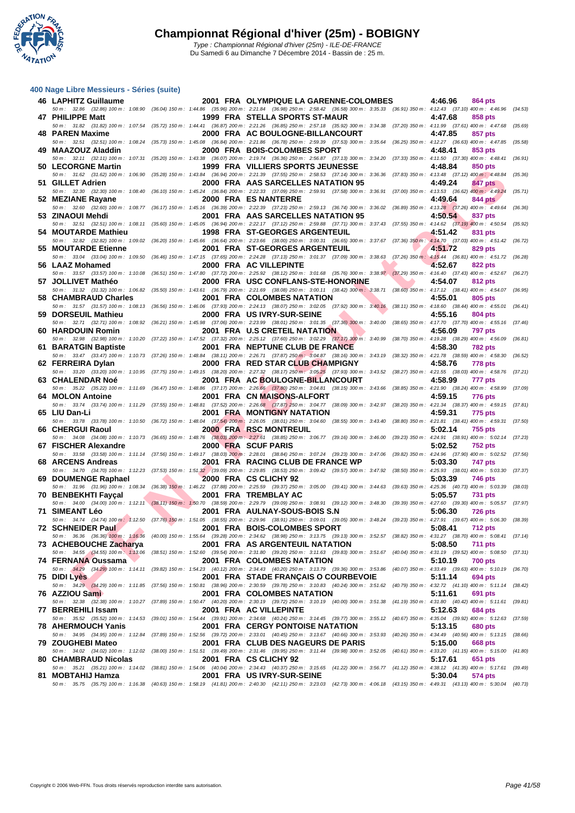

| 400 Nage Libre Messieurs - Séries (suite) |  |  |  |
|-------------------------------------------|--|--|--|
|-------------------------------------------|--|--|--|

| 46 LAPHITZ Guillaume                                            |                        | 2001 FRA OLYMPIQUE LA GARENNE-COLOMBES<br>50 m : 32.86 (32.86) 100 m : 1:08.90 (36.04) 150 m : 1:44.86 (35.96) 200 m : 2:21.84 (36.98) 250 m : 2:58.42 (36.58) 300 m : 3:35.33 (36.91) 350 m : 4:12.43 (37.10) 400 m : 4:46.96 (34.53) | 4:46.96         | 864 pts        |         |
|-----------------------------------------------------------------|------------------------|----------------------------------------------------------------------------------------------------------------------------------------------------------------------------------------------------------------------------------------|-----------------|----------------|---------|
| 47 PHILIPPE Matt                                                |                        | 1999 FRA STELLA SPORTS ST-MAUR                                                                                                                                                                                                         | 4:47.68         | 858 pts        |         |
| 48 PAREN Maxime                                                 |                        | 50 m: 31.82 (31.82) 100 m: 1:07.54 (35.72) 150 m: 1:44.41 (36.87) 200 m: 2:21.26 (36.85) 250 m: 2:57.18 (35.92) 300 m: 3:34.38 (37.20) 350 m: 4:11.99 (37.61) 400 m: 4:47.68 (35.69)<br>2000 FRA AC BOULOGNE-BILLANCOURT               | 4:47.85         | 857 pts        |         |
| 49 MAAZOUZ Aladdin                                              |                        | 50 m: 32.51 (32.51) 100 m: 1:08.24 (35.73) 150 m: 1:45.08 (36.84) 200 m: 2:21.86 (36.78) 250 m: 2:59.39 (37.53) 300 m: 3:35.64 (36.25) 350 m: 4:12.27 (36.63) 400 m: 4:47.85 (35.58)<br>2000 FRA BOIS-COLOMBES SPORT                   | 4:48.41         | 853 pts        |         |
|                                                                 |                        | 50 m : 32.11 (32.11) 100 m : 1:07.31 (35.20) 150 m : 1:43.38 (36.07) 200 m : 2:19.74 (36.36) 250 m : 2:56.87 (37.13) 300 m : 3:34.20 (37.33) 350 m : 4:11.50 (37.30) 400 m : 4:48.41 (36.91)                                           |                 |                |         |
| 50 LECORGNE Martin                                              |                        | 1999 FRA VILLIERS SPORTS JEUNESSE<br>50 m: 31.62 (31.62) 100 m: 1:06.90 (35.28) 150 m: 1:43.84 (36.94) 200 m: 2:21.39 (37.55) 250 m: 2:58.53 (37.14) 300 m: 3:36.36 (37.83) 350 m: 4:13.48 (37.12) 400 m: 4:48.84 (35.36)              | 4:48.84         | 850 pts        |         |
| 51 GILLET Adrien                                                |                        | 2000 FRA AAS SARCELLES NATATION 95<br>50 m: 32.30 (32.30) 100 m: 1:08.40 (36.10) 150 m: 1:45.24 (36.84) 200 m: 2:22.33 (37.09) 250 m: 2:59.91 (37.58) 300 m: 3:36.91 (37.00) 350 m: 4:13.53 (36.62) 400 m: 4:49.24 (35.71)             | 4:49.24         | 847 pts        |         |
| 52 MEZIANE Rayane                                               |                        | 2000 FRA ES NANTERRE                                                                                                                                                                                                                   | 4:49.64         | 844 pts        |         |
| 53 ZINAOUI Mehdi                                                |                        | 50 m : 32.60 (32.60) 100 m : 1:08.77 (36.17) 150 m : 1:45.16 (36.39) 200 m : 2:22.39 (37.23) 250 m : 2:59.13 (36.74) 300 m : 3:36.02 (36.89) 350 m : 4:13.28 (37.26) 400 m : 4:49.64 (36.36)<br>2001 FRA AAS SARCELLES NATATION 95     | 4:50.54         | 837 pts        |         |
| 54 MOUTARDE Mathieu                                             |                        | 50 m: 32.51 (32.51) 100 m: 1:08.11 (35.60) 150 m: 1:45.05 (36.94) 200 m: 2:22.17 (37.12) 250 m: 2:59.88 (37.71) 300 m: 3:37.43 (37.55) 350 m: 4:14.62 (37.19) 400 m: 4:50.54 (35.92)<br>1998 FRA ST-GEORGES ARGENTEUIL                 | 4:51.42         | 831 pts        |         |
| 55 MOUTARDE Etienne                                             |                        | 50 m: 32.82 (32.82) 100 m: 1:09.02 (36.20) 150 m: 1:45.66 (36.64) 200 m: 2:23.66 (38.00) 250 m: 3:00.31 (36.65) 300 m: 3:37.67 (37.36) 350 m: 4:14.70 (37.03) 400 m: 4:51.42 (36.72)<br>2001 FRA ST-GEORGES ARGENTEUIL                 | 4:51.72         | 829 pts        |         |
|                                                                 |                        | 50 m : 33.04 (33.04) 100 m : 1:09.50 (36.46) 150 m : 1:47.15 (37.65) 200 m : 2:24.28 (37.13) 250 m : 3:01.37 (37.09) 300 m : 3:38.63 (37.26) 350 m : 4:15.44 (36.81) 400 m : 4:51.72 (36.28)                                           |                 |                |         |
| 56 LAAZ Mohamed                                                 |                        | 2000 FRA AC VILLEPINTE<br>50 m: 33.57 (33.57) 100 m: 1:10.08 (36.51) 150 m: 1:47.80 (37.72) 200 m: 2:25.92 (38.12) 250 m: 3:01.68 (35.76) 300 m: 3:38.97 (37.29) 350 m: 4:16.40 (37.43) 400 m: 4:52.67 (36.27)                         | 4:52.67         | 822 pts        |         |
| 57 JOLLIVET Mathéo                                              |                        | 2000 FRA USC CONFLANS-STE-HONORINE<br>50 m : 31.32 (31.32) 100 m : 1:06.82 (35.50) 150 m : 1:43.61 (36.79) 200 m : 2:21.69 (38.08) 250 m : 3:00.11 (38.42) 300 m : 3:38.71 (38.60) 350 m : 4:17.12 (38.41) 400 m : 4:54.07 (36.95)     | 4:54.07         | 812 pts        |         |
| 58 CHAMBRAUD Charles                                            |                        | 2001 FRA COLOMBES NATATION                                                                                                                                                                                                             | 4:55.01         | 805 pts        |         |
| 59 DORSEUIL Mathieu                                             |                        | 50 m: 31.57 (31.57) 100 m: 1:08.13 (36.56) 150 m: 1:46.06 (37.93) 200 m: 2:24.13 (38.07) 250 m: 3:02.05 (37.92) 300 m: 3:40.16 (38.11) 350 m: 4:18.60 (38.44) 400 m: 4:55.01 (36.41)<br>2000 FRA US IVRY-SUR-SEINE                     | 4:55.16         | 804 pts        |         |
| 60 HARDOUIN Romin                                               |                        | 50 m: 32.71 (32.71) 100 m: 1:08.92 (36.21) 150 m: 1:45.98 (37.06) 200 m: 2:23.99 (38.01) 250 m: 3:01.35 (37.36) 300 m: 3:40.00 (38.65) 350 m: 4:17.70 (37.70) 400 m: 4:55.16 (37.46)<br>2001 FRA U.S CRETEIL NATATION                  | 4:56.09         | <b>797 pts</b> |         |
|                                                                 |                        | 50 m : 32.98 (32.98) 100 m : 1:10.20 (37.22) 150 m : 1:47.52 (37.32) 200 m : 2:25.12 (37.60) 250 m : 3:02.29 (37.17) 300 m : 3:40.99 (38.70) 350 m : 4:19.28 (38.29) 400 m : 4:56.09                                                   |                 |                | (36.81) |
| 61 BARATGIN Baptiste                                            |                        | 2001 FRA NEPTUNE CLUB DE FRANCE<br>50 m: 33.47 (33.47) 100 m: 1:10.73 (37.26) 150 m: 1:48.84 (38.11) 200 m: 2:26.71 (37.87) 250 m: 3:04.87 (38.16) 300 m: 3:43.19 (38.32) 350 m: 4:21.78 (38.59) 400 m: 4:58.30 (36.52)                | 4:58.30         | <b>782 pts</b> |         |
| 62 FERREIRA Dylan                                               |                        | 2000 FRA RED STAR CLUB CHAMPIGNY<br>50 m: 33.20 (33.20) 100 m: 1:10.95 (37.75) 150 m: 1:49.15 (38.20) 200 m: 2:27.32 (38.17) 250 m: 3:05.25 (37.93) 300 m: 3:43.52 (38.27) 350 m: 4:21.55 (38.03) 400 m: 4:58.76 (37.21)               | 4:58.76         | <b>778 pts</b> |         |
| 63 CHALENDAR Noé                                                |                        | 2001 FRA AC BOULOGNE-BILLANCOURT                                                                                                                                                                                                       | 4:58.99         | 777 pts        |         |
| 64 MOLON Antoine                                                |                        | 50 m: 35.22 (35.22) 100 m: 1:11.69 (36.47) 150 m: 1:48.86 (37.17) 200 m: 2:26.66 (37.80) 250 m: 3:04.81 (38.15) 300 m: 3:43.66 (38.85) 350 m: 4:21.90 (38.24) 400 m: 4:58.99 (37.09)<br>2001 FRA CN MAISONS-ALFORT                     | 4:59.15         | 776 pts        |         |
| 65 LIU Dan-Li                                                   |                        | 50 m: 33.74 (33.74) 100 m: 1:11.29 (37.55) 150 m: 1:48.81 (37.52) 200 m: 2:26.68 (37.87) 250 m: 3:04.77 (38.09) 300 m: 3:42.97 (38.20) 350 m: 4:21.34 (38.37) 400 m: 4:59.15 (37.81)<br>2001 FRA MONTIGNY NATATION                     | 4:59.31         | 775 pts        |         |
|                                                                 |                        | 50 m: 33.78 (33.78) 100 m: 1:10.50 (36.72) 150 m: 1:48.04 (37.54) 200 m: 2:26.05 (38.01) 250 m: 3:04.60 (38.55) 300 m: 3:43.40 (38.80) 350 m: 4:21.81 (38.41) 400 m: 4:59.31 (37.50)                                                   |                 |                |         |
| 66 CHERGUI Raoul                                                |                        | <b>2000 FRA RSC MONTREUIL</b><br>50 m : 34.08 (34.08) 100 m : 1:10.73 (36.65) 150 m : 1:48.76 (38.03) 200 m : 2:27.61 (38.85) 250 m : 3:06.77 (39.16) 300 m : 3:46.00 (39.23) 350 m : 4:24.91 (38.91) 400 m : 5:02.14 (37.23)          | 5:02.14         | 755 pts        |         |
| 67 FISCHER Alexandre                                            |                        | 2000 FRA SCUF PARIS<br>50 m: 33.58 (33.58) 100 m: 1:11.14 (37.56) 150 m: 1:49.17 (38.03) 200 m: 2:28.01 (38.84) 250 m: 3:07.24 (39.23) 300 m: 3:47.06 (39.82) 350 m: 4:24.96 (37.90) 400 m: 5:02.52 (37.56)                            | 5:02.52         | <b>752 pts</b> |         |
| 68 ARCENS Andreas                                               |                        | 2001 FRA RACING CLUB DE FRANCE WP<br>50 m: 34.70 (34.70) 100 m: 1:12.23 (37.53) 150 m: 1:51.32 (39.09) 200 m: 2:29.85 (38.53) 250 m: 3:09.42 (39.57) 300 m: 3:47.92 (38.50) 350 m: 4:25.93 (38.01) 400 m: 5:03.30 (37.37)              | 5:03.30         | 747 pts        |         |
| 69 DOUMENGE Raphael                                             | <b>START CONTINUES</b> | 2000 FRA CS CLICHY 92                                                                                                                                                                                                                  | 5:03.39         | 746 pts        |         |
| 70 BENBEKHTI Fayçal                                             |                        | 50 m : 31.96 (31.96) 100 m : 1:08.34 (36.38) 150 m : 1:46.22 (37.88) 200 m : 2:25.59 (39.37) 250 m : 3:05.00 (39.41) 300 m : 3:44.63 (39.63) 350 m : 4:25.36 (40.73) 400 m : 5:03.39 (38.03)<br>2001 FRA TREMBLAY AC                   | 5:05.57         | <b>731 pts</b> |         |
| 71 SIMEANT Léo                                                  |                        | 50 m : 34.00 (34.00) 100 m : 1:12.11 (38.11) 150 m : 1:50.70 (38.59) 200 m : 2:29.79 (39.09) 250 m : 3:08.91 (39.12) 300 m : 3:48.30 (39.39) 350 m : 4:27.60 (39.30) 400 m : 5:05.57 (37.97)<br>2001 FRA AULNAY-SOUS-BOIS S.N          | 5:06.30         | <b>726 pts</b> |         |
|                                                                 |                        | 50 m : 34.74 (34.74) 100 m : 1:12.50 (37.76) 150 m : 1:51.05 (38.55) 200 m : 2:29.96 (38.91) 250 m : 3:09.01 (39.05) 300 m : 3:48.24 (39.23) 350 m : 4:27.91 (39.67) 400 m : 5:06.30 (38.39)                                           |                 |                |         |
| 72 SCHNEIDER Paul<br><b>Contract Contract Contract Contract</b> |                        | 2001 FRA BOIS-COLOMBES SPORT<br>50 m : 36.36 (36.36) 100 m : 1:16.36 (40.00) 150 m : 1:55.64 (39.28) 200 m : 2:34.62 (38.98) 250 m : 3:13.75 (39.13) 300 m : 3:52.57 (38.82) 350 m : 4:31.27 (38.70) 400 m : 5:08.41 (37.14)           | 5:08.41 712 pts |                |         |
| 73 ACHEBOUCHE Zacharya                                          |                        | 2001 FRA AS ARGENTEUIL NATATION<br>50 m: 34.55 (34.55) 100 m: 1:13.06 (38.51) 150 m: 1:52.60 (39.54) 200 m: 2:31.80 (39.20) 250 m: 3:11.63 (39.83) 300 m: 3:51.67 (40.04) 350 m: 4:31.19 (39.52) 400 m: 5:08.50 (37.31)                | 5:08.50         | <b>711 pts</b> |         |
| 74 FERNANA Oussama                                              |                        | 2001 FRA COLOMBES NATATION                                                                                                                                                                                                             | 5:10.19         | <b>700 pts</b> |         |
| 75 DIDI Lyès                                                    |                        | 50 m: 34.29 (34.29) 100 m: 1:14.11 (39.82) 150 m: 1:54.23 (40.12) 200 m: 2:34.43 (40.20) 250 m: 3:13.79 (39.36) 300 m: 3:53.86 (40.07) 350 m: 4:33.49 (39.63) 400 m: 5:10.19 (36.70)<br>2001 FRA STADE FRANÇAIS O COURBEVOIE           | 5:11.14         | 694 pts        |         |
| 76 AZZIOU Sami                                                  |                        | 50 m : 34.29 (34.29) 100 m : 1:11.85 (37.56) 150 m : 1:50.81 (38.96) 200 m : 2:30.59 (39.78) 250 m : 3:10.83 (40.24) 300 m : 3:51.62 (40.79) 350 m : 4:32.72 (41.10) 400 m : 5:11.14 (38.42)<br>2001 FRA COLOMBES NATATION             | 5:11.61         | 691 pts        |         |
|                                                                 |                        | 50 m : 32.38 (32.38) 100 m : 1:10.27 (37.89) 150 m : 1:50.47 (40.20) 200 m : 2:30.19 (39.72) 250 m : 3:10.19 (40.00) 300 m : 3:51.38 (41.19) 350 m : 4:31.80 (40.42) 400 m : 5:11.61 (39.81)                                           |                 |                |         |
| 77 BERREHILI Issam                                              |                        | 2001 FRA AC VILLEPINTE<br>50 m: 35.52 (35.52) 100 m: 1:14.53 (39.01) 150 m: 1:54.44 (39.91) 200 m: 2:34.68 (40.24) 250 m: 3:14.45 (39.77) 300 m: 3:55.12 (40.67) 350 m: 4:35.04 (39.92) 400 m: 5:12.63 (37.59)                         | 5:12.63         | 684 pts        |         |
| <b>78 AHERMOUCH Yanis</b>                                       |                        | 2001 FRA CERGY PONTOISE NATATION<br>50 m: 34.95 (34.95) 100 m: 1:12.84 (37.89) 150 m: 1:52.56 (39.72) 200 m: 2:33.01 (40.45) 250 m: 3:13.67 (40.66) 300 m: 3:53.93 (40.26) 350 m: 4:34.49 (40.56) 400 m: 5:13.15 (38.66)               | 5:13.15         | <b>680 pts</b> |         |
| 79 ZOUGHEBI Mateo                                               |                        | 2001 FRA CLUB DES NAGEURS DE PARIS                                                                                                                                                                                                     | 5:15.00         | 668 pts        |         |
| 80 CHAMBRAUD Nicolas                                            |                        | 50 m : 34.02 (34.02) 100 m : 1:12.02 (38.00) 150 m : 1:51.51 (39.49) 200 m : 2:31.46 (39.95) 250 m : 3:11.44 (39.98) 300 m : 3:52.05 (40.61) 350 m : 4:33.20 (41.15) 400 m : 5:15.00 (41.80)<br>2001 FRA CS CLICHY 92                  | 5:17.61         | 651 pts        |         |
| 81 MOBTAHIJ Hamza                                               |                        | 50 m: 35.21 (35.21) 100 m: 1:14.02 (38.81) 150 m: 1:54.06 (40.04) 200 m: 2:34.43 (40.37) 250 m: 3:15.65 (41.22) 300 m: 3:56.77 (41.12) 350 m: 4:38.12 (41.35) 400 m: 5:17.61 (39.49)<br>2001 FRA US IVRY-SUR-SEINE                     | 5:30.04         | 574 pts        |         |
|                                                                 |                        | 50 m: 35.75 (35.75) 100 m: 1:16.38 (40.63) 150 m: 1:58.19 (41.81) 200 m: 2:40.30 (42.11) 250 m: 3:23.03 (42.73) 300 m: 4:06.18 (43.15) 350 m: 4:49.31 (43.13) 400 m: 5:30.04 (40.73)                                                   |                 |                |         |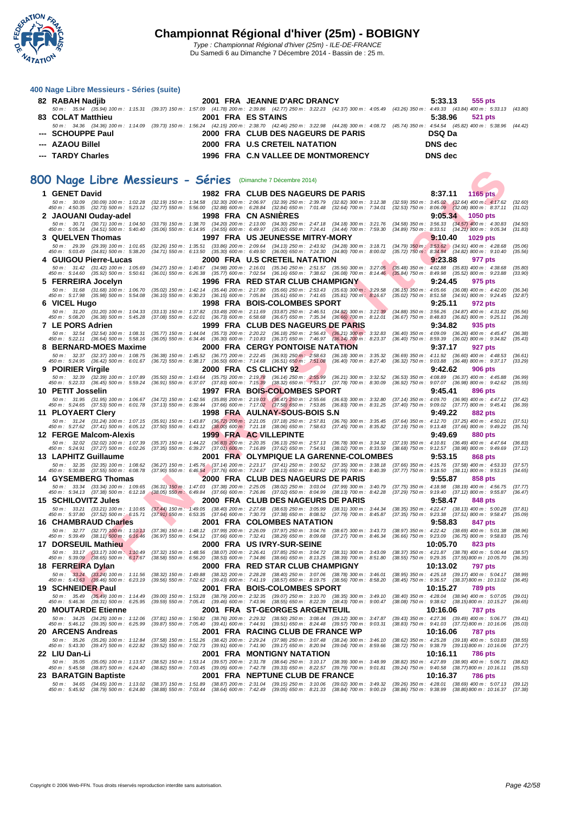

| 82 RABAH Nadjib   | 2001 FRA JEANNE D'ARC DRANCY       | 5:33.13<br>555 pts                                                                                                                                                                   |
|-------------------|------------------------------------|--------------------------------------------------------------------------------------------------------------------------------------------------------------------------------------|
|                   |                                    | 50 m: 35.94 (35.94) 100 m: 1:15.31 (39.37) 150 m: 1:57.09 (41.78) 200 m: 2:39.86 (42.77) 250 m: 3:22.23 (42.37) 300 m: 4:05.49 (43.26) 350 m: 4:49.33 (43.84) 400 m: 5:33.13 (43.80) |
| 83 COLAT Matthieu | 2001 FRA ES STAINS                 | $5:38.96$ $521 \text{ pts}$                                                                                                                                                          |
|                   |                                    | 50 m: 34.36 (34.36) 100 m: 1:14.09 (39.73) 150 m: 1:56.24 (42.15) 200 m: 2:38.70 (42.46) 250 m: 3:22.98 (44.28) 300 m: 4:08.72 (45.74) 350 m: 4:54.54 (45.82) 400 m: 5:38.96 (44.42) |
| --- SCHOUPPE Paul | 2000 FRA CLUB DES NAGEURS DE PARIS | <b>DSQ Da</b>                                                                                                                                                                        |
| --- AZAOU Billel  | 2000 FRA U.S CRETEIL NATATION      | DNS dec                                                                                                                                                                              |
| --- TARDY Charles | 1996 FRA C.N VALLEE DE MONTMORENCY | DNS dec                                                                                                                                                                              |
|                   |                                    |                                                                                                                                                                                      |

### **800 Nage Libre Messieurs - Séries** (Dimanche 7 Décembre 2014)

| 00 Nage Libre Messieurs - Séries (Dimanche 7 Décembre 2014)                              |                                                        |                                                                                                                                                                                                                                                                                                                                                                                              |                                                                                                                                    |
|------------------------------------------------------------------------------------------|--------------------------------------------------------|----------------------------------------------------------------------------------------------------------------------------------------------------------------------------------------------------------------------------------------------------------------------------------------------------------------------------------------------------------------------------------------------|------------------------------------------------------------------------------------------------------------------------------------|
| 1 GENET David                                                                            |                                                        | 1982 FRA CLUB DES NAGEURS DE PARIS                                                                                                                                                                                                                                                                                                                                                           | 8:37.11<br>1165 pts                                                                                                                |
| 50 m: 30.09<br>$(30.09)$ 100 m : 1:02.28<br>$(32.73)$ 500 m : 5:23.12<br>450 m : 4:50.35 |                                                        | (32.19) 150 m : 1:34.58 (32.30) 200 m : 2:06.97 (32.39) 250 m : 2:39.79 (32.82) 300 m : 3:12.38<br>(32.77) 550 m : 5:56.00 (32.88) 600 m : 6:28.84 (32.84) 650 m : 7:01.48 (32.64) 700 m : 7:34.01                                                                                                                                                                                           | $(32.59)$ 350 m : 3:45.02 $(32.64)$ 400 m : 4:17.62<br>(32.60)<br>(32.53) 750 m : 8:06.09 (32.08) 800 m : 8:37.11<br>(31.02)       |
| 2 JAOUANI Ouday-adel                                                                     |                                                        | 1998 FRA CN ASNIERES                                                                                                                                                                                                                                                                                                                                                                         | 9:05.34<br>1050 pts                                                                                                                |
| 50 m: 30.71 (30.71) 100 m: 1:04.50<br>450 m : 5:05.34<br>$(34.51)$ 500 m : 5:40.40       |                                                        | $(33.79)$ 150 m $: 1:38.70$ $(34.20)$ 200 m $: 2:13.00$ $(34.30)$ 250 m $: 2:47.18$ $(34.18)$ 300 m $: 3:21.76$<br>(35.06) 550 m: 6:14.95 (34.55) 600 m: 6:49.97 (35.02) 650 m: 7:24.41 (34.44) 700 m: 7:59.30<br>$(34.89)$ 750 m : 8:33.51                                                                                                                                                  | $(34.58)$ 350 m : 3:56.33 $(34.57)$ 400 m : 4:30.83<br>(34.50)<br>$(34.21)$ 800 m : 9:05.34<br>(31.83)                             |
| 3 QUELVEN Thomas                                                                         |                                                        | 1997 FRA US JEUNESSE MITRY-MORY                                                                                                                                                                                                                                                                                                                                                              | 9:10.40<br>1029 pts                                                                                                                |
| 50 m: 29.39<br>(29.39) 100 m : 1:01.65<br>450 m: 5:03.49 (34.81) 500 m: 5:38.20          |                                                        | (32.26) 150 m: 1:35.51 (33.86) 200 m: 2:09.64 (34.13) 250 m: 2:43.92<br>$(34.28)$ 300 m : 3:18.71<br>$(34.71)$ 550 m $: 6:13.50$ $(35.30)$ 600 m $: 6:49.50$ $(36.00)$ 650 m $: 7:24.30$ $(34.80)$ 700 m $: 8:00.02$                                                                                                                                                                         | $(34.79)$ 350 m : 3:53.62 $(34.91)$ 400 m : 4:28.68<br>(35.06)<br>$(35.72)$ 750 m : $8:34.84$ $(34.82)$ 800 m : 9:10.40<br>(35.56) |
| 4 GUIGOU Pierre-Lucas                                                                    |                                                        | 2000 FRA U.S CRETEIL NATATION                                                                                                                                                                                                                                                                                                                                                                | 9:23.88<br>977 pts                                                                                                                 |
| 50 m: 31.42 (31.42) 100 m: 1:05.69<br>(35.92) 500 m : 5.50.61<br>450 m : 5:14.60         |                                                        | (34.27) 150 m : 1:40.67 (34.98) 200 m : 2:16.01 (35.34) 250 m : 2:51.57 (35.56) 300 m : 3:27.05<br>$(35.48)$ 350 m : 4:02.88<br>(36.01) 550 m: 6:26.38 (35.77) 600 m: 7:02.54 (36.16) 650 m: 7:38.62 (36.08) 700 m: 8:14.46<br>$(35.84)$ 750 m : 8:49.98                                                                                                                                     | $(35.83)$ 400 m : 4:38.68<br>(35.80)<br>$(35.52)$ 800 m : 9:23.88<br>(33.90)                                                       |
| 5 FERREIRA Jocelyn                                                                       |                                                        | 1996 FRA RED STAR CLUB CHAMPIGNY                                                                                                                                                                                                                                                                                                                                                             | 9:24.45<br>975 pts                                                                                                                 |
| 50 m: 31.68 (31.68) 100 m: 1:06.70<br>450 m : 5:17.98 (35.98) 500 m : 5:54.08            | $(35.02)$ 150 m : 1:42.14                              | (35.44) 200 m : 2:17.80 (35.66) 250 m : 2:53.43<br>$(35.63)$ 300 m : 3:29.58<br>$(36.15)$ 350 m : 4:05.66<br>(36.10) 550 m : 6:30.23 (36.15) 600 m : 7:05.84 (35.61) 650 m : 7:41.65<br>$(35.81)$ 700 m : 8:16.67<br>$(35.02)$ 750 m : 8:51.58                                                                                                                                               | $(36.08)$ 400 m : 4:42.00<br>(36.34)<br>$(34.91)$ 800 m : 9:24.45<br>(32.87)                                                       |
| 6 VICEL Hugo                                                                             |                                                        | 1998 FRA BOIS-COLOMBES SPORT                                                                                                                                                                                                                                                                                                                                                                 | 9:25.11<br>972 pts                                                                                                                 |
| 50 m: 31.20 (31.20) 100 m: 1:04.33<br>450 m : 5:08.20<br>$(36.38)$ 500 m : 5:45.28       | $(33.13)$ 150 m : 1:37.82<br>$(37.08)$ 550 m : 6:22.01 | $(33.49)$ 200 m : 2:11.69 $(33.87)$ 250 m : 2:46.51<br>$(34.82)$ 300 m : 3:21.39<br>(34.88) 350 m : 3:56.26<br>$(36.73)$ 600 m : 6:58.68<br>(36.67) 650 m : 7:35.34<br>$(36.66)$ 700 m : 8:12.01<br>$(36.67)$ 750 m : 8:48.83                                                                                                                                                                | $(34.87)$ 400 m : 4:31.82<br>(35.56)<br>$(36.82)$ 800 m : 9:25.11<br>(36.28)                                                       |
| 7 LE PORS Adrien                                                                         |                                                        | 1999 FRA CLUB DES NAGEURS DE PARIS                                                                                                                                                                                                                                                                                                                                                           | 9:34.82<br>935 pts                                                                                                                 |
| 50 m: 32.54 (32.54) 100 m: 1:08.31<br>450 m : 5:22.11 (36.64) 500 m : 5:58.16            | $(36.05)$ 550 m : 6:34.46                              | (35.77) 150 m : 1:44.04 (35.73) 200 m : 2:20.22 (36.18) 250 m : 2:56.43 (36.21) 300 m : 3:32.83<br>$(36.40)$ 350 m : 4:09.09<br>(36.30) 600 m : 7:10.83 (36.37) 650 m : 7:46.97<br>$(36.14)$ 700 m : 8:23.37<br>$(36.40)$ 750 m : 8:59.39                                                                                                                                                    | $(36.26)$ 400 m : 4:45.47<br>(36.38)<br>$(36.02)$ 800 m : 9:34.82<br>(35.43)                                                       |
| 8 BERNARD-MOES Maxime                                                                    |                                                        | 2000 FRA CERGY PONTOISE NATATION                                                                                                                                                                                                                                                                                                                                                             | 9:37.17<br><b>927 pts</b>                                                                                                          |
| 50 m: 32.37 (32.37) 100 m: 1:08.75<br>450 m: 5:24.95 (36.42) 500 m: 6:01.67              | $(36.38)$ 150 m : 1:45.52                              | $(36.77)$ 200 m : 2:22.45 $(36.93)$ 250 m : 2:58.63<br>(36.69) 350 m : 4:11.92<br>$(36.18)$ 300 m : 3:35.32<br>(36.72) 550 m: 6:38.17 (36.50) 600 m: 7:14.68 (36.51) 650 m: 7:51.08<br>$(36.40)$ 700 m : 8:27.40<br>$(36.32)$ 750 m : $9.03.88$                                                                                                                                              | $(36.60)$ 400 m : 4:48.53<br>(36.61)<br>$(36.48)$ 800 m : 9:37.17<br>(33.29)                                                       |
| 9 POIRIER Virgile                                                                        |                                                        | 2000 FRA CS CLICHY 92                                                                                                                                                                                                                                                                                                                                                                        | 9:42.62<br><b>906 pts</b>                                                                                                          |
| 50 m: 32.39 (32.39) 100 m: 1:07.89<br>450 m: 5:22.33 (36.45) 500 m: 5:59.24              |                                                        | (35.50) 150 m: 1:43.64 (35.75) 200 m: 2:19.78 (36.14) 250 m: 2:55.99<br>$(36.21)$ 300 m : 3:32.52<br>(36.91) 550 m: 6:37.07 (37.83) 600 m: 7:15.39 (38.32) 650 m: 7:53.17<br>$(37.78)$ 700 m : 8:30.09                                                                                                                                                                                       | (36.53) 350 m: 4:08.89 (36.37) 400 m: 4:45.88<br>(36.99)<br>(36.92) 750 m : 9:07.07 (36.98) 800 m : 9:42.62<br>(35.55)             |
| 10   PETIT Josselin                                                                      |                                                        | 1997 FRA BOIS-COLOMBES SPORT                                                                                                                                                                                                                                                                                                                                                                 | 9:45.41<br>896 pts                                                                                                                 |
| 50 m: 31.95 (31.95) 100 m: 1:06.67<br>450 m: 5:24.65 (37.53) 500 m: 6:01.78              |                                                        | (34.72) 150 m: 1:42.56 (35.89) 200 m: 2:19.03 (36.47) 250 m: 2:55.66<br>$(36.63)$ 300 m : 3:32.80<br>$(37.13)$ 550 m : 6:39.44 $(37.66)$ 600 m : 7:17.02 $(37.58)$ 650 m : 7:53.85<br>$(36.83)$ 700 m : 8:31.25                                                                                                                                                                              | $(37.14)$ 350 m : 4:09.70 $(36.90)$ 400 m : 4:47.12<br>(37.42)<br>(37.40) 750 m : 9:09.02 (37.77) 800 m : 9:45.41<br>(36.39)       |
| 11 PLOYAERT Clery                                                                        |                                                        | 1998 FRA AULNAY-SOUS-BOIS S.N                                                                                                                                                                                                                                                                                                                                                                | 9:49.22<br>882 pts                                                                                                                 |
| 50 m: 31.24 (31.24) 100 m: 1:07.15<br>450 m : 5:27.62 (37.41) 500 m : 6:05.12            |                                                        | (35.91) 150 m: 1:43.87 (36.72) 200 m: 2:21.05 (37.18) 250 m: 2:57.81<br>$(36.76)$ 300 m : 3:35.45<br>$(37.50)$ 550 m : 6:43.12 $(38.00)$ 600 m : 7:21.18 $(38.06)$ 650 m : 7:58.63<br>$(37.45)$ 700 m : 8:35.82                                                                                                                                                                              | (37.64) 350 m : 4:12.70 (37.25) 400 m : 4:50.21<br>(37.51)<br>(37.19) 750 m : 9:13.48 (37.66) 800 m : 9:49.22<br>(35.74)           |
| 12   FERGE Malcom-Alexis                                                                 |                                                        | 1999 FRA AC VILLEPINTE                                                                                                                                                                                                                                                                                                                                                                       | 9:49.69<br>880 pts                                                                                                                 |
| 50 m : 32.02 (32.02) 100 m : 1:07.39<br>450 m: 5:24.91 (37.27) 500 m: 6:02.26            |                                                        | (35.37) 150 m : 1:44.22 (36.83) 200 m : 2:20.35 (36.13) 250 m : 2:57.13 (36.78) 300 m : 3:34.32<br>$(37.19)$ 350 m : 4:10.81<br>(37.35) 550 m : 6:39.27 (37.01) 600 m : 7:16.89 (37.62) 650 m : 7:54.91 (38.02) 700 m : 8:33.59<br>(38.68) 750 m : 9:12.57                                                                                                                                   | $(36.49)$ 400 m : 4:47.64<br>(36.83)<br>$(38.98)$ 800 m : 9:49.69<br>(37.12)                                                       |
| 13 LAPHITZ Guillaume                                                                     |                                                        | 2001 FRA OLYMPIQUE LA GARENNE-COLOMBES                                                                                                                                                                                                                                                                                                                                                       | 9:53.15<br>868 pts                                                                                                                 |
| 50 m: 32.35<br>$(32.35)$ 100 m : 1:08.62<br>(37.55) 500 m : 6:08.78<br>450 m : 5:30.88   |                                                        | $\begin{array}{cccc} (36.27) \ 150 \ m \colon \ 1.45.76 \quad (37.14) \ 200 \ m \colon \ 2.23.17 \quad (37.41) \ 250 \ m \colon \ 3.00.52 \\ (37.90) \ 550 \ m \colon \ 6.46.54 \quad (37.76) \ 600 \ m \colon \ 7.24.67 \quad (38.13) \ 650 \ m \colon \ 8.02.62 \end{array}$<br>$(37.35)$ 300 m : 3:38.18<br>(37.66) 350 m : 4:15.76<br>(37.95) 700 m : 8:40.39<br>(37.77) 750 m : 9:18.50 | $(37.58)$ 400 m : 4:53.33<br>(37.57)<br>$(38.11)$ 800 m : 9:53.15<br>(34.65)                                                       |
| 14 GYSEMBERG Thomas                                                                      |                                                        | 2000 FRA CLUB DES NAGEURS DE PARIS                                                                                                                                                                                                                                                                                                                                                           | 9:55.87<br>858 pts                                                                                                                 |
| 50 m: 33.34 (33.34) 100 m: 1:09.65<br>450 m : 5:34.13 (37.38) 500 m : 6:12.18            |                                                        | (36.31) 150 m : 1:47.03 (37.38) 200 m : 2:25.05 (38.02) 250 m : 3:03.04 (37.99) 300 m : 3:40.79<br>$(38.05)$ 550 m $\cdot$ 6:49.84 $(37.66)$ 600 m $\cdot$ 7:26.86 $(37.02)$ 650 m $\cdot$ 8:04.99 $(38.13)$ 700 m $\cdot$ 8:42.28                                                                                                                                                           | $(37.75)$ 350 m : 4:18.98 $(38.19)$ 400 m : 4:56.75<br>(37.77)<br>(37.29) 750 m : 9:19.40 (37.12) 800 m : 9:55.87<br>(36.47)       |
| 15   SCHILOVITZ Jules                                                                    |                                                        | 2000 FRA CLUB DES NAGEURS DE PARIS                                                                                                                                                                                                                                                                                                                                                           | 9:58.47<br>848 pts                                                                                                                 |
| 50 m: 33.21 (33.21) 100 m: 1:10.65<br>450 m : 5:37.80<br>$(37.52)$ 500 m $: 6:15.71$     | $(37.44)$ 150 m : 1:49.05<br>$(37.91)$ 550 m : 6:53.35 | (38.40) 200 m : 2:27.68 (38.63) 250 m : 3:05.99<br>$(38.31)$ 300 m : 3:44.34<br>(38.35) 350 m : 4:22.47<br>$(37.64)$ 600 m : 7:30.73 $(37.38)$ 650 m : 8:08.52<br>$(37.79)$ 700 m : 8:45.87<br>$(37.35)$ 750 m : 9:23.38                                                                                                                                                                     | $(38.13)$ 400 m : 5:00.28<br>(37.81)<br>$(37.51)$ 800 m : 9:58.47<br>(35.09)                                                       |
| 16 CHAMBRAUD Charles                                                                     |                                                        | 2001 FRA COLOMBES NATATION                                                                                                                                                                                                                                                                                                                                                                   | 9:58.83<br>847 pts                                                                                                                 |
| 50 m : 32.77 (32.77) 100 m : 1:10.13<br>450 m : 5:39.49 (38.11) 500 m : 6:16.46          |                                                        | $(37.36)$ 150 m : 1:48.12 $(37.99)$ 200 m : 2:26.09 $(37.97)$ 250 m : 3:04.76<br>$(38.67)$ 300 m : 3:43.73<br>(36.97) 550 m: 6:54.12 (37.66) 600 m: 7:32.41 (38.29) 650 m: 8:09.68<br>$(37.27)$ 700 m : 8:46.34<br>$(36.66)$ 750 m : $9:23.09$                                                                                                                                               | (38.97) 350 m: 4:22.42 (38.69) 400 m: 5:01.38<br>(38.96)<br>$(36.75)$ 800 m : 9:58.83<br>(35.74)                                   |
| 17 DORSEUIL Mathieu                                                                      |                                                        | 2000 FRA USIVRY-SUR-SEINE                                                                                                                                                                                                                                                                                                                                                                    | 10:05.70<br>823 pts                                                                                                                |
| 50 m: 33.17 (33.17) 100 m: 1:10.49<br>450 m : 5:39.09 (38.65) 500 m : 6:17.67            |                                                        | (37.32) 150 m : 1:48.56 (38.07) 200 m : 2:26.41 (37.85) 250 m : 3:04.72<br>$(38.31)$ 300 m : 3:43.09<br>$(38.37)$ 350 m : 4:21.87<br>$(38.58)$ 550 m : 6:56.20 $(38.53)$ 600 m : 7:34.86 $(38.66)$ 650 m : 8:13.25<br>$(38.39)$ 700 m : $8.51.80$                                                                                                                                            | $(38.78)$ 400 m : 5:00.44<br>(38.57)<br>(38.55) 750 m: 9:29.35 (37.55) 800 m: 10:05.70<br>(36.35)                                  |
| 18 FERREIRA Dylan                                                                        |                                                        | 2000 FRA RED STAR CLUB CHAMPIGNY                                                                                                                                                                                                                                                                                                                                                             | 10:13.02<br><b>797 pts</b>                                                                                                         |
| 50 m : 33.24 (33.24) 100 m : 1:11.56<br>450 m : 5:43.63 (39.46) 500 m : 6:23.19          | $(39.56)$ 550 m : 7:02.62                              | (38.32) 150 m: 1:49.88 (38.32) 200 m: 2:28.28 (38.40) 250 m: 3:07.06<br>$(38.78)$ 300 m : 3:46.01<br>(39.43) 600 m: 7:41.19 (38.57) 650 m: 8:19.75<br>$(38.56)$ 700 m : 8:58.20                                                                                                                                                                                                              | (38.95) 350 m: 4:25.18 (39.17) 400 m: 5:04.17<br>(38.99)<br>(38.45) 750 m : 9:36.57 (38.37) 800 m : 10:13.02<br>(36.45)            |
| 19 SCHNEIDER Paul                                                                        |                                                        | 2001 FRA BOIS-COLOMBES SPORT                                                                                                                                                                                                                                                                                                                                                                 | 10:15.27<br>789 pts                                                                                                                |
|                                                                                          |                                                        | 50 m: 35.49 (35.49) 100 m: 1:14.49 (39.00) 150 m: 1:53.28 (38.79) 200 m: 2:32.35 (39.07) 250 m: 3:10.70 (38.35) 300 m: 3:49.10 (38.40) 350 m: 4:28.04 (38.94) 400 m: 5:07.05<br>450 m: 5:46.36 (39.31)500 m: 6:25.95 (39.59)550 m: /:05.41 (39.46)600 m: /:43.96 (38.55)650 m: 8:22.39 (38.43)700 m: 9:00.47 (38.08)750 m: 9:38.62 (38.15)800 m:10:15.27 (36.65)                             | (39.01)                                                                                                                            |
| 20 MOUTARDE Etienne                                                                      |                                                        | 2001 FRA ST-GEORGES ARGENTEUIL                                                                                                                                                                                                                                                                                                                                                               | 10:16.06<br><b>787 pts</b>                                                                                                         |
| 50 m: 34.25 (34.25) 100 m: 1:12.06<br>450 m : 5:46.12 (39.35) 500 m : 6:25.99            |                                                        | (37.81) 150 m: 1:50.82 (38.76) 200 m: 2:29.32 (38.50) 250 m: 3:08.44 (39.12) 300 m: 3:47.87<br>$(39.87)$ 550 m $: 7.05.40$ $(39.41)$ 600 m $: 7.44.91$ $(39.51)$ 650 m $: 8.24.48$ $(39.57)$ 700 m $: 9.03.31$                                                                                                                                                                               | $(39.43)$ 350 m : 4:27.36 $(39.49)$ 400 m : 5:06.77<br>(39.41)<br>(38.83) 750 m : 9:41.03 (37.72) 800 m : 10:16.06<br>(35.03)      |
| 20 ARCENS Andreas                                                                        |                                                        | 2001 FRA RACING CLUB DE FRANCE WP                                                                                                                                                                                                                                                                                                                                                            | 10:16.06<br><b>787 pts</b>                                                                                                         |
| 50 m: 35.26 (35.26) 100 m: 1:12.84<br>450 m : 5:43.30 (39.47) 500 m : 6:22.82            |                                                        | $\begin{array}{cccc} (37.58) \ 150 \ m : & 1:51.26 & (38.42) \ 200 \ m : & 2:29.24 & (37.98) \ 250 \ m : & 3:07.48 & (38.24) \ 300 \ m : & 3:46.10 \\ (39.52) \ 550 \ m : & 7:02.73 & (39.91) \ 600 \ m : & 7:41.90 & (39.17) \ 650 \ m : & 8:20.94 & (39.04) \ 700 \ m : & 8:59.66 \end{array}$                                                                                             | $(38.62)$ 350 m : 4:25.28 $(39.18)$ 400 m : 5:03.83<br>(38.55)<br>(38.72) 750 m : 9:38.79 (39.13) 800 m : 10:16.06<br>(37.27)      |
| 22 LIU Dan-Li                                                                            |                                                        | 2001 FRA MONTIGNY NATATION                                                                                                                                                                                                                                                                                                                                                                   | 10:16.11<br><b>786 pts</b>                                                                                                         |
| 50 m: 35.05 (35.05) 100 m: 1:13.57<br>(38.87) 500 m : 6:24.40<br>450 m : 5:45.58         |                                                        | $\begin{array}{cccc} (38.52) \ 150 \ m \colon \ 1:53.14 \quad \  \  (39.57) \ 200 \ m \colon \ 2:31.78 \quad \  \  (38.64) \ 250 \ m \colon \ 3:10.17 \quad \  \  (38.39) \ 300 \ m \colon \ 3:48.99 \\ (38.82) \ 550 \ m \colon \ 7:03.45 \quad \  \  (39.05) \ 600 \ m \colon \ 7:42.78 \quad \  \  (39.33) \ 650 \ m \colon \ 8:22.57 \quad \  \  ($                                      | (38.82) 350 m : 4:27.89 (38.90) 400 m : 5:06.71<br>(38.82)<br>$(39.24)$ 750 m : $9:40.58$ $(38.77)800$ m : 10:16.11<br>(35.53)     |
| 23   BARATGIN Baptiste                                                                   |                                                        | 2001 FRA NEPTUNE CLUB DE FRANCE                                                                                                                                                                                                                                                                                                                                                              | 10:16.37<br><b>786 pts</b>                                                                                                         |
| 50 m : 34.65 (34.65) 100 m : 1:13.02<br>450 m: 5:45.92 (38.79) 500 m: 6:24.80            |                                                        | (38.37) 150 m : 1:51.89 (38.87) 200 m : 2:31.04 (39.15) 250 m : 3:10.06 (39.02) 300 m : 3:49.32 (39.26) 350 m : 4:28.01 (38.69) 400 m : 5:07.13 (39.12)<br>(38.88) 550 m : 7:03.44 (38.64) 600 m : 7:42.49 (39.05) 650 m : 8:21.33 (38.84) 700 m : 9:00.19 (38.86) 750 m : 9:38.99 (38.80) 800 m : 10:16.37 (37.38)                                                                          |                                                                                                                                    |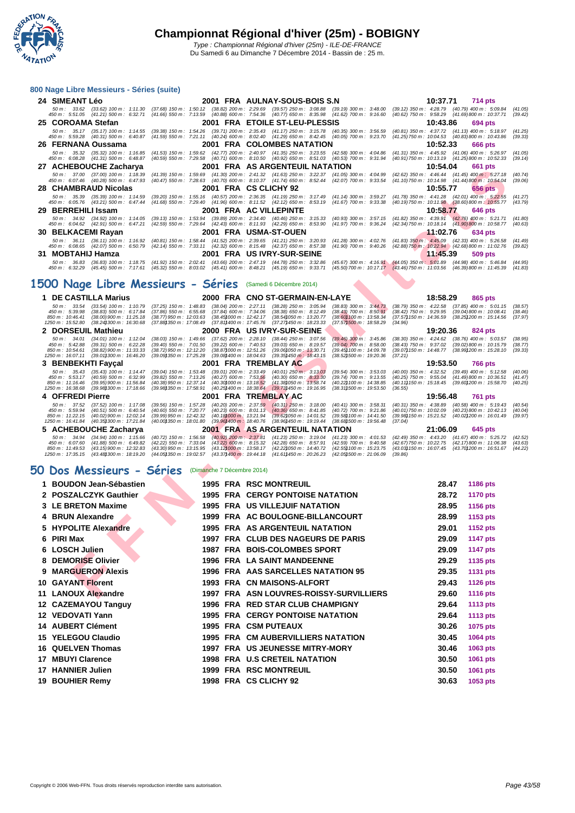

| 24 SIMEANT Léo<br>2001 FRA AULNAY-SOUS-BOIS S.N<br>10:37.71<br>714 pts<br>50 m: 33.62 (33.62) 100 m: 1:11.30 (37.68) 150 m: 1:50.12 (38.82) 200 m: 2:29.69 (39.57) 250 m: 3:08.88 (39.19) 300 m: 3:48.00 (39.12) 350 m: 4:28.79 (40.79) 400 m: 5:09.84<br>(41.05)<br>450 m: 5:51.05 (41.21) 500 m: 6:32.71 (41.66) 550 m: 7:13.59 (40.88) 600 m: 7:54.36 (40.77) 650 m: 8:35.98 (41.62) 700 m: 9:16.60 (40.62) 750 m: 9:58.29 (41.69) 800 m: 10:37.71<br>(39.42)<br>25 COROAMA Stefan<br>2001 FRA ETOILE ST-LEU-PLESSIS<br>10:43.86<br>694 pts<br>50 m: 35.17 (35.17) 100 m: 1:14.55 (39.38) 150 m: 1:54.26 (39.71) 200 m: 2:35.43 (41.17) 250 m: 3:15.78 (40.35) 300 m: 3:56.59 (40.81) 350 m: 4:37.72 (41.13) 400 m: 5:18.97<br>(41.25)<br>450 m: 5:59.28 (40.31) 500 m: 6:40.87 (41.59) 550 m: 7:21.11 (40.24) 600 m: 8:02.40 (41.29) 650 m: 8:42.45 (40.05) 700 m: 9:23.70 (41.25) 750 m: 10:04.53 (40.83) 800 m: 10:43.86<br>(39.33)<br>26 FERNANA Oussama<br>2001 FRA COLOMBES NATATION<br>10:52.33<br><b>666 pts</b><br>50 m: 35.32 (35.32) 100 m: 1:16.85 (41.53) 150 m: 1:59.62 (42.77) 200 m: 2:40.97 (41.35) 250 m: 3:23.55 (42.58) 300 m: 4:04.86 (41.31) 350 m: 4:45.92 (41.06) 400 m: 5:26.97<br>(41.05)<br>(40.59) 550 m: 7:29.58 (40.71) 600 m: 8:10.50 (40.92) 650 m: 8:51.03 (40.53) 700 m: 9:31.94 (40.91) 750 m: 10:13.19 (41.25) 800 m: 10:52.33<br>450 m : 6:08.28 (41.31) 500 m : 6:48.87<br>(39.14)<br>27 ACHEBOUCHE Zacharya<br>2001 FRA AS ARGENTEUIL NATATION<br>10:54.04<br><b>661 pts</b><br>50 m : 37.00 (37.00) 100 m : 1:18.39<br>(41.39) 150 m: 1:59.69 (41.30) 200 m: 2:41.32 (41.63) 250 m: 3:22.37 (41.05) 300 m: 4:04.99 (42.62) 350 m: 4:46.44 (41.45) 400 m: 5:27.18<br>(40.74)<br>450 m : 6:07.46 (40.28) 500 m : 6:47.93<br>(40.47) 550 m: 7:28.63 (40.70) 600 m: 8:10.37 (41.74) 650 m: 8:52.44 (42.07) 700 m: 9:33.54 (41.10) 750 m: 10:14.98 (41.44) 800 m: 10:54.04<br>(39.06)<br>28 CHAMBRAUD Nicolas<br>2001 FRA CS CLICHY 92<br>10:55.77<br><b>656 pts</b><br>50 m: 35.39 (35.39) 100 m: 1:14.59 (39.20) 150 m: 1:55.16 (40.57) 200 m: 2:36.35 (41.19) 250 m: 3:17.49 (41.14) 300 m: 3:59.27 (41.78) 350 m: 4:41.28 (42.01) 400 m: 5:22.55<br>(41.27)<br>450 m : 6:05.76 (43.21) 500 m : 6:47.44<br>(41.68) 550 m : 7:29.40 (41.96) 600 m : 8:11.52 (42.12) 650 m : 8:53.19 (41.67) 700 m : 9:33.38 (40.19) 750 m : 10:11.98 (38.60) 800 m : 10:55.77<br>(43.79)<br>29 BERREHILI Issam<br>2001 FRA AC VILLEPINTE<br>10:58.77<br>646 pts<br>50 m: 34.92 (34.92) 100 m: 1:14.05 (39.13) 150 m: 1:53.94 (39.89) 200 m: 2:34.40 (40.46) 250 m: 3:15.33 (40.93) 300 m: 3:57.15 (41.82) 350 m: 4:39.91 (42.76) 400 m: 5:21.71<br>(41.80)<br>45.677 / 46.09 / 47.99 / 47.99 / 47.21 / 47.59 / 550 m: 7:29.64 / 42.43 / 600 m: 8:11.93 / 42.29 / 650 m: 8:53.90 / 41.97 / 700 m: 9:36.24 / 42.34 / 50 m: 10:18.14 / 41.90 / 800 m: 10:58.77<br>(40.63)<br>30 BELKACEMI Rayan<br>2001 FRA USMA-ST-OUEN<br>11:02.76<br>634 pts<br>50 m: 36.11 (36.11) 100 m: 1:16.92 (40.81) 150 m: 1:58.44 (41.52) 200 m: 2:39.65 (41.21) 250 m: 3:20.93 (41.28) 300 m: 4:02.76 (41.83) 350 m: 4:45.09 (42.33) 400 m: 5:26.58<br>(41.49)<br>450 m: 6:08.65 (42.07) 500 m: 6:50.79 (42.14) 550 m: 7:33.11 (42.32) 600 m: 8:15.48 (42.37) 650 m: 8:57.38 (41.90) 700 m: 9:40.26 (42.88) 750 m: 10:22.94 (42.68) 800 m: 11:02.76<br>(39.82)<br>31 MOBTAHIJ Hamza<br>2001 FRA US IVRY-SUR-SEINE<br>11:45.39<br>509 pts<br>50 m: 36.83 (36.83) 100 m: 1:18.75 (41.92) 150 m: 2:02.41 (43.66) 200 m: 2:47.19 (44.78) 250 m: 3:32.86 (45.67) 300 m: 4:16.91 (44.05) 350 m: 5:01.89 (44.98) 400 m: 5:46.84<br>(44.95)<br>45.39 45.45) 45.45 600 m: 7:17.61 (45.32) 550 m: 8:03.02 (45.41) 600 m: 8:48.21 (45.19) 650 m: 9:33.71 (45.50) 700 m: 10:17.17 (43.46) 750 m: 11:03.56 (46.39) 800 m: 11:45.39<br>(41.83) | 800 Nage Libre Messieurs - Séries (suite) |  |  |  |  |  |  |  |  |  |
|-----------------------------------------------------------------------------------------------------------------------------------------------------------------------------------------------------------------------------------------------------------------------------------------------------------------------------------------------------------------------------------------------------------------------------------------------------------------------------------------------------------------------------------------------------------------------------------------------------------------------------------------------------------------------------------------------------------------------------------------------------------------------------------------------------------------------------------------------------------------------------------------------------------------------------------------------------------------------------------------------------------------------------------------------------------------------------------------------------------------------------------------------------------------------------------------------------------------------------------------------------------------------------------------------------------------------------------------------------------------------------------------------------------------------------------------------------------------------------------------------------------------------------------------------------------------------------------------------------------------------------------------------------------------------------------------------------------------------------------------------------------------------------------------------------------------------------------------------------------------------------------------------------------------------------------------------------------------------------------------------------------------------------------------------------------------------------------------------------------------------------------------------------------------------------------------------------------------------------------------------------------------------------------------------------------------------------------------------------------------------------------------------------------------------------------------------------------------------------------------------------------------------------------------------------------------------------------------------------------------------------------------------------------------------------------------------------------------------------------------------------------------------------------------------------------------------------------------------------------------------------------------------------------------------------------------------------------------------------------------------------------------------------------------------------------------------------------------------------------------------------------------------------------------------------------------------------------------------------------------------------------------------------------------------------------------------------------------------------------------------------------------------------------------------------------------------------------------------------------------------------------------------------------------------------------------------------------------------------------------------------------------------------------------------------------------------------------------------------------------------------------------------------------------------------------------------------------|-------------------------------------------|--|--|--|--|--|--|--|--|--|
|                                                                                                                                                                                                                                                                                                                                                                                                                                                                                                                                                                                                                                                                                                                                                                                                                                                                                                                                                                                                                                                                                                                                                                                                                                                                                                                                                                                                                                                                                                                                                                                                                                                                                                                                                                                                                                                                                                                                                                                                                                                                                                                                                                                                                                                                                                                                                                                                                                                                                                                                                                                                                                                                                                                                                                                                                                                                                                                                                                                                                                                                                                                                                                                                                                                                                                                                                                                                                                                                                                                                                                                                                                                                                                                                                                                                                                   |                                           |  |  |  |  |  |  |  |  |  |
|                                                                                                                                                                                                                                                                                                                                                                                                                                                                                                                                                                                                                                                                                                                                                                                                                                                                                                                                                                                                                                                                                                                                                                                                                                                                                                                                                                                                                                                                                                                                                                                                                                                                                                                                                                                                                                                                                                                                                                                                                                                                                                                                                                                                                                                                                                                                                                                                                                                                                                                                                                                                                                                                                                                                                                                                                                                                                                                                                                                                                                                                                                                                                                                                                                                                                                                                                                                                                                                                                                                                                                                                                                                                                                                                                                                                                                   |                                           |  |  |  |  |  |  |  |  |  |
|                                                                                                                                                                                                                                                                                                                                                                                                                                                                                                                                                                                                                                                                                                                                                                                                                                                                                                                                                                                                                                                                                                                                                                                                                                                                                                                                                                                                                                                                                                                                                                                                                                                                                                                                                                                                                                                                                                                                                                                                                                                                                                                                                                                                                                                                                                                                                                                                                                                                                                                                                                                                                                                                                                                                                                                                                                                                                                                                                                                                                                                                                                                                                                                                                                                                                                                                                                                                                                                                                                                                                                                                                                                                                                                                                                                                                                   |                                           |  |  |  |  |  |  |  |  |  |
|                                                                                                                                                                                                                                                                                                                                                                                                                                                                                                                                                                                                                                                                                                                                                                                                                                                                                                                                                                                                                                                                                                                                                                                                                                                                                                                                                                                                                                                                                                                                                                                                                                                                                                                                                                                                                                                                                                                                                                                                                                                                                                                                                                                                                                                                                                                                                                                                                                                                                                                                                                                                                                                                                                                                                                                                                                                                                                                                                                                                                                                                                                                                                                                                                                                                                                                                                                                                                                                                                                                                                                                                                                                                                                                                                                                                                                   |                                           |  |  |  |  |  |  |  |  |  |
|                                                                                                                                                                                                                                                                                                                                                                                                                                                                                                                                                                                                                                                                                                                                                                                                                                                                                                                                                                                                                                                                                                                                                                                                                                                                                                                                                                                                                                                                                                                                                                                                                                                                                                                                                                                                                                                                                                                                                                                                                                                                                                                                                                                                                                                                                                                                                                                                                                                                                                                                                                                                                                                                                                                                                                                                                                                                                                                                                                                                                                                                                                                                                                                                                                                                                                                                                                                                                                                                                                                                                                                                                                                                                                                                                                                                                                   |                                           |  |  |  |  |  |  |  |  |  |
|                                                                                                                                                                                                                                                                                                                                                                                                                                                                                                                                                                                                                                                                                                                                                                                                                                                                                                                                                                                                                                                                                                                                                                                                                                                                                                                                                                                                                                                                                                                                                                                                                                                                                                                                                                                                                                                                                                                                                                                                                                                                                                                                                                                                                                                                                                                                                                                                                                                                                                                                                                                                                                                                                                                                                                                                                                                                                                                                                                                                                                                                                                                                                                                                                                                                                                                                                                                                                                                                                                                                                                                                                                                                                                                                                                                                                                   |                                           |  |  |  |  |  |  |  |  |  |
|                                                                                                                                                                                                                                                                                                                                                                                                                                                                                                                                                                                                                                                                                                                                                                                                                                                                                                                                                                                                                                                                                                                                                                                                                                                                                                                                                                                                                                                                                                                                                                                                                                                                                                                                                                                                                                                                                                                                                                                                                                                                                                                                                                                                                                                                                                                                                                                                                                                                                                                                                                                                                                                                                                                                                                                                                                                                                                                                                                                                                                                                                                                                                                                                                                                                                                                                                                                                                                                                                                                                                                                                                                                                                                                                                                                                                                   |                                           |  |  |  |  |  |  |  |  |  |
|                                                                                                                                                                                                                                                                                                                                                                                                                                                                                                                                                                                                                                                                                                                                                                                                                                                                                                                                                                                                                                                                                                                                                                                                                                                                                                                                                                                                                                                                                                                                                                                                                                                                                                                                                                                                                                                                                                                                                                                                                                                                                                                                                                                                                                                                                                                                                                                                                                                                                                                                                                                                                                                                                                                                                                                                                                                                                                                                                                                                                                                                                                                                                                                                                                                                                                                                                                                                                                                                                                                                                                                                                                                                                                                                                                                                                                   |                                           |  |  |  |  |  |  |  |  |  |
|                                                                                                                                                                                                                                                                                                                                                                                                                                                                                                                                                                                                                                                                                                                                                                                                                                                                                                                                                                                                                                                                                                                                                                                                                                                                                                                                                                                                                                                                                                                                                                                                                                                                                                                                                                                                                                                                                                                                                                                                                                                                                                                                                                                                                                                                                                                                                                                                                                                                                                                                                                                                                                                                                                                                                                                                                                                                                                                                                                                                                                                                                                                                                                                                                                                                                                                                                                                                                                                                                                                                                                                                                                                                                                                                                                                                                                   |                                           |  |  |  |  |  |  |  |  |  |
|                                                                                                                                                                                                                                                                                                                                                                                                                                                                                                                                                                                                                                                                                                                                                                                                                                                                                                                                                                                                                                                                                                                                                                                                                                                                                                                                                                                                                                                                                                                                                                                                                                                                                                                                                                                                                                                                                                                                                                                                                                                                                                                                                                                                                                                                                                                                                                                                                                                                                                                                                                                                                                                                                                                                                                                                                                                                                                                                                                                                                                                                                                                                                                                                                                                                                                                                                                                                                                                                                                                                                                                                                                                                                                                                                                                                                                   |                                           |  |  |  |  |  |  |  |  |  |
|                                                                                                                                                                                                                                                                                                                                                                                                                                                                                                                                                                                                                                                                                                                                                                                                                                                                                                                                                                                                                                                                                                                                                                                                                                                                                                                                                                                                                                                                                                                                                                                                                                                                                                                                                                                                                                                                                                                                                                                                                                                                                                                                                                                                                                                                                                                                                                                                                                                                                                                                                                                                                                                                                                                                                                                                                                                                                                                                                                                                                                                                                                                                                                                                                                                                                                                                                                                                                                                                                                                                                                                                                                                                                                                                                                                                                                   |                                           |  |  |  |  |  |  |  |  |  |
|                                                                                                                                                                                                                                                                                                                                                                                                                                                                                                                                                                                                                                                                                                                                                                                                                                                                                                                                                                                                                                                                                                                                                                                                                                                                                                                                                                                                                                                                                                                                                                                                                                                                                                                                                                                                                                                                                                                                                                                                                                                                                                                                                                                                                                                                                                                                                                                                                                                                                                                                                                                                                                                                                                                                                                                                                                                                                                                                                                                                                                                                                                                                                                                                                                                                                                                                                                                                                                                                                                                                                                                                                                                                                                                                                                                                                                   |                                           |  |  |  |  |  |  |  |  |  |
|                                                                                                                                                                                                                                                                                                                                                                                                                                                                                                                                                                                                                                                                                                                                                                                                                                                                                                                                                                                                                                                                                                                                                                                                                                                                                                                                                                                                                                                                                                                                                                                                                                                                                                                                                                                                                                                                                                                                                                                                                                                                                                                                                                                                                                                                                                                                                                                                                                                                                                                                                                                                                                                                                                                                                                                                                                                                                                                                                                                                                                                                                                                                                                                                                                                                                                                                                                                                                                                                                                                                                                                                                                                                                                                                                                                                                                   |                                           |  |  |  |  |  |  |  |  |  |
|                                                                                                                                                                                                                                                                                                                                                                                                                                                                                                                                                                                                                                                                                                                                                                                                                                                                                                                                                                                                                                                                                                                                                                                                                                                                                                                                                                                                                                                                                                                                                                                                                                                                                                                                                                                                                                                                                                                                                                                                                                                                                                                                                                                                                                                                                                                                                                                                                                                                                                                                                                                                                                                                                                                                                                                                                                                                                                                                                                                                                                                                                                                                                                                                                                                                                                                                                                                                                                                                                                                                                                                                                                                                                                                                                                                                                                   |                                           |  |  |  |  |  |  |  |  |  |
|                                                                                                                                                                                                                                                                                                                                                                                                                                                                                                                                                                                                                                                                                                                                                                                                                                                                                                                                                                                                                                                                                                                                                                                                                                                                                                                                                                                                                                                                                                                                                                                                                                                                                                                                                                                                                                                                                                                                                                                                                                                                                                                                                                                                                                                                                                                                                                                                                                                                                                                                                                                                                                                                                                                                                                                                                                                                                                                                                                                                                                                                                                                                                                                                                                                                                                                                                                                                                                                                                                                                                                                                                                                                                                                                                                                                                                   |                                           |  |  |  |  |  |  |  |  |  |
|                                                                                                                                                                                                                                                                                                                                                                                                                                                                                                                                                                                                                                                                                                                                                                                                                                                                                                                                                                                                                                                                                                                                                                                                                                                                                                                                                                                                                                                                                                                                                                                                                                                                                                                                                                                                                                                                                                                                                                                                                                                                                                                                                                                                                                                                                                                                                                                                                                                                                                                                                                                                                                                                                                                                                                                                                                                                                                                                                                                                                                                                                                                                                                                                                                                                                                                                                                                                                                                                                                                                                                                                                                                                                                                                                                                                                                   |                                           |  |  |  |  |  |  |  |  |  |

### **1500 Nage Libre Messieurs - Séries** (Samedi 6 Décembre 2014)

|    | AUTLOUDULE Zacharya                                                                                                                                  | zvv i                                                                                                                                                                       | <b>INA AVAN</b>                                                                                                                                                     | 1 V.JT.VT<br>งง เ มเจ                                                                                                                                  |
|----|------------------------------------------------------------------------------------------------------------------------------------------------------|-----------------------------------------------------------------------------------------------------------------------------------------------------------------------------|---------------------------------------------------------------------------------------------------------------------------------------------------------------------|--------------------------------------------------------------------------------------------------------------------------------------------------------|
|    | $(37.00)$ 100 m : 1:18.39<br>50 m : 37.00<br>$(40.28)$ 500 m : 6:47.93<br>450 m : 6:07.46                                                            | $(41.39)$ 150 m : 1:59.69<br>(40.47) 550 m : 7:28.63 (40.70) 600 m : 8:10.37 (41.74) 650 m : 8:52.44                                                                        | $(41.30)$ 200 m : 2:41.32 $(41.63)$ 250 m : 3:22.37<br>$(41.05)$ 300 m : 4:04.99<br>(42.07) 700 m : 9:33.54                                                         | (42.62) 350 m: 4:46.44 (41.45) 400 m: 5:27.18<br>(40.74)<br>(41.10) 750 m: 10:14.98 (41.44) 800 m: 10:54.04<br>(39.06)                                 |
|    | 28   CHAMBRAUD Nicolas                                                                                                                               |                                                                                                                                                                             | 2001 FRA CS CLICHY 92                                                                                                                                               | 10:55.77<br><b>656 pts</b>                                                                                                                             |
|    | $(35.39)$ 100 m : 1:14.59<br>50 m: 35.39<br>450 m : 6:05.76<br>$(43.21)$ 500 m : 6:47.44                                                             | $(40.57)$ 200 m : 2:36.35<br>$(39.20)$ 150 m : 1:55.16<br>$(41.68)$ 550 m : 7:29.40                                                                                         | (41.19) 250 m : 3:17.49<br>$(41.14)$ 300 m : 3:59.27<br>$(41.67)$ 700 m : 9:33.38<br>$(41.96)$ 600 m : 8:11.52 $(42.12)$ 650 m : 8:53.19                            | $(42.01)$ 400 m : 5:22.55<br>$(41.78)$ 350 m : 4:41.28<br>(41.27)<br>(40.19) 750 m : 10:11.98<br>$(38.60)$ 800 m : 10:55.77<br>(43.79)                 |
|    | 29 BERREHILI Issam                                                                                                                                   |                                                                                                                                                                             | 2001 FRA AC VILLEPINTE                                                                                                                                              | 10:58.77<br>646 pts                                                                                                                                    |
|    | $(34.92)$ 100 m : 1:14.05<br>50 m : 34.92<br>450 m : 6:04.62<br>$(42.91)$ 500 m : 6:47.21                                                            | $(39.13)$ 150 m : 1:53.94<br>$(39.89)$ 200 m : 2:34.40<br>$(42.59)$ 550 m : 7:29.64<br>$(42.43)$ 600 m : 8:11.93                                                            | $(40.46)$ 250 m : 3:15.33<br>$(40.93)$ 300 m : 3:57.15<br>$(42.29)$ 650 m : 8:53.90<br>(41.97) 700 m : 9:36.24                                                      | $(42.76)$ 400 m : 5:21.71<br>$(41.82)$ 350 m : 4:39.91<br>(41.80)<br>(42.34) 750 m : 10:18.14<br>(41.90) 800 m : 10:58.77<br>(40.63)                   |
|    | 30 BELKACEMI Rayan                                                                                                                                   |                                                                                                                                                                             | 2001 FRA USMA-ST-OUEN                                                                                                                                               | 11:02.76<br>634 pts                                                                                                                                    |
|    | $(36.11)$ 100 m : 1:16.92<br>$50 m$ : $36.11$<br>450 m : 6:08.65<br>(42.07) 500 m : 6:50.79                                                          | $(41.52)$ 200 m : 2:39.65<br>$(40.81)$ 150 m : 1:58.44<br>$(42.14)$ 550 m : 7:33.11<br>$(42.32)$ 600 m : 8:15.48                                                            | (41.21) 250 m : 3:20.93<br>$(41.28)$ 300 m : 4:02.76<br>$(42.37)$ 650 m : 8:57.38<br>$(41.90)$ 700 m : 9:40.26                                                      | $(41.83)$ 350 m : 4:45.09<br>(42.33) 400 m : 5:26.58<br>(41.49)<br>(42.88) 750 m : 10:22.94<br>(42.68)800 m : 11:02.76<br>(39.82)                      |
|    | 31 MOBTAHIJ Hamza                                                                                                                                    |                                                                                                                                                                             | 2001 FRA USIVRY-SUR-SEINE                                                                                                                                           | 11:45.39<br>509 pts                                                                                                                                    |
|    | 50 m : 36.83<br>$(36.83)$ 100 m : 1:18.75                                                                                                            | $(41.92)$ 150 m : 2:02.41<br>$(43.66)$ 200 m : 2:47.19                                                                                                                      | $(44.78)$ 250 m : 3:32.86<br>$(45.67)$ 300 m : 4:16.91                                                                                                              | (44.05) 350 m: 5:01.89 (44.98) 400 m: 5:46.84<br>(44.95)<br>(41.83)                                                                                    |
|    | 450 m : 6:32.29<br>(45.45) 500 m : 7:17.61                                                                                                           | $(45.32)$ 550 m : 8:03.02 $(45.41)$ 600 m : 8:48.21                                                                                                                         | $(45.19)$ 650 m : 9:33.71                                                                                                                                           | (45.50) 700 m : 10:17.17 (43.46) 750 m : 11:03.56<br>(46.39) 800 m : 11:45.39                                                                          |
|    | 500 Nage Libre Messieurs - Séries                                                                                                                    |                                                                                                                                                                             | (Samedi 6 Décembre 2014)                                                                                                                                            |                                                                                                                                                        |
|    | 1 DE CASTILLA Marius                                                                                                                                 |                                                                                                                                                                             | 2000 FRA CNO ST-GERMAIN-EN-LAYE                                                                                                                                     | 18:58.29<br>865 pts                                                                                                                                    |
|    | $50 m$ : 33.54<br>$(33.54)$ 100 m : 1:10.79<br>(38.83) 500 m : 6:17.84<br>450 m : 5:39.98                                                            | $(37.25)$ 150 m : 1:48.83<br>$(38.04)$ 200 m : 2:27.11<br>$(37.86)$ 550 m : 6:55.68<br>$(37.84)$ 600 m : 7:34.06                                                            | $(38.28)$ 250 m : 3:05.94<br>$(38.83)$ 300 m : 3:44.73<br>$(38.38)$ 650 m : 8:12.49<br>$(38.43)$ 700 m : $8:50.91$                                                  | $(38.79)$ 350 m : 4:22.58 $(37.85)$ 400 m : 5:01.15<br>(38.57)<br>$(38.42)$ 750 m : 9:29.95<br>(39.04) 800 m : 10:08.41<br>(38.46)                     |
|    | 850 m: 10:46.41<br>(38.00)900 m : 11:25.18<br>1250 m: 15:52.80<br>$(38.24)300 \text{ m}$ : 16:30.68                                                  | (38.45) 000 m : 12:42.17<br>(38.77)950 m : 12:03.63<br>(37.88) 350 m : 17:08.49<br>(37.81) 400 m : 17:45.76                                                                 | (38.54) 050 m : 13:20.77<br>(38.60) 100 m : 13:58.34<br>(37.27) 450 m : 18:23.33<br>(37.57) 500 m : 18:58.29                                                        | (37.57) 150 m : 14:36.59<br>(38.25) 200 m : 15:14.56<br>(37.97)                                                                                        |
|    | 2 DORSEUIL Mathieu                                                                                                                                   |                                                                                                                                                                             | 2000 FRA USIVRY-SUR-SEINE                                                                                                                                           | (34.96)<br>19:20.36<br>824 pts                                                                                                                         |
|    | $50 m$ : 34.01<br>$(34.01)$ 100 m : 1:12.04                                                                                                          | $(37.62)$ 200 m : 2:28.10<br>(38.03) 150 m : 1:49.66                                                                                                                        | $(38.44)$ 250 m : 3:07.56<br>$(39.46)$ 300 m : 3:45.86                                                                                                              | $(38.30)$ 350 m : 4:24.62<br>$(38.76)$ 400 m : 5:03.57<br>(38.95)                                                                                      |
|    | 450 m: 5:42.88<br>(39.31) 500 m : 6:22.28<br>850 m: 10:54.61<br>$(38.82)900 \text{ m}$ : 11:33.33                                                    | (39.40) 550 m : 7:01.50<br>$(39.22)$ 600 m : 7:40.53<br>(38.87) 000 m: 12:51.26<br>(38.72) 950 m : 12:12.20                                                                 | $(39.03)$ 650 m : 8:19.57<br>$(39.04)$ 700 m : 8:58.00<br>(39.06)050 m : 13.30.71<br>(39.45) 100 m : 14:09.78                                                       | $(38.43)$ 750 m : 9:37.02<br>(39.02) 800 m : 10:15.79<br>(38.77)<br>(39.07) 150 m : 14:48.77<br>(38.99) 200 m : 15:28.10<br>(39.33)                    |
|    | 1250 m: 16:07.11<br>(39.01) 300 m: 16:46.20<br>3 BENBEKHTI Fayçal                                                                                    | (39.09) 350 m: 17:25.28<br>$(39.08)400 \text{ m}$ : 18:04.63                                                                                                                | (39.35) 450 m : 18:43.15<br>(38.52) 500 m: 19:20.36<br>2001 FRA TREMBLAY AC                                                                                         | (37.21)<br>19:53.50<br>766 pts                                                                                                                         |
|    | 50 m: 35.43<br>$(35.43)$ 100 m : 1:14.47                                                                                                             | $(39.04)$ 150 m : 1:53.48<br>$(39.01)$ 200 m : 2:33.49                                                                                                                      | $(40.01)$ 250 m : 3:13.03<br>$(39.54)$ 300 m : 3:53.03                                                                                                              | $(40.00)$ 350 m : 4:32.52<br>$(39.49)$ 400 m : 5:12.58<br>(40.06)                                                                                      |
|    | 450 m : 5:53.17<br>$(40.59)$ 500 m : 6:32.99<br>850 m: 11:16.46<br>(39.95) 900 m: 11:56.84<br>1250 m : 16:38.68<br>$(39.98)300 \text{ m}$ : 17:18.66 | $(39.82)$ 550 m : 7:13.26<br>$(40.27)$ 600 m : 7:53.56<br>(40.38) 950 m: 12:37.14<br>(40.30) 000 m : 13:18.52<br>(39.98) 350 m : 17:58.91<br>(40.25) 400 m : 18:38.64       | $(40.30)$ 650 m : 8:33.30<br>(39.74) 700 m : 9:13.55<br>(41.38) 050 m: 13:58.74<br>(40.22) 100 m : 14:38.85<br>(39.73)450 m : 19:16.95<br>(38.31) 500 m : 19:53.50  | (40.25) 750 m : 9:55.04<br>$(41.49)800 \text{ m}$ : 10:36.51<br>(41.47)<br>(40.11) 150 m : 15:18.45<br>(39.601200 m : 15:58.70<br>(40.25)<br>(36.55)   |
|    | 4 OFFREDI Pierre                                                                                                                                     |                                                                                                                                                                             | 2001 FRA TREMBLAY AC                                                                                                                                                | 19:56.48<br><b>761 pts</b>                                                                                                                             |
|    | 50 m: 37.52<br>$(37.52)$ 100 m : 1:17.08                                                                                                             | $(40.20)$ 200 m : 2:37.59<br>(39.56) 150 m : 1:57.28                                                                                                                        | $(40.31)$ 250 m : 3:18.00<br>$(40.41)$ 300 m : 3:58.31                                                                                                              | $(40.31)$ 350 m : 4:38.89<br>$(40.58)$ 400 m : 5:19.43<br>(40.54)                                                                                      |
|    | 450 m : 5:59.94<br>$(40.51)$ 500 m : 6:40.54<br>850 m: 11:22.15<br>(40.02) 900 m : 12:02.14                                                          | (40.60) 550 m : 7:20.77<br>$(40.23)$ 600 m : 8:01.13<br>(39.99)950 m : 12:42.32<br>(40.181000 m: 13:21.94)                                                                  | $(40.36)$ 650 m : 8:41.85<br>$(40.72)$ 700 m : 9:21.86<br>(39.62) 050 m : 14:01.52<br>(39.58) 100 m: 14:41.50                                                       | $(40.01)$ 750 m : 10:02.09<br>$(40.23)800 \text{ m}$ : 10:42.13<br>(40.04)<br>(39.98) 150 m : 15:21.52<br>(40.021200 m: 16:01.49)<br>(39.97)           |
|    | (40.35) 300 m : 17:21.84<br>1250 m : 16:41.84<br>5 ACHEBOUCHE Zacharya                                                                               | (40.00) 350 m: 18:01.80<br>(39.961400 m : 18:40.76                                                                                                                          | (38.96) 450 m : 19:19.44<br>(38.68) 500 m : 19:56.48<br><b>2001 FRALAS ARGENTEUIL NATATION</b>                                                                      | (37.04)<br>21:06.09<br>645 pts                                                                                                                         |
|    | $(34.94)$ 100 m : 1:15.66<br>50 m: 34.94                                                                                                             | $(40.92)$ 200 m : 2:37.81<br>$(40.72)$ 150 m : 1:56.58                                                                                                                      | $(41.23)$ 250 m : 3:19.04<br>$(41.23)$ 300 m : 4:01.53                                                                                                              | $(42.49)$ 350 m : 4:43.20<br>$(41.67)$ 400 m : 5:25.72<br>(42.52)                                                                                      |
|    | 450 m : 6:07.60<br>$(41.88)$ 500 m : 6:49.82<br>850 m: 11:49.53<br>$(43.15)900 \text{ m}$ : 12:32.83<br>(43.48) 300 m : 18:19.20<br>1250 m: 17:35.15 | (42.22) 550 m: 7:33.04<br>$(43.22)$ 600 m : 8:15.32<br>(43.30) 950 m: 13:15.95<br>(43.12) 000 m : 13:58.17<br>(44.05) 350 m : 19:02.57<br>$(43.37)400 \text{ m}$ : 19:44.18 | $(42.28)$ 650 m : 8:57.91<br>(42.59) 700 m : 9:40.58<br>(42.22) 050 m : 14:40.72<br>(42.55) 100 m: 15:23.75<br>(41.61) 450 m : 20:26.23<br>(42.05) 500 m : 21:06.09 | (42.67) 750 m : 10:22.75<br>$(42.17)800 \text{ m}$ : 11:06.38<br>(43.63)<br>(43.03) 150 m : 16:07.45<br>(43.70) 200 m : 16:51.67<br>(44.22)<br>(39.86) |
|    |                                                                                                                                                      |                                                                                                                                                                             |                                                                                                                                                                     |                                                                                                                                                        |
|    | O Dos Messieurs - Séries                                                                                                                             | (Dimanche 7 Décembre 2014)                                                                                                                                                  |                                                                                                                                                                     |                                                                                                                                                        |
| 1. | <b>BOUDON Jean-Sébastien</b>                                                                                                                         |                                                                                                                                                                             | <b>1995 FRA RSC MONTREUIL</b>                                                                                                                                       | 28.47<br><b>1186 pts</b>                                                                                                                               |
|    | 2 POSZALCZYK Gauthier                                                                                                                                |                                                                                                                                                                             | <b>1995 FRA CERGY PONTOISE NATATION</b>                                                                                                                             | 28.72<br><b>1170 pts</b>                                                                                                                               |
|    | 3 LE BRETON Maxime                                                                                                                                   |                                                                                                                                                                             | <b>1995 FRA US VILLEJUIF NATATION</b>                                                                                                                               | 28.95<br>1156 pts                                                                                                                                      |
|    | 4 BRUN Alexandre                                                                                                                                     | 1999                                                                                                                                                                        | FRA AC BOULOGNE-BILLANCOURT                                                                                                                                         | 28.99<br>1153 pts                                                                                                                                      |
|    | 5 HYPOLITE Alexandre                                                                                                                                 | 1995                                                                                                                                                                        | <b>FRA AS ARGENTEUIL NATATION</b>                                                                                                                                   | 29.01<br>1152 pts                                                                                                                                      |
|    | 6 PIRI Max                                                                                                                                           |                                                                                                                                                                             | 1997 FRA CLUB DES NAGEURS DE PARIS                                                                                                                                  | 29.09<br><b>1147 pts</b>                                                                                                                               |
|    | 6 LOSCH Julien                                                                                                                                       |                                                                                                                                                                             | <b>1987 FRA BOIS-COLOMBES SPORT</b>                                                                                                                                 | 29.09<br><b>1147 pts</b>                                                                                                                               |
| 8  | <b>DEMORISE Olivier</b>                                                                                                                              | 1996                                                                                                                                                                        | <b>FRA</b> LA SAINT MANDEENNE                                                                                                                                       | 29.29<br>1135 pts                                                                                                                                      |
| 9  | <b>MARGUERON Alexis</b>                                                                                                                              | 1996                                                                                                                                                                        | <b>FRA AAS SARCELLES NATATION 95</b>                                                                                                                                | 29.35<br>1131 pts                                                                                                                                      |
|    | <b>10 GAYANT Florent</b>                                                                                                                             |                                                                                                                                                                             | 1993 FRA CN MAISONS-ALFORT                                                                                                                                          | 29.43<br>1126 pts                                                                                                                                      |
|    | 11 LANOUX Alexandre                                                                                                                                  |                                                                                                                                                                             | 1997 FRA ASN LOUVRES-ROISSY-SURVILLIERS                                                                                                                             | 29.60<br><b>1116 pts</b>                                                                                                                               |

### **50 Dos Messieurs - Séries** (Dimanche 7 Décembre 2014)

| <b>BOUDON Jean-Sébastien</b> |                                                                                                                                                                                                                                                                                                                                                                                               |  | 28.47                                                                                                                                                                                                                                                                                                                                                                                                                                                                                                                                                                                                                                                                                                                                    | 1186 pts        |
|------------------------------|-----------------------------------------------------------------------------------------------------------------------------------------------------------------------------------------------------------------------------------------------------------------------------------------------------------------------------------------------------------------------------------------------|--|------------------------------------------------------------------------------------------------------------------------------------------------------------------------------------------------------------------------------------------------------------------------------------------------------------------------------------------------------------------------------------------------------------------------------------------------------------------------------------------------------------------------------------------------------------------------------------------------------------------------------------------------------------------------------------------------------------------------------------------|-----------------|
|                              |                                                                                                                                                                                                                                                                                                                                                                                               |  | 28.72                                                                                                                                                                                                                                                                                                                                                                                                                                                                                                                                                                                                                                                                                                                                    | <b>1170 pts</b> |
|                              |                                                                                                                                                                                                                                                                                                                                                                                               |  | 28.95                                                                                                                                                                                                                                                                                                                                                                                                                                                                                                                                                                                                                                                                                                                                    | 1156 pts        |
|                              |                                                                                                                                                                                                                                                                                                                                                                                               |  | 28.99                                                                                                                                                                                                                                                                                                                                                                                                                                                                                                                                                                                                                                                                                                                                    | 1153 pts        |
|                              |                                                                                                                                                                                                                                                                                                                                                                                               |  | 29.01                                                                                                                                                                                                                                                                                                                                                                                                                                                                                                                                                                                                                                                                                                                                    | <b>1152 pts</b> |
|                              |                                                                                                                                                                                                                                                                                                                                                                                               |  | 29.09                                                                                                                                                                                                                                                                                                                                                                                                                                                                                                                                                                                                                                                                                                                                    | <b>1147 pts</b> |
|                              |                                                                                                                                                                                                                                                                                                                                                                                               |  | 29.09                                                                                                                                                                                                                                                                                                                                                                                                                                                                                                                                                                                                                                                                                                                                    | <b>1147 pts</b> |
|                              |                                                                                                                                                                                                                                                                                                                                                                                               |  | 29.29                                                                                                                                                                                                                                                                                                                                                                                                                                                                                                                                                                                                                                                                                                                                    | 1135 pts        |
|                              |                                                                                                                                                                                                                                                                                                                                                                                               |  | 29.35                                                                                                                                                                                                                                                                                                                                                                                                                                                                                                                                                                                                                                                                                                                                    | <b>1131 pts</b> |
|                              |                                                                                                                                                                                                                                                                                                                                                                                               |  | 29.43                                                                                                                                                                                                                                                                                                                                                                                                                                                                                                                                                                                                                                                                                                                                    | <b>1126 pts</b> |
|                              |                                                                                                                                                                                                                                                                                                                                                                                               |  | 29.60                                                                                                                                                                                                                                                                                                                                                                                                                                                                                                                                                                                                                                                                                                                                    | <b>1116 pts</b> |
|                              |                                                                                                                                                                                                                                                                                                                                                                                               |  | 29.64                                                                                                                                                                                                                                                                                                                                                                                                                                                                                                                                                                                                                                                                                                                                    | <b>1113 pts</b> |
|                              |                                                                                                                                                                                                                                                                                                                                                                                               |  | 29.64                                                                                                                                                                                                                                                                                                                                                                                                                                                                                                                                                                                                                                                                                                                                    | <b>1113 pts</b> |
|                              |                                                                                                                                                                                                                                                                                                                                                                                               |  | 30.26                                                                                                                                                                                                                                                                                                                                                                                                                                                                                                                                                                                                                                                                                                                                    | 1075 pts        |
|                              |                                                                                                                                                                                                                                                                                                                                                                                               |  | 30.45                                                                                                                                                                                                                                                                                                                                                                                                                                                                                                                                                                                                                                                                                                                                    | 1064 pts        |
|                              |                                                                                                                                                                                                                                                                                                                                                                                               |  | 30.46                                                                                                                                                                                                                                                                                                                                                                                                                                                                                                                                                                                                                                                                                                                                    | 1063 pts        |
| <b>MBUYI Clarence</b>        |                                                                                                                                                                                                                                                                                                                                                                                               |  | 30.50                                                                                                                                                                                                                                                                                                                                                                                                                                                                                                                                                                                                                                                                                                                                    | 1061 pts        |
|                              |                                                                                                                                                                                                                                                                                                                                                                                               |  | 30.50                                                                                                                                                                                                                                                                                                                                                                                                                                                                                                                                                                                                                                                                                                                                    | 1061 pts        |
|                              |                                                                                                                                                                                                                                                                                                                                                                                               |  | 30.63                                                                                                                                                                                                                                                                                                                                                                                                                                                                                                                                                                                                                                                                                                                                    | 1053 pts        |
|                              | 2 POSZALCZYK Gauthier<br>3 LE BRETON Maxime<br>4 BRUN Alexandre<br>5 HYPOLITE Alexandre<br>6 PIRI Max<br>6 LOSCH Julien<br>8 DEMORISE Olivier<br>9 MARGUERON Alexis<br><b>10 GAYANT Florent</b><br>11 LANOUX Alexandre<br>12 CAZEMAYOU Tanguy<br>12 VEDOVATI Yann<br><b>14 AUBERT Clément</b><br>15 YELEGOU Claudio<br><b>16 QUELVEN Thomas</b><br>17<br>17 HANNIER Julien<br>19 BOUHIER Remy |  | <b>1995 FRA RSC MONTREUIL</b><br><b>1995 FRA CERGY PONTOISE NATATION</b><br><b>1995 FRA US VILLEJUIF NATATION</b><br>1999 FRA AC BOULOGNE-BILLANCOURT<br><b>1995 FRA AS ARGENTEUIL NATATION</b><br>1997 FRA CLUB DES NAGEURS DE PARIS<br><b>1987 FRA BOIS-COLOMBES SPORT</b><br><b>1996 FRA LA SAINT MANDEENNE</b><br>1996 FRA AAS SARCELLES NATATION 95<br>1993 FRA CN MAISONS-ALFORT<br>1997 FRA ASN LOUVRES-ROISSY-SURVILLIERS<br>1996 FRA RED STAR CLUB CHAMPIGNY<br><b>1995 FRA CERGY PONTOISE NATATION</b><br><b>1995 FRA CSM PUTEAUX</b><br><b>1995 FRA CM AUBERVILLIERS NATATION</b><br><b>1997 FRA US JEUNESSE MITRY-MORY</b><br><b>1998 FRA U.S CRETEIL NATATION</b><br><b>1999 FRA RSC MONTREUIL</b><br>1998 FRA CS CLICHY 92 |                 |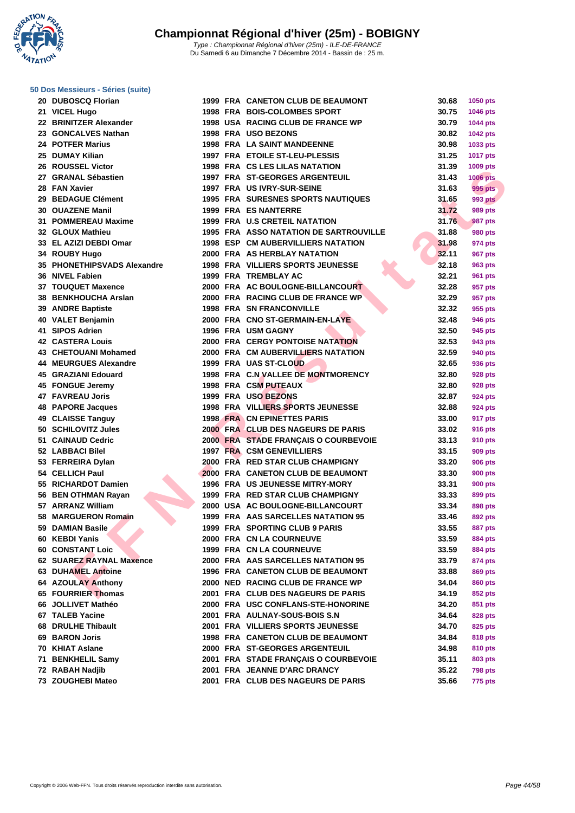**WATATION** 

#### **[50 Dos M](http://www.ffnatation.fr/webffn/index.php)essieurs - Séries (suite)**

|          | 20 DUBOSCQ Florian                                   |
|----------|------------------------------------------------------|
|          | 21 VICEL Hugo                                        |
|          | 22 BRINITZER Alexander                               |
|          | 23 GONCALVES Nathan                                  |
|          | 24 POTFER Marius                                     |
|          | 25 DUMAY Kilian                                      |
|          | 26 ROUSSEL Victor                                    |
|          | 27 GRANAL Sébastien                                  |
|          | 28 FAN Xavier                                        |
|          | 29 BEDAGUE Clément                                   |
|          | <b>30 OUAZENE Manil</b>                              |
|          | 31 POMMEREAU Maxime                                  |
|          | 32 GLOUX Mathieu                                     |
|          | 33 EL AZIZI DEBDI Omar                               |
|          | 34 ROUBY Hugo                                        |
|          | 35 PHONETHIPSVADS Alexandre                          |
|          | 36 NIVEL Fabien                                      |
|          | 37 TOUQUET Maxence                                   |
|          | 38 BENKHOUCHA Arslan                                 |
|          | 39 ANDRE Baptiste                                    |
|          | 40 VALET Benjamin                                    |
|          | 41 SIPOS Adrien                                      |
|          | 42 CASTERA Louis                                     |
|          | 43 CHETOUANI Mohamed                                 |
|          | <b>44 MEURGUES Alexandre</b>                         |
|          | <b>45 GRAZIANI Edouard</b>                           |
|          | 45 FONGUE Jeremy                                     |
|          | <b>47 FAVREAU Joris</b>                              |
|          | <b>48 PAPORE Jacques</b>                             |
|          | 49 CLAISSE Tanguy                                    |
| 50       | <b>SCHILOVITZ Jules</b>                              |
|          | 51 CAINAUD Cedric                                    |
|          |                                                      |
|          | 52 LABBACI Bilel<br>53 FERREIRA Dylan                |
|          |                                                      |
|          | 54 CELLICH Paul<br>55 RICHARDOT Damien               |
|          |                                                      |
|          | 56 BEN OTHMAN Rayan<br>57 ARRANZ William             |
|          |                                                      |
| 59       | 58 MARGUERON Romain                                  |
|          | <b>DAMIAN Basile</b>                                 |
| 60       | <b>KEBDI Yanis</b>                                   |
| 60       | <b>CONSTANT Loic</b><br><b>SUAREZ RAYNAL Maxence</b> |
| 62<br>63 | <b>DUHAMEL Antoine</b>                               |
|          |                                                      |
|          | 64 AZOULAY Anthony                                   |
|          | 65 FOURRIER Thomas                                   |
|          | 66 JOLLIVET Mathéo                                   |
|          | 67 TALEB Yacine<br>68 DRULHE Thibault                |
|          |                                                      |
|          | 69 BARON Joris                                       |
| 70       | <b>KHIAT Aslane</b>                                  |
| 71       | <b>BENKHELIL Samy</b>                                |
|          | 72 RABAH Nadjib                                      |

| 20 DUBOSCQ Florian          |  | 1999 FRA CANETON CLUB DE BEAUMONT         | 30.68 | 1050 pts        |
|-----------------------------|--|-------------------------------------------|-------|-----------------|
| 21 VICEL Hugo               |  | <b>1998 FRA BOIS-COLOMBES SPORT</b>       | 30.75 | 1046 pts        |
| 22 BRINITZER Alexander      |  | 1998 USA RACING CLUB DE FRANCE WP         | 30.79 | <b>1044 pts</b> |
| 23 GONCALVES Nathan         |  | 1998 FRA USO BEZONS                       | 30.82 | 1042 pts        |
| 24 POTFER Marius            |  | <b>1998 FRA LA SAINT MANDEENNE</b>        | 30.98 | 1033 pts        |
| 25 DUMAY Kilian             |  | 1997 FRA ETOILE ST-LEU-PLESSIS            | 31.25 | <b>1017 pts</b> |
| 26 ROUSSEL Victor           |  | 1998 FRA CS LES LILAS NATATION            | 31.39 | 1009 pts        |
| 27 GRANAL Sébastien         |  | 1997 FRA ST-GEORGES ARGENTEUIL            | 31.43 | <b>1006 pts</b> |
| 28 FAN Xavier               |  | 1997 FRA US IVRY-SUR-SEINE                | 31.63 | 995 pts         |
| 29 BEDAGUE Clément          |  | <b>1995 FRA SURESNES SPORTS NAUTIQUES</b> | 31.65 | <b>993 pts</b>  |
| 30 OUAZENE Manil            |  | 1999 FRA ES NANTERRE                      | 31.72 | 989 pts         |
| 31 POMMEREAU Maxime         |  | <b>1999 FRA U.S CRETEIL NATATION</b>      | 31.76 | 987 pts         |
| 32 GLOUX Mathieu            |  | 1995 FRA ASSO NATATION DE SARTROUVILLE    | 31.88 | <b>980 pts</b>  |
| 33 EL AZIZI DEBDI Omar      |  | <b>1998 ESP CM AUBERVILLIERS NATATION</b> | 31.98 | 974 pts         |
| 34 ROUBY Hugo               |  | 2000 FRA AS HERBLAY NATATION              | 32.11 | 967 pts         |
| 35 PHONETHIPSVADS Alexandre |  | <b>1998 FRA VILLIERS SPORTS JEUNESSE</b>  | 32.18 | 963 pts         |
| 36 NIVEL Fabien             |  | <b>1999 FRA TREMBLAY AC</b>               | 32.21 | 961 pts         |
| <b>37 TOUQUET Maxence</b>   |  | 2000 FRA AC BOULOGNE-BILLANCOURT          | 32.28 | 957 pts         |
| 38 BENKHOUCHA Arslan        |  | 2000 FRA RACING CLUB DE FRANCE WP         | 32.29 | 957 pts         |
| 39 ANDRE Baptiste           |  | <b>1998 FRA SN FRANCONVILLE</b>           | 32.32 | 955 pts         |
| 40 VALET Benjamin           |  | 2000 FRA CNO ST-GERMAIN-EN-LAYE           | 32.48 | <b>946 pts</b>  |
| 41 SIPOS Adrien             |  | 1996 FRA USM GAGNY                        | 32.50 | 945 pts         |
| <b>42 CASTERA Louis</b>     |  | <b>2000 FRA CERGY PONTOISE NATATION</b>   | 32.53 | 943 pts         |
| 43 CHETOUANI Mohamed        |  | 2000 FRA CM AUBERVILLIERS NATATION        | 32.59 | 940 pts         |
| 44 MEURGUES Alexandre       |  | 1999 FRA UAS ST-CLOUD                     | 32.65 | 936 pts         |
| 45 GRAZIANI Edouard         |  | 1998 FRA C.N.VALLEE DE MONTMORENCY        | 32.80 | 928 pts         |
| 45 FONGUE Jeremy            |  | 1998 FRA CSM PUTEAUX                      | 32.80 | 928 pts         |
| 47 FAVREAU Joris            |  | 1999 FRA USO BEZONS                       | 32.87 | 924 pts         |
| 48 PAPORE Jacques           |  | 1998 FRA VILLIERS SPORTS JEUNESSE         | 32.88 | 924 pts         |
| 49 CLAISSE Tanguy           |  | <b>1998 FRA CN EPINETTES PARIS</b>        | 33.00 | 917 pts         |
| 50 SCHILOVITZ Jules         |  | 2000 FRA CLUB DES NAGEURS DE PARIS        | 33.02 | <b>916 pts</b>  |
| 51 CAINAUD Cedric           |  | 2000 FRA STADE FRANÇAIS O COURBEVOIE      | 33.13 | <b>910 pts</b>  |
| 52 LABBACI Bilel            |  | 1997 FRA CSM GENEVILLIERS                 | 33.15 | 909 pts         |
| 53 FERREIRA Dylan           |  | 2000 FRA RED STAR CLUB CHAMPIGNY          | 33.20 | <b>906 pts</b>  |
| 54 CELLICH Paul             |  | 2000 FRA CANETON CLUB DE BEAUMONT         | 33.30 | <b>900 pts</b>  |
| 55 RICHARDOT Damien         |  | <b>1996 FRA US JEUNESSE MITRY-MORY</b>    | 33.31 | <b>900 pts</b>  |
| 56 BEN OTHMAN Rayan         |  | 1999 FRA RED STAR CLUB CHAMPIGNY          | 33.33 | 899 pts         |
| 57 ARRANZ William           |  | 2000 USA AC BOULOGNE-BILLANCOURT          | 33.34 | 898 pts         |
| 58 MARGUERON Romain         |  | 1999 FRA AAS SARCELLES NATATION 95        | 33.46 | 892 pts         |
| 59 DAMIAN Basile            |  | 1999 FRA SPORTING CLUB 9 PARIS            | 33.55 | <b>887 pts</b>  |
| 60 KEBDI Yanis              |  | 2000 FRA CN LA COURNEUVE                  | 33.59 | <b>884 pts</b>  |
| 60 CONSTANT Loic            |  | <b>1999 FRA CN LA COURNEUVE</b>           | 33.59 | <b>884 pts</b>  |
| 62 SUAREZ RAYNAL Maxence    |  | 2000 FRA AAS SARCELLES NATATION 95        | 33.79 | 874 pts         |
| 63 DUHAMEL Antoine          |  | <b>1996 FRA CANETON CLUB DE BEAUMONT</b>  | 33.88 | 869 pts         |
| 64 AZOULAY Anthony          |  | 2000 NED RACING CLUB DE FRANCE WP         | 34.04 | <b>860 pts</b>  |
| 65 FOURRIER Thomas          |  | 2001 FRA CLUB DES NAGEURS DE PARIS        | 34.19 | 852 pts         |
| 66 JOLLIVET Mathéo          |  | 2000 FRA USC CONFLANS-STE-HONORINE        | 34.20 | 851 pts         |
| 67 TALEB Yacine             |  | 2001 FRA AULNAY-SOUS-BOIS S.N             | 34.64 | 828 pts         |
| 68 DRULHE Thibault          |  | 2001 FRA VILLIERS SPORTS JEUNESSE         | 34.70 | 825 pts         |
| 69 BARON Joris              |  | 1998 FRA CANETON CLUB DE BEAUMONT         | 34.84 | <b>818 pts</b>  |
| 70 KHIAT Aslane             |  | 2000 FRA ST-GEORGES ARGENTEUIL            | 34.98 | 810 pts         |
| 71 BENKHELIL Samy           |  | 2001 FRA STADE FRANÇAIS O COURBEVOIE      | 35.11 | 803 pts         |
| 72   RABAH Nadjib           |  | 2001 FRA JEANNE D'ARC DRANCY              | 35.22 | <b>798 pts</b>  |
| 73 ZOUGHEBI Mateo           |  | 2001 FRA CLUB DES NAGEURS DE PARIS        | 35.66 | <b>775 pts</b>  |
|                             |  |                                           |       |                 |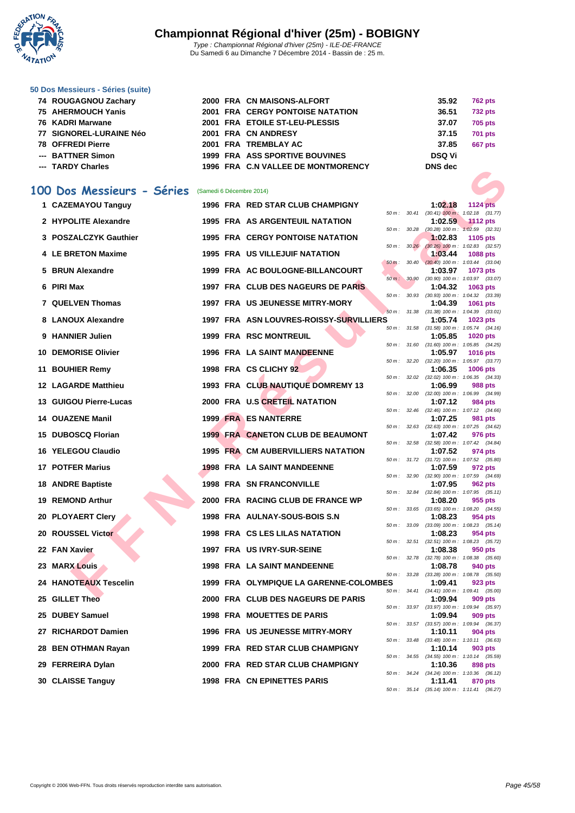

Du Samedi 6 au Dimanche 7 Décembre 2014 - Bassin de : 25 m.

#### **[50 Dos M](http://www.ffnatation.fr/webffn/index.php)essieurs - Séries (suite)**

|    | 74 ROUGAGNOU Zachary        |  | 2000 FRA CN MAISONS-ALFORT                |                  |       | 35.92          | <b>762 pts</b>                                                                                       |
|----|-----------------------------|--|-------------------------------------------|------------------|-------|----------------|------------------------------------------------------------------------------------------------------|
|    | 75 AHERMOUCH Yanis          |  | <b>2001 FRA CERGY PONTOISE NATATION</b>   |                  |       | 36.51          | <b>732 pts</b>                                                                                       |
|    | <b>76 KADRI Marwane</b>     |  | 2001 FRA ETOILE ST-LEU-PLESSIS            |                  |       | 37.07          | 705 pts                                                                                              |
| 77 | <b>SIGNOREL-LURAINE Néo</b> |  | 2001 FRA CN ANDRESY                       |                  |       | 37.15          | <b>701 pts</b>                                                                                       |
|    | <b>78 OFFREDI Pierre</b>    |  | 2001 FRA TREMBLAY AC                      |                  |       | 37.85          | 667 pts                                                                                              |
|    | <b>BATTNER Simon</b>        |  | <b>1999 FRA ASS SPORTIVE BOUVINES</b>     |                  |       | <b>DSQ Vi</b>  |                                                                                                      |
|    | <b>TARDY Charles</b>        |  | 1996 FRA C.N VALLEE DE MONTMORENCY        |                  |       | <b>DNS</b> dec |                                                                                                      |
|    | 100 Dos Messieurs - Séries  |  | (Samedi 6 Décembre 2014)                  |                  |       |                |                                                                                                      |
|    | 1 CAZEMAYOU Tanguy          |  | 1996 FRA RED STAR CLUB CHAMPIGNY          |                  |       | 1:02.18        | 1124 pts                                                                                             |
|    | 2 HYPOLITE Alexandre        |  | <b>1995 FRA AS ARGENTEUIL NATATION</b>    | 50 m: 30.28      |       | 1:02.59        | 50 m: 30.41 (30.41) 100 m: 1:02.18 (31.77)<br><b>1112 pts</b><br>$(30.28)$ 100 m : 1:02.59 $(32.31)$ |
|    | 3 POSZALCZYK Gauthier       |  | <b>1995 FRA CERGY PONTOISE NATATION</b>   |                  |       | 1:02.83        | 1105 pts                                                                                             |
|    | 4 LE BRETON Maxime          |  | <b>1995 FRA US VILLEJUIF NATATION</b>     | 50 m: 30.26      |       | 1:03.44        | $(30.26)$ 100 m : 1:02.83 $(32.57)$<br>1088 pts                                                      |
|    |                             |  |                                           | $50 m$ :         | 30.40 |                | $(30.40)$ 100 m : 1:03.44 $(33.04)$                                                                  |
|    | 5 BRUN Alexandre            |  | 1999 FRA AC BOULOGNE-BILLANCOURT          | 50 m: 30.90      |       | 1:03.97        | 1073 pts<br>$(30.90)$ 100 m : 1:03.97 $(33.07)$                                                      |
|    | 6 PIRI Max                  |  | 1997 FRA CLUB DES NAGEURS DE PARIS        |                  |       | 1:04.32        | 1063 pts                                                                                             |
|    |                             |  |                                           | $50 m$ : $30.93$ |       |                | $(30.93)$ 100 m : 1:04.32 $(33.39)$                                                                  |
|    | 7 QUELVEN Thomas            |  | 1997 FRA US JEUNESSE MITRY-MORY           |                  |       | 1:04.39        | 1061 pts<br>50 m: 31.38 (31.38) 100 m: 1:04.39 (33.01)                                               |
|    | 8 LANOUX Alexandre          |  | 1997 FRA ASN LOUVRES-ROISSY-SURVILLIERS   |                  |       | 1:05.74        | 1023 pts                                                                                             |
|    | 9 HANNIER Julien            |  | <b>1999 FRA RSC MONTREUIL</b>             |                  |       | 1:05.85        | 50 m: 31.58 (31.58) 100 m: 1:05.74 (34.16)<br><b>1020 pts</b>                                        |
|    |                             |  |                                           | 50 m : 31.60     |       |                | $(31.60)$ 100 m : 1:05.85 $(34.25)$                                                                  |
|    | <b>10 DEMORISE Olivier</b>  |  | <b>1996 FRA LA SAINT MANDEENNE</b>        | 50 m: 32.20      |       | 1:05.97        | <b>1016 pts</b><br>$(32.20)$ 100 m : 1:05.97 $(33.77)$                                               |
|    | 11 BOUHIER Remy             |  | 1998 FRA CS CLICHY 92                     |                  |       | 1:06.35        | 1006 pts                                                                                             |
|    | <b>12 LAGARDE Matthieu</b>  |  | 1993 FRA CLUB NAUTIQUE DOMREMY 13         |                  |       | 1:06.99        | 50 m: 32.02 (32.02) 100 m: 1:06.35 (34.33)<br>988 pts                                                |
|    |                             |  |                                           |                  |       |                | 50 m: 32.00 (32.00) 100 m: 1:06.99 (34.99)                                                           |
|    | 13 GUIGOU Pierre-Lucas      |  | 2000 FRA U.S CRETEIL NATATION             |                  |       | 1:07.12        | 984 pts<br>50 m: 32.46 (32.46) 100 m: 1:07.12 (34.66)                                                |
|    | 14 OUAZENE Manil            |  | <b>1999 FRA ES NANTERRE</b>               |                  |       | 1:07.25        | 981 pts                                                                                              |
|    | 15 DUBOSCQ Florian          |  | <b>1999 FRA CANETON CLUB DE BEAUMONT</b>  |                  |       | 1:07.42        | 50 m: 32.63 (32.63) 100 m: 1:07.25 (34.62)<br>976 pts                                                |
|    |                             |  |                                           | 50 m: 32.58      |       |                | $(32.58)$ 100 m : 1:07.42 $(34.84)$                                                                  |
|    | 16 YELEGOU Claudio          |  | <b>1995 FRA CM AUBERVILLIERS NATATION</b> |                  |       | 1:07.52        | 974 pts<br>50 m: 31.72 (31.72) 100 m: 1:07.52 (35.80)                                                |
| 17 | <b>POTFER Marius</b>        |  | <b>1998 FRA LA SAINT MANDEENNE</b>        |                  |       | 1:07.59        | 972 pts                                                                                              |
|    | <b>18 ANDRE Baptiste</b>    |  | <b>1998 FRA SN FRANCONVILLE</b>           |                  |       | 1:07.95        | 50 m: 32.90 (32.90) 100 m: 1:07.59 (34.69)<br><b>962 pts</b>                                         |
|    |                             |  |                                           |                  |       |                | 50 m: 32.84 (32.84) 100 m: 1:07.95 (35.11)                                                           |
|    | 19 REMOND Arthur            |  | 2000 FRA RACING CLUB DE FRANCE WP         |                  |       | 1:08.20        | 955 pts<br>50 m: 33.65 (33.65) 100 m: 1:08.20 (34.55)                                                |
|    | 20 PLOYAERT Clery           |  | 1998 FRA AULNAY-SOUS-BOIS S.N             |                  |       | 1:08.23        | 954 pts                                                                                              |
|    |                             |  | 1998 FRA CS LES LILAS NATATION            |                  |       |                | 50 m: 33.09 (33.09) 100 m: 1:08.23 (35.14)                                                           |
|    | 20 ROUSSEL Victor           |  |                                           | 50 m: 32.51      |       | 1:08.23        | 954 pts<br>$(32.51)$ 100 m : 1:08.23 $(35.72)$                                                       |
|    | 22 FAN Xavier               |  | 1997 FRA US IVRY-SUR-SEINE                |                  |       | 1:08.38        | 950 pts                                                                                              |
|    | 23 MARX Louis               |  | 1998 FRA LA SAINT MANDEENNE               | 50 m : 32.78     |       | 1:08.78        | $(32.78)$ 100 m : 1:08.38 $(35.60)$<br>940 pts                                                       |
|    |                             |  |                                           | 50 m : 33.28     |       |                | $(33.28)$ 100 m : 1:08.78 $(35.50)$                                                                  |
|    | 24 HANOTEAUX Tescelin       |  | 1999 FRA OLYMPIQUE LA GARENNE-COLOMBES    |                  |       | 1:09.41        | 923 pts<br>50 m: 34.41 (34.41) 100 m: 1:09.41 (35.00)                                                |
|    | 25 GILLET Theo              |  | 2000 FRA CLUB DES NAGEURS DE PARIS        |                  |       | 1:09.94        | 909 pts                                                                                              |
|    | 25 DUBEY Samuel             |  | 1998 FRA MOUETTES DE PARIS                |                  |       | 1:09.94        | 50 m: 33.97 (33.97) 100 m: 1:09.94 (35.97)<br>909 pts                                                |
|    |                             |  |                                           |                  |       |                | 50 m: 33.57 (33.57) 100 m: 1:09.94 (36.37)                                                           |
|    | 27 RICHARDOT Damien         |  | <b>1996 FRA US JEUNESSE MITRY-MORY</b>    |                  |       | 1:10.11        | 904 pts<br>50 m: 33.48 (33.48) 100 m: 1:10.11 (36.63)                                                |
|    | 28 BEN OTHMAN Rayan         |  | 1999 FRA RED STAR CLUB CHAMPIGNY          |                  |       | 1:10.14        | 903 pts                                                                                              |
|    |                             |  |                                           |                  |       |                | 50 m: 34.55 (34.55) 100 m: 1:10.14 (35.59)                                                           |

- **29 FERREIRA Dylan 2000 FRA RED STAR CLUB CHAMPIGNY 1:10.36 898 pts**
- **30 CLAISSE Tanguy 1998 FRA CN EPINETTES PARIS**

50 m : 34.24 (34.24) 100 m : 1:10.36 (36.12)<br>**1:11.41 870 pts** 

50 m : 35.14 (35.14) 100 m : 1:11.41 (36.27)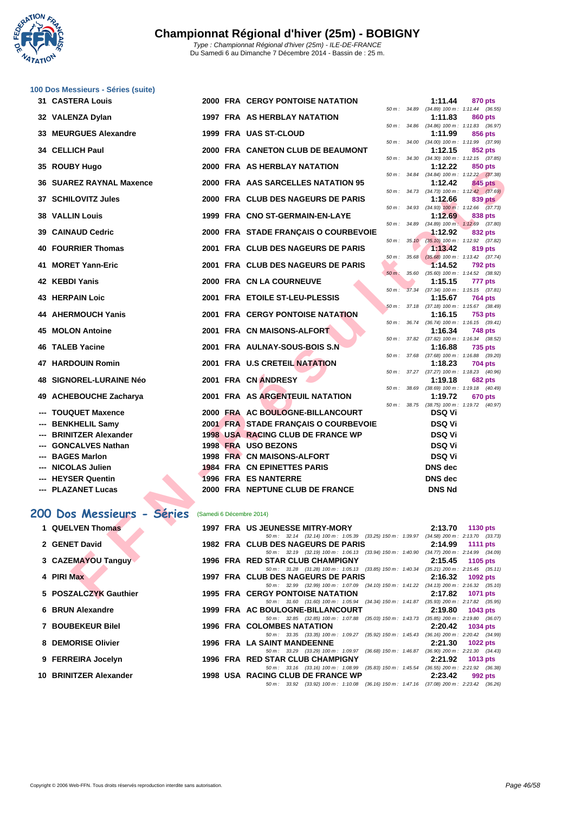

|     | 100 Dos Messieurs - Séries (suite) |                          |                                                                                                                                    |             |                  |                |                                                       |
|-----|------------------------------------|--------------------------|------------------------------------------------------------------------------------------------------------------------------------|-------------|------------------|----------------|-------------------------------------------------------|
|     | <b>31 CASTERA Louis</b>            |                          | <b>2000 FRA CERGY PONTOISE NATATION</b>                                                                                            |             |                  | 1:11.44        | 870 pts                                               |
|     | 32 VALENZA Dylan                   |                          | 1997 FRA AS HERBLAY NATATION                                                                                                       |             | 50 m : 34.89     | 1:11.83        | $(34.89)$ 100 m : 1:11.44 $(36.55)$<br>860 pts        |
| 33  | <b>MEURGUES Alexandre</b>          |                          | 1999 FRA UAS ST-CLOUD                                                                                                              | 50 m: 34.86 |                  | 1:11.99        | $(34.86)$ 100 m : 1:11.83 $(36.97)$<br>856 pts        |
|     |                                    |                          |                                                                                                                                    |             | 50 m : 34.00     |                | $(34.00)$ 100 m : 1:11.99 $(37.99)$                   |
|     | 34 CELLICH Paul                    |                          | 2000 FRA CANETON CLUB DE BEAUMONT                                                                                                  |             |                  | 1:12.15        | 852 pts<br>50 m: 34.30 (34.30) 100 m: 1:12.15 (37.85) |
| 35  | <b>ROUBY Hugo</b>                  |                          | 2000 FRA AS HERBLAY NATATION                                                                                                       |             |                  | 1:12.22        | 850 pts                                               |
| 36  | <b>SUAREZ RAYNAL Maxence</b>       |                          | 2000 FRA AAS SARCELLES NATATION 95                                                                                                 |             |                  | 1:12.42        | 50 m: 34.84 (34.84) 100 m: 1:12.22 (37.38)<br>845 pts |
|     | 37 SCHILOVITZ Jules                |                          | 2000 FRA CLUB DES NAGEURS DE PARIS                                                                                                 |             |                  | 1:12.66        | 50 m: 34.73 (34.73) 100 m: 1:12.42 (37.69)<br>839 pts |
| 38  | <b>VALLIN Louis</b>                |                          | 1999 FRA CNO ST-GERMAIN-EN-LAYE                                                                                                    |             |                  | 1:12.69        | 50 m: 34.93 (34.93) 100 m: 1:12.66 (37.73)<br>838 pts |
|     |                                    |                          |                                                                                                                                    | 50 m :      | 34.89            |                | $(34.89)$ 100 m : 1:12.69 $(37.80)$                   |
|     | 39 CAINAUD Cedric                  |                          | 2000 FRA STADE FRANÇAIS O COURBEVOIE                                                                                               |             | $50 m$ : $35.10$ | 1:12.92        | 832 pts<br>(35.10) 100 m: 1:12.92 (37.82)             |
| 40  | <b>FOURRIER Thomas</b>             |                          | 2001 FRA CLUB DES NAGEURS DE PARIS                                                                                                 |             |                  | 1:13.42        | 819 pts                                               |
| 41  | <b>MORET Yann-Eric</b>             |                          | 2001 FRA CLUB DES NAGEURS DE PARIS                                                                                                 |             | $50 m$ : $35.68$ | 1:14.52        | $(35.68)$ 100 m : 1:13.42 $(37.74)$<br><b>792 pts</b> |
| 42  | <b>KEBDI Yanis</b>                 |                          | <b>2000 FRA CN LA COURNEUVE</b>                                                                                                    | $50 m$ :    | 35.60            | 1:15.15        | $(35.60)$ 100 m : 1:14.52 $(38.92)$<br>777 pts        |
|     |                                    |                          |                                                                                                                                    | $50 m$ :    |                  |                | 37.34 (37.34) 100 m: 1:15.15 (37.81)                  |
|     | 43 HERPAIN Loic                    |                          | 2001 FRA ETOILE ST-LEU-PLESSIS                                                                                                     |             |                  | 1:15.67        | 764 pts<br>50 m: 37.18 (37.18) 100 m: 1:15.67 (38.49) |
|     | <b>44 AHERMOUCH Yanis</b>          |                          | 2001 FRA CERGY PONTOISE NATATION                                                                                                   |             |                  | 1:16.15        | <b>753 pts</b>                                        |
| 45  | <b>MOLON Antoine</b>               |                          | 2001 FRA CN MAISONS-ALFORT                                                                                                         |             | 50 m : 36.74     | 1:16.34        | $(36.74)$ 100 m : 1:16.15 $(39.41)$<br><b>748 pts</b> |
| 46  | <b>TALEB Yacine</b>                |                          | 2001 FRA AULNAY-SOUS-BOIS S.N                                                                                                      |             | 50 m : 37.82     | 1:16.88        | $(37.82)$ 100 m : 1:16.34 $(38.52)$<br>735 pts        |
|     |                                    |                          |                                                                                                                                    |             | 50 m : 37.68     |                | $(37.68)$ 100 m : 1:16.88 $(39.20)$                   |
| 47  | <b>HARDOUIN Romin</b>              |                          | 2001 FRA U.S CRETEIL NATATION                                                                                                      |             |                  | 1:18.23        | 704 pts<br>50 m: 37.27 (37.27) 100 m: 1:18.23 (40.96) |
| 48  | <b>SIGNOREL-LURAINE Néo</b>        |                          | 2001 FRA CN ANDRESY                                                                                                                |             |                  | 1:19.18        | 682 pts                                               |
| 49  | <b>ACHEBOUCHE Zacharya</b>         |                          | 2001 FRA AS ARGENTEUIL NATATION                                                                                                    | 50 m: 38.69 |                  | 1:19.72        | $(38.69)$ 100 m : 1:19.18 $(40.49)$<br>670 pts        |
| --- | <b>TOUQUET Maxence</b>             |                          | 2000 FRA AC BOULOGNE-BILLANCOURT                                                                                                   |             |                  | <b>DSQ Vi</b>  | 50 m: 38.75 (38.75) 100 m: 1:19.72 (40.97)            |
| --- | <b>BENKHELIL Samy</b>              |                          | 2001 FRA STADE FRANÇAIS O COURBEVOIE                                                                                               |             |                  | <b>DSQ Vi</b>  |                                                       |
| --- | <b>BRINITZER Alexander</b>         |                          | <b>1998 USA RACING CLUB DE FRANCE WP</b>                                                                                           |             |                  | <b>DSQ Vi</b>  |                                                       |
|     | <b>GONCALVES Nathan</b>            |                          | 1998 FRA USO BEZONS                                                                                                                |             |                  | <b>DSQ Vi</b>  |                                                       |
| --- | <b>BAGES Marlon</b>                |                          | 1998 FRA CN MAISONS-ALFORT                                                                                                         |             |                  | <b>DSQ Vi</b>  |                                                       |
|     | <b>NICOLAS Julien</b>              |                          | <b>1984 FRA CN EPINETTES PARIS</b>                                                                                                 |             |                  | <b>DNS</b> dec |                                                       |
|     | <b>HEYSER Quentin</b>              |                          | 1996 FRA ES NANTERRE                                                                                                               |             |                  | <b>DNS</b> dec |                                                       |
|     | <b>PLAZANET Lucas</b>              |                          | 2000 FRA NEPTUNE CLUB DE FRANCE                                                                                                    |             |                  | <b>DNS Nd</b>  |                                                       |
|     |                                    |                          |                                                                                                                                    |             |                  |                |                                                       |
|     | 200 Dos Messieurs - Séries         | (Samedi 6 Décembre 2014) |                                                                                                                                    |             |                  |                |                                                       |
|     | 1 QUELVEN Thomas                   |                          | <b>1997 FRA US JEUNESSE MITRY-MORY</b><br>50 m: 32.14 (32.14) 100 m: 1:05.39 (33.25) 150 m: 1:39.97 (34.58) 200 m: 2:13.70 (33.73) |             |                  | 2:13.70        | <b>1130 pts</b>                                       |
|     | 2 GENET David                      |                          | 1982 FRA CLUB DES NAGEURS DE PARIS                                                                                                 |             |                  | 2:14.99        | 1111 pts                                              |
|     | 3 CAZEMAYOU Tanguy                 |                          | 50 m : 32.19 (32.19) 100 m : 1:06.13 (33.94) 150 m : 1:40.90<br>1996 FRA RED STAR CLUB CHAMPIGNY                                   |             |                  | 2:15.45        | (34.77) 200 m : 2:14.99 (34.09)<br><b>1105 pts</b>    |
|     |                                    |                          | 50 m : 31.28 (31.28) 100 m : 1:05.13 (33.85) 150 m : 1:40.34                                                                       |             |                  |                | $(35.21)$ 200 m : 2:15.45 $(35.11)$                   |
|     | 4 PIRI Max                         |                          | 1997 FRA CLUB DES NAGEURS DE PARIS<br>50 m: 32.99 (32.99) 100 m: 1:07.09 (34.10) 150 m: 1:41.22 (34.13) 200 m: 2:16.32 (35.10)     |             |                  | 2:16.32        | 1092 pts                                              |
|     | 5 POSZALCZYK Gauthier              |                          | <b>1995 FRA CERGY PONTOISE NATATION</b>                                                                                            |             |                  | 2:17.82        | 1071 pts                                              |

50 m :  $31.60$  ( $31.60$ )  $100$  m :  $1:05.94$  ( $34.34$ )  $150$  m :  $1:41.87$  ( $35.93$ )  $200$  m :  $2:17.82$  ( $35.95$ )<br>**OULOGNE-BILLANCOURT** 2:19.80 1043 pts

50 m : 32.85 (32.85) 100 m : 1:07.88 (35.03) 150 m : 1:43.73 (35.85) 200 m : 2:19.80 (36.07)

50 m : 33.35 (33.35) 100 m : 1:09.27 (35.92) 150 m : 1:45.43 (36.16) 200 m : 2:20.42 (34.99)<br>**AINT MANDEENNE** 2:21.30 1022 pts

50 m : 33.29 (33.29) 100 m : 1:09.97 (36.68) 150 m : 1:46.87 (36.90) 200 m : 2:21.30 (34.43)<br>**STAR CLUB CHAMPIGNY** 2:21.92 1013 pts

50 m : 33.16 (33.16) 100 m : 1:08.99 (35.83) 150 m : 1:45.54 (36.55) 200 m : 2:21.92 (36.38)

50 m : 33.92 (33.92) 100 m : 1:10.08 (36.16) 150 m : 1:47.16 (37.08) 200 m : 2:23.42 (36.26)

- **4 PIRI Max 1997 FRA CLUB DES NAGEURS DE PARIS 2:16.32 1092 pts**
- **5 POSZALCZYK Gauthier 1995 FRA CERGY PONTOISE NATATION 2:17.82 1071 pts**
- **6 BRUN Alexandre 1999 FRA AC BOULOGNE-BILLANCOURT 2:19.80 1043 pts**
- **7 BOUBEKEUR Bilel 1996 FRA COLOMBES NATATION 2:20.42 1034 pts**
- **8 DEMORISE Olivier 1996 FRA LA SAINT MANDEENNE 2:21.30 1022 pts**
- **9 FERREIRA Jocelyn 1996 FRA RED STAR CLUB CHAMPIGNY 2:21.92 1013 pts**
- **10 BRINITZER Alexander 1998 USA RACING CLUB DE FRANCE WP 2:23.42 992 pts**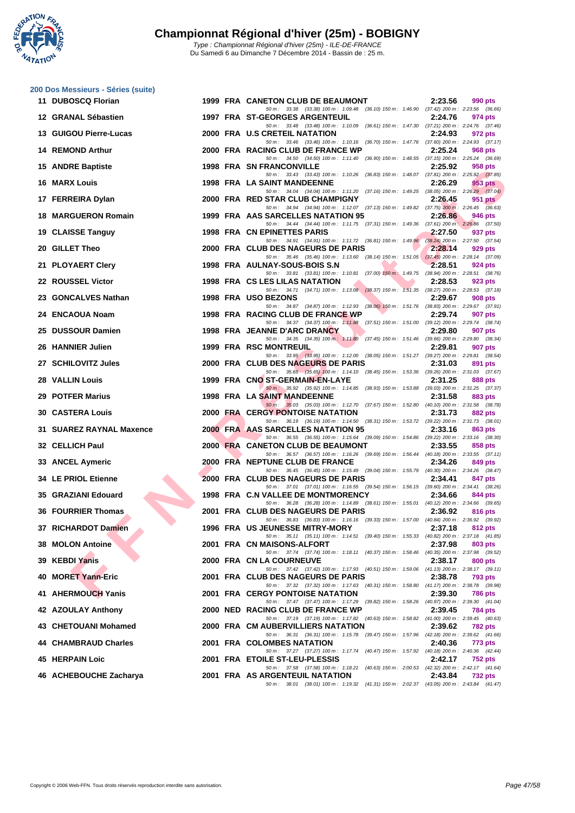**WATATION** 

|    | 200 Dos Messieurs - Séries (suite) |  |                                                                                                                                     |                    |
|----|------------------------------------|--|-------------------------------------------------------------------------------------------------------------------------------------|--------------------|
|    | 11 DUBOSCQ Florian                 |  | 1999 FRA CANETON CLUB DE BEAUMONT                                                                                                   | 2:23.56<br>990 pts |
|    | 12 GRANAL Sébastien                |  | 50 m: 33.38 (33.38) 100 m: 1:09.48 (36.10) 150 m: 1:46.90 (37.42) 200 m: 2:23.56 (36.66)<br>1997 FRA ST-GEORGES ARGENTEUIL          | 2:24.76<br>974 pts |
|    | 13 GUIGOU Pierre-Lucas             |  | 50 m: 33.48 (33.48) 100 m: 1:10.09 (36.61) 150 m: 1:47.30 (37.21) 200 m: 2:24.76 (37.46)<br>2000 FRA U.S CRETEIL NATATION           | 2:24.93<br>972 pts |
|    | 14 REMOND Arthur                   |  | 50 m: 33.46 (33.46) 100 m: 1:10.16 (36.70) 150 m: 1:47.76 (37.60) 200 m: 2:24.93 (37.17)<br>2000 FRA RACING CLUB DE FRANCE WP       | 2:25.24<br>968 pts |
|    | 15 ANDRE Baptiste                  |  | 50 m: 34.50 (34.50) 100 m: 1:11.40 (36.90) 150 m: 1:48.55 (37.15) 200 m: 2:25.24 (36.69)<br>1998 FRA SN FRANCONVILLE                | 2:25.92<br>958 pts |
|    | <b>16 MARX Louis</b>               |  | 50 m: 33.43 (33.43) 100 m: 1:10.26 (36.83) 150 m: 1:48.07 (37.81) 200 m: 2:25.92 (37.85)<br>1998 FRA LA SAINT MANDEENNE             | 2:26.29<br>953 pts |
|    | 17 FERREIRA Dylan                  |  | 50 m: 34.04 (34.04) 100 m: 1:11.20 (37.16) 150 m: 1:49.25 (38.05) 200 m: 2:26.29 (37.04)<br>2000 FRA RED STAR CLUB CHAMPIGNY        | 2:26.45<br>951 pts |
|    | <b>18 MARGUERON Romain</b>         |  | 50 m: 34.94 (34.94) 100 m: 1:12.07 (37.13) 150 m: 1:49.82 (37.75) 200 m: 2:26.45 (36.63)<br>1999 FRA AAS SARCELLES NATATION 95      | 2:26.86<br>946 pts |
|    | 19 CLAISSE Tanguy                  |  | 50 m: 34.44 (34.44) 100 m: 1:11.75 (37.31) 150 m: 1:49.36 (37.61) 200 m: 2:26.86 (37.50)<br>1998 FRA CN EPINETTES PARIS             | 2:27.50<br>937 pts |
|    | 20 GILLET Theo                     |  | 50 m: 34.91 (34.91) 100 m: 1:11.72 (36.81) 150 m: 1:49.96 (38.24) 200 m: 2:27.50 (37.54)<br>2000 FRA CLUB DES NAGEURS DE PARIS      | 2:28.14<br>929 pts |
|    |                                    |  | 50 m: 35.46 (35.46) 100 m: 1:13.60 (38.14) 150 m: 1:51.05 (37.45) 200 m: 2:28.14 (37.09)                                            |                    |
|    | 21 PLOYAERT Clery                  |  | 1998 FRA AULNAY-SOUS-BOIS S.N<br>50 m: 33.81 (33.81) 100 m: 1:10.81 (37.00) 150 m: 1:49.75 (38.94) 200 m: 2:28.51 (38.76)           | 2:28.51<br>924 pts |
|    | 22 ROUSSEL Victor                  |  | 1998 FRA CS LES LILAS NATATION<br>50 m: 34.71 (34.71) 100 m: 1:13.08 (38.37) 150 m: 1:51.35 (38.27) 200 m: 2:28.53 (37.18)          | 2:28.53<br>923 pts |
|    | 23 GONCALVES Nathan                |  | 1998 FRA USO BEZONS<br>50 m: 34.87 (34.87) 100 m: 1:12.93 (38.06) 150 m: 1:51.76 (38.83) 200 m: 2:29.67 (37.91)                     | 2:29.67<br>908 pts |
|    | 24 ENCAOUA Noam                    |  | 1998 FRA RACING CLUB DE FRANCE WP                                                                                                   | 2:29.74<br>907 pts |
|    | 25 DUSSOUR Damien                  |  | 50 m: 34.37 (34.37) 100 m: 1:11.88 (37.51) 150 m: 1:51.00 (39.12) 200 m: 2:29.74 (38.74)<br>1998 FRA JEANNE D'ARC DRANCY            | 2:29.80<br>907 pts |
|    | 26 HANNIER Julien                  |  | 50 m: 34.35 (34.35) 100 m: 1:11.80 (37.45) 150 m: 1:51.46 (39.66) 200 m: 2:29.80 (38.34)<br>1999 FRA RSC MONTREUIL                  | 2:29.81<br>907 pts |
|    | 27 SCHILOVITZ Jules                |  | 50 m: 33.95 (33.95) 100 m: 1:12.00 (38.05) 150 m: 1:51.27 (39.27) 200 m: 2:29.81 (38.54)<br>2000 FRA CLUB DES NAGEURS DE PARIS      | 2:31.03<br>891 pts |
|    | <b>28 VALLIN Louis</b>             |  | 50 m: 35.65 (35.65) 100 m: 1:14.10 (38.45) 150 m: 1:53.36 (39.26) 200 m: 2:31.03 (37.67)<br>1999 FRA CNO ST-GERMAIN-EN-LAYE         | 2:31.25<br>888 pts |
|    |                                    |  | 50 m: 35.92 (35.92) 100 m: 1:14.85 (38.93) 150 m: 1:53.88 (39.03) 200 m: 2:31.25 (37.37)                                            |                    |
|    | 29 POTFER Marius                   |  | 1998 FRA LA SAINT MANDEENNE<br>50 m: 35.03 (35.03) 100 m: 1:12.70 (37.67) 150 m: 1:52.80 (40.10) 200 m: 2:31.58 (38.78)             | 2:31.58<br>883 pts |
|    | <b>30 CASTERA Louis</b>            |  | <b>2000 FRA CERGY PONTOISE NATATION</b><br>50 m: 36.19 (36.19) 100 m: 1:14.50 (38.31) 150 m: 1:53.72 (39.22) 200 m: 2:31.73 (38.01) | 2:31.73<br>882 pts |
|    | 31 SUAREZ RAYNAL Maxence           |  | 2000 FRA AAS SARCELLES NATATION 95<br>50 m : 36.55 (36.55) 100 m : 1:15.64 (39.09) 150 m : 1:54.86 (39.22) 200 m : 2:33.16 (38.30)  | 2:33.16<br>863 pts |
|    | 32 CELLICH Paul                    |  | 2000 FRA CANETON CLUB DE BEAUMONT<br>50 m: 36.57 (36.57) 100 m: 1:16.26 (39.69) 150 m: 1:56.44 (40.18) 200 m: 2:33.55 (37.11)       | 2:33.55<br>858 pts |
|    | 33 ANCEL Aymeric                   |  | 2000 FRA NEPTUNE CLUB DE FRANCE                                                                                                     | 2:34.26<br>849 pts |
|    | <b>34 LE PRIOL Etienne</b>         |  | 50 m: 36.45 (36.45) 100 m: 1:15.49 (39.04) 150 m: 1:55.79 (40.30) 200 m: 2:34.26 (38.47)<br>2000 FRA CLUB DES NAGEURS DE PARIS      | 2:34.41<br>847 pts |
|    | 35 GRAZIANI Edouard                |  | 50 m: 37.01 (37.01) 100 m: 1:16.55 (39.54) 150 m: 1:56.15 (39.60) 200 m: 2:34.41 (38.26)<br>1998 FRA C.N VALLEE DE MONTMORENCY      | 2:34.66<br>844 pts |
|    | 36 FOURRIER Thomas                 |  | 50 m: 36.28 (36.28) 100 m: 1:14.89 (38.61) 150 m: 1:55.01 (40.12) 200 m: 2:34.66 (39.65)<br>2001 FRA CLUB DES NAGEURS DE PARIS      | 2:36.92<br>816 pts |
|    | 37 RICHARDOT Damien                |  | 50 m: 36.83 (36.83) 100 m: 1:16.16 (39.33) 150 m: 1:57.00 (40.84) 200 m: 2:36.92 (39.92)<br><b>1996 FRA US JEUNESSE MITRY-MORY</b>  | 2:37.18<br>812 pts |
|    | 38 MOLON Antoine                   |  | 50 m: 35.11 (35.11) 100 m: 1:14.51 (39.40) 150 m: 1:55.33 (40.82) 200 m: 2:37.18 (41.85)<br>2001 FRA CN MAISONS-ALFORT              | 2:37.98<br>803 pts |
| 39 | <b>KEBDI Yanis</b>                 |  | 50 m: 37.74 (37.74) 100 m: 1:18.11 (40.37) 150 m: 1:58.46 (40.35) 200 m: 2:37.98 (39.52)<br>2000 FRA CN LA COURNEUVE                | 2:38.17<br>800 pts |
| 40 | <b>MORET Yann-Eric</b>             |  | 50 m: 37.42 (37.42) 100 m: 1:17.93 (40.51) 150 m: 1:59.06 (41.13) 200 m: 2:38.17 (39.11)                                            | 2:38.78            |
|    |                                    |  | 2001 FRA CLUB DES NAGEURS DE PARIS<br>50 m: 37.32 (37.32) 100 m: 1:17.63 (40.31) 150 m: 1:58.80 (41.17) 200 m: 2:38.78 (39.98)      | 793 pts            |
|    | 41 AHERMOUCH Yanis                 |  | <b>2001 FRA CERGY PONTOISE NATATION</b><br>50 m: 37.47 (37.47) 100 m: 1:17.29 (39.82) 150 m: 1:58.26 (40.97) 200 m: 2:39.30 (41.04) | 2:39.30<br>786 pts |
|    | 42 AZOULAY Anthony                 |  | 2000 NED RACING CLUB DE FRANCE WP<br>50 m : 37.19 (37.19) 100 m : 1:17.82 (40.63) 150 m : 1:58.82 (41.00) 200 m : 2:39.45 (40.63)   | 2:39.45<br>784 pts |
|    | 43 CHETOUANI Mohamed               |  | 2000 FRA CM AUBERVILLIERS NATATION                                                                                                  | 2:39.62<br>782 pts |
|    | 44 CHAMBRAUD Charles               |  | 50 m : 36.31 (36.31) 100 m : 1:15.78 (39.47) 150 m : 1:57.96 (42.18) 200 m : 2:39.62 (41.66)<br><b>2001 FRA COLOMBES NATATION</b>   | 2:40.36<br>773 pts |
|    | 45 HERPAIN Loic                    |  | 50 m: 37.27 (37.27) 100 m: 1:17.74 (40.47) 150 m: 1:57.92 (40.18) 200 m: 2:40.36 (42.44)<br>2001 FRA ETOILE ST-LEU-PLESSIS          | 2:42.17<br>752 pts |
|    | 46 ACHEBOUCHE Zacharya             |  | 50 m: 37.58 (37.58) 100 m: 1:18.21 (40.63) 150 m: 2:00.53 (42.32) 200 m: 2:42.17 (41.64)<br>2001 FRA AS ARGENTEUIL NATATION         | 2:43.84<br>732 pts |
|    |                                    |  | 50 m: 38.01 (38.01) 100 m: 1:19.32 (41.31) 150 m: 2:02.37 (43.05) 200 m: 2:43.84 (41.47)                                            |                    |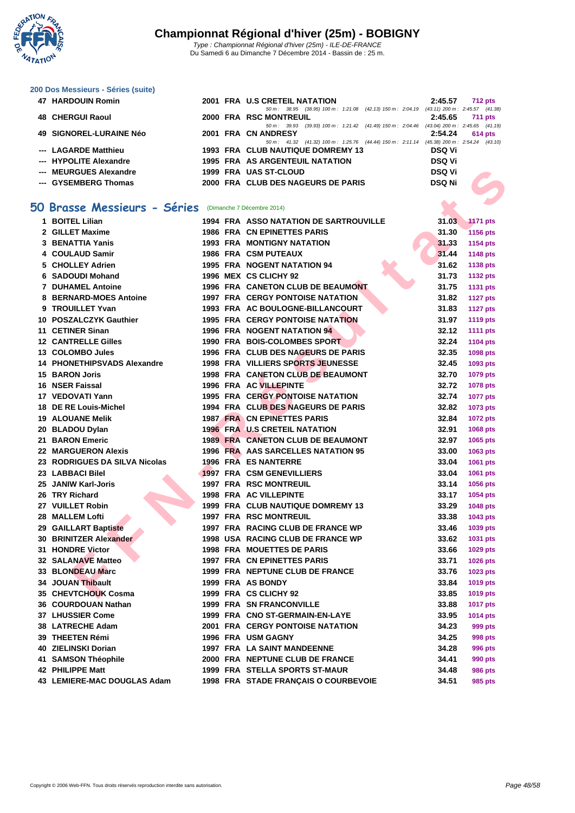

#### **[200 Dos M](http://www.ffnatation.fr/webffn/index.php)essieurs - Séries (suite)**

| <b>47 HARDOUIN Romin</b> |  | 2001 FRA U.S CRETEIL NATATION                                                            | 2:45.57       | <b>712 pts</b>                      |
|--------------------------|--|------------------------------------------------------------------------------------------|---------------|-------------------------------------|
|                          |  | 50 m : 38.95 (38.95) 100 m : 1:21.08 (42.13) 150 m : 2:04.19                             |               | $(43.11)$ 200 m : 2:45.57 $(41.38)$ |
| <b>48 CHERGUI Raoul</b>  |  | 2000 FRA RSC MONTREUIL                                                                   | 2:45.65       | <b>711 pts</b>                      |
|                          |  | 50 m : 39.93 (39.93) 100 m : 1:21.42 (41.49) 150 m : 2:04.46                             |               | $(43.04)$ 200 m : 2:45.65 $(41.19)$ |
| 49 SIGNOREL-LURAINE Néo  |  | 2001 FRA CN ANDRESY                                                                      | 2:54.24       | <b>614 pts</b>                      |
|                          |  | 50 m: 41.32 (41.32) 100 m: 1:25.76 (44.44) 150 m: 2:11.14 (45.38) 200 m: 2:54.24 (43.10) |               |                                     |
| --- LAGARDE Matthieu     |  | 1993 FRA CLUB NAUTIQUE DOMREMY 13                                                        | DSQ Vi        |                                     |
| --- HYPOLITE Alexandre   |  | <b>1995 FRA AS ARGENTEUIL NATATION</b>                                                   | <b>DSQ Vi</b> |                                     |
| --- MEURGUES Alexandre   |  | 1999 FRA UAS ST-CLOUD                                                                    | <b>DSQ Vi</b> |                                     |
| --- GYSEMBERG Thomas     |  | 2000 FRA CLUB DES NAGEURS DE PARIS                                                       | <b>DSQ Ni</b> |                                     |

### **50 Brasse Messieurs - Séries** (Dimanche 7 Décembre 2014)

|   | --- MEURGUES Alexandre                               |  | 1999 FRA UAS ST-CLOUD                         | <b>DSQ Vi</b> |                 |
|---|------------------------------------------------------|--|-----------------------------------------------|---------------|-----------------|
|   | --- GYSEMBERG Thomas                                 |  | 2000 FRA CLUB DES NAGEURS DE PARIS            | <b>DSQ Ni</b> |                 |
|   |                                                      |  |                                               |               |                 |
| 0 | Brasse Messieurs - Séries (Dimanche 7 Décembre 2014) |  |                                               |               |                 |
|   | 1 BOITEL Lilian                                      |  | <b>1994 FRA ASSO NATATION DE SARTROUVILLE</b> | 31.03         | <b>1171 pts</b> |
|   | 2 GILLET Maxime                                      |  | <b>1986 FRA CN EPINETTES PARIS</b>            | 31.30         | 1156 pts        |
|   | 3 BENATTIA Yanis                                     |  | <b>1993 FRA MONTIGNY NATATION</b>             | 31.33         | 1154 pts        |
|   | 4 COULAUD Samir                                      |  | <b>1986 FRA CSM PUTEAUX</b>                   | 31.44         | 1148 pts        |
|   | 5 CHOLLEY Adrien                                     |  | <b>1995 FRA NOGENT NATATION 94</b>            | 31.62         | 1138 pts        |
|   | 6 SADOUDI Mohand                                     |  | 1996 MEX CS CLICHY 92                         | 31.73         | <b>1132 pts</b> |
|   | <b>7 DUHAMEL Antoine</b>                             |  | 1996 FRA CANETON CLUB DE BEAUMONT             | 31.75         | <b>1131 pts</b> |
|   | 8 BERNARD-MOES Antoine                               |  | <b>1997 FRA CERGY PONTOISE NATATION</b>       | 31.82         | <b>1127 pts</b> |
|   | 9 TROUILLET Yvan                                     |  | 1993 FRA AC BOULOGNE-BILLANCOURT              | 31.83         | <b>1127 pts</b> |
|   | 10 POSZALCZYK Gauthier                               |  | <b>1995 FRA CERGY PONTOISE NATATION</b>       | 31.97         | <b>1119 pts</b> |
|   | 11 CETINER Sinan                                     |  | 1996 FRA NOGENT NATATION 94                   | 32.12         | <b>1111 pts</b> |
|   | <b>12 CANTRELLE Gilles</b>                           |  | 1990 FRA BOIS-COLOMBES SPORT                  | 32.24         | <b>1104 pts</b> |
|   | 13 COLOMBO Jules                                     |  | 1996 FRA CLUB DES NAGEURS DE PARIS            | 32.35         | 1098 pts        |
|   | <b>14 PHONETHIPSVADS Alexandre</b>                   |  | <b>1998 FRA VILLIERS SPORTS JEUNESSE</b>      | 32.45         | 1093 pts        |
|   | <b>15 BARON Joris</b>                                |  | 1998 FRA CANETON CLUB DE BEAUMONT             | 32.70         | 1079 pts        |
|   | 16 NSER Faissal                                      |  | <b>1996 FRA AC VILLEPINTE</b>                 | 32.72         | 1078 pts        |
|   | 17 VEDOVATI Yann                                     |  | <b>1995 FRA CERGY PONTOISE NATATION</b>       | 32.74         | <b>1077 pts</b> |
|   | 18 DE RE Louis-Michel                                |  | 1994 FRA CLUB DES NAGEURS DE PARIS            | 32.82         | 1073 pts        |
|   | <b>19 ALOUANE Melik</b>                              |  | <b>1987 FRA CN EPINETTES PARIS</b>            | 32.84         | <b>1072 pts</b> |
|   | 20 BLADOU Dylan                                      |  | <b>1996 FRA U.S CRETEIL NATATION</b>          | 32.91         | 1068 pts        |
|   | 21 BARON Emeric                                      |  | <b>1989 FRA CANETON CLUB DE BEAUMONT</b>      | 32.97         | 1065 pts        |
|   | <b>22 MARGUERON Alexis</b>                           |  | 1996 FRA AAS SARCELLES NATATION 95            | 33.00         | 1063 pts        |
|   | 23 RODRIGUES DA SILVA Nicolas                        |  | 1996 FRÅ ES NANTERRE                          | 33.04         | 1061 pts        |
|   | 23 LABBACI Bilel                                     |  | 1997 FRA CSM GENEVILLIERS                     | 33.04         | 1061 pts        |
|   | 25 JANIW Karl-Joris                                  |  | <b>1997 FRA RSC MONTREUIL</b>                 | 33.14         | 1056 pts        |
|   | 26 TRY Richard                                       |  | <b>1998 FRA AC VILLEPINTE</b>                 | 33.17         | 1054 pts        |
|   | 27 VUILLET Robin                                     |  | 1999 FRA CLUB NAUTIQUE DOMREMY 13             | 33.29         | 1048 pts        |
|   | 28 MALLEM Lofti                                      |  | <b>1997 FRA RSC MONTREUIL</b>                 | 33.38         | 1043 pts        |
|   | 29 GAILLART Baptiste                                 |  | 1997 FRA RACING CLUB DE FRANCE WP             | 33.46         | 1039 pts        |
|   | 30 BRINITZER Alexander                               |  | 1998 USA RACING CLUB DE FRANCE WP             | 33.62         | 1031 pts        |
|   | 31 HONDRE Victor                                     |  | <b>1998 FRA MOUETTES DE PARIS</b>             | 33.66         | 1029 pts        |
|   | <b>32 SALANAVE Matteo</b>                            |  | <b>1997 FRA CN EPINETTES PARIS</b>            | 33.71         | 1026 pts        |
|   | 33 BLONDEAU Marc                                     |  | 1999 FRA NEPTUNE CLUB DE FRANCE               | 33.76         | 1023 pts        |
|   | 34 JOUAN Thibault                                    |  | 1999 FRA AS BONDY                             | 33.84         | 1019 pts        |
|   | 35 CHEVTCHOUK Cosma                                  |  | 1999 FRA CS CLICHY 92                         | 33.85         | 1019 pts        |
|   | 36 COURDOUAN Nathan                                  |  | 1999 FRA SN FRANCONVILLE                      | 33.88         | <b>1017 pts</b> |
|   | 37 LHUSSIER Come                                     |  | 1999 FRA CNO ST-GERMAIN-EN-LAYE               | 33.95         | 1014 pts        |
|   | 38 LATRECHE Adam                                     |  | <b>2001 FRA CERGY PONTOISE NATATION</b>       | 34.23         | 999 pts         |
|   | 39 THEETEN Rémi                                      |  | 1996 FRA USM GAGNY                            | 34.25         | <b>998 pts</b>  |
|   | 40 ZIELINSKI Dorian                                  |  | 1997 FRA LA SAINT MANDEENNE                   | 34.28         | <b>996 pts</b>  |
|   | 41 SAMSON Théophile                                  |  | 2000 FRA NEPTUNE CLUB DE FRANCE               | 34.41         | 990 pts         |
|   | 42 PHILIPPE Matt                                     |  | <b>1999 FRA STELLA SPORTS ST-MAUR</b>         | 34.48         | <b>986 pts</b>  |
|   | 43 LEMIERE-MAC DOUGLAS Adam                          |  | 1998 FRA STADE FRANÇAIS O COURBEVOIE          | 34.51         | 985 pts         |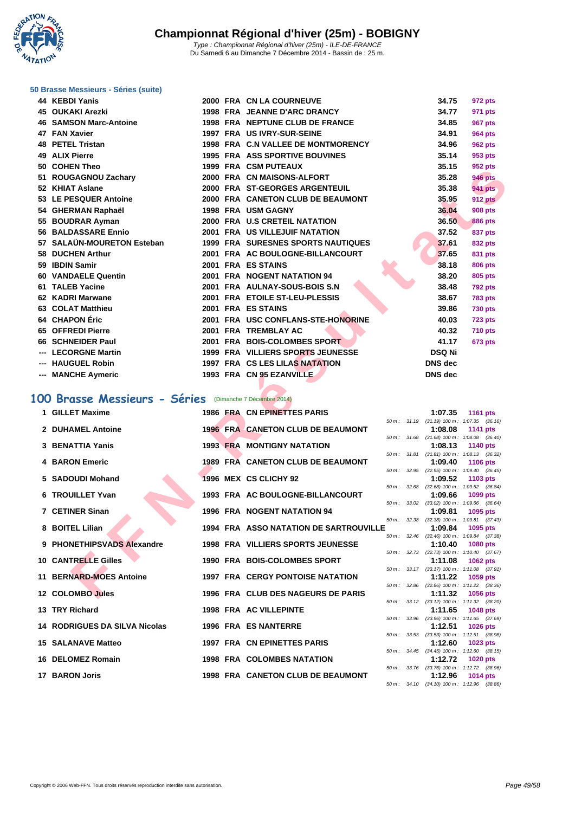**WATATION**  $^{\prime}$ 

#### Du Samedi 6 au Dimanche 7 Décembre 2014 - Bassin de : 25 m.

#### **[50 Brasse](http://www.ffnatation.fr/webffn/index.php) Messieurs - Séries (suite)**

| 44 KEBDI Yanis                                          |  | 2000 FRA CN LA COURNEUVE                      |                  |       | 34.75                                                 | 972 pts         |  |
|---------------------------------------------------------|--|-----------------------------------------------|------------------|-------|-------------------------------------------------------|-----------------|--|
| 45 OUKAKI Arezki                                        |  | 1998 FRA JEANNE D'ARC DRANCY                  |                  |       | 34.77                                                 | 971 pts         |  |
| <b>46 SAMSON Marc-Antoine</b>                           |  | 1998 FRA NEPTUNE CLUB DE FRANCE               |                  |       | 34.85                                                 | <b>967 pts</b>  |  |
| 47 FAN Xavier                                           |  | 1997 FRA US IVRY-SUR-SEINE                    |                  |       | 34.91                                                 | <b>964 pts</b>  |  |
| <b>48 PETEL Tristan</b>                                 |  | 1998 FRA C.N VALLEE DE MONTMORENCY            |                  |       | 34.96                                                 | <b>962 pts</b>  |  |
| 49 ALIX Pierre                                          |  | <b>1995 FRA ASS SPORTIVE BOUVINES</b>         |                  |       | 35.14                                                 | 953 pts         |  |
| 50 COHEN Theo                                           |  | <b>1999 FRA CSM PUTEAUX</b>                   |                  |       | 35.15                                                 | 952 pts         |  |
| 51 ROUGAGNOU Zachary                                    |  | 2000 FRA CN MAISONS-ALFORT                    |                  |       | 35.28                                                 | <b>946 pts</b>  |  |
| 52 KHIAT Aslane                                         |  | 2000 FRA ST-GEORGES ARGENTEUIL                |                  |       | 35.38                                                 | <b>941 pts</b>  |  |
| 53 LE PESQUER Antoine                                   |  | 2000 FRA CANETON CLUB DE BEAUMONT             |                  |       | 35.95                                                 | <b>912 pts</b>  |  |
| 54 GHERMAN Raphaël                                      |  | 1998 FRA USM GAGNY                            |                  |       | 36.04                                                 | <b>908 pts</b>  |  |
| 55 BOUDRAR Ayman                                        |  | 2000 FRA U.S CRETEIL NATATION                 |                  |       | 36.50                                                 | <b>886 pts</b>  |  |
| 56 BALDASSARE Ennio                                     |  | 2001 FRA US VILLEJUIF NATATION                |                  |       | 37.52                                                 | 837 pts         |  |
| 57 SALAÜN-MOURETON Esteban                              |  | <b>1999 FRA SURESNES SPORTS NAUTIQUES</b>     |                  |       | 37.61                                                 | 832 pts         |  |
| 58 DUCHEN Arthur                                        |  | 2001 FRA AC BOULOGNE-BILLANCOURT              |                  |       | 37.65                                                 | 831 pts         |  |
| 59 IBDIN Samir                                          |  | 2001 FRA ES STAINS                            |                  |       | 38.18                                                 | <b>806 pts</b>  |  |
| 60 VANDAELE Quentin                                     |  | 2001 FRA NOGENT NATATION 94                   |                  |       | 38.20                                                 | 805 pts         |  |
| 61 TALEB Yacine                                         |  | 2001 FRA AULNAY-SOUS-BOIS S.N                 |                  |       | 38.48                                                 | <b>792 pts</b>  |  |
| 62 KADRI Marwane                                        |  | 2001 FRA ETOILE ST-LEU-PLESSIS                |                  |       | 38.67                                                 | <b>783 pts</b>  |  |
| 63 COLAT Matthieu                                       |  | 2001 FRA ES STAINS                            |                  |       | 39.86                                                 | <b>730 pts</b>  |  |
| 64 CHAPON Éric                                          |  | 2001 FRA USC CONFLANS-STE-HONORINE            |                  |       | 40.03                                                 | <b>723 pts</b>  |  |
| 65 OFFREDI Pierre                                       |  | 2001 FRA TREMBLAY AC                          |                  |       | 40.32                                                 | <b>710 pts</b>  |  |
| 66 SCHNEIDER Paul                                       |  | 2001 FRA BOIS-COLOMBES SPORT                  |                  |       | 41.17                                                 | <b>673 pts</b>  |  |
| --- LECORGNE Martin                                     |  | 1999 FRA VILLIERS SPORTS JEUNESSE             |                  |       | <b>DSQ Ni</b>                                         |                 |  |
| --- HAUGUEL Robin                                       |  | 1997 FRA CS LES LILAS NATATION                |                  |       | <b>DNS</b> dec                                        |                 |  |
| --- MANCHE Aymeric                                      |  | 1993 FRA CN 95 EZANVILLE                      |                  |       | <b>DNS</b> dec                                        |                 |  |
|                                                         |  |                                               |                  |       |                                                       |                 |  |
| 00 Brasse Messieurs - Séries (Dimanche 7 Décembre 2014) |  |                                               |                  |       |                                                       |                 |  |
| 1 GILLET Maxime                                         |  | 1986 FRA CN EPINETTES PARIS                   |                  |       | 1:07.35                                               | <b>1161 pts</b> |  |
| 2 DUHAMEL Antoine                                       |  | 1996 FRA CANETON CLUB DE BEAUMONT             |                  |       | 50 m: 31.19 (31.19) 100 m: 1:07.35 (36.16)<br>1:08.08 | 1141 pts        |  |
|                                                         |  |                                               | $50 m$ : $31.68$ |       | $(31.68)$ 100 m : 1:08.08 $(36.40)$                   |                 |  |
| 3 BENATTIA Yanis                                        |  | <b>1993 FRA MONTIGNY NATATION</b>             |                  |       | 1:08.13                                               | 1140 pts        |  |
| <b>4 BARON Emeric</b>                                   |  | <b>1989 FRA CANETON CLUB DE BEAUMONT</b>      |                  |       | 50 m: 31.81 (31.81) 100 m: 1:08.13 (36.32)<br>1:09.40 | 1106 pts        |  |
|                                                         |  |                                               | 50 m: 32.95      |       | $(32.95)$ 100 m : 1:09.40 $(36.45)$                   |                 |  |
| 5 SADOUDI Mohand                                        |  | 1996 MEX CS CLICHY 92                         |                  |       | 1:09.52                                               | <b>1103 pts</b> |  |
| 6 TROUILLET Yvan                                        |  | 1993 FRA AC BOULOGNE-BILLANCOURT              | $50 m$ :         | 32.68 | $(32.68)$ 100 m : 1:09.52 $(36.84)$<br>1:09.66        | 1099 pts        |  |
|                                                         |  |                                               | 50 m: 33.02      |       | $(33.02)$ 100 m : 1:09.66 $(36.64)$                   |                 |  |
| 7 CETINER Sinan                                         |  | <b>1996 FRA NOGENT NATATION 94</b>            |                  |       | 1:09.81                                               | 1095 pts        |  |
| 8 BOITEL Lilian                                         |  | <b>1994 FRA ASSO NATATION DE SARTROUVILLE</b> |                  |       | 50 m: 32.38 (32.38) 100 m: 1:09.81 (37.43)<br>1:09.84 | 1095 pts        |  |
|                                                         |  |                                               |                  |       | 50 m: 32.46 (32.46) 100 m: 1:09.84 (37.38)            |                 |  |
| 9 PHONETHIPSVADS Alexandre                              |  | <b>1998 FRA VILLIERS SPORTS JEUNESSE</b>      |                  |       | 1:10.40                                               | <b>1080 pts</b> |  |
| <b>10 CANTRELLE Gilles</b>                              |  | 1990 FRA BOIS-COLOMBES SPORT                  | 50 m: 32.73      |       | $(32.73)$ 100 m : 1:10.40 $(37.67)$<br>1:11.08        | <b>1062 pts</b> |  |
|                                                         |  |                                               |                  |       | 50 m: 33.17 (33.17) 100 m: 1:11.08 (37.91)            |                 |  |
| 11 BERNARD-MOES Antoine                                 |  | <b>1997 FRA CERGY PONTOISE NATATION</b>       | 50 m : 32.86     |       | 1:11.22                                               | 1059 pts        |  |
| 12 COLOMBO Jules                                        |  | 1996 FRA CLUB DES NAGEURS DE PARIS            |                  |       | $(32.86)$ 100 m : 1:11.22 $(38.36)$<br>1:11.32        | 1056 pts        |  |
|                                                         |  |                                               |                  |       |                                                       |                 |  |

### **100 Brasse Messieurs - Séries** (Dimanche 7 Décembre 2014)

| 1 GILLET Maxime                      |  | 1986 FRA CN EPINETTES PARIS                   |              | 1:07.35                                               | <b>1161 pts</b> |  |
|--------------------------------------|--|-----------------------------------------------|--------------|-------------------------------------------------------|-----------------|--|
|                                      |  |                                               |              | 50 m: 31.19 (31.19) 100 m: 1:07.35 (36.16)            |                 |  |
| 2 DUHAMEL Antoine                    |  | 1996 FRA CANETON CLUB DE BEAUMONT             |              | 1:08.08<br>50 m: 31.68 (31.68) 100 m: 1:08.08 (36.40) | <b>1141 pts</b> |  |
| 3 BENATTIA Yanis                     |  | <b>1993 FRA MONTIGNY NATATION</b>             |              | 1:08.13                                               | 1140 pts        |  |
|                                      |  |                                               |              | 50 m: 31.81 (31.81) 100 m: 1:08.13 (36.32)            |                 |  |
| <b>4 BARON Emeric</b>                |  | 1989 FRA CANETON CLUB DE BEAUMONT             |              | 1:09.40                                               | <b>1106 pts</b> |  |
|                                      |  |                                               |              | 50 m: 32.95 (32.95) 100 m: 1:09.40 (36.45)            |                 |  |
| 5 SADOUDI Mohand                     |  | 1996 MEX CS CLICHY 92                         |              | 1:09.52                                               | 1103 pts        |  |
|                                      |  |                                               |              | 50 m: 32.68 (32.68) 100 m: 1:09.52 (36.84)            |                 |  |
| 6 TROUILLET Yvan                     |  | 1993 FRA AC BOULOGNE-BILLANCOURT              |              | 1:09.66                                               | 1099 pts        |  |
| 7 CETINER Sinan                      |  | <b>1996 FRA NOGENT NATATION 94</b>            |              | 50 m: 33.02 (33.02) 100 m: 1:09.66 (36.64)<br>1:09.81 | 1095 pts        |  |
|                                      |  |                                               |              | 50 m: 32.38 (32.38) 100 m: 1:09.81 (37.43)            |                 |  |
| 8 BOITEL Lilian                      |  | <b>1994 FRA ASSO NATATION DE SARTROUVILLE</b> |              | 1:09.84                                               | 1095 pts        |  |
|                                      |  |                                               |              | 50 m: 32.46 (32.46) 100 m: 1:09.84 (37.38)            |                 |  |
| 9 PHONETHIPSVADS Alexandre           |  | <b>1998 FRA VILLIERS SPORTS JEUNESSE</b>      |              | 1:10.40                                               | <b>1080 pts</b> |  |
|                                      |  |                                               |              | 50 m: 32.73 (32.73) 100 m: 1:10.40 (37.67)            |                 |  |
| <b>10 CANTRELLE Gilles</b>           |  | 1990 FRA BOIS-COLOMBES SPORT                  |              | 1:11.08                                               | 1062 pts        |  |
|                                      |  |                                               |              | 50 m: 33.17 (33.17) 100 m: 1:11.08 (37.91)            |                 |  |
| 11 BERNARD-MOES Antoine              |  | <b>1997 FRA CERGY PONTOISE NATATION</b>       |              | 1:11.22<br>50 m: 32.86 (32.86) 100 m: 1:11.22 (38.36) | 1059 pts        |  |
| 12 COLOMBO Jules                     |  | 1996 FRA CLUB DES NAGEURS DE PARIS            |              | 1:11.32                                               | <b>1056 pts</b> |  |
|                                      |  |                                               |              | 50 m: 33.12 (33.12) 100 m: 1:11.32 (38.20)            |                 |  |
| 13 TRY Richard                       |  | <b>1998 FRA AC VILLEPINTE</b>                 |              | 1:11.65                                               | <b>1048 pts</b> |  |
|                                      |  |                                               |              | 50 m: 33.96 (33.96) 100 m: 1:11.65 (37.69)            |                 |  |
| <b>14 RODRIGUES DA SILVA Nicolas</b> |  | <b>1996 FRA ES NANTERRE</b>                   |              | 1:12.51                                               | <b>1026 pts</b> |  |
|                                      |  |                                               |              | 50 m: 33.53 (33.53) 100 m: 1:12.51 (38.98)            |                 |  |
| <b>15 SALANAVE Matteo</b>            |  | 1997 FRA CN EPINETTES PARIS                   |              | 1:12.60                                               | <b>1023 pts</b> |  |
| 16 DELOMEZ Romain                    |  | <b>1998 FRA COLOMBES NATATION</b>             |              | 50 m: 34.45 (34.45) 100 m: 1:12.60 (38.15)<br>1:12.72 |                 |  |
|                                      |  |                                               | 50 m : 33.76 | $(33.76)$ 100 m : 1:12.72 $(38.96)$                   | <b>1020 pts</b> |  |
| 17 BARON Joris                       |  | 1998 FRA CANETON CLUB DE BEAUMONT             |              | 1:12.96                                               | <b>1014 pts</b> |  |
|                                      |  |                                               |              | 50 m: 34.10 (34.10) 100 m: 1:12.96 (38.86)            |                 |  |
|                                      |  |                                               |              |                                                       |                 |  |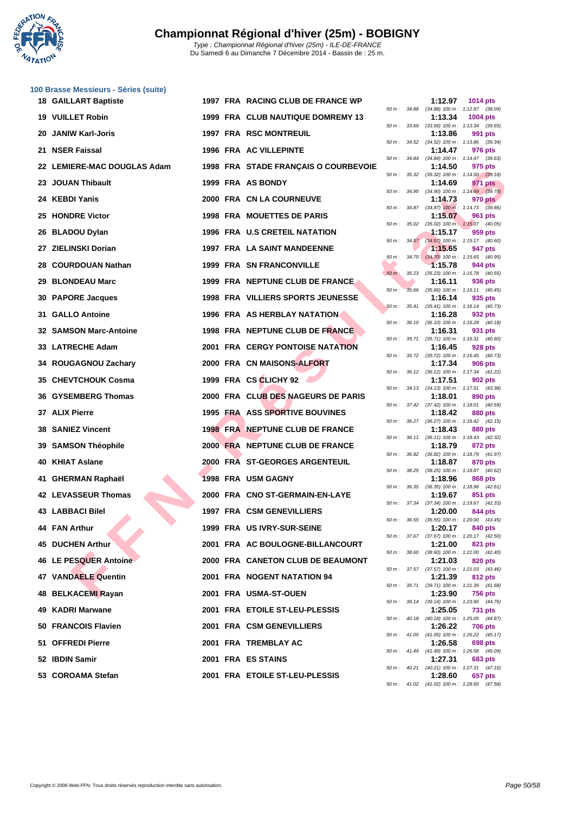

Du Samedi 6 au Dimanche 7 Décembre 2014 - Bassin de : 25 m.

**[100 Brass](http://www.ffnatation.fr/webffn/index.php)e Messieurs - Séries (suite)**

| 18 GAILLART Baptiste        |  | 1997 FRA RACING CLUB DE FRANCE WP        |          |                | 1:12.97 | <b>1014 pts</b>                                               |
|-----------------------------|--|------------------------------------------|----------|----------------|---------|---------------------------------------------------------------|
| 19 VUILLET Robin            |  | <b>1999 FRA CLUB NAUTIQUE DOMREMY 13</b> |          |                | 1:13.34 | 50 m: 34.88 (34.88) 100 m: 1:12.97 (38.09)<br><b>1004 pts</b> |
| 20  JANIW Karl-Joris        |  | 1997 FRA RSC MONTREUIL                   |          | 50 m : 33.69   | 1:13.86 | $(33.69)$ 100 m : 1:13.34 $(39.65)$<br>991 pts                |
| 21 NSER Faissal             |  | <b>1996 FRA AC VILLEPINTE</b>            |          | 50 m : 34.52   | 1:14.47 | $(34.52)$ 100 m : 1:13.86 $(39.34)$<br>976 pts                |
| 22 LEMIERE-MAC DOUGLAS Adam |  | 1998 FRA STADE FRANÇAIS O COURBEVOIE     |          |                | 1:14.50 | 50 m: 34.84 (34.84) 100 m: 1:14.47 (39.63)<br>975 pts         |
| 23 JOUAN Thibault           |  | 1999 FRA AS BONDY                        |          |                | 1:14.69 | 50 m: 35.32 (35.32) 100 m: 1:14.50 (39.18)<br>971 pts         |
| 24 KEBDI Yanis              |  | 2000 FRA CN LA COURNEUVE                 |          | 50 m : 34.90   | 1:14.73 | $(34.90)$ 100 m : 1:14.69 $(39.79)$<br>970 pts                |
| 25 HONDRE Victor            |  | <b>1998 FRA MOUETTES DE PARIS</b>        |          |                | 1:15.07 | 50 m: 34.87 (34.87) 100 m: 1:14.73 (39.86)<br>961 pts         |
| 26 BLADOU Dylan             |  | 1996 FRA U.S CRETEIL NATATION            |          |                | 1:15.17 | 50 m: 35.02 (35.02) 100 m: 1:15.07 (40.05)<br>959 pts         |
| 27 ZIELINSKI Dorian         |  | 1997 FRA LA SAINT MANDEENNE              |          |                | 1:15.65 | 50 m: 34.57 (34.57) 100 m: 1:15.17 (40.60)<br>947 pts         |
|                             |  | <b>1999 FRA SN FRANCONVILLE</b>          |          |                |         | 50 m: 34.70 (34.70) 100 m: 1:15.65 (40.95)                    |
| 28 COURDOUAN Nathan         |  |                                          |          |                | 1:15.78 | 944 pts<br>50 m: 35.23 (35.23) 100 m: 1:15.78 (40.55)         |
| 29 BLONDEAU Marc            |  | 1999 FRA NEPTUNE CLUB DE FRANCE          | $50 m$ : | 35.66          | 1:16.11 | 936 pts<br>$(35.66)$ 100 m : 1:16.11 $(40.45)$                |
| 30 PAPORE Jacques           |  | <b>1998 FRA VILLIERS SPORTS JEUNESSE</b> |          | $50 m$ : 35.41 | 1:16.14 | 935 pts<br>$(35.41)$ 100 m : 1:16.14 $(40.73)$                |
| <b>31 GALLO Antoine</b>     |  | <b>1996 FRA AS HERBLAY NATATION</b>      |          |                | 1:16.28 | 932 pts<br>50 m: 36.10 (36.10) 100 m: 1:16.28 (40.18)         |
| 32 SAMSON Marc-Antoine      |  | 1998 FRA NEPTUNE CLUB DE FRANCE          |          | 50 m : 35.71   | 1:16.31 | 931 pts<br>$(35.71)$ 100 m : 1:16.31 $(40.60)$                |
| 33 LATRECHE Adam            |  | <b>2001 FRA CERGY PONTOISE NATATION</b>  |          |                | 1:16.45 | 928 pts<br>50 m: 35.72 (35.72) 100 m: 1:16.45 (40.73)         |
| 34 ROUGAGNOU Zachary        |  | 2000 FRA CN MAISONS-ALFORT               |          |                | 1:17.34 | <b>906 pts</b>                                                |
| 35   CHEVTCHOUK Cosma       |  | 1999 FRA CS CLICHY 92                    |          |                | 1:17.51 | 50 m: 36.12 (36.12) 100 m: 1:17.34 (41.22)<br>902 pts         |
| 36 GYSEMBERG Thomas         |  | 2000 FRA CLUB DES NAGEURS DE PARIS       |          |                | 1:18.01 | 50 m: 34.13 (34.13) 100 m: 1:17.51 (43.38)<br>890 pts         |
| 37 ALIX Pierre              |  | 1995 FRA ASS SPORTIVE BOUVINES           |          |                | 1:18.42 | 50 m: 37.42 (37.42) 100 m: 1:18.01 (40.59)<br>880 pts         |
| <b>38 SANIEZ Vincent</b>    |  | <b>1998 FRA NEPTUNE CLUB DE FRANCE</b>   |          |                | 1:18.43 | 50 m: 36.27 (36.27) 100 m: 1:18.42 (42.15)<br>880 pts         |
| 39 SAMSON Théophile         |  | 2000 FRA NEPTUNE CLUB DE FRANCE          |          |                | 1:18.79 | 50 m: 36.11 (36.11) 100 m: 1:18.43 (42.32)<br>872 pts         |
| 40 KHIAT Aslane             |  | 2000 FRA ST-GEORGES ARGENTEUIL           |          | 50 m : 36.82   | 1:18.87 | $(36.82)$ 100 m : 1:18.79 $(41.97)$<br>870 pts                |
| 41 GHERMAN Raphaël          |  | 1998 FRA USM GAGNY                       |          |                | 1:18.96 | 50 m: 38.25 (38.25) 100 m: 1:18.87 (40.62)<br>868 pts         |
| 42 LEVASSEUR Thomas         |  | 2000 FRA CNO ST-GERMAIN-EN-LAYE          | 50 m :   | 36.35          | 1:19.67 | $(36.35)$ 100 m : 1:18.96 $(42.61)$<br>851 pts                |
|                             |  |                                          |          |                |         | 50 m: 37.34 (37.34) 100 m: 1:19.67 (42.33)                    |
| 43   LABBACI Bilel          |  | 1997 FRA CSM GENEVILLIERS                |          |                | 1:20.00 | 844 pts<br>50 m: 36.55 (36.55) 100 m: 1:20.00 (43.45)         |
| 44 FAN Arthur               |  | 1999 FRA US IVRY-SUR-SEINE               |          |                |         | 1:20.17 840 pts<br>50 m: 37.67 (37.67) 100 m: 1:20.17 (42.50) |
| <b>45 DUCHEN Arthur</b>     |  | 2001 FRA AC BOULOGNE-BILLANCOURT         |          |                | 1:21.00 | 821 pts<br>50 m: 38.60 (38.60) 100 m: 1:21.00 (42.40)         |
| 46 LE PESQUER Antoine       |  | 2000 FRA CANETON CLUB DE BEAUMONT        |          |                | 1:21.03 | 820 pts<br>50 m: 37.57 (37.57) 100 m: 1:21.03 (43.46)         |
| 47 VANDAELE Quentin         |  | 2001 FRA NOGENT NATATION 94              |          |                | 1:21.39 | 812 pts<br>50 m: 39.71 (39.71) 100 m: 1:21.39 (41.68)         |
| 48 BELKACEMI Rayan          |  | 2001 FRA USMA-ST-OUEN                    |          |                | 1:23.90 | <b>756 pts</b><br>50 m: 39.14 (39.14) 100 m: 1:23.90 (44.76)  |
| 49 KADRI Marwane            |  | 2001 FRA ETOILE ST-LEU-PLESSIS           |          |                | 1:25.05 | <b>731 pts</b>                                                |
| 50 FRANCOIS Flavien         |  | 2001 FRA CSM GENEVILLIERS                |          |                | 1:26.22 | 50 m: 40.18 (40.18) 100 m: 1:25.05 (44.87)<br>706 pts         |
| 51 OFFREDI Pierre           |  | 2001 FRA TREMBLAY AC                     |          |                | 1:26.58 | 50 m: 41.05 (41.05) 100 m: 1:26.22 (45.17)<br>698 pts         |
| 52 IBDIN Samir              |  | 2001 FRA ES STAINS                       |          |                | 1:27.31 | 50 m: 41.49 (41.49) 100 m: 1:26.58 (45.09)<br>683 pts         |
| 53 COROAMA Stefan           |  | 2001 FRA ETOILE ST-LEU-PLESSIS           |          |                | 1:28.60 | 50 m: 40.21 (40.21) 100 m: 1:27.31 (47.10)<br>657 pts         |
|                             |  |                                          |          |                |         |                                                               |

|          |       | 1:12.97                      | 1014 pts                             |
|----------|-------|------------------------------|--------------------------------------|
| 50 m :   | 34.88 | $(34.88) 100 m$ :            | 1:12.97<br>(38.09)                   |
| $50 m$ : | 33.69 | 1:13.34<br>$(33.69) 100 m$ : | 1004 pts<br>1:13.34<br>(39.65)       |
|          |       | 1:13.86                      | 991 pts                              |
| $50 m$ : | 34.52 | $(34.52) 100 m$ :            | 1:13.86<br>(39.34)                   |
| $50 m$ : | 34.84 | 1:14.47<br>$(34.84) 100 m$ : | 976 pts<br>1:14.47<br>(39.63)        |
|          |       | 1:14.50                      | 975 pts                              |
| $50 m$ : | 35.32 | $(35.32) 100 m$ :<br>1:14.69 | 1:14.50<br>(39.18)<br>971<br>pts     |
| $50 m$ : | 34.90 | $(34.90)$ 100 m :            | 1:14.69<br>(39.79)                   |
|          |       | 1:14.73                      | <b>970 pts</b>                       |
| $50 m$ : | 34.87 | $(34.87)$ 100 m:<br>1:15.07  | 1:14.73<br>(39.86)<br>961<br>pts     |
| $50 m$ : | 35.02 | $(35.02)$ 100 m :            | 1:15.07<br>(40.05)                   |
| $50 m$ : | 34.57 | 1:15.17<br>$(34.57)$ 100 m : | 959 pts<br>1:15.17<br>(40.60)        |
|          |       | 1:15.65                      | 947 pts                              |
| 50 m :   | 34.70 | $(34.70)$ 100 m :            | 1:15.65<br>(40.95)                   |
| $50 m$ : | 35.23 | 1:15.78<br>$(35.23) 100 m$ : | 944 pts<br>1:15.78<br>(40.55)        |
|          |       | 1:16.11                      | 936 pts                              |
| $50 m$ : | 35.66 | $(35.66) 100 m$ :            | 1:16.11<br>(40.45)                   |
| $50 m$ : | 35.41 | 1:16.14<br>$(35.41)$ 100 m : | 935<br>pts<br>1:16.14<br>(40.73)     |
|          |       | 1:16.28                      | 932 pts                              |
| $50 m$ : | 36.10 | $(36.10) 100 m$ :<br>1:16.31 | 1:16.28<br>(40.18)<br>931 pts        |
| $50 m$ : | 35.71 | $(35.71)$ 100 m :            | 1:16.31<br>(40.60)                   |
|          |       | 1:16.45                      | <b>928 pts</b>                       |
| 50 m :   | 35.72 | $(35.72) 100 m$ :<br>1:17.34 | 1:16.45<br>(40.73)<br><b>906 pts</b> |
| $50 m$ : | 36.12 | $(36.12) 100 m$ :            | 1:17.34<br>(41.22)                   |
| $50 m$ : | 34.13 | 1:17.51<br>$(34.13) 100 m$ : | <b>902 pts</b><br>1:17.51<br>(43.38) |
|          |       | 1:18.01                      | 890 pts                              |
| $50 m$ : | 37.42 | $(37.42) 100 m$ :            | 1:18.01<br>(40.59)                   |
| $50 m$ : | 36.27 | 1:18.42<br>$(36.27) 100 m$ : | <b>880 pts</b><br>1:18.42<br>(42.15) |
|          |       | 1:18.43                      | <b>880 pts</b>                       |
| $50 m$ : | 36.11 | $(36.11) 100 m$ :<br>1:18.79 | 1:18.43<br>(42.32)<br>872 pts        |
| $50 m$ : | 36.82 | $(36.82) 100 m$ :            | 1:18.79<br>(41.97)                   |
| $50 m$ : | 38.25 | 1:18.87                      | 870 pts<br>1:18.87<br>(40.62)        |
|          |       | $(38.25) 100 m$ :<br>1:18.96 | <b>868 pts</b>                       |
| $50 m$ : | 36.35 | $(36.35) 100 m$ :            | 1:18.96<br>(42.61)                   |
| $50 m$ : | 37.34 | 1:19.67<br>$(37.34) 100 m$ : | 851<br>pts<br>1:19.67<br>(42.33)     |
|          |       | 1:20.00                      | <b>844 pts</b>                       |
| $50 m$ : | 36.55 | $(36.55)$ 100 m :<br>1:20.17 | 1:20.00<br>(43.45)<br>840 pts        |
| $50 m$ : | 37.67 | (37.67) 100 m :              | 1:20.17<br>(42.50)                   |
|          |       | 1:21.00                      | 821 pts                              |
| $50 m$ : | 38.60 | $(38.60)$ 100 m :<br>1:21.03 | 1:21.00<br>(42.40)<br>820 pts        |
| $50 m$ : | 37.57 | $(37.57)$ 100 m :            | 1:21.03<br>(43.46)                   |
| $50 m$ : | 39.71 | 1:21.39<br>$(39.71) 100 m$ : | <b>812 pts</b><br>1:21.39<br>(41.68) |
|          |       | 1:23.90                      | <b>756 pts</b>                       |
| $50 m$ : | 39.14 | $(39.14) 100 m$ :            | 1:23.90<br>(44.76)                   |
| $50 m$ : | 40.18 | 1:25.05<br>$(40.18) 100 m$ : | <b>731 pts</b><br>1:25.05<br>(44.87) |
|          |       | 1:26.22                      | <b>706 pts</b>                       |
| $50 m$ : | 41.05 | $(41.05) 100 m$ :<br>1:26.58 | 1:26.22<br>(45.17)<br><b>698 pts</b> |
| $50 m$ : | 41.49 | $(41.49) 100 m$ :            | 1:26.58<br>(45.09)                   |
|          |       | 1:27.31                      | <b>683 pts</b>                       |
| $50 m$ : | 40.21 | $(40.21)$ 100 m :<br>1:28.60 | 1:27.31<br>(47.10)<br>657 pts        |
| $50 m$ : | 41.02 | $(41.02) 100 m$ :            | (47.58)<br>1:28.60                   |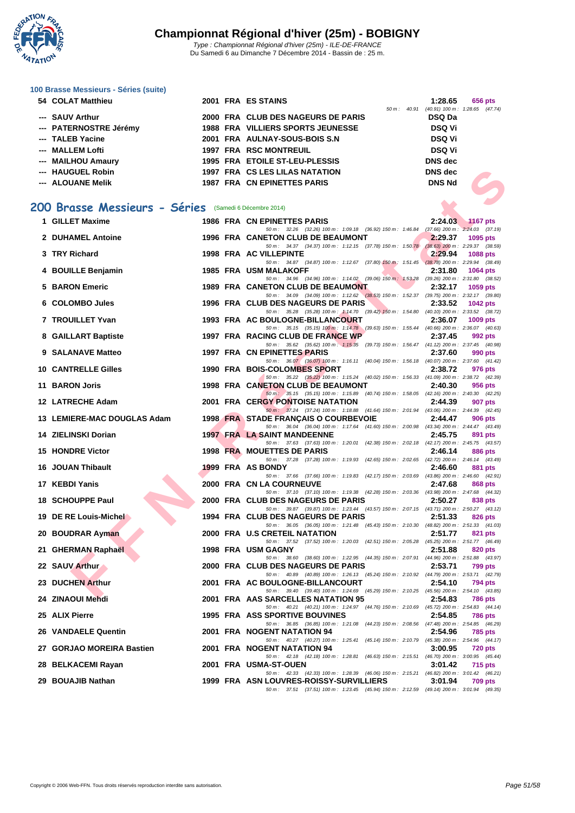

# **[100 Brass](http://www.ffnatation.fr/webffn/index.php)e Messieurs - Séries (suite)**

| 54 COLAT Matthieu      |  | 2001 FRA ES STAINS                    |                          | 1:28.65                             |  | 656 pts |
|------------------------|--|---------------------------------------|--------------------------|-------------------------------------|--|---------|
|                        |  |                                       | $50 \text{ m}$ : $40.91$ | $(40.91)$ 100 m : 1:28.65 $(47.74)$ |  |         |
| --- SAUV Arthur        |  | 2000 FRA CLUB DES NAGEURS DE PARIS    |                          | DSQ Da                              |  |         |
| --- PATERNOSTRE Jérémy |  | 1988 FRA VILLIERS SPORTS JEUNESSE     |                          | <b>DSQ Vi</b>                       |  |         |
| --- TALEB Yacine       |  | 2001 FRA AULNAY-SOUS-BOIS S.N.        |                          | <b>DSQ Vi</b>                       |  |         |
| --- MALLEM Lofti       |  | <b>1997 FRA RSC MONTREUIL</b>         |                          | <b>DSQ Vi</b>                       |  |         |
| --- MAILHOU Amaury     |  | 1995 FRA ETOILE ST-LEU-PLESSIS        |                          | <b>DNS</b> dec                      |  |         |
| --- HAUGUEL Robin      |  | <b>1997 FRA CS LES LILAS NATATION</b> |                          | <b>DNS</b> dec                      |  |         |
| --- ALOUANE Melik      |  | 1987 FRA CN EPINETTES PARIS           |                          | <b>DNS Nd</b>                       |  |         |

### **200 Brasse Messieurs - Séries** (Samedi 6 Décembre 2014)

| --- HAUGUEL Robin                                     |  | 1997 FRA CS LES LILAS NATATION                                                                                                      | <b>DNS</b> dec |                 |
|-------------------------------------------------------|--|-------------------------------------------------------------------------------------------------------------------------------------|----------------|-----------------|
| --- ALOUANE Melik                                     |  | <b>1987 FRA CN EPINETTES PARIS</b>                                                                                                  | <b>DNS Nd</b>  |                 |
|                                                       |  |                                                                                                                                     |                |                 |
| 00 Brasse Messieurs - Séries (Samedi 6 Décembre 2014) |  |                                                                                                                                     |                |                 |
| 1 GILLET Maxime                                       |  | <b>1986 FRA CN EPINETTES PARIS</b>                                                                                                  | 2:24.03        | <b>1167 pts</b> |
|                                                       |  | 50 m: 32.26 (32.26) 100 m: 1:09.18 (36.92) 150 m: 1:46.84 (37.66) 200 m: 2:24.03 (37.19)                                            |                |                 |
| 2 DUHAMEL Antoine                                     |  | 1996 FRA CANETON CLUB DE BEAUMONT<br>50 m: 34.37 (34.37) 100 m: 1:12.15 (37.78) 150 m: 1:50.78 (38.63) 200 m: 2:29.37 (38.59)       | 2:29.37        | 1095 pts        |
| 3 TRY Richard                                         |  | 1998 FRA AC VILLEPINTE                                                                                                              | 2:29.94        | <b>1088 pts</b> |
|                                                       |  | 50 m: 34.87 (34.87) 100 m: 1:12.67 (37.80) 150 m: 1:51.45 (38.78) 200 m: 2:29.94 (38.49)                                            |                |                 |
| 4 BOUILLE Benjamin                                    |  | <b>1985 FRA USM MALAKOFF</b><br>50 m: 34.96 (34.96) 100 m: 1:14.02 (39.06) 150 m: 1:53.28 (39.26) 200 m: 2:31.80 (38.52)            | 2:31.80        | <b>1064 pts</b> |
| 5 BARON Emeric                                        |  | 1989 FRA CANETON CLUB DE BEAUMONT                                                                                                   | 2:32.17        | 1059 pts        |
| 6 COLOMBO Jules                                       |  | 50 m: 34.09 (34.09) 100 m: 1:12.62 (38.53) 150 m: 1:52.37 (39.75) 200 m: 2:32.17 (39.80)<br>1996 FRA CLUB DES NAGEURS DE PARIS      | 2:33.52        |                 |
|                                                       |  | 50 m: 35.28 (35.28) 100 m: 1:14.70 (39.42) 150 m: 1:54.80 (40.10) 200 m: 2:33.52 (38.72)                                            |                | <b>1042 pts</b> |
| 7 TROUILLET Yvan                                      |  | 1993 FRA AC BOULOGNE-BILLANCOURT                                                                                                    | 2:36.07        | 1009 pts        |
|                                                       |  | 50 m: 35.15 (35.15) 100 m: 1:14.78 (39.63) 150 m: 1:55.44 (40.66) 200 m: 2:36.07 (40.63)<br>1997 FRA RACING CLUB DE FRANCE WP       | 2:37.45        |                 |
| 8 GAILLART Baptiste                                   |  | 50 m: 35.62 (35.62) 100 m: 1:15.35 (39.73) 150 m: 1:56.47 (41.12) 200 m: 2:37.45 (40.98)                                            |                | 992 pts         |
| 9 SALANAVE Matteo                                     |  | 1997 FRA CN EPINETTES PARIS                                                                                                         | 2:37.60        | 990 pts         |
|                                                       |  | 50 m: 36.07 (36.07) 100 m: 1:16.11 (40.04) 150 m: 1:56.18 (40.07) 200 m: 2:37.60 (41.42)                                            |                |                 |
| <b>10 CANTRELLE Gilles</b>                            |  | 1990 FRA BOIS-COLOMBES SPORT<br>50 m: 35.22 (35.22) 100 m: 1:15.24 (40.02) 150 m: 1:56.33 (41.09) 200 m: 2:38.72 (42.39)            | 2:38.72        | 976 pts         |
| 11 BARON Joris                                        |  | 1998 FRA CANETON CLUB DE BEAUMONT                                                                                                   | 2:40.30        | 956 pts         |
|                                                       |  | 50 m: 35.15 (35.15) 100 m: 1:15.89 (40.74) 150 m: 1:58.05 (42.16) 200 m: 2:40.30 (42.25)                                            |                |                 |
| 12 LATRECHE Adam                                      |  | <b>2001 FRA CERGY PONTOISE NATATION</b><br>50 m: 37.24 (37.24) 100 m: 1:18.88 (41.64) 150 m: 2:01.94 (43.06) 200 m: 2:44.39 (42.45) | 2:44.39        | 907 pts         |
| 13 LEMIERE-MAC DOUGLAS Adam                           |  | 1998 FRA STADE FRANÇAIS O COURBEVOIE                                                                                                | 2:44.47        | 906 pts         |
|                                                       |  | 50 m: 36.04 (36.04) 100 m: 1:17.64 (41.60) 150 m: 2:00.98 (43.34) 200 m: 2:44.47 (43.49)                                            |                |                 |
| 14 ZIELINSKI Dorian                                   |  | 1997 FRA LA SAINT MANDEENNE<br>50 m: 37.63 (37.63) 100 m: 1:20.01 (42.38) 150 m: 2:02.18 (42.17) 200 m: 2:45.75 (43.57)             | 2:45.75        | 891 pts         |
| <b>15 HONDRE Victor</b>                               |  | 1998 FRA MOUETTES DE PARIS                                                                                                          | 2:46.14        | 886 pts         |
|                                                       |  | 50 m: 37.28 (37.28) 100 m: 1:19.93 (42.65) 150 m: 2:02.65 (42.72) 200 m: 2:46.14 (43.49)                                            |                |                 |
| 16 JOUAN Thibault                                     |  | 1999 FRA AS BONDY<br>50 m: 37.66 (37.66) 100 m: 1:19.83 (42.17) 150 m: 2:03.69 (43.86) 200 m: 2:46.60 (42.91)                       | 2:46.60        | 881 pts         |
| 17 KEBDI Yanis                                        |  | 2000 FRA CN LA COURNEUVE                                                                                                            | 2:47.68        | 868 pts         |
|                                                       |  | 50 m: 37.10 (37.10) 100 m: 1:19.38 (42.28) 150 m: 2:03.36 (43.98) 200 m: 2:47.68 (44.32)                                            |                |                 |
| 18 SCHOUPPE Paul                                      |  | 2000 FRA CLUB DES NAGEURS DE PARIS<br>50 m: 39.87 (39.87) 100 m: 1:23.44 (43.57) 150 m: 2:07.15 (43.71) 200 m: 2:50.27 (43.12)      | 2:50.27        | 838 pts         |
| 19 DE RE Louis-Michel                                 |  | 1994 FRA CLUB DES NAGEURS DE PARIS                                                                                                  | 2:51.33        | 826 pts         |
|                                                       |  | 50 m: 36.05 (36.05) 100 m: 1:21.48 (45.43) 150 m: 2:10.30 (48.82) 200 m: 2:51.33 (41.03)                                            |                |                 |
| 20 BOUDRAR Ayman                                      |  | 2000 FRA U.S CRETEIL NATATION<br>50 m: 37.52 (37.52) 100 m: 1:20.03 (42.51) 150 m: 2:05.28 (45.25) 200 m: 2:51.77 (46.49)           | 2:51.77        | 821 pts         |
| 21 GHERMAN Raphaël                                    |  | 1998 FRA USM GAGNY                                                                                                                  | 2:51.88        | 820 pts         |
|                                                       |  | 50 m: 38.60 (38.60) 100 m: 1:22.95 (44.35) 150 m: 2:07.91 (44.96) 200 m: 2:51.88 (43.97)                                            |                |                 |
| 22 SAUV Arthur                                        |  | 2000 FRA CLUB DES NAGEURS DE PARIS<br>50 m: 40.89 (40.89) 100 m: 1:26.13 (45.24) 150 m: 2:10.92 (44.79) 200 m: 2:53.71 (42.79)      | 2:53.71        | <b>799 pts</b>  |
| 23 DUCHEN Arthur                                      |  | 2001 FRA AC BOULOGNE-BILLANCOURT                                                                                                    | 2:54.10        | 794 pts         |
|                                                       |  | 50 m: 39.40 (39.40) 100 m: 1:24.69 (45.29) 150 m: 2:10.25 (45.56) 200 m: 2:54.10 (43.85)                                            |                |                 |
| 24 ZINAOUI Mehdi                                      |  | 2001 FRA AAS SARCELLES NATATION 95<br>50 m: 40.21 (40.21) 100 m: 1:24.97 (44.76) 150 m: 2:10.69 (45.72) 200 m: 2:54.83 (44.14)      | 2:54.83        | 786 pts         |
| 25 ALIX Pierre                                        |  | <b>1995 FRA ASS SPORTIVE BOUVINES</b>                                                                                               | 2:54.85        | <b>786 pts</b>  |
|                                                       |  | 50 m: 36.85 (36.85) 100 m: 1:21.08 (44.23) 150 m: 2:08.56 (47.48) 200 m: 2:54.85 (46.29)                                            |                |                 |
| 26 VANDAELE Quentin                                   |  | 2001 FRA NOGENT NATATION 94                                                                                                         | 2:54.96        | 785 pts         |
| 27 GORJAO MOREIRA Bastien                             |  | 50 m: 40.27 (40.27) 100 m: 1:25.41 (45.14) 150 m: 2:10.79 (45.38) 200 m: 2:54.96 (44.17)<br>2001 FRA NOGENT NATATION 94             | 3:00.95        | <b>720 pts</b>  |
|                                                       |  | 50 m : 42.18 (42.18) 100 m : 1:28.81 (46.63) 150 m : 2:15.51 (46.70) 200 m : 3:00.95 (45.44)                                        |                |                 |
| 28 BELKACEMI Rayan                                    |  | 2001 FRA USMA-ST-OUEN                                                                                                               | 3:01.42        | 715 pts         |
| 29 BOUAJIB Nathan                                     |  | 50 m: 42.33 (42.33) 100 m: 1:28.39 (46.06) 150 m: 2:15.21 (46.82) 200 m: 3:01.42 (46.21)<br>1999 FRA ASN LOUVRES-ROISSY-SURVILLIERS | 3:01.94        | 709 pts         |
|                                                       |  | 50 m: 37.51 (37.51) 100 m: 1:23.45 (45.94) 150 m: 2:12.59 (49.14) 200 m: 3:01.94 (49.35)                                            |                |                 |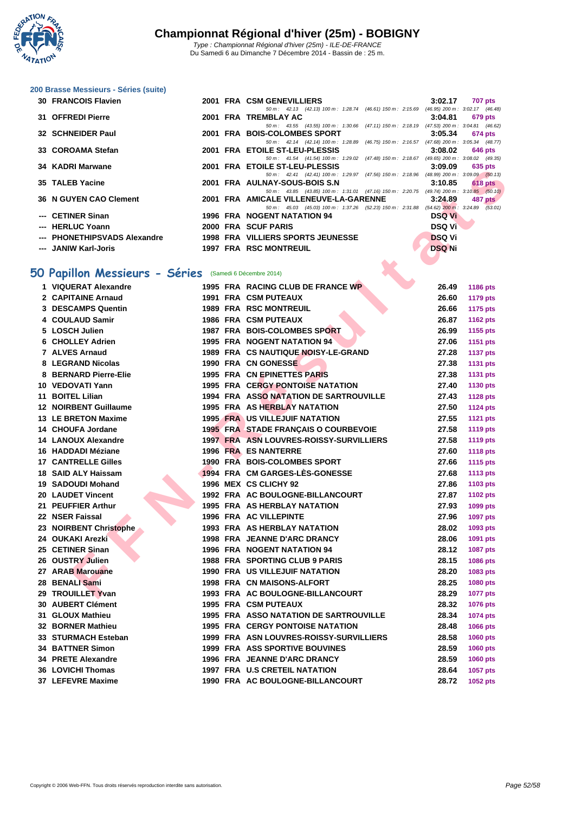

**[200 Brass](http://www.ffnatation.fr/webffn/index.php)e Messieurs - Séries (suite)**

|                                                                                                                                                                                                                                      |  |                                                                                                                                                                                                                                                                                                                                           | 707 pts                                                                                                                                                                                                                                                                                                                                                                                                                                                                                                                                                                                                                                                                                                                                                                                             |
|--------------------------------------------------------------------------------------------------------------------------------------------------------------------------------------------------------------------------------------|--|-------------------------------------------------------------------------------------------------------------------------------------------------------------------------------------------------------------------------------------------------------------------------------------------------------------------------------------------|-----------------------------------------------------------------------------------------------------------------------------------------------------------------------------------------------------------------------------------------------------------------------------------------------------------------------------------------------------------------------------------------------------------------------------------------------------------------------------------------------------------------------------------------------------------------------------------------------------------------------------------------------------------------------------------------------------------------------------------------------------------------------------------------------------|
|                                                                                                                                                                                                                                      |  |                                                                                                                                                                                                                                                                                                                                           |                                                                                                                                                                                                                                                                                                                                                                                                                                                                                                                                                                                                                                                                                                                                                                                                     |
|                                                                                                                                                                                                                                      |  |                                                                                                                                                                                                                                                                                                                                           | 679 pts                                                                                                                                                                                                                                                                                                                                                                                                                                                                                                                                                                                                                                                                                                                                                                                             |
|                                                                                                                                                                                                                                      |  |                                                                                                                                                                                                                                                                                                                                           |                                                                                                                                                                                                                                                                                                                                                                                                                                                                                                                                                                                                                                                                                                                                                                                                     |
|                                                                                                                                                                                                                                      |  |                                                                                                                                                                                                                                                                                                                                           | $3:05.34$ 674 pts                                                                                                                                                                                                                                                                                                                                                                                                                                                                                                                                                                                                                                                                                                                                                                                   |
|                                                                                                                                                                                                                                      |  |                                                                                                                                                                                                                                                                                                                                           |                                                                                                                                                                                                                                                                                                                                                                                                                                                                                                                                                                                                                                                                                                                                                                                                     |
|                                                                                                                                                                                                                                      |  |                                                                                                                                                                                                                                                                                                                                           | $3:08.02$ 646 pts                                                                                                                                                                                                                                                                                                                                                                                                                                                                                                                                                                                                                                                                                                                                                                                   |
|                                                                                                                                                                                                                                      |  |                                                                                                                                                                                                                                                                                                                                           |                                                                                                                                                                                                                                                                                                                                                                                                                                                                                                                                                                                                                                                                                                                                                                                                     |
|                                                                                                                                                                                                                                      |  | 3:09.09                                                                                                                                                                                                                                                                                                                                   | 635 pts                                                                                                                                                                                                                                                                                                                                                                                                                                                                                                                                                                                                                                                                                                                                                                                             |
|                                                                                                                                                                                                                                      |  |                                                                                                                                                                                                                                                                                                                                           |                                                                                                                                                                                                                                                                                                                                                                                                                                                                                                                                                                                                                                                                                                                                                                                                     |
|                                                                                                                                                                                                                                      |  | 3:10.85                                                                                                                                                                                                                                                                                                                                   | $618$ pts                                                                                                                                                                                                                                                                                                                                                                                                                                                                                                                                                                                                                                                                                                                                                                                           |
|                                                                                                                                                                                                                                      |  |                                                                                                                                                                                                                                                                                                                                           |                                                                                                                                                                                                                                                                                                                                                                                                                                                                                                                                                                                                                                                                                                                                                                                                     |
|                                                                                                                                                                                                                                      |  |                                                                                                                                                                                                                                                                                                                                           | 487 pts                                                                                                                                                                                                                                                                                                                                                                                                                                                                                                                                                                                                                                                                                                                                                                                             |
|                                                                                                                                                                                                                                      |  |                                                                                                                                                                                                                                                                                                                                           |                                                                                                                                                                                                                                                                                                                                                                                                                                                                                                                                                                                                                                                                                                                                                                                                     |
|                                                                                                                                                                                                                                      |  | <b>DSQ Vi</b>                                                                                                                                                                                                                                                                                                                             |                                                                                                                                                                                                                                                                                                                                                                                                                                                                                                                                                                                                                                                                                                                                                                                                     |
|                                                                                                                                                                                                                                      |  |                                                                                                                                                                                                                                                                                                                                           |                                                                                                                                                                                                                                                                                                                                                                                                                                                                                                                                                                                                                                                                                                                                                                                                     |
|                                                                                                                                                                                                                                      |  |                                                                                                                                                                                                                                                                                                                                           |                                                                                                                                                                                                                                                                                                                                                                                                                                                                                                                                                                                                                                                                                                                                                                                                     |
|                                                                                                                                                                                                                                      |  |                                                                                                                                                                                                                                                                                                                                           |                                                                                                                                                                                                                                                                                                                                                                                                                                                                                                                                                                                                                                                                                                                                                                                                     |
|                                                                                                                                                                                                                                      |  |                                                                                                                                                                                                                                                                                                                                           |                                                                                                                                                                                                                                                                                                                                                                                                                                                                                                                                                                                                                                                                                                                                                                                                     |
| 31 OFFREDI Pierre<br>32 SCHNEIDER Paul<br>33 COROAMA Stefan<br>34 KADRI Marwane<br>35 TALEB Yacine<br><b>36 N GUYEN CAO Clement</b><br>--- CETINER Sinan<br>--- HERLUC Yoann<br>--- PHONETHIPSVADS Alexandre<br>--- JANIW Karl-Joris |  | 30 FRANCOIS Flavien<br>2001 FRA CSM GENEVILLIERS<br>2001 FRA TREMBLAY AC<br>2001 FRA BOIS-COLOMBES SPORT<br>2001 FRA ETOILE ST-LEU-PLESSIS<br>2001 FRA ETOILE ST-LEU-PLESSIS<br>2001 FRA AULNAY-SOUS-BOIS S.N<br>1996 FRA NOGENT NATATION 94<br>2000 FRA SCUF PARIS<br><b>1998 FRA VILLIERS SPORTS JEUNESSE</b><br>1997 FRA RSC MONTREUIL | 3:02.17<br>50 m: 42.13 (42.13) 100 m: 1:28.74 (46.61) 150 m: 2:15.69 (46.95) 200 m: 3:02.17 (46.48)<br>3:04.81<br>50 m: 43.55 (43.55) 100 m: 1:30.66 (47.11) 150 m: 2:18.19 (47.53) 200 m: 3:04.81 (46.62)<br>50 m: 42.14 (42.14) 100 m: 1:28.89 (46.75) 150 m: 2:16.57 (47.68) 200 m: 3:05.34 (48.77)<br>50 m: 41.54 (41.54) 100 m: 1:29.02 (47.48) 150 m: 2:18.67 (49.65) 200 m: 3:08.02 (49.35)<br>50 m: 42.41 (42.41) 100 m: 1:29.97 (47.56) 150 m: 2:18.96 (48.99) 200 m: 3:09.09 (50.13)<br>50 m: 43.85 (43.85) 100 m: 1:31.01 (47.16) 150 m: 2:20.75 (49.74) 200 m: 3:10.85 (50.10)<br>2001 FRA_AMICALE VILLENEUVE-LA-GARENNE       3:24.89<br>50 m: 45.03 (45.03) 100 m: 1:37.26 (52.23) 150 m: 2:31.88 (54.62) 200 m: 3:24.89 (53.01)<br><b>DSQ Vive</b><br><b>DSQ Vi</b><br><b>DSQ Ni</b> |

### **50 Papillon Messieurs - Séries** (Samedi 6 Décembre 2014)

| סווגאו ואוטו ורושרעז                                   |  | <b>INALLIOILL STELD-LEUSIS</b>                                                                                                     | J.VJ.VJ       | <b>000 pro</b>  |
|--------------------------------------------------------|--|------------------------------------------------------------------------------------------------------------------------------------|---------------|-----------------|
| 35 TALEB Yacine                                        |  | 50 m : 42.41 (42.41) 100 m : 1:29.97 (47.56) 150 m : 2:18.96 (48.99) 200 m : 3:09.09 (50.13)<br>2001 FRA AULNAY-SOUS-BOIS S.N      | 3:10.85       | <b>618 pts</b>  |
| 36 N GUYEN CAO Clement                                 |  | 50 m: 43.85 (43.85) 100 m: 1:31.01 (47.16) 150 m: 2:20.75 (49.74) 200 m: 3:10.85 (50.10)<br>2001 FRA AMICALE VILLENEUVE-LA-GARENNE | 3:24.89       | 487 pts         |
|                                                        |  | 50 m: 45.03 (45.03) 100 m: 1:37.26 (52.23) 150 m: 2:31.88 (54.62) 200 m: 3:24.89 (53.01)                                           |               |                 |
| --- CETINER Sinan                                      |  | <b>1996 FRA NOGENT NATATION 94</b>                                                                                                 | DSQ Vi        |                 |
| --- HERLUC Yoann                                       |  | 2000 FRA SCUF PARIS                                                                                                                | <b>DSQ Vi</b> |                 |
| <b>PHONETHIPSVADS Alexandre</b>                        |  | <b>1998 FRA VILLIERS SPORTS JEUNESSE</b>                                                                                           | <b>DSQ Vi</b> |                 |
| <b>JANIW Karl-Joris</b>                                |  | <b>1997 FRA RSC MONTREUIL</b>                                                                                                      | <b>DSQ Ni</b> |                 |
|                                                        |  |                                                                                                                                    |               |                 |
| O Papillon Messieurs - Séries (Samedi 6 Décembre 2014) |  |                                                                                                                                    |               |                 |
| 1 VIQUERAT Alexandre                                   |  | 1995 FRA RACING CLUB DE FRANCE WP                                                                                                  | 26.49         | <b>1186 pts</b> |
| 2 CAPITAINE Arnaud                                     |  | <b>1991 FRA CSM PUTEAUX</b>                                                                                                        | 26.60         | <b>1179 pts</b> |
| 3 DESCAMPS Quentin                                     |  | <b>1989 FRA RSC MONTREUIL</b>                                                                                                      | 26.66         | 1175 pts        |
| 4 COULAUD Samir                                        |  | <b>1986 FRA CSM PUTEAUX</b>                                                                                                        | 26.87         | 1162 pts        |
| 5 LOSCH Julien                                         |  | 1987 FRA BOIS-COLOMBES SPORT                                                                                                       | 26.99         | 1155 pts        |
| 6 CHOLLEY Adrien                                       |  | 1995 FRA NOGENT NATATION 94                                                                                                        | 27.06         | 1151 pts        |
| 7 ALVES Arnaud                                         |  | 1989 FRA CS NAUTIQUE NOISY-LE-GRAND                                                                                                | 27.28         | <b>1137 pts</b> |
| 8 LEGRAND Nicolas                                      |  | 1990 FRA CN GONESSE                                                                                                                | 27.38         | <b>1131 pts</b> |
| 8 BERNARD Pierre-Elie                                  |  | <b>1995 FRA CN EPINETTES PARIS</b>                                                                                                 | 27.38         | <b>1131 pts</b> |
| 10 VEDOVATI Yann                                       |  | <b>1995 FRA CERGY PONTOISE NATATION</b>                                                                                            | 27.40         | <b>1130 pts</b> |
| 11 BOITEL Lilian                                       |  | 1994 FRA ASSO NATATION DE SARTROUVILLE                                                                                             | 27.43         | <b>1128 pts</b> |
| <b>12 NOIRBENT Guillaume</b>                           |  | 1995 FRA AS HERBLAY NATATION                                                                                                       | 27.50         | <b>1124 pts</b> |
| 13 LE BRETON Maxime                                    |  | <b>1995 FRA US VILLEJUIF NATATION</b>                                                                                              | 27.55         | <b>1121 pts</b> |
| 14 CHOUFA Jordane                                      |  | 1995 FRA STADE FRANÇAIS O COURBEVOIE                                                                                               | 27.58         | <b>1119 pts</b> |
| 14 LANOUX Alexandre                                    |  | 1997 FRA ASN LOUVRES-ROISSY-SURVILLIERS                                                                                            | 27.58         | <b>1119 pts</b> |
| 16 HADDADI Méziane                                     |  | 1996 FRA ES NANTERRE                                                                                                               | 27.60         | <b>1118 pts</b> |
| <b>17 CANTRELLE Gilles</b>                             |  | <b>1990 FRA BOIS-COLOMBES SPORT</b>                                                                                                | 27.66         | <b>1115 pts</b> |
| 18 SAID ALY Haissam                                    |  | 1994 FRA CM GARGES-LÈS-GONESSE                                                                                                     | 27.68         | <b>1113 pts</b> |
| 19 SADOUDI Mohand                                      |  | 1996 MEX CS CLICHY 92                                                                                                              | 27.86         | 1103 pts        |
| 20 LAUDET Vincent                                      |  | 1992 FRA AC BOULOGNE-BILLANCOURT                                                                                                   | 27.87         | <b>1102 pts</b> |
| 21 PEUFFIER Arthur                                     |  | 1995 FRA AS HERBLAY NATATION                                                                                                       | 27.93         | 1099 pts        |
| 22 NSER Faissal                                        |  | 1996 FRA AC VILLEPINTE                                                                                                             | 27.96         | 1097 pts        |
| 23 NOIRBENT Christophe                                 |  | 1993 FRA AS HERBLAY NATATION                                                                                                       | 28.02         | 1093 pts        |
| 24 OUKAKI Arezki                                       |  | 1998 FRA JEANNE D'ARC DRANCY                                                                                                       | 28.06         | 1091 pts        |
| 25 CETINER Sinan                                       |  | 1996 FRA NOGENT NATATION 94                                                                                                        | 28.12         | 1087 pts        |
| 26 OUSTRY Julien                                       |  | 1988 FRA SPORTING CLUB 9 PARIS                                                                                                     | 28.15         | <b>1086 pts</b> |
| 27 ARAB Marouane                                       |  | <b>1990 FRA US VILLEJUIF NATATION</b>                                                                                              | 28.20         | 1083 pts        |
| 28 BENALI Sami                                         |  | <b>1998 FRA CN MAISONS-ALFORT</b>                                                                                                  | 28.25         | <b>1080 pts</b> |
| 29 TROUILLET Yvan                                      |  | 1993 FRA AC BOULOGNE-BILLANCOURT                                                                                                   | 28.29         | <b>1077 pts</b> |
| 30 AUBERT Clément                                      |  | 1995 FRA CSM PUTEAUX                                                                                                               | 28.32         | 1076 pts        |
| 31 GLOUX Mathieu                                       |  | 1995 FRA ASSO NATATION DE SARTROUVILLE                                                                                             | 28.34         | 1074 pts        |
| 32 BORNER Mathieu                                      |  | <b>1995 FRA CERGY PONTOISE NATATION</b>                                                                                            | 28.48         | 1066 pts        |
| 33 STURMACH Esteban                                    |  | 1999 FRA ASN LOUVRES-ROISSY-SURVILLIERS                                                                                            | 28.58         | 1060 pts        |
| <b>34 BATTNER Simon</b>                                |  | 1999 FRA ASS SPORTIVE BOUVINES                                                                                                     | 28.59         | 1060 pts        |
| <b>34 PRETE Alexandre</b>                              |  | 1996 FRA JEANNE D'ARC DRANCY                                                                                                       | 28.59         | 1060 pts        |
| 36 LOVICHI Thomas                                      |  | 1997 FRA U.S CRETEIL NATATION                                                                                                      | 28.64         | 1057 pts        |
| 37 LEFEVRE Maxime                                      |  | 1990 FRA AC BOULOGNE-BILLANCOURT                                                                                                   | 28.72         | <b>1052 pts</b> |
|                                                        |  |                                                                                                                                    |               |                 |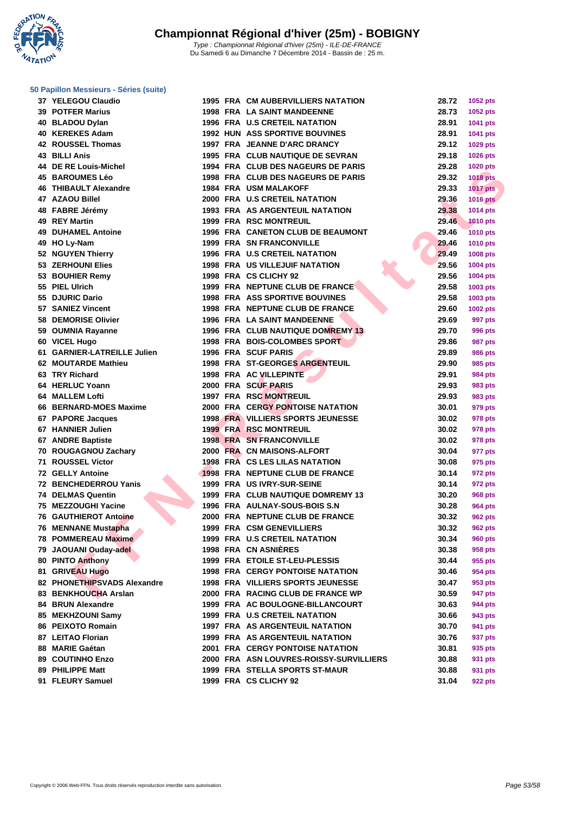**WATATION**  $^{\prime}$ 

### **[50 Papillo](http://www.ffnatation.fr/webffn/index.php)n Messieurs - Séries (suite)**

| 37 YELEGOU Claudio           |  | <b>1995 FRA CM AUBERVILLIERS NATATION</b> | 28.72 | 1052 pts        |
|------------------------------|--|-------------------------------------------|-------|-----------------|
| <b>39 POTFER Marius</b>      |  | <b>1998 FRA LA SAINT MANDEENNE</b>        | 28.73 | 1052 pts        |
| 40 BLADOU Dylan              |  | <b>1996 FRA U.S CRETEIL NATATION</b>      | 28.91 | 1041 pts        |
| 40 KEREKES Adam              |  | <b>1992 HUN ASS SPORTIVE BOUVINES</b>     | 28.91 | 1041 pts        |
| 42 ROUSSEL Thomas            |  | 1997 FRA JEANNE D'ARC DRANCY              | 29.12 | 1029 pts        |
| 43 BILLI Anis                |  | 1995 FRA CLUB NAUTIQUE DE SEVRAN          | 29.18 | <b>1026 pts</b> |
| 44 DE RE Louis-Michel        |  | 1994 FRA CLUB DES NAGEURS DE PARIS        | 29.28 | <b>1020 pts</b> |
| <b>45 BAROUMES Léo</b>       |  | 1998 FRA CLUB DES NAGEURS DE PARIS        | 29.32 | <b>1018 pts</b> |
| <b>46 THIBAULT Alexandre</b> |  | <b>1984 FRA USM MALAKOFF</b>              | 29.33 | <b>1017 pts</b> |
| 47 AZAOU Billel              |  | 2000 FRA U.S CRETEIL NATATION             | 29.36 | <b>1016 pts</b> |
| 48 FABRE Jérémy              |  | 1993 FRA AS ARGENTEUIL NATATION           | 29.38 | <b>1014 pts</b> |
| 49 REY Martin                |  | <b>1999 FRA RSC MONTREUIL</b>             | 29.46 | <b>1010 pts</b> |
| <b>49 DUHAMEL Antoine</b>    |  | 1996 FRA CANETON CLUB DE BEAUMONT         | 29.46 | <b>1010 pts</b> |
| 49 HO Ly-Nam                 |  | <b>1999 FRA SN FRANCONVILLE</b>           | 29.46 | <b>1010 pts</b> |
| 52 NGUYEN Thierry            |  | 1996 FRA U.S CRETEIL NATATION             | 29.49 | <b>1008 pts</b> |
| 53 ZERHOUNI Elies            |  | <b>1998 FRA US VILLEJUIF NATATION</b>     | 29.56 | 1004 pts        |
| 53 BOUHIER Remy              |  | 1998 FRA CS CLICHY 92                     | 29.56 | 1004 pts        |
| 55 PIEL Ulrich               |  | 1999 FRA NEPTUNE CLUB DE FRANCE           | 29.58 | 1003 pts        |
| 55 DJURIC Dario              |  | <b>1998 FRA ASS SPORTIVE BOUVINES</b>     | 29.58 | 1003 pts        |
| 57 SANIEZ Vincent            |  | 1998 FRA NEPTUNE CLUB DE FRANCE           | 29.60 | 1002 pts        |
| 58 DEMORISE Olivier          |  | 1996 FRA LA SAINT MANDEENNE               | 29.69 | <b>997 pts</b>  |
| 59 OUMNIA Rayanne            |  | <b>1996 FRA CLUB NAUTIQUE DOMREMY 13</b>  | 29.70 | 996 pts         |
| 60 VICEL Hugo                |  | 1998 FRA BOIS-COLOMBES SPORT              | 29.86 | 987 pts         |
| 61 GARNIER-LATREILLE Julien  |  | <b>1996 FRA SCUF PARIS</b>                | 29.89 |                 |
| 62 MOUTARDE Mathieu          |  |                                           |       | <b>986 pts</b>  |
|                              |  | <b>1998 FRA ST-GEORGES ARGENTEUIL</b>     | 29.90 | <b>985 pts</b>  |
| 63 TRY Richard               |  | 1998 FRA AC VILLEPINTE                    | 29.91 | <b>984 pts</b>  |
| 64 HERLUC Yoann              |  | 2000 FRA SCUF PARIS                       | 29.93 | 983 pts         |
| <b>64 MALLEM Lofti</b>       |  | <b>1997 FRA RSC MONTREUIL</b>             | 29.93 | 983 pts         |
| 66 BERNARD-MOES Maxime       |  | <b>2000 FRA CERGY PONTOISE NATATION</b>   | 30.01 | 979 pts         |
| 67 PAPORE Jacques            |  | <b>1998 FRA VILLIERS SPORTS JEUNESSE</b>  | 30.02 | <b>978 pts</b>  |
| 67 HANNIER Julien            |  | <b>1999 FRA RSC MONTREUIL</b>             | 30.02 | 978 pts         |
| 67 ANDRE Baptiste            |  | <b>1998 FRA SN FRANCONVILLE</b>           | 30.02 | 978 pts         |
| 70 ROUGAGNOU Zachary         |  | 2000 FRA CN MAISONS-ALFORT                | 30.04 | 977 pts         |
| <b>71 ROUSSEL Victor</b>     |  | <b>1998 FRA CS LES LILAS NATATION</b>     | 30.08 | 975 pts         |
| <b>72 GELLY Antoine</b>      |  | 1998 FRA NEPTUNE CLUB DE FRANCE           | 30.14 | 972 pts         |
| 72 BENCHEDERROU Yanis        |  | 1999 FRA US IVRY-SUR-SEINE                | 30.14 | 972 pts         |
| <b>74 DELMAS Quentin</b>     |  | 1999 FRA CLUB NAUTIQUE DOMREMY 13         | 30.20 | 968 pts         |
| 75 MEZZOUGHI Yacine          |  | 1996 FRA AULNAY-SOUS-BOIS S.N             | 30.28 | 964 pts         |
| <b>76 GAUTHIEROT Antoine</b> |  | 2000 FRA NEPTUNE CLUB DE FRANCE           | 30.32 | 962 pts         |
| 76 MENNANE Mustapha          |  | <b>1999 FRA CSM GENEVILLIERS</b>          | 30.32 | <b>962 pts</b>  |
| 78 POMMEREAU Maxime          |  | <b>1999 FRA U.S CRETEIL NATATION</b>      | 30.34 | <b>960 pts</b>  |
| 79 JAOUANI Ouday-adel        |  | 1998 FRA CN ASNIÈRES                      | 30.38 | 958 pts         |
| 80 PINTO Anthony             |  | 1999 FRA ETOILE ST-LEU-PLESSIS            | 30.44 | 955 pts         |
| 81 GRIVEAU Hugo              |  | <b>1998 FRA CERGY PONTOISE NATATION</b>   | 30.46 | 954 pts         |
| 82 PHONETHIPSVADS Alexandre  |  | <b>1998 FRA VILLIERS SPORTS JEUNESSE</b>  | 30.47 | 953 pts         |
| 83 BENKHOUCHA Arslan         |  | 2000 FRA RACING CLUB DE FRANCE WP         | 30.59 | 947 pts         |
| 84 BRUN Alexandre            |  | 1999 FRA AC BOULOGNE-BILLANCOURT          | 30.63 | 944 pts         |
| 85 MEKHZOUNI Samy            |  | 1999 FRA U.S CRETEIL NATATION             | 30.66 | 943 pts         |
| 86 PEIXOTO Romain            |  | 1997 FRA AS ARGENTEUIL NATATION           | 30.70 | 941 pts         |
| 87 LEITAO Florian            |  | 1999 FRA AS ARGENTEUIL NATATION           | 30.76 | 937 pts         |
| 88 MARIE Gaétan              |  | <b>2001 FRA CERGY PONTOISE NATATION</b>   | 30.81 | 935 pts         |
| 89 COUTINHO Enzo             |  | 2000 FRA ASN LOUVRES-ROISSY-SURVILLIERS   | 30.88 | 931 pts         |
| 89 PHILIPPE Matt             |  | 1999 FRA STELLA SPORTS ST-MAUR            | 30.88 | 931 pts         |

| 37 YELEGOU Claudio          |  | <b>1995 FRA CM AUBERVILLIERS NATATION</b> | 28.72 | 1052 pts        |
|-----------------------------|--|-------------------------------------------|-------|-----------------|
| 39 POTFER Marius            |  | <b>1998 FRA LA SAINT MANDEENNE</b>        | 28.73 | 1052 pts        |
| 40 BLADOU Dylan             |  | <b>1996 FRA U.S CRETEIL NATATION</b>      | 28.91 | 1041 pts        |
| 40 KEREKES Adam             |  | <b>1992 HUN ASS SPORTIVE BOUVINES</b>     | 28.91 | 1041 pts        |
| 42 ROUSSEL Thomas           |  | 1997 FRA JEANNE D'ARC DRANCY              | 29.12 | 1029 pts        |
| 43 BILLI Anis               |  | 1995 FRA CLUB NAUTIQUE DE SEVRAN          | 29.18 | 1026 pts        |
| 44 DE RE Louis-Michel       |  | 1994 FRA CLUB DES NAGEURS DE PARIS        | 29.28 | 1020 pts        |
| 45 BAROUMES Léo             |  | 1998 FRA CLUB DES NAGEURS DE PARIS        | 29.32 | <b>1018 pts</b> |
| 46 THIBAULT Alexandre       |  | 1984 FRA USM MALAKOFF                     | 29.33 | 1017 $p$ ts     |
| 47 AZAOU Billel             |  | 2000 FRA U.S CRETEIL NATATION             | 29.36 | <b>1016 pts</b> |
| 48 FABRE Jérémy             |  | <b>1993 FRA AS ARGENTEUIL NATATION</b>    | 29.38 | 1014 pts        |
| 49 REY Martin               |  | <b>1999 FRA RSC MONTREUIL</b>             | 29.46 | <b>1010 pts</b> |
| 49 DUHAMEL Antoine          |  | 1996 FRA CANETON CLUB DE BEAUMONT         | 29.46 | <b>1010 pts</b> |
| 49 HO Ly-Nam                |  | 1999 FRA SN FRANCONVILLE                  | 29.46 | 1010 pts        |
| 52 NGUYEN Thierry           |  | 1996 FRA U.S CRETEIL NATATION             | 29.49 | <b>1008 pts</b> |
| 53 ZERHOUNI Elies           |  | <b>1998 FRA US VILLEJUIF NATATION</b>     | 29.56 | 1004 pts        |
| 53 BOUHIER Remy             |  | 1998 FRA CS CLICHY 92                     | 29.56 | <b>1004 pts</b> |
| 55 PIEL Ulrich              |  | 1999 FRA NEPTUNE CLUB DE FRANCE           | 29.58 | 1003 pts        |
| 55 DJURIC Dario             |  | <b>1998 FRA ASS SPORTIVE BOUVINES</b>     | 29.58 | 1003 pts        |
| 57 SANIEZ Vincent           |  | 1998 FRA NEPTUNE CLUB DE FRANCE           | 29.60 | 1002 pts        |
| 58 DEMORISE Olivier         |  | 1996 FRA LA SAINT MANDEENNE               | 29.69 | 997 pts         |
| 59 OUMNIA Rayanne           |  | <b>1996 FRA CLUB NAUTIQUE DOMREMY 13</b>  | 29.70 | 996 pts         |
| 60 VICEL Hugo               |  | 1998 FRA BOIS-COLOMBES SPORT              | 29.86 | <b>987 pts</b>  |
| 61 GARNIER-LATREILLE Julien |  | 1996 FRA SCUF PARIS                       | 29.89 | <b>986 pts</b>  |
| 62 MOUTARDE Mathieu         |  | <b>1998 FRA ST-GEORGES ARGENTEUIL</b>     | 29.90 | 985 pts         |
| 63 TRY Richard              |  | 1998 FRA AC VILLEPINTE                    | 29.91 | 984 pts         |
| 64 HERLUC Yoann             |  | 2000 FRA SCUF PARIS                       | 29.93 | 983 pts         |
| 64   MALLEM Lofti           |  | <b>1997 FRA RSC MONTREUIL</b>             | 29.93 | 983 pts         |
| 66 BERNARD-MOES Maxime      |  | <b>2000 FRA CERGY PONTOISE NATATION</b>   | 30.01 | 979 pts         |
| 67 PAPORE Jacques           |  | <b>1998 FRA VILLIERS SPORTS JEUNESSE</b>  | 30.02 | 978 pts         |
| 67 HANNIER Julien           |  | <b>1999 FRA RSC MONTREUIL</b>             | 30.02 | 978 pts         |
| 67 ANDRE Baptiste           |  | <b>1998 FRA SN FRANCONVILLE</b>           | 30.02 | 978 pts         |
| 70 ROUGAGNOU Zachary        |  | 2000 FRA CN MAISONS-ALFORT                | 30.04 | 977 pts         |
| 71 ROUSSEL Victor           |  | <b>1998 FRA CS LES LILAS NATATION</b>     | 30.08 | 975 pts         |
| 72 GELLY Antoine            |  | 1998 FRA NEPTUNE CLUB DE FRANCE           | 30.14 | 972 pts         |
| 72 BENCHEDERROU Yanis       |  | 1999 FRA US IVRY-SUR-SEINE                | 30.14 | 972 pts         |
| 74 DELMAS Quentin           |  | 1999 FRA CLUB NAUTIQUE DOMREMY 13         | 30.20 | 968 pts         |
| 75 MEZZOUGHI Yacine         |  | 1996 FRA AULNAY-SOUS-BOIS S.N             | 30.28 | 964 pts         |
| 76 GAUTHIEROT Antoine       |  | 2000 FRA NEPTUNE CLUB DE FRANCE           | 30.32 | <b>962 pts</b>  |
| 76 MENNANE Mustapha         |  | 1999 FRA CSM GENEVILLIERS                 | 30.32 | <b>962 pts</b>  |
| 78 POMMEREAU Maxime         |  | 1999 FRA U.S CRETEIL NATATION             | 30.34 | <b>960 pts</b>  |
| 79 JAOUANI Ouday-adel       |  | 1998 FRA CN ASNIÈRES                      | 30.38 | 958 pts         |
| 80 PINTO Anthony            |  | 1999 FRA ETOILE ST-LEU-PLESSIS            | 30.44 | 955 pts         |
| 81 GRIVEAU Hugo             |  | <b>1998 FRA CERGY PONTOISE NATATION</b>   | 30.46 | 954 pts         |
| 82 PHONETHIPSVADS Alexandre |  | <b>1998 FRA VILLIERS SPORTS JEUNESSE</b>  | 30.47 | 953 pts         |
| 83 BENKHOUCHA Arslan        |  | 2000 FRA RACING CLUB DE FRANCE WP         | 30.59 | 947 pts         |
| 84 BRUN Alexandre           |  | 1999 FRA AC BOULOGNE-BILLANCOURT          | 30.63 | 944 pts         |
| 85 MEKHZOUNI Samy           |  | 1999 FRA U.S CRETEIL NATATION             | 30.66 | 943 pts         |
| 86 PEIXOTO Romain           |  | 1997 FRA AS ARGENTEUIL NATATION           | 30.70 | 941 pts         |
| 87 LEITAO Florian           |  | <b>1999 FRA AS ARGENTEUIL NATATION</b>    | 30.76 | 937 pts         |
| 88 MARIE Gaétan             |  | <b>2001 FRA CERGY PONTOISE NATATION</b>   | 30.81 | 935 pts         |
| 89 COUTINHO Enzo            |  | 2000 FRA ASN LOUVRES-ROISSY-SURVILLIERS   | 30.88 | 931 pts         |

**FLEURY Samuel 1999 FRA CS CLICHY 92 31.04 922 pts**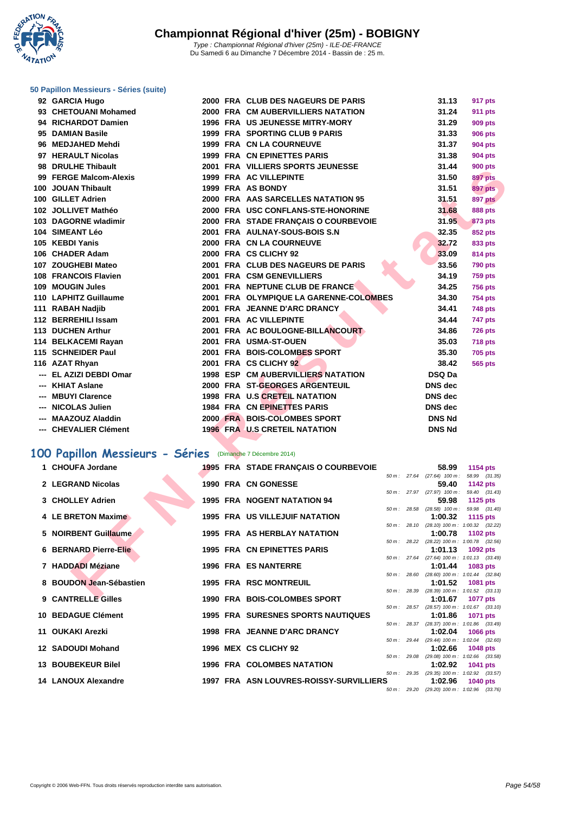**WATATION**  $^{\prime}$ 

#### **[50 Papillo](http://www.ffnatation.fr/webffn/index.php)n Messieurs - Séries (suite)**

| 92 GARCIA Hugo                                            |  | 2000 FRA CLUB DES NAGEURS DE PARIS                                     |  | 31.13                                                 | 917 pts                          |  |
|-----------------------------------------------------------|--|------------------------------------------------------------------------|--|-------------------------------------------------------|----------------------------------|--|
| 93 CHETOUANI Mohamed                                      |  | 2000 FRA CM AUBERVILLIERS NATATION                                     |  | 31.24                                                 | 911 pts                          |  |
| 94 RICHARDOT Damien                                       |  | 1996 FRA US JEUNESSE MITRY-MORY                                        |  | 31.29                                                 | 909 pts                          |  |
| 95 DAMIAN Basile                                          |  | 1999 FRA SPORTING CLUB 9 PARIS                                         |  | 31.33                                                 | <b>906 pts</b>                   |  |
| 96 MEDJAHED Mehdi                                         |  | 1999 FRA CN LA COURNEUVE                                               |  | 31.37                                                 | 904 pts                          |  |
| 97 HERAULT Nicolas                                        |  | 1999 FRA CN EPINETTES PARIS                                            |  | 31.38                                                 | <b>904 pts</b>                   |  |
| 98 DRULHE Thibault                                        |  | 2001 FRA VILLIERS SPORTS JEUNESSE                                      |  | 31.44                                                 | <b>900 pts</b>                   |  |
| 99 FERGE Malcom-Alexis                                    |  | 1999 FRA AC VILLEPINTE                                                 |  | 31.50                                                 | <b>897 pts</b>                   |  |
| 100 JOUAN Thibault                                        |  | 1999 FRA AS BONDY                                                      |  | 31.51                                                 | <b>897 pts</b>                   |  |
| 100 GILLET Adrien                                         |  | 2000 FRA AAS SARCELLES NATATION 95                                     |  | 31.51                                                 | 897 pts                          |  |
| 102 JOLLIVET Mathéo                                       |  | 2000 FRA USC CONFLANS-STE-HONORINE                                     |  | 31.68                                                 | <b>888 pts</b>                   |  |
| 103 DAGORNE wladimir                                      |  | 2000 FRA STADE FRANÇAIS O COURBEVOIE                                   |  | 31.95                                                 | <b>873 pts</b>                   |  |
| 104 SIMEANT Léo                                           |  | 2001 FRA AULNAY-SOUS-BOIS S.N                                          |  | 32.35                                                 | 852 pts                          |  |
| 105 KEBDI Yanis                                           |  | 2000 FRA CN LA COURNEUVE                                               |  | 32.72                                                 | 833 pts                          |  |
| 106 CHADER Adam                                           |  | 2000 FRA CS CLICHY 92                                                  |  | 33.09                                                 | 814 pts                          |  |
| 107 ZOUGHEBI Mateo                                        |  | 2001 FRA CLUB DES NAGEURS DE PARIS                                     |  | 33.56                                                 | <b>790 pts</b>                   |  |
| 108 FRANCOIS Flavien                                      |  | 2001 FRA CSM GENEVILLIERS                                              |  | 34.19                                                 | <b>759 pts</b>                   |  |
| 109 MOUGIN Jules                                          |  | 2001 FRA NEPTUNE CLUB DE FRANCE                                        |  | 34.25                                                 | <b>756 pts</b>                   |  |
| 110 LAPHITZ Guillaume                                     |  | 2001 FRA OLYMPIQUE LA GARENNE-COLOMBES<br>2001 FRA JEANNE D'ARC DRANCY |  | 34.30<br>34.41                                        | <b>754 pts</b>                   |  |
| 111 RABAH Nadjib<br>112 BERREHILI Issam                   |  | 2001 FRA AC VILLEPINTE                                                 |  | 34.44                                                 | <b>748 pts</b><br><b>747 pts</b> |  |
| 113 DUCHEN Arthur                                         |  | 2001 FRA AC BOULOGNE-BILLANCOURT                                       |  | 34.86                                                 | <b>726 pts</b>                   |  |
| 114 BELKACEMI Rayan                                       |  | 2001 FRA USMA-ST-OUEN                                                  |  | 35.03                                                 | <b>718 pts</b>                   |  |
| 115 SCHNEIDER Paul                                        |  | 2001 FRA BOIS-COLOMBES SPORT                                           |  | 35.30                                                 | <b>705 pts</b>                   |  |
| 116 AZAT Rhyan                                            |  | 2001 FRA CS CLICHY 92                                                  |  | 38.42                                                 | 565 pts                          |  |
| --- EL AZIZI DEBDI Omar                                   |  | <b>1998 ESP CM AUBERVILLIERS NATATION</b>                              |  | DSQ Da                                                |                                  |  |
| --- KHIAT Aslane                                          |  | 2000 FRA ST-GEORGES ARGENTEUIL                                         |  | DNS dec                                               |                                  |  |
| --- MBUYI Clarence                                        |  | 1998 FRA U.S CRETEIL NATATION                                          |  | <b>DNS</b> dec                                        |                                  |  |
| --- NICOLAS Julien                                        |  | 1984 FRA CN EPINETTES PARIS                                            |  | <b>DNS</b> dec                                        |                                  |  |
| --- MAAZOUZ Aladdin                                       |  | 2000 FRA BOIS-COLOMBES SPORT                                           |  | <b>DNS Nd</b>                                         |                                  |  |
| --- CHEVALIER Clément                                     |  | <b>1996 FRA U.S CRETEIL NATATION</b>                                   |  | <b>DNS Nd</b>                                         |                                  |  |
|                                                           |  |                                                                        |  |                                                       |                                  |  |
| 00 Papillon Messieurs - Séries (Dimanche 7 Décembre 2014) |  |                                                                        |  |                                                       |                                  |  |
| 1 CHOUFA Jordane                                          |  | 1995 FRA STADE FRANÇAIS O COURBEVOIE                                   |  | 58.99                                                 | 1154 pts                         |  |
| 2 LEGRAND Nicolas                                         |  | <b>1990 FRA CN GONESSE</b>                                             |  | 50 m: 27.64 (27.64) 100 m: 58.99 (31.35)              |                                  |  |
|                                                           |  |                                                                        |  | 59.40<br>50 m: 27.97 (27.97) 100 m: 59.40 (31.43)     | 1142 pts                         |  |
| 3 CHOLLEY Adrien                                          |  | 1995 FRA NOGENT NATATION 94                                            |  | 59.98                                                 | <b>1125 pts</b>                  |  |
| 4 LE BRETON Maxime                                        |  | <b>1995 FRA US VILLEJUIF NATATION</b>                                  |  | 50 m: 28.58 (28.58) 100 m: 59.98 (31.40)              |                                  |  |
|                                                           |  |                                                                        |  | 1:00.32<br>50 m: 28.10 (28.10) 100 m: 1:00.32 (32.22) | 1115 pts                         |  |
| 5 NOIRBENT Guillaume                                      |  | 1995 FRA AS HERBLAY NATATION                                           |  | 1:00.78                                               | 1102 pts                         |  |
| <b>6 BERNARD Pierre-Elie</b>                              |  | <b>1995 FRA CN EPINETTES PARIS</b>                                     |  | 50 m: 28.22 (28.22) 100 m: 1:00.78 (32.56)            |                                  |  |
|                                                           |  |                                                                        |  | 1:01.13<br>50 m: 27.64 (27.64) 100 m: 1:01.13 (33.49) | 1092 pts                         |  |
| 7 HADDADI Méziane                                         |  | <b>1996 FRA ES NANTERRE</b>                                            |  | 1:01.44                                               | 1083 pts                         |  |
| 8 BOUDON Jean-Sébastien                                   |  | <b>1995 FRA RSC MONTREUIL</b>                                          |  | 50 m: 28.60 (28.60) 100 m: 1:01.44 (32.84)<br>1:01.52 | 1081 pts                         |  |
|                                                           |  |                                                                        |  | 50 m: 28.39 (28.39) 100 m: 1:01.52 (33.13)            |                                  |  |
| $0.011$ TDELLE OILLE                                      |  | 4000 FBA BOIC COLOMBER CROPT                                           |  | $\overline{A}$ $\overline{A}$ $\overline{C}$          | $\overline{A}$                   |  |

# **100 Papillon Messieurs - Séries** (Dimanche 7 Décembre 2014)

| 1 CHOUFA Jordane             |  | 1995 FRA STADE FRANÇAIS O COURBEVOIE      |  | 58.99                                                          | 1154 $pts$  |  |
|------------------------------|--|-------------------------------------------|--|----------------------------------------------------------------|-------------|--|
|                              |  |                                           |  | 50 m: 27.64 (27.64) 100 m: 58.99 (31.35)                       |             |  |
| 2 LEGRAND Nicolas            |  | 1990 FRA CN GONESSE                       |  | 59.40                                                          | 1142 pts    |  |
|                              |  |                                           |  | 50 m: 27.97 (27.97) 100 m: 59.40 (31.43)                       |             |  |
| 3 CHOLLEY Adrien             |  | 1995 FRA NOGENT NATATION 94               |  | 59.98                                                          | 1125 $p$ ts |  |
|                              |  |                                           |  | 50 m: 28.58 (28.58) 100 m: 59.98 (31.40)                       |             |  |
| 4 LE BRETON Maxime           |  | <b>1995 FRA US VILLEJUIF NATATION</b>     |  | 1:00.32                                                        | 1115 pts    |  |
|                              |  |                                           |  | 50 m: 28.10 (28.10) 100 m: 1:00.32 (32.22)                     |             |  |
| 5 NOIRBENT Guillaume         |  | 1995 FRA AS HERBLAY NATATION              |  | 1:00.78 1102 pts                                               |             |  |
|                              |  |                                           |  | 50 m: 28.22 (28.22) 100 m: 1:00.78 (32.56)                     |             |  |
| <b>6 BERNARD Pierre-Elie</b> |  | 1995 FRA CN EPINETTES PARIS               |  | 1:01.13 $1092 \text{ pts}$                                     |             |  |
|                              |  |                                           |  | 50 m: 27.64 (27.64) 100 m: 1:01.13 (33.49)                     |             |  |
| 7 HADDADI Méziane            |  | <b>1996 FRA ES NANTERRE</b>               |  | 1:01.44 $1083 \text{ pts}$                                     |             |  |
|                              |  |                                           |  | 50 m: 28.60 (28.60) 100 m: 1:01.44 (32.84)                     |             |  |
| 8 BOUDON Jean-Sébastien      |  | <b>1995 FRA RSC MONTREUIL</b>             |  | $1:01.52$ 1081 pts                                             |             |  |
|                              |  |                                           |  | 50 m: 28.39 (28.39) 100 m: 1:01.52 (33.13)                     |             |  |
| 9 CANTRELLE Gilles           |  | 1990 FRA BOIS-COLOMBES SPORT              |  | 1:01.67 1077 pts                                               |             |  |
| 10 BEDAGUE Clément           |  | <b>1995 FRA SURESNES SPORTS NAUTIQUES</b> |  | 50 m: 28.57 (28.57) 100 m: 1:01.67 (33.10)                     |             |  |
|                              |  |                                           |  | 1:01.86 1071 pts<br>50 m: 28.37 (28.37) 100 m: 1:01.86 (33.49) |             |  |
| 11 OUKAKI Arezki             |  | 1998 FRA JEANNE D'ARC DRANCY              |  | $1:02.04$ 1066 pts                                             |             |  |
|                              |  |                                           |  | 50 m: 29.44 (29.44) 100 m: 1:02.04 (32.60)                     |             |  |
| 12 SADOUDI Mohand            |  | 1996 MEX CS CLICHY 92                     |  | 1:02.66 $1048 \text{ pts}$                                     |             |  |
|                              |  |                                           |  | 50 m: 29.08 (29.08) 100 m: 1:02.66 (33.58)                     |             |  |
| 13 BOUBEKEUR Bilel           |  | <b>1996 FRA COLOMBES NATATION</b>         |  | 1:02.92 1041 pts                                               |             |  |
|                              |  |                                           |  | 50 m: 29.35 (29.35) 100 m: 1:02.92 (33.57)                     |             |  |
| 14 LANOUX Alexandre          |  | 1997 FRA ASN LOUVRES-ROISSY-SURVILLIERS   |  | 1:02.96                                                        | 1040 $pts$  |  |
|                              |  |                                           |  | 50 m: 29.20 (29.20) 100 m: 1:02.96 (33.76)                     |             |  |
|                              |  |                                           |  |                                                                |             |  |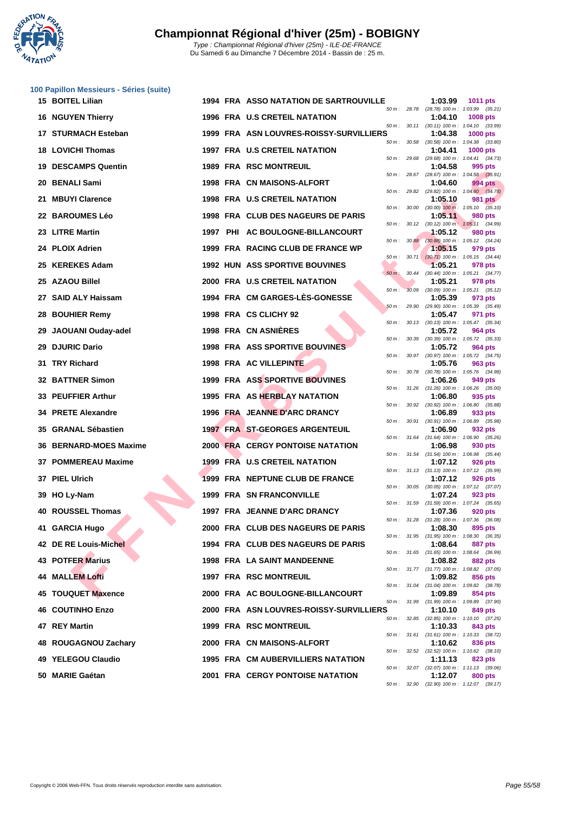

|    | 100 Papillon Messieurs - Séries (suite) |  |                                               |                          |         |                                                        |
|----|-----------------------------------------|--|-----------------------------------------------|--------------------------|---------|--------------------------------------------------------|
|    | <b>15 BOITEL Lilian</b>                 |  | <b>1994 FRA ASSO NATATION DE SARTROUVILLE</b> | 50 m: 28.78              | 1:03.99 | 1011 pts<br>(28.78) 100 m: 1:03.99 (35.21)             |
|    | <b>16 NGUYEN Thierry</b>                |  | 1996 FRA U.S CRETEIL NATATION                 |                          | 1:04.10 | 1008 pts                                               |
|    | 17 STURMACH Esteban                     |  | 1999 FRA ASN LOUVRES-ROISSY-SURVILLIERS       | 50 m : 30.11             | 1:04.38 | $(30.11)$ 100 m : 1:04.10 $(33.99)$<br>1000 pts        |
| 18 | <b>LOVICHI Thomas</b>                   |  | <b>1997 FRA U.S CRETEIL NATATION</b>          | 50 m: 30.58              | 1:04.41 | $(30.58)$ 100 m : 1:04.38 $(33.80)$<br><b>1000 pts</b> |
|    | <b>19 DESCAMPS Quentin</b>              |  | <b>1989 FRA RSC MONTREUIL</b>                 | 50 m : 29.68             | 1:04.58 | (29.68) 100 m: 1:04.41 (34.73)<br>995 pts              |
|    | 20 BENALI Sami                          |  | 1998 FRA CN MAISONS-ALFORT                    | 50 m: 28.67              | 1:04.60 | (28.67) 100 m: 1:04.58 (35.91)<br>994 pts              |
| 21 | <b>MBUYI Clarence</b>                   |  | 1998 FRA U.S CRETEIL NATATION                 | 50 m : 29.82             | 1:05.10 | $(29.82)$ 100 m : 1:04.60 $(34.78)$<br>981 pts         |
|    | 22 BAROUMES Léo                         |  | 1998 FRA CLUB DES NAGEURS DE PARIS            | 50 m: 30.00              | 1:05.11 | $(30.00)$ 100 m : 1:05.10 $(35.10)$<br>980 pts         |
|    | 23 LITRE Martin                         |  | 1997 PHI AC BOULOGNE-BILLANCOURT              | 50 m: 30.12              | 1:05.12 | $(30.12)$ 100 m : 1:05.11 $(34.99)$<br>980 pts         |
|    | 24 PLOIX Adrien                         |  | 1999 FRA RACING CLUB DE FRANCE WP             |                          | 1:05.15 | 50 m: 30.88 (30.88) 100 m: 1:05.12 (34.24)<br>979 pts  |
| 25 | <b>KEREKES Adam</b>                     |  | <b>1992 HUN ASS SPORTIVE BOUVINES</b>         | 50 m: 30.71              | 1:05.21 | $(30.71)$ 100 m : 1:05.15 $(34.44)$<br>978 pts         |
| 25 | <b>AZAOU Billel</b>                     |  | 2000 FRA U.S CRETEIL NATATION                 | $50 \text{ m}$ : $30.44$ | 1:05.21 | $(30.44)$ 100 m : 1:05.21 $(34.77)$                    |
|    |                                         |  |                                               | 30.09<br>$50 m$ :        |         | 978 pts<br>$(30.09)$ 100 m : 1:05.21 $(35.12)$         |
|    | 27 SAID ALY Haissam                     |  | 1994 FRA CM GARGES-LES-GONESSE                | 50 m: 29.90              | 1:05.39 | 973 pts<br>(29.90) 100 m: 1:05.39 (35.49)              |
| 28 | <b>BOUHIER Remy</b>                     |  | 1998 FRA CS CLICHY 92                         | 50 m : 30.13             | 1:05.47 | 971 pts<br>$(30.13)$ 100 m : 1:05.47 $(35.34)$         |
| 29 | JAOUANI Ouday-adel                      |  | <b>1998 FRA CN ASNIERES</b>                   | 50 m: 30.39              | 1:05.72 | 964 pts<br>$(30.39)$ 100 m : 1:05.72 $(35.33)$         |
| 29 | <b>DJURIC Dario</b>                     |  | 1998 FRA ASS SPORTIVE BOUVINES                |                          | 1:05.72 | 964 pts<br>50 m: 30.97 (30.97) 100 m: 1:05.72 (34.75)  |
| 31 | <b>TRY Richard</b>                      |  | 1998 FRA AC VILLEPINTE                        | 50 m: 30.78              | 1:05.76 | 963 pts<br>$(30.78)$ 100 m : 1:05.76 $(34.98)$         |
|    | <b>32 BATTNER Simon</b>                 |  | <b>1999 FRA ASS SPORTIVE BOUVINES</b>         |                          | 1:06.26 | 949 pts<br>50 m: 31.26 (31.26) 100 m: 1:06.26 (35.00)  |
|    | 33 PEUFFIER Arthur                      |  | 1995 FRA AS HERBLAY NATATION                  | 50 m :<br>30.92          | 1:06.80 | 935 pts<br>$(30.92)$ 100 m : 1:06.80 $(35.88)$         |
|    | 34 PRETE Alexandre                      |  | 1996 FRA JEANNE D'ARC DRANCY                  | 50 m : 30.91             | 1:06.89 | 933 pts<br>$(30.91)$ 100 m : 1:06.89 $(35.98)$         |
| 35 | <b>GRANAL Sébastien</b>                 |  | <b>1997 FRA ST-GEORGES ARGENTEUIL</b>         |                          | 1:06.90 | 932 pts                                                |
| 36 | <b>BERNARD-MOES Maxime</b>              |  | <b>2000 FRA CERGY PONTOISE NATATION</b>       |                          | 1:06.98 | 50 m: 31.64 (31.64) 100 m: 1:06.90 (35.26)<br>930 pts  |
|    | 37 POMMEREAU Maxime                     |  | 1999 FRA U.S CRETEIL NATATION                 |                          | 1:07.12 | 50 m: 31.54 (31.54) 100 m: 1:06.98 (35.44)<br>926 pts  |
|    | 37 PIEL Ulrich                          |  | <b>1999 FRA NEPTUNE CLUB DE FRANCE</b>        |                          | 1:07.12 | 50 m: 31.13 (31.13) 100 m: 1:07.12 (35.99)<br>926 pts  |
|    | 39 HO Ly-Nam                            |  | 1999 FRA SN FRANCONVILLE                      | 50 m: 30.05              | 1:07.24 | $(30.05)$ 100 m : 1:07.12 $(37.07)$<br>923 pts         |
|    | 40 ROUSSEL Thomas                       |  | 1997 FRA JEANNE D'ARC DRANCY                  | 50 m: 31.59              | 1:07.36 | $(31.59)$ 100 m : 1:07.24 $(35.65)$<br>920 pts         |
|    | 41 GARCIA Hugo                          |  | 2000 FRA CLUB DES NAGEURS DE PARIS            |                          | 1:08.30 | 50 m: 31.28 (31.28) 100 m: 1:07.36 (36.08)<br>895 pts  |
|    | 42 DE RE Louis-Michel                   |  | 1994 FRA CLUB DES NAGEURS DE PARIS            |                          | 1:08.64 | 50 m: 31.95 (31.95) 100 m: 1:08.30 (36.35)<br>887 pts  |
|    | 43 POTFER Marius                        |  | <b>1998 FRA LA SAINT MANDEENNE</b>            |                          | 1:08.82 | 50 m: 31.65 (31.65) 100 m: 1:08.64 (36.99)<br>882 pts  |
|    | <b>44 MALLEM Lofti</b>                  |  | <b>1997 FRA RSC MONTREUIL</b>                 |                          | 1:09.82 | 50 m: 31.77 (31.77) 100 m: 1:08.82 (37.05)<br>856 pts  |
| 45 | <b>TOUQUET Maxence</b>                  |  | 2000 FRA AC BOULOGNE-BILLANCOURT              |                          | 1:09.89 | 50 m: 31.04 (31.04) 100 m: 1:09.82 (38.78)<br>854 pts  |
|    |                                         |  |                                               | 50 m: 31.99              |         | $(31.99)$ 100 m : 1:09.89 $(37.90)$                    |
| 46 | <b>COUTINHO Enzo</b>                    |  | 2000 FRA ASN LOUVRES-ROISSY-SURVILLIERS       | 50 m : 32.85             | 1:10.10 | 849 pts<br>(32.85) 100 m: 1:10.10 (37.25)              |
|    | 47 REY Martin                           |  | 1999 FRA RSC MONTREUIL                        |                          | 1:10.33 | 843 pts<br>50 m: 31.61 (31.61) 100 m: 1:10.33 (38.72)  |
| 48 | <b>ROUGAGNOU Zachary</b>                |  | 2000 FRA CN MAISONS-ALFORT                    |                          | 1:10.62 | 836 pts<br>50 m: 32.52 (32.52) 100 m: 1:10.62 (38.10)  |
| 49 | <b>YELEGOU Claudio</b>                  |  | <b>1995 FRA CM AUBERVILLIERS NATATION</b>     |                          | 1:11.13 | 823 pts<br>50 m: 32.07 (32.07) 100 m: 1:11.13 (39.06)  |
|    | 50 MARIE Gaétan                         |  | <b>2001 FRA CERGY PONTOISE NATATION</b>       |                          | 1:12.07 | 800 pts<br>50 m: 32.90 (32.90) 100 m: 1:12.07 (39.17)  |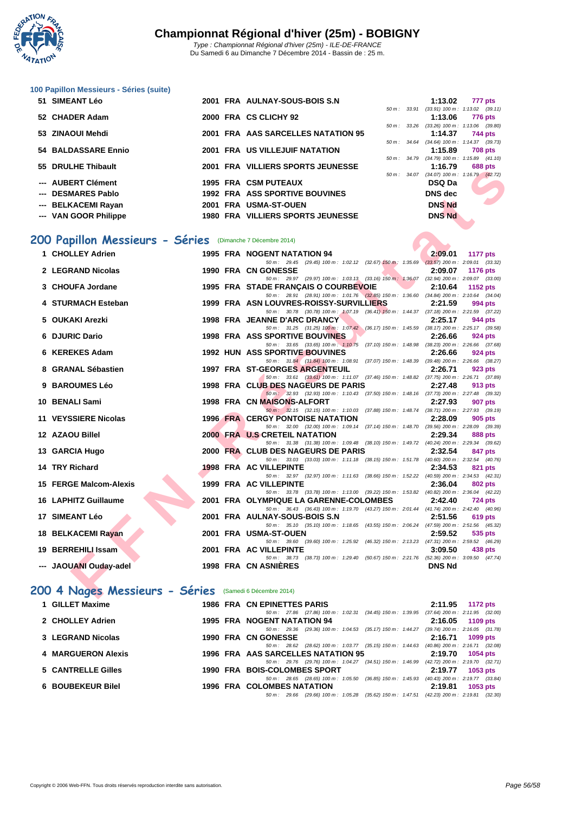

#### **[100 Papil](http://www.ffnatation.fr/webffn/index.php)lon Messieurs - Séries (suite)**

| 51 SIMEANT Léo        |  | 2001 FRA AULNAY-SOUS-BOIS S.N            |                        | 1:13.02                                    |         | 777 pts        |
|-----------------------|--|------------------------------------------|------------------------|--------------------------------------------|---------|----------------|
|                       |  |                                          |                        | 50 m: 33.91 (33.91) 100 m: 1:13.02 (39.11) |         |                |
| 52 CHADER Adam        |  | 2000 FRA CS CLICHY 92                    |                        | 1:13.06                                    |         | 776 pts        |
|                       |  |                                          |                        | 50 m: 33.26 (33.26) 100 m: 1:13.06 (39.80) |         |                |
| 53 ZINAOUI Mehdi      |  | 2001 FRA AAS SARCELLES NATATION 95       |                        | 1:14.37                                    | 744 pts |                |
|                       |  |                                          |                        | 50 m: 34.64 (34.64) 100 m: 1:14.37 (39.73) |         |                |
| 54 BALDASSARE Ennio   |  | 2001 FRA US VILLEJUIF NATATION           |                        | 1:15.89                                    |         | <b>708 pts</b> |
|                       |  |                                          |                        | 50 m: 34.79 (34.79) 100 m: 1:15.89 (41.10) |         |                |
| 55 DRULHE Thibault    |  | 2001 FRA VILLIERS SPORTS JEUNESSE        |                        | 1:16.79                                    |         | <b>688 pts</b> |
|                       |  |                                          | $50 \text{ m}$ : 34.07 | $(34.07)$ 100 m : 1:16.79 $(42.72)$        |         |                |
| --- AUBERT Clément    |  | <b>1995 FRA CSM PUTEAUX</b>              |                        | DSQ Da                                     |         |                |
| --- DESMARES Pablo    |  | <b>1992 FRA ASS SPORTIVE BOUVINES</b>    |                        | DNS dec                                    |         |                |
| --- BELKACEMI Rayan   |  | 2001 FRA USMA-ST-OUEN                    |                        | <b>DNS Nd</b>                              |         |                |
| --- VAN GOOR Philippe |  | <b>1980 FRA VILLIERS SPORTS JEUNESSE</b> |                        | <b>DNS Nd</b>                              |         |                |

### **200 Papillon Messieurs - Séries** (Dimanche 7 Décembre 2014)

| JJ | <b>DIVOLHE HIIDQUIL</b>                                   |  | ZUVI INA VILLILINJ JI UNIJJULUNLJJL                                                                                                 | . v. <i>i J</i> | <b>UUU DIS</b>                             |
|----|-----------------------------------------------------------|--|-------------------------------------------------------------------------------------------------------------------------------------|-----------------|--------------------------------------------|
|    | --- AUBERT Clément                                        |  | <b>1995 FRA CSM PUTEAUX</b>                                                                                                         | <b>DSQ Da</b>   | 50 m: 34.07 (34.07) 100 m: 1:16.79 (42.72) |
|    | --- DESMARES Pablo                                        |  | <b>1992 FRA ASS SPORTIVE BOUVINES</b>                                                                                               | <b>DNS</b> dec  |                                            |
|    | --- BELKACEMI Rayan                                       |  | 2001 FRA USMA-ST-OUEN                                                                                                               | <b>DNS Nd</b>   |                                            |
|    | --- VAN GOOR Philippe                                     |  | <b>1980 FRA VILLIERS SPORTS JEUNESSE</b>                                                                                            | <b>DNS Nd</b>   |                                            |
|    |                                                           |  |                                                                                                                                     |                 |                                            |
|    |                                                           |  |                                                                                                                                     |                 |                                            |
|    | 00 Papillon Messieurs - Séries (Dimanche 7 Décembre 2014) |  |                                                                                                                                     |                 |                                            |
|    | 1 CHOLLEY Adrien                                          |  | 1995 FRA NOGENT NATATION 94                                                                                                         | 2:09.01         | <b>1177 pts</b>                            |
|    |                                                           |  | 50 m: 29.45 (29.45) 100 m: 1:02.12 (32.67) 150 m: 1:35.69 (33.57) 200 m: 2:09.01 (33.32)                                            |                 |                                            |
|    | 2 LEGRAND Nicolas                                         |  | 1990 FRA CN GONESSE<br>50 m: 29.97 (29.97) 100 m: 1:03.13 (33.16) 150 m: 1:36.07 (32.94) 200 m: 2:09.07 (33.00)                     | 2:09.07         | <b>1176 pts</b>                            |
|    | 3 CHOUFA Jordane                                          |  | 1995 FRA STADE FRANCAIS O COURBEVOIE<br>$\sim$ $\sim$                                                                               | 2:10.64         | <b>1152 pts</b>                            |
|    |                                                           |  | 50 m: 28.91 (28.91) 100 m: 1.01.76 (32.85) 150 m: 1.36.60 (34.84) 200 m: 2.10.64 (34.04)                                            |                 |                                            |
|    | 4 STURMACH Esteban                                        |  | 1999 FRA ASN LOUVRES-ROISSY-SURVILLIERS                                                                                             | 2:21.59         | 994 pts                                    |
|    |                                                           |  | 50 m: 30.78 (30.78) 100 m: 1:07.19 (36.41) 150 m: 1:44.37 (37.18) 200 m: 2:21.59 (37.22)                                            |                 |                                            |
|    | 5 OUKAKI Arezki                                           |  | 1998 FRA JEANNE D'ARC DRANCY<br>50 m: 31.25 (31.25) 100 m: 1:07.42 (36.17) 150 m: 1:45.59 (38.17) 200 m: 2:25.17 (39.58)            | 2:25.17         | 944 pts                                    |
|    | 6 DJURIC Dario                                            |  | <b>1998 FRA ASS SPORTIVE BOUVINES</b>                                                                                               | 2:26.66         | 924 pts                                    |
|    |                                                           |  | 50 m: 33.65 (33.65) 100 m: 1:10.75 (37.10) 150 m: 1:48.98 (38.23) 200 m: 2:26.66 (37.68)                                            |                 |                                            |
|    | 6 KEREKES Adam                                            |  | <b>1992 HUN ASS SPORTIVE BOUVINES</b>                                                                                               | 2:26.66         | 924 pts                                    |
|    | 8 GRANAL Sébastien                                        |  | 50 m: 31.84 (31.84) 100 m: 1:08.91 (37.07) 150 m: 1:48.39 (39.48) 200 m: 2:26.66 (38.27)                                            |                 |                                            |
|    |                                                           |  | 1997 FRA ST-GEORGES ARGENTEUIL<br>50 m: 33.61 (33.61) 100 m: 1:11.07 (37.46) 150 m: 1:48.82 (37.75) 200 m: 2:26.71 (37.89)          | 2:26.71         | 923 pts                                    |
|    | 9 BAROUMES Léo                                            |  | 1998 FRA CLUB DES NAGEURS DE PARIS                                                                                                  | 2:27.48         | 913 pts                                    |
|    |                                                           |  | 50 m: 32.93 (32.93) 100 m: 1:10.43 (37.50) 150 m: 1:48.16 (37.73) 200 m: 2:27.48 (39.32)                                            |                 |                                            |
|    | 10 BENALI Sami                                            |  | 1998 FRA CN MAISONS-ALFORT                                                                                                          | 2:27.93         | 907 pts                                    |
|    | 11 VEYSSIERE Nicolas                                      |  | 50 m: 32.15 (32.15) 100 m: 1:10.03 (37.88) 150 m: 1:48.74 (38.71) 200 m: 2:27.93 (39.19)<br><b>1996 FRA CERGY PONTOISE NATATION</b> | 2:28.09         | 905 pts                                    |
|    |                                                           |  | 50 m: 32.00 (32.00) 100 m: 1:09.14 (37.14) 150 m: 1:48.70 (39.56) 200 m: 2:28.09 (39.39)                                            |                 |                                            |
|    | 12 AZAOU Billel                                           |  | 2000 FRA U.S CRETEIL NATATION                                                                                                       | 2:29.34         | 888 pts                                    |
|    |                                                           |  | 50 m: 31.38 (31.38) 100 m: 1:09.48 (38.10) 150 m: 1:49.72 (40.24) 200 m: 2:29.34 (39.62)                                            |                 |                                            |
|    | 13 GARCIA Hugo                                            |  | 2000 FRA CLUB DES NAGEURS DE PARIS                                                                                                  | 2:32.54         | 847 pts                                    |
|    | 14 TRY Richard                                            |  | 50 m: 33.03 (33.03) 100 m: 1:11.18 (38.15) 150 m: 1:51.78 (40.60) 200 m: 2:32.54 (40.76)<br>1998 FRA AC VILLEPINTE                  | 2:34.53         | 821 pts                                    |
|    |                                                           |  | 50 m: 32.97 (32.97) 100 m: 1:11.63 (38.66) 150 m: 1:52.22 (40.59) 200 m: 2:34.53 (42.31)                                            |                 |                                            |
|    | 15 FERGE Malcom-Alexis                                    |  | 1999 FRA AC VILLEPINTE                                                                                                              | 2:36.04         | 802 pts                                    |
|    |                                                           |  | 50 m: 33.78 (33.78) 100 m: 1:13.00 (39.22) 150 m: 1:53.82 (40.82) 200 m: 2:36.04 (42.22)                                            |                 |                                            |
|    | 16 LAPHITZ Guillaume                                      |  | 2001 FRA OLYMPIQUE LA GARENNE-COLOMBES<br>50 m: 36.43 (36.43) 100 m: 1:19.70 (43.27) 150 m: 2:01.44 (41.74) 200 m: 2:42.40 (40.96)  | 2:42.40         | <b>724 pts</b>                             |
|    | 17 SIMEANT Léo                                            |  | 2001 FRA AULNAY-SOUS-BOIS S.N                                                                                                       | 2:51.56         | <b>619 pts</b>                             |
|    |                                                           |  | 50 m: 35.10 (35.10) 100 m: 1:18.65 (43.55) 150 m: 2:06.24 (47.59) 200 m: 2:51.56 (45.32)                                            |                 |                                            |
|    | 18 BELKACEMI Rayan                                        |  | 2001 FRA USMA-ST-OUEN                                                                                                               | 2:59.52         | 535 pts                                    |
|    | 19 BERREHILI Issam                                        |  | 50 m: 39.60 (39.60) 100 m: 1:25.92 (46.32) 150 m: 2:13.23 (47.31) 200 m: 2:59.52 (46.29)<br>2001 FRA AC VILLEPINTE                  | 3:09.50         | 438 pts                                    |
|    |                                                           |  | 50 m: 38.73 (38.73) 100 m: 1:29.40 (50.67) 150 m: 2:21.76 (52.36) 200 m: 3:09.50 (47.74)                                            |                 |                                            |
|    | --- JAOUANI Ouday-adel                                    |  | 1998 FRA CN ASNIERES                                                                                                                | <b>DNS Nd</b>   |                                            |
|    |                                                           |  |                                                                                                                                     |                 |                                            |
|    | 00 4 Nages Messieurs - Séries (Samedi 6 Décembre 2014)    |  |                                                                                                                                     |                 |                                            |
|    |                                                           |  |                                                                                                                                     |                 |                                            |

### **200 4 Nages Messieurs - Séries** (Samedi 6 Décembre 2014)

| 1 GILLET Maxime    | 1986 FRA CN EPINETTES PARIS        |                                      |                                                           | 2:11.95 1172 pts                                                                             |          |          |
|--------------------|------------------------------------|--------------------------------------|-----------------------------------------------------------|----------------------------------------------------------------------------------------------|----------|----------|
|                    |                                    |                                      | 50 m: 27.86 (27.86) 100 m: 1:02.31 (34.45) 150 m: 1:39.95 | $(37.64)$ 200 m : 2:11.95 $(32.00)$                                                          |          |          |
| 2 CHOLLEY Adrien   | 1995 FRA NOGENT NATATION 94        |                                      |                                                           | $2:16.05$ 1109 pts                                                                           |          |          |
|                    |                                    |                                      |                                                           | 50 m : 29.36 (29.36) 100 m : 1:04.53 (35.17) 150 m : 1:44.27 (39.74) 200 m : 2:16.05 (31.78) |          |          |
| 3 LEGRAND Nicolas  | 1990 FRA CN GONESSE                |                                      |                                                           | 2:16.71 1099 pts                                                                             |          |          |
|                    |                                    |                                      |                                                           | 50 m : 28.62 (28.62) 100 m : 1:03.77 (35.15) 150 m : 1:44.63 (40.86) 200 m : 2:16.71 (32.08) |          |          |
| 4 MARGUERON Alexis | 1996 FRA AAS SARCELLES NATATION 95 |                                      |                                                           | 2:19.70                                                                                      | 1054 pts |          |
|                    |                                    | 50 m : 29.76 (29.76) 100 m : 1:04.27 | $(34.51)$ 150 m : 1:46.99                                 | $(42.72)$ 200 m : 2:19.70 $(32.71)$                                                          |          |          |
| 5 CANTRELLE Gilles | 1990 FRA BOIS-COLOMBES SPORT       |                                      |                                                           | 2:19.77                                                                                      | 1053 pts |          |
|                    |                                    | 50 m : 28.65 (28.65) 100 m : 1:05.50 | $(36.85)$ 150 m : 1:45.93                                 | $(40.43)$ 200 m : 2:19.77 $(33.84)$                                                          |          |          |
| 6 BOUBEKEUR Bilel  | <b>1996 FRA COLOMBES NATATION</b>  |                                      |                                                           | 2:19.81                                                                                      |          | 1053 pts |
|                    |                                    | 50 m : 29.66 (29.66) 100 m : 1:05.28 |                                                           | (35.62) 150 m: 1:47.51 (42.23) 200 m: 2:19.81 (32.30)                                        |          |          |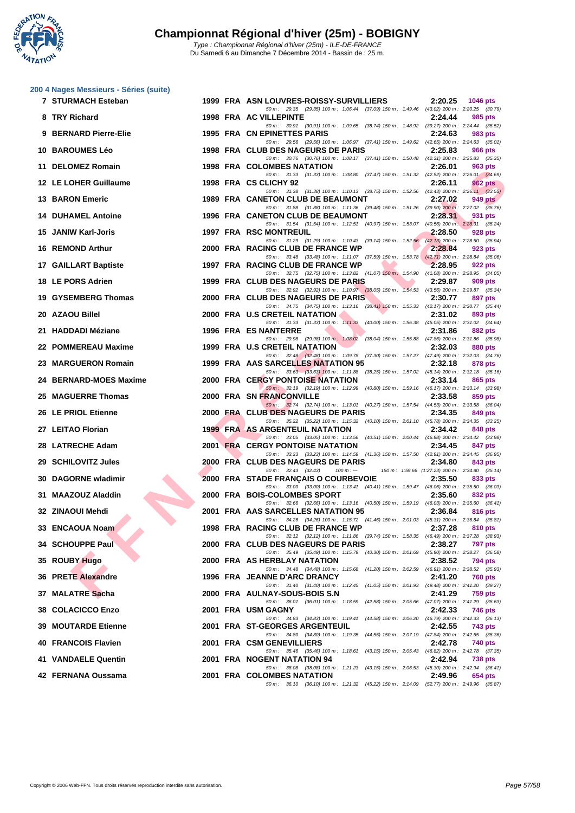

|    | 200 4 Nages Messieurs - Séries (suite)<br>7 STURMACH Esteban |  | 1999 FRA ASN LOUVRES-ROISSY-SURVILLIERS<br>2:20.25                                                                                                 | <b>1046 pts</b> |
|----|--------------------------------------------------------------|--|----------------------------------------------------------------------------------------------------------------------------------------------------|-----------------|
|    | 8 TRY Richard                                                |  | 50 m : 29.35 (29.35) 100 m : 1:06.44 (37.09) 150 m : 1:49.46 (43.02) 200 m : 2:20.25 (30.79)<br>1998 FRA AC VILLEPINTE<br>2:24.44                  | 985 pts         |
|    | 9 BERNARD Pierre-Elie                                        |  | 50 m: 30.91 (30.91) 100 m: 1:09.65 (38.74) 150 m: 1:48.92 (39.27) 200 m: 2:24.44 (35.52)                                                           |                 |
|    |                                                              |  | 1995 FRA CN EPINETTES PARIS<br>2:24.63<br>50 m: 29.56 (29.56) 100 m: 1:06.97 (37.41) 150 m: 1:49.62 (42.65) 200 m: 2:24.63 (35.01)                 | 983 pts         |
|    | <b>10 BAROUMES Léo</b>                                       |  | 1998 FRA CLUB DES NAGEURS DE PARIS<br>2:25.83<br>50 m: 30.76 (30.76) 100 m: 1:08.17 (37.41) 150 m: 1:50.48 (42.31) 200 m: 2:25.83 (35.35)          | 966 pts         |
|    | 11 DELOMEZ Romain                                            |  | <b>1998 FRA COLOMBES NATATION</b><br>2:26.01<br>50 m: 31.33 (31.33) 100 m: 1:08.80 (37.47) 150 m: 1:51.32 (42.52) 200 m: 2:26.01 (34.69)           | 963 pts         |
|    | 12 LE LOHER Guillaume                                        |  | 1998 FRA CS CLICHY 92<br>2:26.11                                                                                                                   | 962 pts         |
|    | <b>13 BARON Emeric</b>                                       |  | 50 m: 31.38 (31.38) 100 m: 1:10.13 (38.75) 150 m: 1:52.56 (42.43) 200 m: 2:26.11 (33.55)<br>1989 FRA CANETON CLUB DE BEAUMONT<br>2:27.02           | 949 pts         |
|    | <b>14 DUHAMEL Antoine</b>                                    |  | 50 m: 31.88 (31.88) 100 m: 1:11.36 (39.48) 150 m: 1:51.26 (39.90) 200 m: 2:27.02 (35.76)<br>1996 FRA CANETON CLUB DE BEAUMONT<br>2:28.31           | 931 pts         |
|    | 15 JANIW Karl-Joris                                          |  | 50 m: 31.54 (31.54) 100 m: 1:12.51 (40.97) 150 m: 1:53.07 (40.56) 200 m: 2:28.31 (35.24)<br><b>1997 FRA RSC MONTREUIL</b><br>2:28.50               | 928 pts         |
|    | 16 REMOND Arthur                                             |  | 50 m: 31.29 (31.29) 100 m: 1:10.43 (39.14) 150 m: 1:52,56 (42.13) 200 m: 2:28.50 (35.94)<br>2000 FRA RACING CLUB DE FRANCE WP<br>2:28.84           | 923 pts         |
|    | 17 GAILLART Baptiste                                         |  | 50 m: 33.48 (33.48) 100 m: 1:11.07 (37.59) 150 m: 1:53.78 (42.71) 200 m: 2:28.84 (35.06)<br>1997 FRA RACING CLUB DE FRANCE WP<br>2:28.95           | 922 pts         |
|    | 18 LE PORS Adrien                                            |  | 50 m: 32.75 (32.75) 100 m: 1:13.82 (41.07) 150 m: 1:54.90 (41.08) 200 m: 2:28.95 (34.05)<br>1999 FRA CLUB DES NAGEURS DE PARIS<br>2:29.87          | 909 pts         |
| 19 | <b>GYSEMBERG Thomas</b>                                      |  | 50 m: 32.92 (32.92) 100 m: 1:10.97 (38.05) 150 m: 1:54.53 (43.56) 200 m: 2:29.87 (35.34)<br>2000 FRA CLUB DES NAGEURS DE PARIS<br>2:30.77          | 897 pts         |
|    |                                                              |  | 50 m: 34.75 (34.75) 100 m: 1:13.16 (38.41) 150 m: 1:55.33 (42.17) 200 m: 2:30.77 (35.44)<br>2000 FRA U.S CRETEIL NATATION                          |                 |
|    | 20 AZAOU Billel                                              |  | 2:31.02<br>50 m: 31.33 (31.33) 100 m: 1:11.33 (40.00) 150 m: 1:56.38 (45.05) 200 m: 2:31.02 (34.64)                                                | 893 pts         |
|    | 21 HADDADI Méziane                                           |  | <b>1996 FRA ES NANTERRE</b><br>2:31.86<br>50 m : 29.98 (29.98) 100 m : 1:08.02 (38.04) 150 m : 1:55.88 (47.86) 200 m : 2:31.86 (35.98)             | 882 pts         |
|    | 22 POMMEREAU Maxime                                          |  | <b>1999 FRA U.S CRETEIL NATATION</b><br>2:32.03<br>50 m: 32.48 (32.48) 100 m: 1:09.78 (37.30) 150 m: 1:57.27 (47.49) 200 m: 2:32.03 (34.76)        | 880 pts         |
|    | 23 MARGUERON Romain                                          |  | 1999 FRA AAS SARCELLES NATATION 95<br>2:32.18<br>50 m: 33.63 (33.63) 100 m: 1:11.88 (38.25) 150 m: 1:57.02 (45.14) 200 m: 2:32.18 (35.16)          | 878 pts         |
| 24 | <b>BERNARD-MOES Maxime</b>                                   |  | 2000 FRA CERGY PONTOISE NATATION<br>2:33.14                                                                                                        | 865 pts         |
| 25 | <b>MAGUERRE Thomas</b>                                       |  | 50 m: 32.19 (32.19) 100 m: 1:12.99 (40.80) 150 m: 1:59.16 (46.17) 200 m: 2:33.14 (33.98)<br>2000 FRA SN FRANCONVILLE<br>2:33.58                    | 859 pts         |
|    | 26 LE PRIOL Etienne                                          |  | 50 m : 32.74 (32.74) 100 m : 1:13.01 (40.27) 150 m : 1:57.54 (44.53) 200 m : 2:33.58 (36.04)<br>2000 FRA CLUB DES NAGEURS DE PARIS<br>2:34.35      | 849 pts         |
|    | 27 LEITAO Florian                                            |  | 50 m: 35.22 (35.22) 100 m: 1:15.32 (40.10) 150 m: 2:01.10 (45.78) 200 m: 2:34.35 (33.25)<br><b>1999 FRA AS ARGENTEUIL NATATION</b><br>2:34.42      | 848 pts         |
|    | 28 LATRECHE Adam                                             |  | 50 m : 33.05 (33.05) 100 m : 1:13.56 (40.51) 150 m : 2:00.44 (46.88) 200 m : 2:34.42 (33.98)<br><b>2001 FRA CERGY PONTOISE NATATION</b><br>2:34.45 | 847 pts         |
|    | 29 SCHILOVITZ Jules                                          |  | 50 m: 33.23 (33.23) 100 m: 1:14.59 (41.36) 150 m: 1:57.50 (42.91) 200 m: 2:34.45 (36.95)<br>2000 FRA CLUB DES NAGEURS DE PARIS<br>2:34.80          | 843 pts         |
|    | 30 DAGORNE wladimir                                          |  | $50 m$ : $32.43$ $(32.43)$<br>$100 m: -$<br>150 m: 1:59.66 (1:27.23) 200 m: 2:34.80 (35.14)<br>2000 FRA STADE FRANÇAIS O COURBEVOIE<br>2:35.50     |                 |
|    |                                                              |  | 50 m: 33.00 (33.00) 100 m: 1:13.41 (40.41) 150 m: 1:59.47 (46.06) 200 m: 2:35.50 (36.03)                                                           | 833 pts         |
|    | 31 MAAZOUZ Aladdin                                           |  | 2000 FRA BOIS-COLOMBES SPORT<br>2:35.60<br>50 m: 32.66 (32.66) 100 m: 1:13.16 (40.50) 150 m: 1:59.19 (46.03) 200 m: 2:35.60 (36.41)                | 832 pts         |
|    | 32 ZINAOUI Mehdi                                             |  | 2001 FRA AAS SARCELLES NATATION 95<br>2:36.84<br>50 m: 34.26 (34.26) 100 m: 1:15.72 (41.46) 150 m: 2:01.03 (45.31) 200 m: 2:36.84 (35.81)          | 816 pts         |
|    | 33 ENCAOUA Noam                                              |  | 1998 FRA RACING CLUB DE FRANCE WP<br>2:37.28                                                                                                       | 810 pts         |
|    | 34 SCHOUPPE Paul                                             |  | 50 m: 32.12 (32.12) 100 m: 1:11.86 (39.74) 150 m: 1:58.35 (46.49) 200 m: 2:37.28 (38.93)<br>2000 FRA CLUB DES NAGEURS DE PARIS<br>2:38.27          | 797 pts         |
|    | 35 ROUBY Hugo                                                |  | 50 m : 35.49 (35.49) 100 m : 1:15.79 (40.30) 150 m : 2:01.69 (45.90) 200 m : 2:38.27 (36.58)<br><b>2000 FRA AS HERBLAY NATATION</b><br>2:38.52     | 794 pts         |
|    | 36 PRETE Alexandre                                           |  | 50 m: 34.48 (34.48) 100 m: 1:15.68 (41.20) 150 m: 2:02.59 (46.91) 200 m: 2:38.52 (35.93)<br>1996 FRA JEANNE D'ARC DRANCY<br>2:41.20                | 760 pts         |
|    | 37 MALATRE Sacha                                             |  | 50 m: 31.40 (31.40) 100 m: 1:12.45 (41.05) 150 m: 2:01.93 (49.48) 200 m: 2:41.20 (39.27)<br>2000 FRA AULNAY-SOUS-BOIS S.N<br>2:41.29               | 759 pts         |
|    | 38 COLACICCO Enzo                                            |  | 50 m: 36.01 (36.01) 100 m: 1:18.59 (42.58) 150 m: 2:05.66 (47.07) 200 m: 2:41.29 (35.63)<br>2001 FRA USM GAGNY<br>2:42.33                          | 746 pts         |
|    | <b>39 MOUTARDE Etienne</b>                                   |  | 50 m: 34.83 (34.83) 100 m: 1:19.41 (44.58) 150 m: 2:06.20 (46.79) 200 m: 2:42.33 (36.13)<br>2001 FRA ST-GEORGES ARGENTEUIL<br>2:42.55              |                 |
|    |                                                              |  | 50 m: 34.80 (34.80) 100 m: 1:19.35 (44.55) 150 m: 2:07.19 (47.84) 200 m: 2:42.55 (35.36)                                                           | 743 pts         |
|    | 40 FRANCOIS Flavien                                          |  | 2001 FRA CSM GENEVILLIERS<br>2:42.78<br>50 m: 35.46 (35.46) 100 m: 1:18.61 (43.15) 150 m: 2:05.43 (46.82) 200 m: 2:42.78 (37.35)                   | 740 pts         |

**41 VANDAELE Quentin 2001 FRA NOGENT NATATION 94 2:42.94 738 pts**

50 m : 38.08 (38.08) 100 m : 1:21.23 (43.15) 150 m : 2:06.53 (45.30) 200 m : 2:42.94 (36.41)<br>**DMBES NATATION** 2:49.96 654 pts

50 m : 36.10 (36.10) 100 m : 1:21.32 (45.22) 150 m : 2:14.09 (52.77) 200 m : 2:49.96 (35.87)

**42 FERNANA Oussama 2001 FRA COLOMBES NATATION 2:49.96 654 pts**